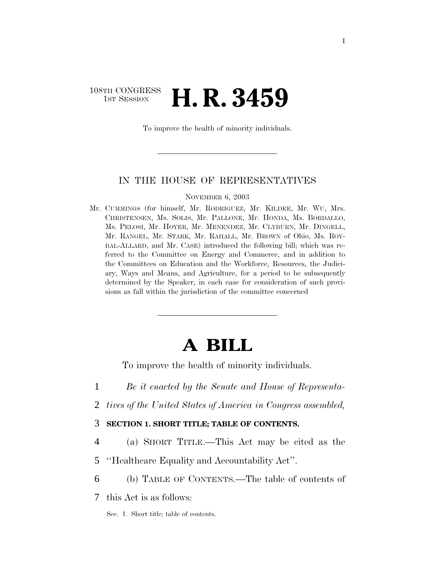# 108TH CONGRESS <sup>TH CONGRESS</sup> **H. R. 3459**

To improve the health of minority individuals.

# IN THE HOUSE OF REPRESENTATIVES

NOVEMBER 6, 2003

Mr. CUMMINGS (for himself, Mr. RODRIGUEZ, Mr. KILDEE, Mr. WU, Mrs. CHRISTENSEN, Ms. SOLIS, Mr. PALLONE, Mr. HONDA, Ms. BORDALLO, Ms. PELOSI, Mr. HOYER, Mr. MENENDEZ, Mr. CLYBURN, Mr. DINGELL, Mr. RANGEL, Mr. STARK, Mr. RAHALL, Mr. BROWN of Ohio, Ms. ROY-BAL-ALLARD, and Mr. CASE) introduced the following bill; which was referred to the Committee on Energy and Commerce, and in addition to the Committees on Education and the Workforce, Resources, the Judiciary, Ways and Means, and Agriculture, for a period to be subsequently determined by the Speaker, in each case for consideration of such provisions as fall within the jurisdiction of the committee concerned

# **A BILL**

To improve the health of minority individuals.

- 1 *Be it enacted by the Senate and House of Representa-*
- 2 *tives of the United States of America in Congress assembled,*

# 3 **SECTION 1. SHORT TITLE; TABLE OF CONTENTS.**

4 (a) SHORT TITLE.—This Act may be cited as the

5 ''Healthcare Equality and Accountability Act''.

6 (b) TABLE OF CONTENTS.—The table of contents of

7 this Act is as follows:

Sec. 1. Short title; table of contents.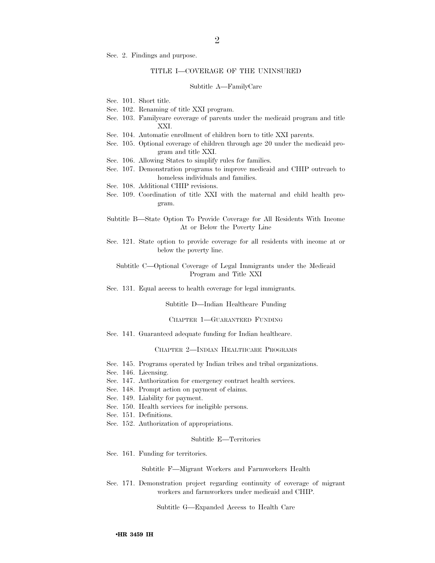Sec. 2. Findings and purpose.

# TITLE I—COVERAGE OF THE UNINSURED

#### Subtitle A—FamilyCare

- Sec. 101. Short title.
- Sec. 102. Renaming of title XXI program.
- Sec. 103. Familycare coverage of parents under the medicaid program and title XXI.
- Sec. 104. Automatic enrollment of children born to title XXI parents.
- Sec. 105. Optional coverage of children through age 20 under the medicaid program and title XXI.
- Sec. 106. Allowing States to simplify rules for families.
- Sec. 107. Demonstration programs to improve medicaid and CHIP outreach to homeless individuals and families.
- Sec. 108. Additional CHIP revisions.
- Sec. 109. Coordination of title XXI with the maternal and child health program.
- Subtitle B—State Option To Provide Coverage for All Residents With Income At or Below the Poverty Line
- Sec. 121. State option to provide coverage for all residents with income at or below the poverty line.

Subtitle C—Optional Coverage of Legal Immigrants under the Medicaid Program and Title XXI

Sec. 131. Equal access to health coverage for legal immigrants.

Subtitle D—Indian Healthcare Funding

#### CHAPTER 1—GUARANTEED FUNDING

Sec. 141. Guaranteed adequate funding for Indian healthcare.

## CHAPTER 2—INDIAN HEALTHCARE PROGRAMS

- Sec. 145. Programs operated by Indian tribes and tribal organizations.
- Sec. 146. Licensing.
- Sec. 147. Authorization for emergency contract health services.
- Sec. 148. Prompt action on payment of claims.
- Sec. 149. Liability for payment.
- Sec. 150. Health services for ineligible persons.
- Sec. 151. Definitions.
- Sec. 152. Authorization of appropriations.

## Subtitle E—Territories

Sec. 161. Funding for territories.

Subtitle F—Migrant Workers and Farmworkers Health

Sec. 171. Demonstration project regarding continuity of coverage of migrant workers and farmworkers under medicaid and CHIP.

Subtitle G—Expanded Access to Health Care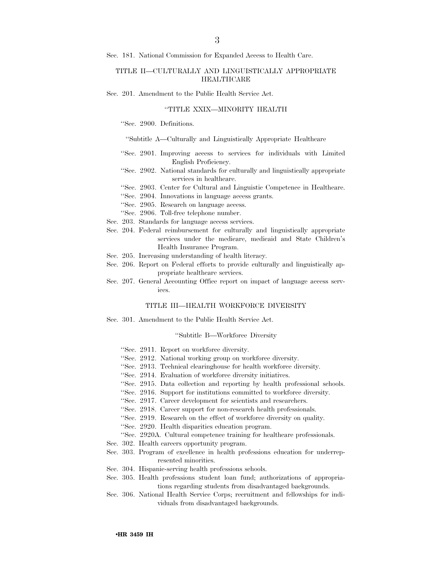Sec. 181. National Commission for Expanded Access to Health Care.

# TITLE II—CULTURALLY AND LINGUISTICALLY APPROPRIATE **HEALTHCARE**

Sec. 201. Amendment to the Public Health Service Act.

# ''TITLE XXIX—MINORITY HEALTH

''Sec. 2900. Definitions.

''Subtitle A—Culturally and Linguistically Appropriate Healthcare

- ''Sec. 2901. Improving access to services for individuals with Limited English Proficiency.
- ''Sec. 2902. National standards for culturally and linguistically appropriate services in healthcare.
- ''Sec. 2903. Center for Cultural and Linguistic Competence in Healthcare.
- ''Sec. 2904. Innovations in language access grants.
- ''Sec. 2905. Research on language access.
- ''Sec. 2906. Toll-free telephone number.
- Sec. 203. Standards for language access services.
- Sec. 204. Federal reimbursement for culturally and linguistically appropriate services under the medicare, medicaid and State Children's Health Insurance Program.
- Sec. 205. Increasing understanding of health literacy.
- Sec. 206. Report on Federal efforts to provide culturally and linguistically appropriate healthcare services.
- Sec. 207. General Accounting Office report on impact of language access services.

## TITLE III—HEALTH WORKFORCE DIVERSITY

Sec. 301. Amendment to the Public Health Service Act.

## ''Subtitle B—Workforce Diversity

- ''Sec. 2911. Report on workforce diversity.
- ''Sec. 2912. National working group on workforce diversity.
- ''Sec. 2913. Technical clearinghouse for health workforce diversity.
- ''Sec. 2914. Evaluation of workforce diversity initiatives.
- ''Sec. 2915. Data collection and reporting by health professional schools.
- ''Sec. 2916. Support for institutions committed to workforce diversity.
- ''Sec. 2917. Career development for scientists and researchers.
- ''Sec. 2918. Career support for non-research health professionals.
- ''Sec. 2919. Research on the effect of workforce diversity on quality.
- ''Sec. 2920. Health disparities education program.
- ''Sec. 2920A. Cultural competence training for healthcare professionals.
- Sec. 302. Health careers opportunity program.
- Sec. 303. Program of excellence in health professions education for underrepresented minorities.
- Sec. 304. Hispanic-serving health professions schools.
- Sec. 305. Health professions student loan fund; authorizations of appropriations regarding students from disadvantaged backgrounds.
- Sec. 306. National Health Service Corps; recruitment and fellowships for individuals from disadvantaged backgrounds.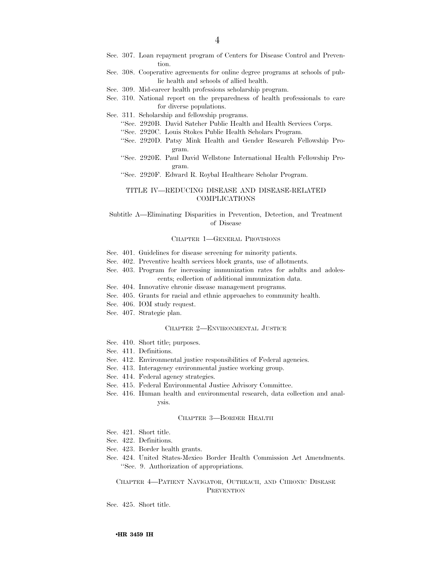- Sec. 307. Loan repayment program of Centers for Disease Control and Prevention.
- Sec. 308. Cooperative agreements for online degree programs at schools of public health and schools of allied health.
- Sec. 309. Mid-career health professions scholarship program.
- Sec. 310. National report on the preparedness of health professionals to care for diverse populations.
- Sec. 311. Scholarship and fellowship programs.
	- ''Sec. 2920B. David Satcher Public Health and Health Services Corps.
	- ''Sec. 2920C. Louis Stokes Public Health Scholars Program.
	- ''Sec. 2920D. Patsy Mink Health and Gender Research Fellowship Program.
	- ''Sec. 2920E. Paul David Wellstone International Health Fellowship Program.
	- ''Sec. 2920F. Edward R. Roybal Healthcare Scholar Program.

# TITLE IV—REDUCING DISEASE AND DISEASE-RELATED COMPLICATIONS

Subtitle A—Eliminating Disparities in Prevention, Detection, and Treatment of Disease

### CHAPTER 1—GENERAL PROVISIONS

- Sec. 401. Guidelines for disease screening for minority patients.
- Sec. 402. Preventive health services block grants, use of allotments.
- Sec. 403. Program for increasing immunization rates for adults and adolescents; collection of additional immunization data.
- Sec. 404. Innovative chronic disease management programs.
- Sec. 405. Grants for racial and ethnic approaches to community health.
- Sec. 406. IOM study request.
- Sec. 407. Strategic plan.

## CHAPTER 2—ENVIRONMENTAL JUSTICE

- Sec. 410. Short title; purposes.
- Sec. 411. Definitions.
- Sec. 412. Environmental justice responsibilities of Federal agencies.
- Sec. 413. Interagency environmental justice working group.
- Sec. 414. Federal agency strategies.
- Sec. 415. Federal Environmental Justice Advisory Committee.
- Sec. 416. Human health and environmental research, data collection and analysis.

#### CHAPTER 3—BORDER HEALTH

- Sec. 421. Short title.
- Sec. 422. Definitions.
- Sec. 423. Border health grants.
- Sec. 424. United States-Mexico Border Health Commission Act Amendments. ''Sec. 9. Authorization of appropriations.

CHAPTER 4—PATIENT NAVIGATOR, OUTREACH, AND CHRONIC DISEASE **PREVENTION** 

Sec. 425. Short title.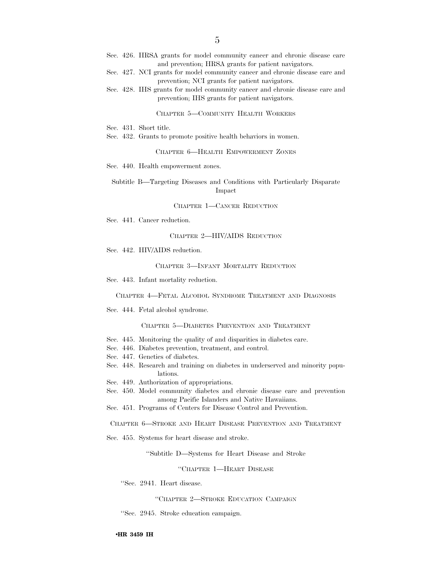- Sec. 426. HRSA grants for model community cancer and chronic disease care and prevention; HRSA grants for patient navigators.
- Sec. 427. NCI grants for model community cancer and chronic disease care and prevention; NCI grants for patient navigators.
- Sec. 428. IHS grants for model community cancer and chronic disease care and prevention; IHS grants for patient navigators.

### CHAPTER 5—COMMUNITY HEALTH WORKERS

Sec. 431. Short title.

Sec. 432. Grants to promote positive health behaviors in women.

CHAPTER 6—HEALTH EMPOWERMENT ZONES

Sec. 440. Health empowerment zones.

Subtitle B—Targeting Diseases and Conditions with Particularly Disparate Impact

CHAPTER 1—CANCER REDUCTION

Sec. 441. Cancer reduction.

## CHAPTER 2—HIV/AIDS REDUCTION

Sec. 442. HIV/AIDS reduction.

## CHAPTER 3—INFANT MORTALITY REDUCTION

Sec. 443. Infant mortality reduction.

CHAPTER 4—FETAL ALCOHOL SYNDROME TREATMENT AND DIAGNOSIS

Sec. 444. Fetal alcohol syndrome.

CHAPTER 5—DIABETES PREVENTION AND TREATMENT

- Sec. 445. Monitoring the quality of and disparities in diabetes care.
- Sec. 446. Diabetes prevention, treatment, and control.
- Sec. 447. Genetics of diabetes.
- Sec. 448. Research and training on diabetes in underserved and minority populations.
- Sec. 449. Authorization of appropriations.
- Sec. 450. Model community diabetes and chronic disease care and prevention among Pacific Islanders and Native Hawaiians.
- Sec. 451. Programs of Centers for Disease Control and Prevention.

CHAPTER 6—STROKE AND HEART DISEASE PREVENTION AND TREATMENT

Sec. 455. Systems for heart disease and stroke.

''Subtitle D—Systems for Heart Disease and Stroke

''CHAPTER 1—HEART DISEASE

''Sec. 2941. Heart disease.

''CHAPTER 2—STROKE EDUCATION CAMPAIGN

''Sec. 2945. Stroke education campaign.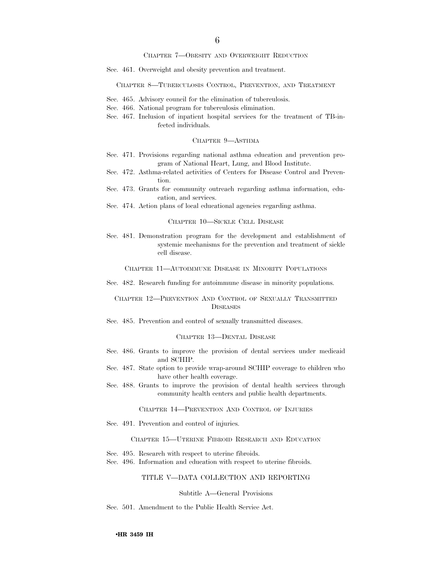### CHAPTER 7—OBESITY AND OVERWEIGHT REDUCTION

Sec. 461. Overweight and obesity prevention and treatment.

### CHAPTER 8—TUBERCULOSIS CONTROL, PREVENTION, AND TREATMENT

- Sec. 465. Advisory council for the elimination of tuberculosis.
- Sec. 466. National program for tuberculosis elimination.
- Sec. 467. Inclusion of inpatient hospital services for the treatment of TB-infected individuals.

# CHAPTER 9—ASTHMA

- Sec. 471. Provisions regarding national asthma education and prevention program of National Heart, Lung, and Blood Institute.
- Sec. 472. Asthma-related activities of Centers for Disease Control and Prevention.
- Sec. 473. Grants for community outreach regarding asthma information, education, and services.
- Sec. 474. Action plans of local educational agencies regarding asthma.

CHAPTER 10—SICKLE CELL DISEASE

Sec. 481. Demonstration program for the development and establishment of systemic mechanisms for the prevention and treatment of sickle cell disease.

CHAPTER 11—AUTOIMMUNE DISEASE IN MINORITY POPULATIONS

Sec. 482. Research funding for autoimmune disease in minority populations.

# CHAPTER 12—PREVENTION AND CONTROL OF SEXUALLY TRANSMITTED **DISEASES**

Sec. 485. Prevention and control of sexually transmitted diseases.

# CHAPTER 13—DENTAL DISEASE

- Sec. 486. Grants to improve the provision of dental services under medicaid and SCHIP.
- Sec. 487. State option to provide wrap-around SCHIP coverage to children who have other health coverage.
- Sec. 488. Grants to improve the provision of dental health services through community health centers and public health departments.

CHAPTER 14—PREVENTION AND CONTROL OF INJURIES

Sec. 491. Prevention and control of injuries.

CHAPTER 15—UTERINE FIBROID RESEARCH AND EDUCATION

- Sec. 495. Research with respect to uterine fibroids.
- Sec. 496. Information and education with respect to uterine fibroids.

# TITLE V—DATA COLLECTION AND REPORTING

#### Subtitle A—General Provisions

Sec. 501. Amendment to the Public Health Service Act.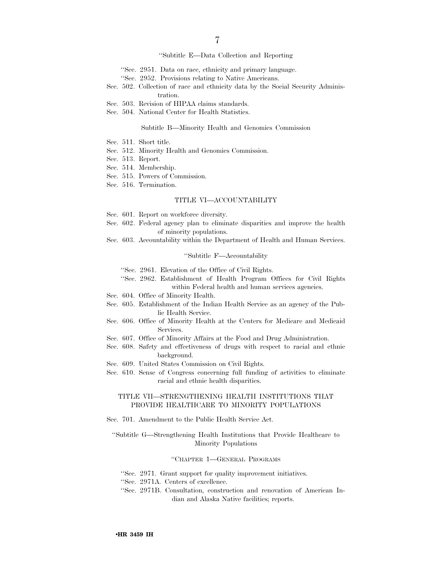# ''Subtitle E—Data Collection and Reporting

- ''Sec. 2951. Data on race, ethnicity and primary language.
- ''Sec. 2952. Provisions relating to Native Americans.
- Sec. 502. Collection of race and ethnicity data by the Social Security Administration.
- Sec. 503. Revision of HIPAA claims standards.
- Sec. 504. National Center for Health Statistics.

## Subtitle B—Minority Health and Genomics Commission

- Sec. 511. Short title.
- Sec. 512. Minority Health and Genomics Commission.
- Sec. 513. Report.
- Sec. 514. Membership.
- Sec. 515. Powers of Commission.
- Sec. 516. Termination.

# TITLE VI—ACCOUNTABILITY

- Sec. 601. Report on workforce diversity.
- Sec. 602. Federal agency plan to eliminate disparities and improve the health of minority populations.
- Sec. 603. Accountability within the Department of Health and Human Services.

# ''Subtitle F—Accountability

- ''Sec. 2961. Elevation of the Office of Civil Rights.
- ''Sec. 2962. Establishment of Health Program Offices for Civil Rights within Federal health and human services agencies.
- Sec. 604. Office of Minority Health.
- Sec. 605. Establishment of the Indian Health Service as an agency of the Public Health Service.
- Sec. 606. Office of Minority Health at the Centers for Medicare and Medicaid Services.
- Sec. 607. Office of Minority Affairs at the Food and Drug Administration.
- Sec. 608. Safety and effectiveness of drugs with respect to racial and ethnic background.
- Sec. 609. United States Commission on Civil Rights.
- Sec. 610. Sense of Congress concerning full funding of activities to eliminate racial and ethnic health disparities.

# TITLE VII—STRENGTHENING HEALTH INSTITUTIONS THAT PROVIDE HEALTHCARE TO MINORITY POPULATIONS

Sec. 701. Amendment to the Public Health Service Act.

# ''Subtitle G—Strengthening Health Institutions that Provide Healthcare to Minority Populations

### ''CHAPTER 1—GENERAL PROGRAMS

- ''Sec. 2971. Grant support for quality improvement initiatives.
- ''Sec. 2971A. Centers of excellence.
- ''Sec. 2971B. Consultation, construction and renovation of American Indian and Alaska Native facilities; reports.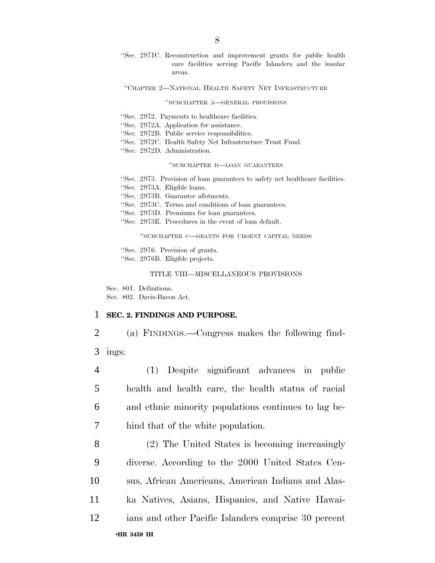''Sec. 2971C. Reconstruction and improvement grants for public health care facilities serving Pacific Islanders and the insular areas.

## ''CHAPTER 2—NATIONAL HEALTH SAFETY NET INFRASTRUCTURE

# ''SUBCHAPTER A—GENERAL PROVISIONS

- ''Sec. 2972. Payments to healthcare facilities.
- ''Sec. 2972A. Application for assistance.
- ''Sec. 2972B. Public service responsibilities.
- ''Sec. 2972C. Health Safety Net Infrastructure Trust Fund.
- ''Sec. 2972D. Administration.

# ''SUBCHAPTER B—LOAN GUARANTEES

- ''Sec. 2973. Provision of loan guarantees to safety net healthcare facilities.
- ''Sec. 2973A. Eligible loans.
- ''Sec. 2973B. Guarantee allotments.
- ''Sec. 2973C. Terms and conditions of loan guarantees.
- ''Sec. 2973D. Premiums for loan guarantees.
- ''Sec. 2973E. Procedures in the event of loan default.

''SUBCHAPTER C—GRANTS FOR URGENT CAPITAL NEEDS

- ''Sec. 2976. Provision of grants.
- ''Sec. 2976B. Eligible projects.

# TITLE VIII—MISCELLANEOUS PROVISIONS

Sec. 801. Definitions. Sec. 802. Davis-Bacon Act.

# 1 **SEC. 2. FINDINGS AND PURPOSE.**

2 (a) FINDINGS.—Congress makes the following find-3 ings:

 (1) Despite significant advances in public health and health care, the health status of racial and ethnic minority populations continues to lag be-hind that of the white population.

•**HR 3459 IH**  (2) The United States is becoming increasingly diverse. According to the 2000 United States Cen- sus, African Americans, American Indians and Alas- ka Natives, Asians, Hispanics, and Native Hawai-ians and other Pacific Islanders comprise 30 percent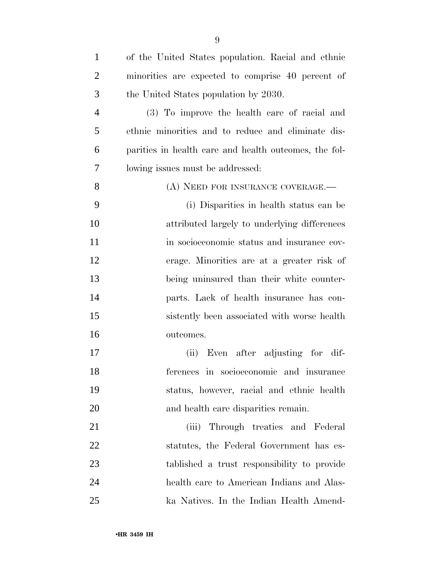| $\mathbf{1}$   | of the United States population. Racial and ethnic    |
|----------------|-------------------------------------------------------|
| $\overline{2}$ | minorities are expected to comprise 40 percent of     |
| 3              | the United States population by 2030.                 |
| $\overline{4}$ | (3) To improve the health care of racial and          |
| 5              | ethnic minorities and to reduce and eliminate dis-    |
| 6              | parities in health care and health outcomes, the fol- |
| 7              | lowing issues must be addressed:                      |
| 8              | (A) NEED FOR INSURANCE COVERAGE.—                     |
| 9              | (i) Disparities in health status can be               |
| 10             | attributed largely to underlying differences          |
| 11             | in socioeconomic status and insurance cov-            |
| 12             | erage. Minorities are at a greater risk of            |
| 13             | being uninsured than their white counter-             |
| 14             | parts. Lack of health insurance has con-              |
| 15             | sistently been associated with worse health           |
| 16             | outcomes.                                             |
| 17             | Even after adjusting for dif-<br>(ii)                 |
| 18             | ferences in socioeconomic and insurance               |
| 19             | status, however, racial and ethnic health             |
| 20             | and health care disparities remain.                   |
| 21             | Through treaties and Federal<br>(iii)                 |
| 22             | statutes, the Federal Government has es-              |
| 23             | tablished a trust responsibility to provide           |

 health care to American Indians and Alas-ka Natives. In the Indian Health Amend-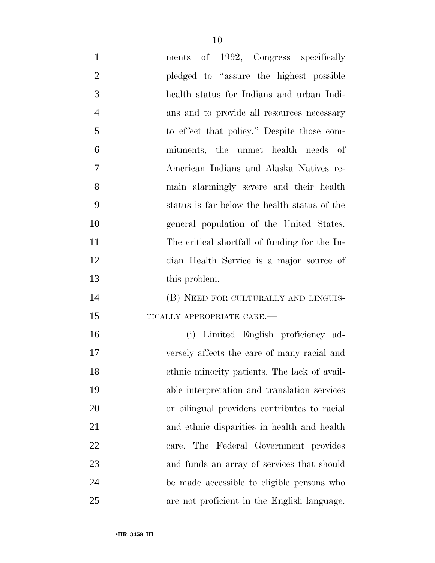| $\mathbf{1}$   | ments of 1992, Congress specifically          |
|----------------|-----------------------------------------------|
| $\overline{2}$ | pledged to "assure the highest possible"      |
| 3              | health status for Indians and urban Indi-     |
| $\overline{4}$ | ans and to provide all resources necessary    |
| 5              | to effect that policy." Despite those com-    |
| 6              | mitments, the unmet health needs of           |
| 7              | American Indians and Alaska Natives re-       |
| 8              | main alarmingly severe and their health       |
| 9              | status is far below the health status of the  |
| 10             | general population of the United States.      |
| 11             | The critical shortfall of funding for the In- |
| 12             | dian Health Service is a major source of      |
| 13             | this problem.                                 |
| 14             | (B) NEED FOR CULTURALLY AND LINGUIS-          |
| 15             | TICALLY APPROPRIATE CARE.-                    |
| 16             | (i) Limited English proficiency ad-           |
| 17             | versely affects the care of many racial and   |
| 18             | ethnic minority patients. The lack of avail-  |
| 19             | able interpretation and translation services  |
| <b>20</b>      | or bilingual providers contributes to racial  |
| 21             | and ethnic disparities in health and health   |
| 22             | care. The Federal Government provides         |
| 23             | and funds an array of services that should    |
| 24             | be made accessible to eligible persons who    |
| 25             | are not proficient in the English language.   |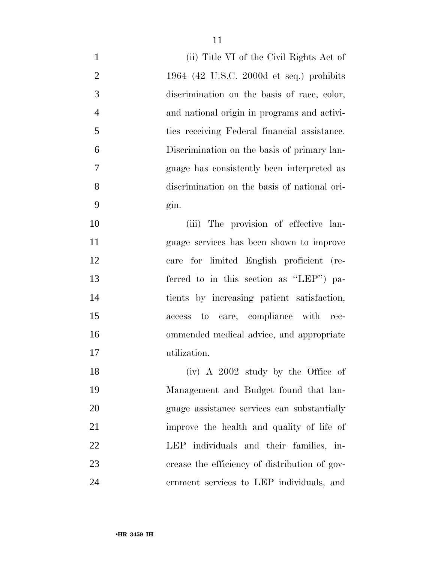| $\mathbf{1}$   | (ii) Title VI of the Civil Rights Act of      |
|----------------|-----------------------------------------------|
| $\overline{2}$ | 1964 (42 U.S.C. 2000 $d$ et seq.) prohibits   |
| 3              | discrimination on the basis of race, color,   |
| $\overline{4}$ | and national origin in programs and activi-   |
| 5              | ties receiving Federal financial assistance.  |
| 6              | Discrimination on the basis of primary lan-   |
| 7              | guage has consistently been interpreted as    |
| 8              | discrimination on the basis of national ori-  |
| 9              | gin.                                          |
| 10             | (iii) The provision of effective lan-         |
| 11             | guage services has been shown to improve      |
| 12             | care for limited English proficient (re-      |
| 13             | ferred to in this section as "LEP") pa-       |
| 14             | tients by increasing patient satisfaction,    |
| 15             | access to care, compliance with rec-          |
| 16             | ommended medical advice, and appropriate      |
| 17             | utilization.                                  |
| 18             | $(iv)$ A 2002 study by the Office of          |
| 19             | Management and Budget found that lan-         |
| 20             | guage assistance services can substantially   |
| 21             | improve the health and quality of life of     |
| 22             | LEP individuals and their families, in-       |
| 23             | crease the efficiency of distribution of gov- |
| 24             | ernment services to LEP individuals, and      |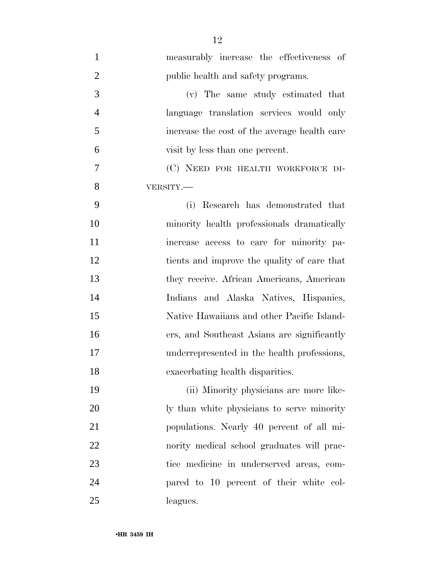| $\mathbf{1}$   | measurably increase the effectiveness of     |
|----------------|----------------------------------------------|
| $\overline{2}$ | public health and safety programs.           |
| 3              | (v) The same study estimated that            |
| $\overline{4}$ | language translation services would only     |
| 5              | increase the cost of the average health care |
| 6              | visit by less than one percent.              |
| 7              | (C) NEED FOR HEALTH WORKFORCE DI-            |
| 8              | VERSITY.                                     |
| 9              | Research has demonstrated that<br>(i)        |
| 10             | minority health professionals dramatically   |
| 11             | increase access to care for minority pa-     |
| 12             | tients and improve the quality of care that  |
| 13             | they receive. African Americans, American    |
| 14             | Indians and Alaska Natives, Hispanics,       |
| 15             | Native Hawaiians and other Pacific Island-   |
| 16             | ers, and Southeast Asians are significantly  |
| 17             | underrepresented in the health professions,  |
| 18             | exacerbating health disparities.             |
| 19             | (ii) Minority physicians are more like-      |
| 20             | ly than white physicians to serve minority   |
| 21             | populations. Nearly 40 percent of all mi-    |
| 22             | nority medical school graduates will prac-   |
| 23             | tice medicine in underserved areas, com-     |
| 24             | pared to 10 percent of their white col-      |
| 25             | leagues.                                     |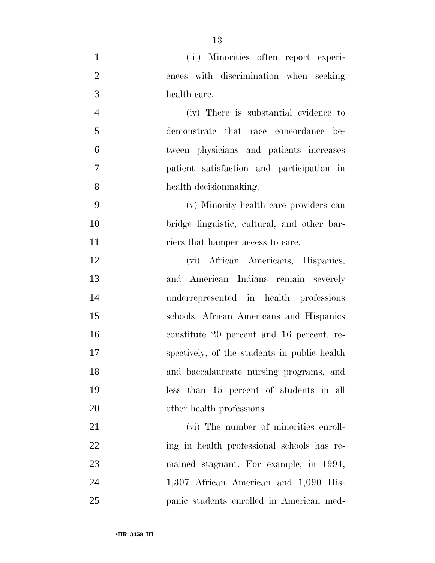| $\mathbf{1}$   | (iii) Minorities often report experi-        |
|----------------|----------------------------------------------|
| $\overline{2}$ | ences with discrimination when seeking       |
| 3              | health care.                                 |
| $\overline{4}$ | (iv) There is substantial evidence to        |
| 5              | demonstrate that race concordance be-        |
| 6              | tween physicians and patients increases      |
| 7              | patient satisfaction and participation in    |
| 8              | health decision making.                      |
| 9              | (v) Minority health care providers can       |
| 10             | bridge linguistic, cultural, and other bar-  |
| 11             | riers that hamper access to care.            |
| 12             | (vi) African Americans, Hispanics,           |
| 13             | and American Indians remain severely         |
| 14             | underrepresented in health professions       |
| 15             | schools. African Americans and Hispanics     |
| 16             | constitute 20 percent and 16 percent, re-    |
| 17             | spectively, of the students in public health |
| 18             | and baccalaureate nursing programs, and      |
| 19             | less than 15 percent of students in all      |
| 20             | other health professions.                    |
| 21             | (vi) The number of minorities enroll-        |
| 22             | ing in health professional schools has re-   |
| 23             | mained stagnant. For example, in 1994,       |
| 24             | 1,307 African American and 1,090 His-        |
| 25             | panic students enrolled in American med-     |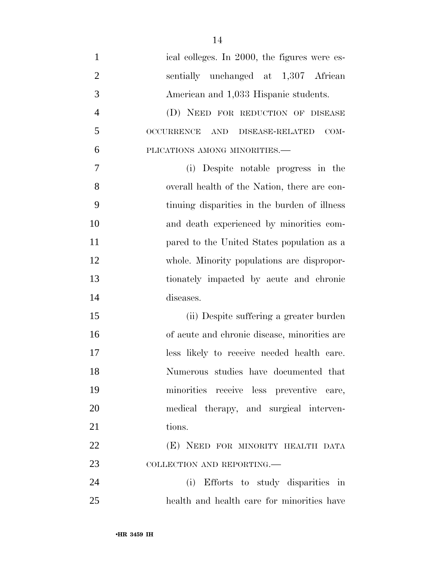| $\mathbf{1}$   | ical colleges. In 2000, the figures were es-                 |
|----------------|--------------------------------------------------------------|
| $\overline{2}$ | sentially unchanged at 1,307 African                         |
| 3              | American and 1,033 Hispanic students.                        |
| $\overline{4}$ | (D) NEED FOR REDUCTION OF DISEASE                            |
| 5              | <b>OCCURRENCE</b><br>$COM-$<br>AND<br><b>DISEASE-RELATED</b> |
| 6              | PLICATIONS AMONG MINORITIES.-                                |
| 7              | Despite notable progress in the<br>(i)                       |
| 8              | overall health of the Nation, there are con-                 |
| 9              | tinuing disparities in the burden of illness                 |
| 10             | and death experienced by minorities com-                     |
| 11             | pared to the United States population as a                   |
| 12             | whole. Minority populations are dispropor-                   |
| 13             | tionately impacted by acute and chronic                      |
| 14             | diseases.                                                    |
| 15             | (ii) Despite suffering a greater burden                      |
| 16             | of acute and chronic disease, minorities are                 |
| 17             | less likely to receive needed health care.                   |
| 18             | Numerous studies have documented that                        |
| 19             | minorities receive less preventive care,                     |
| 20             | medical therapy, and surgical interven-                      |
| 21             | tions.                                                       |
| 22             | (E) NEED FOR MINORITY HEALTH DATA                            |
| 23             | COLLECTION AND REPORTING.                                    |
| 24             | (i) Efforts to study disparities in                          |
| 25             | health and health care for minorities have                   |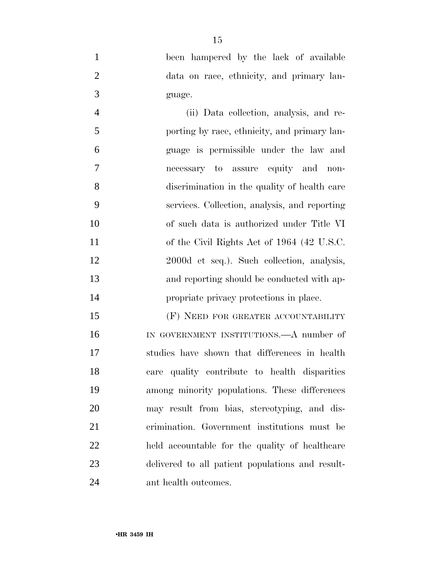been hampered by the lack of available data on race, ethnicity, and primary lan-guage.

 (ii) Data collection, analysis, and re- porting by race, ethnicity, and primary lan- guage is permissible under the law and necessary to assure equity and non- discrimination in the quality of health care services. Collection, analysis, and reporting of such data is authorized under Title VI of the Civil Rights Act of 1964 (42 U.S.C. 2000d et seq.). Such collection, analysis, and reporting should be conducted with ap-propriate privacy protections in place.

15 (F) NEED FOR GREATER ACCOUNTABILITY IN GOVERNMENT INSTITUTIONS.—A number of studies have shown that differences in health care quality contribute to health disparities among minority populations. These differences may result from bias, stereotyping, and dis- crimination. Government institutions must be held accountable for the quality of healthcare delivered to all patient populations and result-ant health outcomes.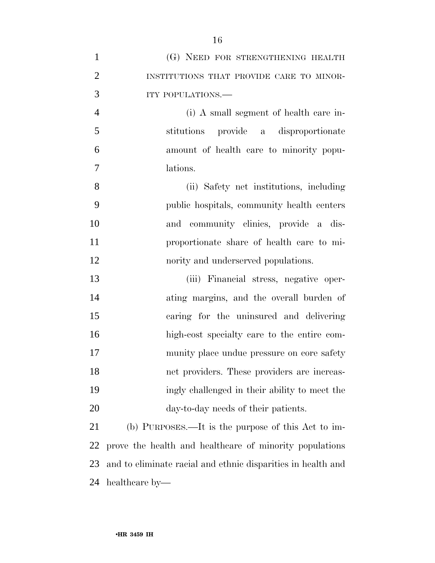| $\mathbf{1}$   | (G) NEED FOR STRENGTHENING HEALTH                            |
|----------------|--------------------------------------------------------------|
| $\overline{2}$ | INSTITUTIONS THAT PROVIDE CARE TO MINOR-                     |
| 3              | ITY POPULATIONS.-                                            |
| $\overline{4}$ | (i) A small segment of health care in-                       |
| 5              | stitutions provide a disproportionate                        |
| 6              | amount of health care to minority popu-                      |
| 7              | lations.                                                     |
| 8              | (ii) Safety net institutions, including                      |
| 9              | public hospitals, community health centers                   |
| 10             | and community clinics, provide a dis-                        |
| 11             | proportionate share of health care to mi-                    |
| 12             | nority and underserved populations.                          |
| 13             | (iii) Financial stress, negative oper-                       |
| 14             | ating margins, and the overall burden of                     |
| 15             | caring for the uninsured and delivering                      |
| 16             | high-cost specialty care to the entire com-                  |
| 17             | munity place undue pressure on core safety                   |
| 18             | net providers. These providers are increas-                  |
| 19             | ingly challenged in their ability to meet the                |
| 20             | day-to-day needs of their patients.                          |
| 21             | (b) PURPOSES.—It is the purpose of this Act to im-           |
| 22             | prove the health and healthcare of minority populations      |
| 23             | and to eliminate racial and ethnic disparities in health and |
| 24             | healthcare by—                                               |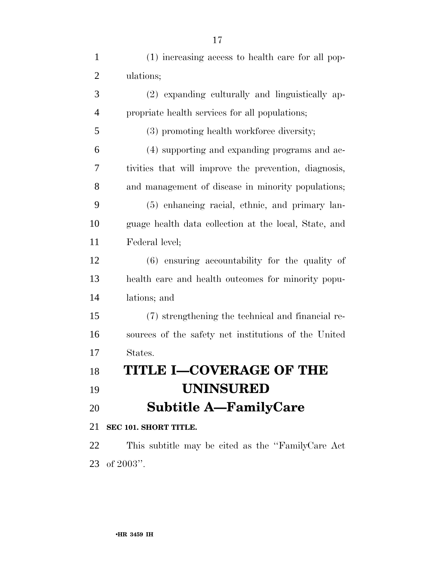| $\mathbf{1}$   | (1) increasing access to health care for all pop-     |
|----------------|-------------------------------------------------------|
| $\overline{2}$ | ulations;                                             |
| 3              | (2) expanding culturally and linguistically ap-       |
| $\overline{4}$ | propriate health services for all populations;        |
| 5              | (3) promoting health workforce diversity;             |
| 6              | (4) supporting and expanding programs and ac-         |
| 7              | tivities that will improve the prevention, diagnosis, |
| 8              | and management of disease in minority populations;    |
| 9              | (5) enhancing racial, ethnic, and primary lan-        |
| 10             | guage health data collection at the local, State, and |
| 11             | Federal level;                                        |
| 12             | $(6)$ ensuring accountability for the quality of      |
| 13             | health care and health outcomes for minority popu-    |
| 14             | lations; and                                          |
| 15             | (7) strengthening the technical and financial re-     |
| 16             | sources of the safety net institutions of the United  |
| 17             | States.                                               |
| 18             | TITLE I—COVERAGE OF THE                               |
| 19             | <b>UNINSURED</b>                                      |
| 20             | <b>Subtitle A—FamilyCare</b>                          |
| 21             | SEC 101. SHORT TITLE.                                 |
| 22             | This subtitle may be cited as the "FamilyCare Act"    |
|                | $23$ of $2003"$ .                                     |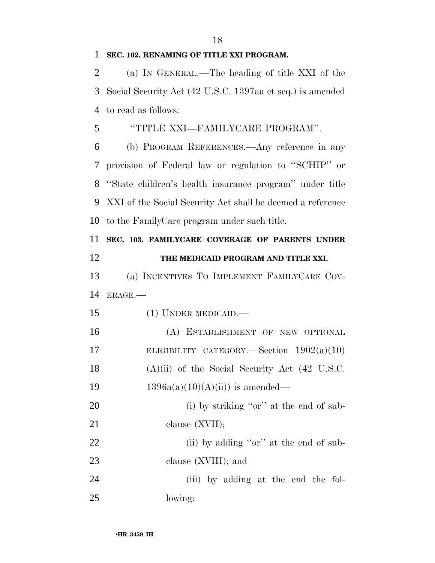# **SEC. 102. RENAMING OF TITLE XXI PROGRAM.**

 (a) IN GENERAL.—The heading of title XXI of the Social Security Act (42 U.S.C. 1397aa et seq.) is amended to read as follows:

# ''TITLE XXI—FAMILYCARE PROGRAM''.

 (b) PROGRAM REFERENCES.—Any reference in any provision of Federal law or regulation to ''SCHIP'' or ''State children's health insurance program'' under title XXI of the Social Security Act shall be deemed a reference to the FamilyCare program under such title.

 **SEC. 103. FAMILYCARE COVERAGE OF PARENTS UNDER THE MEDICAID PROGRAM AND TITLE XXI.**  (a) INCENTIVES TO IMPLEMENT FAMILYCARE COV- ERAGE.— (1) UNDER MEDICAID.— (A) ESTABLISHMENT OF NEW OPTIONAL 17 ELIGIBILITY CATEGORY.—Section 1902(a)(10) (A)(ii) of the Social Security Act (42 U.S.C.  $1396a(a)(10)(A(ii))$  is amended— 20 (i) by striking "or" at the end of sub-

21 clause (XVII); 22 (ii) by adding "or" at the end of sub-clause (XVIII); and

 (iii) by adding at the end the fol-lowing: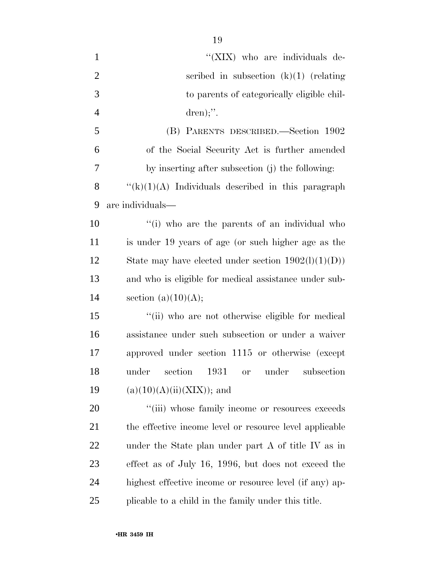| $\mathbf{1}$   | "(XIX) who are individuals de-                               |
|----------------|--------------------------------------------------------------|
| $\overline{2}$ | scribed in subsection $(k)(1)$ (relating                     |
| 3              | to parents of categorically eligible chil-                   |
| $\overline{4}$ | $dren);$ ".                                                  |
| 5              | (B) PARENTS DESCRIBED.—Section 1902                          |
| 6              | of the Social Security Act is further amended                |
| 7              | by inserting after subsection (j) the following:             |
| 8              | $``(k)(1)(A)$ Individuals described in this paragraph        |
| 9              | are individuals—                                             |
| 10             | "(i) who are the parents of an individual who                |
| 11             | is under 19 years of age (or such higher age as the          |
| 12             | State may have elected under section $1902(l)(1)(D))$        |
| 13             | and who is eligible for medical assistance under sub-        |
| 14             | section $(a)(10)(A);$                                        |
| 15             | "(ii) who are not otherwise eligible for medical             |
| 16             | assistance under such subsection or under a waiver           |
| 17             | approved under section 1115 or otherwise (except             |
| 18             | under<br>section<br>1931<br>under<br>subsection<br><b>or</b> |
| 19             | $(a)(10)(A)(ii)(XIX)$ ; and                                  |
| 20             | "(iii) whose family income or resources exceeds              |
| 21             | the effective income level or resource level applicable      |
| 22             | under the State plan under part A of title IV as in          |
| 23             | effect as of July 16, 1996, but does not exceed the          |
| 24             | highest effective income or resource level (if any) ap-      |
| 25             | plicable to a child in the family under this title.          |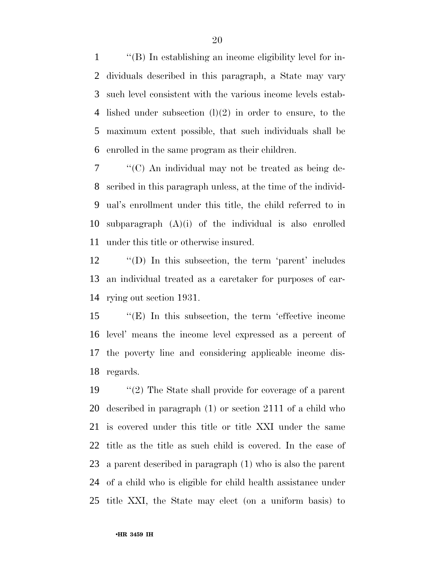''(B) In establishing an income eligibility level for in- dividuals described in this paragraph, a State may vary such level consistent with the various income levels estab- lished under subsection (l)(2) in order to ensure, to the maximum extent possible, that such individuals shall be enrolled in the same program as their children.

 ''(C) An individual may not be treated as being de- scribed in this paragraph unless, at the time of the individ- ual's enrollment under this title, the child referred to in subparagraph (A)(i) of the individual is also enrolled under this title or otherwise insured.

 ''(D) In this subsection, the term 'parent' includes an individual treated as a caretaker for purposes of car-rying out section 1931.

 ''(E) In this subsection, the term 'effective income level' means the income level expressed as a percent of the poverty line and considering applicable income dis-regards.

 ''(2) The State shall provide for coverage of a parent described in paragraph (1) or section 2111 of a child who is covered under this title or title XXI under the same title as the title as such child is covered. In the case of a parent described in paragraph (1) who is also the parent of a child who is eligible for child health assistance under title XXI, the State may elect (on a uniform basis) to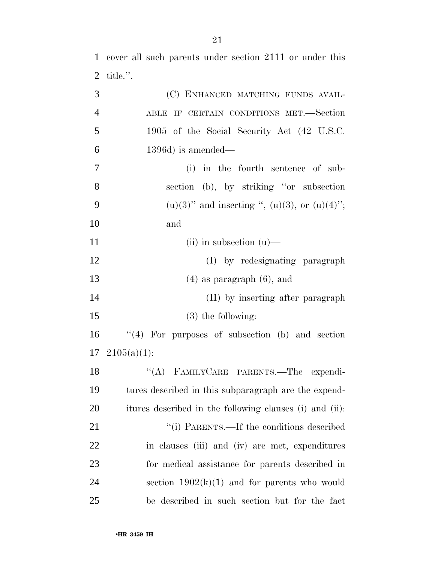cover all such parents under section 2111 or under this title.''.

| 3              | (C) ENHANCED MATCHING FUNDS AVAIL-                      |
|----------------|---------------------------------------------------------|
| $\overline{4}$ | ABLE IF CERTAIN CONDITIONS MET.—Section                 |
| 5              | 1905 of the Social Security Act (42 U.S.C.              |
| 6              | $1396d$ ) is amended—                                   |
| 7              | (i) in the fourth sentence of sub-                      |
| 8              | section (b), by striking "or subsection"                |
| 9              | $(u)(3)$ " and inserting ", $(u)(3)$ , or $(u)(4)$ ";   |
| 10             | and                                                     |
| 11             | $(ii)$ in subsection $(u)$ —                            |
| 12             | (I) by redesignating paragraph                          |
| 13             | $(4)$ as paragraph $(6)$ , and                          |
| 14             | (II) by inserting after paragraph                       |
| 15             | $(3)$ the following:                                    |
| 16             | $(4)$ For purposes of subsection (b) and section        |
| 17             | $2105(a)(1)$ :                                          |
| 18             | "(A) FAMILYCARE PARENTS.—The expendi-                   |
| 19             | tures described in this subparagraph are the expend-    |
| 20             | itures described in the following clauses (i) and (ii): |
| 21             | "(i) PARENTS.—If the conditions described               |
| 22             | in clauses (iii) and (iv) are met, expenditures         |
| 23             | for medical assistance for parents described in         |
| 24             | section $1902(k)(1)$ and for parents who would          |
| 25             | be described in such section but for the fact           |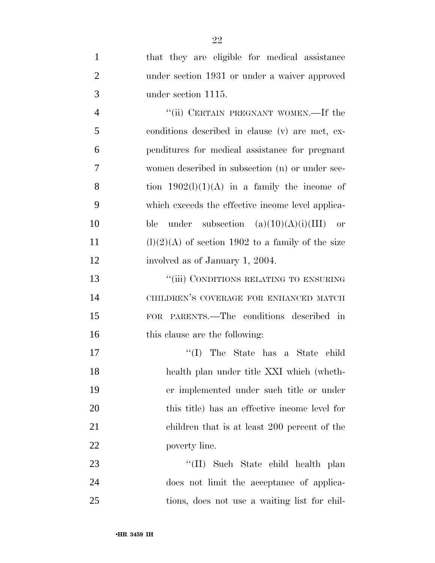| $\mathbf{1}$   | that they are eligible for medical assistance       |
|----------------|-----------------------------------------------------|
| $\overline{2}$ | under section 1931 or under a waiver approved       |
| 3              | under section 1115.                                 |
| $\overline{4}$ | "(ii) CERTAIN PREGNANT WOMEN.—If the                |
| 5              | conditions described in clause (v) are met, ex-     |
| 6              | penditures for medical assistance for pregnant      |
| $\overline{7}$ | women described in subsection (n) or under sec-     |
| 8              | tion $1902(l)(1)(A)$ in a family the income of      |
| 9              | which exceeds the effective income level applica-   |
| 10             | under subsection $(a)(10)(A)(i)(III)$<br>ble<br>or  |
| 11             | $(l)(2)(A)$ of section 1902 to a family of the size |
| 12             | involved as of January 1, 2004.                     |
| 13             | "(iii) CONDITIONS RELATING TO ENSURING              |
| 14             | CHILDREN'S COVERAGE FOR ENHANCED MATCH              |
| 15             | FOR PARENTS.—The conditions described in            |
| 16             | this clause are the following:                      |
| 17             | The State has a State child<br>``(I)                |
| 18             | health plan under title XXI which (wheth-           |
| 19             | er implemented under such title or under            |
| 20             | this title) has an effective income level for       |
| 21             | children that is at least 200 percent of the        |
| 22             | poverty line.                                       |
| 23             | "(II) Such State child health plan                  |
| 24             | does not limit the acceptance of applica-           |
| 25             | tions, does not use a waiting list for chil-        |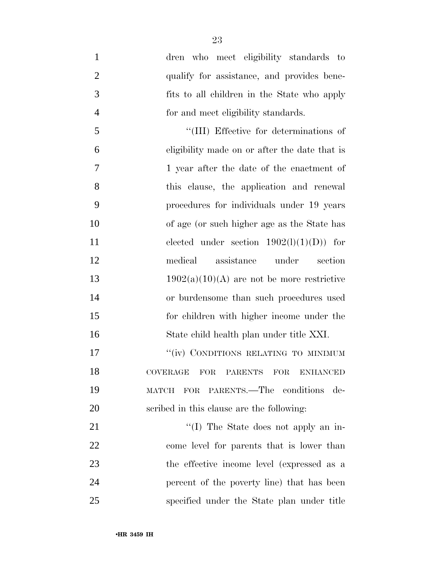dren who meet eligibility standards to 2 qualify for assistance, and provides bene- fits to all children in the State who apply for and meet eligibility standards. ''(III) Effective for determinations of eligibility made on or after the date that is 1 year after the date of the enactment of this clause, the application and renewal procedures for individuals under 19 years of age (or such higher age as the State has 11 elected under section  $1902(l)(1)(D)$  for medical assistance under section  $1902(a)(10)(A)$  are not be more restrictive or burdensome than such procedures used for children with higher income under the State child health plan under title XXI. 17 ""(iv) CONDITIONS RELATING TO MINIMUM COVERAGE FOR PARENTS FOR ENHANCED MATCH FOR PARENTS.—The conditions de- scribed in this clause are the following: 21 ''(I) The State does not apply an in- come level for parents that is lower than the effective income level (expressed as a percent of the poverty line) that has been

specified under the State plan under title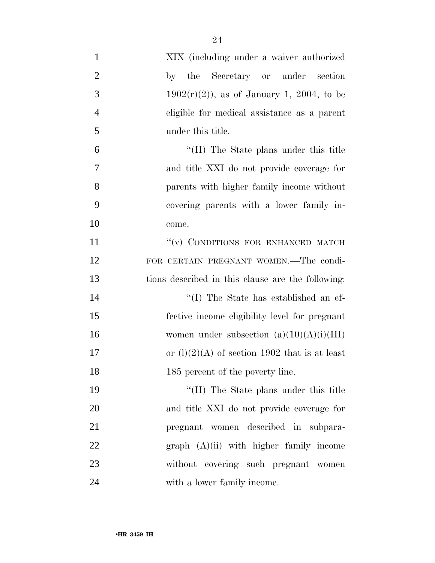| $\mathbf{1}$   | XIX (including under a waiver authorized          |
|----------------|---------------------------------------------------|
| $\overline{2}$ | by the Secretary or under section                 |
| 3              | $1902(r)(2)$ , as of January 1, 2004, to be       |
| $\overline{4}$ | eligible for medical assistance as a parent       |
| 5              | under this title.                                 |
| 6              | "(II) The State plans under this title            |
| 7              | and title XXI do not provide coverage for         |
| 8              | parents with higher family income without         |
| 9              | covering parents with a lower family in-          |
| 10             | come.                                             |
| 11             | "(v) CONDITIONS FOR ENHANCED MATCH                |
| 12             | FOR CERTAIN PREGNANT WOMEN.—The condi-            |
| 13             | tions described in this clause are the following: |
| 14             | "(I) The State has established an ef-             |
| 15             | fective income eligibility level for pregnant     |
| 16             | women under subsection $(a)(10)(A)(i)(III)$       |
| 17             | or $(l)(2)(A)$ of section 1902 that is at least   |
| 18             | 185 percent of the poverty line.                  |
| 19             | "(II) The State plans under this title            |
| 20             | and title XXI do not provide coverage for         |
| 21             | pregnant women described in subpara-              |
| 22             | $graph (A)(ii) with higher family income$         |
| 23             | without covering such pregnant women              |
| 24             | with a lower family income.                       |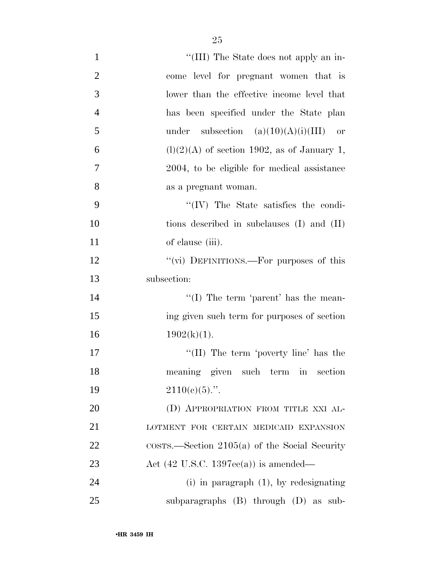| $\mathbf{1}$   | "(III) The State does not apply an in-                  |
|----------------|---------------------------------------------------------|
| $\overline{2}$ | come level for pregnant women that is                   |
| 3              | lower than the effective income level that              |
| $\overline{4}$ | has been specified under the State plan                 |
| 5              | under subsection $(a)(10)(A)(i)(III)$ or                |
| 6              | $(l)(2)(A)$ of section 1902, as of January 1,           |
| 7              | 2004, to be eligible for medical assistance             |
| 8              | as a pregnant woman.                                    |
| 9              | $\lq\lq$ (IV) The State satisfies the condi-            |
| 10             | tions described in subclauses (I) and (II)              |
| 11             | of clause (iii).                                        |
| 12             | "(vi) DEFINITIONS.—For purposes of this                 |
| 13             | subsection:                                             |
| 14             | "(I) The term 'parent' has the mean-                    |
| 15             | ing given such term for purposes of section             |
| 16             | $1902(k)(1)$ .                                          |
| 17             | "(II) The term 'poverty line' has the                   |
| 18             | meaning given such term in section                      |
| 19             | $2110(e)(5)$ .".                                        |
| $20\,$         | (D) APPROPRIATION FROM TITLE XXI AL-                    |
| 21             | LOTMENT FOR CERTAIN MEDICAID EXPANSION                  |
| 22             | $\cos$ rs.—Section 2105(a) of the Social Security       |
| 23             | Act $(42 \text{ U.S.C. } 1397\text{ee(a)})$ is amended— |
| 24             | $(i)$ in paragraph $(1)$ , by redesignating             |
| 25             | subparagraphs $(B)$ through $(D)$ as sub-               |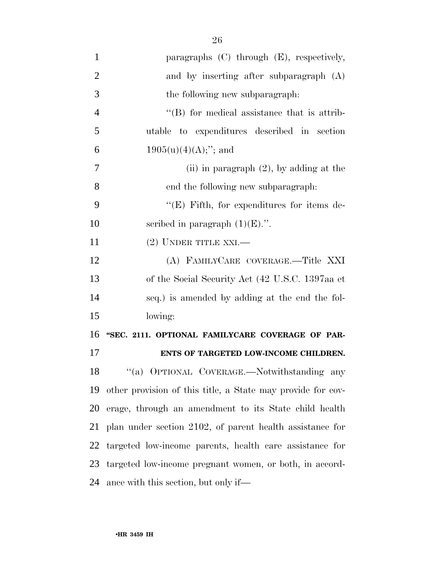| $\mathbf{1}$   | paragraphs $(C)$ through $(E)$ , respectively,              |
|----------------|-------------------------------------------------------------|
| $\overline{2}$ | and by inserting after subparagraph (A)                     |
| 3              | the following new subparagraph:                             |
| $\overline{4}$ | $\lq\lq$ for medical assistance that is attrib-             |
| 5              | utable to expenditures described in section                 |
| 6              | $1905(u)(4)(A);$ "; and                                     |
| 7              | (ii) in paragraph $(2)$ , by adding at the                  |
| 8              | end the following new subparagraph:                         |
| 9              | "(E) Fifth, for expenditures for items de-                  |
| 10             | scribed in paragraph $(1)(E)$ .".                           |
| 11             | $(2)$ UNDER TITLE XXI.—                                     |
| 12             | (A) FAMILYCARE COVERAGE.-Title XXI                          |
| 13             | of the Social Security Act (42 U.S.C. 1397aa et             |
| 14             | seq.) is amended by adding at the end the fol-              |
| 15             | lowing:                                                     |
| 16             | "SEC. 2111. OPTIONAL FAMILYCARE COVERAGE OF PAR-            |
| 17             | ENTS OF TARGETED LOW-INCOME CHILDREN.                       |
| 18             | "(a) OPTIONAL COVERAGE.—Notwithstanding any                 |
| 19             | other provision of this title, a State may provide for cov- |
| 20             | erage, through an amendment to its State child health       |
| 21             | plan under section 2102, of parent health assistance for    |
| 22             | targeted low-income parents, health care assistance for     |
| 23             |                                                             |
|                | targeted low-income pregnant women, or both, in accord-     |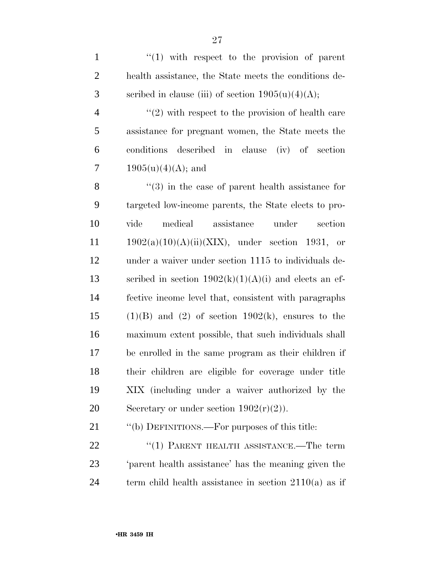| $\mathbf{1}$   | $\lq(1)$ with respect to the provision of parent                 |
|----------------|------------------------------------------------------------------|
| $\overline{2}$ | health assistance, the State meets the conditions de-            |
| 3              | scribed in clause (iii) of section $1905(u)(4)(A);$              |
| $\overline{4}$ | $\lq(2)$ with respect to the provision of health care            |
| $\mathfrak{S}$ | assistance for pregnant women, the State meets the               |
| 6              | conditions<br>described in clause (iv) of section                |
| 7              | $1905(u)(4)(A);$ and                                             |
| 8              | $\cdot\cdot\cdot(3)$ in the case of parent health assistance for |
| 9              | targeted low-income parents, the State elects to pro-            |
| 10             | medical assistance<br>under<br>vide<br>section                   |
| 11             | $1902(a)(10)(A)(ii)(XIX)$ , under section 1931, or               |
| 12             | under a waiver under section 1115 to individuals de-             |
| 13             | scribed in section $1902(k)(1)(A)(i)$ and elects an ef-          |
| 14             | fective income level that, consistent with paragraphs            |
| 15             | $(1)(B)$ and $(2)$ of section $1902(k)$ , ensures to the         |
| 16             | maximum extent possible, that such individuals shall             |
| 17             | be enrolled in the same program as their children if             |
| 18             | their children are eligible for coverage under title             |
| 19             | XIX (including under a waiver authorized by the                  |
| 20             | Secretary or under section $1902(r)(2)$ ).                       |
| 21             | "(b) DEFINITIONS.—For purposes of this title:                    |
| 22             | $(1)$ PARENT HEALTH ASSISTANCE.—The term                         |

23 'parent health assistance' has the meaning given the 24 term child health assistance in section 2110(a) as if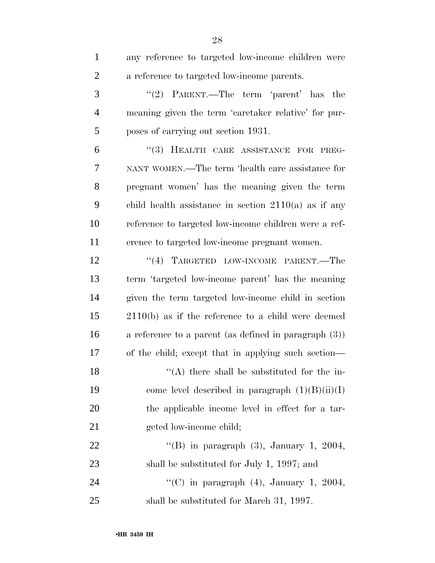| $\mathbf{1}$   | any reference to targeted low-income children were       |
|----------------|----------------------------------------------------------|
| $\overline{2}$ | a reference to targeted low-income parents.              |
| 3              | "(2) PARENT.—The term 'parent' has<br>the                |
| $\overline{4}$ | meaning given the term 'caretaker relative' for pur-     |
| 5              | poses of carrying out section 1931.                      |
| 6              | $(3)$ HEALTH CARE ASSISTANCE FOR<br>PREG-                |
| 7              | NANT WOMEN.—The term 'health care assistance for         |
| 8              | pregnant women' has the meaning given the term           |
| 9              | child health assistance in section $2110(a)$ as if any   |
| 10             | reference to targeted low-income children were a ref-    |
| 11             | erence to targeted low-income pregnant women.            |
| 12             | "(4) TARGETED LOW-INCOME PARENT.—The                     |
| 13             | term 'targeted low-income parent' has the meaning        |
| 14             | given the term targeted low-income child in section      |
| 15             | $2110(b)$ as if the reference to a child were deemed     |
| 16             | a reference to a parent (as defined in paragraph $(3)$ ) |
| 17             | of the child; except that in applying such section—      |
| 18             | $\lq\lq$ (A) there shall be substituted for the in-      |
| 19             | come level described in paragraph $(1)(B)(ii)(I)$        |
| <b>20</b>      | the applicable income level in effect for a tar-         |
| 21             | geted low-income child;                                  |
| 22             | "(B) in paragraph $(3)$ , January 1, 2004,               |
| 23             | shall be substituted for July 1, 1997; and               |
| 24             | "(C) in paragraph $(4)$ , January 1, 2004,               |
| 25             | shall be substituted for March 31, 1997.                 |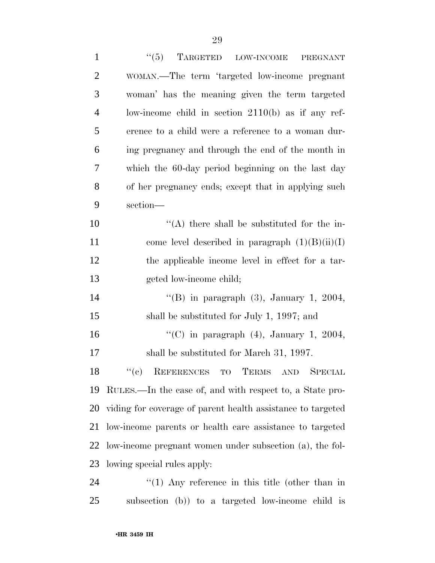| $\mathbf{1}$   | ``(5)<br>TARGETED LOW-INCOME<br>PREGNANT                    |
|----------------|-------------------------------------------------------------|
| $\overline{2}$ | WOMAN.—The term 'targeted low-income pregnant               |
| 3              | woman' has the meaning given the term targeted              |
| $\overline{4}$ | low-income child in section $2110(b)$ as if any ref-        |
| 5              | erence to a child were a reference to a woman dur-          |
| 6              | ing pregnancy and through the end of the month in           |
| 7              | which the 60-day period beginning on the last day           |
| 8              | of her pregnancy ends; except that in applying such         |
| 9              | section-                                                    |
| 10             | $\lq\lq$ there shall be substituted for the in-             |
| 11             | come level described in paragraph $(1)(B)(ii)(I)$           |
| 12             | the applicable income level in effect for a tar-            |
| 13             | geted low-income child;                                     |
| 14             | "(B) in paragraph $(3)$ , January 1, 2004,                  |
| 15             | shall be substituted for July 1, 1997; and                  |
| 16             | "(C) in paragraph $(4)$ , January 1, 2004,                  |
| 17             | shall be substituted for March 31, 1997.                    |
| 18             | "(c) REFERENCES TO TERMS AND SPECIAL                        |
| 19             | RULES.—In the case of, and with respect to, a State pro-    |
| 20             | viding for coverage of parent health assistance to targeted |
| 21             | low-income parents or health care assistance to targeted    |
| 22             | low-income pregnant women under subsection (a), the fol-    |
| 23             | lowing special rules apply:                                 |
| 24             | $\lq(1)$ Any reference in this title (other than in         |
| 25             | subsection (b)) to a targeted low-income child is           |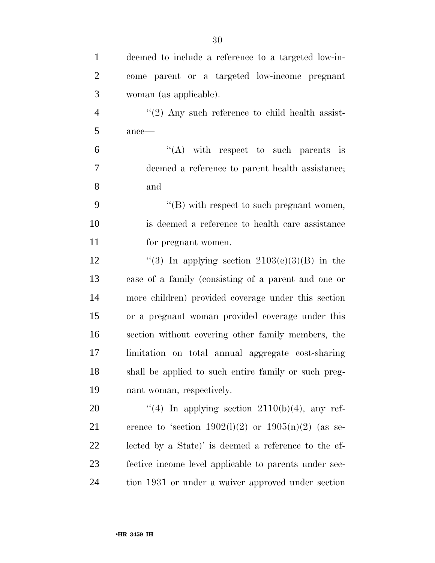| $\mathbf{1}$   | deemed to include a reference to a targeted low-in-     |
|----------------|---------------------------------------------------------|
| $\overline{2}$ | come parent or a targeted low-income pregnant           |
| 3              | woman (as applicable).                                  |
| $\overline{4}$ | $\lq(2)$ Any such reference to child health assist-     |
| 5              | $ance$ —                                                |
| 6              | $\lq\lq$ with respect to such parents is                |
| 7              | deemed a reference to parent health assistance;         |
| 8              | and                                                     |
| 9              | $\lq\lq$ with respect to such pregnant women,           |
| 10             | is deemed a reference to health care assistance         |
| 11             | for pregnant women.                                     |
| 12             | "(3) In applying section $2103(e)(3)(B)$ in the         |
| 13             | case of a family (consisting of a parent and one or     |
| 14             | more children) provided coverage under this section     |
| 15             | or a pregnant woman provided coverage under this        |
| 16             | section without covering other family members, the      |
| 17             | limitation on total annual aggregate cost-sharing       |
| 18             | shall be applied to such entire family or such preg-    |
| 19             | nant woman, respectively.                               |
| 20             | "(4) In applying section $2110(b)(4)$ , any ref-        |
| 21             | erence to 'section $1902(1)(2)$ or $1905(n)(2)$ (as se- |
| 22             | lected by a State)' is deemed a reference to the ef-    |
| 23             | fective income level applicable to parents under sec-   |
| 24             | tion 1931 or under a waiver approved under section      |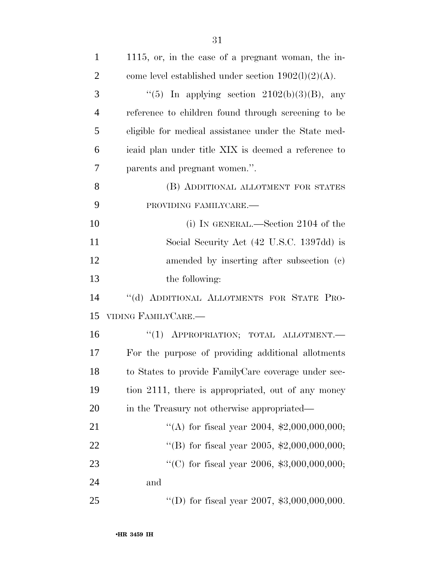| $\mathbf{1}$   | 1115, or, in the case of a pregnant woman, the in-     |
|----------------|--------------------------------------------------------|
| $\overline{2}$ | come level established under section $1902(l)(2)(A)$ . |
| 3              | "(5) In applying section $2102(b)(3)(B)$ , any         |
| $\overline{4}$ | reference to children found through screening to be    |
| 5              | eligible for medical assistance under the State med-   |
| 6              | icaid plan under title XIX is deemed a reference to    |
| 7              | parents and pregnant women.".                          |
| 8              | (B) ADDITIONAL ALLOTMENT FOR STATES                    |
| 9              | PROVIDING FAMILYCARE.-                                 |
| 10             | (i) IN GENERAL.—Section 2104 of the                    |
| 11             | Social Security Act (42 U.S.C. 1397dd) is              |
| 12             | amended by inserting after subsection (c)              |
| 13             | the following:                                         |
| 14             | "(d) ADDITIONAL ALLOTMENTS FOR STATE PRO-              |
| 15             | VIDING FAMILYCARE.-                                    |
| 16             | "(1) APPROPRIATION; TOTAL ALLOTMENT.-                  |
| 17             | For the purpose of providing additional allotments     |
| 18             | to States to provide FamilyCare coverage under sec-    |
| 19             | tion 2111, there is appropriated, out of any money     |
| 20             | in the Treasury not otherwise appropriated—            |
| 21             | "(A) for fiscal year 2004, $\text{$2,000,000,000}$ ;   |
| 22             | "(B) for fiscal year 2005, $\text{\$2,000,000,000}$ ;  |
| 23             | "(C) for fiscal year 2006, $$3,000,000,000;$           |
| 24             | and                                                    |
| 25             | "(D) for fiscal year 2007, $$3,000,000,000$ .          |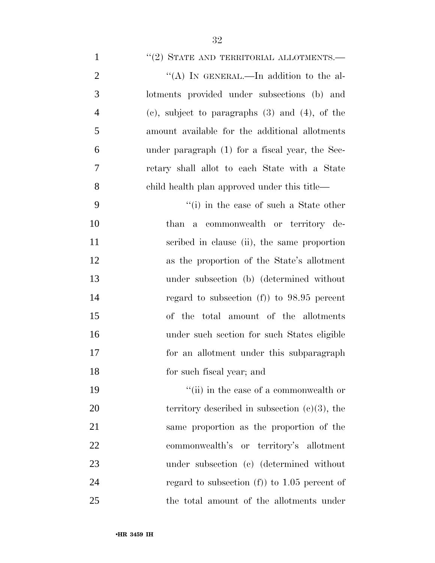# 1 "(2) STATE AND TERRITORIAL ALLOTMENTS.—

| $\overline{2}$ | "(A) IN GENERAL.—In addition to the al-             |
|----------------|-----------------------------------------------------|
| 3              | lotments provided under subsections (b) and         |
| $\overline{4}$ | (c), subject to paragraphs $(3)$ and $(4)$ , of the |
| 5              | amount available for the additional allotments      |
| 6              | under paragraph (1) for a fiscal year, the Sec-     |
| 7              | retary shall allot to each State with a State       |
| 8              | child health plan approved under this title—        |
| 9              | $f(i)$ in the case of such a State other            |

 than a commonwealth or territory de- scribed in clause (ii), the same proportion as the proportion of the State's allotment under subsection (b) (determined without regard to subsection (f)) to 98.95 percent of the total amount of the allotments under such section for such States eligible for an allotment under this subparagraph for such fiscal year; and

19 ''(ii) in the case of a commonwealth or 20 territory described in subsection  $(c)(3)$ , the same proportion as the proportion of the commonwealth's or territory's allotment under subsection (c) (determined without 24 regard to subsection (f) to 1.05 percent of the total amount of the allotments under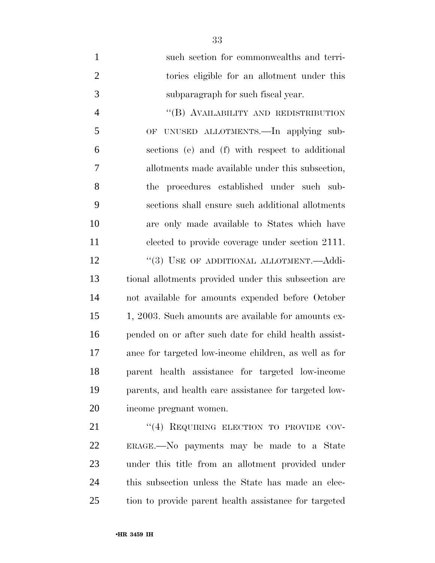| $\mathbf{1}$   | such section for commonwealths and terri-             |
|----------------|-------------------------------------------------------|
| $\overline{2}$ | tories eligible for an allotment under this           |
| 3              | subparagraph for such fiscal year.                    |
| $\overline{4}$ | "(B) AVAILABILITY AND REDISTRIBUTION                  |
| 5              | OF UNUSED ALLOTMENTS.—In applying sub-                |
| 6              | sections (e) and (f) with respect to additional       |
| 7              | allotments made available under this subsection,      |
| 8              | the procedures established under such sub-            |
| 9              | sections shall ensure such additional allotments      |
| 10             | are only made available to States which have          |
| 11             | elected to provide coverage under section 2111.       |
| 12             | "(3) USE OF ADDITIONAL ALLOTMENT.—Addi-               |
| 13             | tional allotments provided under this subsection are  |
| 14             | not available for amounts expended before October     |
| 15             | 1, 2003. Such amounts are available for amounts ex-   |
| 16             | pended on or after such date for child health assist- |
| 17             | ance for targeted low-income children, as well as for |
| 18             | parent health assistance for targeted low-income      |
| 19             | parents, and health care assistance for targeted low- |
| 20             | income pregnant women.                                |
|                |                                                       |

21 ''(4) REQUIRING ELECTION TO PROVIDE COV- ERAGE.—No payments may be made to a State under this title from an allotment provided under this subsection unless the State has made an elec-tion to provide parent health assistance for targeted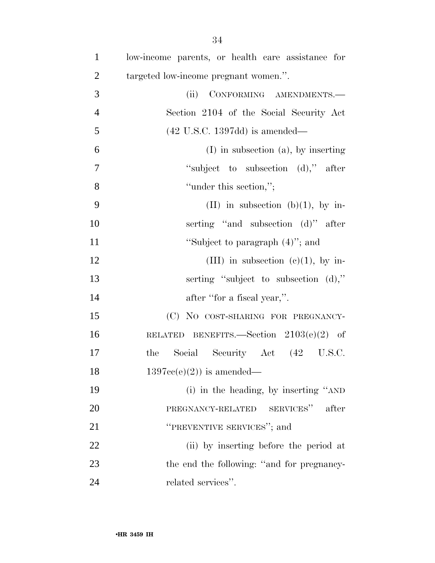| $\mathbf{1}$   | low-income parents, or health care assistance for |
|----------------|---------------------------------------------------|
| $\overline{2}$ | targeted low-income pregnant women.".             |
| 3              | (ii)<br>CONFORMING AMENDMENTS.                    |
| $\overline{4}$ | Section 2104 of the Social Security Act           |
| 5              | $(42 \text{ U.S.C. } 1397\text{dd})$ is amended—  |
| 6              | $(I)$ in subsection $(a)$ , by inserting          |
| $\overline{7}$ | "subject to subsection (d)," after                |
| 8              | "under this section,";                            |
| 9              | (II) in subsection (b)(1), by in-                 |
| 10             | serting "and subsection (d)" after                |
| 11             | "Subject to paragraph $(4)$ "; and                |
| 12             | (III) in subsection (c)(1), by in-                |
| 13             | serting "subject to subsection (d),"              |
| 14             | after "for a fiscal year,".                       |
| 15             | (C) NO COST-SHARING FOR PREGNANCY-                |
| 16             | RELATED BENEFITS. Section $2103(e)(2)$ of         |
| 17             | Social Security Act (42 U.S.C.<br>the             |
| 18             | $1397cc(e)(2)$ is amended—                        |
| 19             | (i) in the heading, by inserting "AND             |
| 20             | SERVICES"<br>after<br>PREGNANCY-RELATED           |
| 21             | "PREVENTIVE SERVICES"; and                        |
| 22             | (ii) by inserting before the period at            |
| 23             | the end the following: "and for pregnancy-        |
| 24             | related services".                                |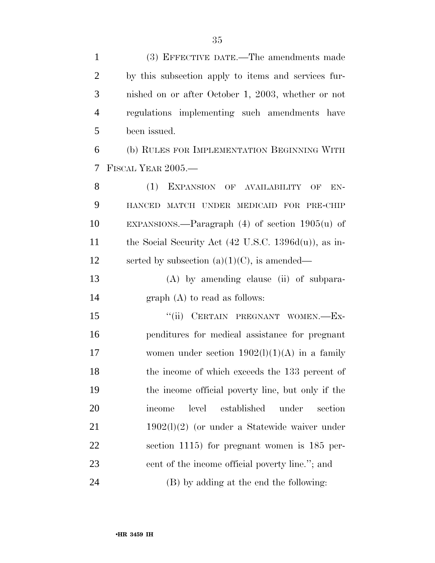| $\mathbf{1}$   | (3) EFFECTIVE DATE.—The amendments made                          |
|----------------|------------------------------------------------------------------|
| $\overline{2}$ | by this subsection apply to items and services fur-              |
| 3              | nished on or after October 1, 2003, whether or not               |
| $\overline{4}$ | regulations implementing such amendments have                    |
| 5              | been issued.                                                     |
| 6              | (b) RULES FOR IMPLEMENTATION BEGINNING WITH                      |
| 7              | FISCAL YEAR 2005.—                                               |
| 8              | (1)<br>EXPANSION OF AVAILABILITY<br>$EN-$<br>OF                  |
| 9              | HANCED MATCH UNDER MEDICAID FOR PRE-CHIP                         |
| 10             | EXPANSIONS.—Paragraph $(4)$ of section $1905(u)$ of              |
| 11             | the Social Security Act $(42 \text{ U.S.C. } 1396d(u))$ , as in- |
| 12             | serted by subsection $(a)(1)(C)$ , is amended—                   |
| 13             | $(A)$ by amending clause (ii) of subpara-                        |
| 14             | $graph(A)$ to read as follows:                                   |
| 15             | "(ii) CERTAIN PREGNANT WOMEN.—Ex-                                |
| 16             | penditures for medical assistance for pregnant                   |
| 17             | women under section $1902(l)(1)(A)$ in a family                  |
| 18             | the income of which exceeds the 133 percent of                   |
| 19             | the income official poverty line, but only if the                |
| 20             | level<br>established<br>under<br>section<br>income               |
| 21             | $1902(1)(2)$ (or under a Statewide waiver under                  |
| 22             | section $1115$ ) for pregnant women is $185$ per-                |
| 23             | cent of the income official poverty line."; and                  |
| 24             | (B) by adding at the end the following:                          |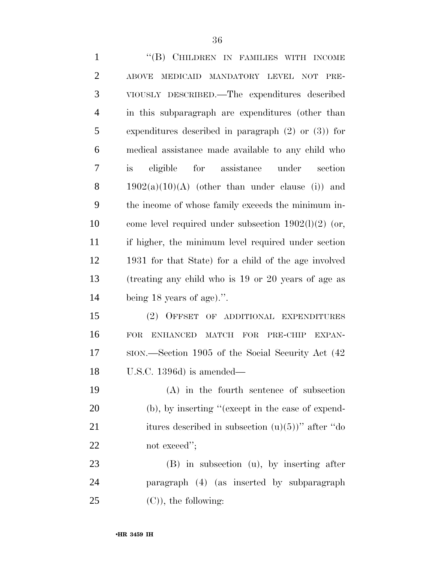| $\mathbf{1}$   | "(B) CHILDREN IN FAMILIES WITH INCOME                    |
|----------------|----------------------------------------------------------|
| $\overline{2}$ | MEDICAID MANDATORY LEVEL NOT<br>PRE-<br><b>ABOVE</b>     |
| 3              | VIOUSLY DESCRIBED.—The expenditures described            |
| $\overline{4}$ | in this subparagraph are expenditures (other than        |
| 5              | expenditures described in paragraph $(2)$ or $(3)$ ) for |
| 6              | medical assistance made available to any child who       |
| 7              | eligible for assistance under<br>is<br>section           |
| 8              | $1902(a)(10)(A)$ (other than under clause (i)) and       |
| 9              | the income of whose family exceeds the minimum in-       |
| 10             | come level required under subsection $1902(l)(2)$ (or,   |
| 11             | if higher, the minimum level required under section      |
| 12             | 1931 for that State) for a child of the age involved     |
| 13             | (treating any child who is 19 or 20 years of age as      |
| 14             | being $18$ years of age).".                              |
| 15             | $(2)$ OFFSET<br>OF ADDITIONAL EXPENDITURES               |
| 16             | FOR<br><b>ENHANCED</b><br>MATCH FOR PRE-CHIP EXPAN-      |
| 17             | SION.—Section 1905 of the Social Security Act (42)       |
| 18             | U.S.C. 1396d) is amended—                                |
| 19             | $(A)$ in the fourth sentence of subsection               |
| <b>20</b>      | (b), by inserting "(except in the case of expend-        |
| 21             | itures described in subsection $(u)(5)$ " after "do      |
| 22             | not exceed";                                             |
| 23             | $(B)$ in subsection $(u)$ , by inserting after           |
| 24             | paragraph (4) (as inserted by subparagraph               |
| 25             | $(C)$ , the following:                                   |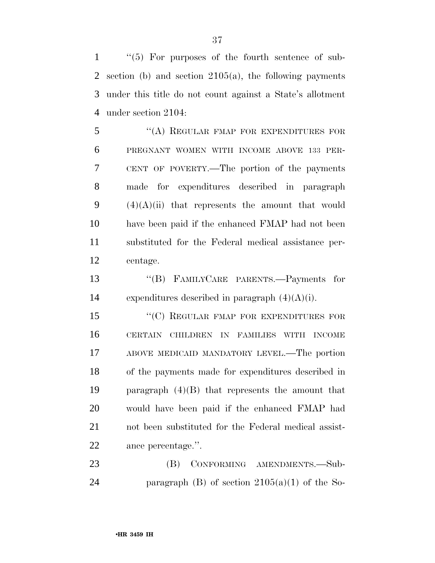''(5) For purposes of the fourth sentence of sub- section (b) and section 2105(a), the following payments under this title do not count against a State's allotment under section 2104:

 ''(A) REGULAR FMAP FOR EXPENDITURES FOR PREGNANT WOMEN WITH INCOME ABOVE 133 PER- CENT OF POVERTY.—The portion of the payments made for expenditures described in paragraph  $(4)(A)(ii)$  that represents the amount that would have been paid if the enhanced FMAP had not been substituted for the Federal medical assistance per-centage.

 ''(B) FAMILYCARE PARENTS.—Payments for 14 expenditures described in paragraph  $(4)(A)(i)$ .

15 "(C) REGULAR FMAP FOR EXPENDITURES FOR CERTAIN CHILDREN IN FAMILIES WITH INCOME ABOVE MEDICAID MANDATORY LEVEL.—The portion of the payments made for expenditures described in paragraph (4)(B) that represents the amount that would have been paid if the enhanced FMAP had not been substituted for the Federal medical assist-ance percentage.''.

23 (B) CONFORMING AMENDMENTS.—Sub-24 paragraph (B) of section  $2105(a)(1)$  of the So-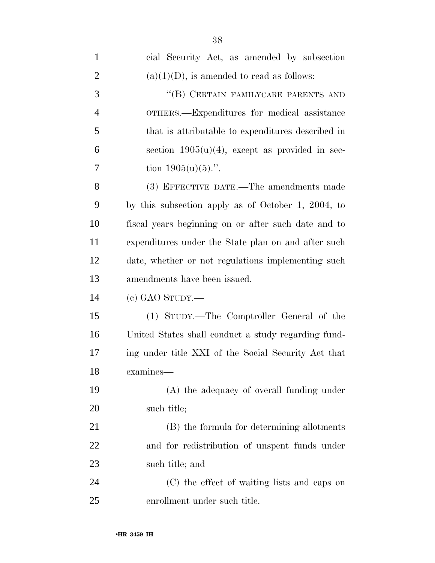| $\mathbf{1}$   | cial Security Act, as amended by subsection         |
|----------------|-----------------------------------------------------|
| $\overline{2}$ | $(a)(1)(D)$ , is amended to read as follows:        |
| 3              | "(B) CERTAIN FAMILYCARE PARENTS AND                 |
| $\overline{4}$ | OTHERS.—Expenditures for medical assistance         |
| 5              | that is attributable to expenditures described in   |
| 6              | section $1905(u)(4)$ , except as provided in sec-   |
| 7              | tion $1905(u)(5)$ .".                               |
| 8              | (3) EFFECTIVE DATE.—The amendments made             |
| 9              | by this subsection apply as of October 1, 2004, to  |
| 10             | fiscal years beginning on or after such date and to |
| 11             | expenditures under the State plan on and after such |
| 12             | date, whether or not regulations implementing such  |
| 13             | amendments have been issued.                        |
| 14             | $(e)$ GAO STUDY.—                                   |
| 15             | (1) STUDY.—The Comptroller General of the           |
| 16             | United States shall conduct a study regarding fund- |
| 17             | ing under title XXI of the Social Security Act that |
| 18             | examines—                                           |
| 19             | (A) the adequacy of overall funding under           |
| 20             | such title;                                         |
| 21             | (B) the formula for determining allotments          |
| 22             | and for redistribution of unspent funds under       |
| 23             | such title; and                                     |
| 24             | (C) the effect of waiting lists and caps on         |
| 25             | enrollment under such title.                        |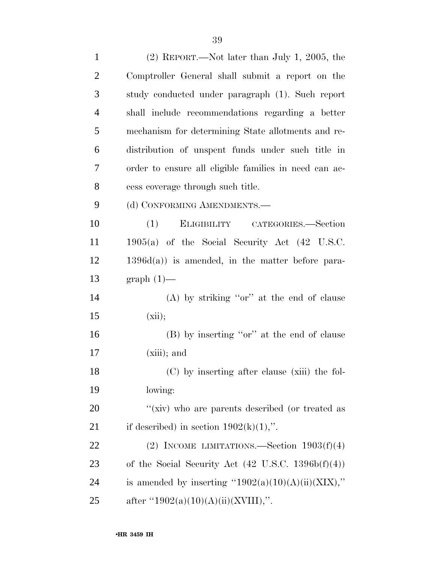| $\mathbf{1}$   | $(2)$ REPORT.—Not later than July 1, 2005, the                |
|----------------|---------------------------------------------------------------|
| $\overline{2}$ | Comptroller General shall submit a report on the              |
| 3              | study conducted under paragraph (1). Such report              |
| $\overline{4}$ | shall include recommendations regarding a better              |
| 5              | mechanism for determining State allotments and re-            |
| 6              | distribution of unspent funds under such title in             |
| 7              | order to ensure all eligible families in need can ac-         |
| 8              | cess coverage through such title.                             |
| 9              | (d) CONFORMING AMENDMENTS.-                                   |
| 10             | ELIGIBILITY CATEGORIES.—Section<br>(1)                        |
| 11             | $1905(a)$ of the Social Security Act $(42 \text{ U.S.C.})$    |
| 12             | $1396d(a)$ is amended, in the matter before para-             |
| 13             | $graph(1)$ —                                                  |
| 14             | (A) by striking "or" at the end of clause                     |
| 15             | (xii);                                                        |
| 16             | (B) by inserting "or" at the end of clause                    |
| 17             | $(xiii)$ ; and                                                |
| 18             | (C) by inserting after clause (xiii) the fol-                 |
| 19             | lowing:                                                       |
| 20             | "(xiv) who are parents described (or treated as               |
| 21             | if described) in section $1902(k)(1)$ ,".                     |
| 22             | (2) INCOME LIMITATIONS.—Section $1903(f)(4)$                  |
| 23             | of the Social Security Act $(42 \text{ U.S.C. } 1396b(f)(4))$ |
| 24             | is amended by inserting "1902(a)(10)(A)(ii)(XIX),"            |
| 25             | after "1902(a)(10)(A)(ii)(XVIII),".                           |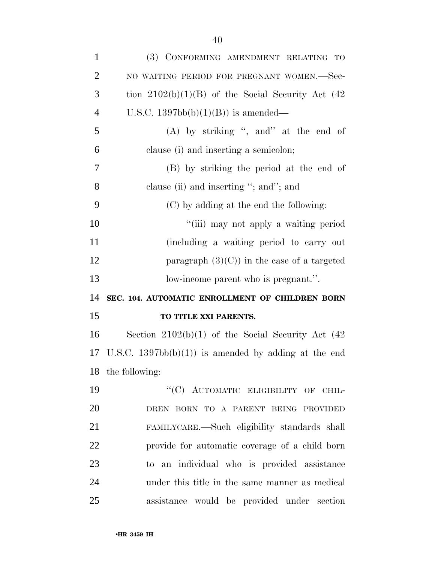| $\mathbf{1}$   | (3) CONFORMING AMENDMENT RELATING TO                   |
|----------------|--------------------------------------------------------|
| $\overline{2}$ | NO WAITING PERIOD FOR PREGNANT WOMEN.-Sec-             |
| 3              | tion $2102(b)(1)(B)$ of the Social Security Act (42)   |
| $\overline{4}$ | U.S.C. $1397bb(b)(1)(B)$ is amended—                   |
| 5              | $(A)$ by striking ", and" at the end of                |
| 6              | clause (i) and inserting a semicolon;                  |
| 7              | (B) by striking the period at the end of               |
| 8              | clause (ii) and inserting "; and"; and                 |
| 9              | (C) by adding at the end the following:                |
| 10             | "(iii) may not apply a waiting period                  |
| 11             | (including a waiting period to carry out               |
| 12             | paragraph $(3)(C)$ in the case of a targeted           |
| 13             | low-income parent who is pregnant.".                   |
| 14             | SEC. 104. AUTOMATIC ENROLLMENT OF CHILDREN BORN        |
| 15             | TO TITLE XXI PARENTS.                                  |
| 16             | Section $2102(b)(1)$ of the Social Security Act $(42)$ |
| 17             | U.S.C. $1397bb(b)(1)$ is amended by adding at the end  |
|                | 18 the following:                                      |
| 19             | "(C) AUTOMATIC ELIGIBILITY OF CHIL-                    |
| 20             | DREN BORN TO A PARENT BEING PROVIDED                   |
| 21             | FAMILYCARE.—Such eligibility standards shall           |
| 22             | provide for automatic coverage of a child born         |
| 23             | to an individual who is provided assistance            |
| 24             | under this title in the same manner as medical         |
| 25             | assistance would be provided under section             |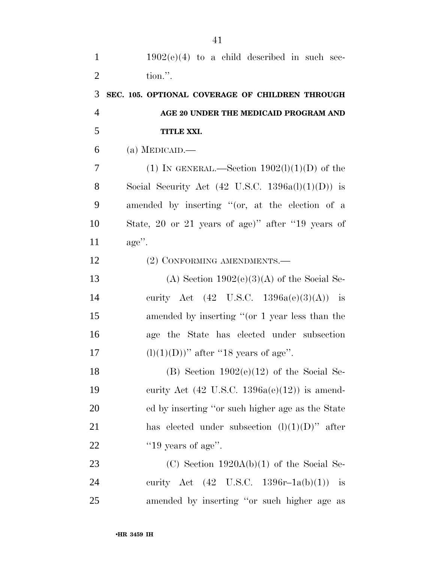$1902(e)(4)$  to a child described in such sec-2 tion.''. 3 **SEC. 105. OPTIONAL COVERAGE OF CHILDREN THROUGH**  4 **AGE 20 UNDER THE MEDICAID PROGRAM AND**  5 **TITLE XXI.**   $6$  (a) MEDICAID.— 7 (1) IN GENERAL.—Section  $1902(1)(1)(D)$  of the 8 Social Security Act  $(42 \text{ U.S.C. } 1396a(l)(1)(D))$  is 9 amended by inserting ''(or, at the election of a 10 State, 20 or 21 years of age)'' after ''19 years of 11 age''. 12 (2) CONFORMING AMENDMENTS.— 13 (A) Section  $1902(e)(3)(A)$  of the Social Se-14 curity Act (42 U.S.C. 1396a(e)(3)(A)) is 15 amended by inserting "(or 1 year less than the 16 age the State has elected under subsection 17 (l)(1)(D))" after "18 years of age". 18 (B) Section  $1902(e)(12)$  of the Social Se-19 curity Act  $(42 \text{ U.S.C. } 1396a(e)(12))$  is amend-20 ed by inserting ''or such higher age as the State 21 has elected under subsection  $(l)(1)(D)$ " after 22  $"19 \text{ years of age}$ ". 23 (C) Section 1920A(b)(1) of the Social Se-24 curity Act (42 U.S.C. 1396r–1a(b)(1)) is

25 amended by inserting ''or such higher age as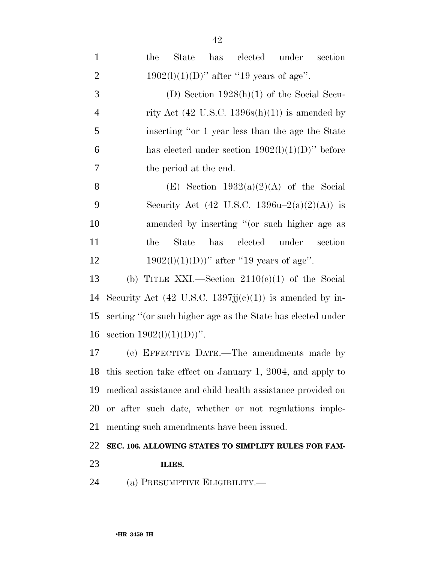| $\mathbf{1}$   | has elected under section<br>the<br>State                    |
|----------------|--------------------------------------------------------------|
| $\overline{2}$ | $1902(l)(1)(D)$ " after "19 years of age".                   |
| 3              | (D) Section $1928(h)(1)$ of the Social Secu-                 |
| 4              | rity Act $(42 \text{ U.S.C. } 1396s(h)(1))$ is amended by    |
| 5              | inserting "or 1 year less than the age the State             |
| 6              | has elected under section $1902(l)(1)(D)$ " before           |
| 7              | the period at the end.                                       |
| 8              | (E) Section $1932(a)(2)(A)$ of the Social                    |
| 9              | Security Act (42 U.S.C. 1396u-2(a)(2)(A)) is                 |
| 10             | amended by inserting "(or such higher age as                 |
| 11             | has<br>elected under<br>the<br>State<br>section              |
| 12             | $1902(l)(1)(D))$ " after "19 years of age".                  |
| 13             | (b) TITLE XXI.—Section $2110(c)(1)$ of the Social            |
| 14             | Security Act (42 U.S.C. 1397; $j(c)(1)$ ) is amended by in-  |
| 15             | serting "(or such higher age as the State has elected under  |
| 16             | section $1902(l)(1)(D)$ ".                                   |
| 17             | (c) EFFECTIVE DATE.—The amendments made by                   |
|                | 18 this section take effect on January 1, 2004, and apply to |
| 19             | medical assistance and child health assistance provided on   |
| 20             | or after such date, whether or not regulations imple-        |
| 21             | menting such amendments have been issued.                    |
| ററ             |                                                              |

#### 22 **SEC. 106. ALLOWING STATES TO SIMPLIFY RULES FOR FAM-**

- 
- 23 **ILIES.**
- 24 (a) PRESUMPTIVE ELIGIBILITY.—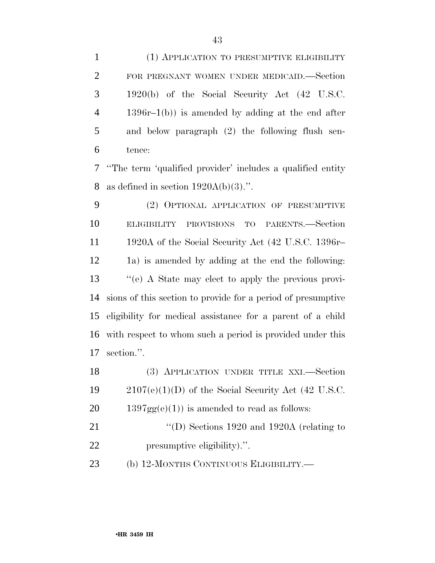(1) APPLICATION TO PRESUMPTIVE ELIGIBILITY FOR PREGNANT WOMEN UNDER MEDICAID.—Section 1920(b) of the Social Security Act (42 U.S.C. 1396r–1(b)) is amended by adding at the end after and below paragraph (2) the following flush sen-tence:

 ''The term 'qualified provider' includes a qualified entity 8 as defined in section  $1920A(b)(3)$ .".

 (2) OPTIONAL APPLICATION OF PRESUMPTIVE ELIGIBILITY PROVISIONS TO PARENTS.—Section 1920A of the Social Security Act (42 U.S.C. 1396r– 1a) is amended by adding at the end the following: ''(e) A State may elect to apply the previous provi- sions of this section to provide for a period of presumptive eligibility for medical assistance for a parent of a child with respect to whom such a period is provided under this section.''.

| 18 | (3) APPLICATION UNDER TITLE XXI.-Section              |
|----|-------------------------------------------------------|
| 19 | $2107(e)(1)(D)$ of the Social Security Act (42 U.S.C. |
| 20 | $1397gg(e)(1)$ is amended to read as follows:         |

21 "'(D) Sections 1920 and 1920A (relating to presumptive eligibility).''.

(b) 12-MONTHS CONTINUOUS ELIGIBILITY.—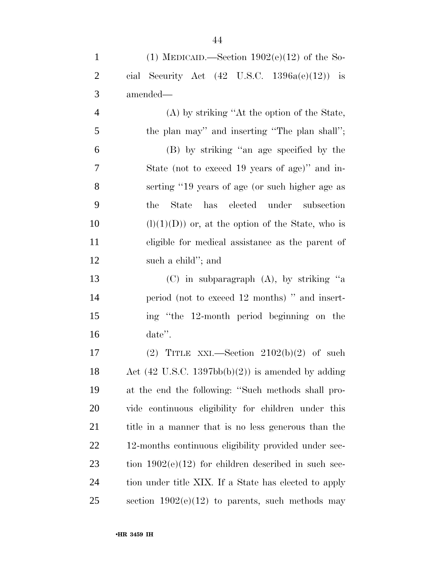| $\mathbf{1}$   | (1) MEDICAID.—Section $1902(e)(12)$ of the So-                       |
|----------------|----------------------------------------------------------------------|
| $\overline{2}$ | cial Security Act $(42 \text{ U.S.C. } 1396a(e)(12))$ is             |
| 3              | amended—                                                             |
| $\overline{4}$ | (A) by striking "At the option of the State,                         |
| 5              | the plan may" and inserting "The plan shall";                        |
| 6              | (B) by striking "an age specified by the                             |
| 7              | State (not to exceed 19 years of age)" and in-                       |
| 8              | serting "19 years of age (or such higher age as                      |
| 9              | State has elected under subsection<br>the                            |
| 10             | $(l)(1)(D)$ or, at the option of the State, who is                   |
| 11             | eligible for medical assistance as the parent of                     |
| 12             | such a child"; and                                                   |
| 13             | (C) in subparagraph (A), by striking "a                              |
| 14             | period (not to exceed 12 months) " and insert-                       |
| 15             | ing "the 12-month period beginning on the                            |
| 16             | $date$ ".                                                            |
| 17             | (2) TITLE XXI.—Section $2102(b)(2)$ of such                          |
| 18             | Act $(42 \text{ U.S.C. } 1397 \text{bb}(b)(2))$ is amended by adding |
| 19             | at the end the following: "Such methods shall pro-                   |
| 20             | vide continuous eligibility for children under this                  |
| 21             | title in a manner that is no less generous than the                  |
| 22             | 12-months continuous eligibility provided under sec-                 |
| 23             | tion $1902(e)(12)$ for children described in such sec-               |
| 24             | tion under title XIX. If a State has elected to apply                |
| 25             | section $1902(e)(12)$ to parents, such methods may                   |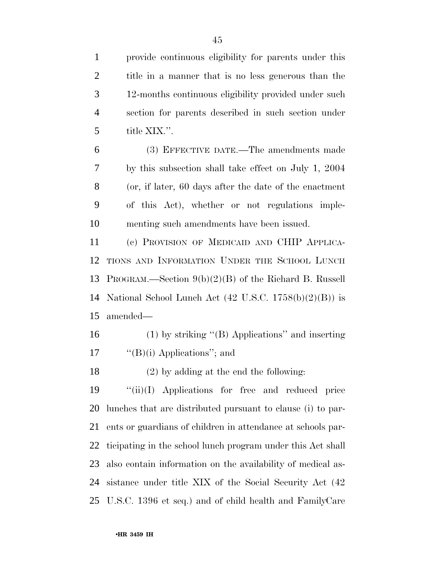provide continuous eligibility for parents under this title in a manner that is no less generous than the 12-months continuous eligibility provided under such section for parents described in such section under title XIX.''.

 (3) EFFECTIVE DATE.—The amendments made by this subsection shall take effect on July 1, 2004 (or, if later, 60 days after the date of the enactment of this Act), whether or not regulations imple-menting such amendments have been issued.

 (c) PROVISION OF MEDICAID AND CHIP APPLICA- TIONS AND INFORMATION UNDER THE SCHOOL LUNCH PROGRAM.—Section 9(b)(2)(B) of the Richard B. Russell National School Lunch Act (42 U.S.C. 1758(b)(2)(B)) is amended—

- (1) by striking ''(B) Applications'' and inserting 17  $"({\rm B})$ (i) Applications"; and
- (2) by adding at the end the following:

 ''(ii)(I) Applications for free and reduced price lunches that are distributed pursuant to clause (i) to par- ents or guardians of children in attendance at schools par- ticipating in the school lunch program under this Act shall also contain information on the availability of medical as- sistance under title XIX of the Social Security Act (42 U.S.C. 1396 et seq.) and of child health and FamilyCare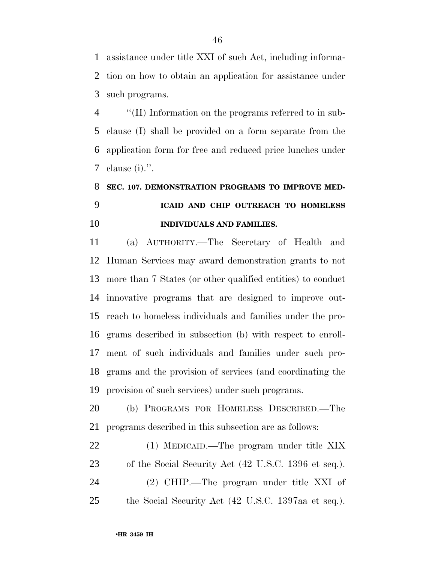assistance under title XXI of such Act, including informa- tion on how to obtain an application for assistance under such programs.

 ''(II) Information on the programs referred to in sub- clause (I) shall be provided on a form separate from the application form for free and reduced price lunches under clause (i).''.

## **SEC. 107. DEMONSTRATION PROGRAMS TO IMPROVE MED- ICAID AND CHIP OUTREACH TO HOMELESS INDIVIDUALS AND FAMILIES.**

 (a) AUTHORITY.—The Secretary of Health and Human Services may award demonstration grants to not more than 7 States (or other qualified entities) to conduct innovative programs that are designed to improve out- reach to homeless individuals and families under the pro- grams described in subsection (b) with respect to enroll- ment of such individuals and families under such pro- grams and the provision of services (and coordinating the provision of such services) under such programs.

 (b) PROGRAMS FOR HOMELESS DESCRIBED.—The programs described in this subsection are as follows:

 (1) MEDICAID.—The program under title XIX of the Social Security Act (42 U.S.C. 1396 et seq.). (2) CHIP.—The program under title XXI of the Social Security Act (42 U.S.C. 1397aa et seq.).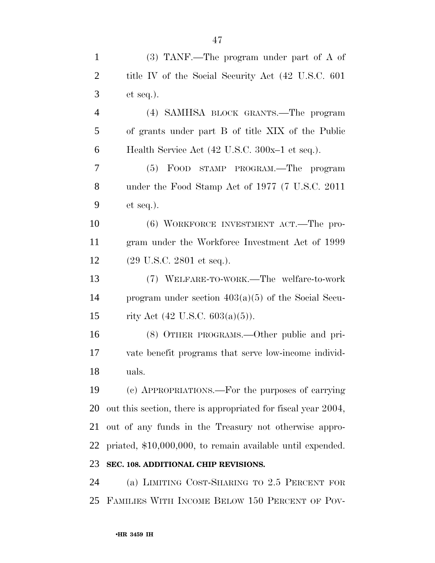| $\mathbf{1}$   | $(3)$ TANF.—The program under part of A of                    |
|----------------|---------------------------------------------------------------|
| $\overline{2}$ | title IV of the Social Security Act (42 U.S.C. 601)           |
| 3              | $et seq.$ ).                                                  |
| $\overline{4}$ | (4) SAMHSA BLOCK GRANTS.—The program                          |
| 5              | of grants under part B of title XIX of the Public             |
| 6              | Health Service Act (42 U.S.C. 300x-1 et seq.).                |
| 7              | FOOD STAMP PROGRAM.—The program<br>(5)                        |
| 8              | under the Food Stamp Act of 1977 (7 U.S.C. 2011)              |
| 9              | $et seq.$ ).                                                  |
| 10             | (6) WORKFORCE INVESTMENT ACT.—The pro-                        |
| 11             | gram under the Workforce Investment Act of 1999               |
| 12             | $(29 \text{ U.S.C. } 2801 \text{ et seq.}).$                  |
| 13             | (7) WELFARE-TO-WORK.—The welfare-to-work                      |
| 14             | program under section $403(a)(5)$ of the Social Secu-         |
| 15             | rity Act $(42 \text{ U.S.C. } 603(a)(5))$ .                   |
| 16             | (8) OTHER PROGRAMS.—Other public and pri-                     |
| 17             | vate benefit programs that serve low-income individ-          |
| 18             | uals.                                                         |
| 19             | (c) APPROPRIATIONS.—For the purposes of carrying              |
| 20             | out this section, there is appropriated for fiscal year 2004, |
| 21             | out of any funds in the Treasury not otherwise appro-         |
| 22             | priated, \$10,000,000, to remain available until expended.    |
| 23             | SEC. 108. ADDITIONAL CHIP REVISIONS.                          |
| 24             | (a) LIMITING COST-SHARING TO 2.5 PERCENT FOR                  |
| 25             | FAMILIES WITH INCOME BELOW 150 PERCENT OF POV-                |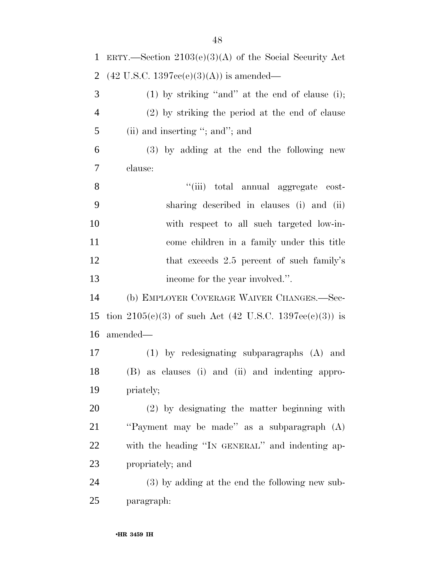| $\mathbf{1}$ | ERTY.—Section $2103(e)(3)(A)$ of the Social Security Act  |
|--------------|-----------------------------------------------------------|
| 2            | $(42 \text{ U.S.C. } 1397\text{cc}(e)(3)(A))$ is amended— |
| 3            | $(1)$ by striking "and" at the end of clause (i);         |
| 4            | (2) by striking the period at the end of clause           |
| 5            | (ii) and inserting "; and"; and                           |
| 6            | (3) by adding at the end the following new                |
| 7            | clause:                                                   |
| 8            | "(iii) total annual aggregate cost-                       |
| 9            | sharing described in clauses (i) and (ii)                 |
| 10           | with respect to all such targeted low-in-                 |
| 11           | come children in a family under this title                |
| 12           | that exceeds 2.5 percent of such family's                 |
| 13           | income for the year involved.".                           |
| 14           | (b) EMPLOYER COVERAGE WAIVER CHANGES.—Sec-                |
| 15           | tion $2105(c)(3)$ of such Act (42 U.S.C. 1397ee(c)(3)) is |
| 16           | amended—                                                  |
| 17           | $(1)$ by redesignating subparagraphs $(A)$ and            |
| 18           | (B) as clauses (i) and (ii) and indenting appro-          |
| 19           | priately;                                                 |
| 20           | $(2)$ by designating the matter beginning with            |
| 21           | "Payment may be made" as a subparagraph (A)               |
| 22           | with the heading "IN GENERAL" and indenting ap-           |
| 23           | propriately; and                                          |
| 24           | $(3)$ by adding at the end the following new sub-         |
| 25           | paragraph:                                                |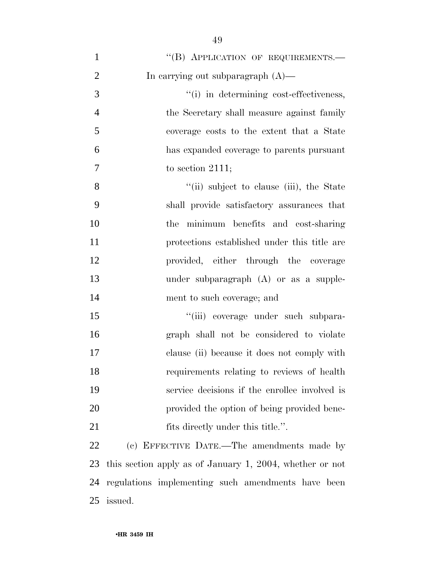| $\mathbf{1}$   | "(B) APPLICATION OF REQUIREMENTS.-                       |
|----------------|----------------------------------------------------------|
| $\overline{2}$ | In carrying out subparagraph $(A)$ —                     |
| 3              | "(i) in determining cost-effectiveness,                  |
| $\overline{4}$ | the Secretary shall measure against family               |
| 5              | coverage costs to the extent that a State                |
| 6              | has expanded coverage to parents pursuant                |
| $\overline{7}$ | to section $2111$ ;                                      |
| 8              | "(ii) subject to clause (iii), the State                 |
| 9              | shall provide satisfactory assurances that               |
| 10             | the minimum benefits and cost-sharing                    |
| 11             | protections established under this title are             |
| 12             | provided, either through the coverage                    |
| 13             | under subparagraph $(A)$ or as a supple-                 |
| 14             | ment to such coverage; and                               |
| 15             | "(iii) coverage under such subpara-                      |
| 16             | graph shall not be considered to violate                 |
| 17             | clause (ii) because it does not comply with              |
| 18             | requirements relating to reviews of health               |
| 19             | service decisions if the enrollee involved is            |
| 20             | provided the option of being provided bene-              |
| 21             | fits directly under this title.".                        |
| 22             | (c) EFFECTIVE DATE.—The amendments made by               |
| 23             | this section apply as of January 1, 2004, whether or not |
| 24             | regulations implementing such amendments have been       |
| 25             | issued.                                                  |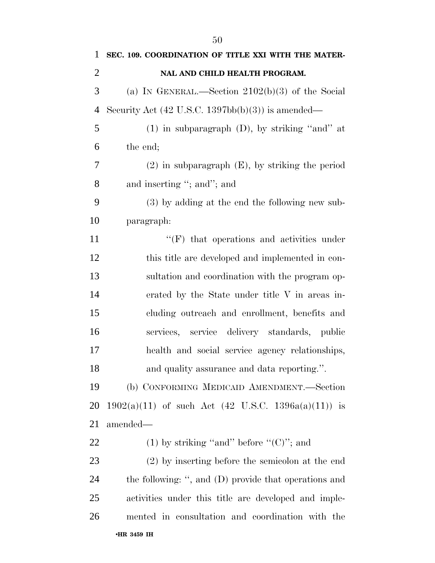| 1              | SEC. 109. COORDINATION OF TITLE XXI WITH THE MATER-                  |
|----------------|----------------------------------------------------------------------|
| $\overline{2}$ | NAL AND CHILD HEALTH PROGRAM.                                        |
| 3              | (a) IN GENERAL.—Section $2102(b)(3)$ of the Social                   |
| $\overline{4}$ | Security Act $(42 \text{ U.S.C. } 1397 \text{bb}(b)(3))$ is amended— |
| 5              | $(1)$ in subparagraph $(D)$ , by striking "and" at                   |
| 6              | the end;                                                             |
| 7              | $(2)$ in subparagraph $(E)$ , by striking the period                 |
| 8              | and inserting "; and"; and                                           |
| 9              | (3) by adding at the end the following new sub-                      |
| 10             | paragraph:                                                           |
| 11             | $\lq\lq(F)$ that operations and activities under                     |
| 12             | this title are developed and implemented in con-                     |
| 13             | sultation and coordination with the program op-                      |
| 14             | erated by the State under title V in areas in-                       |
| 15             | cluding outreach and enrollment, benefits and                        |
| 16             | services, service delivery standards, public                         |
| 17             | health and social service agency relationships,                      |
| 18             | and quality assurance and data reporting.".                          |
| 19             | (b) CONFORMING MEDICAID AMENDMENT.—Section                           |
| 20             | $1902(a)(11)$ of such Act $(42 \text{ U.S.C. } 1396a(a)(11))$ is     |
| 21             | amended—                                                             |
| 22             | (1) by striking "and" before " $(C)$ "; and                          |
| 23             | (2) by inserting before the semicolon at the end                     |
| 24             | the following: ", and (D) provide that operations and                |
| 25             | activities under this title are developed and imple-                 |
| 26             | mented in consultation and coordination with the                     |
|                | •HR 3459 IH                                                          |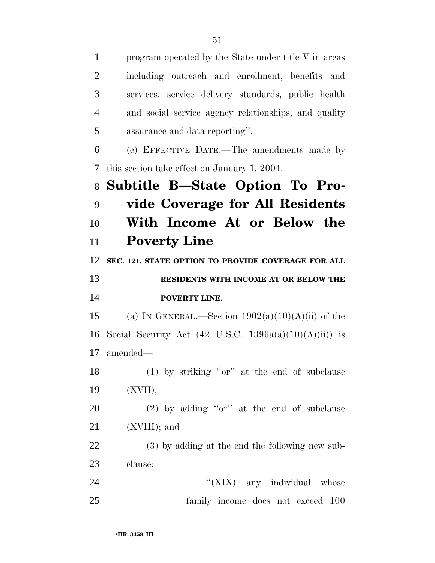program operated by the State under title V in areas including outreach and enrollment, benefits and services, service delivery standards, public health and social service agency relationships, and quality assurance and data reporting''. (c) EFFECTIVE DATE.—The amendments made by this section take effect on January 1, 2004. **Subtitle B—State Option To Pro- vide Coverage for All Residents With Income At or Below the Poverty Line SEC. 121. STATE OPTION TO PROVIDE COVERAGE FOR ALL RESIDENTS WITH INCOME AT OR BELOW THE POVERTY LINE.**  15 (a) IN GENERAL.—Section  $1902(a)(10)(A)(ii)$  of the 16 Social Security Act  $(42 \text{ U.S.C. } 1396a(a)(10)(A)(ii))$  is amended— (1) by striking ''or'' at the end of subclause (XVII); (2) by adding ''or'' at the end of subclause (XVIII); and (3) by adding at the end the following new sub- clause: 24 ''(XIX) any individual whose family income does not exceed 100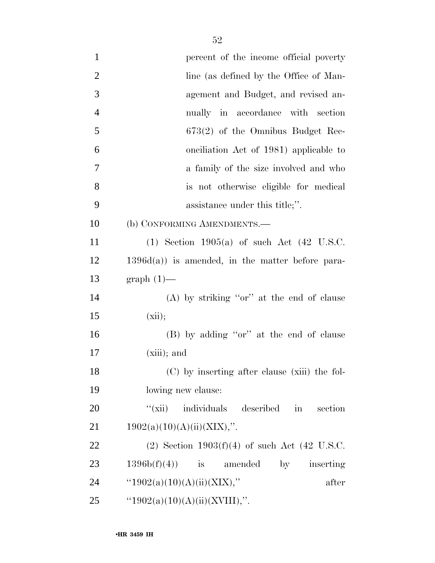| $\mathbf{1}$   | percent of the income official poverty                     |
|----------------|------------------------------------------------------------|
| $\overline{2}$ | line (as defined by the Office of Man-                     |
| 3              | agement and Budget, and revised an-                        |
| $\overline{4}$ | nually in accordance with section                          |
| 5              | $673(2)$ of the Omnibus Budget Rec-                        |
| 6              | onciliation Act of 1981) applicable to                     |
| 7              | a family of the size involved and who                      |
| 8              | is not otherwise eligible for medical                      |
| 9              | assistance under this title;".                             |
| 10             | (b) CONFORMING AMENDMENTS.—                                |
| 11             | $(1)$ Section 1905 $(a)$ of such Act $(42 \text{ U.S.C.})$ |
| 12             | $1396d(a)$ is amended, in the matter before para-          |
| 13             | $graph(1)$ —                                               |
| 14             | $(A)$ by striking "or" at the end of clause                |
| 15             | (xii);                                                     |
| 16             | (B) by adding "or" at the end of clause                    |
| 17             | $(xiii)$ ; and                                             |
| 18             | (C) by inserting after clause (xiii) the fol-              |
| 19             | lowing new clause:                                         |
| 20             | "(xii) individuals described in<br>section                 |
| 21             | 1902(a)(10)(A)(ii)(XIX),".                                 |
| 22             | (2) Section $1903(f)(4)$ of such Act (42 U.S.C.            |
| 23             | $1396b(f)(4)$ is amended<br>by inserting                   |
| 24             | " $1902(a)(10)(A)(ii)(XIX)$ ,"<br>after                    |
| 25             | " $1902(a)(10)(A)(ii)(XVIII)$ ,".                          |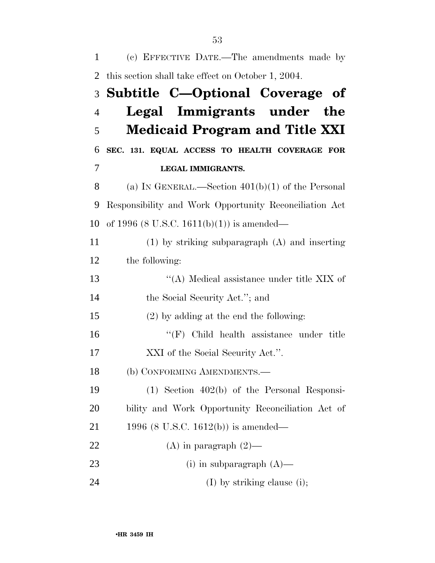| 1              | (c) EFFECTIVE DATE.—The amendments made by             |
|----------------|--------------------------------------------------------|
| 2              | this section shall take effect on October 1, 2004.     |
| 3              | Subtitle C-Optional Coverage of                        |
| $\overline{4}$ | Legal Immigrants under the                             |
| 5              | <b>Medicaid Program and Title XXI</b>                  |
| 6              | SEC. 131. EQUAL ACCESS TO HEALTH COVERAGE FOR          |
| 7              | <b>LEGAL IMMIGRANTS.</b>                               |
| 8              | (a) IN GENERAL.—Section $401(b)(1)$ of the Personal    |
| 9              | Responsibility and Work Opportunity Reconciliation Act |
| 10             | of 1996 (8 U.S.C. 1611(b)(1)) is amended—              |
| 11             | $(1)$ by striking subparagraph $(A)$ and inserting     |
| 12             | the following:                                         |
| 13             | "(A) Medical assistance under title XIX of             |
| 14             | the Social Security Act."; and                         |
| 15             | $(2)$ by adding at the end the following:              |
| 16             | $\lq\lq(F)$ Child health assistance under title        |
| 17             | XXI of the Social Security Act.".                      |
| 18             | (b) CONFORMING AMENDMENTS.-                            |
| 19             | $(1)$ Section 402(b) of the Personal Responsi-         |
| 20             | bility and Work Opportunity Reconciliation Act of      |
| 21             | 1996 (8 U.S.C. 1612(b)) is amended—                    |
| 22             | (A) in paragraph $(2)$ —                               |
| 23             | (i) in subparagraph $(A)$ —                            |
| 24             | $(I)$ by striking clause (i);                          |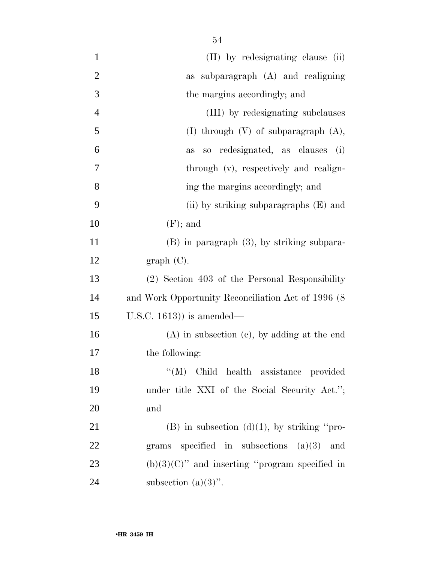| $\mathbf{1}$   | (II) by redesignating clause (ii)                   |
|----------------|-----------------------------------------------------|
| $\overline{2}$ | as subparagraph (A) and realigning                  |
| 3              | the margins accordingly; and                        |
| $\overline{4}$ | (III) by redesignating subclauses                   |
| 5              | (I) through $(V)$ of subparagraph $(A)$ ,           |
| 6              | so redesignated, as clauses (i)<br>as               |
| 7              | through (v), respectively and realign-              |
| 8              | ing the margins accordingly; and                    |
| 9              | (ii) by striking subparagraphs (E) and              |
| 10             | $(F)$ ; and                                         |
| 11             | $(B)$ in paragraph $(3)$ , by striking subpara-     |
| 12             | graph(C).                                           |
| 13             | (2) Section 403 of the Personal Responsibility      |
| 14             | and Work Opportunity Reconciliation Act of 1996 (8) |
| 15             | U.S.C. $1613$ ) is amended—                         |
| 16             | $(A)$ in subsection $(e)$ , by adding at the end    |
| 17             | the following:                                      |
| 18             | "(M) Child health assistance provided               |
| 19             | under title XXI of the Social Security Act.";       |
| 20             | and                                                 |
| 21             | $(B)$ in subsection $(d)(1)$ , by striking "pro-    |
| 22             | grams specified in subsections $(a)(3)$ and         |
| 23             | $(b)(3)(C)$ " and inserting "program specified in   |
| 24             | subsection $(a)(3)$ ".                              |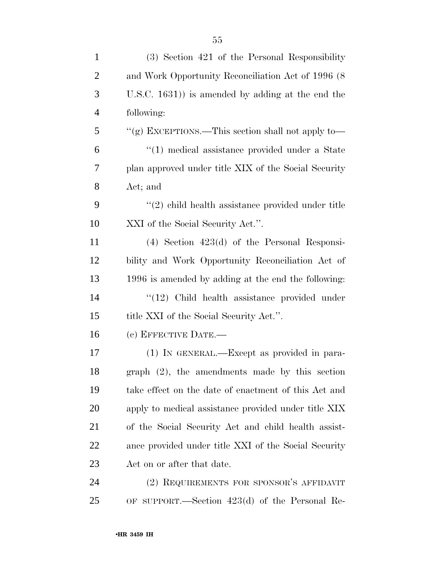| $\mathbf{1}$   | (3) Section 421 of the Personal Responsibility       |
|----------------|------------------------------------------------------|
| 2              | and Work Opportunity Reconciliation Act of 1996 (8)  |
| 3              | U.S.C. $1631$ ) is amended by adding at the end the  |
| $\overline{4}$ | following:                                           |
| 5              | "(g) EXCEPTIONS.—This section shall not apply to—    |
| 6              | "(1) medical assistance provided under a State       |
| 7              | plan approved under title XIX of the Social Security |
| 8              | Act; and                                             |
| 9              | $"(2)$ child health assistance provided under title  |
| 10             | XXI of the Social Security Act.".                    |
| 11             | $(4)$ Section $423(d)$ of the Personal Responsi-     |
| 12             | bility and Work Opportunity Reconciliation Act of    |
| 13             | 1996 is amended by adding at the end the following:  |
| 14             | "(12) Child health assistance provided under         |
| 15             | title XXI of the Social Security Act.".              |
| 16             | (c) EFFECTIVE DATE.-                                 |
| 17             | (1) IN GENERAL.—Except as provided in para-          |
| 18             | graph $(2)$ , the amendments made by this section    |
| 19             | take effect on the date of enactment of this Act and |
| 20             | apply to medical assistance provided under title XIX |
| 21             | of the Social Security Act and child health assist-  |
| 22             | ance provided under title XXI of the Social Security |
| 23             | Act on or after that date.                           |
| 24             | (2) REQUIREMENTS FOR SPONSOR'S AFFIDAVIT             |
| 25             | OF SUPPORT.—Section $423(d)$ of the Personal Re-     |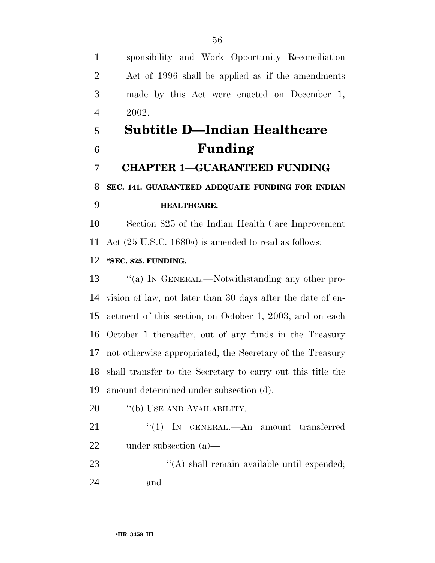sponsibility and Work Opportunity Reconciliation Act of 1996 shall be applied as if the amendments made by this Act were enacted on December 1, 2002.

# **Subtitle D—Indian Healthcare Funding**

**CHAPTER 1—GUARANTEED FUNDING** 

### **SEC. 141. GUARANTEED ADEQUATE FUNDING FOR INDIAN HEALTHCARE.**

 Section 825 of the Indian Health Care Improvement Act (25 U.S.C. 1680*o*) is amended to read as follows:

#### **''SEC. 825. FUNDING.**

13 "(a) In GENERAL.—Notwithstanding any other pro- vision of law, not later than 30 days after the date of en- actment of this section, on October 1, 2003, and on each October 1 thereafter, out of any funds in the Treasury not otherwise appropriated, the Secretary of the Treasury shall transfer to the Secretary to carry out this title the amount determined under subsection (d).

- 20 "(b) USE AND AVAILABILITY.—
- 21 "(1) In GENERAL.—An amount transferred under subsection (a)—
- 23  $\langle (A) \rangle$  shall remain available until expended; and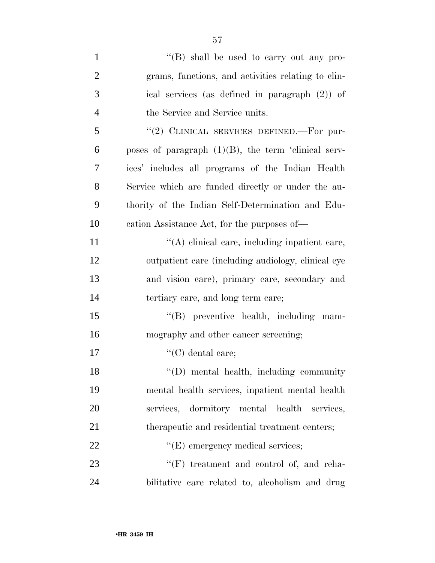| $\mathbf{1}$   | "(B) shall be used to carry out any pro-               |
|----------------|--------------------------------------------------------|
| $\overline{2}$ | grams, functions, and activities relating to clin-     |
| 3              | ical services (as defined in paragraph $(2)$ ) of      |
| $\overline{4}$ | the Service and Service units.                         |
| 5              | "(2) CLINICAL SERVICES DEFINED.—For pur-               |
| 6              | poses of paragraph $(1)(B)$ , the term 'clinical serv- |
| 7              | ices' includes all programs of the Indian Health       |
| 8              | Service which are funded directly or under the au-     |
| 9              | thority of the Indian Self-Determination and Edu-      |
| 10             | cation Assistance Act, for the purposes of—            |
| 11             | "(A) clinical care, including inpatient care,          |
| 12             | outpatient care (including audiology, clinical eye     |
| 13             | and vision care), primary care, secondary and          |
| 14             | tertiary care, and long term care;                     |
| 15             | "(B) preventive health, including mam-                 |
| 16             | mography and other cancer screening;                   |
| 17             | $"$ (C) dental care;                                   |
| 18             | "(D) mental health, including community                |
| 19             | mental health services, inpatient mental health        |
| 20             | services, dormitory mental health<br>services,         |
| 21             | therapeutic and residential treatment centers;         |
| 22             | $\lq\lq$ (E) emergency medical services;               |
| 23             | "(F) treatment and control of, and reha-               |
|                |                                                        |

bilitative care related to, alcoholism and drug

•**HR 3459 IH**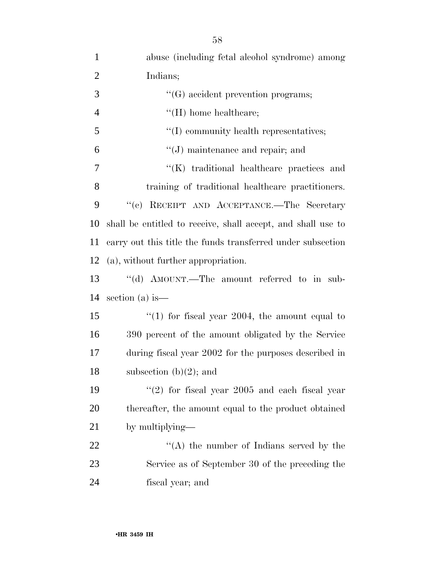| $\mathbf{1}$   | abuse (including fetal alcohol syndrome) among               |
|----------------|--------------------------------------------------------------|
| $\overline{2}$ | Indians;                                                     |
| 3              | $\lq\lq(G)$ accident prevention programs;                    |
| $\overline{4}$ | $\lq\lq(H)$ home healthcare;                                 |
| 5              | $\lq\lq$ community health representatives;                   |
| 6              | $\lq\lq(J)$ maintenance and repair; and                      |
| 7              | "(K) traditional healthcare practices and                    |
| 8              | training of traditional healthcare practitioners.            |
| 9              | "(c) RECEIPT AND ACCEPTANCE.—The Secretary                   |
| 10             | shall be entitled to receive, shall accept, and shall use to |
| 11             | carry out this title the funds transferred under subsection  |
| 12             | (a), without further appropriation.                          |
| 13             | "(d) AMOUNT.—The amount referred to in sub-                  |
| 14             | section (a) is $-$                                           |
| 15             | "(1) for fiscal year 2004, the amount equal to               |
| 16             | 390 percent of the amount obligated by the Service           |
| 17             | during fiscal year 2002 for the purposes described in        |
| 18             | subsection $(b)(2)$ ; and                                    |
| 19             | $(2)$ for fiscal year 2005 and each fiscal year              |
| 20             | thereafter, the amount equal to the product obtained         |
| 21             | by multiplying—                                              |
| 22             | $\lq\lq$ the number of Indians served by the                 |
| 23             | Service as of September 30 of the preceding the              |
| 24             | fiscal year; and                                             |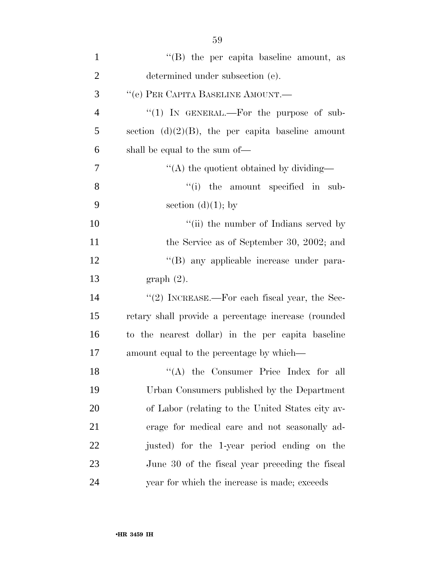| $\mathbf{1}$   | $\lq\lq$ the per capita baseline amount, as          |
|----------------|------------------------------------------------------|
| $\overline{2}$ | determined under subsection (e).                     |
| 3              | "(e) PER CAPITA BASELINE AMOUNT.—                    |
| $\overline{4}$ | "(1) IN GENERAL.—For the purpose of sub-             |
| 5              | section $(d)(2)(B)$ , the per capita baseline amount |
| 6              | shall be equal to the sum of—                        |
| 7              | "(A) the quotient obtained by dividing—              |
| 8              | "(i) the amount specified in sub-                    |
| 9              | section $(d)(1)$ ; by                                |
| 10             | "(ii) the number of Indians served by                |
| 11             | the Service as of September 30, 2002; and            |
| 12             | "(B) any applicable increase under para-             |
| 13             | graph(2).                                            |
| 14             | " $(2)$ INCREASE.—For each fiscal year, the Sec-     |
| 15             | retary shall provide a percentage increase (rounded  |
| 16             | to the nearest dollar) in the per capita baseline    |
| 17             | amount equal to the percentage by which—             |
| 18             | "(A) the Consumer Price Index for all                |
| 19             | Urban Consumers published by the Department          |
| 20             | of Labor (relating to the United States city av-     |
| 21             | erage for medical care and not seasonally ad-        |
| 22             | justed) for the 1-year period ending on the          |
| 23             | June 30 of the fiscal year preceding the fiscal      |
| 24             | year for which the increase is made; exceeds         |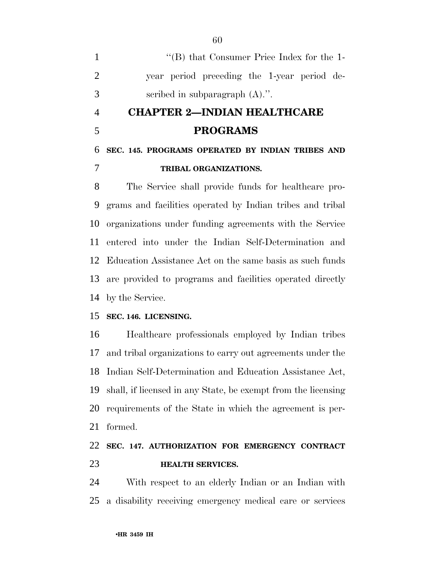|               | $\lq\lq$ (B) that Consumer Price Index for the 1- |
|---------------|---------------------------------------------------|
|               | year period preceding the 1-year period de-       |
| $\mathcal{R}$ | scribed in subparagraph $(A)$ .".                 |

## **CHAPTER 2—INDIAN HEALTHCARE PROGRAMS**

### **SEC. 145. PROGRAMS OPERATED BY INDIAN TRIBES AND TRIBAL ORGANIZATIONS.**

 The Service shall provide funds for healthcare pro- grams and facilities operated by Indian tribes and tribal organizations under funding agreements with the Service entered into under the Indian Self-Determination and Education Assistance Act on the same basis as such funds are provided to programs and facilities operated directly by the Service.

#### **SEC. 146. LICENSING.**

 Healthcare professionals employed by Indian tribes and tribal organizations to carry out agreements under the Indian Self-Determination and Education Assistance Act, shall, if licensed in any State, be exempt from the licensing requirements of the State in which the agreement is per-formed.

### **SEC. 147. AUTHORIZATION FOR EMERGENCY CONTRACT HEALTH SERVICES.**

 With respect to an elderly Indian or an Indian with a disability receiving emergency medical care or services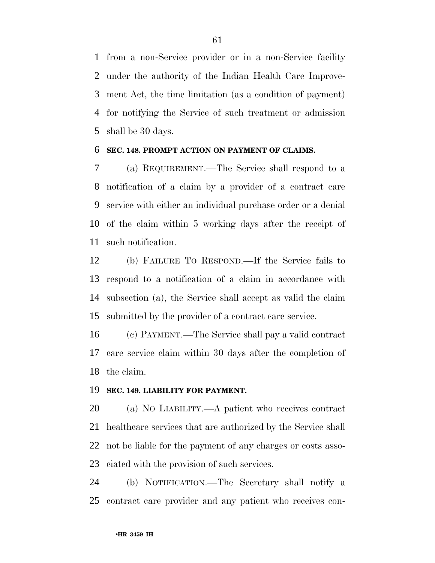from a non-Service provider or in a non-Service facility under the authority of the Indian Health Care Improve- ment Act, the time limitation (as a condition of payment) for notifying the Service of such treatment or admission shall be 30 days.

#### **SEC. 148. PROMPT ACTION ON PAYMENT OF CLAIMS.**

 (a) REQUIREMENT.—The Service shall respond to a notification of a claim by a provider of a contract care service with either an individual purchase order or a denial of the claim within 5 working days after the receipt of such notification.

 (b) FAILURE TO RESPOND.—If the Service fails to respond to a notification of a claim in accordance with subsection (a), the Service shall accept as valid the claim submitted by the provider of a contract care service.

 (c) PAYMENT.—The Service shall pay a valid contract care service claim within 30 days after the completion of the claim.

#### **SEC. 149. LIABILITY FOR PAYMENT.**

 (a) NO LIABILITY.—A patient who receives contract healthcare services that are authorized by the Service shall not be liable for the payment of any charges or costs asso-ciated with the provision of such services.

 (b) NOTIFICATION.—The Secretary shall notify a contract care provider and any patient who receives con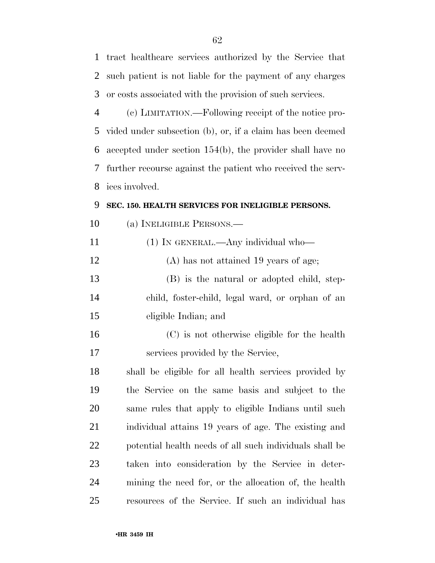tract healthcare services authorized by the Service that such patient is not liable for the payment of any charges or costs associated with the provision of such services. (c) LIMITATION.—Following receipt of the notice pro- vided under subsection (b), or, if a claim has been deemed accepted under section 154(b), the provider shall have no further recourse against the patient who received the serv- ices involved. **SEC. 150. HEALTH SERVICES FOR INELIGIBLE PERSONS.** 

- (a) INELIGIBLE PERSONS.—
- 11 (1) IN GENERAL.—Any individual who— (A) has not attained 19 years of age; (B) is the natural or adopted child, step- child, foster-child, legal ward, or orphan of an eligible Indian; and (C) is not otherwise eligible for the health
- services provided by the Service,

 shall be eligible for all health services provided by the Service on the same basis and subject to the same rules that apply to eligible Indians until such individual attains 19 years of age. The existing and potential health needs of all such individuals shall be taken into consideration by the Service in deter- mining the need for, or the allocation of, the health resources of the Service. If such an individual has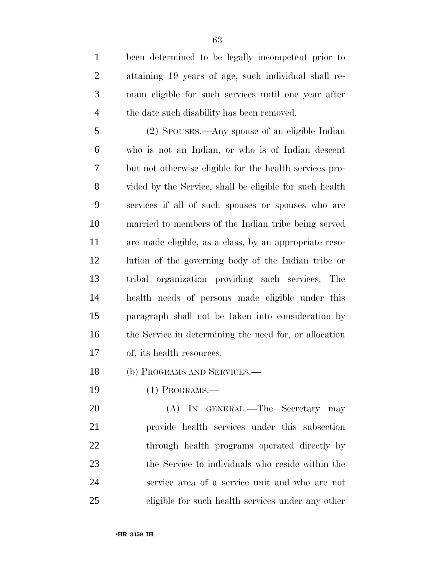been determined to be legally incompetent prior to attaining 19 years of age, such individual shall re- main eligible for such services until one year after 4 the date such disability has been removed.

 (2) SPOUSES.—Any spouse of an eligible Indian who is not an Indian, or who is of Indian descent but not otherwise eligible for the health services pro- vided by the Service, shall be eligible for such health services if all of such spouses or spouses who are married to members of the Indian tribe being served are made eligible, as a class, by an appropriate reso- lution of the governing body of the Indian tribe or tribal organization providing such services. The health needs of persons made eligible under this paragraph shall not be taken into consideration by the Service in determining the need for, or allocation of, its health resources.

(b) PROGRAMS AND SERVICES.—

(1) PROGRAMS.—

 (A) IN GENERAL.—The Secretary may provide health services under this subsection 22 through health programs operated directly by the Service to individuals who reside within the service area of a service unit and who are not eligible for such health services under any other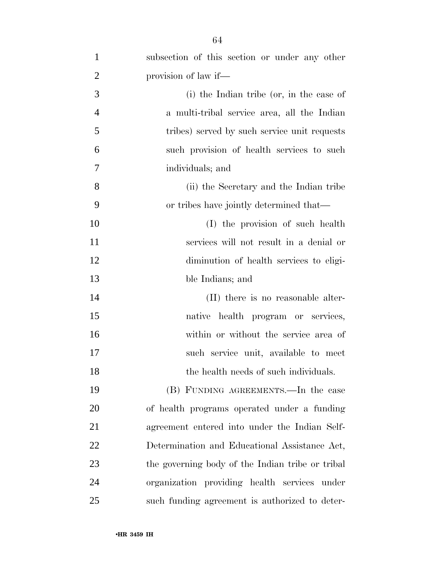| $\mathbf{1}$   | subsection of this section or under any other    |
|----------------|--------------------------------------------------|
| $\overline{2}$ | provision of law if—                             |
| 3              | (i) the Indian tribe (or, in the case of         |
| $\overline{4}$ | a multi-tribal service area, all the Indian      |
| 5              | tribes) served by such service unit requests     |
| 6              | such provision of health services to such        |
| $\overline{7}$ | individuals; and                                 |
| 8              | (ii) the Secretary and the Indian tribe          |
| 9              | or tribes have jointly determined that—          |
| 10             | (I) the provision of such health                 |
| 11             | services will not result in a denial or          |
| 12             | diminution of health services to eligi-          |
| 13             | ble Indians; and                                 |
| 14             | (II) there is no reasonable alter-               |
| 15             | native health program or services,               |
| 16             | within or without the service area of            |
| 17             | such service unit, available to meet             |
| 18             | the health needs of such individuals.            |
| 19             | (B) FUNDING AGREEMENTS.—In the case              |
| 20             | of health programs operated under a funding      |
| 21             | agreement entered into under the Indian Self-    |
| 22             | Determination and Educational Assistance Act,    |
| 23             | the governing body of the Indian tribe or tribal |
| 24             | organization providing health services under     |
| 25             | such funding agreement is authorized to deter-   |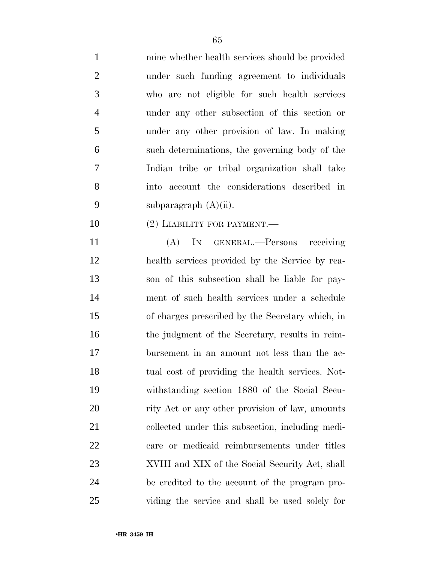| $\mathbf{1}$   | mine whether health services should be provided  |
|----------------|--------------------------------------------------|
| $\overline{2}$ | under such funding agreement to individuals      |
| 3              | who are not eligible for such health services    |
| $\overline{4}$ | under any other subsection of this section or    |
| 5              | under any other provision of law. In making      |
| 6              | such determinations, the governing body of the   |
| 7              | Indian tribe or tribal organization shall take   |
| 8              | into account the considerations described in     |
| 9              | subparagraph $(A)(ii)$ .                         |
| 10             | $(2)$ LIABILITY FOR PAYMENT.—                    |
| 11             | (A) IN GENERAL.—Persons receiving                |
| 12             | health services provided by the Service by rea-  |
| 13             | son of this subsection shall be liable for pay-  |
| 14             | ment of such health services under a schedule    |
| 15             | of charges prescribed by the Secretary which, in |
| 16             | the judgment of the Secretary, results in reim-  |
| 17             | bursement in an amount not less than the ac-     |
| 18             | tual cost of providing the health services. Not- |
| 19             | withstanding section 1880 of the Social Secu-    |
| 20             | rity Act or any other provision of law, amounts  |
| 21             | collected under this subsection, including medi- |
| 22             | care or medicaid reimbursements under titles     |
| 23             | XVIII and XIX of the Social Security Act, shall  |
| 24             | be credited to the account of the program pro-   |
| 25             | viding the service and shall be used solely for  |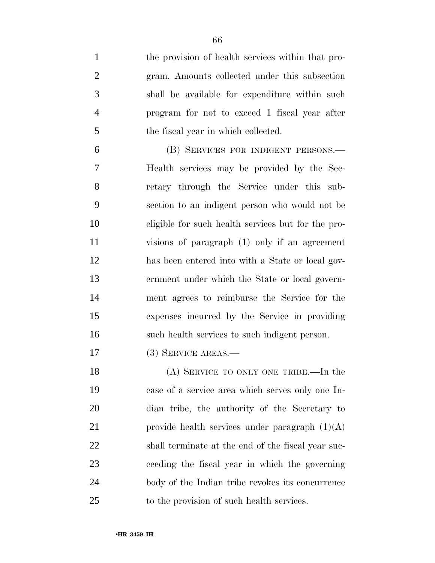the provision of health services within that pro- gram. Amounts collected under this subsection shall be available for expenditure within such program for not to exceed 1 fiscal year after the fiscal year in which collected.

 (B) SERVICES FOR INDIGENT PERSONS.— Health services may be provided by the Sec- retary through the Service under this sub- section to an indigent person who would not be eligible for such health services but for the pro- visions of paragraph (1) only if an agreement has been entered into with a State or local gov- ernment under which the State or local govern- ment agrees to reimburse the Service for the expenses incurred by the Service in providing such health services to such indigent person.

(3) SERVICE AREAS.—

18 (A) SERVICE TO ONLY ONE TRIBE.—In the case of a service area which serves only one In- dian tribe, the authority of the Secretary to 21 provide health services under paragraph  $(1)(A)$  shall terminate at the end of the fiscal year suc- ceeding the fiscal year in which the governing body of the Indian tribe revokes its concurrence to the provision of such health services.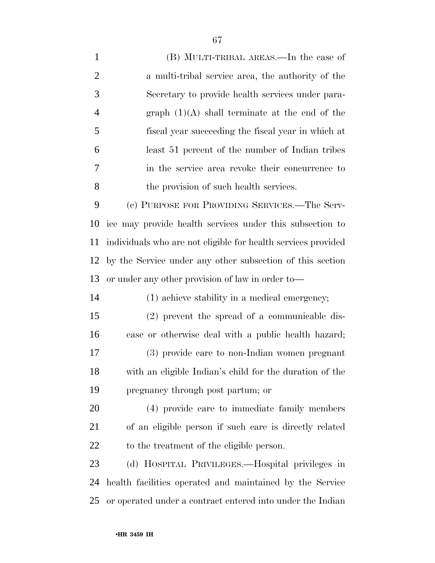| $\mathbf{1}$   | (B) MULTI-TRIBAL AREAS.—In the case of                        |
|----------------|---------------------------------------------------------------|
| $\overline{2}$ | a multi-tribal service area, the authority of the             |
| 3              | Secretary to provide health services under para-              |
| $\overline{4}$ | graph $(1)(A)$ shall terminate at the end of the              |
| 5              | fiscal year succeeding the fiscal year in which at            |
| 6              | least 51 percent of the number of Indian tribes               |
| 7              | in the service area revoke their concurrence to               |
| 8              | the provision of such health services.                        |
| 9              | (c) PURPOSE FOR PROVIDING SERVICES.—The Serv-                 |
| 10             | ice may provide health services under this subsection to      |
| 11             | individuals who are not eligible for health services provided |
| 12             | by the Service under any other subsection of this section     |
| 13             | or under any other provision of law in order to-              |
| 14             | (1) achieve stability in a medical emergency;                 |
| 15             | (2) prevent the spread of a communicable dis-                 |
| 16             | ease or otherwise deal with a public health hazard;           |
| 17             | (3) provide care to non-Indian women pregnant                 |
| 18             | with an eligible Indian's child for the duration of the       |
| 19             | pregnancy through post partum; or                             |
| 20             | (4) provide care to immediate family members                  |
| 21             | of an eligible person if such care is directly related        |
| 22             | to the treatment of the eligible person.                      |
| 23             | (d) HOSPITAL PRIVILEGES.—Hospital privileges in               |
| 24             | health facilities operated and maintained by the Service      |
| 25             | or operated under a contract entered into under the Indian    |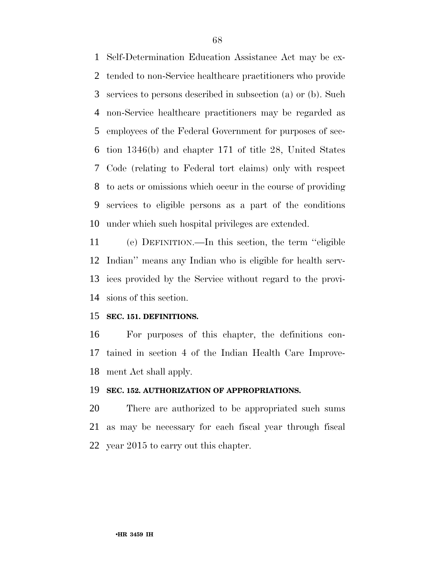Self-Determination Education Assistance Act may be ex- tended to non-Service healthcare practitioners who provide services to persons described in subsection (a) or (b). Such non-Service healthcare practitioners may be regarded as employees of the Federal Government for purposes of sec- tion 1346(b) and chapter 171 of title 28, United States Code (relating to Federal tort claims) only with respect to acts or omissions which occur in the course of providing services to eligible persons as a part of the conditions under which such hospital privileges are extended.

 (e) DEFINITION.—In this section, the term ''eligible Indian'' means any Indian who is eligible for health serv- ices provided by the Service without regard to the provi-sions of this section.

#### **SEC. 151. DEFINITIONS.**

 For purposes of this chapter, the definitions con- tained in section 4 of the Indian Health Care Improve-ment Act shall apply.

#### **SEC. 152. AUTHORIZATION OF APPROPRIATIONS.**

 There are authorized to be appropriated such sums as may be necessary for each fiscal year through fiscal year 2015 to carry out this chapter.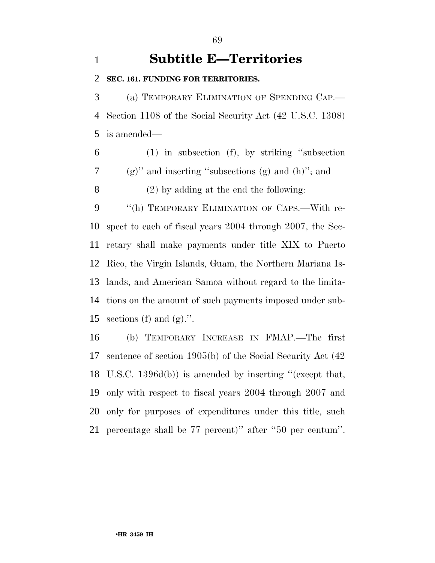### **Subtitle E—Territories**

**SEC. 161. FUNDING FOR TERRITORIES.** 

 (a) TEMPORARY ELIMINATION OF SPENDING CAP.— Section 1108 of the Social Security Act (42 U.S.C. 1308) is amended—

 (1) in subsection (f), by striking ''subsection (g)'' and inserting ''subsections (g) and (h)''; and (2) by adding at the end the following:

9 "(h) TEMPORARY ELIMINATION OF CAPS.—With re- spect to each of fiscal years 2004 through 2007, the Sec- retary shall make payments under title XIX to Puerto Rico, the Virgin Islands, Guam, the Northern Mariana Is- lands, and American Samoa without regard to the limita- tions on the amount of such payments imposed under sub-15 sections (f) and  $(g)$ .".

 (b) TEMPORARY INCREASE IN FMAP.—The first sentence of section 1905(b) of the Social Security Act (42 U.S.C. 1396d(b)) is amended by inserting ''(except that, only with respect to fiscal years 2004 through 2007 and only for purposes of expenditures under this title, such percentage shall be 77 percent)'' after ''50 per centum''.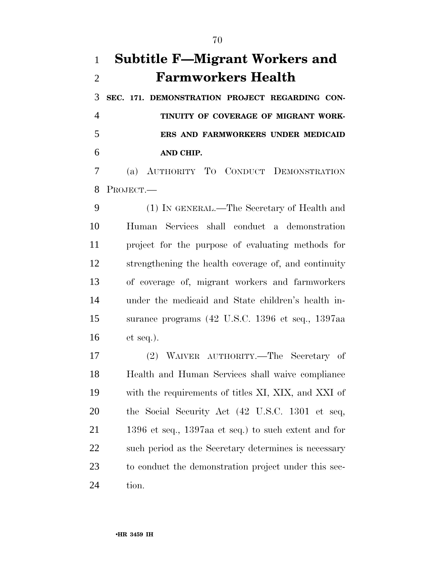## **Subtitle F—Migrant Workers and Farmworkers Health**

 **SEC. 171. DEMONSTRATION PROJECT REGARDING CON- TINUITY OF COVERAGE OF MIGRANT WORK- ERS AND FARMWORKERS UNDER MEDICAID AND CHIP.** 

 (a) AUTHORITY TO CONDUCT DEMONSTRATION PROJECT.—

 (1) IN GENERAL.—The Secretary of Health and Human Services shall conduct a demonstration project for the purpose of evaluating methods for strengthening the health coverage of, and continuity of coverage of, migrant workers and farmworkers under the medicaid and State children's health in- surance programs (42 U.S.C. 1396 et seq., 1397aa et seq.).

 (2) WAIVER AUTHORITY.—The Secretary of Health and Human Services shall waive compliance with the requirements of titles XI, XIX, and XXI of the Social Security Act (42 U.S.C. 1301 et seq, 1396 et seq., 1397aa et seq.) to such extent and for such period as the Secretary determines is necessary to conduct the demonstration project under this sec-tion.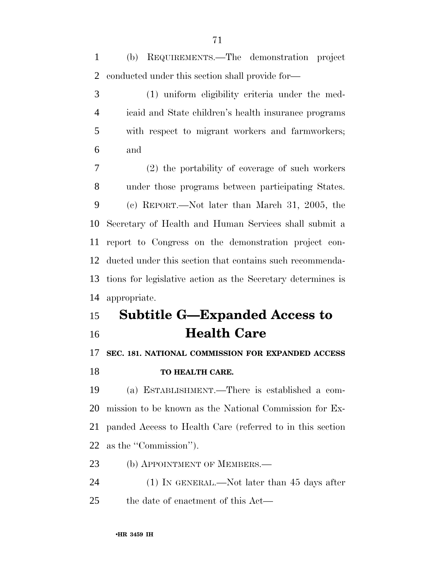(b) REQUIREMENTS.—The demonstration project conducted under this section shall provide for—

 (1) uniform eligibility criteria under the med- icaid and State children's health insurance programs with respect to migrant workers and farmworkers; and

 (2) the portability of coverage of such workers under those programs between participating States. (c) REPORT.—Not later than March 31, 2005, the Secretary of Health and Human Services shall submit a report to Congress on the demonstration project con- ducted under this section that contains such recommenda- tions for legislative action as the Secretary determines is appropriate.

## **Subtitle G—Expanded Access to Health Care**

#### **SEC. 181. NATIONAL COMMISSION FOR EXPANDED ACCESS**

#### **TO HEALTH CARE.**

 (a) ESTABLISHMENT.—There is established a com- mission to be known as the National Commission for Ex- panded Access to Health Care (referred to in this section as the ''Commission'').

23 (b) APPOINTMENT OF MEMBERS.—

 (1) IN GENERAL.—Not later than 45 days after the date of enactment of this Act—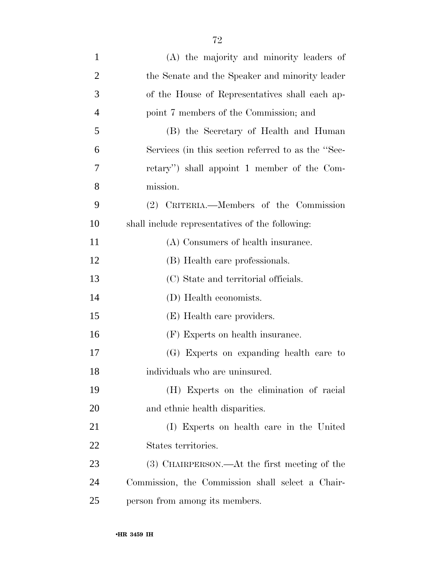| $\mathbf{1}$   | (A) the majority and minority leaders of           |
|----------------|----------------------------------------------------|
| $\overline{2}$ | the Senate and the Speaker and minority leader     |
| 3              | of the House of Representatives shall each ap-     |
| $\overline{4}$ | point 7 members of the Commission; and             |
| 5              | (B) the Secretary of Health and Human              |
| 6              | Services (in this section referred to as the "Sec- |
| 7              | retary") shall appoint 1 member of the Com-        |
| 8              | mission.                                           |
| 9              | (2) CRITERIA.—Members of the Commission            |
| 10             | shall include representatives of the following:    |
| 11             | (A) Consumers of health insurance.                 |
| 12             | (B) Health care professionals.                     |
| 13             | (C) State and territorial officials.               |
| 14             | (D) Health economists.                             |
| 15             | (E) Health care providers.                         |
| 16             | (F) Experts on health insurance.                   |
| 17             | (G) Experts on expanding health care to            |
| 18             | individuals who are uninsured.                     |
| 19             | (H) Experts on the elimination of racial           |
| 20             | and ethnic health disparities.                     |
| 21             | (I) Experts on health care in the United           |
| 22             | States territories.                                |
| 23             | (3) CHAIRPERSON.—At the first meeting of the       |
| 24             | Commission, the Commission shall select a Chair-   |
| 25             | person from among its members.                     |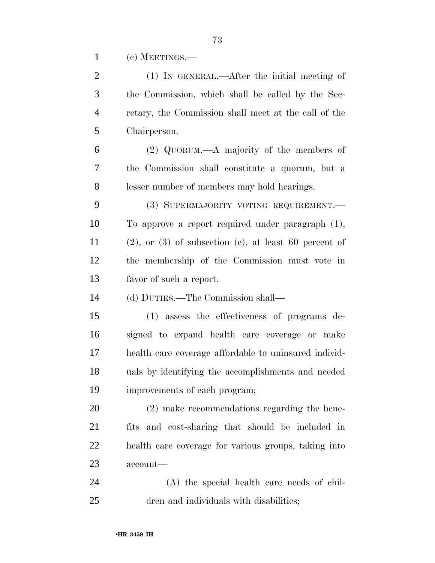(c) MEETINGS.—

| $\overline{2}$ | (1) IN GENERAL.—After the initial meeting of               |
|----------------|------------------------------------------------------------|
| 3              | the Commission, which shall be called by the Sec-          |
| $\overline{4}$ | retary, the Commission shall meet at the call of the       |
| 5              | Chairperson.                                               |
| 6              | $(2)$ QUORUM.—A majority of the members of                 |
| 7              | the Commission shall constitute a quorum, but a            |
| 8              | lesser number of members may hold hearings.                |
| 9              | (3) SUPERMAJORITY VOTING REQUIREMENT.                      |
| 10             | To approve a report required under paragraph $(1)$ ,       |
| 11             | $(2)$ , or $(3)$ of subsection (e), at least 60 percent of |
| 12             | the membership of the Commission must vote in              |
| 13             | favor of such a report.                                    |
| 14             | (d) DUTIES.—The Commission shall—                          |
| 15             | (1) assess the effectiveness of programs de-               |
| 16             | signed to expand health care coverage or make              |
| 17             | health care coverage affordable to uninsured individ-      |
| 18             | uals by identifying the accomplishments and needed         |
| 19             | improvements of each program;                              |
| 20             | (2) make recommendations regarding the bene-               |
| 21             | fits and cost-sharing that should be included in           |
| 22             | health care coverage for various groups, taking into       |
| 23             | account—                                                   |
| 24             | (A) the special health care needs of chil-                 |
| 25             | dren and individuals with disabilities;                    |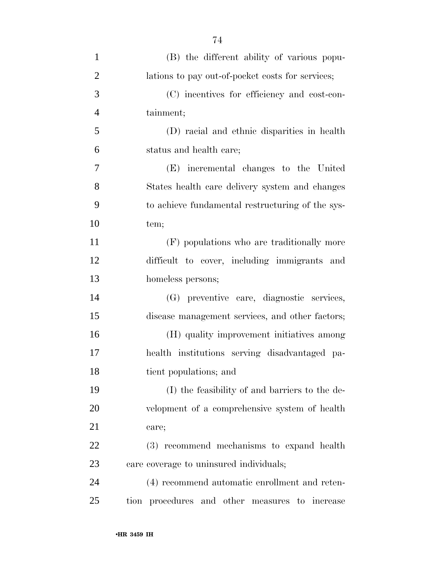| $\mathbf{1}$   | (B) the different ability of various popu-       |
|----------------|--------------------------------------------------|
| $\overline{2}$ | lations to pay out-of-pocket costs for services; |
| 3              | (C) incentives for efficiency and cost-con-      |
| $\overline{4}$ | tainment;                                        |
| 5              | (D) racial and ethnic disparities in health      |
| 6              | status and health care;                          |
| 7              | (E) incremental changes to the United            |
| 8              | States health care delivery system and changes   |
| 9              | to achieve fundamental restructuring of the sys- |
| 10             | tem;                                             |
| 11             | (F) populations who are traditionally more       |
| 12             | difficult to cover, including immigrants and     |
| 13             | homeless persons;                                |
| 14             | (G) preventive care, diagnostic services,        |
| 15             | disease management services, and other factors;  |
| 16             | (H) quality improvement initiatives among        |
| 17             | health institutions serving disadvantaged pa-    |
| 18             | tient populations; and                           |
| 19             | (I) the feasibility of and barriers to the de-   |
| 20             | velopment of a comprehensive system of health    |
| 21             | care;                                            |
| 22             | (3) recommend mechanisms to expand health        |
| 23             | care coverage to uninsured individuals;          |
| 24             | (4) recommend automatic enrollment and reten-    |
| 25             | tion procedures and other measures to increase   |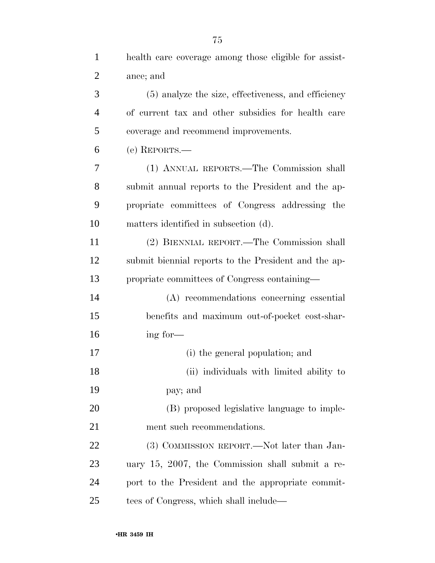| $\mathbf{1}$   | health care coverage among those eligible for assist- |
|----------------|-------------------------------------------------------|
| $\overline{2}$ | ance; and                                             |
| 3              | (5) analyze the size, effectiveness, and efficiency   |
| $\overline{4}$ | of current tax and other subsidies for health care    |
| 5              | coverage and recommend improvements.                  |
| 6              | (e) REPORTS.-                                         |
| 7              | (1) ANNUAL REPORTS.—The Commission shall              |
| 8              | submit annual reports to the President and the ap-    |
| 9              | propriate committees of Congress addressing the       |
| 10             | matters identified in subsection (d).                 |
| 11             | (2) BIENNIAL REPORT.—The Commission shall             |
| 12             | submit biennial reports to the President and the ap-  |
| 13             | propriate committees of Congress containing—          |
| 14             | (A) recommendations concerning essential              |
| 15             | benefits and maximum out-of-pocket cost-shar-         |
| 16             | ing for-                                              |

(i) the general population; and

 (ii) individuals with limited ability to pay; and

 (B) proposed legislative language to imple-ment such recommendations.

22 (3) COMMISSION REPORT.—Not later than Jan- uary 15, 2007, the Commission shall submit a re- port to the President and the appropriate commit-tees of Congress, which shall include—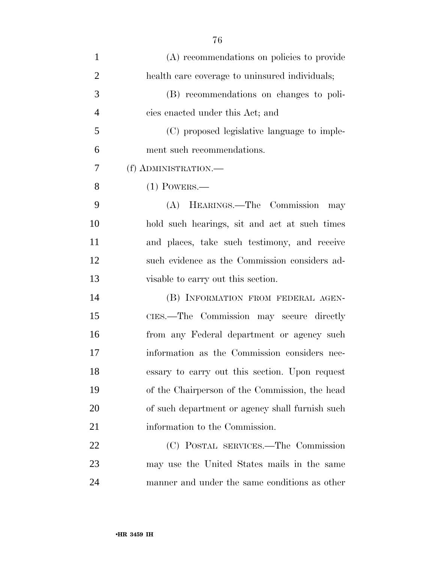| $\mathbf{1}$   | (A) recommendations on policies to provide      |
|----------------|-------------------------------------------------|
| $\overline{2}$ | health care coverage to uninsured individuals;  |
| 3              | (B) recommendations on changes to poli-         |
| $\overline{4}$ | cies enacted under this Act; and                |
| 5              | (C) proposed legislative language to imple-     |
| 6              | ment such recommendations.                      |
| 7              | (f) ADMINISTRATION.—                            |
| 8              | $(1)$ POWERS.—                                  |
| 9              | (A) HEARINGS.—The Commission<br>may             |
| 10             | hold such hearings, sit and act at such times   |
| 11             | and places, take such testimony, and receive    |
| 12             | such evidence as the Commission considers ad-   |
| 13             | visable to carry out this section.              |
| 14             | (B) INFORMATION FROM FEDERAL AGEN-              |
| 15             | CIES.-The Commission may secure directly        |
| 16             | from any Federal department or agency such      |
| 17             | information as the Commission considers nec-    |
| 18             | essary to carry out this section. Upon request  |
| 19             | of the Chairperson of the Commission, the head  |
| 20             | of such department or agency shall furnish such |
| 21             | information to the Commission.                  |
| 22             | (C) POSTAL SERVICES.—The Commission             |
| 23             | may use the United States mails in the same     |
| 24             | manner and under the same conditions as other   |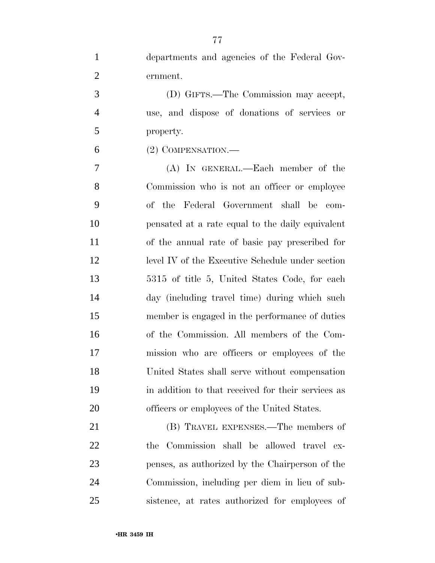| $\mathbf{1}$   | departments and agencies of the Federal Gov-       |
|----------------|----------------------------------------------------|
| $\overline{2}$ | ernment.                                           |
| 3              | (D) GIFTS.—The Commission may accept,              |
| $\overline{4}$ | use, and dispose of donations of services or       |
| 5              | property.                                          |
| 6              | $(2)$ COMPENSATION.—                               |
| $\tau$         | (A) IN GENERAL.—Each member of the                 |
| 8              | Commission who is not an officer or employee       |
| 9              | of the Federal Government shall be<br>com-         |
| 10             | pensated at a rate equal to the daily equivalent   |
| 11             | of the annual rate of basic pay prescribed for     |
| 12             | level IV of the Executive Schedule under section   |
| 13             | 5315 of title 5, United States Code, for each      |
| 14             | day (including travel time) during which such      |
| 15             | member is engaged in the performance of duties     |
| 16             | of the Commission. All members of the Com-         |
| 17             | mission who are officers or employees of the       |
| 18             | United States shall serve without compensation     |
| 19             | in addition to that received for their services as |
| 20             | officers or employees of the United States.        |
| 21             | (B) TRAVEL EXPENSES.—The members of                |
| 22             | the Commission shall be allowed travel ex-         |
| 23             | penses, as authorized by the Chairperson of the    |

 Commission, including per diem in lieu of sub-sistence, at rates authorized for employees of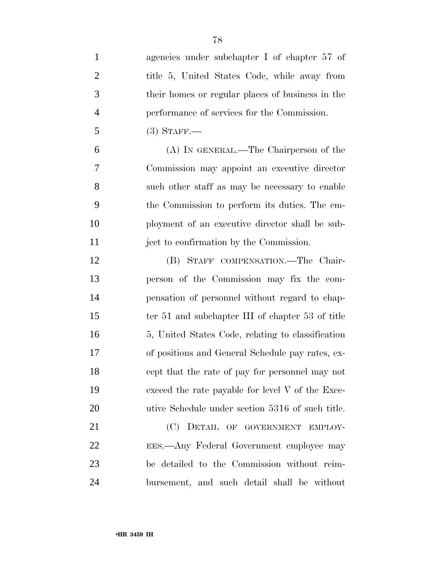| $\mathbf{1}$   | agencies under subchapter I of chapter 57 of      |
|----------------|---------------------------------------------------|
| $\overline{2}$ | title 5, United States Code, while away from      |
| 3              | their homes or regular places of business in the  |
| $\overline{4}$ | performance of services for the Commission.       |
| 5              | $(3)$ STAFF.—                                     |
| 6              | (A) IN GENERAL.—The Chairperson of the            |
| 7              | Commission may appoint an executive director      |
| 8              | such other staff as may be necessary to enable    |
| 9              | the Commission to perform its duties. The em-     |
| 10             | ployment of an executive director shall be sub-   |
| 11             | ject to confirmation by the Commission.           |
| 12             | (B) STAFF COMPENSATION.—The Chair-                |
| 13             | person of the Commission may fix the com-         |
| 14             | pensation of personnel without regard to chap-    |
| 15             | ter 51 and subchapter III of chapter 53 of title  |
| 16             | 5, United States Code, relating to classification |
| 17             | of positions and General Schedule pay rates, ex-  |
| 18             | cept that the rate of pay for personnel may not   |
| 19             | exceed the rate payable for level V of the Exec-  |
| 20             | utive Schedule under section 5316 of such title.  |
| 21             | (C) DETAIL OF GOVERNMENT EMPLOY-                  |
| <u>22</u>      | EES.—Any Federal Government employee may          |
| 23             | be detailed to the Commission without reim-       |
| 24             | bursement, and such detail shall be without       |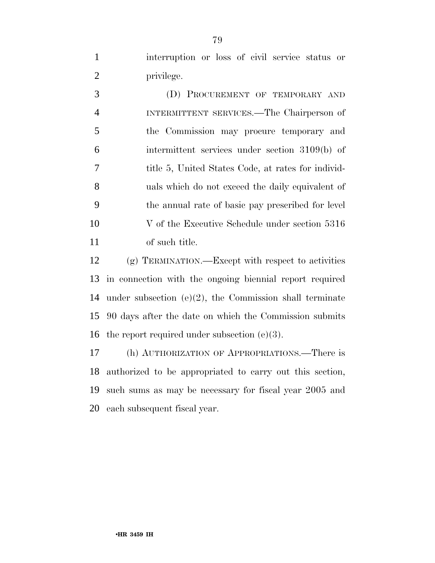interruption or loss of civil service status or 2 privilege.

 (D) PROCUREMENT OF TEMPORARY AND INTERMITTENT SERVICES.—The Chairperson of the Commission may procure temporary and intermittent services under section 3109(b) of title 5, United States Code, at rates for individ- uals which do not exceed the daily equivalent of the annual rate of basic pay prescribed for level 10 V of the Executive Schedule under section 5316 of such title.

 (g) TERMINATION.—Except with respect to activities in connection with the ongoing biennial report required under subsection (e)(2), the Commission shall terminate 90 days after the date on which the Commission submits 16 the report required under subsection  $(e)(3)$ .

 (h) AUTHORIZATION OF APPROPRIATIONS.—There is authorized to be appropriated to carry out this section, such sums as may be necessary for fiscal year 2005 and each subsequent fiscal year.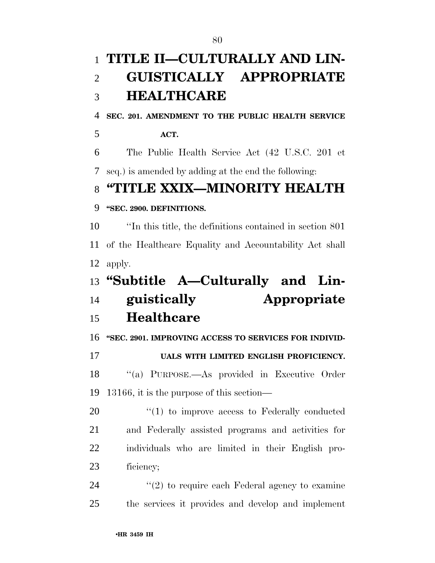# **TITLE II—CULTURALLY AND LIN- GUISTICALLY APPROPRIATE HEALTHCARE SEC. 201. AMENDMENT TO THE PUBLIC HEALTH SERVICE ACT.**  The Public Health Service Act (42 U.S.C. 201 et seq.) is amended by adding at the end the following: **''TITLE XXIX—MINORITY HEALTH ''SEC. 2900. DEFINITIONS.**  ''In this title, the definitions contained in section 801 of the Healthcare Equality and Accountability Act shall apply. **''Subtitle A—Culturally and Lin- guistically Appropriate Healthcare ''SEC. 2901. IMPROVING ACCESS TO SERVICES FOR INDIVID- UALS WITH LIMITED ENGLISH PROFICIENCY.**  ''(a) PURPOSE.—As provided in Executive Order 20  $\frac{u(1)}{2}$  to improve access to Federally conducted 24  $(2)$  to require each Federal agency to examine

13166, it is the purpose of this section—

 and Federally assisted programs and activities for individuals who are limited in their English pro-ficiency;

the services it provides and develop and implement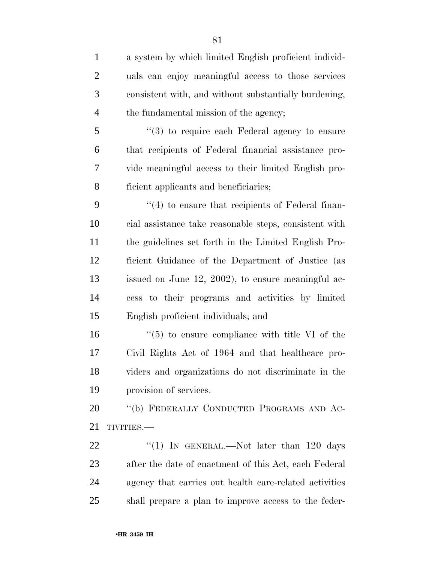| $\mathbf{1}$   | a system by which limited English proficient individ-         |
|----------------|---------------------------------------------------------------|
| $\overline{2}$ | uals can enjoy meaningful access to those services            |
| 3              | consistent with, and without substantially burdening,         |
| $\overline{4}$ | the fundamental mission of the agency;                        |
| 5              | $\cdot\cdot\cdot(3)$ to require each Federal agency to ensure |
| 6              | that recipients of Federal financial assistance pro-          |
| 7              | vide meaningful access to their limited English pro-          |
| 8              | ficient applicants and beneficiaries;                         |
| 9              | $\cdot$ (4) to ensure that recipients of Federal finan-       |
| 10             | cial assistance take reasonable steps, consistent with        |
| 11             | the guidelines set forth in the Limited English Pro-          |
| 12             | ficient Guidance of the Department of Justice (as             |
| 13             | issued on June 12, 2002), to ensure meaningful ac-            |
| 14             | cess to their programs and activities by limited              |
| 15             | English proficient individuals; and                           |
| 16             | $\cdot\cdot$ (5) to ensure compliance with title VI of the    |
| 17             | Civil Rights Act of 1964 and that healthcare pro-             |
| 18             | viders and organizations do not discriminate in the           |
| 19             | provision of services.                                        |
| 20             | "(b) FEDERALLY CONDUCTED PROGRAMS AND AC-                     |
| 21             | TIVITIES.-                                                    |
| 22             | "(1) IN GENERAL.—Not later than 120 days                      |
| 23             | after the date of enactment of this Act, each Federal         |
| 24             | agency that carries out health care-related activities        |
| 25             | shall prepare a plan to improve access to the feder-          |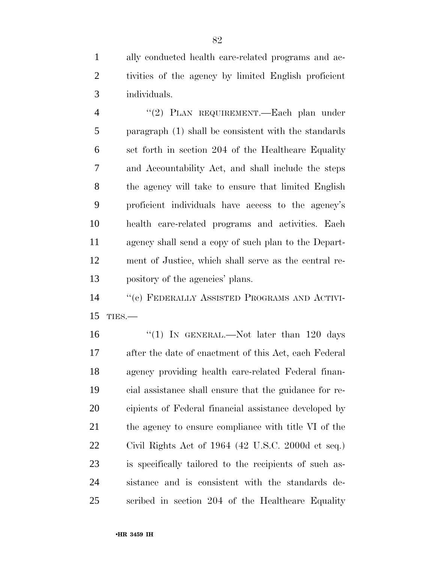ally conducted health care-related programs and ac- tivities of the agency by limited English proficient individuals.

 ''(2) PLAN REQUIREMENT.—Each plan under paragraph (1) shall be consistent with the standards set forth in section 204 of the Healthcare Equality and Accountability Act, and shall include the steps the agency will take to ensure that limited English proficient individuals have access to the agency's health care-related programs and activities. Each agency shall send a copy of such plan to the Depart- ment of Justice, which shall serve as the central re-pository of the agencies' plans.

 ''(c) FEDERALLY ASSISTED PROGRAMS AND ACTIVI-TIES.—

16 "(1) In GENERAL.—Not later than 120 days after the date of enactment of this Act, each Federal agency providing health care-related Federal finan- cial assistance shall ensure that the guidance for re- cipients of Federal financial assistance developed by 21 the agency to ensure compliance with title VI of the Civil Rights Act of 1964 (42 U.S.C. 2000d et seq.) is specifically tailored to the recipients of such as- sistance and is consistent with the standards de-scribed in section 204 of the Healthcare Equality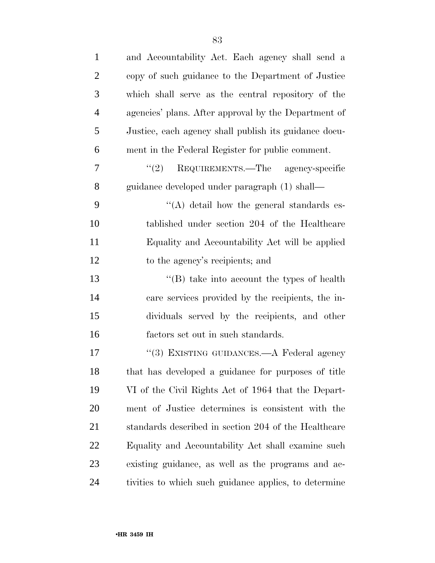| $\mathbf{1}$   | and Accountability Act. Each agency shall send a      |
|----------------|-------------------------------------------------------|
| $\overline{2}$ | copy of such guidance to the Department of Justice    |
| 3              | which shall serve as the central repository of the    |
| $\overline{4}$ | agencies' plans. After approval by the Department of  |
| 5              | Justice, each agency shall publish its guidance docu- |
| 6              | ment in the Federal Register for public comment.      |
| 7              | REQUIREMENTS.—The agency-specific<br>(2)              |
| $8\,$          | guidance developed under paragraph (1) shall—         |
| 9              | $\lq\lq$ detail how the general standards es-         |
| 10             | tablished under section 204 of the Healthcare         |
| 11             | Equality and Accountability Act will be applied       |
| 12             | to the agency's recipients; and                       |
| 13             | $\lq\lq$ take into account the types of health        |
| 14             | care services provided by the recipients, the in-     |
| 15             | dividuals served by the recipients, and other         |
| 16             | factors set out in such standards.                    |
| 17             | "(3) EXISTING GUIDANCES.—A Federal agency             |
| 18             | that has developed a guidance for purposes of title   |
| 19             | VI of the Civil Rights Act of 1964 that the Depart-   |
| 20             | ment of Justice determines is consistent with the     |
| 21             | standards described in section 204 of the Healthcare  |
| 22             | Equality and Accountability Act shall examine such    |
| 23             | existing guidance, as well as the programs and ac-    |
| 24             | tivities to which such guidance applies, to determine |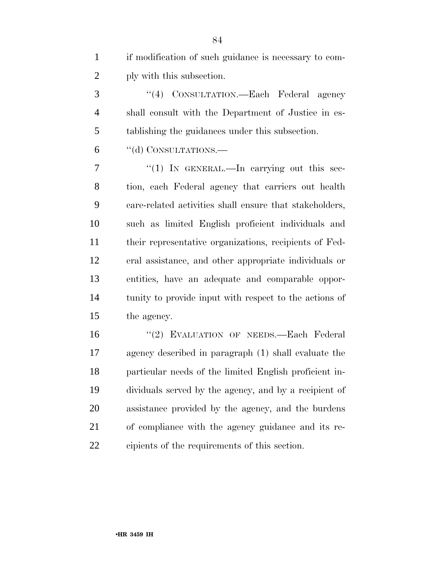|                | if modification of such guidance is necessary to com- |
|----------------|-------------------------------------------------------|
| $\overline{2}$ | ply with this subsection.                             |

 ''(4) CONSULTATION.—Each Federal agency shall consult with the Department of Justice in es-tablishing the guidances under this subsection.

''(d) CONSULTATIONS.—

 $7 \t\t\t\t\t\t''(1)$  In GENERAL.—In carrying out this sec- tion, each Federal agency that carriers out health care-related activities shall ensure that stakeholders, such as limited English proficient individuals and their representative organizations, recipients of Fed- eral assistance, and other appropriate individuals or entities, have an adequate and comparable oppor- tunity to provide input with respect to the actions of the agency.

 ''(2) EVALUATION OF NEEDS.—Each Federal agency described in paragraph (1) shall evaluate the particular needs of the limited English proficient in- dividuals served by the agency, and by a recipient of assistance provided by the agency, and the burdens of compliance with the agency guidance and its re-cipients of the requirements of this section.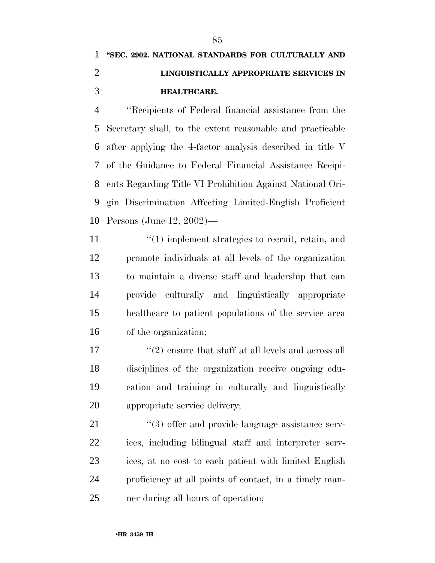### **''SEC. 2902. NATIONAL STANDARDS FOR CULTURALLY AND LINGUISTICALLY APPROPRIATE SERVICES IN HEALTHCARE.**

 ''Recipients of Federal financial assistance from the Secretary shall, to the extent reasonable and practicable after applying the 4-factor analysis described in title V of the Guidance to Federal Financial Assistance Recipi- ents Regarding Title VI Prohibition Against National Ori- gin Discrimination Affecting Limited-English Proficient Persons (June 12, 2002)—

 $\frac{1}{1}$  (1) implement strategies to recruit, retain, and promote individuals at all levels of the organization to maintain a diverse staff and leadership that can provide culturally and linguistically appropriate healthcare to patient populations of the service area of the organization;

 $\frac{1}{2}$  ensure that staff at all levels and across all disciplines of the organization receive ongoing edu- cation and training in culturally and linguistically appropriate service delivery;

 $\frac{1}{2}$  (3) offer and provide language assistance serv- ices, including bilingual staff and interpreter serv- ices, at no cost to each patient with limited English proficiency at all points of contact, in a timely man-ner during all hours of operation;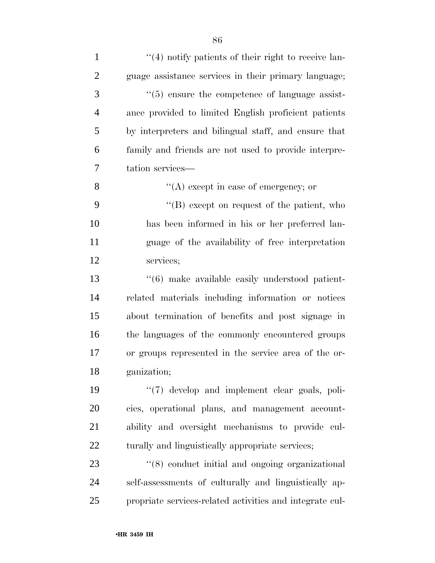| $\mathbf{1}$   | $\lq(4)$ notify patients of their right to receive lan-  |
|----------------|----------------------------------------------------------|
| $\overline{2}$ | guage assistance services in their primary language;     |
| 3              | $\lq(5)$ ensure the competence of language assist-       |
| $\overline{4}$ | ance provided to limited English proficient patients     |
| 5              | by interpreters and bilingual staff, and ensure that     |
| 6              | family and friends are not used to provide interpre-     |
| 7              | tation services-                                         |
| 8              | $\lq\lq$ except in case of emergency; or                 |
| 9              | "(B) except on request of the patient, who               |
| 10             | has been informed in his or her preferred lan-           |
| 11             | guage of the availability of free interpretation         |
| 12             | services;                                                |
| 13             | "(6) make available easily understood patient-           |
| 14             | related materials including information or notices       |
| 15             | about termination of benefits and post signage in        |
| 16             | the languages of the commonly encountered groups         |
| 17             | or groups represented in the service area of the or-     |
| 18             | ganization;                                              |
| 19             | $\lq(7)$ develop and implement clear goals, poli-        |
| 20             | cies, operational plans, and management account-         |
| 21             | ability and oversight mechanisms to provide cul-         |
| 22             | turally and linguistically appropriate services;         |
| 23             | "(8) conduct initial and ongoing organizational          |
| 24             | self-assessments of culturally and linguistically ap-    |
| 25             | propriate services-related activities and integrate cul- |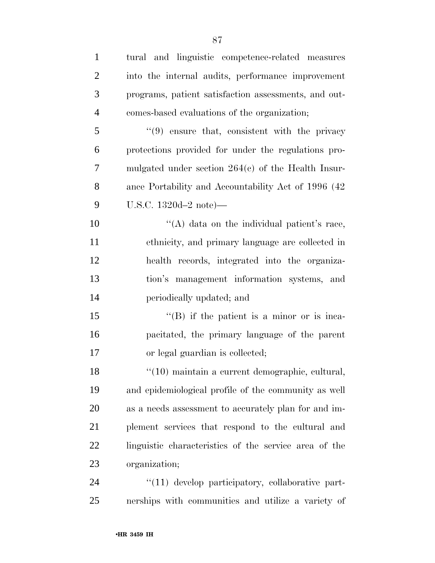| $\mathbf{1}$   | tural and linguistic competence-related measures      |
|----------------|-------------------------------------------------------|
| $\overline{2}$ | into the internal audits, performance improvement     |
| 3              | programs, patient satisfaction assessments, and out-  |
| $\overline{4}$ | comes-based evaluations of the organization;          |
| 5              | $(9)$ ensure that, consistent with the privacy        |
| 6              | protections provided for under the regulations pro-   |
| 7              | mulgated under section $264(c)$ of the Health Insur-  |
| 8              | ance Portability and Accountability Act of 1996 (42)  |
| 9              | U.S.C. 1320d-2 note)—                                 |
| 10             | "(A) data on the individual patient's race,           |
| 11             | ethnicity, and primary language are collected in      |
| 12             | health records, integrated into the organiza-         |
| 13             | tion's management information systems, and            |
| 14             | periodically updated; and                             |
| 15             | $\lq\lq (B)$ if the patient is a minor or is inca-    |
| 16             | pacitated, the primary language of the parent         |
| 17             | or legal guardian is collected;                       |
| 18             | "(10) maintain a current demographic, cultural,       |
| 19             | and epidemiological profile of the community as well  |
| 20             | as a needs assessment to accurately plan for and im-  |
| 21             | plement services that respond to the cultural and     |
| 22             | linguistic characteristics of the service area of the |
| 23             | organization;                                         |
| 24             | $\lq(11)$ develop participatory, collaborative part-  |
| 25             | nerships with communities and utilize a variety of    |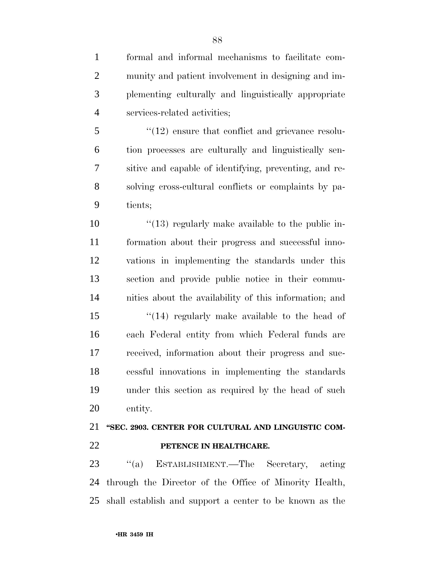formal and informal mechanisms to facilitate com-munity and patient involvement in designing and im-

 plementing culturally and linguistically appropriate services-related activities;

5 "(12) ensure that conflict and grievance resolu- tion processes are culturally and linguistically sen- sitive and capable of identifying, preventing, and re- solving cross-cultural conflicts or complaints by pa-tients;

 $\frac{10}{13}$  regularly make available to the public in- formation about their progress and successful inno- vations in implementing the standards under this section and provide public notice in their commu-nities about the availability of this information; and

15 ''(14) regularly make available to the head of each Federal entity from which Federal funds are received, information about their progress and suc- cessful innovations in implementing the standards under this section as required by the head of such entity.

### **''SEC. 2903. CENTER FOR CULTURAL AND LINGUISTIC COM-PETENCE IN HEALTHCARE.**

 ''(a) ESTABLISHMENT.—The Secretary, acting through the Director of the Office of Minority Health, shall establish and support a center to be known as the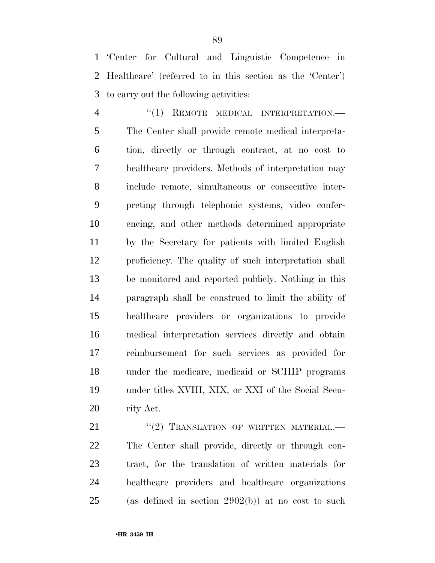'Center for Cultural and Linguistic Competence in Healthcare' (referred to in this section as the 'Center') to carry out the following activities:

4 "(1) REMOTE MEDICAL INTERPRETATION.— The Center shall provide remote medical interpreta- tion, directly or through contract, at no cost to healthcare providers. Methods of interpretation may include remote, simultaneous or consecutive inter- preting through telephonic systems, video confer- encing, and other methods determined appropriate by the Secretary for patients with limited English proficiency. The quality of such interpretation shall be monitored and reported publicly. Nothing in this paragraph shall be construed to limit the ability of healthcare providers or organizations to provide medical interpretation services directly and obtain reimbursement for such services as provided for under the medicare, medicaid or SCHIP programs under titles XVIII, XIX, or XXI of the Social Secu-rity Act.

21 "(2) TRANSLATION OF WRITTEN MATERIAL. The Center shall provide, directly or through con- tract, for the translation of written materials for healthcare providers and healthcare organizations (as defined in section 2902(b)) at no cost to such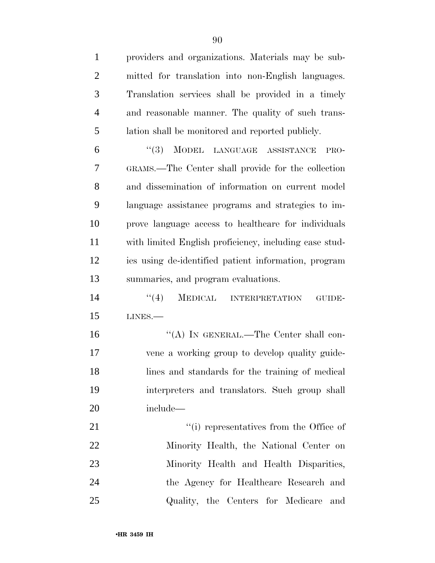providers and organizations. Materials may be sub- mitted for translation into non-English languages. Translation services shall be provided in a timely and reasonable manner. The quality of such trans- lation shall be monitored and reported publicly. ''(3) MODEL LANGUAGE ASSISTANCE PRO- GRAMS.—The Center shall provide for the collection and dissemination of information on current model language assistance programs and strategies to im- prove language access to healthcare for individuals with limited English proficiency, including case stud-

 ies using de-identified patient information, program summaries, and program evaluations.

14 "(4) MEDICAL INTERPRETATION GUIDE-LINES.—

16 "(A) IN GENERAL.—The Center shall con- vene a working group to develop quality guide- lines and standards for the training of medical interpreters and translators. Such group shall include—

 $\frac{1}{2}$   $\frac{1}{2}$   $\frac{1}{2}$  representatives from the Office of Minority Health, the National Center on Minority Health and Health Disparities, the Agency for Healthcare Research and Quality, the Centers for Medicare and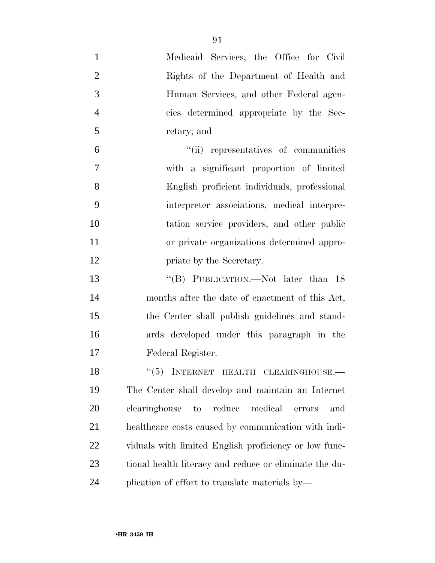| $\mathbf{1}$   | Medicaid Services, the Office for Civil                |
|----------------|--------------------------------------------------------|
| $\overline{2}$ | Rights of the Department of Health and                 |
| 3              | Human Services, and other Federal agen-                |
| $\overline{4}$ | cies determined appropriate by the Sec-                |
| 5              | retary; and                                            |
| 6              | "(ii) representatives of communities                   |
| 7              | with a significant proportion of limited               |
| 8              | English proficient individuals, professional           |
| 9              | interpreter associations, medical interpre-            |
| 10             | tation service providers, and other public             |
| 11             | or private organizations determined appro-             |
| 12             | priate by the Secretary.                               |
| 13             | "(B) PUBLICATION.—Not later than 18                    |
| 14             | months after the date of enactment of this Act,        |
| 15             | the Center shall publish guidelines and stand-         |
| 16             | ards developed under this paragraph in the             |
| 17             | Federal Register.                                      |
| 18             | "(5) INTERNET HEALTH CLEARINGHOUSE.-                   |
| 19             | The Center shall develop and maintain an Internet      |
| 20             | clearinghouse to<br>reduce medical<br>and<br>errors    |
| 21             | healthcare costs caused by communication with indi-    |
| 22             | viduals with limited English proficiency or low func-  |
| 23             | tional health literacy and reduce or eliminate the du- |
| 24             | plication of effort to translate materials by—         |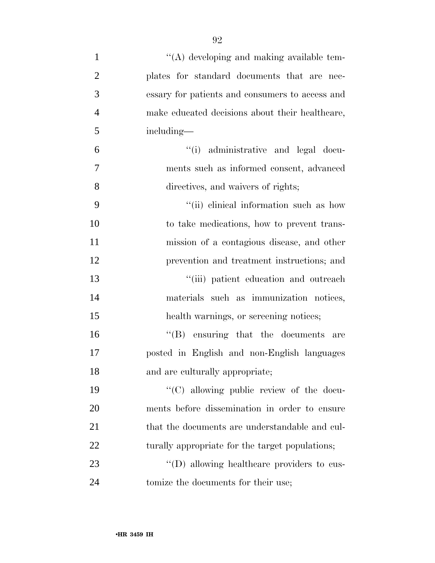| $\mathbf{1}$   | "(A) developing and making available tem-       |
|----------------|-------------------------------------------------|
| $\overline{2}$ | plates for standard documents that are nec-     |
| 3              | essary for patients and consumers to access and |
| $\overline{4}$ | make educated decisions about their healthcare, |
| 5              | including—                                      |
| 6              | administrative and legal docu-<br>``(i)         |
| 7              | ments such as informed consent, advanced        |
| 8              | directives, and waivers of rights;              |
| 9              | "(ii) clinical information such as how          |
| 10             | to take medications, how to prevent trans-      |
| 11             | mission of a contagious disease, and other      |
| 12             | prevention and treatment instructions; and      |
| 13             | "(iii) patient education and outreach           |
| 14             | materials such as immunization notices,         |
| 15             | health warnings, or screening notices;          |
| 16             | $\lq\lq$ ensuring that the documents<br>are     |
| 17             | posted in English and non-English languages     |
| 18             | and are culturally appropriate;                 |
| 19             | "(C) allowing public review of the docu-        |
| 20             | ments before dissemination in order to ensure   |
| 21             | that the documents are understandable and cul-  |
| 22             | turally appropriate for the target populations; |
| 23             | "(D) allowing healthcare providers to cus-      |
| 24             | tomize the documents for their use;             |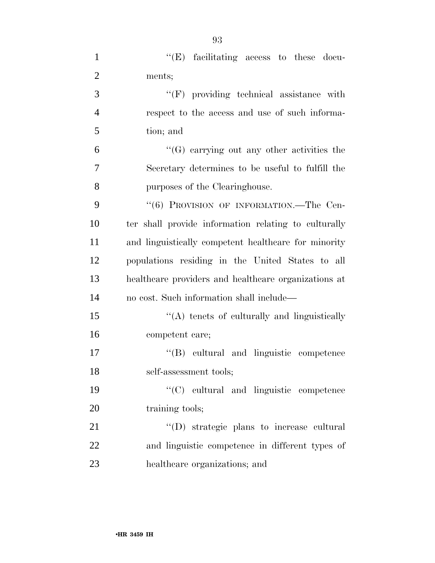| $\mathbf{1}$   | $\lq\lq(E)$ facilitating access to these docu-       |
|----------------|------------------------------------------------------|
| $\overline{2}$ | ments;                                               |
| 3              | $\lq\lq(F)$ providing technical assistance with      |
| $\overline{4}$ | respect to the access and use of such informa-       |
| 5              | tion; and                                            |
| 6              | $\lq\lq(G)$ carrying out any other activities the    |
| 7              | Secretary determines to be useful to fulfill the     |
| 8              | purposes of the Clearinghouse.                       |
| 9              | "(6) PROVISION OF INFORMATION.—The Cen-              |
| 10             | ter shall provide information relating to culturally |
| 11             | and linguistically competent healthcare for minority |
| 12             | populations residing in the United States to all     |
| 13             | healthcare providers and healthcare organizations at |
| 14             | no cost. Such information shall include—             |
| 15             | $\lq\lq$ tenets of culturally and linguistically     |
| 16             | competent care;                                      |
| 17             | "(B) cultural and linguistic competence              |
| 18             | self-assessment tools;                               |
| 19             | "(C) cultural and linguistic competence              |
| 20             | training tools;                                      |
| 21             | "(D) strategic plans to increase cultural            |
| 22             | and linguistic competence in different types of      |
| 23             | healthcare organizations; and                        |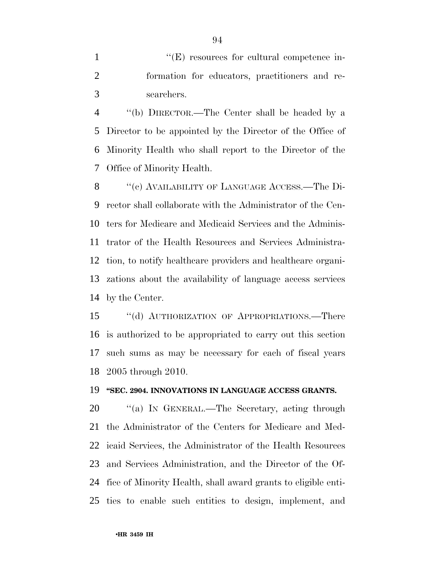1  $"({\rm E})$  resources for cultural competence in- formation for educators, practitioners and re-searchers.

 ''(b) DIRECTOR.—The Center shall be headed by a Director to be appointed by the Director of the Office of Minority Health who shall report to the Director of the Office of Minority Health.

8 "(c) AVAILABILITY OF LANGUAGE ACCESS.—The Di- rector shall collaborate with the Administrator of the Cen- ters for Medicare and Medicaid Services and the Adminis- trator of the Health Resources and Services Administra- tion, to notify healthcare providers and healthcare organi- zations about the availability of language access services by the Center.

 ''(d) AUTHORIZATION OF APPROPRIATIONS.—There is authorized to be appropriated to carry out this section such sums as may be necessary for each of fiscal years 2005 through 2010.

#### **''SEC. 2904. INNOVATIONS IN LANGUAGE ACCESS GRANTS.**

20 "(a) IN GENERAL.—The Secretary, acting through the Administrator of the Centers for Medicare and Med- icaid Services, the Administrator of the Health Resources and Services Administration, and the Director of the Of- fice of Minority Health, shall award grants to eligible enti-ties to enable such entities to design, implement, and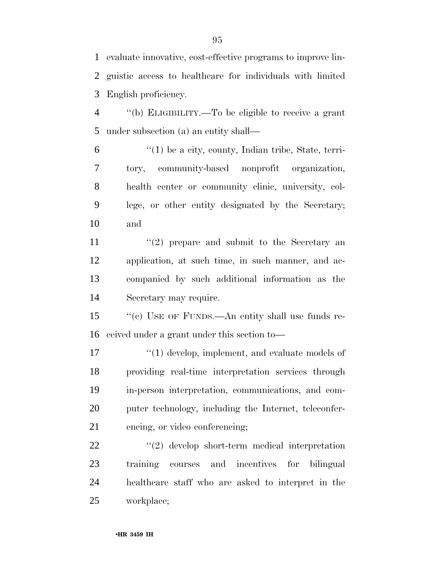evaluate innovative, cost-effective programs to improve lin- guistic access to healthcare for individuals with limited English proficiency.

 ''(b) ELIGIBILITY.—To be eligible to receive a grant under subsection (a) an entity shall—

 $(1)$  be a city, county, Indian tribe, State, terri- tory, community-based nonprofit organization, health center or community clinic, university, col- lege, or other entity designated by the Secretary; and

 $\langle \cdot (2) \rangle$  prepare and submit to the Secretary and application, at such time, in such manner, and ac- companied by such additional information as the Secretary may require.

 ''(c) USE OF FUNDS.—An entity shall use funds re-ceived under a grant under this section to—

 $\frac{1}{2}$  (1) develop, implement, and evaluate models of providing real-time interpretation services through in-person interpretation, communications, and com- puter technology, including the Internet, teleconfer-encing, or video conferencing;

 ''(2) develop short-term medical interpretation training courses and incentives for bilingual healthcare staff who are asked to interpret in the workplace;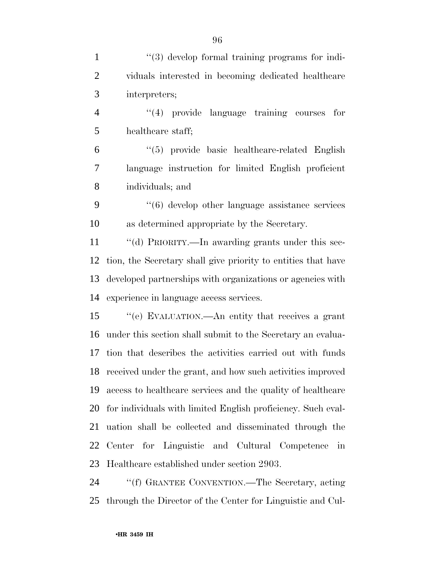| $\mathbf{1}$   | $\lq(3)$ develop formal training programs for indi-              |
|----------------|------------------------------------------------------------------|
| $\overline{2}$ | viduals interested in becoming dedicated healthcare              |
| 3              | interpreters;                                                    |
| $\overline{4}$ | "(4) provide language training courses<br>for                    |
| 5              | healthcare staff;                                                |
| 6              | $\lq(5)$ provide basic healthcare-related English                |
| $\overline{7}$ | language instruction for limited English proficient              |
| 8              | individuals; and                                                 |
| 9              | $\cdot\cdot\cdot$ (6) develop other language assistance services |
| 10             | as determined appropriate by the Secretary.                      |
| 11             | "(d) PRIORITY.—In awarding grants under this sec-                |
| 12             | tion, the Secretary shall give priority to entities that have    |
| 13             | developed partnerships with organizations or agencies with       |
| 14             | experience in language access services.                          |
| 15             | "(e) EVALUATION.—An entity that receives a grant                 |
| 16             | under this section shall submit to the Secretary an evalua-      |
| 17             | tion that describes the activities carried out with funds        |
|                | 18 received under the grant, and how such activities improved    |
| 19             | access to healthcare services and the quality of healthcare      |
| 20             | for individuals with limited English proficiency. Such eval-     |
| 21             | uation shall be collected and disseminated through the           |
| 22             | Center for Linguistic and Cultural Competence in                 |
| 23             | Healthcare established under section 2903.                       |
| 24             | "(f) GRANTEE CONVENTION.—The Secretary, acting                   |

through the Director of the Center for Linguistic and Cul-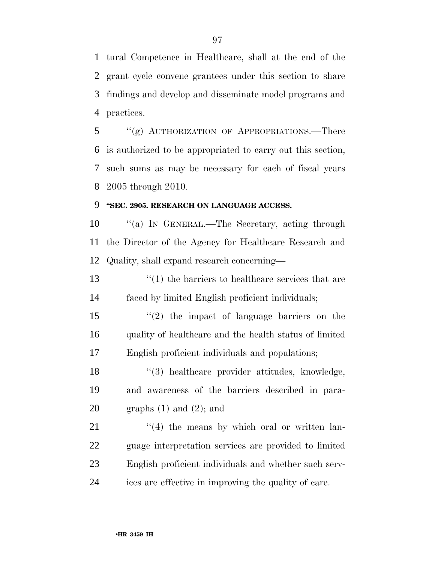tural Competence in Healthcare, shall at the end of the grant cycle convene grantees under this section to share findings and develop and disseminate model programs and practices.

 ''(g) AUTHORIZATION OF APPROPRIATIONS.—There is authorized to be appropriated to carry out this section, such sums as may be necessary for each of fiscal years 2005 through 2010.

#### **''SEC. 2905. RESEARCH ON LANGUAGE ACCESS.**

10 "(a) IN GENERAL.—The Secretary, acting through the Director of the Agency for Healthcare Research and Quality, shall expand research concerning—

 ''(1) the barriers to healthcare services that are faced by limited English proficient individuals;

 ''(2) the impact of language barriers on the 16 quality of healthcare and the health status of limited English proficient individuals and populations;

18 ''(3) healthcare provider attitudes, knowledge, and awareness of the barriers described in para-20 graphs  $(1)$  and  $(2)$ ; and

 ''(4) the means by which oral or written lan- guage interpretation services are provided to limited English proficient individuals and whether such serv-ices are effective in improving the quality of care.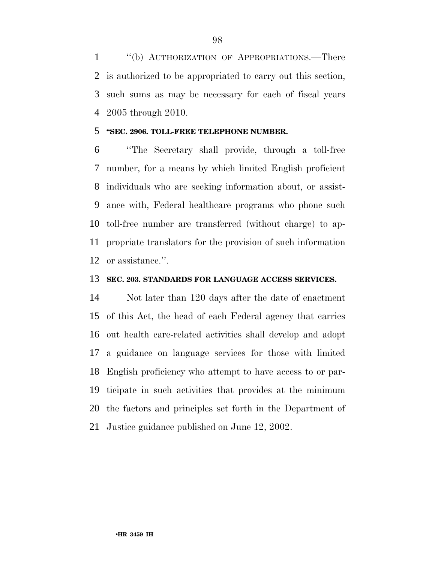''(b) AUTHORIZATION OF APPROPRIATIONS.—There is authorized to be appropriated to carry out this section, such sums as may be necessary for each of fiscal years 2005 through 2010.

#### **''SEC. 2906. TOLL-FREE TELEPHONE NUMBER.**

 ''The Secretary shall provide, through a toll-free number, for a means by which limited English proficient individuals who are seeking information about, or assist- ance with, Federal healthcare programs who phone such toll-free number are transferred (without charge) to ap- propriate translators for the provision of such information or assistance.''.

#### **SEC. 203. STANDARDS FOR LANGUAGE ACCESS SERVICES.**

 Not later than 120 days after the date of enactment of this Act, the head of each Federal agency that carries out health care-related activities shall develop and adopt a guidance on language services for those with limited English proficiency who attempt to have access to or par- ticipate in such activities that provides at the minimum the factors and principles set forth in the Department of Justice guidance published on June 12, 2002.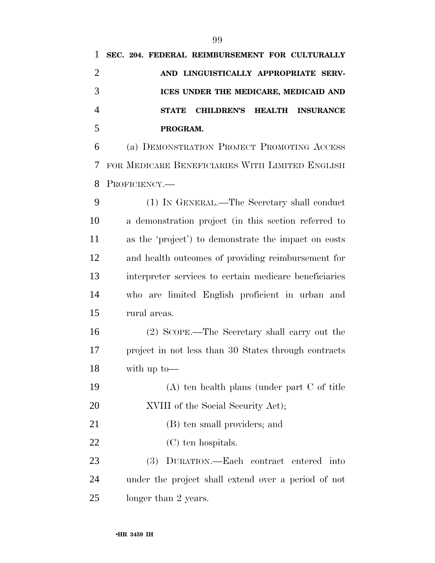**STATE CHILDREN'S HEALTH INSURANCE PROGRAM.** 

 (a) DEMONSTRATION PROJECT PROMOTING ACCESS FOR MEDICARE BENEFICIARIES WITH LIMITED ENGLISH PROFICIENCY.—

 (1) IN GENERAL.—The Secretary shall conduct a demonstration project (in this section referred to as the 'project') to demonstrate the impact on costs and health outcomes of providing reimbursement for interpreter services to certain medicare beneficiaries who are limited English proficient in urban and rural areas.

 (2) SCOPE.—The Secretary shall carry out the project in not less than 30 States through contracts with up to—

 (A) ten health plans (under part C of title 20 XVIII of the Social Security Act);

(B) ten small providers; and

22 (C) ten hospitals.

 (3) DURATION.—Each contract entered into under the project shall extend over a period of not longer than 2 years.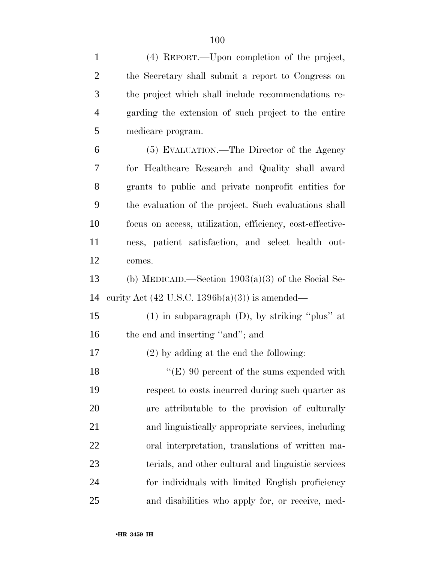| $\mathbf{1}$   | (4) REPORT.—Upon completion of the project,               |
|----------------|-----------------------------------------------------------|
| $\overline{2}$ | the Secretary shall submit a report to Congress on        |
| 3              | the project which shall include recommendations re-       |
| $\overline{4}$ | garding the extension of such project to the entire       |
| 5              | medicare program.                                         |
| 6              | (5) EVALUATION.—The Director of the Agency                |
| 7              | for Healthcare Research and Quality shall award           |
| 8              | grants to public and private nonprofit entities for       |
| 9              | the evaluation of the project. Such evaluations shall     |
| 10             | focus on access, utilization, efficiency, cost-effective- |
| 11             | ness, patient satisfaction, and select health out-        |
| 12             | comes.                                                    |
| 13             | (b) MEDICAID.—Section $1903(a)(3)$ of the Social Se-      |
| 14             | curity Act $(42 \text{ U.S.C. } 1396b(a)(3))$ is amended— |
| 15             | $(1)$ in subparagraph $(D)$ , by striking "plus" at       |
| 16             | the end and inserting "and"; and                          |
| 17             | $(2)$ by adding at the end the following:                 |
| 18             | " $(E)$ 90 percent of the sums expended with              |
| 19             | respect to costs incurred during such quarter as          |
| 20             | are attributable to the provision of culturally           |
| 21             | and linguistically appropriate services, including        |
| 22             | oral interpretation, translations of written ma-          |
| 23             | terials, and other cultural and linguistic services       |
| 24             | for individuals with limited English proficiency          |
| 25             | and disabilities who apply for, or receive, med-          |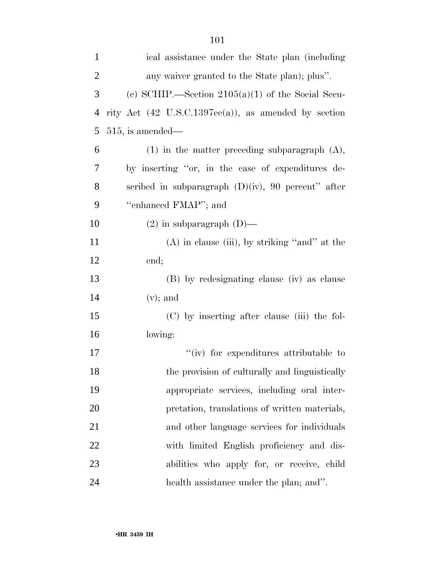| $\mathbf{1}$   | ical assistance under the State plan (including                |
|----------------|----------------------------------------------------------------|
| $\overline{2}$ | any waiver granted to the State plan); plus".                  |
| 3              | (c) SCHIP.—Section $2105(a)(1)$ of the Social Secu-            |
| 4              | rity Act $(42 \text{ U.S.C.1397ee(a)}),$ as amended by section |
| 5              | $515$ , is amended—                                            |
| 6              | $(1)$ in the matter preceding subparagraph $(A)$ ,             |
| 7              | by inserting "or, in the case of expenditures de-              |
| 8              | scribed in subparagraph $(D)(iv)$ , 90 percent" after          |
| 9              | "enhanced FMAP"; and                                           |
| 10             | $(2)$ in subparagraph $(D)$ —                                  |
| 11             | $(A)$ in clause (iii), by striking "and" at the                |
| 12             | end;                                                           |
| 13             | (B) by redesignating clause (iv) as clause                     |
| 14             | $(v)$ ; and                                                    |
| 15             | (C) by inserting after clause (iii) the fol-                   |
| 16             | lowing:                                                        |
| 17             | "(iv) for expenditures attributable to                         |
| 18             | the provision of culturally and linguistically                 |
| 19             | appropriate services, including oral inter-                    |
| 20             | pretation, translations of written materials,                  |
| 21             | and other language services for individuals                    |
| 22             | with limited English proficiency and dis-                      |
| 23             | abilities who apply for, or receive, child                     |
| 24             | health assistance under the plan; and".                        |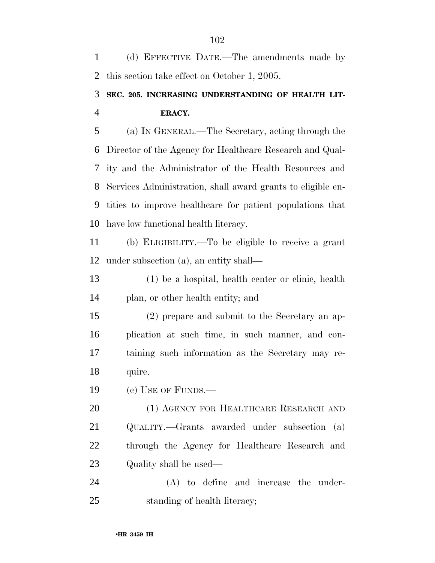(d) EFFECTIVE DATE.—The amendments made by this section take effect on October 1, 2005. **SEC. 205. INCREASING UNDERSTANDING OF HEALTH LIT- ERACY.**  (a) IN GENERAL.—The Secretary, acting through the Director of the Agency for Healthcare Research and Qual- ity and the Administrator of the Health Resources and Services Administration, shall award grants to eligible en- tities to improve healthcare for patient populations that have low functional health literacy. (b) ELIGIBILITY.—To be eligible to receive a grant under subsection (a), an entity shall— (1) be a hospital, health center or clinic, health plan, or other health entity; and (2) prepare and submit to the Secretary an ap- plication at such time, in such manner, and con- taining such information as the Secretary may re- quire. (c) USE OF FUNDS.— (1) AGENCY FOR HEALTHCARE RESEARCH AND QUALITY.—Grants awarded under subsection (a) through the Agency for Healthcare Research and Quality shall be used— (A) to define and increase the under-standing of health literacy;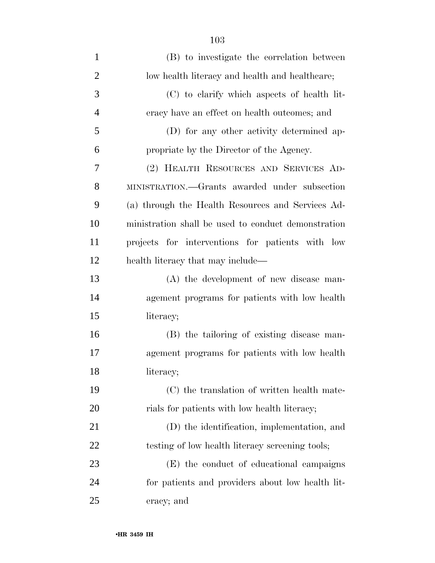| $\mathbf{1}$   | (B) to investigate the correlation between          |
|----------------|-----------------------------------------------------|
| $\overline{2}$ | low health literacy and health and healthcare;      |
| 3              | (C) to clarify which aspects of health lit-         |
| $\overline{4}$ | eracy have an effect on health outcomes; and        |
| 5              | (D) for any other activity determined ap-           |
| 6              | propriate by the Director of the Agency.            |
| 7              | (2) HEALTH RESOURCES AND SERVICES AD-               |
| 8              | MINISTRATION.—Grants awarded under subsection       |
| 9              | (a) through the Health Resources and Services Ad-   |
| 10             | ministration shall be used to conduct demonstration |
| 11             | projects for interventions for patients with low    |
| 12             | health literacy that may include—                   |
| 13             | (A) the development of new disease man-             |
| 14             | agement programs for patients with low health       |
| 15             | literacy;                                           |
| 16             | (B) the tailoring of existing disease man-          |
| 17             | agement programs for patients with low health       |
| 18             | literacy;                                           |
| 19             | (C) the translation of written health mate-         |
| 20             | rials for patients with low health literacy;        |
| 21             | (D) the identification, implementation, and         |
| 22             | testing of low health literacy screening tools;     |
| 23             | (E) the conduct of educational campaigns            |
| 24             | for patients and providers about low health lit-    |
| 25             | eracy; and                                          |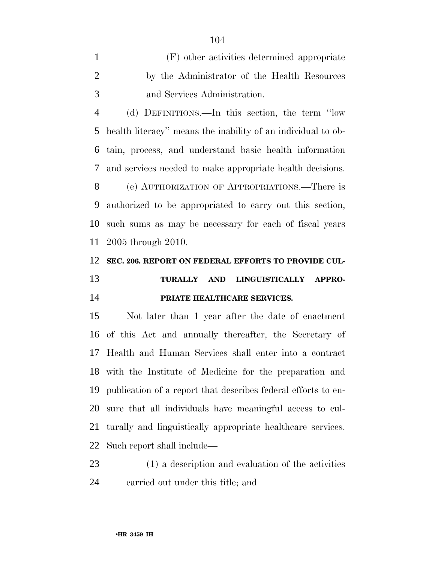(F) other activities determined appropriate by the Administrator of the Health Resources and Services Administration.

 (d) DEFINITIONS.—In this section, the term ''low health literacy'' means the inability of an individual to ob- tain, process, and understand basic health information and services needed to make appropriate health decisions. (e) AUTHORIZATION OF APPROPRIATIONS.—There is authorized to be appropriated to carry out this section, such sums as may be necessary for each of fiscal years 2005 through 2010.

# **SEC. 206. REPORT ON FEDERAL EFFORTS TO PROVIDE CUL-**

### **TURALLY AND LINGUISTICALLY APPRO-PRIATE HEALTHCARE SERVICES.**

 Not later than 1 year after the date of enactment of this Act and annually thereafter, the Secretary of Health and Human Services shall enter into a contract with the Institute of Medicine for the preparation and publication of a report that describes federal efforts to en- sure that all individuals have meaningful access to cul- turally and linguistically appropriate healthcare services. Such report shall include—

 (1) a description and evaluation of the activities carried out under this title; and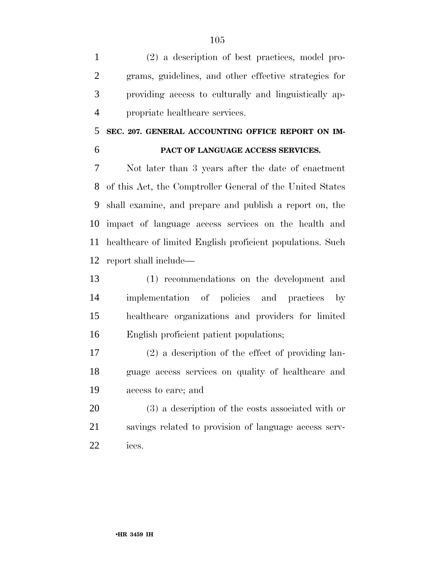(2) a description of best practices, model pro- grams, guidelines, and other effective strategies for providing access to culturally and linguistically ap-propriate healthcare services.

## **SEC. 207. GENERAL ACCOUNTING OFFICE REPORT ON IM-**

#### **PACT OF LANGUAGE ACCESS SERVICES.**

 Not later than 3 years after the date of enactment of this Act, the Comptroller General of the United States shall examine, and prepare and publish a report on, the impact of language access services on the health and healthcare of limited English proficient populations. Such report shall include—

 (1) recommendations on the development and implementation of policies and practices by healthcare organizations and providers for limited English proficient patient populations;

 (2) a description of the effect of providing lan- guage access services on quality of healthcare and access to care; and

 (3) a description of the costs associated with or savings related to provision of language access serv-ices.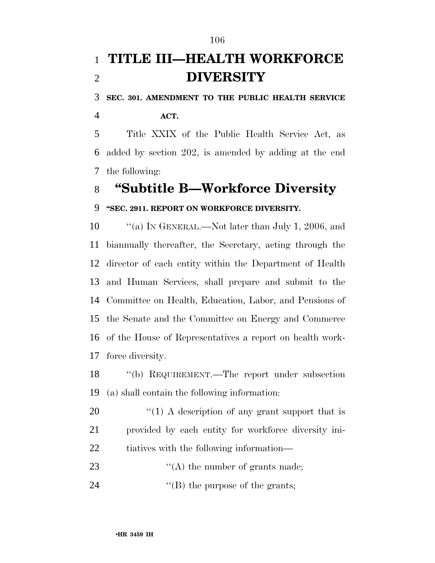## **TITLE III—HEALTH WORKFORCE DIVERSITY**

**SEC. 301. AMENDMENT TO THE PUBLIC HEALTH SERVICE** 

**ACT.** 

 Title XXIX of the Public Health Service Act, as added by section 202, is amended by adding at the end the following:

### **''Subtitle B—Workforce Diversity**

### **''SEC. 2911. REPORT ON WORKFORCE DIVERSITY.**

10 "(a) IN GENERAL.—Not later than July 1, 2006, and biannually thereafter, the Secretary, acting through the director of each entity within the Department of Health and Human Services, shall prepare and submit to the Committee on Health, Education, Labor, and Pensions of the Senate and the Committee on Energy and Commerce of the House of Representatives a report on health work-force diversity.

 ''(b) REQUIREMENT.—The report under subsection (a) shall contain the following information:

20  $\frac{1}{20}$  (1) A description of any grant support that is provided by each entity for workforce diversity ini-tiatives with the following information—

23  $\frac{1}{2}$   $\frac{1}{2}$  (A) the number of grants made;

24 ''(B) the purpose of the grants;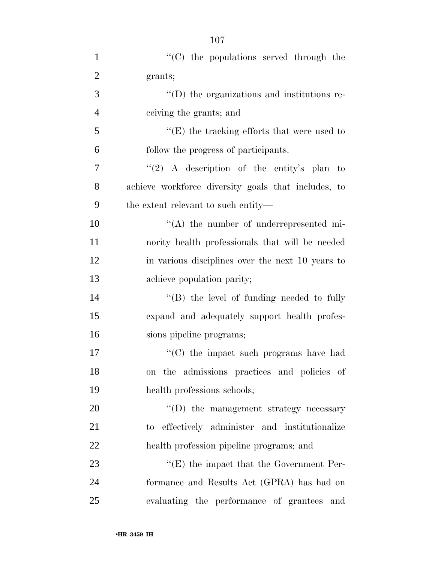| $\mathbf{1}$   | "(C) the populations served through the             |
|----------------|-----------------------------------------------------|
| $\overline{2}$ | grants;                                             |
| 3              | "(D) the organizations and institutions re-         |
| $\overline{4}$ | ceiving the grants; and                             |
| 5              | $\lq\lq$ (E) the tracking efforts that were used to |
| 6              | follow the progress of participants.                |
| 7              | "(2) A description of the entity's plan to          |
| 8              | achieve workforce diversity goals that includes, to |
| 9              | the extent relevant to such entity—                 |
| 10             | $\lq\lq$ the number of underrepresented mi-         |
| 11             | nority health professionals that will be needed     |
| 12             | in various disciplines over the next 10 years to    |
| 13             | achieve population parity;                          |
| 14             | $\lq\lq$ (B) the level of funding needed to fully   |
| 15             | expand and adequately support health profes-        |
| 16             | sions pipeline programs;                            |
| 17             | "(C) the impact such programs have had              |
| 18             | on the admissions practices and policies of         |
| 19             | health professions schools;                         |
| 20             | "(D) the management strategy necessary              |
| 21             | to effectively administer and institutionalize      |
| 22             | health profession pipeline programs; and            |
| 23             | $\lq\lq(E)$ the impact that the Government Per-     |
| 24             | formance and Results Act (GPRA) has had on          |
| 25             | evaluating the performance of grantees and          |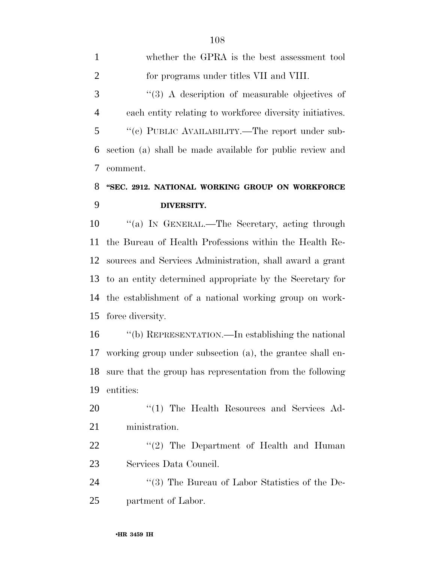whether the GPRA is the best assessment tool for programs under titles VII and VIII. 3 (3) A description of measurable objectives of each entity relating to workforce diversity initiatives. ''(c) PUBLIC AVAILABILITY.—The report under sub- section (a) shall be made available for public review and comment.

### **''SEC. 2912. NATIONAL WORKING GROUP ON WORKFORCE DIVERSITY.**

 ''(a) IN GENERAL.—The Secretary, acting through the Bureau of Health Professions within the Health Re- sources and Services Administration, shall award a grant to an entity determined appropriate by the Secretary for the establishment of a national working group on work-force diversity.

 ''(b) REPRESENTATION.—In establishing the national working group under subsection (a), the grantee shall en- sure that the group has representation from the following entities:

20 "(1) The Health Resources and Services Ad-ministration.

22 "'(2) The Department of Health and Human Services Data Council.

24 ''(3) The Bureau of Labor Statistics of the De-partment of Labor.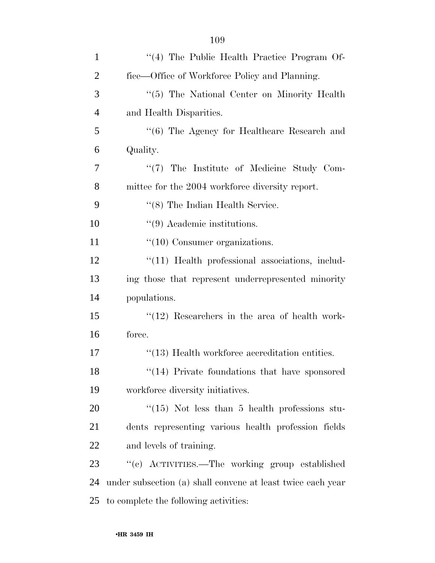| 1              | "(4) The Public Health Practice Program Of-                 |
|----------------|-------------------------------------------------------------|
| $\overline{2}$ | fice—Office of Workforce Policy and Planning.               |
| 3              | "(5) The National Center on Minority Health                 |
| $\overline{4}$ | and Health Disparities.                                     |
| 5              | "(6) The Agency for Healthcare Research and                 |
| 6              | Quality.                                                    |
| 7              | $\lq(7)$ The Institute of Medicine Study Com-               |
| 8              | mittee for the 2004 workforce diversity report.             |
| 9              | $\lq(8)$ The Indian Health Service.                         |
| 10             | $\lq(9)$ Academic institutions.                             |
| 11             | $\lq(10)$ Consumer organizations.                           |
| 12             | $"(11)$ Health professional associations, includ-           |
| 13             | ing those that represent underrepresented minority          |
| 14             | populations.                                                |
| 15             | $\lq(12)$ Researchers in the area of health work-           |
| 16             | force.                                                      |
| 17             | $"$ (13) Health workforce accreditation entities.           |
| 18             | $\lq(14)$ Private foundations that have sponsored           |
| 19             | workforce diversity initiatives.                            |
| 20             | $\cdot$ (15) Not less than 5 health professions stu-        |
| 21             | dents representing various health profession fields         |
| 22             | and levels of training.                                     |
| 23             | "(c) ACTIVITIES.—The working group established              |
| 24             | under subsection (a) shall convene at least twice each year |
| 25             | to complete the following activities:                       |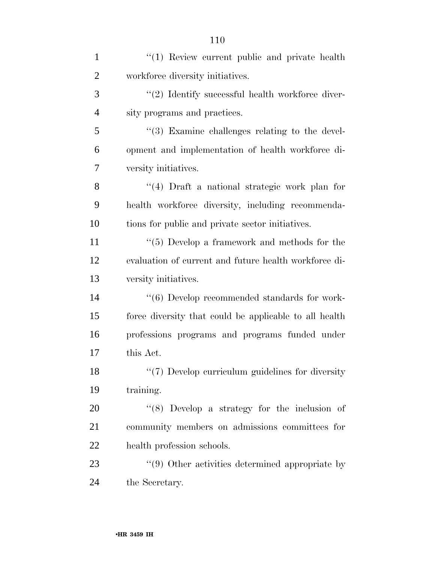| $\mathbf{1}$   | "(1) Review current public and private health          |
|----------------|--------------------------------------------------------|
| $\overline{2}$ | workforce diversity initiatives.                       |
| 3              | $\lq(2)$ Identify successful health workforce diver-   |
| $\overline{4}$ | sity programs and practices.                           |
| 5              | "(3) Examine challenges relating to the devel-         |
| 6              | opment and implementation of health workforce di-      |
| 7              | versity initiatives.                                   |
| 8              | $(4)$ Draft a national strategic work plan for         |
| 9              | health workforce diversity, including recommenda-      |
| 10             | tions for public and private sector initiatives.       |
| 11             | $``(5)$ Develop a framework and methods for the        |
| 12             | evaluation of current and future health workforce di-  |
| 13             | versity initiatives.                                   |
| 14             | $\lq(6)$ Develop recommended standards for work-       |
| 15             | force diversity that could be applicable to all health |
| 16             | professions programs and programs funded under         |
| 17             | this Act.                                              |
| 18             | "(7) Develop curriculum guidelines for diversity       |
| 19             | training.                                              |
| 20             | $(8)$ Develop a strategy for the inclusion of          |
| 21             | community members on admissions committees for         |
| 22             | health profession schools.                             |
| 23             | "(9) Other activities determined appropriate by        |
| 24             | the Secretary.                                         |
|                |                                                        |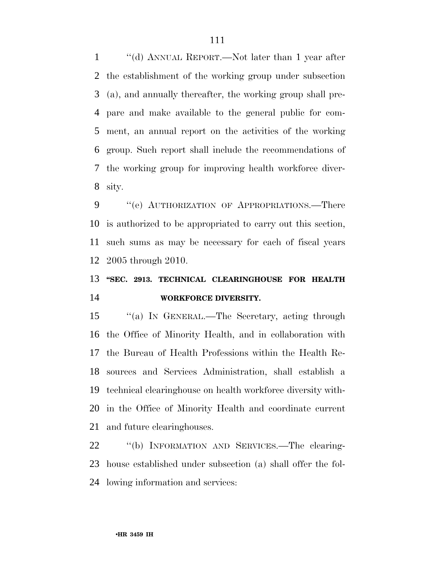''(d) ANNUAL REPORT.—Not later than 1 year after the establishment of the working group under subsection (a), and annually thereafter, the working group shall pre- pare and make available to the general public for com- ment, an annual report on the activities of the working group. Such report shall include the recommendations of the working group for improving health workforce diver-sity.

9 " (e) AUTHORIZATION OF APPROPRIATIONS.—There is authorized to be appropriated to carry out this section, such sums as may be necessary for each of fiscal years 2005 through 2010.

# **''SEC. 2913. TECHNICAL CLEARINGHOUSE FOR HEALTH WORKFORCE DIVERSITY.**

 ''(a) IN GENERAL.—The Secretary, acting through the Office of Minority Health, and in collaboration with the Bureau of Health Professions within the Health Re- sources and Services Administration, shall establish a technical clearinghouse on health workforce diversity with- in the Office of Minority Health and coordinate current and future clearinghouses.

 ''(b) INFORMATION AND SERVICES.—The clearing- house established under subsection (a) shall offer the fol-lowing information and services: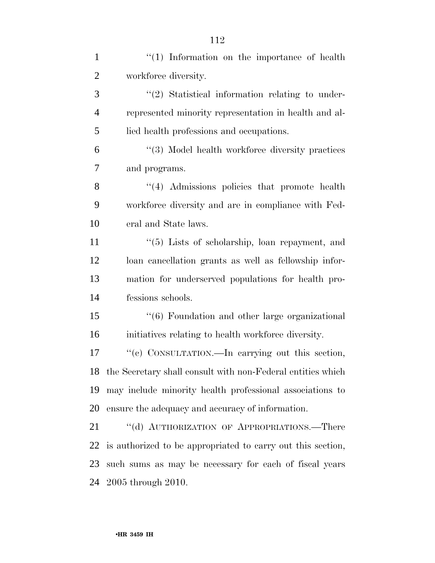| $\mathbf{1}$   | "(1) Information on the importance of health                    |
|----------------|-----------------------------------------------------------------|
| $\overline{2}$ | workforce diversity.                                            |
| 3              | $\lq(2)$ Statistical information relating to under-             |
| $\overline{4}$ | represented minority representation in health and al-           |
| 5              | lied health professions and occupations.                        |
| 6              | "(3) Model health workforce diversity practices                 |
| 7              | and programs.                                                   |
| 8              | $\lq(4)$ Admissions policies that promote health                |
| 9              | workforce diversity and are in compliance with Fed-             |
| 10             | eral and State laws.                                            |
| 11             | $\cdot\cdot$ (5) Lists of scholarship, loan repayment, and      |
| 12             | loan cancellation grants as well as fellowship infor-           |
| 13             | mation for underserved populations for health pro-              |
| 14             | fessions schools.                                               |
| 15             | $\cdot\cdot\cdot$ (6) Foundation and other large organizational |
| 16             | initiatives relating to health workforce diversity.             |
| 17             | "(c) CONSULTATION.—In carrying out this section,                |
|                | 18 the Secretary shall consult with non-Federal entities which  |
| 19             | may include minority health professional associations to        |
| 20             | ensure the adequacy and accuracy of information.                |
| 21             | "(d) AUTHORIZATION OF APPROPRIATIONS.—There                     |
| 22             | is authorized to be appropriated to carry out this section,     |
| 23             | such sums as may be necessary for each of fiscal years          |
| 24             | 2005 through 2010.                                              |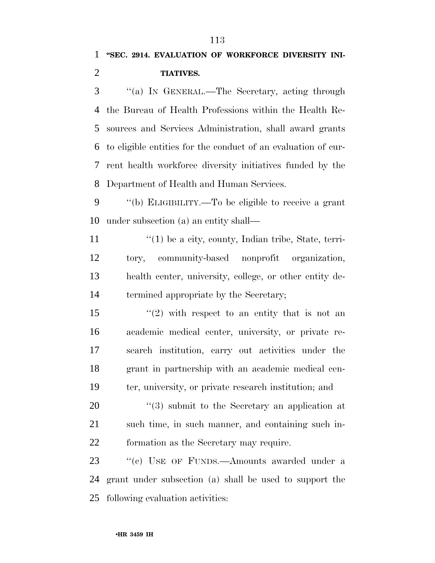''(a) IN GENERAL.—The Secretary, acting through the Bureau of Health Professions within the Health Re- sources and Services Administration, shall award grants to eligible entities for the conduct of an evaluation of cur- rent health workforce diversity initiatives funded by the Department of Health and Human Services.

 ''(b) ELIGIBILITY.—To be eligible to receive a grant under subsection (a) an entity shall—

 $\langle (1)$  be a city, county, Indian tribe, State, terri- tory, community-based nonprofit organization, health center, university, college, or other entity de-termined appropriate by the Secretary;

 $\frac{1}{2}$  with respect to an entity that is not an academic medical center, university, or private re- search institution, carry out activities under the grant in partnership with an academic medical cen-ter, university, or private research institution; and

20  $\frac{1}{20}$   $\frac{1}{3}$  submit to the Secretary an application at such time, in such manner, and containing such in-formation as the Secretary may require.

23 "(c) USE OF FUNDS.—Amounts awarded under a grant under subsection (a) shall be used to support the following evaluation activities: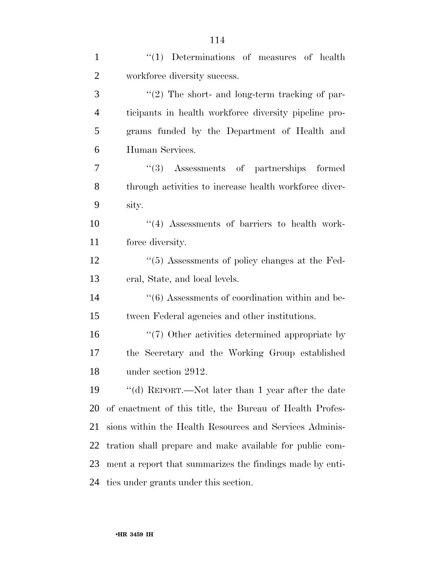| $\mathbf{1}$   | $"(1)$ Determinations of measures of health                     |
|----------------|-----------------------------------------------------------------|
| $\overline{2}$ | workforce diversity success.                                    |
| 3              | $\lq(2)$ The short- and long-term tracking of par-              |
| $\overline{4}$ | ticipants in health workforce diversity pipeline pro-           |
| 5              | grams funded by the Department of Health and                    |
| 6              | Human Services.                                                 |
| 7              | "(3) Assessments of partnerships formed                         |
| 8              | through activities to increase health workforce diver-          |
| 9              | sity.                                                           |
| 10             | $\cdot$ (4) Assessments of barriers to health work-             |
| 11             | force diversity.                                                |
| 12             | "(5) Assessments of policy changes at the Fed-                  |
| 13             | eral, State, and local levels.                                  |
| 14             | $\cdot\cdot\cdot(6)$ Assessments of coordination within and be- |
| 15             | tween Federal agencies and other institutions.                  |
| 16             | $\lq(7)$ Other activities determined appropriate by             |
| 17             | the Secretary and the Working Group established                 |
| 18             | under section 2912.                                             |
| 19             | "(d) REPORT.—Not later than 1 year after the date               |
| 20             | of enactment of this title, the Bureau of Health Profes-        |
| 21             | sions within the Health Resources and Services Adminis-         |
| 22             | tration shall prepare and make available for public com-        |
| 23             | ment a report that summarizes the findings made by enti-        |
| 24             | ties under grants under this section.                           |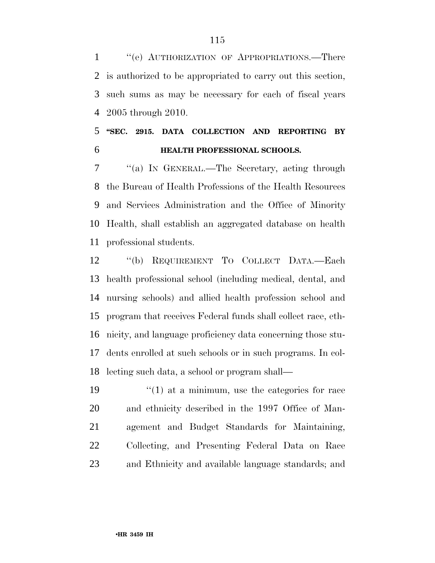1 "(e) AUTHORIZATION OF APPROPRIATIONS.—There is authorized to be appropriated to carry out this section, such sums as may be necessary for each of fiscal years 2005 through 2010.

#### **''SEC. 2915. DATA COLLECTION AND REPORTING BY HEALTH PROFESSIONAL SCHOOLS.**

 ''(a) IN GENERAL.—The Secretary, acting through the Bureau of Health Professions of the Health Resources and Services Administration and the Office of Minority Health, shall establish an aggregated database on health professional students.

 ''(b) REQUIREMENT TO COLLECT DATA.—Each health professional school (including medical, dental, and nursing schools) and allied health profession school and program that receives Federal funds shall collect race, eth- nicity, and language proficiency data concerning those stu- dents enrolled at such schools or in such programs. In col-lecting such data, a school or program shall—

 $\frac{1}{2}$  (1) at a minimum, use the categories for race and ethnicity described in the 1997 Office of Man- agement and Budget Standards for Maintaining, Collecting, and Presenting Federal Data on Race and Ethnicity and available language standards; and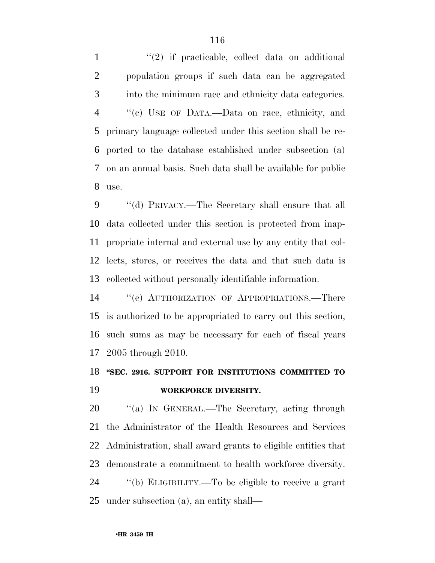1 ''(2) if practicable, collect data on additional population groups if such data can be aggregated into the minimum race and ethnicity data categories. ''(c) USE OF DATA.—Data on race, ethnicity, and primary language collected under this section shall be re- ported to the database established under subsection (a) on an annual basis. Such data shall be available for public use.

 ''(d) PRIVACY.—The Secretary shall ensure that all data collected under this section is protected from inap- propriate internal and external use by any entity that col- lects, stores, or receives the data and that such data is collected without personally identifiable information.

 ''(e) AUTHORIZATION OF APPROPRIATIONS.—There is authorized to be appropriated to carry out this section, such sums as may be necessary for each of fiscal years 2005 through 2010.

# **''SEC. 2916. SUPPORT FOR INSTITUTIONS COMMITTED TO WORKFORCE DIVERSITY.**

20 "(a) IN GENERAL.—The Secretary, acting through the Administrator of the Health Resources and Services Administration, shall award grants to eligible entities that demonstrate a commitment to health workforce diversity. ''(b) ELIGIBILITY.—To be eligible to receive a grant

under subsection (a), an entity shall—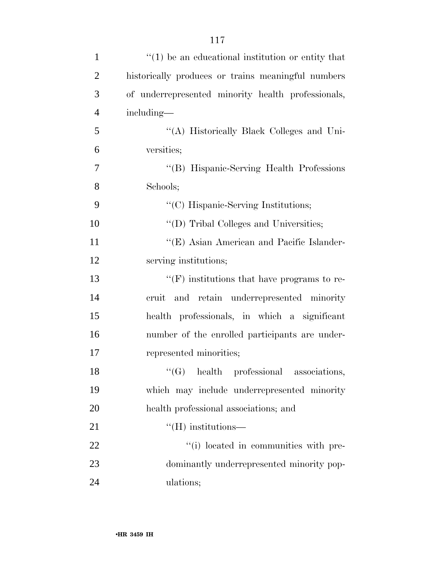| $\mathbf{1}$   | $\cdot\cdot(1)$ be an educational institution or entity that |
|----------------|--------------------------------------------------------------|
| $\overline{2}$ | historically produces or trains meaningful numbers           |
| 3              | of underrepresented minority health professionals,           |
| $\overline{4}$ | including—                                                   |
| 5              | "(A) Historically Black Colleges and Uni-                    |
| 6              | versities;                                                   |
| 7              | "(B) Hispanic-Serving Health Professions                     |
| 8              | Schools;                                                     |
| 9              | "(C) Hispanic-Serving Institutions;                          |
| 10             | "(D) Tribal Colleges and Universities;                       |
| 11             | "(E) Asian American and Pacific Islander-                    |
| 12             | serving institutions;                                        |
| 13             | $\lq\lq(F)$ institutions that have programs to re-           |
| 14             | cruit and retain underrepresented minority                   |
| 15             | health professionals, in which a significant                 |
| 16             | number of the enrolled participants are under-               |
| 17             | represented minorities;                                      |
| 18             | $\lq\lq$ (G) health professional associations,               |
| 19             | which may include underrepresented minority                  |
| 20             | health professional associations; and                        |
| 21             | $\lq\lq$ (H) institutions—                                   |
| 22             | "(i) located in communities with pre-                        |
| 23             | dominantly underrepresented minority pop-                    |
| 24             | ulations;                                                    |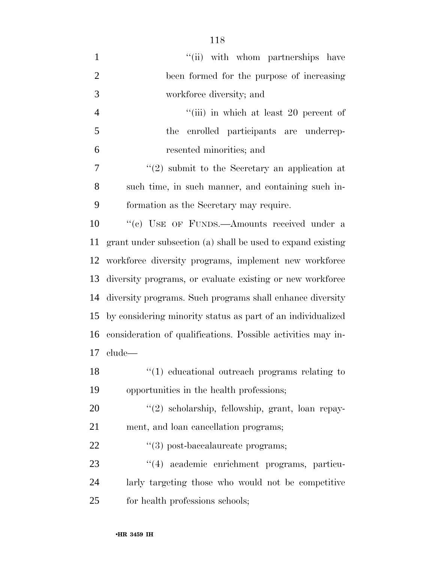| $\mathbf{1}$   | "(ii) with whom partnerships have                            |
|----------------|--------------------------------------------------------------|
| $\overline{2}$ | been formed for the purpose of increasing                    |
| 3              | workforce diversity; and                                     |
| 4              | "(iii) in which at least 20 percent of                       |
| 5              | enrolled participants are underrep-<br>the                   |
| 6              | resented minorities; and                                     |
| 7              | $\lq(2)$ submit to the Secretary an application at           |
| 8              | such time, in such manner, and containing such in-           |
| 9              | formation as the Secretary may require.                      |
| 10             | "(c) USE OF FUNDS.—Amounts received under a                  |
| 11             | grant under subsection (a) shall be used to expand existing  |
| 12             | workforce diversity programs, implement new workforce        |
| 13             | diversity programs, or evaluate existing or new workforce    |
| 14             | diversity programs. Such programs shall enhance diversity    |
| 15             | by considering minority status as part of an individualized  |
| 16             | consideration of qualifications. Possible activities may in- |
| 17             | clude—                                                       |
| 18             | $\lq(1)$ educational outreach programs relating to           |
| 19             | opportunities in the health professions;                     |
| 20             | "(2) scholarship, fellowship, grant, loan repay-             |
| 21             | ment, and loan cancellation programs;                        |
| 22             | $\lq(3)$ post-baccalaureate programs;                        |
| 23             | "(4) academic enrichment programs, particu-                  |
| 24             | larly targeting those who would not be competitive           |
| 25             | for health professions schools;                              |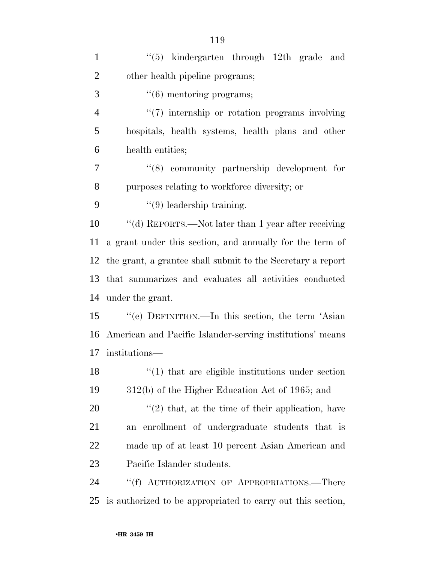| $\mathbf{1}$   | $(5)$ kindergarten through 12th grade and                         |
|----------------|-------------------------------------------------------------------|
| $\overline{2}$ | other health pipeline programs;                                   |
| 3              | $\lq(6)$ mentoring programs;                                      |
| $\overline{4}$ | $\lq(7)$ internship or rotation programs involving                |
| 5              | hospitals, health systems, health plans and other                 |
| 6              | health entities;                                                  |
| 7              | $\cdot$ (8) community partnership development for                 |
| 8              | purposes relating to workforce diversity; or                      |
| 9              | $\lq(9)$ leadership training.                                     |
| 10             | "(d) REPORTS.—Not later than 1 year after receiving               |
| 11             | a grant under this section, and annually for the term of          |
| 12             | the grant, a grantee shall submit to the Secretary a report       |
| 13             | that summarizes and evaluates all activities conducted            |
| 14             | under the grant.                                                  |
| 15             | "(e) DEFINITION.—In this section, the term 'Asian                 |
| 16             | American and Pacific Islander-serving institutions' means         |
| 17             | institutions-                                                     |
| 18             | $\cdot\cdot\cdot(1)$ that are eligible institutions under section |
| 19             | 312(b) of the Higher Education Act of 1965; and                   |
| 20             | $f'(2)$ that, at the time of their application, have              |
| 21             | an enrollment of undergraduate students that is                   |
| 22             | made up of at least 10 percent Asian American and                 |
| 23             | Pacific Islander students.                                        |
| 24             | "(f) AUTHORIZATION OF APPROPRIATIONS.—There                       |
| 25             | is authorized to be appropriated to carry out this section,       |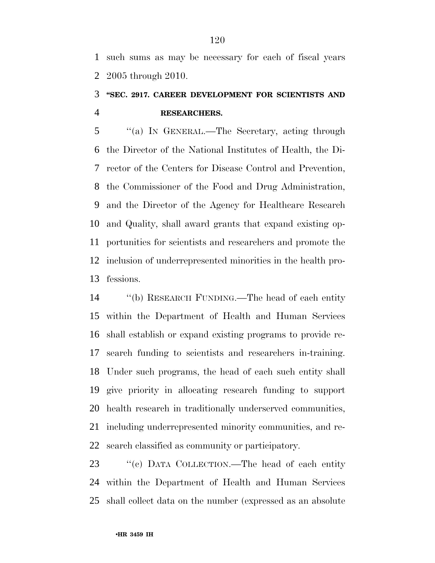such sums as may be necessary for each of fiscal years 2005 through 2010.

### **''SEC. 2917. CAREER DEVELOPMENT FOR SCIENTISTS AND RESEARCHERS.**

 ''(a) IN GENERAL.—The Secretary, acting through the Director of the National Institutes of Health, the Di- rector of the Centers for Disease Control and Prevention, the Commissioner of the Food and Drug Administration, and the Director of the Agency for Healthcare Research and Quality, shall award grants that expand existing op- portunities for scientists and researchers and promote the inclusion of underrepresented minorities in the health pro-fessions.

 ''(b) RESEARCH FUNDING.—The head of each entity within the Department of Health and Human Services shall establish or expand existing programs to provide re- search funding to scientists and researchers in-training. Under such programs, the head of each such entity shall give priority in allocating research funding to support health research in traditionally underserved communities, including underrepresented minority communities, and re-search classified as community or participatory.

23 " (c) DATA COLLECTION.—The head of each entity within the Department of Health and Human Services shall collect data on the number (expressed as an absolute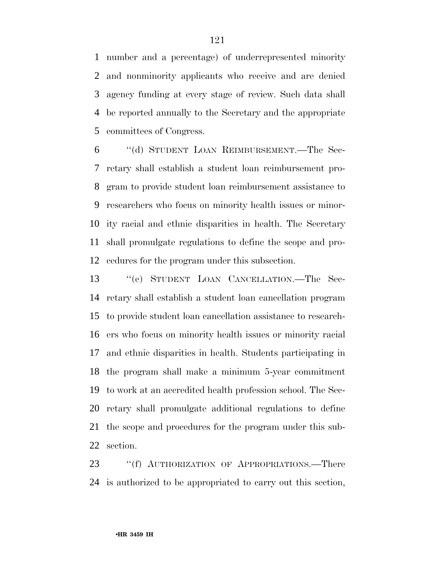number and a percentage) of underrepresented minority and nonminority applicants who receive and are denied agency funding at every stage of review. Such data shall be reported annually to the Secretary and the appropriate committees of Congress.

 ''(d) STUDENT LOAN REIMBURSEMENT.—The Sec- retary shall establish a student loan reimbursement pro- gram to provide student loan reimbursement assistance to researchers who focus on minority health issues or minor- ity racial and ethnic disparities in health. The Secretary shall promulgate regulations to define the scope and pro-cedures for the program under this subsection.

 ''(e) STUDENT LOAN CANCELLATION.—The Sec- retary shall establish a student loan cancellation program to provide student loan cancellation assistance to research- ers who focus on minority health issues or minority racial and ethnic disparities in health. Students participating in the program shall make a minimum 5-year commitment to work at an accredited health profession school. The Sec- retary shall promulgate additional regulations to define the scope and procedures for the program under this sub-section.

23 "(f) AUTHORIZATION OF APPROPRIATIONS.—There is authorized to be appropriated to carry out this section,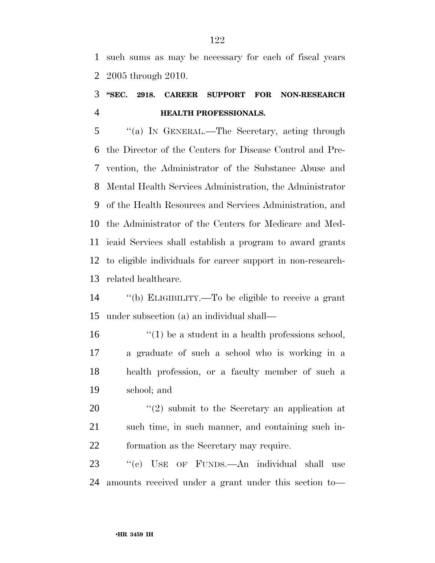such sums as may be necessary for each of fiscal years 2005 through 2010.

### **''SEC. 2918. CAREER SUPPORT FOR NON-RESEARCH HEALTH PROFESSIONALS.**

 ''(a) IN GENERAL.—The Secretary, acting through the Director of the Centers for Disease Control and Pre- vention, the Administrator of the Substance Abuse and Mental Health Services Administration, the Administrator of the Health Resources and Services Administration, and the Administrator of the Centers for Medicare and Med- icaid Services shall establish a program to award grants to eligible individuals for career support in non-research-related healthcare.

 ''(b) ELIGIBILITY.—To be eligible to receive a grant under subsection (a) an individual shall—

16 ''(1) be a student in a health professions school, a graduate of such a school who is working in a health profession, or a faculty member of such a school; and

20  $\frac{1}{2}$   $\frac{1}{2}$  submit to the Secretary an application at such time, in such manner, and containing such in-formation as the Secretary may require.

 ''(c) USE OF FUNDS.—An individual shall use amounts received under a grant under this section to—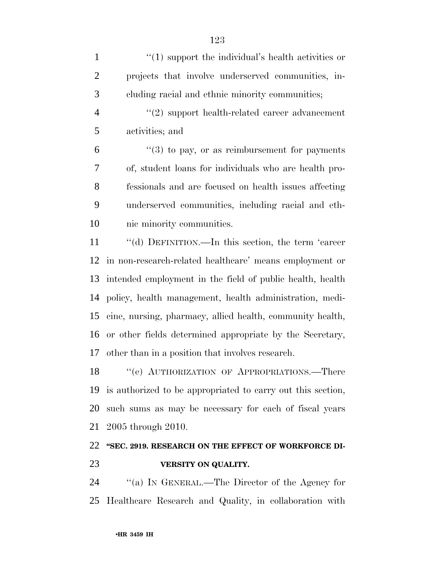1 ''(1) support the individual's health activities or projects that involve underserved communities, in- cluding racial and ethnic minority communities;  $(2)$  support health-related career advancement activities; and  $(6)$  <sup>"</sup>(3) to pay, or as reimbursement for payments of, student loans for individuals who are health pro- fessionals and are focused on health issues affecting underserved communities, including racial and eth- nic minority communities. ''(d) DEFINITION.—In this section, the term 'career in non-research-related healthcare' means employment or intended employment in the field of public health, health policy, health management, health administration, medi- cine, nursing, pharmacy, allied health, community health, or other fields determined appropriate by the Secretary, other than in a position that involves research. 18 "(e) AUTHORIZATION OF APPROPRIATIONS.—There

 is authorized to be appropriated to carry out this section, such sums as may be necessary for each of fiscal years 2005 through 2010.

### **''SEC. 2919. RESEARCH ON THE EFFECT OF WORKFORCE DI-VERSITY ON QUALITY.**

 ''(a) IN GENERAL.—The Director of the Agency for Healthcare Research and Quality, in collaboration with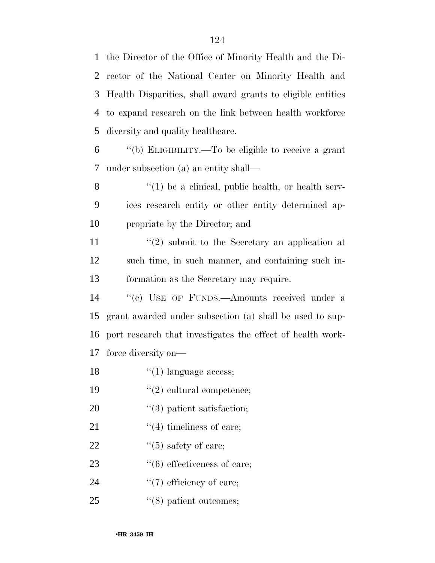the Director of the Office of Minority Health and the Di- rector of the National Center on Minority Health and Health Disparities, shall award grants to eligible entities to expand research on the link between health workforce diversity and quality healthcare.

6 ''(b) ELIGIBILITY.—To be eligible to receive a grant 7 under subsection (a) an entity shall—

 $8$  ''(1) be a clinical, public health, or health serv-9 ices research entity or other entity determined ap-10 propriate by the Director; and

11 ''(2) submit to the Secretary an application at 12 such time, in such manner, and containing such in-13 formation as the Secretary may require.

14 "(c) USE OF FUNDS.—Amounts received under a grant awarded under subsection (a) shall be used to sup- port research that investigates the effect of health work-force diversity on—

- 18  $\frac{1}{2}$   $(1)$  language access;
- 19  $"(2)$  cultural competence;
- 20  $\frac{1}{2}$  (3) patient satisfaction;
- 21  $\frac{1}{2}$   $\frac{1}{2}$  timeliness of care;
- 22  $\frac{1}{2}$   $\frac{1}{5}$  safety of care;
- 23  $\frac{1}{2}$  (6) effectiveness of care;
- 24  $\frac{1}{2}$  (7) efficiency of care;
- 25  $(8)$  patient outcomes;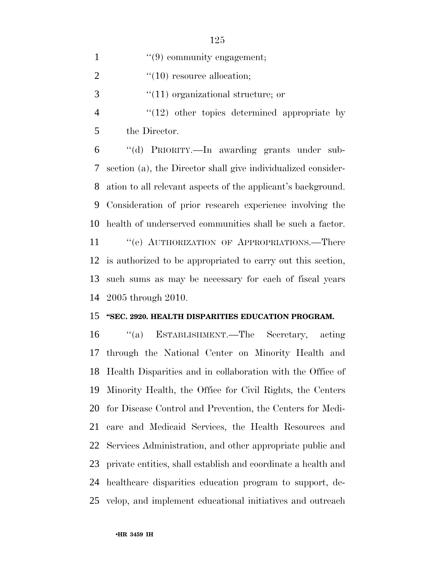1  $\frac{1}{2}$  (9) community engagement;

2  $\frac{1}{2}$   $\frac{1}{10}$  resource allocation;

''(11) organizational structure; or

4 "(12) other topics determined appropriate by the Director.

 ''(d) PRIORITY.—In awarding grants under sub- section (a), the Director shall give individualized consider- ation to all relevant aspects of the applicant's background. Consideration of prior research experience involving the health of underserved communities shall be such a factor.

11 " (e) AUTHORIZATION OF APPROPRIATIONS.—There is authorized to be appropriated to carry out this section, such sums as may be necessary for each of fiscal years 2005 through 2010.

#### **''SEC. 2920. HEALTH DISPARITIES EDUCATION PROGRAM.**

 ''(a) ESTABLISHMENT.—The Secretary, acting through the National Center on Minority Health and Health Disparities and in collaboration with the Office of Minority Health, the Office for Civil Rights, the Centers for Disease Control and Prevention, the Centers for Medi- care and Medicaid Services, the Health Resources and Services Administration, and other appropriate public and private entities, shall establish and coordinate a health and healthcare disparities education program to support, de-velop, and implement educational initiatives and outreach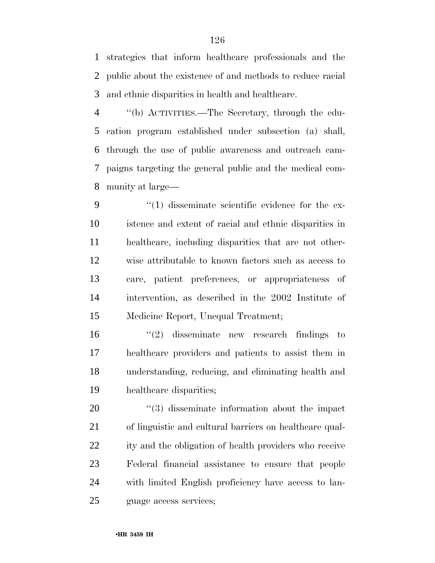strategies that inform healthcare professionals and the public about the existence of and methods to reduce racial and ethnic disparities in health and healthcare.

 ''(b) ACTIVITIES.—The Secretary, through the edu- cation program established under subsection (a) shall, through the use of public awareness and outreach cam- paigns targeting the general public and the medical com-munity at large—

 $\frac{4}{1}$  disseminate scientific evidence for the ex- istence and extent of racial and ethnic disparities in healthcare, including disparities that are not other- wise attributable to known factors such as access to care, patient preferences, or appropriateness of intervention, as described in the 2002 Institute of Medicine Report, Unequal Treatment;

 ''(2) disseminate new research findings to healthcare providers and patients to assist them in understanding, reducing, and eliminating health and healthcare disparities;

 $\frac{1}{20}$   $\frac{1}{3}$  disseminate information about the impact of linguistic and cultural barriers on healthcare qual- ity and the obligation of health providers who receive Federal financial assistance to ensure that people with limited English proficiency have access to lan-guage access services;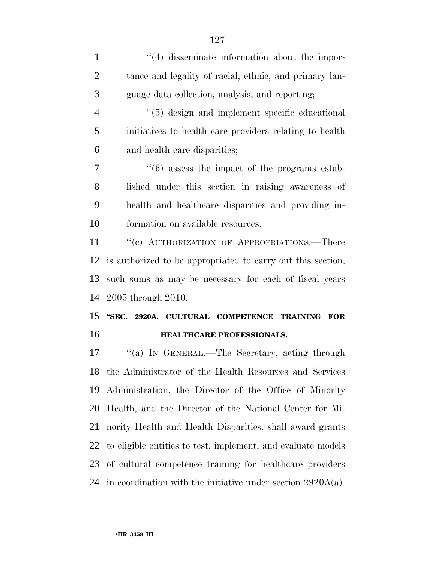$\frac{1}{4}$  disseminate information about the impor- tance and legality of racial, ethnic, and primary lan- guage data collection, analysis, and reporting;  $\frac{4}{5}$  design and implement specific educational initiatives to health care providers relating to health and health care disparities; ''(6) assess the impact of the programs estab- lished under this section in raising awareness of health and healthcare disparities and providing in- formation on available resources. 11 "(c) AUTHORIZATION OF APPROPRIATIONS.—There is authorized to be appropriated to carry out this section, such sums as may be necessary for each of fiscal years 2005 through 2010. **''SEC. 2920A. CULTURAL COMPETENCE TRAINING FOR HEALTHCARE PROFESSIONALS.**  ''(a) IN GENERAL.—The Secretary, acting through the Administrator of the Health Resources and Services Administration, the Director of the Office of Minority

 Health, and the Director of the National Center for Mi- nority Health and Health Disparities, shall award grants to eligible entities to test, implement, and evaluate models of cultural competence training for healthcare providers in coordination with the initiative under section 2920A(a).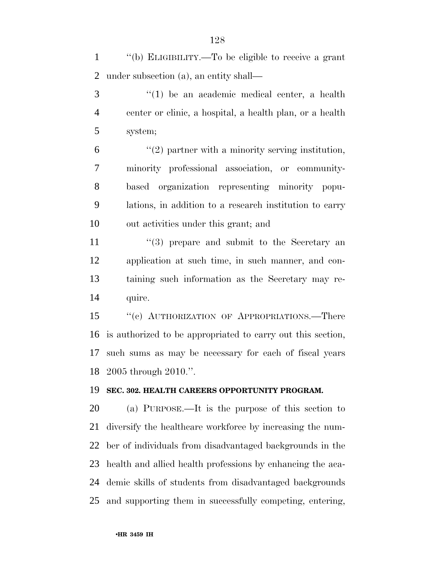''(b) ELIGIBILITY.—To be eligible to receive a grant under subsection (a), an entity shall—

 ''(1) be an academic medical center, a health center or clinic, a hospital, a health plan, or a health system;

 $(2)$  partner with a minority serving institution, minority professional association, or community- based organization representing minority popu- lations, in addition to a research institution to carry out activities under this grant; and

11 ''(3) prepare and submit to the Secretary an application at such time, in such manner, and con- taining such information as the Secretary may re-quire.

15 "(c) AUTHORIZATION OF APPROPRIATIONS.—There is authorized to be appropriated to carry out this section, such sums as may be necessary for each of fiscal years 2005 through 2010.''.

#### **SEC. 302. HEALTH CAREERS OPPORTUNITY PROGRAM.**

 (a) PURPOSE.—It is the purpose of this section to diversify the healthcare workforce by increasing the num- ber of individuals from disadvantaged backgrounds in the health and allied health professions by enhancing the aca- demic skills of students from disadvantaged backgrounds and supporting them in successfully competing, entering,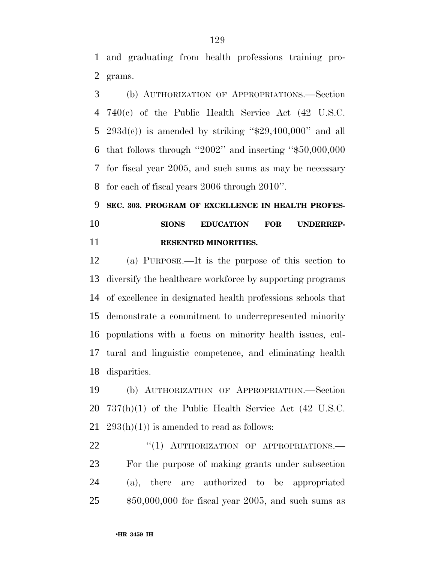and graduating from health professions training pro-grams.

 (b) AUTHORIZATION OF APPROPRIATIONS.—Section 740(c) of the Public Health Service Act (42 U.S.C. 5 293d(c)) is amended by striking " $$29,400,000$ " and all that follows through ''2002'' and inserting ''\$50,000,000 for fiscal year 2005, and such sums as may be necessary for each of fiscal years 2006 through 2010''.

# **SEC. 303. PROGRAM OF EXCELLENCE IN HEALTH PROFES- SIONS EDUCATION FOR UNDERREP-RESENTED MINORITIES.**

 (a) PURPOSE.—It is the purpose of this section to diversify the healthcare workforce by supporting programs of excellence in designated health professions schools that demonstrate a commitment to underrepresented minority populations with a focus on minority health issues, cul- tural and linguistic competence, and eliminating health disparities.

 (b) AUTHORIZATION OF APPROPRIATION.—Section 737(h)(1) of the Public Health Service Act (42 U.S.C. 21  $293(h)(1)$  is amended to read as follows:

22 "(1) AUTHORIZATION OF APPROPRIATIONS. For the purpose of making grants under subsection (a), there are authorized to be appropriated \$50,000,000 for fiscal year 2005, and such sums as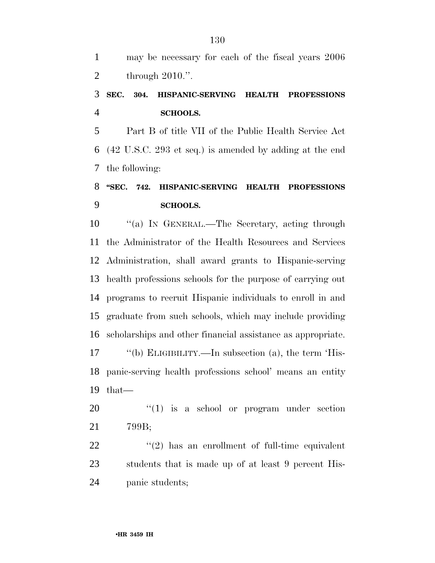may be necessary for each of the fiscal years 2006 through 2010.''.

#### **SEC. 304. HISPANIC-SERVING HEALTH PROFESSIONS SCHOOLS.**

 Part B of title VII of the Public Health Service Act (42 U.S.C. 293 et seq.) is amended by adding at the end the following:

### **''SEC. 742. HISPANIC-SERVING HEALTH PROFESSIONS SCHOOLS.**

 ''(a) IN GENERAL.—The Secretary, acting through the Administrator of the Health Resources and Services Administration, shall award grants to Hispanic-serving health professions schools for the purpose of carrying out programs to recruit Hispanic individuals to enroll in and graduate from such schools, which may include providing scholarships and other financial assistance as appropriate. ''(b) ELIGIBILITY.—In subsection (a), the term 'His- panic-serving health professions school' means an entity that—

 ''(1) is a school or program under section 799B;

 $\frac{1}{22}$  ''(2) has an enrollment of full-time equivalent students that is made up of at least 9 percent His-panic students;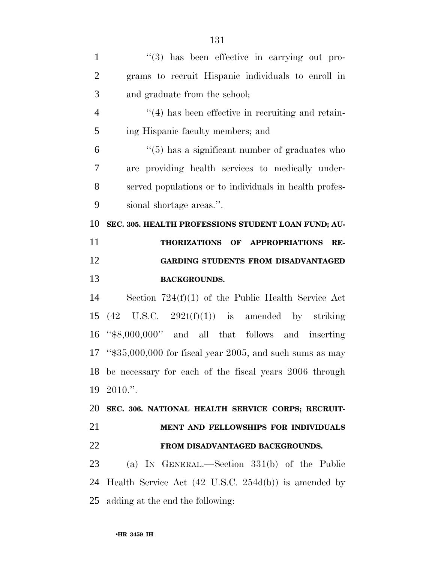| $\mathbf{1}$   | $\lq(3)$ has been effective in carrying out pro-                |
|----------------|-----------------------------------------------------------------|
| $\overline{2}$ | grams to recruit Hispanic individuals to enroll in              |
| 3              | and graduate from the school;                                   |
| $\overline{4}$ | $\lq(4)$ has been effective in recruiting and retain-           |
| 5              | ing Hispanic faculty members; and                               |
| 6              | $\cdot\cdot$ (5) has a significant number of graduates who      |
| 7              | are providing health services to medically under-               |
| 8              | served populations or to individuals in health profes-          |
| 9              | sional shortage areas.".                                        |
| 10             | SEC. 305. HEALTH PROFESSIONS STUDENT LOAN FUND; AU-             |
| 11             | THORIZATIONS OF APPROPRIATIONS<br>RE-                           |
| 12             | <b>GARDING STUDENTS FROM DISADVANTAGED</b>                      |
| 13             | <b>BACKGROUNDS.</b>                                             |
| 14             | Section $724(f)(1)$ of the Public Health Service Act            |
| 15             | $(42 \text{ U.S.C. } 292t(f)(1))$ is amended by striking        |
| 16             | " $\text{$8,000,000"}$ and all that follows and inserting       |
|                | 17 " $$35,000,000$ for fiscal year 2005, and such sums as may   |
|                | 18 be necessary for each of the fiscal years 2006 through       |
|                | 19 2010.".                                                      |
| 20             | SEC. 306. NATIONAL HEALTH SERVICE CORPS; RECRUIT-               |
| 21             | MENT AND FELLOWSHIPS FOR INDIVIDUALS                            |
| 22             | FROM DISADVANTAGED BACKGROUNDS.                                 |
| 23             | (a) IN GENERAL.—Section $331(b)$ of the Public                  |
| 24             | Health Service Act $(42 \text{ U.S.C. } 254d(b))$ is amended by |
| 25             | adding at the end the following:                                |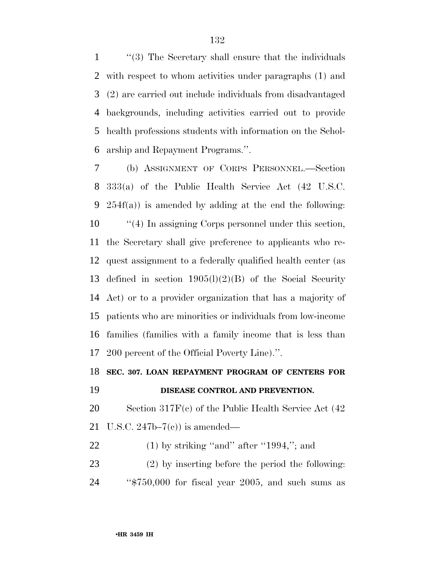''(3) The Secretary shall ensure that the individuals with respect to whom activities under paragraphs (1) and (2) are carried out include individuals from disadvantaged backgrounds, including activities carried out to provide health professions students with information on the Schol-arship and Repayment Programs.''.

 (b) ASSIGNMENT OF CORPS PERSONNEL.—Section 333(a) of the Public Health Service Act (42 U.S.C. 254f(a)) is amended by adding at the end the following:  $\frac{1}{4}$  In assigning Corps personnel under this section, the Secretary shall give preference to applicants who re- quest assignment to a federally qualified health center (as defined in section 1905(l)(2)(B) of the Social Security Act) or to a provider organization that has a majority of patients who are minorities or individuals from low-income families (families with a family income that is less than 200 percent of the Official Poverty Line).''.

#### **SEC. 307. LOAN REPAYMENT PROGRAM OF CENTERS FOR**

#### **DISEASE CONTROL AND PREVENTION.**

 Section 317F(c) of the Public Health Service Act (42 U.S.C. 247b–7(c)) is amended—

- 22 (1) by striking "and" after "1994,"; and
- (2) by inserting before the period the following: ''\$750,000 for fiscal year 2005, and such sums as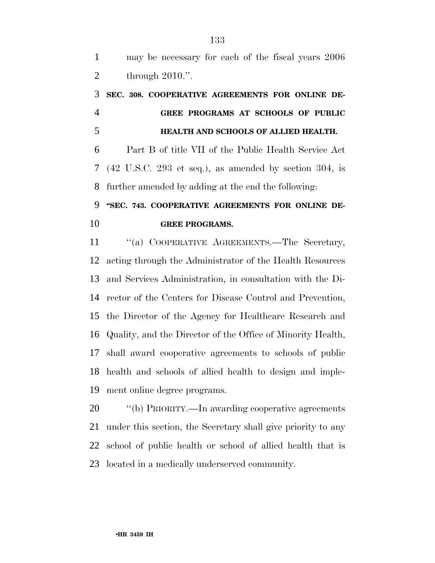may be necessary for each of the fiscal years 2006 through 2010.''.

# **SEC. 308. COOPERATIVE AGREEMENTS FOR ONLINE DE- GREE PROGRAMS AT SCHOOLS OF PUBLIC HEALTH AND SCHOOLS OF ALLIED HEALTH.**

 Part B of title VII of the Public Health Service Act (42 U.S.C. 293 et seq.), as amended by section 304, is further amended by adding at the end the following:

# **''SEC. 743. COOPERATIVE AGREEMENTS FOR ONLINE DE-GREE PROGRAMS.**

11 "(a) COOPERATIVE AGREEMENTS.—The Secretary, acting through the Administrator of the Health Resources and Services Administration, in consultation with the Di- rector of the Centers for Disease Control and Prevention, the Director of the Agency for Healthcare Research and Quality, and the Director of the Office of Minority Health, shall award cooperative agreements to schools of public health and schools of allied health to design and imple-ment online degree programs.

 ''(b) PRIORITY.—In awarding cooperative agreements under this section, the Secretary shall give priority to any school of public health or school of allied health that is located in a medically underserved community.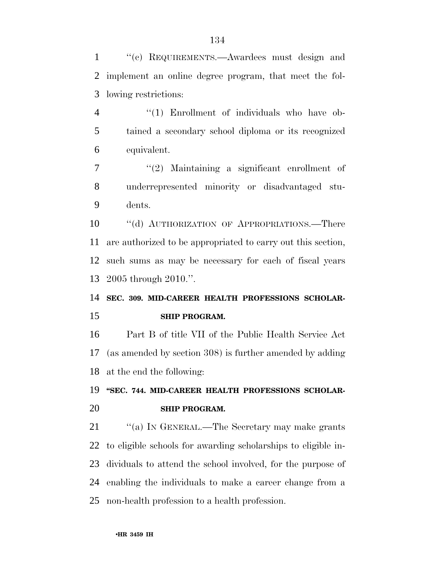''(c) REQUIREMENTS.—Awardees must design and implement an online degree program, that meet the fol-lowing restrictions:

4 "(1) Enrollment of individuals who have ob- tained a secondary school diploma or its recognized equivalent.

 ''(2) Maintaining a significant enrollment of underrepresented minority or disadvantaged stu-dents.

10 "(d) AUTHORIZATION OF APPROPRIATIONS.—There are authorized to be appropriated to carry out this section, such sums as may be necessary for each of fiscal years 2005 through 2010.''.

 **SEC. 309. MID-CAREER HEALTH PROFESSIONS SCHOLAR-SHIP PROGRAM.** 

 Part B of title VII of the Public Health Service Act (as amended by section 308) is further amended by adding at the end the following:

# **''SEC. 744. MID-CAREER HEALTH PROFESSIONS SCHOLAR-SHIP PROGRAM.**

21 ""(a) IN GENERAL.—The Secretary may make grants to eligible schools for awarding scholarships to eligible in- dividuals to attend the school involved, for the purpose of enabling the individuals to make a career change from a non-health profession to a health profession.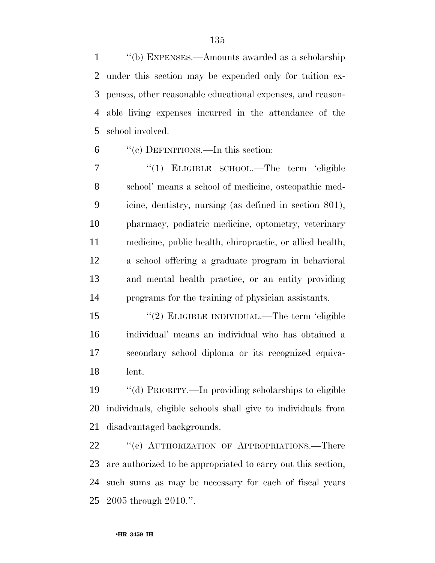''(b) EXPENSES.—Amounts awarded as a scholarship under this section may be expended only for tuition ex- penses, other reasonable educational expenses, and reason- able living expenses incurred in the attendance of the school involved.

''(c) DEFINITIONS.—In this section:

7 "(1) ELIGIBLE SCHOOL.—The term 'eligible school' means a school of medicine, osteopathic med- icine, dentistry, nursing (as defined in section 801), pharmacy, podiatric medicine, optometry, veterinary medicine, public health, chiropractic, or allied health, a school offering a graduate program in behavioral and mental health practice, or an entity providing programs for the training of physician assistants.

 ''(2) ELIGIBLE INDIVIDUAL.—The term 'eligible individual' means an individual who has obtained a secondary school diploma or its recognized equiva-lent.

 ''(d) PRIORITY.—In providing scholarships to eligible individuals, eligible schools shall give to individuals from disadvantaged backgrounds.

22 "
(e) AUTHORIZATION OF APPROPRIATIONS. There are authorized to be appropriated to carry out this section, such sums as may be necessary for each of fiscal years 2005 through 2010.''.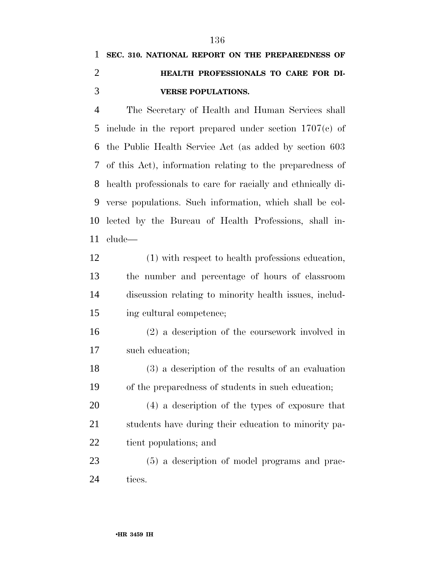# **SEC. 310. NATIONAL REPORT ON THE PREPAREDNESS OF HEALTH PROFESSIONALS TO CARE FOR DI-VERSE POPULATIONS.**

 The Secretary of Health and Human Services shall include in the report prepared under section 1707(c) of the Public Health Service Act (as added by section 603 of this Act), information relating to the preparedness of health professionals to care for racially and ethnically di- verse populations. Such information, which shall be col- lected by the Bureau of Health Professions, shall in-clude—

 (1) with respect to health professions education, the number and percentage of hours of classroom discussion relating to minority health issues, includ-ing cultural competence;

 (2) a description of the coursework involved in such education;

 (3) a description of the results of an evaluation of the preparedness of students in such education;

 (4) a description of the types of exposure that students have during their education to minority pa-tient populations; and

 (5) a description of model programs and prac-tices.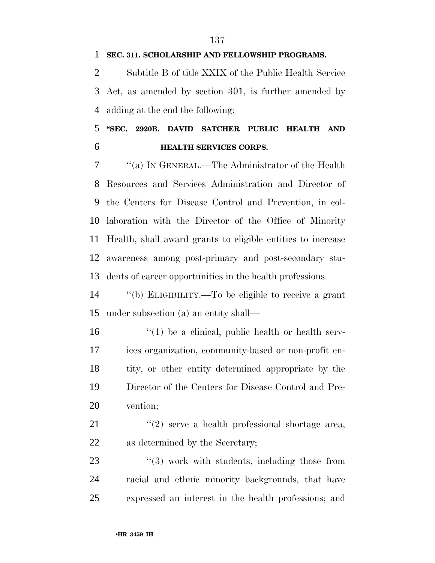Subtitle B of title XXIX of the Public Health Service Act, as amended by section 301, is further amended by adding at the end the following:

 **''SEC. 2920B. DAVID SATCHER PUBLIC HEALTH AND HEALTH SERVICES CORPS.** 

 ''(a) IN GENERAL.—The Administrator of the Health Resources and Services Administration and Director of the Centers for Disease Control and Prevention, in col- laboration with the Director of the Office of Minority Health, shall award grants to eligible entities to increase awareness among post-primary and post-secondary stu-dents of career opportunities in the health professions.

 ''(b) ELIGIBILITY.—To be eligible to receive a grant under subsection (a) an entity shall—

 $\mathbf{16}$  ''(1) be a clinical, public health or health serv- ices organization, community-based or non-profit en- tity, or other entity determined appropriate by the Director of the Centers for Disease Control and Pre-vention;

21 ''(2) serve a health professional shortage area, as determined by the Secretary;

23 "(3) work with students, including those from racial and ethnic minority backgrounds, that have expressed an interest in the health professions; and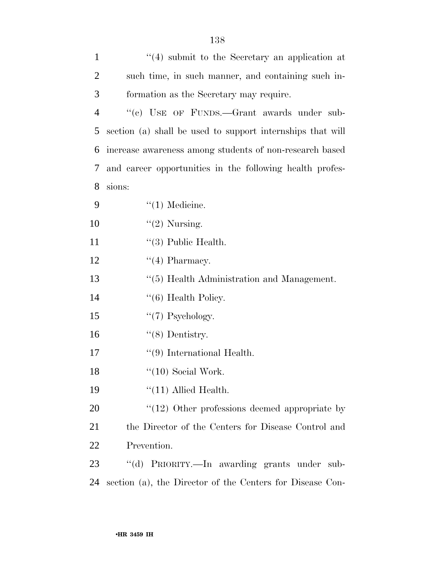| $\mathbf{1}$   | $(4)$ submit to the Secretary an application at            |
|----------------|------------------------------------------------------------|
| $\overline{2}$ | such time, in such manner, and containing such in-         |
| 3              | formation as the Secretary may require.                    |
| $\overline{4}$ | "(c) USE OF FUNDS.—Grant awards under sub-                 |
| 5              | section (a) shall be used to support internships that will |
| 6              | increase awareness among students of non-research based    |
| 7              | and career opportunities in the following health profes-   |
| 8              | sions:                                                     |
| 9              | $\lq(1)$ Medicine.                                         |
| 10             | $"(2)$ Nursing.                                            |
| 11             | $\lq(3)$ Public Health.                                    |
| 12             | $\lq(4)$ Pharmacy.                                         |
| 13             | "(5) Health Administration and Management.                 |
| 14             | $\lq(6)$ Health Policy.                                    |
| 15             | $\lq(7)$ Psychology.                                       |
| 16             | $\lq(8)$ Dentistry.                                        |
| 17             | $\lq(9)$ International Health.                             |
| 18             | $``(10)$ Social Work.                                      |
| 19             | $\lq(11)$ Allied Health.                                   |
| 20             | $\degree$ (12) Other professions deemed appropriate by     |
| 21             | the Director of the Centers for Disease Control and        |
| 22             | Prevention.                                                |
| 23             | "(d) PRIORITY.—In awarding grants under sub-               |
| 24             | section (a), the Director of the Centers for Disease Con-  |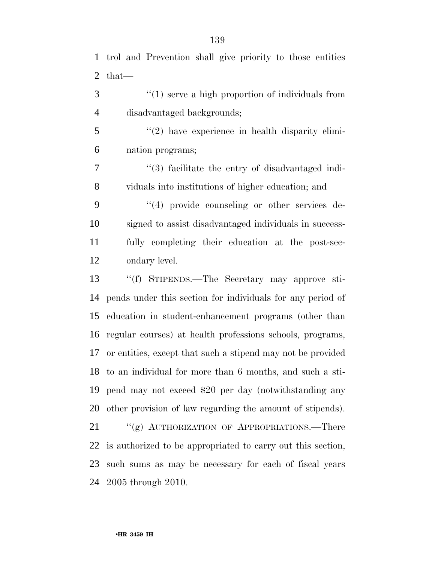trol and Prevention shall give priority to those entities that—

3 (1) serve a high proportion of individuals from disadvantaged backgrounds;

 ''(2) have experience in health disparity elimi-nation programs;

 ''(3) facilitate the entry of disadvantaged indi-viduals into institutions of higher education; and

 $(4)$  provide counseling or other services de- signed to assist disadvantaged individuals in success- fully completing their education at the post-sec-ondary level.

 ''(f) STIPENDS.—The Secretary may approve sti- pends under this section for individuals for any period of education in student-enhancement programs (other than regular courses) at health professions schools, programs, or entities, except that such a stipend may not be provided to an individual for more than 6 months, and such a sti- pend may not exceed \$20 per day (notwithstanding any other provision of law regarding the amount of stipends).

21 "(g) AUTHORIZATION OF APPROPRIATIONS.—There is authorized to be appropriated to carry out this section, such sums as may be necessary for each of fiscal years 2005 through 2010.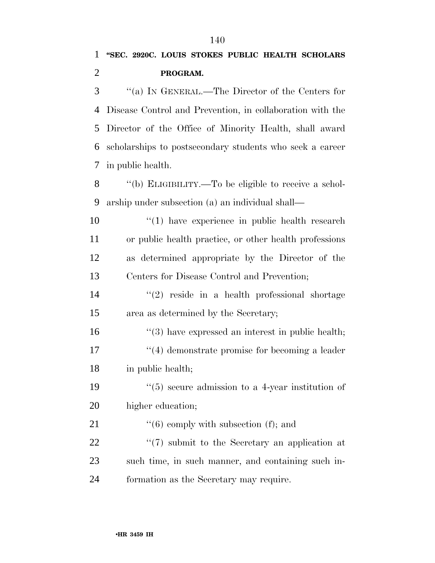**PROGRAM.** 

 ''(a) IN GENERAL.—The Director of the Centers for Disease Control and Prevention, in collaboration with the Director of the Office of Minority Health, shall award scholarships to postsecondary students who seek a career in public health.

 ''(b) ELIGIBILITY.—To be eligible to receive a schol-arship under subsection (a) an individual shall—

10 ''(1) have experience in public health research or public health practice, or other health professions as determined appropriate by the Director of the Centers for Disease Control and Prevention;

 $\frac{14}{2}$  ''(2) reside in a health professional shortage area as determined by the Secretary;

16 ''(3) have expressed an interest in public health; 17 ''(4) demonstrate promise for becoming a leader in public health;

19  $\frac{1}{5}$  secure admission to a 4-year institution of higher education;

21  $\frac{1}{2}$  (6) comply with subsection (f); and 22  $\frac{1}{2}$  (7) submit to the Secretary an application at such time, in such manner, and containing such in-

formation as the Secretary may require.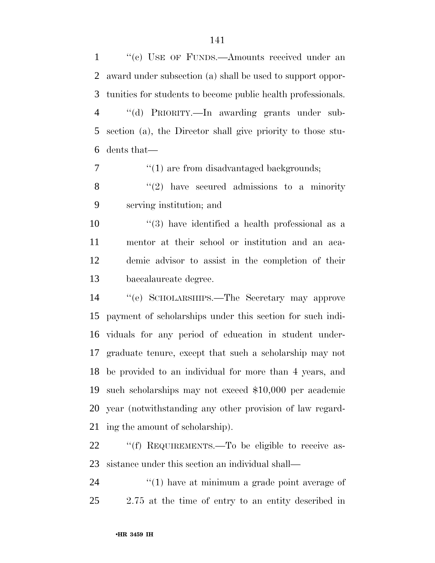''(c) USE OF FUNDS.—Amounts received under an award under subsection (a) shall be used to support oppor-tunities for students to become public health professionals.

 ''(d) PRIORITY.—In awarding grants under sub- section (a), the Director shall give priority to those stu-dents that—

7  $\frac{1}{2}$  (1) are from disadvantaged backgrounds;

 ''(2) have secured admissions to a minority serving institution; and

 ''(3) have identified a health professional as a mentor at their school or institution and an aca- demic advisor to assist in the completion of their baccalaureate degree.

 ''(e) SCHOLARSHIPS.—The Secretary may approve payment of scholarships under this section for such indi- viduals for any period of education in student under- graduate tenure, except that such a scholarship may not be provided to an individual for more than 4 years, and such scholarships may not exceed \$10,000 per academic year (notwithstanding any other provision of law regard-ing the amount of scholarship).

22 ""(f) REQUIREMENTS.—To be eligible to receive as-sistance under this section an individual shall—

24  $\frac{1}{2}$  (1) have at minimum a grade point average of 2.75 at the time of entry to an entity described in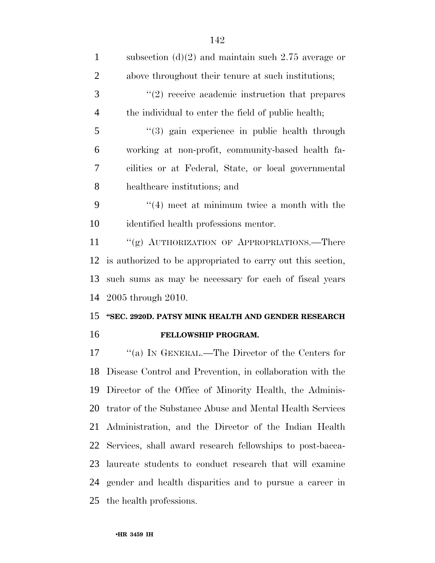| $\mathbf{1}$   | subsection (d)(2) and maintain such 2.75 average or         |
|----------------|-------------------------------------------------------------|
| $\overline{2}$ | above throughout their tenure at such institutions;         |
| 3              | $\lq(2)$ receive academic instruction that prepares         |
| $\overline{4}$ | the individual to enter the field of public health;         |
| 5              | $(3)$ gain experience in public health through              |
| 6              | working at non-profit, community-based health fa-           |
| $\overline{7}$ | cilities or at Federal, State, or local governmental        |
| 8              | healthcare institutions; and                                |
| 9              | $((4)$ meet at minimum twice a month with the               |
| 10             | identified health professions mentor.                       |
| 11             | "(g) AUTHORIZATION OF APPROPRIATIONS.—There                 |
| 12             | is authorized to be appropriated to carry out this section, |
|                |                                                             |
|                | such sums as may be necessary for each of fiscal years      |
| 13<br>14       | 2005 through 2010.                                          |
| 15             | "SEC. 2920D. PATSY MINK HEALTH AND GENDER RESEARCH          |
| 16             | FELLOWSHIP PROGRAM.                                         |
|                | "(a) IN GENERAL.—The Director of the Centers for            |
| 17<br>18       | Disease Control and Prevention, in collaboration with the   |
|                | Director of the Office of Minority Health, the Adminis-     |
| 19<br>20       | trator of the Substance Abuse and Mental Health Services    |
| 21             | Administration, and the Director of the Indian Health       |
| 22             | Services, shall award research fellowships to post-bacca-   |
| 23             | laureate students to conduct research that will examine     |
| 24             | gender and health disparities and to pursue a career in     |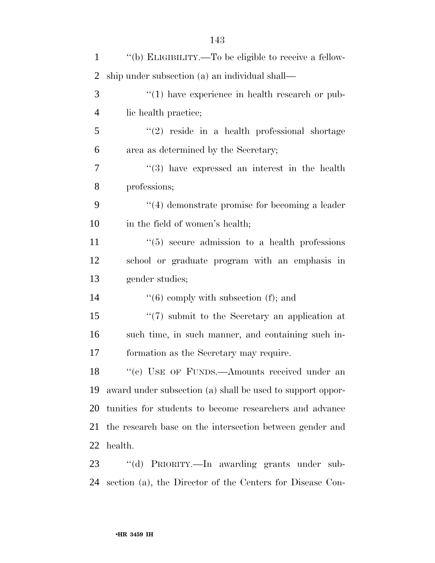| $\mathbf{1}$   | "(b) ELIGIBILITY.—To be eligible to receive a fellow-      |
|----------------|------------------------------------------------------------|
| 2              | ship under subsection (a) an individual shall—             |
| 3              | $\lq(1)$ have experience in health research or pub-        |
| $\overline{4}$ | lic health practice;                                       |
| 5              | $(2)$ reside in a health professional shortage             |
| 6              | area as determined by the Secretary;                       |
| 7              | $(3)$ have expressed an interest in the health             |
| 8              | professions;                                               |
| 9              | $\cdot$ (4) demonstrate promise for becoming a leader      |
| 10             | in the field of women's health;                            |
| 11             | $\cdot\cdot$ (5) secure admission to a health professions  |
| 12             | school or graduate program with an emphasis in             |
| 13             | gender studies;                                            |
| 14             | $\lq(6)$ comply with subsection (f); and                   |
| 15             | $\lq(7)$ submit to the Secretary an application at         |
| 16             | such time, in such manner, and containing such in-         |
| 17             | formation as the Secretary may require.                    |
| 18             | "(c) USE OF FUNDS.—Amounts received under an               |
| 19             | award under subsection (a) shall be used to support oppor- |
| 20             | tunities for students to become researchers and advance    |
| 21             | the research base on the intersection between gender and   |
| 22             | health.                                                    |
| 23             | "(d) PRIORITY.—In awarding grants under sub-               |
| 24             | section (a), the Director of the Centers for Disease Con-  |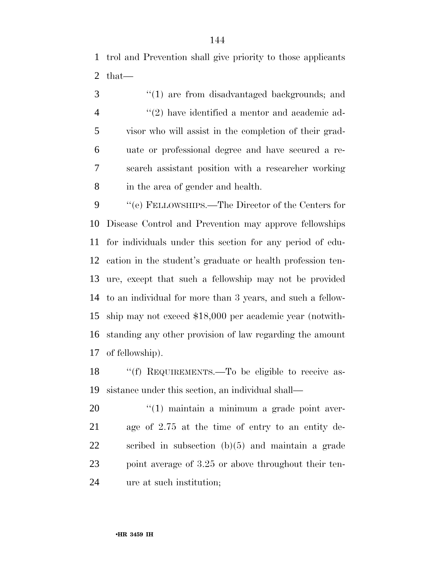trol and Prevention shall give priority to those applicants that—

3 "(1) are from disadvantaged backgrounds; and  $(2)$  have identified a mentor and academic ad- visor who will assist in the completion of their grad- uate or professional degree and have secured a re- search assistant position with a researcher working in the area of gender and health.

 $\%$  (e) FELLOWSHIPS.—The Director of the Centers for Disease Control and Prevention may approve fellowships for individuals under this section for any period of edu- cation in the student's graduate or health profession ten- ure, except that such a fellowship may not be provided to an individual for more than 3 years, and such a fellow- ship may not exceed \$18,000 per academic year (notwith- standing any other provision of law regarding the amount of fellowship).

18 "(f) REQUIREMENTS.—To be eligible to receive as-sistance under this section, an individual shall—

 $\frac{1}{20}$  (1) maintain a minimum a grade point aver- age of 2.75 at the time of entry to an entity de- scribed in subsection (b)(5) and maintain a grade 23 point average of 3.25 or above throughout their ten-ure at such institution;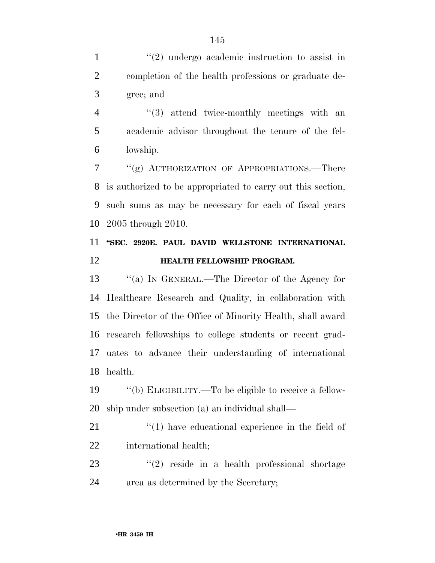1 ''(2) undergo academic instruction to assist in completion of the health professions or graduate de-gree; and

4 ''(3) attend twice-monthly meetings with an academic advisor throughout the tenure of the fel-lowship.

 ''(g) AUTHORIZATION OF APPROPRIATIONS.—There is authorized to be appropriated to carry out this section, such sums as may be necessary for each of fiscal years 2005 through 2010.

## **''SEC. 2920E. PAUL DAVID WELLSTONE INTERNATIONAL HEALTH FELLOWSHIP PROGRAM.**

 ''(a) IN GENERAL.—The Director of the Agency for Healthcare Research and Quality, in collaboration with the Director of the Office of Minority Health, shall award research fellowships to college students or recent grad- uates to advance their understanding of international health.

 ''(b) ELIGIBILITY.—To be eligible to receive a fellow-ship under subsection (a) an individual shall—

21  $\frac{1}{2}$  (1) have educational experience in the field of international health;

 $(2)$  reside in a health professional shortage area as determined by the Secretary;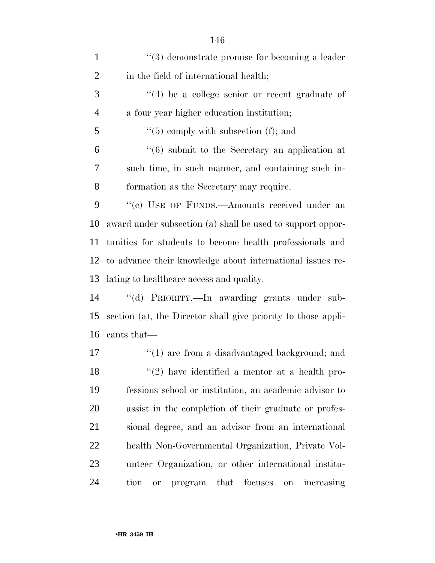| $\mathbf{1}$   | $\lq(3)$ demonstrate promise for becoming a leader             |
|----------------|----------------------------------------------------------------|
| $\overline{2}$ | in the field of international health;                          |
| 3              | $(4)$ be a college senior or recent graduate of                |
| $\overline{4}$ | a four year higher education institution;                      |
| 5              | $\lq(5)$ comply with subsection (f); and                       |
| 6              | $\cdot\cdot\cdot(6)$ submit to the Secretary an application at |
| 7              | such time, in such manner, and containing such in-             |
| 8              | formation as the Secretary may require.                        |
| 9              | "(c) USE OF FUNDS.—Amounts received under an                   |
| 10             | award under subsection (a) shall be used to support oppor-     |
| 11             | tunities for students to become health professionals and       |
| 12             | to advance their knowledge about international issues re-      |
| 13             | lating to healthcare access and quality.                       |
| 14             | "(d) PRIORITY.—In awarding grants under sub-                   |
| 15             | section (a), the Director shall give priority to those appli-  |
| 16             | cants that—                                                    |
| 17             | $\lq(1)$ are from a disadvantaged background; and              |
| 18             | $\lq(2)$ have identified a mentor at a health pro-             |
| 19             | fessions school or institution, an academic advisor to         |
| 20             | assist in the completion of their graduate or profes-          |
| 21             | sional degree, and an advisor from an international            |
| 22             | health Non-Governmental Organization, Private Vol-             |
| 23             | unteer Organization, or other international institu-           |
| 24             | focuses<br>tion<br>that<br>program<br>increasing<br>on<br>or   |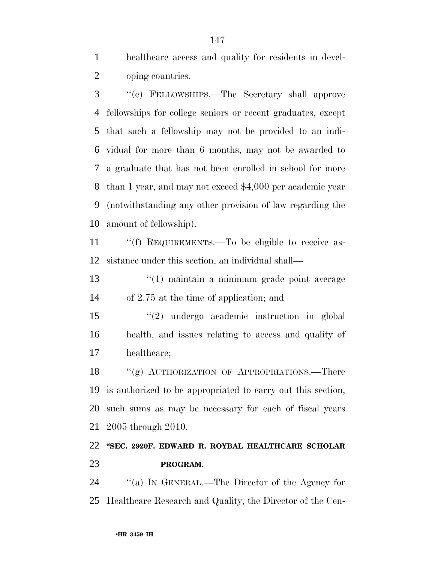healthcare access and quality for residents in devel-oping countries.

 ''(e) FELLOWSHIPS.—The Secretary shall approve fellowships for college seniors or recent graduates, except that such a fellowship may not be provided to an indi- vidual for more than 6 months, may not be awarded to a graduate that has not been enrolled in school for more than 1 year, and may not exceed \$4,000 per academic year (notwithstanding any other provision of law regarding the amount of fellowship).

11 ""(f) REQUIREMENTS.—To be eligible to receive as-sistance under this section, an individual shall—

 ''(1) maintain a minimum grade point average of 2.75 at the time of application; and

 ''(2) undergo academic instruction in global health, and issues relating to access and quality of healthcare;

18 "(g) AUTHORIZATION OF APPROPRIATIONS.—There is authorized to be appropriated to carry out this section, such sums as may be necessary for each of fiscal years 2005 through 2010.

### **''SEC. 2920F. EDWARD R. ROYBAL HEALTHCARE SCHOLAR PROGRAM.**

 ''(a) IN GENERAL.—The Director of the Agency for Healthcare Research and Quality, the Director of the Cen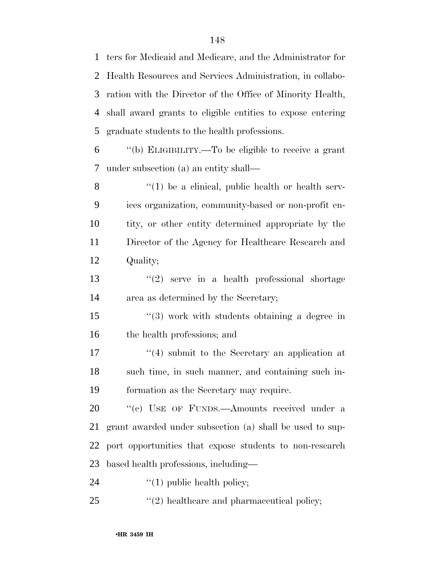ters for Medicaid and Medicare, and the Administrator for Health Resources and Services Administration, in collabo- ration with the Director of the Office of Minority Health, shall award grants to eligible entities to expose entering graduate students to the health professions.

 ''(b) ELIGIBILITY.—To be eligible to receive a grant under subsection (a) an entity shall—

 ''(1) be a clinical, public health or health serv- ices organization, community-based or non-profit en- tity, or other entity determined appropriate by the Director of the Agency for Healthcare Research and Quality;

 ''(2) serve in a health professional shortage area as determined by the Secretary;

 ''(3) work with students obtaining a degree in the health professions; and

 $\mathcal{L}(4)$  submit to the Secretary an application at such time, in such manner, and containing such in-formation as the Secretary may require.

20 "(c) USE OF FUNDS.—Amounts received under a grant awarded under subsection (a) shall be used to sup- port opportunities that expose students to non-research based health professions, including—

24  $\frac{1}{2}$   $\frac{1}{2}$  public health policy;

25  $\frac{1}{2}$  (2) healthcare and pharmaceutical policy;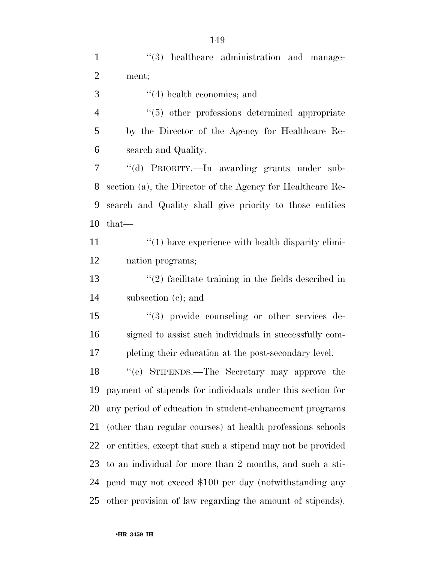1 ''(3) healthcare administration and manage- ment; ''(4) health economics; and ''(5) other professions determined appropriate by the Director of the Agency for Healthcare Re- search and Quality. ''(d) PRIORITY.—In awarding grants under sub- section (a), the Director of the Agency for Healthcare Re- search and Quality shall give priority to those entities that—  $\frac{1}{2}$  (1) have experience with health disparity elimi- nation programs; ''(2) facilitate training in the fields described in subsection (c); and ''(3) provide counseling or other services de- signed to assist such individuals in successfully com- pleting their education at the post-secondary level. ''(e) STIPENDS.—The Secretary may approve the payment of stipends for individuals under this section for any period of education in student-enhancement programs (other than regular courses) at health professions schools or entities, except that such a stipend may not be provided to an individual for more than 2 months, and such a sti- pend may not exceed \$100 per day (notwithstanding any other provision of law regarding the amount of stipends).

•**HR 3459 IH**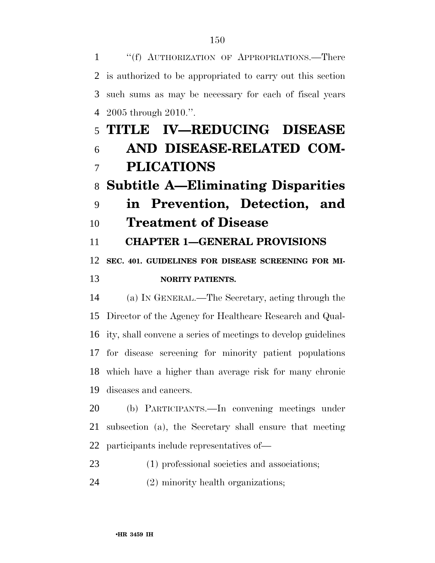''(f) AUTHORIZATION OF APPROPRIATIONS.—There is authorized to be appropriated to carry out this section such sums as may be necessary for each of fiscal years 2005 through 2010.''.

# **TITLE IV—REDUCING DISEASE AND DISEASE-RELATED COM-PLICATIONS**

## **Subtitle A—Eliminating Disparities**

 **in Prevention, Detection, and Treatment of Disease** 

**CHAPTER 1—GENERAL PROVISIONS** 

**SEC. 401. GUIDELINES FOR DISEASE SCREENING FOR MI-**

#### **NORITY PATIENTS.**

 (a) IN GENERAL.—The Secretary, acting through the Director of the Agency for Healthcare Research and Qual- ity, shall convene a series of meetings to develop guidelines for disease screening for minority patient populations which have a higher than average risk for many chronic diseases and cancers.

 (b) PARTICIPANTS.—In convening meetings under subsection (a), the Secretary shall ensure that meeting participants include representatives of—

(1) professional societies and associations;

(2) minority health organizations;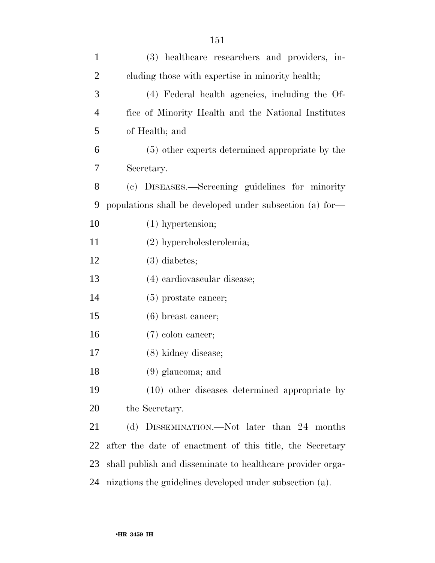| $\mathbf{1}$   | (3) healthcare researchers and providers, in-              |
|----------------|------------------------------------------------------------|
| $\overline{2}$ | cluding those with expertise in minority health;           |
| 3              | (4) Federal health agencies, including the Of-             |
| $\overline{4}$ | fice of Minority Health and the National Institutes        |
| 5              | of Health; and                                             |
| 6              | (5) other experts determined appropriate by the            |
| 7              | Secretary.                                                 |
| 8              | (c) DISEASES.—Screening guidelines for minority            |
| 9              | populations shall be developed under subsection (a) for-   |
| 10             | $(1)$ hypertension;                                        |
| 11             | $(2)$ hypercholesterolemia;                                |
| 12             | $(3)$ diabetes;                                            |
| 13             | (4) cardiovascular disease;                                |
| 14             | $(5)$ prostate cancer;                                     |
| 15             | $(6)$ breast cancer;                                       |
| 16             | $(7)$ colon cancer;                                        |
| 17             | (8) kidney disease;                                        |
| 18             | $(9)$ glaucoma; and                                        |
| 19             | (10) other diseases determined appropriate by              |
| <b>20</b>      | the Secretary.                                             |
| 21             | (d) DISSEMINATION.—Not later than 24 months                |
| 22             | after the date of enactment of this title, the Secretary   |
| 23             | shall publish and disseminate to healthcare provider orga- |
| 24             | nizations the guidelines developed under subsection (a).   |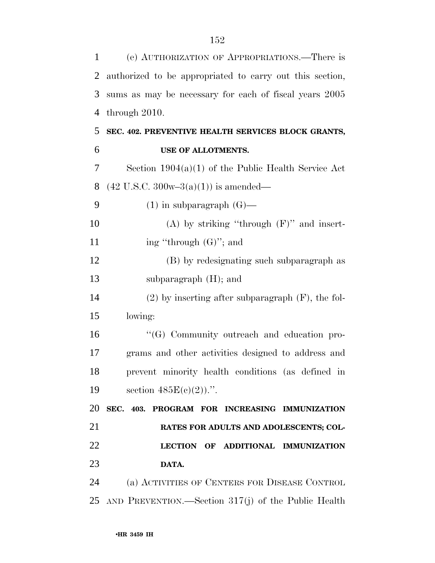| 1  | (e) AUTHORIZATION OF APPROPRIATIONS.—There is            |
|----|----------------------------------------------------------|
| 2  | authorized to be appropriated to carry out this section, |
| 3  | sums as may be necessary for each of fiscal years 2005   |
| 4  | through 2010.                                            |
| 5  | SEC. 402. PREVENTIVE HEALTH SERVICES BLOCK GRANTS,       |
| 6  | USE OF ALLOTMENTS.                                       |
| 7  | Section $1904(a)(1)$ of the Public Health Service Act    |
| 8  | $(42 \text{ U.S.C. } 300\text{w} - 3(a)(1))$ is amended— |
| 9  | $(1)$ in subparagraph $(G)$ —                            |
| 10 | (A) by striking "through $(F)$ " and insert-             |
| 11 | ing "through $(G)$ "; and                                |
| 12 | (B) by redesignating such subparagraph as                |
| 13 | subparagraph $(H)$ ; and                                 |
| 14 | $(2)$ by inserting after subparagraph $(F)$ , the fol-   |
| 15 | lowing:                                                  |
| 16 | "(G) Community outreach and education pro-               |
| 17 | grams and other activities designed to address and       |
| 18 | prevent minority health conditions (as defined in        |
| 19 | section $485E(c)(2)$ .".                                 |
| 20 | SEC. 403. PROGRAM FOR INCREASING IMMUNIZATION            |
| 21 | RATES FOR ADULTS AND ADOLESCENTS; COL-                   |
| 22 | LECTION OF ADDITIONAL IMMUNIZATION                       |
| 23 | DATA.                                                    |
| 24 | (a) ACTIVITIES OF CENTERS FOR DISEASE CONTROL            |
|    | 25 AND PREVENTION.—Section 317(j) of the Public Health   |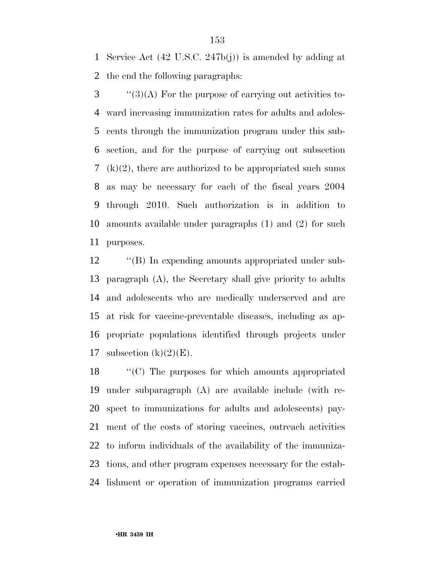Service Act (42 U.S.C. 247b(j)) is amended by adding at the end the following paragraphs:

 ''(3)(A) For the purpose of carrying out activities to- ward increasing immunization rates for adults and adoles- cents through the immunization program under this sub- section, and for the purpose of carrying out subsection 7 (k)(2), there are authorized to be appropriated such sums as may be necessary for each of the fiscal years 2004 through 2010. Such authorization is in addition to amounts available under paragraphs (1) and (2) for such purposes.

12 "(B) In expending amounts appropriated under sub- paragraph (A), the Secretary shall give priority to adults and adolescents who are medically underserved and are at risk for vaccine-preventable diseases, including as ap- propriate populations identified through projects under 17 subsection  $(k)(2)(E)$ .

 ''(C) The purposes for which amounts appropriated under subparagraph (A) are available include (with re- spect to immunizations for adults and adolescents) pay- ment of the costs of storing vaccines, outreach activities to inform individuals of the availability of the immuniza- tions, and other program expenses necessary for the estab-lishment or operation of immunization programs carried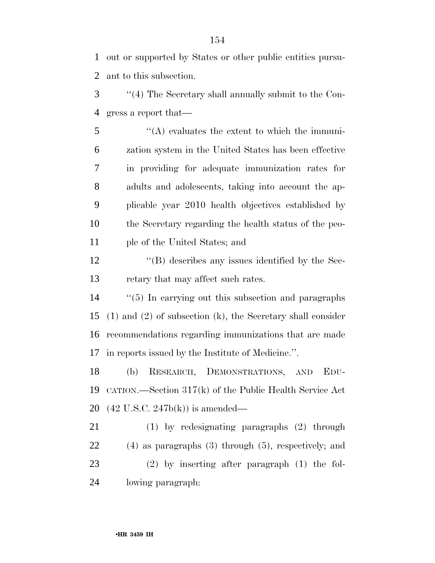out or supported by States or other public entities pursu-ant to this subsection.

 ''(4) The Secretary shall annually submit to the Con-gress a report that—

 ''(A) evaluates the extent to which the immuni- zation system in the United States has been effective in providing for adequate immunization rates for adults and adolescents, taking into account the ap- plicable year 2010 health objectives established by the Secretary regarding the health status of the peo-ple of the United States; and

12 ''(B) describes any issues identified by the Sec-13 retary that may affect such rates.

 ''(5) In carrying out this subsection and paragraphs (1) and (2) of subsection (k), the Secretary shall consider recommendations regarding immunizations that are made in reports issued by the Institute of Medicine.''.

 (b) RESEARCH, DEMONSTRATIONS, AND EDU- CATION.—Section 317(k) of the Public Health Service Act (42 U.S.C. 247b(k)) is amended—

 (1) by redesignating paragraphs (2) through (4) as paragraphs (3) through (5), respectively; and (2) by inserting after paragraph (1) the fol-lowing paragraph: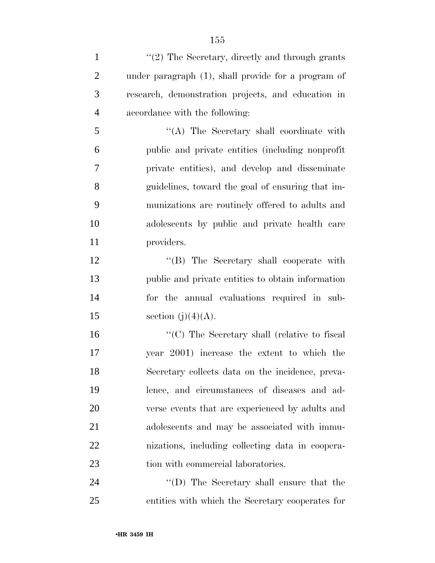| $\mathbf{1}$   | $\lq (2)$ The Secretary, directly and through grants |
|----------------|------------------------------------------------------|
| $\overline{2}$ | under paragraph (1), shall provide for a program of  |
| 3              | research, demonstration projects, and education in   |
| $\overline{4}$ | accordance with the following:                       |
| 5              | "(A) The Secretary shall coordinate with             |
| 6              | public and private entities (including nonprofit)    |
| 7              | private entities), and develop and disseminate       |
| 8              | guidelines, toward the goal of ensuring that im-     |
| 9              | munizations are routinely offered to adults and      |
| 10             | adolescents by public and private health care        |
| 11             | providers.                                           |
| 12             | "(B) The Secretary shall cooperate with              |
| 13             | public and private entities to obtain information    |
| 14             | for the annual evaluations required in sub-          |
| 15             | section $(j)(4)(A)$ .                                |
| 16             | "(C) The Secretary shall (relative to fiscal         |
| 17             | year 2001) increase the extent to which the          |
| 18             | Secretary collects data on the incidence, preva-     |
| 19             | lence, and circumstances of diseases and ad-         |
| 20             | verse events that are experienced by adults and      |
| 21             | adolescents and may be associated with immu-         |
| 22             | nizations, including collecting data in coopera-     |
| 23             | tion with commercial laboratories.                   |
| 24             | "(D) The Secretary shall ensure that the             |

entities with which the Secretary cooperates for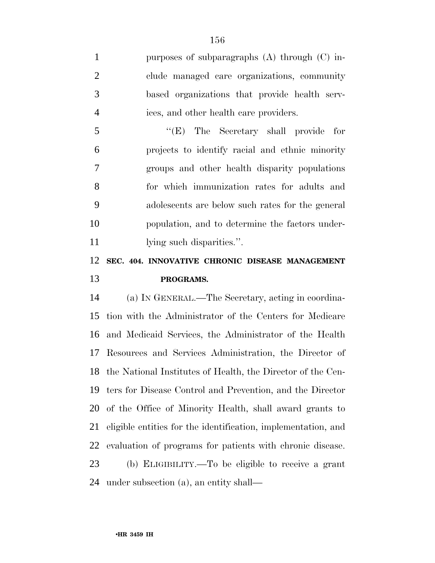purposes of subparagraphs (A) through (C) in- clude managed care organizations, community based organizations that provide health serv-ices, and other health care providers.

 ''(E) The Secretary shall provide for projects to identify racial and ethnic minority groups and other health disparity populations for which immunization rates for adults and adolescents are below such rates for the general population, and to determine the factors under-11 lying such disparities.".

## **SEC. 404. INNOVATIVE CHRONIC DISEASE MANAGEMENT PROGRAMS.**

 (a) IN GENERAL.—The Secretary, acting in coordina- tion with the Administrator of the Centers for Medicare and Medicaid Services, the Administrator of the Health Resources and Services Administration, the Director of the National Institutes of Health, the Director of the Cen- ters for Disease Control and Prevention, and the Director of the Office of Minority Health, shall award grants to eligible entities for the identification, implementation, and evaluation of programs for patients with chronic disease. (b) ELIGIBILITY.—To be eligible to receive a grant

under subsection (a), an entity shall—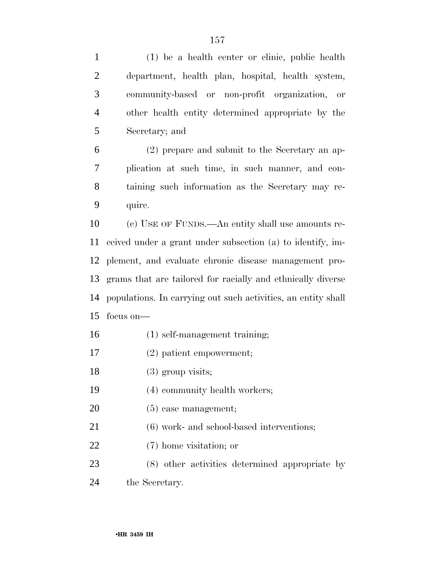(1) be a health center or clinic, public health department, health plan, hospital, health system, community-based or non-profit organization, or other health entity determined appropriate by the Secretary; and

 (2) prepare and submit to the Secretary an ap- plication at such time, in such manner, and con- taining such information as the Secretary may re-quire.

 (c) USE OF FUNDS.—An entity shall use amounts re- ceived under a grant under subsection (a) to identify, im- plement, and evaluate chronic disease management pro- grams that are tailored for racially and ethnically diverse populations. In carrying out such activities, an entity shall focus on—

- (1) self-management training;
- (2) patient empowerment;
- 18 (3) group visits;
- (4) community health workers;
- (5) case management;
- (6) work- and school-based interventions;
- (7) home visitation; or
- (8) other activities determined appropriate by the Secretary.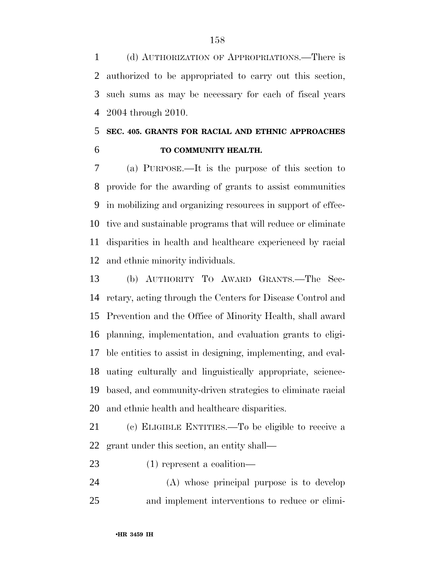(d) AUTHORIZATION OF APPROPRIATIONS.—There is authorized to be appropriated to carry out this section, such sums as may be necessary for each of fiscal years 2004 through 2010.

## **SEC. 405. GRANTS FOR RACIAL AND ETHNIC APPROACHES TO COMMUNITY HEALTH.**

 (a) PURPOSE.—It is the purpose of this section to provide for the awarding of grants to assist communities in mobilizing and organizing resources in support of effec- tive and sustainable programs that will reduce or eliminate disparities in health and healthcare experienced by racial and ethnic minority individuals.

 (b) AUTHORITY TO AWARD GRANTS.—The Sec- retary, acting through the Centers for Disease Control and Prevention and the Office of Minority Health, shall award planning, implementation, and evaluation grants to eligi- ble entities to assist in designing, implementing, and eval- uating culturally and linguistically appropriate, science- based, and community-driven strategies to eliminate racial and ethnic health and healthcare disparities.

 (c) ELIGIBLE ENTITIES.—To be eligible to receive a grant under this section, an entity shall—

- (1) represent a coalition—
- (A) whose principal purpose is to develop and implement interventions to reduce or elimi-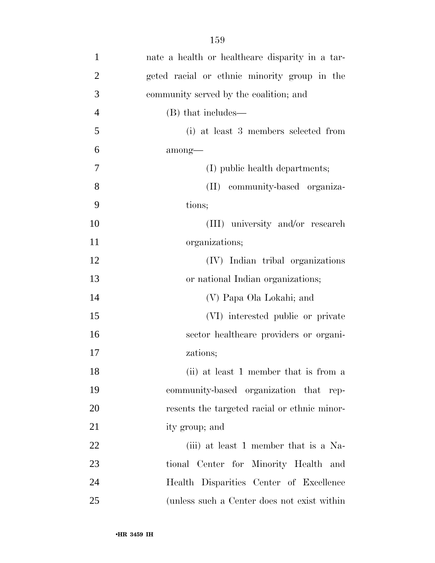| 1              | nate a health or healthcare disparity in a tar- |
|----------------|-------------------------------------------------|
| $\overline{2}$ | geted racial or ethnic minority group in the    |
| 3              | community served by the coalition; and          |
| $\overline{4}$ | (B) that includes—                              |
| 5              | (i) at least 3 members selected from            |
| 6              | among—                                          |
| $\overline{7}$ | (I) public health departments;                  |
| 8              | (II) community-based organiza-                  |
| 9              | tions;                                          |
| 10             | (III) university and/or research                |
| 11             | organizations;                                  |
| 12             | (IV) Indian tribal organizations                |
| 13             | or national Indian organizations;               |
| 14             | (V) Papa Ola Lokahi; and                        |
| 15             | (VI) interested public or private               |
| 16             | sector healthcare providers or organi-          |
| 17             | zations;                                        |
| 18             | (ii) at least 1 member that is from a           |
| 19             | community-based organization that rep-          |
| 20             | resents the targeted racial or ethnic minor-    |
| 21             | ity group; and                                  |
| 22             | (iii) at least 1 member that is a Na-           |
| 23             | tional Center for Minority Health and           |
| 24             | Health Disparities Center of Excellence         |
| 25             | (unless such a Center does not exist within     |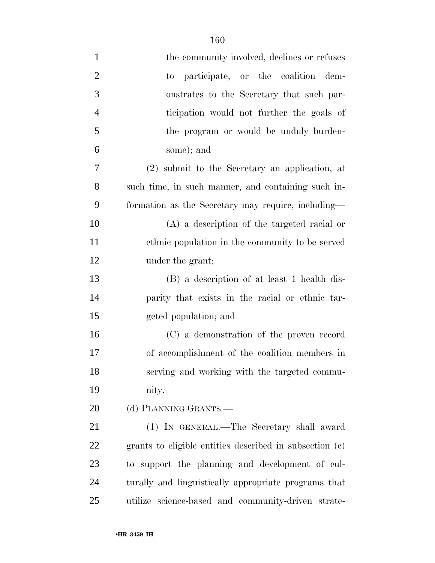| $\mathbf{1}$   | the community involved, declines or refuses             |
|----------------|---------------------------------------------------------|
| $\overline{2}$ | to participate, or the coalition dem-                   |
| 3              | onstrates to the Secretary that such par-               |
| $\overline{4}$ | ticipation would not further the goals of               |
| 5              | the program or would be unduly burden-                  |
| 6              | some); and                                              |
| 7              | (2) submit to the Secretary an application, at          |
| 8              | such time, in such manner, and containing such in-      |
| 9              | formation as the Secretary may require, including—      |
| 10             | $(A)$ a description of the targeted racial or           |
| 11             | ethnic population in the community to be served         |
| 12             | under the grant;                                        |
| 13             | (B) a description of at least 1 health dis-             |
| 14             | parity that exists in the racial or ethnic tar-         |
| 15             | geted population; and                                   |
| 16             | (C) a demonstration of the proven record                |
| 17             | of accomplishment of the coalition members in           |
| 18             | serving and working with the targeted commu-            |
| 19             | nity.                                                   |
| 20             | (d) PLANNING GRANTS.—                                   |
| 21             | (1) IN GENERAL.—The Secretary shall award               |
| 22             | grants to eligible entities described in subsection (c) |
| 23             | to support the planning and development of cul-         |
| 24             | turally and linguistically appropriate programs that    |
| 25             | utilize science-based and community-driven strate-      |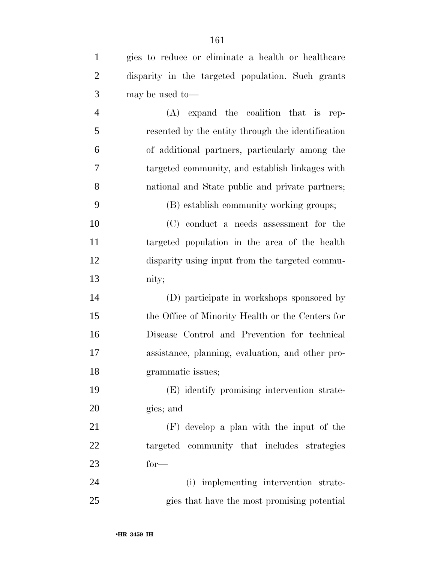| $\mathbf{1}$   | gies to reduce or eliminate a health or healthcare |
|----------------|----------------------------------------------------|
| $\overline{2}$ | disparity in the targeted population. Such grants  |
| 3              | may be used to-                                    |
| $\overline{4}$ | $(A)$ expand the coalition that is<br>rep-         |
| 5              | resented by the entity through the identification  |
| 6              | of additional partners, particularly among the     |
| 7              | targeted community, and establish linkages with    |
| 8              | national and State public and private partners;    |
| 9              | (B) establish community working groups;            |
| 10             | $(C)$ conduct a needs assessment for the           |
| 11             | targeted population in the area of the health      |
| 12             | disparity using input from the targeted commu-     |
| 13             | nity;                                              |
| 14             | (D) participate in workshops sponsored by          |
| 15             | the Office of Minority Health or the Centers for   |
| 16             | Disease Control and Prevention for technical       |
| 17             | assistance, planning, evaluation, and other pro-   |
| 18             | grammatic issues;                                  |
| 19             | (E) identify promising intervention strate-        |
| 20             | gies; and                                          |
| 21             | $(F)$ develop a plan with the input of the         |
| 22             | targeted community that includes strategies        |
| 23             | $for-$                                             |
| 24             | (i) implementing intervention strate-              |
| 25             | gies that have the most promising potential        |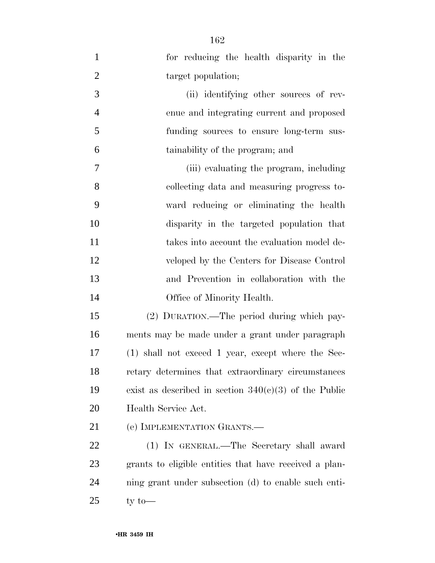| $\mathbf{1}$   | for reducing the health disparity in the                |
|----------------|---------------------------------------------------------|
| $\overline{2}$ | target population;                                      |
| 3              | (ii) identifying other sources of rev-                  |
| $\overline{4}$ | enue and integrating current and proposed               |
| 5              | funding sources to ensure long-term sus-                |
| 6              | tainability of the program; and                         |
| $\tau$         | (iii) evaluating the program, including                 |
| 8              | collecting data and measuring progress to-              |
| 9              | ward reducing or eliminating the health                 |
| 10             | disparity in the targeted population that               |
| 11             | takes into account the evaluation model de-             |
| 12             | veloped by the Centers for Disease Control              |
| 13             | and Prevention in collaboration with the                |
| 14             | Office of Minority Health.                              |
| 15             | (2) DURATION.—The period during which pay-              |
| 16             | ments may be made under a grant under paragraph         |
| 17             | (1) shall not exceed 1 year, except where the Sec-      |
| 18             | retary determines that extraordinary circumstances      |
| 19             | exist as described in section $340(c)(3)$ of the Public |
| 20             | Health Service Act.                                     |
| 21             | (e) IMPLEMENTATION GRANTS.—                             |
| 22             | (1) IN GENERAL.—The Secretary shall award               |
| 23             | grants to eligible entities that have received a plan-  |
| 24             | ning grant under subsection (d) to enable such enti-    |
| 25             | ty to $-$                                               |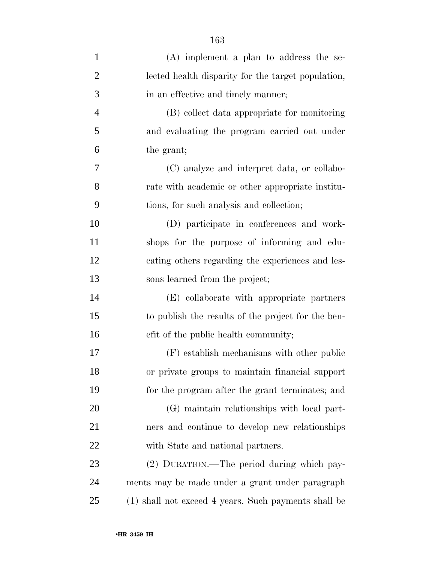| $\mathbf{1}$   | $(A)$ implement a plan to address the se-            |
|----------------|------------------------------------------------------|
| $\overline{2}$ | lected health disparity for the target population,   |
| 3              | in an effective and timely manner;                   |
| $\overline{4}$ | (B) collect data appropriate for monitoring          |
| 5              | and evaluating the program carried out under         |
| 6              | the grant;                                           |
| 7              | (C) analyze and interpret data, or collabo-          |
| 8              | rate with academic or other appropriate institu-     |
| 9              | tions, for such analysis and collection;             |
| 10             | (D) participate in conferences and work-             |
| 11             | shops for the purpose of informing and edu-          |
| 12             | cating others regarding the experiences and les-     |
| 13             | sons learned from the project;                       |
| 14             | (E) collaborate with appropriate partners            |
| 15             | to publish the results of the project for the ben-   |
| 16             | efit of the public health community;                 |
| 17             | $(F)$ establish mechanisms with other public         |
| 18             | or private groups to maintain financial support      |
| 19             | for the program after the grant terminates; and      |
| 20             | (G) maintain relationships with local part-          |
| 21             | ners and continue to develop new relationships       |
| 22             | with State and national partners.                    |
| 23             | (2) DURATION.—The period during which pay-           |
| 24             | ments may be made under a grant under paragraph      |
| 25             | (1) shall not exceed 4 years. Such payments shall be |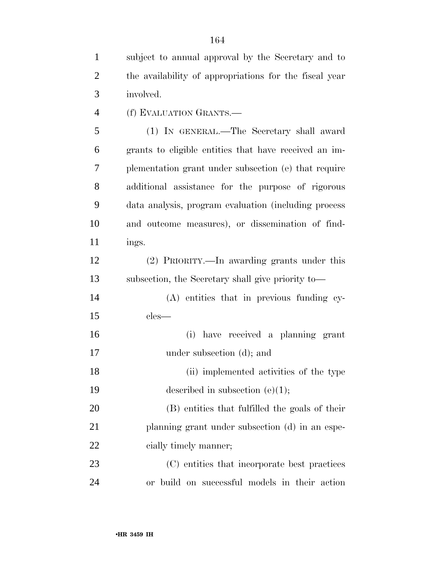subject to annual approval by the Secretary and to the availability of appropriations for the fiscal year involved.

(f) EVALUATION GRANTS.—

 (1) IN GENERAL.—The Secretary shall award grants to eligible entities that have received an im- plementation grant under subsection (e) that require additional assistance for the purpose of rigorous data analysis, program evaluation (including process and outcome measures), or dissemination of find-11 ings.

 (2) PRIORITY.—In awarding grants under this subsection, the Secretary shall give priority to—

 (A) entities that in previous funding cy-cles—

 (i) have received a planning grant under subsection (d); and

 (ii) implemented activities of the type 19 described in subsection (e)(1);

 (B) entities that fulfilled the goals of their planning grant under subsection (d) in an espe-22 cially timely manner;

 (C) entities that incorporate best practices or build on successful models in their action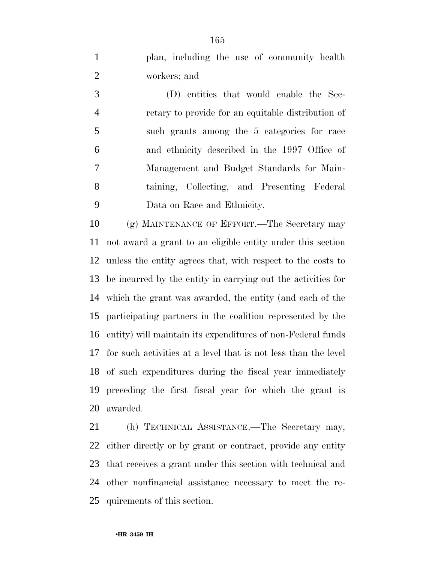plan, including the use of community health workers; and

 (D) entities that would enable the Sec- retary to provide for an equitable distribution of such grants among the 5 categories for race and ethnicity described in the 1997 Office of Management and Budget Standards for Main- taining, Collecting, and Presenting Federal Data on Race and Ethnicity.

 (g) MAINTENANCE OF EFFORT.—The Secretary may not award a grant to an eligible entity under this section unless the entity agrees that, with respect to the costs to be incurred by the entity in carrying out the activities for which the grant was awarded, the entity (and each of the participating partners in the coalition represented by the entity) will maintain its expenditures of non-Federal funds for such activities at a level that is not less than the level of such expenditures during the fiscal year immediately preceding the first fiscal year for which the grant is awarded.

 (h) TECHNICAL ASSISTANCE.—The Secretary may, either directly or by grant or contract, provide any entity that receives a grant under this section with technical and other nonfinancial assistance necessary to meet the re-quirements of this section.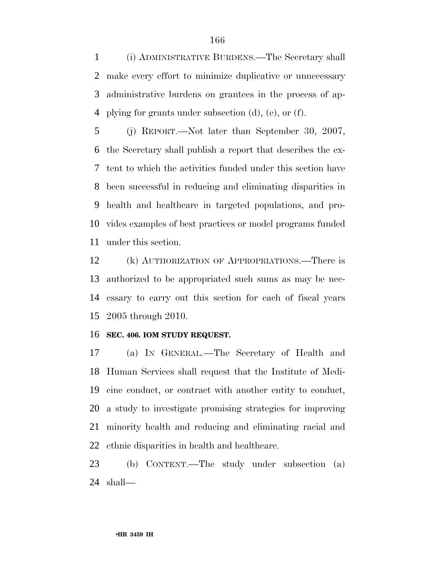(i) ADMINISTRATIVE BURDENS.—The Secretary shall make every effort to minimize duplicative or unnecessary administrative burdens on grantees in the process of ap-plying for grants under subsection (d), (e), or (f).

 (j) REPORT.—Not later than September 30, 2007, the Secretary shall publish a report that describes the ex- tent to which the activities funded under this section have been successful in reducing and eliminating disparities in health and healthcare in targeted populations, and pro- vides examples of best practices or model programs funded under this section.

 (k) AUTHORIZATION OF APPROPRIATIONS.—There is authorized to be appropriated such sums as may be nec- essary to carry out this section for each of fiscal years 2005 through 2010.

#### **SEC. 406. IOM STUDY REQUEST.**

 (a) IN GENERAL.—The Secretary of Health and Human Services shall request that the Institute of Medi- cine conduct, or contract with another entity to conduct, a study to investigate promising strategies for improving minority health and reducing and eliminating racial and 22 ethnic disparities in health and healthcare.

 (b) CONTENT.—The study under subsection (a) shall—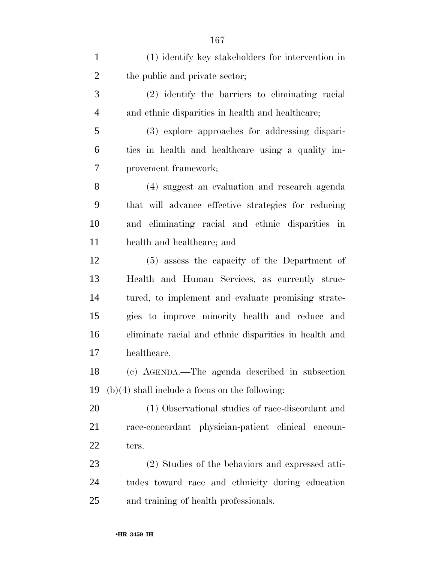| $\mathbf{1}$   | (1) identify key stakeholders for intervention in     |
|----------------|-------------------------------------------------------|
| $\overline{2}$ | the public and private sector;                        |
| 3              | (2) identify the barriers to eliminating racial       |
| $\overline{4}$ | and ethnic disparities in health and healthcare;      |
| 5              | (3) explore approaches for addressing dispari-        |
| 6              | ties in health and healthcare using a quality im-     |
| $\overline{7}$ | provement framework;                                  |
| 8              | (4) suggest an evaluation and research agenda         |
| 9              | that will advance effective strategies for reducing   |
| 10             | and eliminating racial and ethnic disparities in      |
| 11             | health and healthcare; and                            |
| 12             | (5) assess the capacity of the Department of          |
| 13             | Health and Human Services, as currently struc-        |
| 14             | tured, to implement and evaluate promising strate-    |
| 15             | gies to improve minority health and reduce and        |
| 16             | eliminate racial and ethnic disparities in health and |
| 17             | healthcare.                                           |
| 18             | (c) AGENDA.—The agenda described in subsection        |
| 19             | $(b)(4)$ shall include a focus on the following:      |
| 20             | (1) Observational studies of race-discordant and      |
| 21             | race-concordant physician-patient clinical encoun-    |
| <u>22</u>      | ters.                                                 |
| 23             | (2) Studies of the behaviors and expressed atti-      |
| 24             | tudes toward race and ethnicity during education      |
| 25             | and training of health professionals.                 |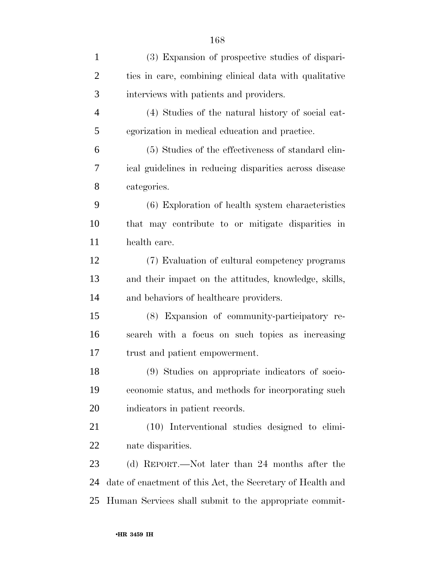| $\mathbf{1}$   | (3) Expansion of prospective studies of dispari-           |
|----------------|------------------------------------------------------------|
| $\overline{2}$ | ties in care, combining clinical data with qualitative     |
| 3              | interviews with patients and providers.                    |
| $\overline{4}$ | (4) Studies of the natural history of social cat-          |
| 5              | egorization in medical education and practice.             |
| 6              | (5) Studies of the effectiveness of standard clin-         |
| 7              | ical guidelines in reducing disparities across disease     |
| 8              | categories.                                                |
| 9              | (6) Exploration of health system characteristics           |
| 10             | that may contribute to or mitigate disparities in          |
| 11             | health care.                                               |
| 12             | (7) Evaluation of cultural competency programs             |
| 13             | and their impact on the attitudes, knowledge, skills,      |
| 14             | and behaviors of healthcare providers.                     |
| 15             | (8) Expansion of community-participatory re-               |
| 16             | search with a focus on such topics as increasing           |
| 17             | trust and patient empowerment.                             |
| 18             | (9) Studies on appropriate indicators of socio-            |
| 19             | economic status, and methods for incorporating such        |
| 20             | indicators in patient records.                             |
| 21             | (10) Interventional studies designed to elimi-             |
| 22             | nate disparities.                                          |
| 23             | (d) REPORT.—Not later than 24 months after the             |
| 24             | date of enactment of this Act, the Secretary of Health and |
| 25             | Human Services shall submit to the appropriate commit-     |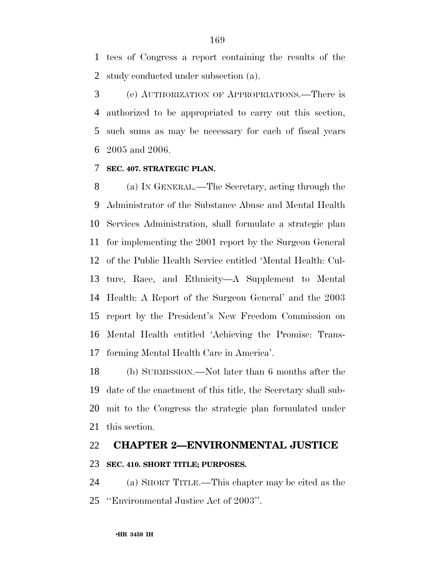tees of Congress a report containing the results of the study conducted under subsection (a).

 (e) AUTHORIZATION OF APPROPRIATIONS.—There is authorized to be appropriated to carry out this section, such sums as may be necessary for each of fiscal years 2005 and 2006.

#### **SEC. 407. STRATEGIC PLAN.**

 (a) IN GENERAL.—The Secretary, acting through the Administrator of the Substance Abuse and Mental Health Services Administration, shall formulate a strategic plan for implementing the 2001 report by the Surgeon General of the Public Health Service entitled 'Mental Health: Cul- ture, Race, and Ethnicity—A Supplement to Mental Health: A Report of the Surgeon General' and the 2003 report by the President's New Freedom Commission on Mental Health entitled 'Achieving the Promise: Trans-forming Mental Health Care in America'.

 (b) SUBMISSION.—Not later than 6 months after the date of the enactment of this title, the Secretary shall sub- mit to the Congress the strategic plan formulated under this section.

## **CHAPTER 2—ENVIRONMENTAL JUSTICE SEC. 410. SHORT TITLE; PURPOSES.**

 (a) SHORT TITLE.—This chapter may be cited as the ''Environmental Justice Act of 2003''.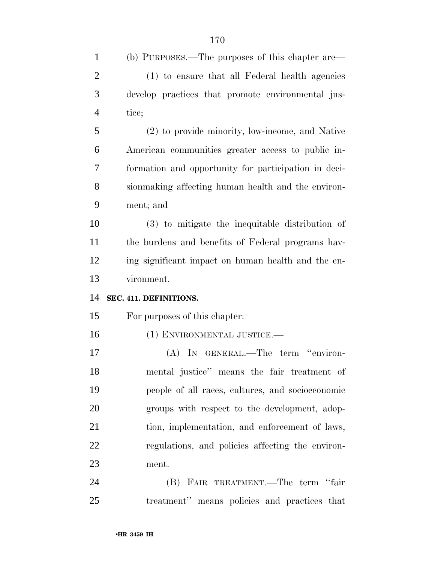| $\mathbf{1}$   | (b) PURPOSES.—The purposes of this chapter are—      |
|----------------|------------------------------------------------------|
| $\overline{2}$ | (1) to ensure that all Federal health agencies       |
| 3              | develop practices that promote environmental jus-    |
| $\overline{4}$ | tice;                                                |
| 5              | (2) to provide minority, low-income, and Native      |
| 6              | American communities greater access to public in-    |
| 7              | formation and opportunity for participation in deci- |
| 8              | sion making affecting human health and the environ-  |
| 9              | ment; and                                            |
| 10             | (3) to mitigate the inequitable distribution of      |
| 11             | the burdens and benefits of Federal programs hav-    |
| 12             | ing significant impact on human health and the en-   |
| 13             | vironment.                                           |
| 14             | SEC. 411. DEFINITIONS.                               |
| 15             | For purposes of this chapter:                        |
| 16             | (1) ENVIRONMENTAL JUSTICE.-                          |
| 17             | (A) IN GENERAL.—The term "environ-                   |
| 18             | mental justice" means the fair treatment of          |
| 19             | people of all races, cultures, and socioeconomic     |
| 20             | groups with respect to the development, adop-        |
| 21             | tion, implementation, and enforcement of laws,       |
| 22             | regulations, and policies affecting the environ-     |
| 23             | ment.                                                |
| 24             | (B) FAIR TREATMENT.—The term "fair                   |
| 25             | treatment" means policies and practices that         |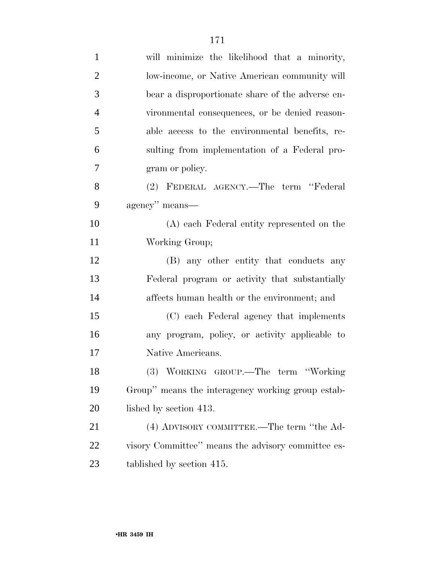| $\mathbf{1}$   | will minimize the likelihood that a minority,      |
|----------------|----------------------------------------------------|
| $\overline{2}$ | low-income, or Native American community will      |
| 3              | bear a disproportionate share of the adverse en-   |
| $\overline{4}$ | vironmental consequences, or be denied reason-     |
| 5              | able access to the environmental benefits, re-     |
| 6              | sulting from implementation of a Federal pro-      |
| 7              | gram or policy.                                    |
| 8              | (2) FEDERAL AGENCY.—The term "Federal              |
| 9              | agency" means—                                     |
| 10             | (A) each Federal entity represented on the         |
| 11             | Working Group;                                     |
| 12             | (B) any other entity that conducts any             |
| 13             | Federal program or activity that substantially     |
| 14             | affects human health or the environment; and       |
| 15             | (C) each Federal agency that implements            |
| 16             | any program, policy, or activity applicable to     |
| 17             | Native Americans.                                  |
| 18             | (3) WORKING GROUP.—The term "Working               |
| 19             | Group" means the interagency working group estab-  |
| 20             | lished by section 413.                             |
| 21             | (4) ADVISORY COMMITTEE.—The term "the Ad-          |
| 22             | visory Committee" means the advisory committee es- |
| 23             | tablished by section 415.                          |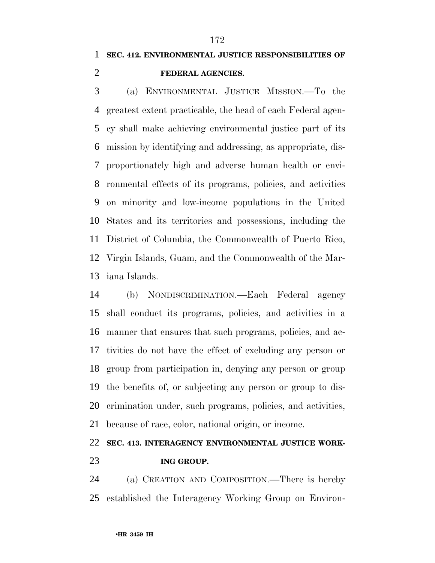# **SEC. 412. ENVIRONMENTAL JUSTICE RESPONSIBILITIES OF**

#### **FEDERAL AGENCIES.**

 (a) ENVIRONMENTAL JUSTICE MISSION.—To the greatest extent practicable, the head of each Federal agen- cy shall make achieving environmental justice part of its mission by identifying and addressing, as appropriate, dis- proportionately high and adverse human health or envi- ronmental effects of its programs, policies, and activities on minority and low-income populations in the United States and its territories and possessions, including the District of Columbia, the Commonwealth of Puerto Rico, Virgin Islands, Guam, and the Commonwealth of the Mar-iana Islands.

 (b) NONDISCRIMINATION.—Each Federal agency shall conduct its programs, policies, and activities in a manner that ensures that such programs, policies, and ac- tivities do not have the effect of excluding any person or group from participation in, denying any person or group the benefits of, or subjecting any person or group to dis- crimination under, such programs, policies, and activities, because of race, color, national origin, or income.

# **SEC. 413. INTERAGENCY ENVIRONMENTAL JUSTICE WORK-**

#### **ING GROUP.**

 (a) CREATION AND COMPOSITION.—There is hereby established the Interagency Working Group on Environ-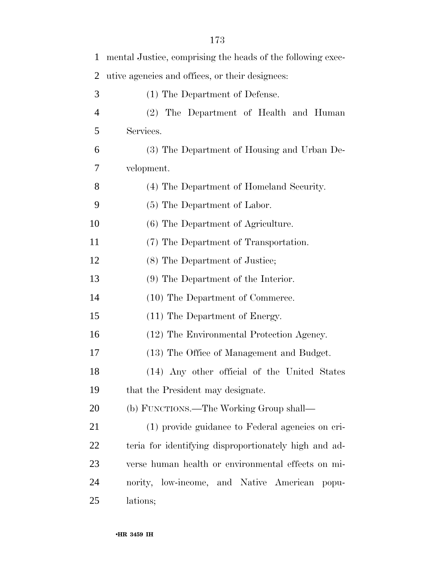| $\mathbf{1}$   | mental Justice, comprising the heads of the following exec- |
|----------------|-------------------------------------------------------------|
| $\overline{2}$ | utive agencies and offices, or their designees:             |
| 3              | (1) The Department of Defense.                              |
| $\overline{4}$ | (2) The Department of Health and Human                      |
| 5              | Services.                                                   |
| 6              | (3) The Department of Housing and Urban De-                 |
| 7              | velopment.                                                  |
| 8              | (4) The Department of Homeland Security.                    |
| 9              | (5) The Department of Labor.                                |
| 10             | (6) The Department of Agriculture.                          |
| 11             | (7) The Department of Transportation.                       |
| 12             | (8) The Department of Justice;                              |
| 13             | (9) The Department of the Interior.                         |
| 14             | (10) The Department of Commerce.                            |
| 15             | (11) The Department of Energy.                              |
| 16             | (12) The Environmental Protection Agency.                   |
| 17             | (13) The Office of Management and Budget.                   |
| 18             | (14) Any other official of the United States                |
| 19             | that the President may designate.                           |
| 20             | (b) FUNCTIONS.—The Working Group shall—                     |
| 21             | (1) provide guidance to Federal agencies on cri-            |
| 22             | teria for identifying disproportionately high and ad-       |
| 23             | verse human health or environmental effects on mi-          |
| 24             | nority, low-income, and Native American popu-               |
| 25             | lations;                                                    |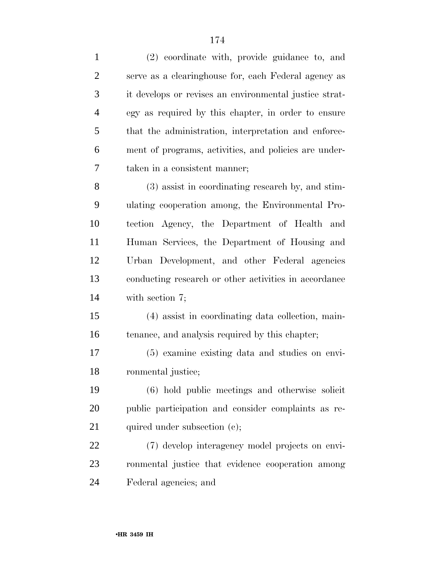(2) coordinate with, provide guidance to, and serve as a clearinghouse for, each Federal agency as it develops or revises an environmental justice strat- egy as required by this chapter, in order to ensure that the administration, interpretation and enforce- ment of programs, activities, and policies are under- taken in a consistent manner; (3) assist in coordinating research by, and stim- ulating cooperation among, the Environmental Pro-tection Agency, the Department of Health and

 Human Services, the Department of Housing and Urban Development, and other Federal agencies conducting research or other activities in accordance with section 7;

 (4) assist in coordinating data collection, main-tenance, and analysis required by this chapter;

 (5) examine existing data and studies on envi-ronmental justice;

 (6) hold public meetings and otherwise solicit public participation and consider complaints as re-21 quired under subsection (c);

 (7) develop interagency model projects on envi- ronmental justice that evidence cooperation among Federal agencies; and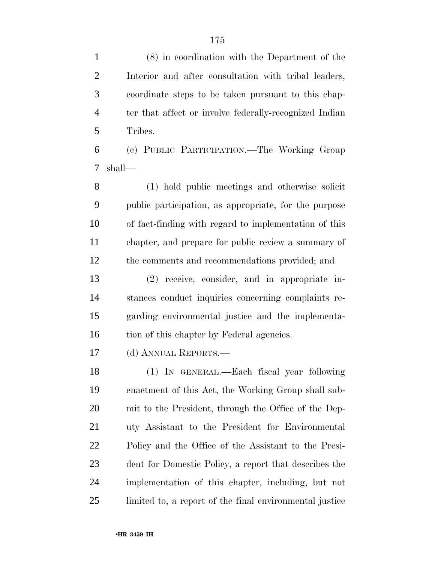(8) in coordination with the Department of the Interior and after consultation with tribal leaders, coordinate steps to be taken pursuant to this chap- ter that affect or involve federally-recognized Indian Tribes. (c) PUBLIC PARTICIPATION.—The Working Group shall— (1) hold public meetings and otherwise solicit

 public participation, as appropriate, for the purpose of fact-finding with regard to implementation of this chapter, and prepare for public review a summary of the comments and recommendations provided; and

 (2) receive, consider, and in appropriate in- stances conduct inquiries concerning complaints re- garding environmental justice and the implementa-16 tion of this chapter by Federal agencies.

(d) ANNUAL REPORTS.—

 (1) IN GENERAL.—Each fiscal year following enactment of this Act, the Working Group shall sub- mit to the President, through the Office of the Dep- uty Assistant to the President for Environmental Policy and the Office of the Assistant to the Presi- dent for Domestic Policy, a report that describes the implementation of this chapter, including, but not limited to, a report of the final environmental justice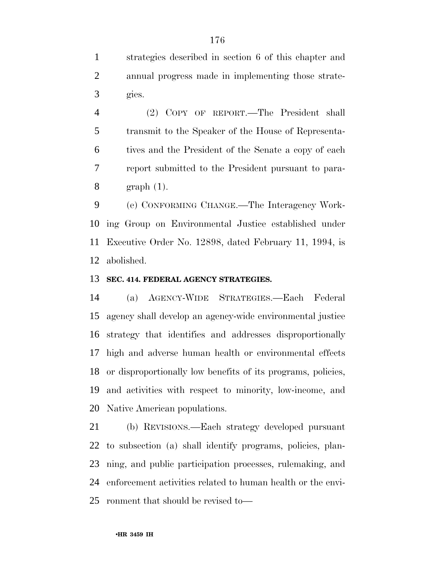strategies described in section 6 of this chapter and annual progress made in implementing those strate-gies.

 (2) COPY OF REPORT.—The President shall transmit to the Speaker of the House of Representa- tives and the President of the Senate a copy of each report submitted to the President pursuant to para-graph (1).

 (e) CONFORMING CHANGE.—The Interagency Work- ing Group on Environmental Justice established under Executive Order No. 12898, dated February 11, 1994, is abolished.

#### **SEC. 414. FEDERAL AGENCY STRATEGIES.**

 (a) AGENCY-WIDE STRATEGIES.—Each Federal agency shall develop an agency-wide environmental justice strategy that identifies and addresses disproportionally high and adverse human health or environmental effects or disproportionally low benefits of its programs, policies, and activities with respect to minority, low-income, and Native American populations.

 (b) REVISIONS.—Each strategy developed pursuant to subsection (a) shall identify programs, policies, plan- ning, and public participation processes, rulemaking, and enforcement activities related to human health or the envi-ronment that should be revised to—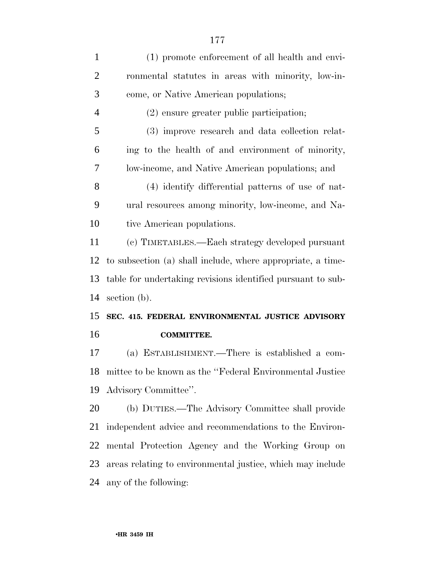| $\mathbf{1}$   | (1) promote enforcement of all health and envi-             |
|----------------|-------------------------------------------------------------|
| $\overline{2}$ | ronmental statutes in areas with minority, low-in-          |
| 3              | come, or Native American populations;                       |
| $\overline{4}$ | (2) ensure greater public participation;                    |
| 5              | (3) improve research and data collection relat-             |
| 6              | ing to the health of and environment of minority,           |
| 7              | low-income, and Native American populations; and            |
| 8              | (4) identify differential patterns of use of nat-           |
| 9              | ural resources among minority, low-income, and Na-          |
| 10             | tive American populations.                                  |
| 11             | (c) TIMETABLES.—Each strategy developed pursuant            |
| 12             | to subsection (a) shall include, where appropriate, a time- |
|                |                                                             |
| 13             | table for undertaking revisions identified pursuant to sub- |
| 14             | section $(b)$ .                                             |
|                | SEC. 415. FEDERAL ENVIRONMENTAL JUSTICE ADVISORY            |
| 15<br>16       | <b>COMMITTEE.</b>                                           |
| 17             | (a) ESTABLISHMENT.—There is established a com-              |
| 18             | mittee to be known as the "Federal Environmental Justice"   |
| 19             | Advisory Committee".                                        |
| 20             | (b) DUTIES.—The Advisory Committee shall provide            |
| 21             | independent advice and recommendations to the Environ-      |
| 22             | mental Protection Agency and the Working Group on           |
| 23             | areas relating to environmental justice, which may include  |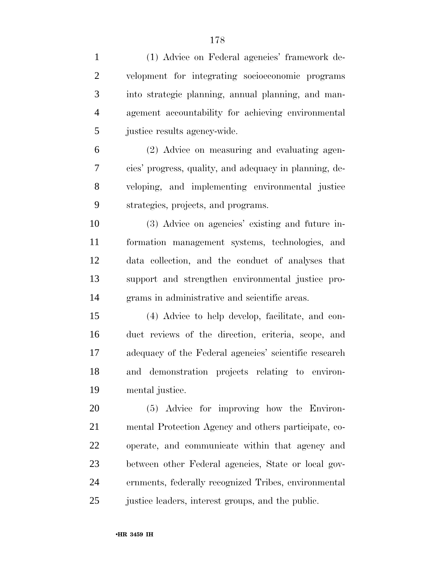| $\mathbf{1}$   | (1) Advice on Federal agencies' framework de-          |
|----------------|--------------------------------------------------------|
| $\mathfrak{2}$ | velopment for integrating socioeconomic programs       |
| 3              | into strategic planning, annual planning, and man-     |
| $\overline{4}$ | agement accountability for achieving environmental     |
| 5              | justice results agency-wide.                           |
| 6              | (2) Advice on measuring and evaluating agen-           |
| 7              | cies' progress, quality, and adequacy in planning, de- |
| 8              | veloping, and implementing environmental justice       |
| 9              | strategies, projects, and programs.                    |
| 10             | (3) Advice on agencies' existing and future in-        |
| 11             | formation management systems, technologies, and        |
| 12             | data collection, and the conduct of analyses that      |
| 13             | support and strengthen environmental justice pro-      |
| 14             | grams in administrative and scientific areas.          |
| 15             | (4) Advice to help develop, facilitate, and con-       |
| 16             | duct reviews of the direction, criteria, scope, and    |
| 17             | adequacy of the Federal agencies' scientific research  |
| 18             | and demonstration projects relating to environ-        |
| 19             | mental justice.                                        |
| 20             | (5) Advice for improving how the Environ-              |
| 21             | mental Protection Agency and others participate, co-   |
| 22             | operate, and communicate within that agency and        |
| 23             | between other Federal agencies, State or local gov-    |
| 24             | ernments, federally recognized Tribes, environmental   |
| 25             | justice leaders, interest groups, and the public.      |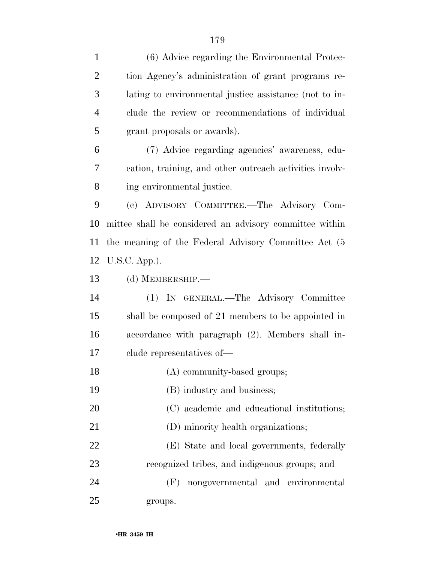| $\overline{2}$ | tion Agency's administration of grant programs re-      |
|----------------|---------------------------------------------------------|
| 3              | lating to environmental justice assistance (not to in-  |
| $\overline{4}$ | clude the review or recommendations of individual       |
| 5              | grant proposals or awards).                             |
| 6              | (7) Advice regarding agencies' awareness, edu-          |
| 7              | cation, training, and other outreach activities involv- |
| 8              | ing environmental justice.                              |
| 9              | (c) ADVISORY COMMITTEE.—The Advisory Com-               |
| 10             | mittee shall be considered an advisory committee within |
| 11             | the meaning of the Federal Advisory Committee Act (5)   |
| 12             | $U.S.C. App.$ ).                                        |
| 13             | (d) MEMBERSHIP.-                                        |
| 14             | (1) IN GENERAL.—The Advisory Committee                  |
| 15             | shall be composed of 21 members to be appointed in      |
| 16             | accordance with paragraph (2). Members shall in-        |
| 17             | clude representatives of—                               |
| 18             | (A) community-based groups;                             |
| 19             | (B) industry and business;                              |
| 20             | (C) academic and educational institutions;              |
| 21             | (D) minority health organizations;                      |
| 22             | (E) State and local governments, federally              |
| 23             | recognized tribes, and indigenous groups; and           |
| 24             | nongovernmental and environmental<br>(F)                |
| 25             | groups.                                                 |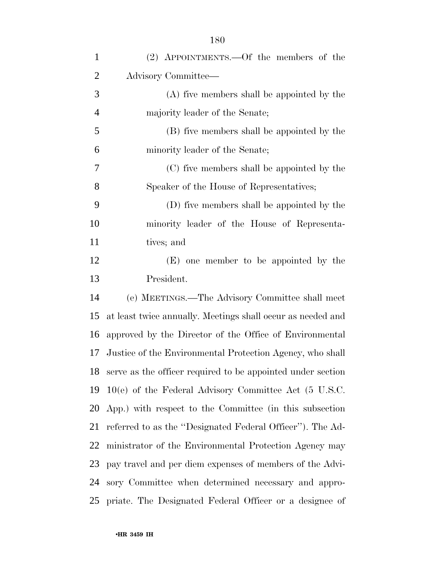| $\mathbf{1}$   | $(2)$ APPOINTMENTS.—Of the members of the                      |
|----------------|----------------------------------------------------------------|
| $\overline{2}$ | Advisory Committee—                                            |
| 3              | (A) five members shall be appointed by the                     |
| $\overline{4}$ | majority leader of the Senate;                                 |
| 5              | (B) five members shall be appointed by the                     |
| 6              | minority leader of the Senate;                                 |
| 7              | (C) five members shall be appointed by the                     |
| 8              | Speaker of the House of Representatives;                       |
| 9              | (D) five members shall be appointed by the                     |
| 10             | minority leader of the House of Representa-                    |
| 11             | tives; and                                                     |
| 12             | (E) one member to be appointed by the                          |
| 13             | President.                                                     |
| 14             | (e) MEETINGS.—The Advisory Committee shall meet                |
| 15             | at least twice annually. Meetings shall occur as needed and    |
| 16             | approved by the Director of the Office of Environmental        |
| 17             | Justice of the Environmental Protection Agency, who shall      |
|                | 18 serve as the officer required to be appointed under section |
| 19             | $10(e)$ of the Federal Advisory Committee Act (5 U.S.C.        |
|                | 20 App.) with respect to the Committee (in this subsection     |
| 21             | referred to as the "Designated Federal Officer"). The Ad-      |
| 22             | ministrator of the Environmental Protection Agency may         |
| 23             | pay travel and per diem expenses of members of the Advi-       |
| 24             | sory Committee when determined necessary and appro-            |
| 25             | priate. The Designated Federal Officer or a designee of        |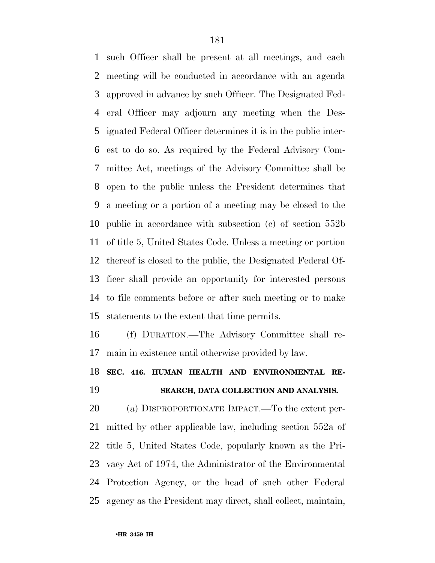such Officer shall be present at all meetings, and each meeting will be conducted in accordance with an agenda approved in advance by such Officer. The Designated Fed- eral Officer may adjourn any meeting when the Des- ignated Federal Officer determines it is in the public inter- est to do so. As required by the Federal Advisory Com- mittee Act, meetings of the Advisory Committee shall be open to the public unless the President determines that a meeting or a portion of a meeting may be closed to the public in accordance with subsection (c) of section 552b of title 5, United States Code. Unless a meeting or portion thereof is closed to the public, the Designated Federal Of- ficer shall provide an opportunity for interested persons to file comments before or after such meeting or to make statements to the extent that time permits.

 (f) DURATION.—The Advisory Committee shall re-main in existence until otherwise provided by law.

## **SEC. 416. HUMAN HEALTH AND ENVIRONMENTAL RE-SEARCH, DATA COLLECTION AND ANALYSIS.**

 (a) DISPROPORTIONATE IMPACT.—To the extent per- mitted by other applicable law, including section 552a of title 5, United States Code, popularly known as the Pri- vacy Act of 1974, the Administrator of the Environmental Protection Agency, or the head of such other Federal agency as the President may direct, shall collect, maintain,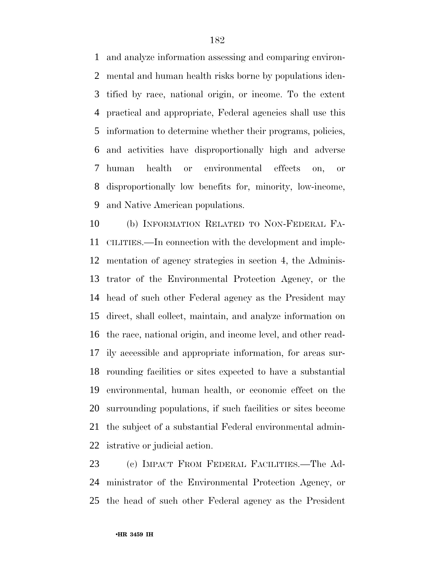and analyze information assessing and comparing environ- mental and human health risks borne by populations iden- tified by race, national origin, or income. To the extent practical and appropriate, Federal agencies shall use this information to determine whether their programs, policies, and activities have disproportionally high and adverse human health or environmental effects on, or disproportionally low benefits for, minority, low-income, and Native American populations.

 (b) INFORMATION RELATED TO NON-FEDERAL FA- CILITIES.—In connection with the development and imple- mentation of agency strategies in section 4, the Adminis- trator of the Environmental Protection Agency, or the head of such other Federal agency as the President may direct, shall collect, maintain, and analyze information on the race, national origin, and income level, and other read- ily accessible and appropriate information, for areas sur- rounding facilities or sites expected to have a substantial environmental, human health, or economic effect on the surrounding populations, if such facilities or sites become the subject of a substantial Federal environmental admin-istrative or judicial action.

 (c) IMPACT FROM FEDERAL FACILITIES.—The Ad- ministrator of the Environmental Protection Agency, or the head of such other Federal agency as the President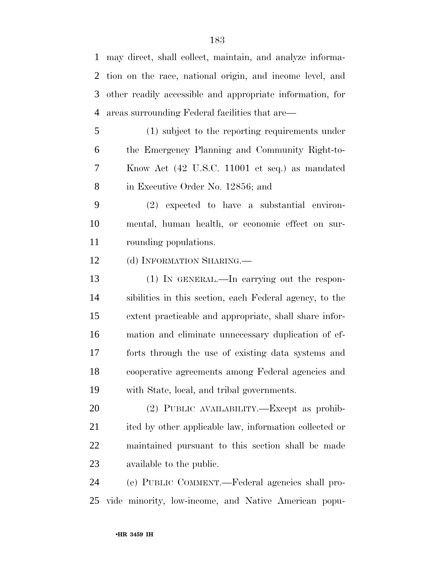may direct, shall collect, maintain, and analyze informa- tion on the race, national origin, and income level, and other readily accessible and appropriate information, for areas surrounding Federal facilities that are—

 (1) subject to the reporting requirements under the Emergency Planning and Community Right-to- Know Act (42 U.S.C. 11001 et seq.) as mandated in Executive Order No. 12856; and

 (2) expected to have a substantial environ- mental, human health, or economic effect on sur-rounding populations.

12 (d) INFORMATION SHARING.

 (1) IN GENERAL.—In carrying out the respon- sibilities in this section, each Federal agency, to the extent practicable and appropriate, shall share infor- mation and eliminate unnecessary duplication of ef- forts through the use of existing data systems and cooperative agreements among Federal agencies and with State, local, and tribal governments.

 (2) PUBLIC AVAILABILITY.—Except as prohib- ited by other applicable law, information collected or maintained pursuant to this section shall be made available to the public.

 (e) PUBLIC COMMENT.—Federal agencies shall pro-vide minority, low-income, and Native American popu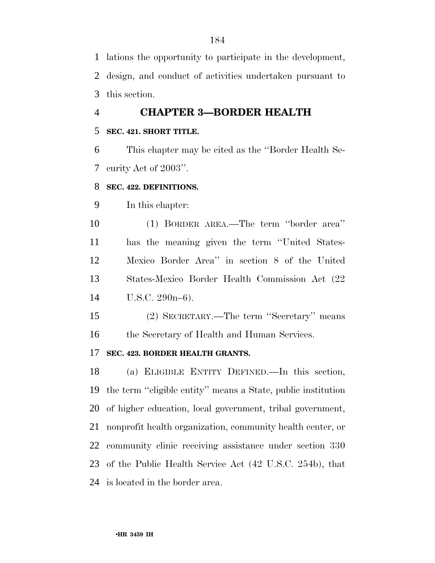lations the opportunity to participate in the development, design, and conduct of activities undertaken pursuant to this section.

### **CHAPTER 3—BORDER HEALTH**

#### **SEC. 421. SHORT TITLE.**

 This chapter may be cited as the ''Border Health Se-curity Act of 2003''.

#### **SEC. 422. DEFINITIONS.**

In this chapter:

 (1) BORDER AREA.—The term ''border area'' has the meaning given the term ''United States- Mexico Border Area'' in section 8 of the United States-Mexico Border Health Commission Act (22 U.S.C. 290n–6).

 (2) SECRETARY.—The term ''Secretary'' means 16 the Secretary of Health and Human Services.

#### **SEC. 423. BORDER HEALTH GRANTS.**

 (a) ELIGIBLE ENTITY DEFINED.—In this section, the term ''eligible entity'' means a State, public institution of higher education, local government, tribal government, nonprofit health organization, community health center, or community clinic receiving assistance under section 330 of the Public Health Service Act (42 U.S.C. 254b), that is located in the border area.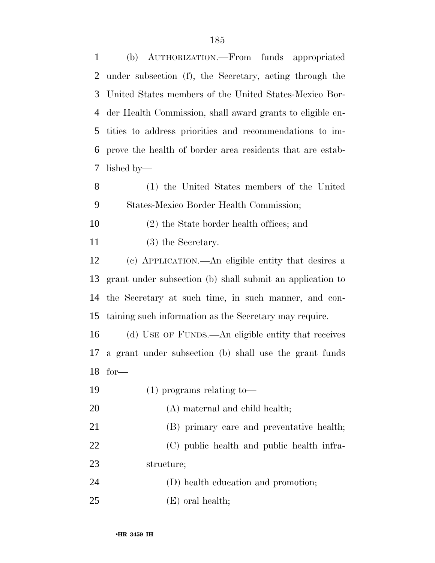(b) AUTHORIZATION.—From funds appropriated under subsection (f), the Secretary, acting through the United States members of the United States-Mexico Bor- der Health Commission, shall award grants to eligible en- tities to address priorities and recommendations to im- prove the health of border area residents that are estab-lished by—

 (1) the United States members of the United States-Mexico Border Health Commission;

- (2) the State border health offices; and
- (3) the Secretary.

 (c) APPLICATION.—An eligible entity that desires a grant under subsection (b) shall submit an application to the Secretary at such time, in such manner, and con-taining such information as the Secretary may require.

 (d) USE OF FUNDS.—An eligible entity that receives a grant under subsection (b) shall use the grant funds for—

(1) programs relating to—

20 (A) maternal and child health;

- (B) primary care and preventative health; (C) public health and public health infra- structure; (D) health education and promotion;
- (E) oral health;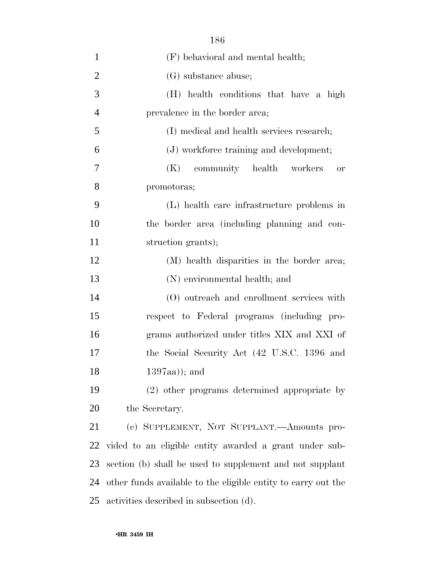| $\mathbf{1}$   | (F) behavioral and mental health;                             |
|----------------|---------------------------------------------------------------|
| $\overline{2}$ | (G) substance abuse;                                          |
| 3              | (H) health conditions that have a high                        |
| $\overline{4}$ | prevalence in the border area;                                |
| 5              | (I) medical and health services research;                     |
| 6              | (J) workforce training and development;                       |
| 7              | community health workers<br>(K)<br>or                         |
| 8              | promotoras;                                                   |
| 9              | (L) health care infrastructure problems in                    |
| 10             | the border area (including planning and con-                  |
| 11             | struction grants);                                            |
| 12             | (M) health disparities in the border area;                    |
| 13             | (N) environmental health; and                                 |
| 14             | (O) outreach and enrollment services with                     |
| 15             | respect to Federal programs (including pro-                   |
| 16             | grams authorized under titles XIX and XXI of                  |
| 17             | the Social Security Act (42 U.S.C. 1396 and                   |
| 18             | $1397aa)$ ; and                                               |
| 19             | (2) other programs determined appropriate by                  |
| 20             | the Secretary.                                                |
| 21             | (e) SUPPLEMENT, NOT SUPPLANT.—Amounts pro-                    |
| 22             | vided to an eligible entity awarded a grant under sub-        |
| 23             | section (b) shall be used to supplement and not supplant      |
| 24             | other funds available to the eligible entity to carry out the |
| 25             | activities described in subsection (d).                       |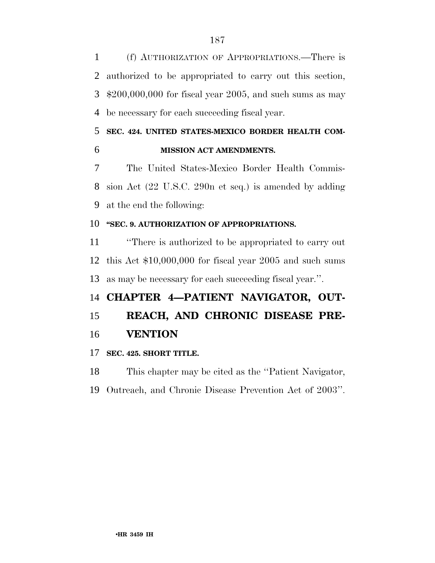(f) AUTHORIZATION OF APPROPRIATIONS.—There is authorized to be appropriated to carry out this section, \$200,000,000 for fiscal year 2005, and such sums as may be necessary for each succeeding fiscal year.

### **SEC. 424. UNITED STATES-MEXICO BORDER HEALTH COM-MISSION ACT AMENDMENTS.**

 The United States-Mexico Border Health Commis- sion Act (22 U.S.C. 290n et seq.) is amended by adding at the end the following:

### **''SEC. 9. AUTHORIZATION OF APPROPRIATIONS.**

 ''There is authorized to be appropriated to carry out this Act \$10,000,000 for fiscal year 2005 and such sums as may be necessary for each succeeding fiscal year.''.

## **CHAPTER 4—PATIENT NAVIGATOR, OUT-**

## **REACH, AND CHRONIC DISEASE PRE-VENTION**

### **SEC. 425. SHORT TITLE.**

This chapter may be cited as the ''Patient Navigator,

Outreach, and Chronic Disease Prevention Act of 2003''.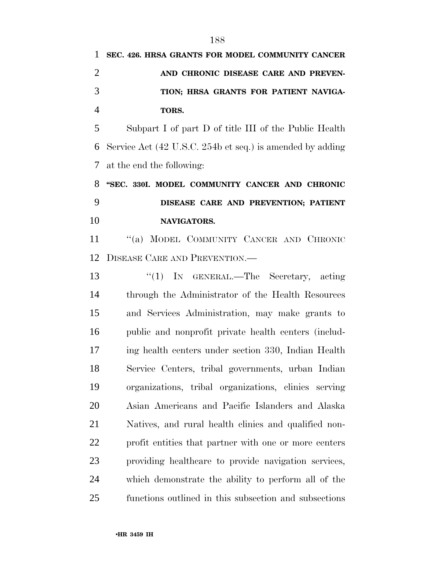**TORS.** 

 Subpart I of part D of title III of the Public Health Service Act (42 U.S.C. 254b et seq.) is amended by adding at the end the following:

# **''SEC. 330I. MODEL COMMUNITY CANCER AND CHRONIC DISEASE CARE AND PREVENTION; PATIENT NAVIGATORS.**

 ''(a) MODEL COMMUNITY CANCER AND CHRONIC DISEASE CARE AND PREVENTION.—

13 "(1) In GENERAL.—The Secretary, acting through the Administrator of the Health Resources and Services Administration, may make grants to public and nonprofit private health centers (includ- ing health centers under section 330, Indian Health Service Centers, tribal governments, urban Indian organizations, tribal organizations, clinics serving Asian Americans and Pacific Islanders and Alaska Natives, and rural health clinics and qualified non- profit entities that partner with one or more centers providing healthcare to provide navigation services, which demonstrate the ability to perform all of the functions outlined in this subsection and subsections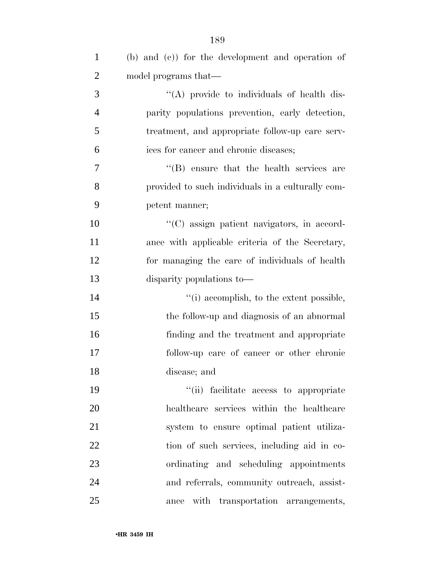| $\mathbf{1}$   | (b) and (c)) for the development and operation of |
|----------------|---------------------------------------------------|
| $\overline{2}$ | model programs that—                              |
| 3              | "(A) provide to individuals of health dis-        |
| $\overline{4}$ | parity populations prevention, early detection,   |
| 5              | treatment, and appropriate follow-up care serv-   |
| 6              | ices for cancer and chronic diseases;             |
| 7              | $\lq\lq$ ensure that the health services are      |
| 8              | provided to such individuals in a culturally com- |
| 9              | petent manner;                                    |
| 10             | "(C) assign patient navigators, in accord-        |
| 11             | ance with applicable criteria of the Secretary,   |
| 12             | for managing the care of individuals of health    |
| 13             | disparity populations to—                         |
| 14             | "(i) accomplish, to the extent possible,          |
| 15             | the follow-up and diagnosis of an abnormal        |
| 16             | finding and the treatment and appropriate         |
| 17             | follow-up care of cancer or other chronic         |
| 18             | disease; and                                      |
| 19             | "(ii) facilitate access to appropriate            |
| 20             | healthcare services within the healthcare         |
| 21             | system to ensure optimal patient utiliza-         |
| 22             | tion of such services, including aid in co-       |
| 23             | ordinating and scheduling appointments            |
| 24             | and referrals, community outreach, assist-        |
| 25             | with transportation arrangements,<br>ance         |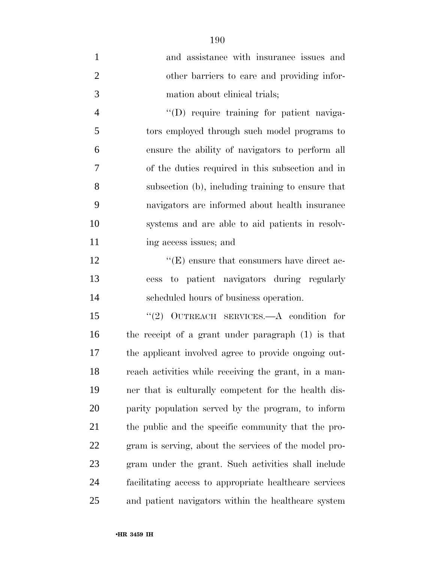| $\mathbf{1}$   | and assistance with insurance issues and               |
|----------------|--------------------------------------------------------|
| $\overline{2}$ | other barriers to care and providing infor-            |
| 3              | mation about clinical trials;                          |
| $\overline{4}$ | "(D) require training for patient naviga-              |
| 5              | tors employed through such model programs to           |
| 6              | ensure the ability of navigators to perform all        |
| 7              | of the duties required in this subsection and in       |
| 8              | subsection (b), including training to ensure that      |
| 9              | navigators are informed about health insurance         |
| 10             | systems and are able to aid patients in resolv-        |
| 11             | ing access issues; and                                 |
| 12             | $\lq\lq(E)$ ensure that consumers have direct ac-      |
| 13             | cess to patient navigators during regularly            |
| 14             | scheduled hours of business operation.                 |
| 15             | "(2) OUTREACH SERVICES.—A condition for                |
| 16             | the receipt of a grant under paragraph (1) is that     |
| 17             | the applicant involved agree to provide ongoing out-   |
| 18             | reach activities while receiving the grant, in a man-  |
| 19             | ner that is culturally competent for the health dis-   |
| 20             | parity population served by the program, to inform     |
| 21             | the public and the specific community that the pro-    |
| 22             | gram is serving, about the services of the model pro-  |
| 23             | gram under the grant. Such activities shall include    |
| 24             | facilitating access to appropriate healthcare services |
| 25             | and patient navigators within the healthcare system    |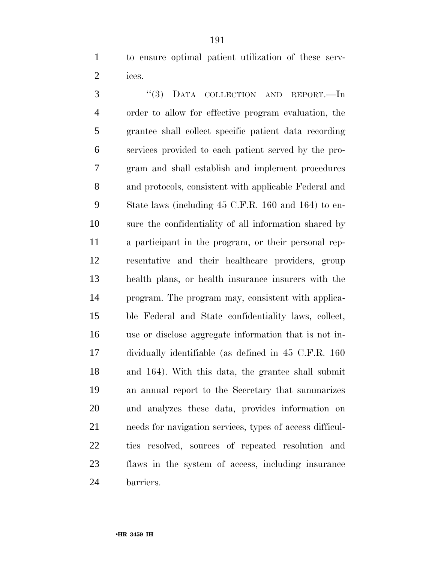to ensure optimal patient utilization of these serv-ices.

3 "(3) DATA COLLECTION AND REPORT.—In order to allow for effective program evaluation, the grantee shall collect specific patient data recording services provided to each patient served by the pro- gram and shall establish and implement procedures and protocols, consistent with applicable Federal and State laws (including 45 C.F.R. 160 and 164) to en- sure the confidentiality of all information shared by a participant in the program, or their personal rep- resentative and their healthcare providers, group health plans, or health insurance insurers with the program. The program may, consistent with applica- ble Federal and State confidentiality laws, collect, use or disclose aggregate information that is not in- dividually identifiable (as defined in 45 C.F.R. 160 and 164). With this data, the grantee shall submit an annual report to the Secretary that summarizes and analyzes these data, provides information on needs for navigation services, types of access difficul- ties resolved, sources of repeated resolution and flaws in the system of access, including insurance barriers.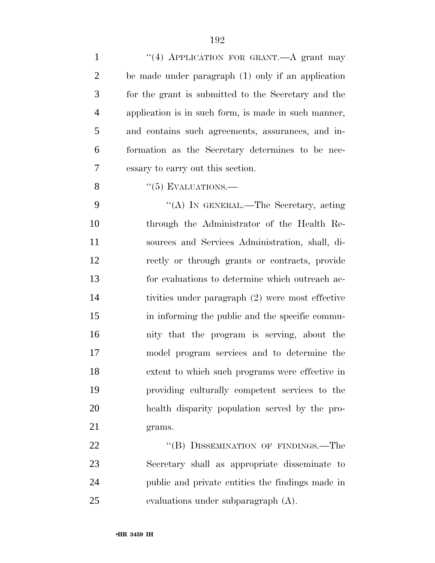| $\mathbf{1}$   | "(4) APPLICATION FOR GRANT.—A grant may              |
|----------------|------------------------------------------------------|
| $\overline{2}$ | be made under paragraph $(1)$ only if an application |
| 3              | for the grant is submitted to the Secretary and the  |
| $\overline{4}$ | application is in such form, is made in such manner, |
| 5              | and contains such agreements, assurances, and in-    |
| 6              | formation as the Secretary determines to be nec-     |
| 7              | essary to carry out this section.                    |
| 8              | $\lq(5)$ EVALUATIONS.—                               |
| 9              | "(A) IN GENERAL.—The Secretary, acting               |
| 10             | through the Administrator of the Health Re-          |
| 11             | sources and Services Administration, shall, di-      |
| 12             | rectly or through grants or contracts, provide       |
| 13             | for evaluations to determine which outreach ac-      |
| 14             | tivities under paragraph (2) were most effective     |
| 15             | in informing the public and the specific commu-      |
| 16             | nity that the program is serving, about the          |
| 17             | model program services and to determine the          |
| 18             | extent to which such programs were effective in      |
| 19             | providing culturally competent services to the       |
| 20             | health disparity population served by the pro-       |
| 21             | grams.                                               |
| 22             | "(B) DISSEMINATION OF FINDINGS.—The                  |
| 23             | Secretary shall as appropriate disseminate to        |
| 24             | public and private entities the findings made in     |
| 25             | evaluations under subparagraph (A).                  |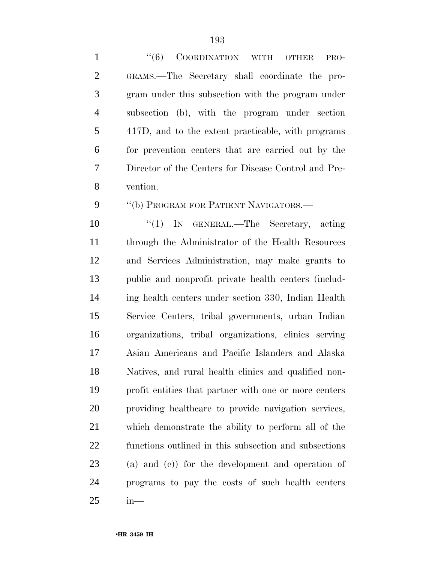| $\mathbf{1}$   | "(6) COORDINATION WITH OTHER<br>PRO-                  |
|----------------|-------------------------------------------------------|
| $\overline{2}$ | GRAMS.—The Secretary shall coordinate the pro-        |
| 3              | gram under this subsection with the program under     |
| $\overline{4}$ | subsection (b), with the program under section        |
| 5              | 417D, and to the extent practicable, with programs    |
| 6              | for prevention centers that are carried out by the    |
| 7              | Director of the Centers for Disease Control and Pre-  |
| 8              | vention.                                              |
| 9              | "(b) PROGRAM FOR PATIENT NAVIGATORS.-                 |
| 10             | "(1) IN GENERAL.—The Secretary, acting                |
| 11             | through the Administrator of the Health Resources     |
| 12             | and Services Administration, may make grants to       |
| 13             | public and nonprofit private health centers (includ-  |
| 14             | ing health centers under section 330, Indian Health   |
| 15             | Service Centers, tribal governments, urban Indian     |
| 16             | organizations, tribal organizations, clinics serving  |
| 17             | Asian Americans and Pacific Islanders and Alaska      |
| 18             | Natives, and rural health clinics and qualified non-  |
| 19             | profit entities that partner with one or more centers |
| 20             | providing healthcare to provide navigation services,  |
| 21             | which demonstrate the ability to perform all of the   |
| 22             | functions outlined in this subsection and subsections |
| 23             | $(a)$ and $(c)$ for the development and operation of  |
| 24             | programs to pay the costs of such health centers      |
| 25             | $in-$                                                 |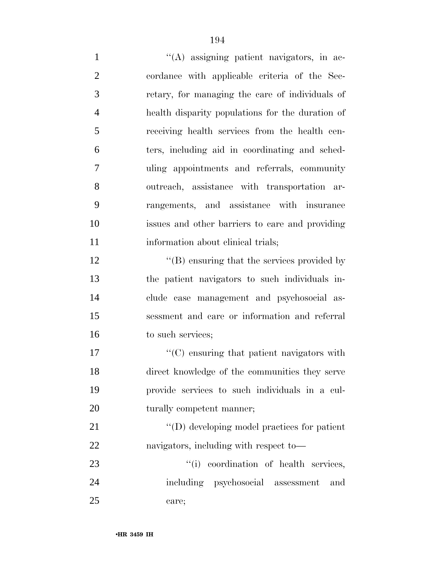''(A) assigning patient navigators, in ac- cordance with applicable criteria of the Sec- retary, for managing the care of individuals of health disparity populations for the duration of receiving health services from the health cen- ters, including aid in coordinating and sched- uling appointments and referrals, community outreach, assistance with transportation ar- rangements, and assistance with insurance issues and other barriers to care and providing 11 information about clinical trials; 12 ''(B) ensuring that the services provided by the patient navigators to such individuals in- clude case management and psychosocial as- sessment and care or information and referral 16 to such services;  $\cdot$  (C) ensuring that patient navigators with direct knowledge of the communities they serve provide services to such individuals in a cul-20 turally competent manner;  $\text{``(D) developing model practices for patient}$  navigators, including with respect to—  $\frac{1}{1}$  coordination of health services, including psychosocial assessment and

care;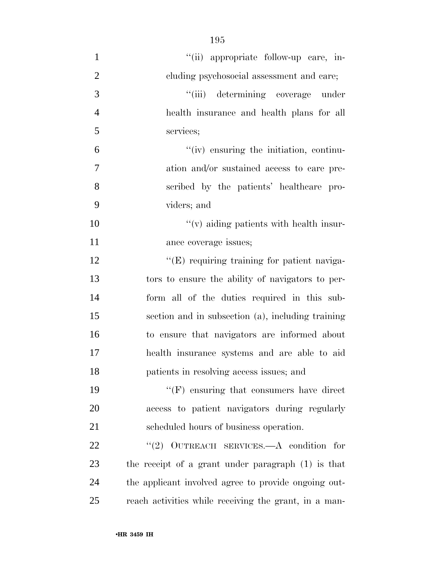| $\mathbf{1}$   | "(ii) appropriate follow-up care, in-                 |
|----------------|-------------------------------------------------------|
| $\overline{2}$ | cluding psychosocial assessment and care;             |
| 3              | "(iii) determining coverage under                     |
| $\overline{4}$ | health insurance and health plans for all             |
| 5              | services;                                             |
| 6              | "(iv) ensuring the initiation, continu-               |
| 7              | ation and/or sustained access to care pre-            |
| 8              | scribed by the patients' healthcare pro-              |
| 9              | viders; and                                           |
| 10             | $f'(v)$ aiding patients with health insur-            |
| 11             | ance coverage issues;                                 |
| 12             | $\lq\lq(E)$ requiring training for patient naviga-    |
| 13             | tors to ensure the ability of navigators to per-      |
| 14             | form all of the duties required in this sub-          |
| 15             | section and in subsection (a), including training     |
| 16             | to ensure that navigators are informed about          |
| 17             | health insurance systems and are able to aid          |
| 18             | patients in resolving access issues; and              |
| 19             | $\lq\lq(F)$ ensuring that consumers have direct       |
| 20             | access to patient navigators during regularly         |
| 21             | scheduled hours of business operation.                |
| 22             | "(2) OUTREACH SERVICES.—A condition for               |
| 23             | the receipt of a grant under paragraph (1) is that    |
| 24             | the applicant involved agree to provide ongoing out-  |
| 25             | reach activities while receiving the grant, in a man- |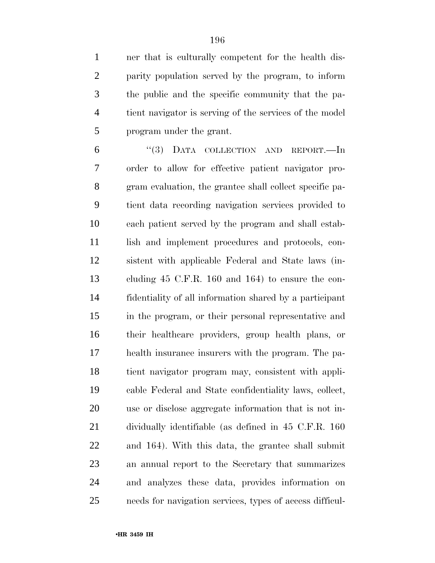ner that is culturally competent for the health dis- parity population served by the program, to inform the public and the specific community that the pa- tient navigator is serving of the services of the model program under the grant.

 ''(3) DATA COLLECTION AND REPORT.—In order to allow for effective patient navigator pro- gram evaluation, the grantee shall collect specific pa- tient data recording navigation services provided to each patient served by the program and shall estab-11 lish and implement procedures and protocols, con- sistent with applicable Federal and State laws (in- cluding 45 C.F.R. 160 and 164) to ensure the con- fidentiality of all information shared by a participant in the program, or their personal representative and their healthcare providers, group health plans, or health insurance insurers with the program. The pa- tient navigator program may, consistent with appli- cable Federal and State confidentiality laws, collect, use or disclose aggregate information that is not in- dividually identifiable (as defined in 45 C.F.R. 160 and 164). With this data, the grantee shall submit an annual report to the Secretary that summarizes and analyzes these data, provides information on needs for navigation services, types of access difficul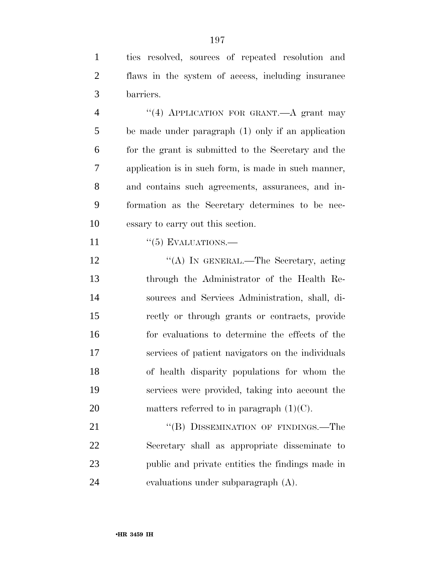ties resolved, sources of repeated resolution and flaws in the system of access, including insurance barriers.

4 "(4) APPLICATION FOR GRANT.—A grant may be made under paragraph (1) only if an application for the grant is submitted to the Secretary and the application is in such form, is made in such manner, and contains such agreements, assurances, and in- formation as the Secretary determines to be nec-essary to carry out this section.

11  $\frac{1}{5}$  EVALUATIONS.

12 "(A) IN GENERAL.—The Secretary, acting through the Administrator of the Health Re- sources and Services Administration, shall, di- rectly or through grants or contracts, provide for evaluations to determine the effects of the services of patient navigators on the individuals of health disparity populations for whom the services were provided, taking into account the 20 matters referred to in paragraph  $(1)(C)$ .

21 "(B) DISSEMINATION OF FINDINGS.—The Secretary shall as appropriate disseminate to public and private entities the findings made in evaluations under subparagraph (A).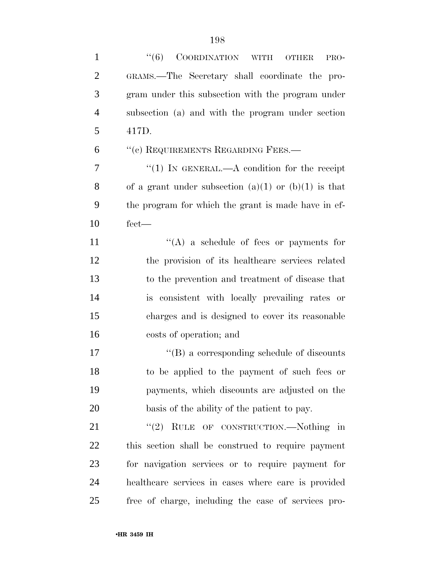| $\mathbf{1}$   | ``(6)<br>COORDINATION WITH<br><b>OTHER</b><br>PRO-   |
|----------------|------------------------------------------------------|
| $\overline{2}$ | GRAMS.—The Secretary shall coordinate the pro-       |
| 3              | gram under this subsection with the program under    |
| $\overline{4}$ | subsection (a) and with the program under section    |
| 5              | 417D.                                                |
| 6              | "(c) REQUIREMENTS REGARDING FEES.-                   |
| 7              | "(1) IN GENERAL.—A condition for the receipt         |
| 8              | of a grant under subsection (a)(1) or (b)(1) is that |
| 9              | the program for which the grant is made have in ef-  |
| 10             | $fect-$                                              |
| 11             | $\lq\lq(A)$ a schedule of fees or payments for       |
| 12             | the provision of its healthcare services related     |
| 13             | to the prevention and treatment of disease that      |
| 14             | is consistent with locally prevailing rates or       |
| 15             | charges and is designed to cover its reasonable      |
| 16             | costs of operation; and                              |
| 17             | $\lq\lq (B)$ a corresponding schedule of discounts   |
| 18             | to be applied to the payment of such fees or         |
| 19             | payments, which discounts are adjusted on the        |
| 20             | basis of the ability of the patient to pay.          |
| 21             | "(2) RULE OF CONSTRUCTION.—Nothing in                |
| 22             | this section shall be construed to require payment   |
| 23             | for navigation services or to require payment for    |
| 24             | healthcare services in cases where care is provided  |
| 25             | free of charge, including the case of services pro-  |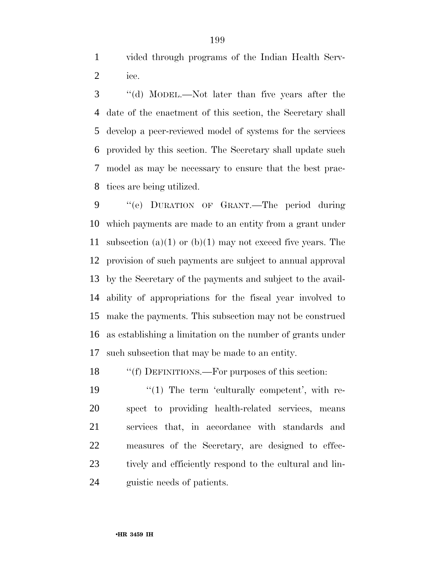vided through programs of the Indian Health Serv-ice.

 ''(d) MODEL.—Not later than five years after the date of the enactment of this section, the Secretary shall develop a peer-reviewed model of systems for the services provided by this section. The Secretary shall update such model as may be necessary to ensure that the best prac-tices are being utilized.

 ''(e) DURATION OF GRANT.—The period during which payments are made to an entity from a grant under 11 subsection (a)(1) or (b)(1) may not exceed five years. The provision of such payments are subject to annual approval by the Secretary of the payments and subject to the avail- ability of appropriations for the fiscal year involved to make the payments. This subsection may not be construed as establishing a limitation on the number of grants under such subsection that may be made to an entity.

18 ""(f) DEFINITIONS.—For purposes of this section:

 $\frac{1}{2}$  (1) The term 'culturally competent', with re- spect to providing health-related services, means services that, in accordance with standards and measures of the Secretary, are designed to effec-23 tively and efficiently respond to the cultural and lin-guistic needs of patients.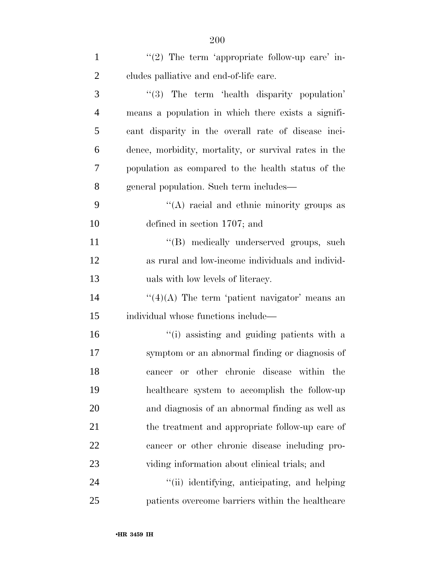| $\mathbf{1}$   | " $(2)$ The term 'appropriate follow-up care' in-     |
|----------------|-------------------------------------------------------|
| $\overline{2}$ | cludes palliative and end-of-life care.               |
| 3              | "(3) The term 'health disparity population'           |
| $\overline{4}$ | means a population in which there exists a signifi-   |
| 5              | cant disparity in the overall rate of disease inci-   |
| 6              | dence, morbidity, mortality, or survival rates in the |
| 7              | population as compared to the health status of the    |
| 8              | general population. Such term includes—               |
| 9              | $\lq\lq$ racial and ethnic minority groups as         |
| 10             | defined in section 1707; and                          |
| 11             | "(B) medically underserved groups, such               |
| 12             | as rural and low-income individuals and individ-      |
| 13             | uals with low levels of literacy.                     |
| 14             | $\lq(4)(A)$ The term 'patient navigator' means an     |
| 15             | individual whose functions include—                   |
| 16             | "(i) assisting and guiding patients with a            |
| 17             | symptom or an abnormal finding or diagnosis of        |
| 18             | other chronic disease within the<br>or<br>cancer      |
| 19             | healthcare system to accomplish the follow-up         |
| 20             | and diagnosis of an abnormal finding as well as       |
| 21             | the treatment and appropriate follow-up care of       |
| 22             | cancer or other chronic disease including pro-        |
| 23             | viding information about clinical trials; and         |
| 24             | "(ii) identifying, anticipating, and helping          |
| 25             | patients overcome barriers within the healthcare      |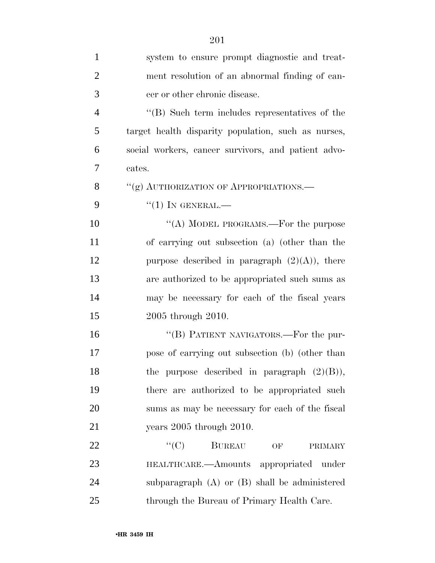| $\mathbf{1}$   | system to ensure prompt diagnostic and treat-       |
|----------------|-----------------------------------------------------|
| $\overline{2}$ | ment resolution of an abnormal finding of can-      |
| 3              | cer or other chronic disease.                       |
| $\overline{4}$ | "(B) Such term includes representatives of the      |
| 5              | target health disparity population, such as nurses, |
| 6              | social workers, cancer survivors, and patient advo- |
| 7              | cates.                                              |
| 8              | "(g) AUTHORIZATION OF APPROPRIATIONS.—              |
| 9              | $``(1)$ IN GENERAL.—                                |
| 10             | "(A) MODEL PROGRAMS.—For the purpose                |
| 11             | of carrying out subsection (a) (other than the      |
| 12             | purpose described in paragraph $(2)(A)$ , there     |
| 13             | are authorized to be appropriated such sums as      |
| 14             | may be necessary for each of the fiscal years       |
| 15             | 2005 through 2010.                                  |
| 16             | "(B) PATIENT NAVIGATORS.—For the pur-               |
| 17             | pose of carrying out subsection (b) (other than     |
| 18             | the purpose described in paragraph $(2)(B)$ ),      |
| 19             | there are authorized to be appropriated such        |
| 20             | sums as may be necessary for each of the fiscal     |
| 21             | years $2005$ through $2010$ .                       |
| 22             | $\lq\lq (C)$ BUREAU<br>OF<br>PRIMARY                |
| 23             | HEALTHCARE.—Amounts appropriated under              |
| 24             | subparagraph $(A)$ or $(B)$ shall be administered   |
| 25             | through the Bureau of Primary Health Care.          |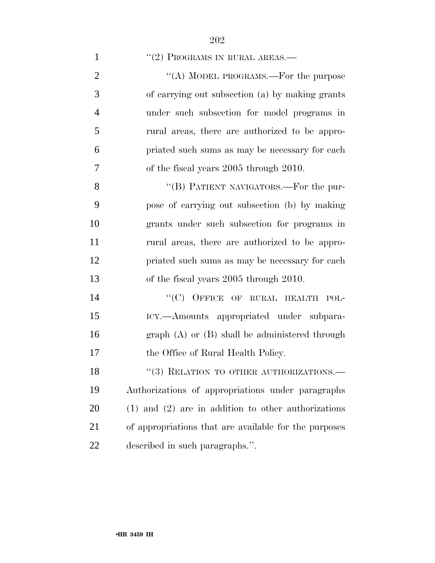|  | $\lq(2)$ PROGRAMS IN RURAL AREAS.— |
|--|------------------------------------|
|--|------------------------------------|

 $\cdot$  (A) MODEL PROGRAMS.—For the purpose of carrying out subsection (a) by making grants under such subsection for model programs in rural areas, there are authorized to be appro- priated such sums as may be necessary for each of the fiscal years 2005 through 2010.

8 "(B) PATIENT NAVIGATORS.—For the pur- pose of carrying out subsection (b) by making grants under such subsection for programs in rural areas, there are authorized to be appro- priated such sums as may be necessary for each of the fiscal years 2005 through 2010.

14 "(C) OFFICE OF RURAL HEALTH POL- ICY.—Amounts appropriated under subpara- graph (A) or (B) shall be administered through 17 the Office of Rural Health Policy.

18 "(3) RELATION TO OTHER AUTHORIZATIONS.— Authorizations of appropriations under paragraphs (1) and (2) are in addition to other authorizations of appropriations that are available for the purposes described in such paragraphs.''.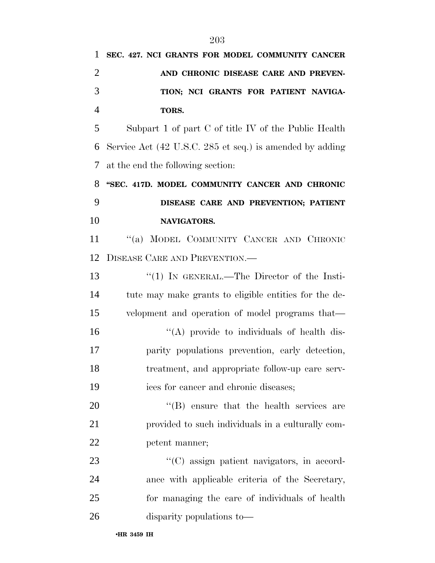| 1              | SEC. 427. NCI GRANTS FOR MODEL COMMUNITY CANCER          |
|----------------|----------------------------------------------------------|
| $\overline{2}$ | AND CHRONIC DISEASE CARE AND PREVEN-                     |
| 3              | TION; NCI GRANTS FOR PATIENT NAVIGA-                     |
| $\overline{4}$ | TORS.                                                    |
| 5              | Subpart 1 of part C of title IV of the Public Health     |
| 6              | Service Act (42 U.S.C. 285 et seq.) is amended by adding |
| 7              | at the end the following section:                        |
| 8              | "SEC. 417D. MODEL COMMUNITY CANCER AND CHRONIC           |
| 9              | DISEASE CARE AND PREVENTION; PATIENT                     |
| 10             | NAVIGATORS.                                              |
| 11             | "(a) MODEL COMMUNITY CANCER AND CHRONIC                  |
| 12             | <b>DISEASE CARE AND PREVENTION.</b>                      |
| 13             | "(1) IN GENERAL.—The Director of the Insti-              |
| 14             | tute may make grants to eligible entities for the de-    |
| 15             | velopment and operation of model programs that—          |
| 16             | "(A) provide to individuals of health dis-               |
| 17             | parity populations prevention, early detection,          |
| 18             | treatment, and appropriate follow-up care serv-          |
| 19             | ices for cancer and chronic diseases;                    |
| 20             | $\lq\lq$ ensure that the health services are             |
| 21             | provided to such individuals in a culturally com-        |
| 22             | petent manner;                                           |
| 23             | "(C) assign patient navigators, in accord-               |
| 24             | ance with applicable criteria of the Secretary,          |
| 25             | for managing the care of individuals of health           |
| 26             | disparity populations to-                                |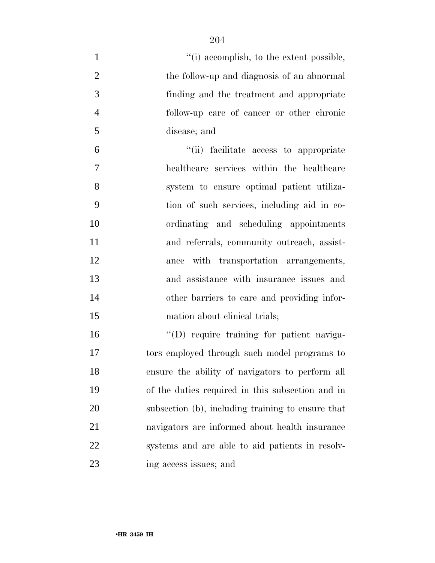| $\mathbf{1}$   | "(i) accomplish, to the extent possible,          |
|----------------|---------------------------------------------------|
| $\overline{2}$ | the follow-up and diagnosis of an abnormal        |
| 3              | finding and the treatment and appropriate         |
| $\overline{4}$ | follow-up care of cancer or other chronic         |
| 5              | disease; and                                      |
| 6              | "(ii) facilitate access to appropriate            |
| 7              | healthcare services within the healthcare         |
| 8              | system to ensure optimal patient utiliza-         |
| 9              | tion of such services, including aid in co-       |
| 10             | ordinating and scheduling appointments            |
| 11             | and referrals, community outreach, assist-        |
| 12             | ance with transportation arrangements,            |
| 13             | and assistance with insurance issues and          |
| 14             | other barriers to care and providing infor-       |
| 15             | mation about clinical trials;                     |
| 16             | "(D) require training for patient naviga-         |
| 17             | tors employed through such model programs to      |
| 18             | ensure the ability of navigators to perform all   |
| 19             | of the duties required in this subsection and in  |
| 20             | subsection (b), including training to ensure that |
| 21             | navigators are informed about health insurance    |
| 22             | systems and are able to aid patients in resolv-   |
| 23             | ing access issues; and                            |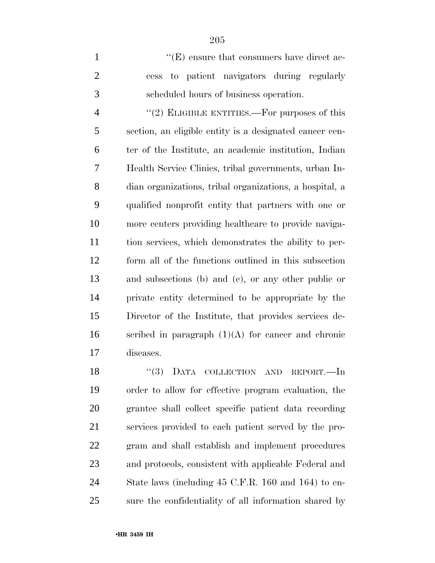1  $\langle$  (E) ensure that consumers have direct ac- cess to patient navigators during regularly scheduled hours of business operation.

4 "(2) ELIGIBLE ENTITIES.—For purposes of this section, an eligible entity is a designated cancer cen- ter of the Institute, an academic institution, Indian Health Service Clinics, tribal governments, urban In- dian organizations, tribal organizations, a hospital, a qualified nonprofit entity that partners with one or more centers providing healthcare to provide naviga- tion services, which demonstrates the ability to per- form all of the functions outlined in this subsection and subsections (b) and (c), or any other public or private entity determined to be appropriate by the Director of the Institute, that provides services de-16 scribed in paragraph  $(1)(A)$  for cancer and chronic diseases.

18 "(3) DATA COLLECTION AND REPORT.—In order to allow for effective program evaluation, the grantee shall collect specific patient data recording services provided to each patient served by the pro- gram and shall establish and implement procedures and protocols, consistent with applicable Federal and State laws (including 45 C.F.R. 160 and 164) to en-sure the confidentiality of all information shared by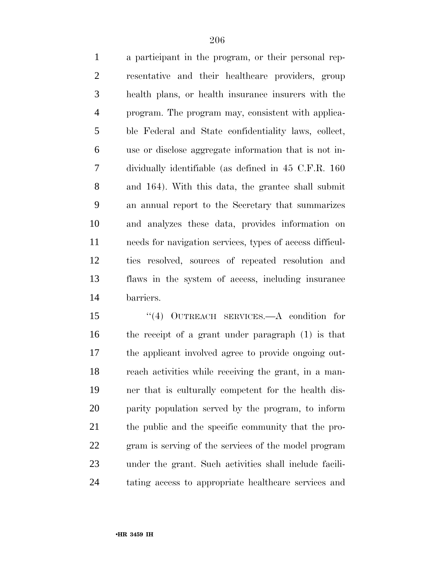a participant in the program, or their personal rep- resentative and their healthcare providers, group health plans, or health insurance insurers with the program. The program may, consistent with applica- ble Federal and State confidentiality laws, collect, use or disclose aggregate information that is not in- dividually identifiable (as defined in 45 C.F.R. 160 and 164). With this data, the grantee shall submit an annual report to the Secretary that summarizes and analyzes these data, provides information on needs for navigation services, types of access difficul- ties resolved, sources of repeated resolution and flaws in the system of access, including insurance barriers.

 ''(4) OUTREACH SERVICES.—A condition for the receipt of a grant under paragraph (1) is that the applicant involved agree to provide ongoing out- reach activities while receiving the grant, in a man- ner that is culturally competent for the health dis- parity population served by the program, to inform the public and the specific community that the pro- gram is serving of the services of the model program under the grant. Such activities shall include facili-tating access to appropriate healthcare services and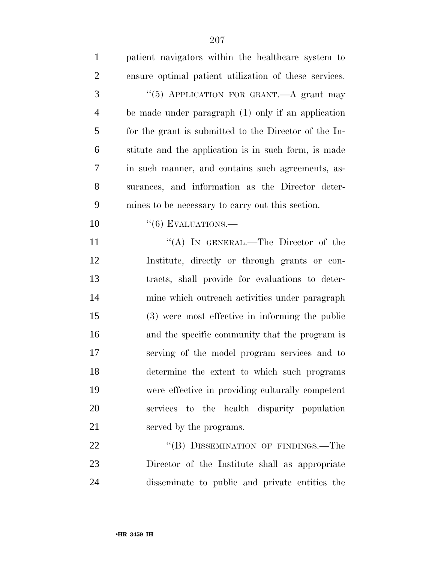| $\mathbf{1}$   | patient navigators within the healthcare system to    |
|----------------|-------------------------------------------------------|
| $\overline{2}$ | ensure optimal patient utilization of these services. |
| 3              | "(5) APPLICATION FOR GRANT.—A grant may               |
| $\overline{4}$ | be made under paragraph $(1)$ only if an application  |
| 5              | for the grant is submitted to the Director of the In- |
| 6              | stitute and the application is in such form, is made  |
| 7              | in such manner, and contains such agreements, as-     |
| 8              | surances, and information as the Director deter-      |
| 9              | mines to be necessary to carry out this section.      |
| 10             | $``(6)$ EVALUATIONS.—                                 |
| 11             | "(A) IN GENERAL.—The Director of the                  |
| 12             | Institute, directly or through grants or con-         |
| 13             | tracts, shall provide for evaluations to deter-       |
| 14             | mine which outreach activities under paragraph        |
| 15             | (3) were most effective in informing the public       |
| 16             | and the specific community that the program is        |
| 17             | serving of the model program services and to          |
| 18             | determine the extent to which such programs           |
| 19             | were effective in providing culturally competent      |
| 20             | services to the health disparity population           |
| 21             | served by the programs.                               |
| 22             | "(B) DISSEMINATION OF FINDINGS.—The                   |
| 23             | Director of the Institute shall as appropriate        |

disseminate to public and private entities the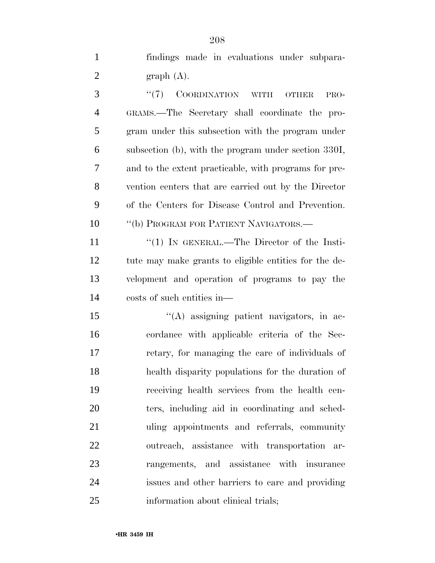| $\mathbf{1}$   | findings made in evaluations under subpara-    |
|----------------|------------------------------------------------|
| $\overline{2}$ | $graph(A)$ .                                   |
| 3              | $\cdot$ (7) COORDINATION WITH OTHER PRO-       |
| $4\degree$     | GRAMS.—The Secretary shall coordinate the pro- |

 gram under this subsection with the program under subsection (b), with the program under section 330I, and to the extent practicable, with programs for pre- vention centers that are carried out by the Director of the Centers for Disease Control and Prevention. 10 <sup>''</sup>(b) PROGRAM FOR PATIENT NAVIGATORS.

 ''(1) IN GENERAL.—The Director of the Insti- tute may make grants to eligible entities for the de- velopment and operation of programs to pay the costs of such entities in—

 ''(A) assigning patient navigators, in ac- cordance with applicable criteria of the Sec- retary, for managing the care of individuals of health disparity populations for the duration of receiving health services from the health cen- ters, including aid in coordinating and sched- uling appointments and referrals, community outreach, assistance with transportation ar- rangements, and assistance with insurance issues and other barriers to care and providing 25 information about clinical trials;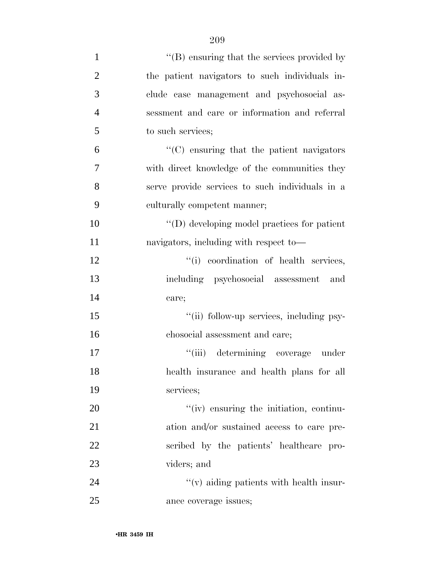| $\mathbf{1}$   | $\lq\lq$ (B) ensuring that the services provided by |
|----------------|-----------------------------------------------------|
| $\overline{2}$ | the patient navigators to such individuals in-      |
| 3              | clude case management and psychosocial as-          |
| $\overline{4}$ | sessment and care or information and referral       |
| 5              | to such services;                                   |
| 6              | $\cdot$ (C) ensuring that the patient navigators    |
| 7              | with direct knowledge of the communities they       |
| 8              | serve provide services to such individuals in a     |
| 9              | culturally competent manner;                        |
| 10             | "(D) developing model practices for patient         |
| 11             | navigators, including with respect to-              |
| 12             | "(i) coordination of health services,               |
| 13             | including psychosocial assessment and               |
| 14             | care;                                               |
| 15             | "(ii) follow-up services, including psy-            |
| 16             | chosocial assessment and care;                      |
| 17             | "(iii) determining coverage under                   |
| 18             | health insurance and health plans for all           |
| 19             | services;                                           |
| 20             | "(iv) ensuring the initiation, continu-             |
| 21             | ation and/or sustained access to care pre-          |
| 22             | scribed by the patients' healthcare pro-            |
| 23             | viders; and                                         |
| 24             | $\lq\lq$ (v) aiding patients with health insur-     |
| 25             | ance coverage issues;                               |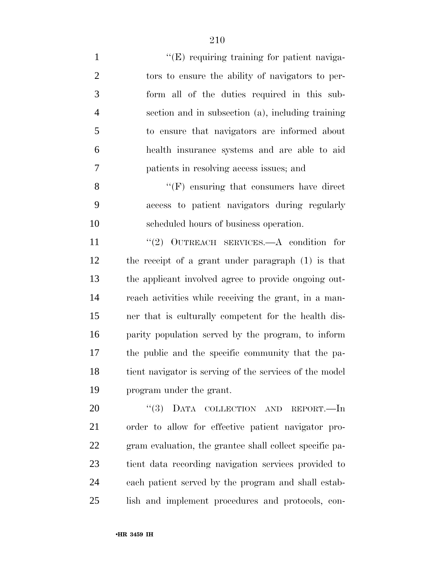$"({\rm E})$  requiring training for patient naviga- tors to ensure the ability of navigators to per- form all of the duties required in this sub- section and in subsection (a), including training to ensure that navigators are informed about health insurance systems and are able to aid patients in resolving access issues; and ''(F) ensuring that consumers have direct access to patient navigators during regularly scheduled hours of business operation. 11 "(2) OUTREACH SERVICES.—A condition for the receipt of a grant under paragraph (1) is that the applicant involved agree to provide ongoing out- reach activities while receiving the grant, in a man- ner that is culturally competent for the health dis- parity population served by the program, to inform the public and the specific community that the pa- tient navigator is serving of the services of the model program under the grant. 20 "(3) DATA COLLECTION AND REPORT.—In

 order to allow for effective patient navigator pro- gram evaluation, the grantee shall collect specific pa- tient data recording navigation services provided to each patient served by the program and shall estab-lish and implement procedures and protocols, con-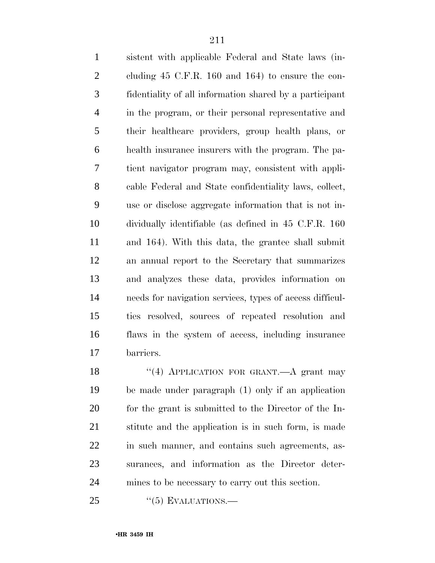sistent with applicable Federal and State laws (in- cluding 45 C.F.R. 160 and 164) to ensure the con- fidentiality of all information shared by a participant in the program, or their personal representative and their healthcare providers, group health plans, or health insurance insurers with the program. The pa- tient navigator program may, consistent with appli- cable Federal and State confidentiality laws, collect, use or disclose aggregate information that is not in- dividually identifiable (as defined in 45 C.F.R. 160 and 164). With this data, the grantee shall submit an annual report to the Secretary that summarizes and analyzes these data, provides information on needs for navigation services, types of access difficul- ties resolved, sources of repeated resolution and flaws in the system of access, including insurance barriers.

18 "(4) APPLICATION FOR GRANT.—A grant may be made under paragraph (1) only if an application for the grant is submitted to the Director of the In- stitute and the application is in such form, is made in such manner, and contains such agreements, as- surances, and information as the Director deter-mines to be necessary to carry out this section.

"(5) EVALUATIONS.—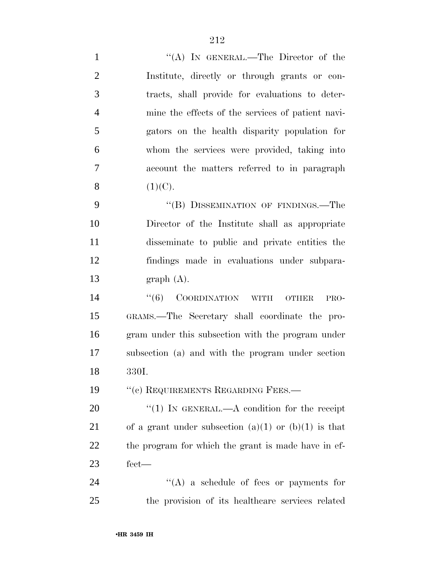| $\mathbf{1}$   | "(A) IN GENERAL.—The Director of the                 |
|----------------|------------------------------------------------------|
| $\overline{2}$ | Institute, directly or through grants or con-        |
| 3              | tracts, shall provide for evaluations to deter-      |
| $\overline{4}$ | mine the effects of the services of patient navi-    |
| 5              | gators on the health disparity population for        |
| 6              | whom the services were provided, taking into         |
| 7              | account the matters referred to in paragraph         |
| 8              | (1)(C).                                              |
| 9              | "(B) DISSEMINATION OF FINDINGS.—The                  |
| 10             | Director of the Institute shall as appropriate       |
| 11             | disseminate to public and private entities the       |
| 12             | findings made in evaluations under subpara-          |
| 13             | graph(A).                                            |
| 14             | $``(6)$ COORDINATION WITH OTHER<br>PRO-              |
| 15             | GRAMS.—The Secretary shall coordinate the pro-       |
| 16             | gram under this subsection with the program under    |
| 17             | subsection (a) and with the program under section    |
| 18             | 330I.                                                |
| 19             | "(c) REQUIREMENTS REGARDING FEES.-                   |
| 20             | "(1) IN GENERAL.—A condition for the receipt         |
| 21             | of a grant under subsection (a)(1) or (b)(1) is that |
| 22             | the program for which the grant is made have in ef-  |
| 23             | $\text{fect}$ —                                      |
| 24             | $\lq\lq$ a schedule of fees or payments for          |
| 25             | the provision of its healthcare services related     |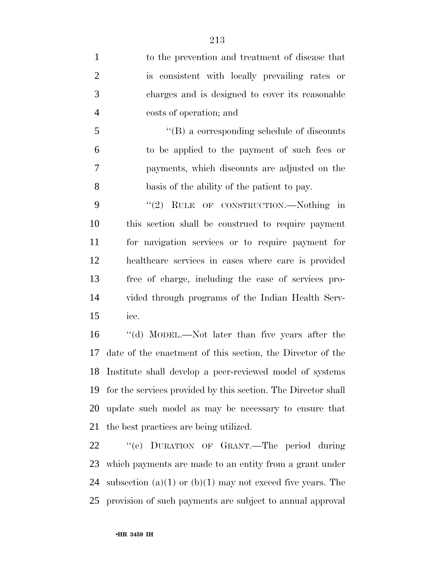to the prevention and treatment of disease that is consistent with locally prevailing rates or charges and is designed to cover its reasonable costs of operation; and

 ''(B) a corresponding schedule of discounts to be applied to the payment of such fees or payments, which discounts are adjusted on the basis of the ability of the patient to pay.

9 "(2) RULE OF CONSTRUCTION.—Nothing in this section shall be construed to require payment for navigation services or to require payment for healthcare services in cases where care is provided free of charge, including the case of services pro- vided through programs of the Indian Health Serv-ice.

 ''(d) MODEL.—Not later than five years after the date of the enactment of this section, the Director of the Institute shall develop a peer-reviewed model of systems for the services provided by this section. The Director shall update such model as may be necessary to ensure that the best practices are being utilized.

 ''(e) DURATION OF GRANT.—The period during which payments are made to an entity from a grant under 24 subsection (a)(1) or (b)(1) may not exceed five years. The provision of such payments are subject to annual approval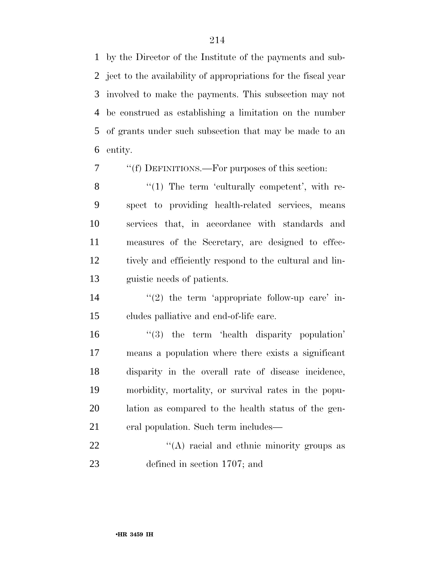by the Director of the Institute of the payments and sub- ject to the availability of appropriations for the fiscal year involved to make the payments. This subsection may not be construed as establishing a limitation on the number of grants under such subsection that may be made to an entity.

''(f) DEFINITIONS.—For purposes of this section:

8 "(1) The term 'culturally competent', with re- spect to providing health-related services, means services that, in accordance with standards and measures of the Secretary, are designed to effec- tively and efficiently respond to the cultural and lin-guistic needs of patients.

14  $(2)$  the term 'appropriate follow-up care' in-cludes palliative and end-of-life care.

 ''(3) the term 'health disparity population' means a population where there exists a significant disparity in the overall rate of disease incidence, morbidity, mortality, or survival rates in the popu- lation as compared to the health status of the gen-eral population. Such term includes—

22 "(A) racial and ethnic minority groups as defined in section 1707; and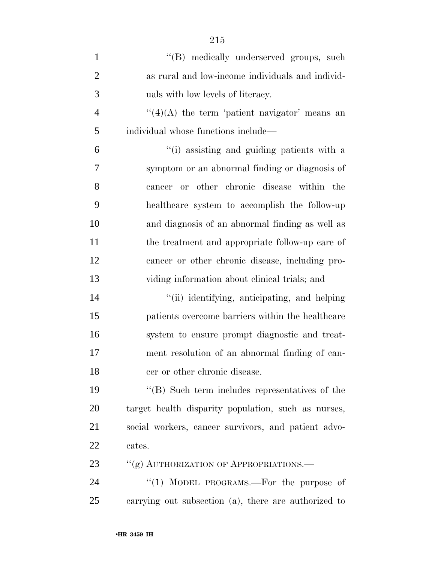| $\mathbf{1}$   | "(B) medically underserved groups, such               |
|----------------|-------------------------------------------------------|
| $\overline{2}$ | as rural and low-income individuals and individ-      |
| 3              | uals with low levels of literacy.                     |
| $\overline{4}$ | $\lq(4)(A)$ the term 'patient navigator' means an     |
| 5              | individual whose functions include—                   |
| 6              | "(i) assisting and guiding patients with a            |
| 7              | symptom or an abnormal finding or diagnosis of        |
| 8              | cancer or other chronic disease within the            |
| 9              | healthcare system to accomplish the follow-up         |
| 10             | and diagnosis of an abnormal finding as well as       |
| 11             | the treatment and appropriate follow-up care of       |
| 12             | cancer or other chronic disease, including pro-       |
| 13             | viding information about clinical trials; and         |
| 14             | "(ii) identifying, anticipating, and helping          |
| 15             | patients overcome barriers within the healthcare      |
| 16             | system to ensure prompt diagnostic and treat-         |
| 17             | ment resolution of an abnormal finding of can-        |
| 18             | cer or other chronic disease.                         |
| 19             | $\cdot$ (B) Such term includes representatives of the |
| 20             | target health disparity population, such as nurses,   |
| 21             | social workers, cancer survivors, and patient advo-   |
| 22             | cates.                                                |
| 23             | "(g) AUTHORIZATION OF APPROPRIATIONS.                 |
| 24             | "(1) MODEL PROGRAMS.—For the purpose of               |
| 25             | carrying out subsection (a), there are authorized to  |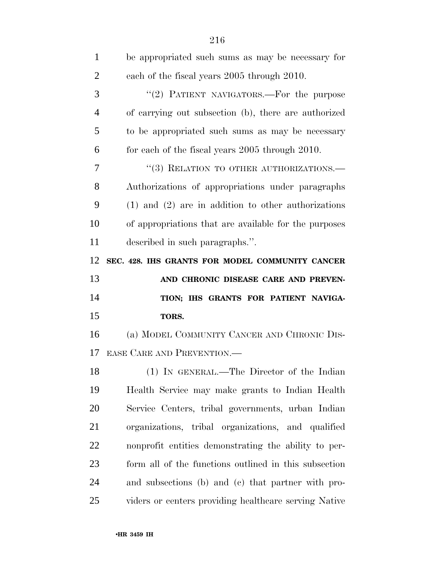| $\mathbf{1}$   | be appropriated such sums as may be necessary for       |
|----------------|---------------------------------------------------------|
| $\overline{2}$ | each of the fiscal years 2005 through 2010.             |
| 3              | "(2) PATIENT NAVIGATORS.—For the purpose                |
| $\overline{4}$ | of carrying out subsection (b), there are authorized    |
| 5              | to be appropriated such sums as may be necessary        |
| 6              | for each of the fiscal years 2005 through 2010.         |
| 7              | "(3) RELATION TO OTHER AUTHORIZATIONS.-                 |
| 8              | Authorizations of appropriations under paragraphs       |
| 9              | $(1)$ and $(2)$ are in addition to other authorizations |
| 10             | of appropriations that are available for the purposes   |
| 11             | described in such paragraphs.".                         |
| 12             | SEC. 428. IHS GRANTS FOR MODEL COMMUNITY CANCER         |
|                |                                                         |
| 13             | AND CHRONIC DISEASE CARE AND PREVEN-                    |
| 14             | TION; IHS GRANTS FOR PATIENT NAVIGA-                    |
| 15             | TORS.                                                   |
| 16             | (a) MODEL COMMUNITY CANCER AND CHRONIC DIS-             |
| 17             | EASE CARE AND PREVENTION.                               |
| 18             | (1) IN GENERAL.—The Director of the Indian              |
| 19             | Health Service may make grants to Indian Health         |
| 20             | Service Centers, tribal governments, urban Indian       |
| 21             | organizations, tribal organizations, and qualified      |
| 22             | nonprofit entities demonstrating the ability to per-    |
| 23             | form all of the functions outlined in this subsection   |
| 24             | and subsections (b) and (c) that partner with pro-      |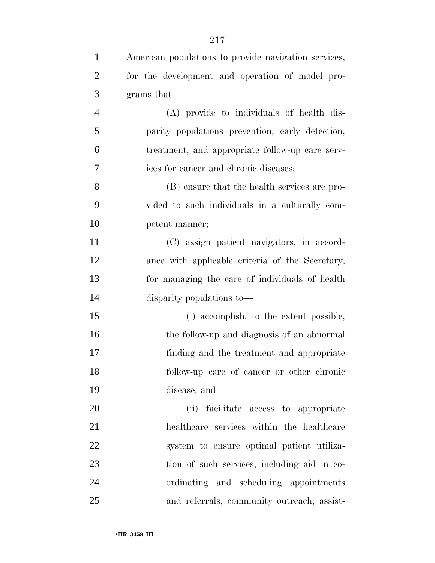| $\mathbf{1}$   | American populations to provide navigation services, |
|----------------|------------------------------------------------------|
| $\overline{2}$ | for the development and operation of model pro-      |
| 3              | grams that—                                          |
| $\overline{4}$ | (A) provide to individuals of health dis-            |
| 5              | parity populations prevention, early detection,      |
| 6              | treatment, and appropriate follow-up care serv-      |
| 7              | ices for cancer and chronic diseases;                |
| 8              | (B) ensure that the health services are pro-         |
| 9              | vided to such individuals in a culturally com-       |
| 10             | petent manner;                                       |
| 11             | (C) assign patient navigators, in accord-            |
| 12             | ance with applicable criteria of the Secretary,      |
| 13             | for managing the care of individuals of health       |
| 14             | disparity populations to—                            |
| 15             | (i) accomplish, to the extent possible,              |
| 16             | the follow-up and diagnosis of an abnormal           |
| 17             | finding and the treatment and appropriate            |
| 18             | follow-up care of cancer or other chronic            |
| 19             | disease; and                                         |
| 20             | facilitate access to appropriate<br>(ii)             |
| 21             | healthcare services within the healthcare            |
| 22             | system to ensure optimal patient utiliza-            |
| 23             | tion of such services, including aid in co-          |
| 24             | ordinating and scheduling appointments               |
| 25             | and referrals, community outreach, assist-           |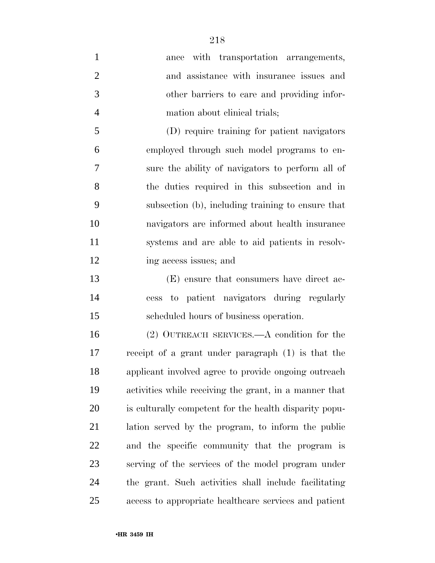| $\mathbf{1}$   | ance with transportation arrangements,                 |
|----------------|--------------------------------------------------------|
| $\overline{2}$ | and assistance with insurance issues and               |
| 3              | other barriers to care and providing infor-            |
| $\overline{4}$ | mation about clinical trials;                          |
| 5              | (D) require training for patient navigators            |
| 6              | employed through such model programs to en-            |
| 7              | sure the ability of navigators to perform all of       |
| 8              | the duties required in this subsection and in          |
| 9              | subsection (b), including training to ensure that      |
| 10             | navigators are informed about health insurance         |
| 11             | systems and are able to aid patients in resolv-        |
| 12             | ing access issues; and                                 |
| 13             | (E) ensure that consumers have direct ac-              |
| 14             | cess to patient navigators during regularly            |
| 15             | scheduled hours of business operation.                 |
| 16             | $(2)$ OUTREACH SERVICES.—A condition for the           |
| 17             | receipt of a grant under paragraph (1) is that the     |
| 18             | applicant involved agree to provide ongoing outreach   |
| 19             | activities while receiving the grant, in a manner that |
| 20             | is culturally competent for the health disparity popu- |
| 21             | lation served by the program, to inform the public     |
| 22             | and the specific community that the program is         |
| 23             | serving of the services of the model program under     |
| 24             | the grant. Such activities shall include facilitating  |
| 25             | access to appropriate healthcare services and patient  |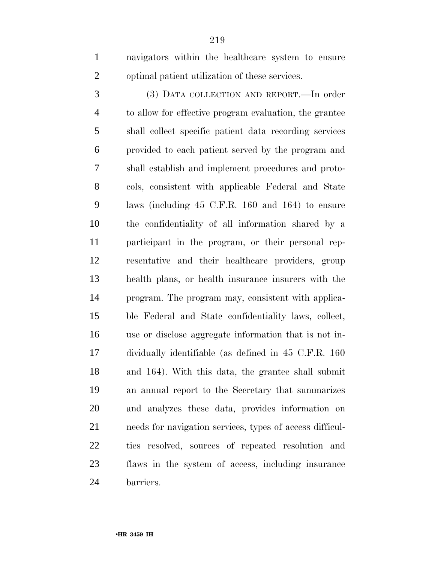navigators within the healthcare system to ensure optimal patient utilization of these services.

 (3) DATA COLLECTION AND REPORT.—In order to allow for effective program evaluation, the grantee shall collect specific patient data recording services provided to each patient served by the program and shall establish and implement procedures and proto- cols, consistent with applicable Federal and State laws (including 45 C.F.R. 160 and 164) to ensure the confidentiality of all information shared by a participant in the program, or their personal rep- resentative and their healthcare providers, group health plans, or health insurance insurers with the program. The program may, consistent with applica- ble Federal and State confidentiality laws, collect, use or disclose aggregate information that is not in- dividually identifiable (as defined in 45 C.F.R. 160 and 164). With this data, the grantee shall submit an annual report to the Secretary that summarizes and analyzes these data, provides information on needs for navigation services, types of access difficul- ties resolved, sources of repeated resolution and flaws in the system of access, including insurance barriers.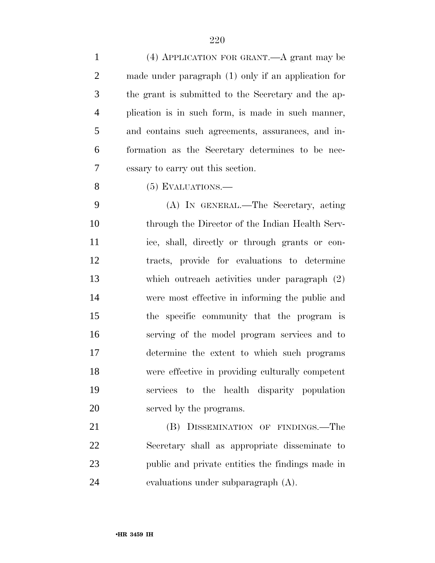| $\mathbf{1}$   | $(4)$ APPLICATION FOR GRANT.—A grant may be           |
|----------------|-------------------------------------------------------|
| $\overline{2}$ | made under paragraph $(1)$ only if an application for |
| 3              | the grant is submitted to the Secretary and the ap-   |
| $\overline{4}$ | plication is in such form, is made in such manner,    |
| 5              | and contains such agreements, assurances, and in-     |
| 6              | formation as the Secretary determines to be nec-      |
| 7              | essary to carry out this section.                     |
| 8              | $(5)$ EVALUATIONS.—                                   |
| 9              | (A) IN GENERAL.—The Secretary, acting                 |
| 10             | through the Director of the Indian Health Serv-       |
| 11             | ice, shall, directly or through grants or con-        |
| 12             | tracts, provide for evaluations to determine          |
| 13             | which outreach activities under paragraph $(2)$       |
| 14             | were most effective in informing the public and       |
| 15             | the specific community that the program is            |
| 16             | serving of the model program services and to          |
| 17             | determine the extent to which such programs           |
| 18             | were effective in providing culturally competent      |
| 19             | services to the health disparity population           |
| 20             | served by the programs.                               |
| 21             | (B) DISSEMINATION OF FINDINGS.—The                    |
| 22             | Secretary shall as appropriate disseminate to         |
| 23             | public and private entities the findings made in      |
| 24             | evaluations under subparagraph (A).                   |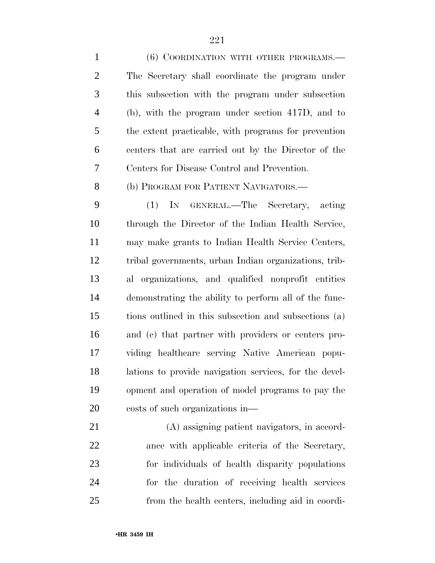1 (6) COORDINATION WITH OTHER PROGRAMS.— The Secretary shall coordinate the program under this subsection with the program under subsection (b), with the program under section 417D, and to the extent practicable, with programs for prevention centers that are carried out by the Director of the Centers for Disease Control and Prevention. 8 (b) PROGRAM FOR PATIENT NAVIGATORS.— (1) IN GENERAL.—The Secretary, acting through the Director of the Indian Health Service, may make grants to Indian Health Service Centers, tribal governments, urban Indian organizations, trib- al organizations, and qualified nonprofit entities demonstrating the ability to perform all of the func- tions outlined in this subsection and subsections (a) and (c) that partner with providers or centers pro-viding healthcare serving Native American popu-

 lations to provide navigation services, for the devel- opment and operation of model programs to pay the costs of such organizations in—

 (A) assigning patient navigators, in accord- ance with applicable criteria of the Secretary, for individuals of health disparity populations for the duration of receiving health services from the health centers, including aid in coordi-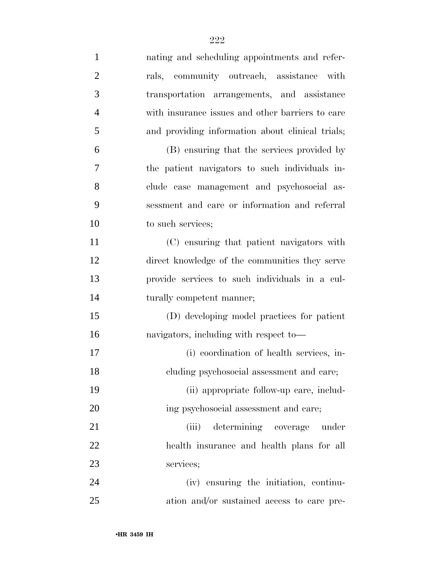| $\mathbf{1}$   | nating and scheduling appointments and refer-    |
|----------------|--------------------------------------------------|
| $\overline{2}$ | rals, community outreach, assistance with        |
| 3              | transportation arrangements, and assistance      |
| $\overline{4}$ | with insurance issues and other barriers to care |
| 5              | and providing information about clinical trials; |
| 6              | (B) ensuring that the services provided by       |
| 7              | the patient navigators to such individuals in-   |
| 8              | clude case management and psychosocial as-       |
| 9              | sessment and care or information and referral    |
| 10             | to such services;                                |
| 11             | (C) ensuring that patient navigators with        |
| 12             | direct knowledge of the communities they serve   |
| 13             | provide services to such individuals in a cul-   |
| 14             | turally competent manner;                        |
| 15             | (D) developing model practices for patient       |
| 16             | navigators, including with respect to-           |
| 17             | (i) coordination of health services, in-         |
| 18             | cluding psychosocial assessment and care;        |
| 19             | (ii) appropriate follow-up care, includ-         |
| 20             | ing psychosocial assessment and care;            |
| 21             | determining coverage<br>(iii)<br>under           |
| 22             | health insurance and health plans for all        |
| 23             | services;                                        |
| 24             | (iv) ensuring the initiation, continu-           |
| 25             | ation and/or sustained access to care pre-       |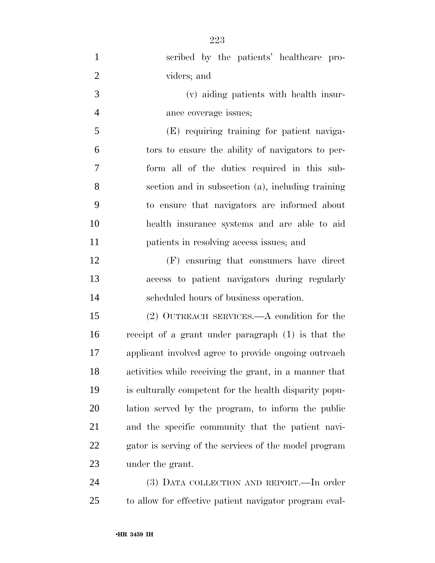| scribed by the patients' healthcare pro-               |
|--------------------------------------------------------|
| viders; and                                            |
| (v) aiding patients with health insur-                 |
| ance coverage issues;                                  |
| (E) requiring training for patient naviga-             |
| tors to ensure the ability of navigators to per-       |
| form all of the duties required in this sub-           |
| section and in subsection (a), including training      |
| to ensure that navigators are informed about           |
| health insurance systems and are able to aid           |
| patients in resolving access issues; and               |
| (F) ensuring that consumers have direct                |
| access to patient navigators during regularly          |
| scheduled hours of business operation.                 |
| $(2)$ OUTREACH SERVICES.—A condition for the           |
| receipt of a grant under paragraph (1) is that the     |
| applicant involved agree to provide ongoing outreach   |
| activities while receiving the grant, in a manner that |
| is culturally competent for the health disparity popu- |
| lation served by the program, to inform the public     |
| and the specific community that the patient navi-      |
| gator is serving of the services of the model program  |
| under the grant.                                       |
| (3) DATA COLLECTION AND REPORT. - In order             |
|                                                        |

to allow for effective patient navigator program eval-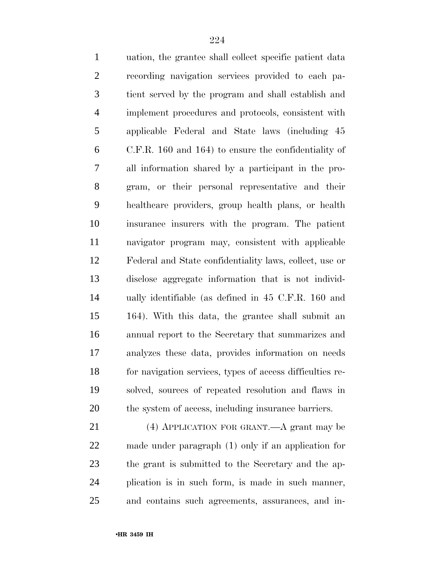uation, the grantee shall collect specific patient data recording navigation services provided to each pa- tient served by the program and shall establish and implement procedures and protocols, consistent with applicable Federal and State laws (including 45 C.F.R. 160 and 164) to ensure the confidentiality of all information shared by a participant in the pro- gram, or their personal representative and their healthcare providers, group health plans, or health insurance insurers with the program. The patient navigator program may, consistent with applicable Federal and State confidentiality laws, collect, use or disclose aggregate information that is not individ- ually identifiable (as defined in 45 C.F.R. 160 and 164). With this data, the grantee shall submit an annual report to the Secretary that summarizes and analyzes these data, provides information on needs for navigation services, types of access difficulties re- solved, sources of repeated resolution and flaws in the system of access, including insurance barriers. (4) APPLICATION FOR GRANT.—A grant may be

 made under paragraph (1) only if an application for the grant is submitted to the Secretary and the ap- plication is in such form, is made in such manner, and contains such agreements, assurances, and in-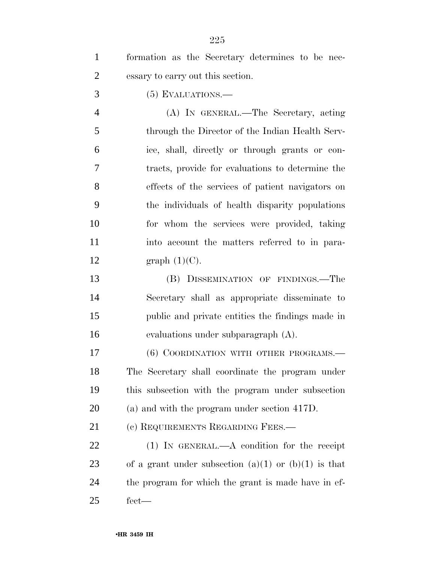| $\mathbf{1}$   | formation as the Secretary determines to be nec-         |
|----------------|----------------------------------------------------------|
| $\overline{2}$ | essary to carry out this section.                        |
| 3              | $(5)$ EVALUATIONS.—                                      |
| $\overline{4}$ | (A) IN GENERAL.—The Secretary, acting                    |
| 5              | through the Director of the Indian Health Serv-          |
| 6              | ice, shall, directly or through grants or con-           |
| 7              | tracts, provide for evaluations to determine the         |
| 8              | effects of the services of patient navigators on         |
| 9              | the individuals of health disparity populations          |
| 10             | for whom the services were provided, taking              |
| 11             | into account the matters referred to in para-            |
| 12             | graph $(1)(C)$ .                                         |
| 13             | (B) DISSEMINATION OF FINDINGS.-The                       |
| 14             | Secretary shall as appropriate disseminate to            |
| 15             | public and private entities the findings made in         |
| 16             | evaluations under subparagraph (A).                      |
| 17             | (6) COORDINATION WITH OTHER PROGRAMS.—                   |
| 18             | The Secretary shall coordinate the program under         |
| 19             | this subsection with the program under subsection        |
| 20             | (a) and with the program under section 417D.             |
| 21             | (c) REQUIREMENTS REGARDING FEES.-                        |
| 22             | $(1)$ IN GENERAL.—A condition for the receipt            |
| 23             | of a grant under subsection $(a)(1)$ or $(b)(1)$ is that |
| 24             | the program for which the grant is made have in ef-      |
| 25             | $fect$ —                                                 |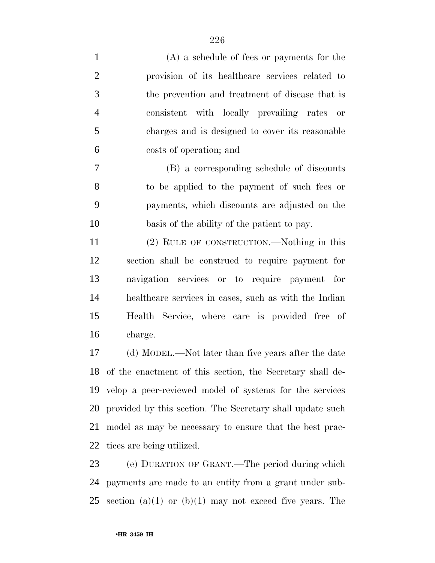| $\mathbf{1}$   | $(A)$ a schedule of fees or payments for the              |
|----------------|-----------------------------------------------------------|
| $\overline{2}$ | provision of its healthcare services related to           |
| 3              | the prevention and treatment of disease that is           |
| $\overline{4}$ | consistent with locally prevailing rates or               |
| 5              | charges and is designed to cover its reasonable           |
| 6              | costs of operation; and                                   |
| $\tau$         | (B) a corresponding schedule of discounts                 |
| 8              | to be applied to the payment of such fees or              |
| 9              | payments, which discounts are adjusted on the             |
| 10             | basis of the ability of the patient to pay.               |
| 11             | (2) RULE OF CONSTRUCTION.—Nothing in this                 |
| 12             | section shall be construed to require payment for         |
| 13             | navigation services or to require payment for             |
| 14             | healthcare services in cases, such as with the Indian     |
| 15             | Health Service, where care is provided free of            |
| 16             | charge.                                                   |
| 17             | (d) MODEL.—Not later than five years after the date       |
| 18             | of the enactment of this section, the Secretary shall de- |
| 19             | velop a peer-reviewed model of systems for the services   |
| 20             | provided by this section. The Secretary shall update such |
| 21             | model as may be necessary to ensure that the best prac-   |
| 22             | tices are being utilized.                                 |

 (e) DURATION OF GRANT.—The period during which payments are made to an entity from a grant under sub-25 section (a)(1) or (b)(1) may not exceed five years. The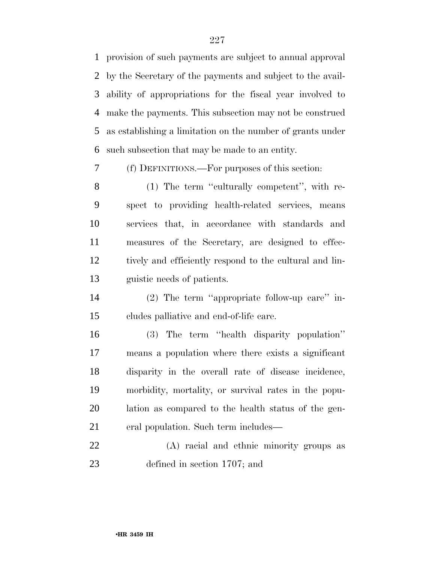provision of such payments are subject to annual approval by the Secretary of the payments and subject to the avail- ability of appropriations for the fiscal year involved to make the payments. This subsection may not be construed as establishing a limitation on the number of grants under such subsection that may be made to an entity.

(f) DEFINITIONS.—For purposes of this section:

8 (1) The term "culturally competent", with re- spect to providing health-related services, means services that, in accordance with standards and measures of the Secretary, are designed to effec- tively and efficiently respond to the cultural and lin-guistic needs of patients.

 (2) The term ''appropriate follow-up care'' in-cludes palliative and end-of-life care.

 (3) The term ''health disparity population'' means a population where there exists a significant disparity in the overall rate of disease incidence, morbidity, mortality, or survival rates in the popu- lation as compared to the health status of the gen-eral population. Such term includes—

 (A) racial and ethnic minority groups as defined in section 1707; and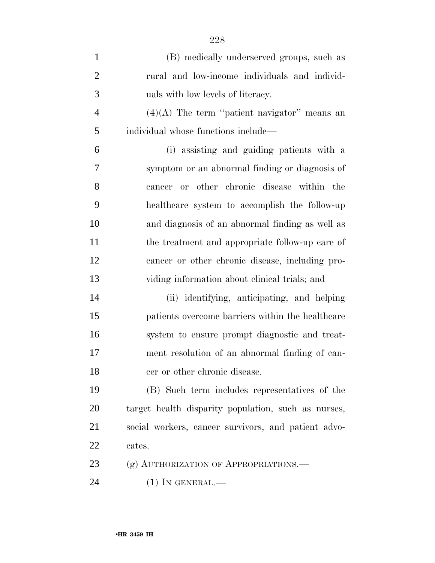| $\mathbf{1}$   | (B) medically underserved groups, such as           |
|----------------|-----------------------------------------------------|
| $\overline{2}$ | rural and low-income individuals and individ-       |
| 3              | uals with low levels of literacy.                   |
| $\overline{4}$ | $(4)(A)$ The term "patient navigator" means an      |
| 5              | individual whose functions include—                 |
| 6              | (i) assisting and guiding patients with a           |
| 7              | symptom or an abnormal finding or diagnosis of      |
| 8              | cancer or other chronic disease within the          |
| 9              | healthcare system to accomplish the follow-up       |
| 10             | and diagnosis of an abnormal finding as well as     |
| 11             | the treatment and appropriate follow-up care of     |
| 12             | cancer or other chronic disease, including pro-     |
| 13             | viding information about clinical trials; and       |
| 14             | (ii) identifying, anticipating, and helping         |
| 15             | patients overcome barriers within the healthcare    |
| 16             | system to ensure prompt diagnostic and treat-       |
| 17             | ment resolution of an abnormal finding of can-      |
| 18             | cer or other chronic disease.                       |
| 19             | (B) Such term includes representatives of the       |
| 20             | target health disparity population, such as nurses, |
| 21             | social workers, cancer survivors, and patient advo- |
| 22             | cates.                                              |
| 23             | (g) AUTHORIZATION OF APPROPRIATIONS.—               |
| 24             | $(1)$ In GENERAL.—                                  |

•**HR 3459 IH**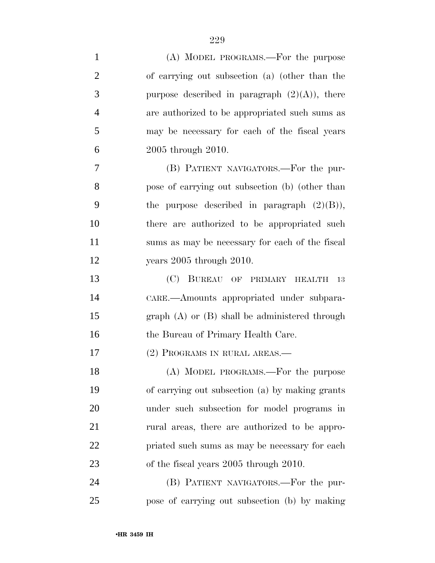| $\mathbf{1}$   | (A) MODEL PROGRAMS.—For the purpose                |
|----------------|----------------------------------------------------|
| $\overline{2}$ | of carrying out subsection (a) (other than the     |
| 3              | purpose described in paragraph $(2)(A)$ , there    |
| $\overline{4}$ | are authorized to be appropriated such sums as     |
| 5              | may be necessary for each of the fiscal years      |
| 6              | 2005 through 2010.                                 |
| 7              | (B) PATIENT NAVIGATORS.—For the pur-               |
| 8              | pose of carrying out subsection (b) (other than    |
| 9              | the purpose described in paragraph $(2)(B)$ ),     |
| 10             | there are authorized to be appropriated such       |
| 11             | sums as may be necessary for each of the fiscal    |
| 12             | years $2005$ through $2010$ .                      |
| 13             | (C) BUREAU OF PRIMARY HEALTH<br><sup>13</sup>      |
| 14             | CARE.—Amounts appropriated under subpara-          |
| 15             | graph $(A)$ or $(B)$ shall be administered through |
| 16             | the Bureau of Primary Health Care.                 |
| 17             | (2) PROGRAMS IN RURAL AREAS.—                      |
| 18             | (A) MODEL PROGRAMS.—For the purpose                |
| 19             | of carrying out subsection (a) by making grants    |
| 20             | under such subsection for model programs in        |
| 21             | rural areas, there are authorized to be appro-     |
| 22             | priated such sums as may be necessary for each     |
| 23             | of the fiscal years 2005 through 2010.             |
| 24             | (B) PATIENT NAVIGATORS.—For the pur-               |
| 25             | pose of carrying out subsection (b) by making      |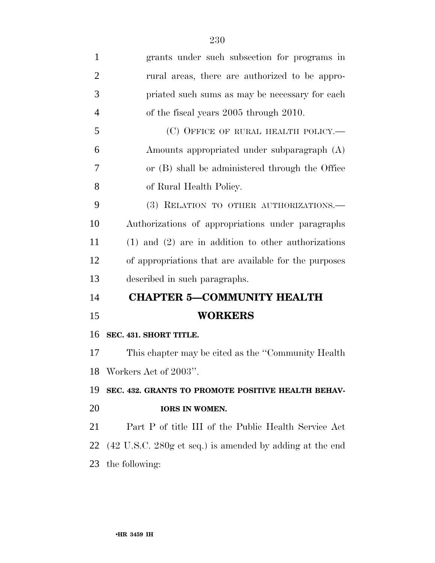| 1              | grants under such subsection for programs in                                |
|----------------|-----------------------------------------------------------------------------|
| $\overline{2}$ | rural areas, there are authorized to be appro-                              |
| 3              | priated such sums as may be necessary for each                              |
| $\overline{4}$ | of the fiscal years 2005 through 2010.                                      |
| 5              | (C) OFFICE OF RURAL HEALTH POLICY.—                                         |
| 6              | Amounts appropriated under subparagraph (A)                                 |
| 7              | or (B) shall be administered through the Office                             |
| 8              | of Rural Health Policy.                                                     |
| 9              | (3) RELATION TO OTHER AUTHORIZATIONS.-                                      |
| 10             | Authorizations of appropriations under paragraphs                           |
| 11             | $(1)$ and $(2)$ are in addition to other authorizations                     |
| 12             | of appropriations that are available for the purposes                       |
| 13             | described in such paragraphs.                                               |
| 14             | <b>CHAPTER 5-COMMUNITY HEALTH</b>                                           |
| 15             | <b>WORKERS</b>                                                              |
| 16             | SEC. 431. SHORT TITLE.                                                      |
| 17             | This chapter may be cited as the "Community Health"                         |
| 18             | Workers Act of 2003".                                                       |
| 19             | SEC. 432. GRANTS TO PROMOTE POSITIVE HEALTH BEHAV-                          |
| 20             | <b>IORS IN WOMEN.</b>                                                       |
| 21             | Part P of title III of the Public Health Service Act                        |
| 22             | $(42 \text{ U.S.C. } 280 \text{g et seq.})$ is amended by adding at the end |
| 23             | the following:                                                              |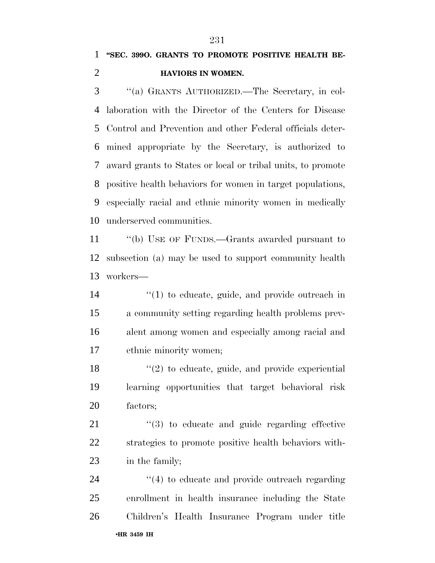## **''SEC. 399O. GRANTS TO PROMOTE POSITIVE HEALTH BE-HAVIORS IN WOMEN.**

 ''(a) GRANTS AUTHORIZED.—The Secretary, in col- laboration with the Director of the Centers for Disease Control and Prevention and other Federal officials deter- mined appropriate by the Secretary, is authorized to award grants to States or local or tribal units, to promote positive health behaviors for women in target populations, especially racial and ethnic minority women in medically underserved communities.

 ''(b) USE OF FUNDS.—Grants awarded pursuant to subsection (a) may be used to support community health workers—

 $\frac{1}{2}$  (1) to educate, guide, and provide outreach in a community setting regarding health problems prev- alent among women and especially among racial and ethnic minority women;

 $\frac{18}{20}$  to educate, guide, and provide experiential learning opportunities that target behavioral risk factors;

21  $\frac{1}{2}$  (3) to educate and guide regarding effective strategies to promote positive health behaviors with-in the family;

•**HR 3459 IH**   $\frac{4}{4}$  to educate and provide outreach regarding enrollment in health insurance including the State Children's Health Insurance Program under title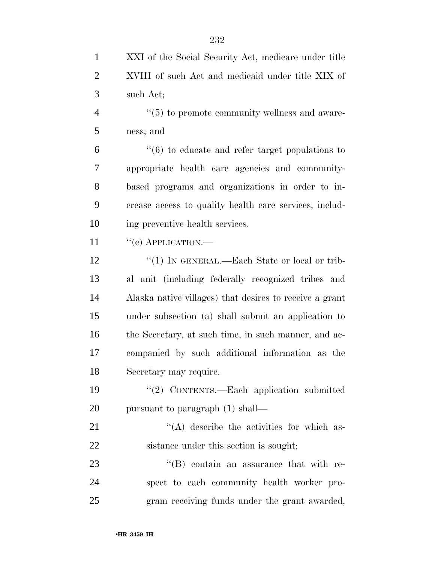| $\mathbf{1}$   | XXI of the Social Security Act, medicare under title            |
|----------------|-----------------------------------------------------------------|
| $\overline{2}$ | XVIII of such Act and medicaid under title XIX of               |
| 3              | such Act;                                                       |
| $\overline{4}$ | $\cdot\cdot$ (5) to promote community wellness and aware-       |
| 5              | ness; and                                                       |
| 6              | $\cdot\cdot\cdot(6)$ to educate and refer target populations to |
| 7              | appropriate health care agencies and community-                 |
| 8              | based programs and organizations in order to in-                |
| 9              | crease access to quality health care services, includ-          |
| 10             | ing preventive health services.                                 |
| 11             | $``(e)$ APPLICATION.—                                           |
| 12             | "(1) IN GENERAL.—Each State or local or trib-                   |
| 13             | al unit (including federally recognized tribes and              |
| 14             | Alaska native villages) that desires to receive a grant         |
| 15             | under subsection (a) shall submit an application to             |
| 16             | the Secretary, at such time, in such manner, and ac-            |
| 17             | companied by such additional information as the                 |
| 18             | Secretary may require.                                          |
| 19             | "(2) CONTENTS.—Each application submitted                       |
| 20             | pursuant to paragraph (1) shall—                                |
| 21             | $\lq\lq$ describe the activities for which as-                  |
| 22             | sistance under this section is sought;                          |
| 23             | $\lq\lq$ contain an assurance that with re-                     |
| 24             | spect to each community health worker pro-                      |
| 25             | gram receiving funds under the grant awarded,                   |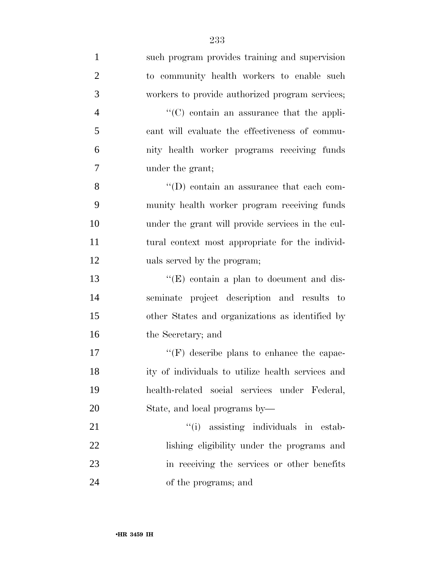| $\mathbf{1}$   | such program provides training and supervision    |
|----------------|---------------------------------------------------|
| $\overline{2}$ | to community health workers to enable such        |
| 3              | workers to provide authorized program services;   |
| $\overline{4}$ | $\cdot$ (C) contain an assurance that the appli-  |
| 5              | cant will evaluate the effectiveness of commu-    |
| 6              | nity health worker programs receiving funds       |
| 7              | under the grant;                                  |
| 8              | "(D) contain an assurance that each com-          |
| 9              | munity health worker program receiving funds      |
| 10             | under the grant will provide services in the cul- |
| 11             | tural context most appropriate for the individ-   |
| 12             | uals served by the program;                       |
| 13             | " $(E)$ contain a plan to document and dis-       |
| 14             | seminate project description and results to       |
| 15             | other States and organizations as identified by   |
| 16             | the Secretary; and                                |
| 17             | $\lq\lq(F)$ describe plans to enhance the capac-  |
| 18             | ity of individuals to utilize health services and |
| 19             | health-related social services under Federal,     |
| 20             | State, and local programs by—                     |
| 21             | "(i) assisting individuals in estab-              |
| 22             | lishing eligibility under the programs and        |
| 23             | in receiving the services or other benefits       |
| 24             | of the programs; and                              |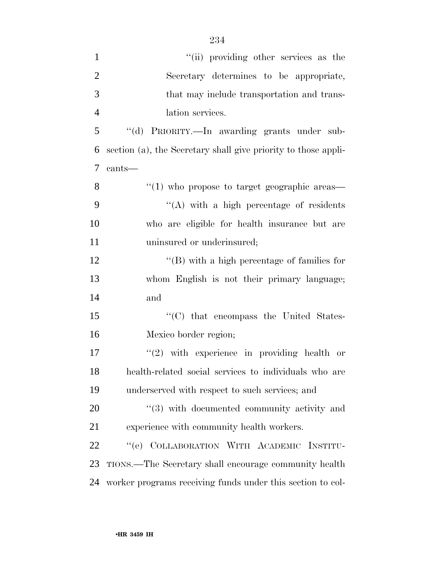| $\mathbf{1}$   | "(ii) providing other services as the                          |
|----------------|----------------------------------------------------------------|
| $\mathfrak{2}$ | Secretary determines to be appropriate,                        |
| 3              | that may include transportation and trans-                     |
| $\overline{4}$ | lation services.                                               |
| 5              | "(d) PRIORITY.—In awarding grants under sub-                   |
| 6              | section (a), the Secretary shall give priority to those appli- |
| $\overline{7}$ | cants-                                                         |
| 8              | $\lq(1)$ who propose to target geographic areas—               |
| 9              | "(A) with a high percentage of residents                       |
| 10             | who are eligible for health insurance but are                  |
| 11             | uninsured or underinsured;                                     |
| 12             | $\lq\lq$ with a high percentage of families for                |
| 13             | whom English is not their primary language;                    |
| 14             | and                                                            |
| 15             | "(C) that encompass the United States-                         |
| 16             | Mexico border region;                                          |
| 17             | $(2)$ with experience in providing health or                   |
| 18             | health-related social services to individuals who are          |
| 19             | underserved with respect to such services; and                 |
| 20             | $\cdot\cdot\cdot(3)$ with documented community activity and    |
| 21             | experience with community health workers.                      |
| 22             | "(e) COLLABORATION WITH ACADEMIC INSTITU-                      |
| 23             | TIONS.—The Secretary shall encourage community health          |
| 24             | worker programs receiving funds under this section to col-     |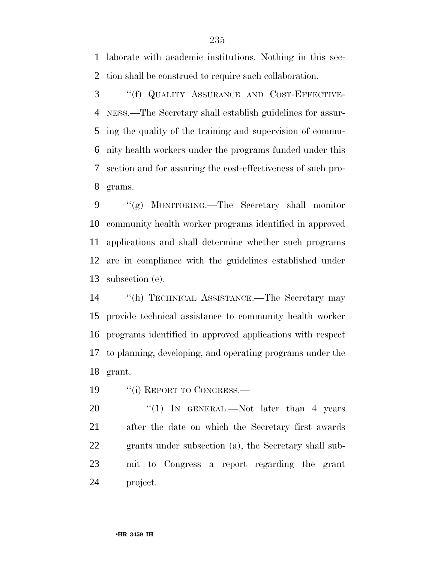laborate with academic institutions. Nothing in this sec-tion shall be construed to require such collaboration.

 ''(f) QUALITY ASSURANCE AND COST-EFFECTIVE- NESS.—The Secretary shall establish guidelines for assur- ing the quality of the training and supervision of commu- nity health workers under the programs funded under this section and for assuring the cost-effectiveness of such pro-grams.

 ''(g) MONITORING.—The Secretary shall monitor community health worker programs identified in approved applications and shall determine whether such programs are in compliance with the guidelines established under subsection (e).

 ''(h) TECHNICAL ASSISTANCE.—The Secretary may provide technical assistance to community health worker programs identified in approved applications with respect to planning, developing, and operating programs under the grant.

19 "(i) REPORT TO CONGRESS.—

20 "(1) IN GENERAL.—Not later than 4 years after the date on which the Secretary first awards grants under subsection (a), the Secretary shall sub- mit to Congress a report regarding the grant project.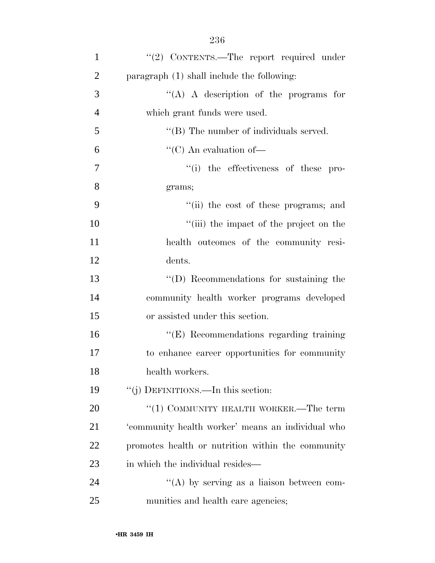| $\mathbf{1}$   | "(2) CONTENTS.—The report required under          |
|----------------|---------------------------------------------------|
| $\overline{2}$ | paragraph $(1)$ shall include the following:      |
| 3              | "(A) A description of the programs for            |
| $\overline{4}$ | which grant funds were used.                      |
| 5              | $\lq\lq$ (B) The number of individuals served.    |
| 6              | "(C) An evaluation of $-$                         |
| $\tau$         | "(i) the effectiveness of these pro-              |
| 8              | grams;                                            |
| 9              | "(ii) the cost of these programs; and             |
| 10             | "(iii) the impact of the project on the           |
| 11             | health outcomes of the community resi-            |
| 12             | dents.                                            |
| 13             | "(D) Recommendations for sustaining the           |
| 14             | community health worker programs developed        |
| 15             | or assisted under this section.                   |
| 16             | "(E) Recommendations regarding training           |
| 17             | to enhance career opportunities for community     |
| 18             | health workers.                                   |
| 19             | "(j) DEFINITIONS.—In this section:                |
| 20             | " $(1)$ COMMUNITY HEALTH WORKER.—The term         |
| 21             | 'community health worker' means an individual who |
| 22             | promotes health or nutrition within the community |
| 23             | in which the individual resides—                  |
| 24             | "(A) by serving as a liaison between com-         |
| 25             | munities and health care agencies;                |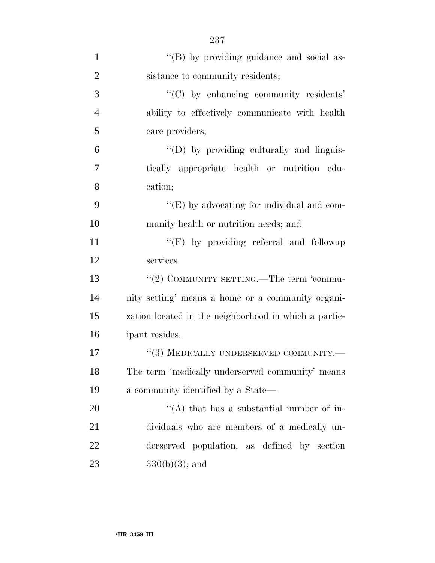| $\mathbf{1}$   | "(B) by providing guidance and social as-             |
|----------------|-------------------------------------------------------|
| $\overline{2}$ | sistance to community residents;                      |
| 3              | "(C) by enhancing community residents"                |
| $\overline{4}$ | ability to effectively communicate with health        |
| 5              | care providers;                                       |
| 6              | "(D) by providing culturally and linguis-             |
| 7              | tically appropriate health or nutrition edu-          |
| 8              | cation;                                               |
| 9              | " $(E)$ by advocating for individual and com-         |
| 10             | munity health or nutrition needs; and                 |
| 11             | "(F) by providing referral and followup               |
| 12             | services.                                             |
| 13             | "(2) COMMUNITY SETTING.—The term 'commu-              |
| 14             | nity setting' means a home or a community organi-     |
| 15             | zation located in the neighborhood in which a partic- |
| 16             | ipant resides.                                        |
| 17             | "(3) MEDICALLY UNDERSERVED COMMUNITY.-                |
| 18             | The term 'medically underserved community' means      |
| 19             | a community identified by a State—                    |
| 20             | "(A) that has a substantial number of in-             |
| 21             | dividuals who are members of a medically un-          |
| 22             | derserved population, as defined by section           |
| 23             | $330(b)(3)$ ; and                                     |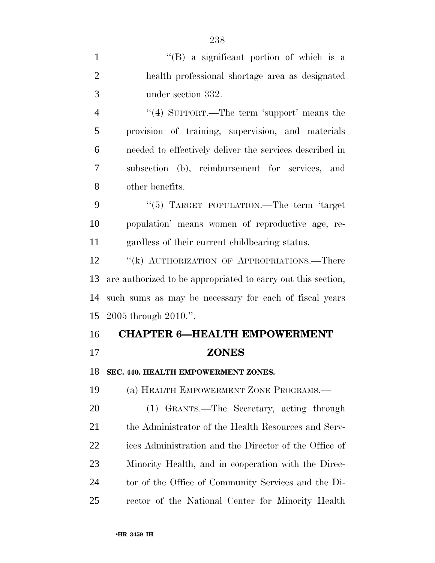| $\mathbf{1}$   | "(B) a significant portion of which is a                     |
|----------------|--------------------------------------------------------------|
| $\overline{2}$ | health professional shortage area as designated              |
| 3              | under section 332.                                           |
| 4              | "(4) SUPPORT.—The term 'support' means the                   |
| 5              | provision of training, supervision, and materials            |
| 6              | needed to effectively deliver the services described in      |
| 7              | subsection (b), reimbursement for services, and              |
| 8              | other benefits.                                              |
| 9              | "(5) TARGET POPULATION.—The term 'target                     |
| 10             | population' means women of reproductive age, re-             |
| 11             | gardless of their current childbearing status.               |
| 12             | "(k) AUTHORIZATION OF APPROPRIATIONS.—There                  |
| 13             | are authorized to be appropriated to carry out this section, |
| 14             | such sums as may be necessary for each of fiscal years       |
| 15             | $2005$ through $2010$ .".                                    |
| 16             | <b>CHAPTER 6-HEALTH EMPOWERMENT</b>                          |
| 17             | <b>ZONES</b>                                                 |
| 18             | SEC. 440. HEALTH EMPOWERMENT ZONES.                          |
| 19             | (a) HEALTH EMPOWERMENT ZONE PROGRAMS.—                       |
| 20             | (1) GRANTS.—The Secretary, acting through                    |
| 21             | the Administrator of the Health Resources and Serv-          |
| 22             | ices Administration and the Director of the Office of        |
| 23             | Minority Health, and in cooperation with the Direc-          |
| 24             | tor of the Office of Community Services and the Di-          |
| 25             | rector of the National Center for Minority Health            |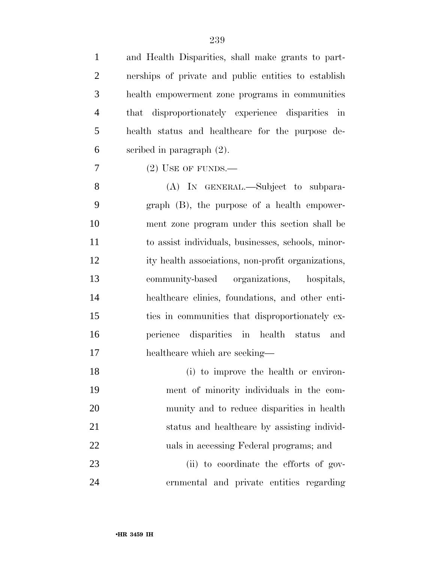| $\mathbf{1}$   | and Health Disparities, shall make grants to part-   |
|----------------|------------------------------------------------------|
| $\overline{2}$ | nerships of private and public entities to establish |
| 3              | health empowerment zone programs in communities      |
| $\overline{4}$ | that disproportionately experience disparities in    |
| 5              | health status and healthcare for the purpose de-     |
| 6              | scribed in paragraph $(2)$ .                         |
| $\overline{7}$ | $(2)$ USE OF FUNDS.—                                 |
| 8              | (A) IN GENERAL.—Subject to subpara-                  |
| 9              | $graph$ (B), the purpose of a health empower-        |
| 10             | ment zone program under this section shall be        |
| 11             | to assist individuals, businesses, schools, minor-   |
| 12             | ity health associations, non-profit organizations,   |
| 13             | community-based organizations, hospitals,            |
| 14             | healthcare clinics, foundations, and other enti-     |
| 15             | ties in communities that disproportionately ex-      |
| 16             | perience disparities in health status<br>and         |
| 17             | healthcare which are seeking—                        |
| 18             | (i) to improve the health or environ-                |
| 19             | ment of minority individuals in the com-             |
| 20             | munity and to reduce disparities in health           |
| 21             | status and healthcare by assisting individ-          |
| 22             | uals in accessing Federal programs; and              |
| 23             | (ii) to coordinate the efforts of gov-               |
| 24             | ernmental and private entities regarding             |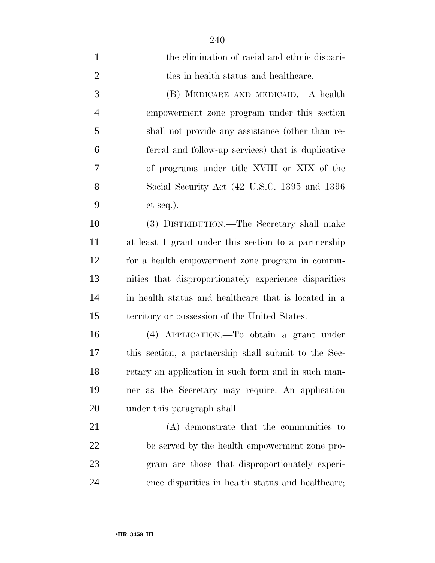| $\mathbf{1}$   | the elimination of racial and ethnic dispari-         |
|----------------|-------------------------------------------------------|
| $\overline{2}$ | ties in health status and healthcare.                 |
| 3              | (B) MEDICARE AND MEDICAID.—A health                   |
| $\overline{4}$ | empowerment zone program under this section           |
| 5              | shall not provide any assistance (other than re-      |
| 6              | ferral and follow-up services) that is duplicative    |
| 7              | of programs under title XVIII or XIX of the           |
| 8              | Social Security Act (42 U.S.C. 1395 and 1396          |
| 9              | et seq.).                                             |
| 10             | (3) DISTRIBUTION.—The Secretary shall make            |
| 11             | at least 1 grant under this section to a partnership  |
| 12             | for a health empowerment zone program in commu-       |
| 13             | nities that disproportionately experience disparities |
| 14             | in health status and healthcare that is located in a  |
| 15             | territory or possession of the United States.         |
| 16             | (4) APPLICATION.—To obtain a grant under              |
| 17             | this section, a partnership shall submit to the Sec-  |
| 18             | retary an application in such form and in such man-   |
| 19             | ner as the Secretary may require. An application      |
| 20             | under this paragraph shall—                           |
| 21             | (A) demonstrate that the communities to               |
| 22             | be served by the health empowerment zone pro-         |
| 23             | gram are those that disproportionately experi-        |
| 24             | ence disparities in health status and healthcare;     |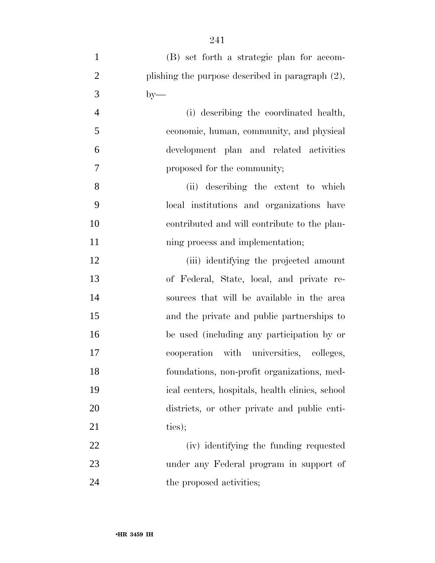| $\mathbf{1}$   | (B) set forth a strategic plan for accom-           |
|----------------|-----------------------------------------------------|
| $\overline{2}$ | plishing the purpose described in paragraph $(2)$ , |
| 3              | $by-$                                               |
| $\overline{4}$ | (i) describing the coordinated health,              |
| 5              | economic, human, community, and physical            |
| 6              | development plan and related activities             |
| 7              | proposed for the community;                         |
| 8              | (ii) describing the extent to which                 |
| 9              | local institutions and organizations have           |
| 10             | contributed and will contribute to the plan-        |
| 11             | ning process and implementation;                    |
| 12             | (iii) identifying the projected amount              |
| 13             | of Federal, State, local, and private re-           |
| 14             | sources that will be available in the area          |
| 15             | and the private and public partnerships to          |
| 16             | be used (including any participation by or          |
| 17             | cooperation with universities, colleges,            |
| 18             | foundations, non-profit organizations, med-         |
| 19             | ical centers, hospitals, health clinics, school     |
| 20             | districts, or other private and public enti-        |
| 21             | ties);                                              |
| 22             | (iv) identifying the funding requested              |
| 23             | under any Federal program in support of             |
| 24             | the proposed activities;                            |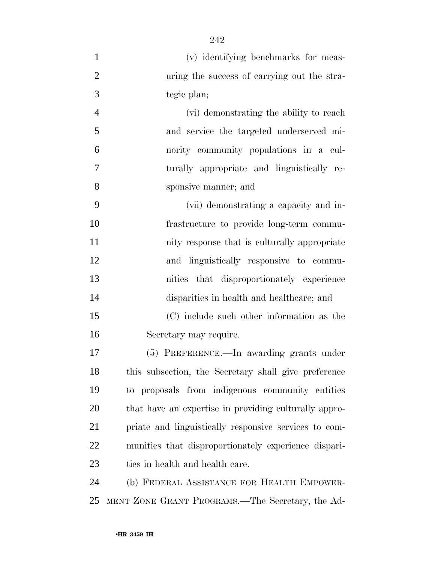| $\mathbf{1}$   | (v) identifying benchmarks for meas-                  |
|----------------|-------------------------------------------------------|
| $\overline{2}$ | uring the success of carrying out the stra-           |
| 3              | tegic plan;                                           |
| $\overline{4}$ | (vi) demonstrating the ability to reach               |
| 5              | and service the targeted underserved mi-              |
| 6              | nority community populations in a cul-                |
| $\tau$         | turally appropriate and linguistically re-            |
| 8              | sponsive manner; and                                  |
| 9              | (vii) demonstrating a capacity and in-                |
| 10             | frastructure to provide long-term commu-              |
| 11             | nity response that is culturally appropriate          |
| 12             | and linguistically responsive to commu-               |
| 13             | nities that disproportionately experience             |
| 14             | disparities in health and healthcare; and             |
| 15             | (C) include such other information as the             |
| 16             | Secretary may require.                                |
| 17             | (5) PREFERENCE.—In awarding grants under              |
| 18             | this subsection, the Secretary shall give preference  |
| 19             | to proposals from indigenous community entities       |
| 20             | that have an expertise in providing culturally appro- |
| 21             | priate and linguistically responsive services to com- |
| 22             | munities that disproportionately experience dispari-  |
| 23             | ties in health and health care.                       |
| 24             | (b) FEDERAL ASSISTANCE FOR HEALTH EMPOWER-            |
| 25             | MENT ZONE GRANT PROGRAMS.—The Secretary, the Ad-      |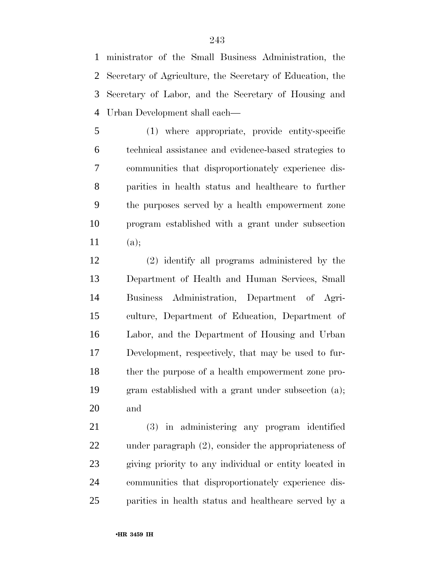ministrator of the Small Business Administration, the Secretary of Agriculture, the Secretary of Education, the Secretary of Labor, and the Secretary of Housing and Urban Development shall each—

 (1) where appropriate, provide entity-specific technical assistance and evidence-based strategies to communities that disproportionately experience dis- parities in health status and healthcare to further the purposes served by a health empowerment zone program established with a grant under subsection (a);

 (2) identify all programs administered by the Department of Health and Human Services, Small Business Administration, Department of Agri- culture, Department of Education, Department of Labor, and the Department of Housing and Urban Development, respectively, that may be used to fur- ther the purpose of a health empowerment zone pro- gram established with a grant under subsection (a); and

 (3) in administering any program identified under paragraph (2), consider the appropriateness of giving priority to any individual or entity located in communities that disproportionately experience dis-parities in health status and healthcare served by a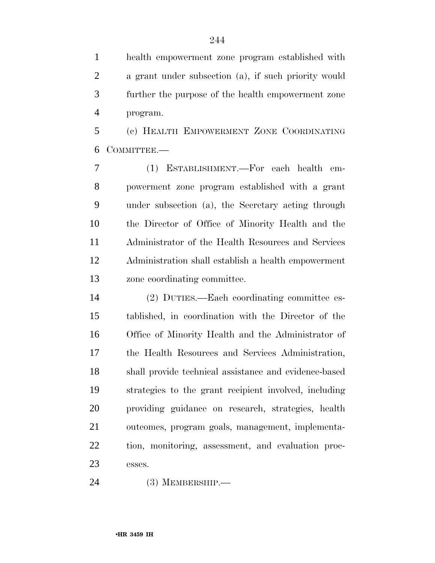health empowerment zone program established with a grant under subsection (a), if such priority would further the purpose of the health empowerment zone program.

 (c) HEALTH EMPOWERMENT ZONE COORDINATING COMMITTEE.—

 (1) ESTABLISHMENT.—For each health em- powerment zone program established with a grant under subsection (a), the Secretary acting through the Director of Office of Minority Health and the Administrator of the Health Resources and Services Administration shall establish a health empowerment zone coordinating committee.

 (2) DUTIES.—Each coordinating committee es- tablished, in coordination with the Director of the Office of Minority Health and the Administrator of the Health Resources and Services Administration, shall provide technical assistance and evidence-based strategies to the grant recipient involved, including providing guidance on research, strategies, health outcomes, program goals, management, implementa- tion, monitoring, assessment, and evaluation proc-esses.

(3) MEMBERSHIP.—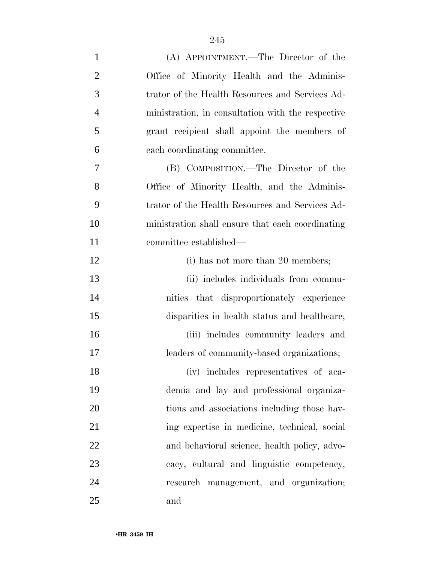| $\mathbf{1}$   | (A) APPOINTMENT.—The Director of the              |
|----------------|---------------------------------------------------|
| $\overline{c}$ | Office of Minority Health and the Adminis-        |
| 3              | trator of the Health Resources and Services Ad-   |
| 4              | ministration, in consultation with the respective |
| 5              | grant recipient shall appoint the members of      |
| 6              | each coordinating committee.                      |
| 7              | (B) COMPOSITION.—The Director of the              |
| 8              | Office of Minority Health, and the Adminis-       |
| 9              | trator of the Health Resources and Services Ad-   |
| 10             | ministration shall ensure that each coordinating  |
| 11             | committee established—                            |
| 12             | (i) has not more than 20 members;                 |
| 13             | (ii) includes individuals from commu-             |
| 14             | nities that disproportionately experience         |
| 15             | disparities in health status and healthcare;      |
| 16             | (iii) includes community leaders and              |
| 17             | leaders of community-based organizations;         |
| 18             | (iv) includes representatives of aca-             |
| 19             | demia and lay and professional organiza-          |
| 20             | tions and associations including those hav-       |
| 21             | ing expertise in medicine, technical, social      |
| 22             | and behavioral science, health policy, advo-      |
| 23             | cacy, cultural and linguistic competency,         |
| 24             | research management, and organization;            |
| 25             | and                                               |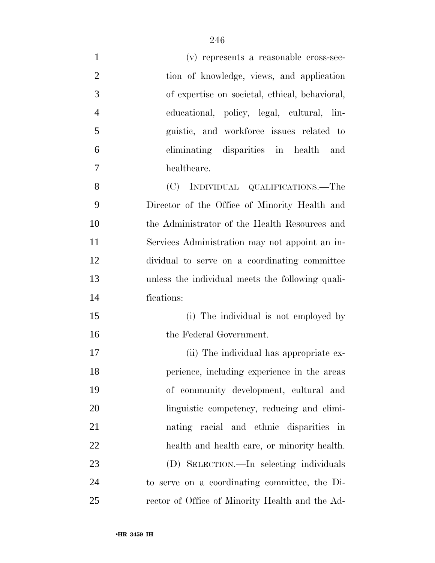| $\mathbf{1}$   | (v) represents a reasonable cross-sec-           |
|----------------|--------------------------------------------------|
| $\overline{2}$ | tion of knowledge, views, and application        |
| 3              | of expertise on societal, ethical, behavioral,   |
| $\overline{4}$ | educational, policy, legal, cultural, lin-       |
| 5              | guistic, and workforce issues related to         |
| 6              | eliminating disparities in health and            |
| 7              | healthcare.                                      |
| 8              | (C) INDIVIDUAL QUALIFICATIONS.—The               |
| 9              | Director of the Office of Minority Health and    |
| 10             | the Administrator of the Health Resources and    |
| 11             | Services Administration may not appoint an in-   |
| 12             | dividual to serve on a coordinating committee    |
| 13             | unless the individual meets the following quali- |
| 14             | fications:                                       |
| 15             | (i) The individual is not employed by            |
| 16             | the Federal Government.                          |
| 17             | (ii) The individual has appropriate ex-          |
| 18             | perience, including experience in the areas      |
| 19             | of community development, cultural and           |
| 20             | linguistic competency, reducing and elimi-       |
| 21             | nating racial and ethnic disparities in          |
| 22             | health and health care, or minority health.      |
| 23             | (D) SELECTION.—In selecting individuals          |
| 24             | to serve on a coordinating committee, the Di-    |
| 25             | rector of Office of Minority Health and the Ad-  |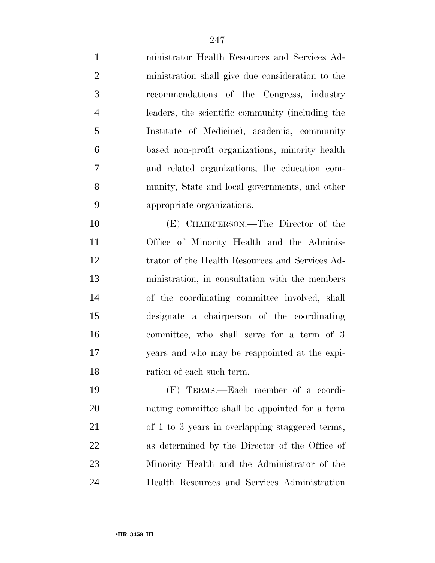ministrator Health Resources and Services Ad- ministration shall give due consideration to the recommendations of the Congress, industry leaders, the scientific community (including the Institute of Medicine), academia, community based non-profit organizations, minority health and related organizations, the education com- munity, State and local governments, and other appropriate organizations. (E) CHAIRPERSON.—The Director of the Office of Minority Health and the Adminis- trator of the Health Resources and Services Ad- ministration, in consultation with the members of the coordinating committee involved, shall designate a chairperson of the coordinating committee, who shall serve for a term of 3 years and who may be reappointed at the expi- ration of each such term. (F) TERMS.—Each member of a coordi-nating committee shall be appointed for a term

 of 1 to 3 years in overlapping staggered terms, as determined by the Director of the Office of Minority Health and the Administrator of the Health Resources and Services Administration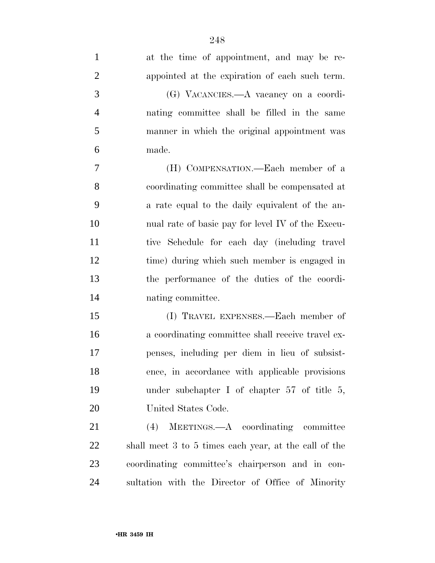| 1              | at the time of appointment, and may be re-            |
|----------------|-------------------------------------------------------|
| $\overline{2}$ | appointed at the expiration of each such term.        |
| 3              | (G) VACANCIES.—A vacancy on a coordi-                 |
| $\overline{4}$ | nating committee shall be filled in the same          |
| 5              | manner in which the original appointment was          |
| 6              | made.                                                 |
| 7              | (H) COMPENSATION.—Each member of a                    |
| 8              | coordinating committee shall be compensated at        |
| 9              | a rate equal to the daily equivalent of the an-       |
| 10             | nual rate of basic pay for level IV of the Execu-     |
| 11             | tive Schedule for each day (including travel          |
| 12             | time) during which such member is engaged in          |
| 13             | the performance of the duties of the coordi-          |
| 14             | nating committee.                                     |
| 15             | (I) TRAVEL EXPENSES.—Each member of                   |
| 16             | a coordinating committee shall receive travel ex-     |
| 17             | penses, including per diem in lieu of subsist-        |
| 18             | ence, in accordance with applicable provisions        |
| 19             | under subchapter I of chapter $57$ of title 5,        |
| 20             | United States Code.                                   |
| 21             | MEETINGS.—A coordinating committee<br>(4)             |
| 22             | shall meet 3 to 5 times each year, at the call of the |
| 23             | coordinating committee's chairperson and in con-      |
| 24             | sultation with the Director of Office of Minority     |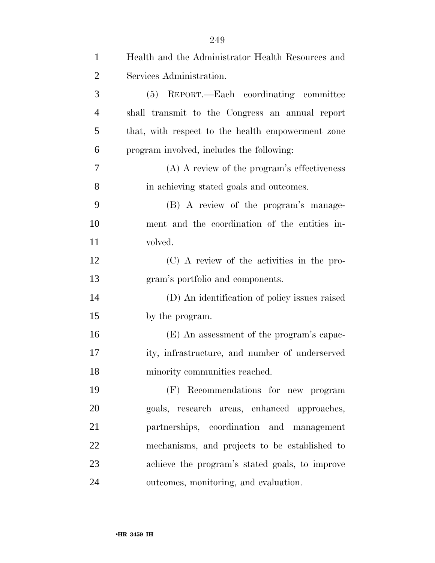| $\mathbf{1}$   | Health and the Administrator Health Resources and |
|----------------|---------------------------------------------------|
| $\overline{2}$ | Services Administration.                          |
| 3              | (5) REPORT.—Each coordinating committee           |
| $\overline{4}$ | shall transmit to the Congress an annual report   |
| 5              | that, with respect to the health empowerment zone |
| 6              | program involved, includes the following:         |
| 7              | (A) A review of the program's effectiveness       |
| 8              | in achieving stated goals and outcomes.           |
| 9              | (B) A review of the program's manage-             |
| 10             | ment and the coordination of the entities in-     |
| 11             | volved.                                           |
| 12             | (C) A review of the activities in the pro-        |
| 13             | gram's portfolio and components.                  |
| 14             | (D) An identification of policy issues raised     |
| 15             | by the program.                                   |
| 16             | (E) An assessment of the program's capac-         |
| 17             | ity, infrastructure, and number of underserved    |
| 18             | minority communities reached.                     |
| 19             | (F) Recommendations for new program               |
| 20             | goals, research areas, enhanced approaches,       |
| 21             | partnerships, coordination and management         |
| 22             | mechanisms, and projects to be established to     |
| 23             | achieve the program's stated goals, to improve    |
| 24             | outcomes, monitoring, and evaluation.             |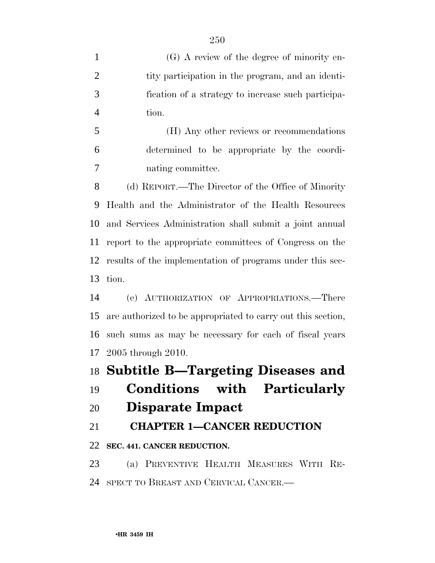(G) A review of the degree of minority en-2 tity participation in the program, and an identi- fication of a strategy to increase such participa-tion.

 (H) Any other reviews or recommendations determined to be appropriate by the coordi-nating committee.

 (d) REPORT.—The Director of the Office of Minority Health and the Administrator of the Health Resources and Services Administration shall submit a joint annual report to the appropriate committees of Congress on the results of the implementation of programs under this sec-tion.

 (e) AUTHORIZATION OF APPROPRIATIONS.—There are authorized to be appropriated to carry out this section, such sums as may be necessary for each of fiscal years 2005 through 2010.

## **Subtitle B—Targeting Diseases and**

**Conditions with Particularly** 

## **Disparate Impact**

**CHAPTER 1—CANCER REDUCTION** 

## **SEC. 441. CANCER REDUCTION.**

 (a) PREVENTIVE HEALTH MEASURES WITH RE-SPECT TO BREAST AND CERVICAL CANCER.—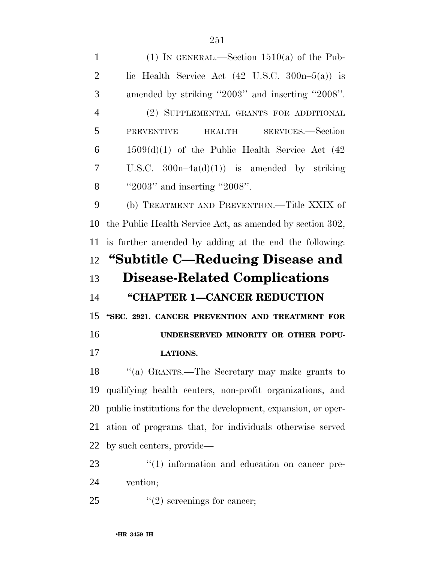1 (1) IN GENERAL.—Section  $1510(a)$  of the Pub-2 lic Health Service Act  $(42 \text{ U.S.C. } 300n-5(a))$  is amended by striking ''2003'' and inserting ''2008''. (2) SUPPLEMENTAL GRANTS FOR ADDITIONAL PREVENTIVE HEALTH SERVICES.—Section  $6 \qquad 1509\text{(d)}(1)$  of the Public Health Service Act  $(42)$  U.S.C. 300n–4a(d)(1)) is amended by striking 8 '2003'' and inserting "2008". (b) TREATMENT AND PREVENTION.—Title XXIX of the Public Health Service Act, as amended by section 302, is further amended by adding at the end the following: **''Subtitle C—Reducing Disease and Disease-Related Complications ''CHAPTER 1—CANCER REDUCTION ''SEC. 2921. CANCER PREVENTION AND TREATMENT FOR UNDERSERVED MINORITY OR OTHER POPU- LATIONS.**  ''(a) GRANTS.—The Secretary may make grants to qualifying health centers, non-profit organizations, and

 public institutions for the development, expansion, or oper- ation of programs that, for individuals otherwise served by such centers, provide—

23  $\frac{1}{2}$  (1) information and education on cancer pre-vention;

25  $\frac{1}{2}$   $\frac{1}{2}$  screenings for cancer;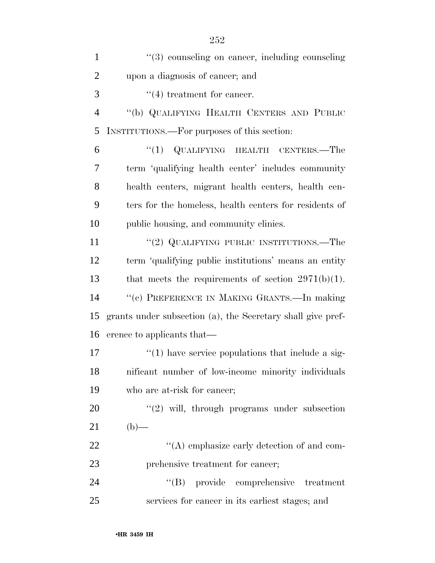| $\mathbf{1}$   | "(3) counseling on cancer, including counseling             |
|----------------|-------------------------------------------------------------|
| $\overline{2}$ | upon a diagnosis of cancer; and                             |
| 3              | $\lq(4)$ treatment for cancer.                              |
| $\overline{4}$ | "(b) QUALIFYING HEALTH CENTERS AND PUBLIC                   |
| 5              | INSTITUTIONS.—For purposes of this section:                 |
| 6              | "(1) QUALIFYING HEALTH CENTERS.—The                         |
| 7              | term 'qualifying health center' includes community          |
| 8              | health centers, migrant health centers, health cen-         |
| 9              | ters for the homeless, health centers for residents of      |
| 10             | public housing, and community clinics.                      |
| 11             | "(2) QUALIFYING PUBLIC INSTITUTIONS.—The                    |
| 12             | term 'qualifying public institutions' means an entity       |
| 13             | that meets the requirements of section $2971(b)(1)$ .       |
| 14             | "(c) PREFERENCE IN MAKING GRANTS.—In making                 |
| 15             | grants under subsection (a), the Secretary shall give pref- |
| 16             | erence to applicants that—                                  |
| 17             | $\lq(1)$ have service populations that include a sig-       |
| 18             | nificant number of low-income minority individuals          |
| 19             | who are at-risk for cancer;                                 |
| 20             | $\lq(2)$ will, through programs under subsection            |
| 21             | $(b)$ —                                                     |
| 22             | $\lq\lq$ emphasize early detection of and com-              |
| 23             | prehensive treatment for cancer;                            |
| 24             | "(B) provide comprehensive treatment                        |
| 25             | services for cancer in its earliest stages; and             |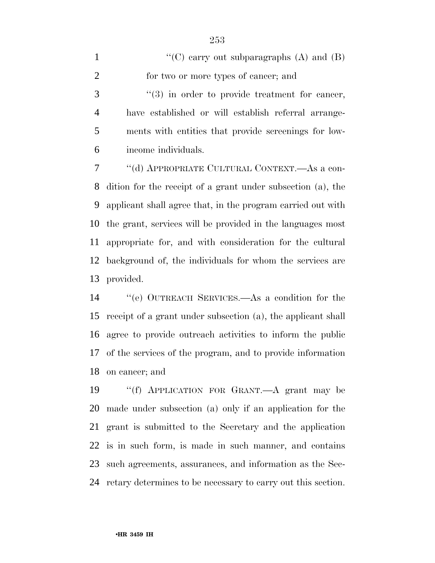| $\mathbf{1}$   | "(C) carry out subparagraphs $(A)$ and $(B)$                   |
|----------------|----------------------------------------------------------------|
| 2              | for two or more types of cancer; and                           |
| 3              | $\cdot\cdot\cdot(3)$ in order to provide treatment for cancer, |
| $\overline{4}$ | have established or will establish referral arrange-           |
| 5              | ments with entities that provide screenings for low-           |
| 6              | income individuals.                                            |
| 7              | "(d) APPROPRIATE CULTURAL CONTEXT.—As a con-                   |
|                | 8 dition for the receipt of a grant under subsection (a), the  |
| 9              | applicant shall agree that, in the program carried out with    |

 the grant, services will be provided in the languages most appropriate for, and with consideration for the cultural background of, the individuals for whom the services are provided.

 ''(e) OUTREACH SERVICES.—As a condition for the receipt of a grant under subsection (a), the applicant shall agree to provide outreach activities to inform the public of the services of the program, and to provide information on cancer; and

 ''(f) APPLICATION FOR GRANT.—A grant may be made under subsection (a) only if an application for the grant is submitted to the Secretary and the application is in such form, is made in such manner, and contains such agreements, assurances, and information as the Sec-retary determines to be necessary to carry out this section.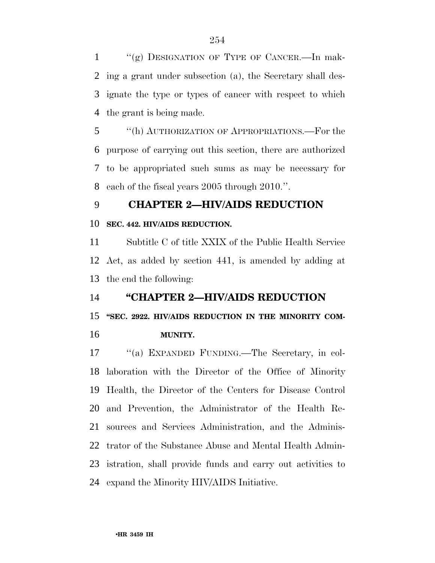"(g) DESIGNATION OF TYPE OF CANCER.—In mak- ing a grant under subsection (a), the Secretary shall des- ignate the type or types of cancer with respect to which the grant is being made.

 ''(h) AUTHORIZATION OF APPROPRIATIONS.—For the purpose of carrying out this section, there are authorized to be appropriated such sums as may be necessary for each of the fiscal years 2005 through 2010.''.

## **CHAPTER 2—HIV/AIDS REDUCTION**

#### **SEC. 442. HIV/AIDS REDUCTION.**

 Subtitle C of title XXIX of the Public Health Service Act, as added by section 441, is amended by adding at the end the following:

### **''CHAPTER 2—HIV/AIDS REDUCTION**

### **''SEC. 2922. HIV/AIDS REDUCTION IN THE MINORITY COM-**

#### **MUNITY.**

 ''(a) EXPANDED FUNDING.—The Secretary, in col- laboration with the Director of the Office of Minority Health, the Director of the Centers for Disease Control and Prevention, the Administrator of the Health Re- sources and Services Administration, and the Adminis- trator of the Substance Abuse and Mental Health Admin- istration, shall provide funds and carry out activities to expand the Minority HIV/AIDS Initiative.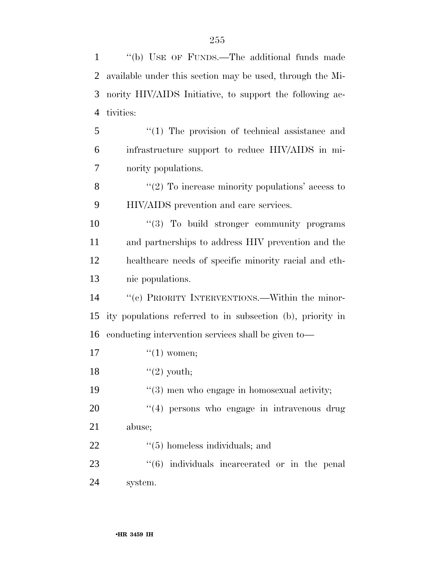''(b) USE OF FUNDS.—The additional funds made available under this section may be used, through the Mi- nority HIV/AIDS Initiative, to support the following ac- tivities: ''(1) The provision of technical assistance and infrastructure support to reduce HIV/AIDS in mi- nority populations. 8 "(2) To increase minority populations' access to HIV/AIDS prevention and care services.  $\frac{10}{10}$  To build stronger community programs and partnerships to address HIV prevention and the healthcare needs of specific minority racial and eth- nic populations. ''(c) PRIORITY INTERVENTIONS.—Within the minor- ity populations referred to in subsection (b), priority in conducting intervention services shall be given to—  $\qquad \qquad$  ''(1) women;  $\frac{1}{2}$  youth; ''(3) men who engage in homosexual activity;  $\frac{1}{4}$  persons who engage in intravenous drug abuse;  $\frac{1}{2}$  (5) homeless individuals; and  $(6)$  individuals incarcerated or in the penal system.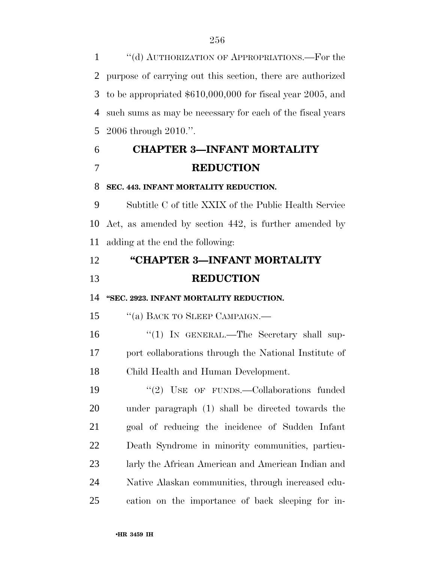''(d) AUTHORIZATION OF APPROPRIATIONS.—For the purpose of carrying out this section, there are authorized to be appropriated \$610,000,000 for fiscal year 2005, and such sums as may be necessary for each of the fiscal years 2006 through 2010.''.

# **CHAPTER 3—INFANT MORTALITY REDUCTION**

#### **SEC. 443. INFANT MORTALITY REDUCTION.**

 Subtitle C of title XXIX of the Public Health Service Act, as amended by section 442, is further amended by adding at the end the following:

## **''CHAPTER 3—INFANT MORTALITY REDUCTION**

**''SEC. 2923. INFANT MORTALITY REDUCTION.** 

15 "(a) BACK TO SLEEP CAMPAIGN.—

16 "(1) In GENERAL.—The Secretary shall sup- port collaborations through the National Institute of Child Health and Human Development.

19 "(2) USE OF FUNDS.—Collaborations funded under paragraph (1) shall be directed towards the goal of reducing the incidence of Sudden Infant Death Syndrome in minority communities, particu- larly the African American and American Indian and Native Alaskan communities, through increased edu-cation on the importance of back sleeping for in-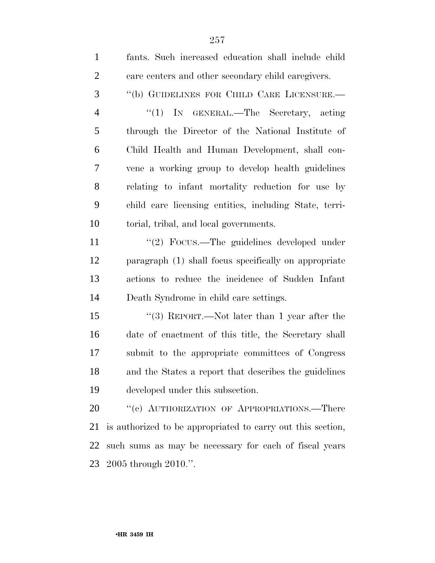| $\mathbf{1}$   | fants. Such increased education shall include child         |
|----------------|-------------------------------------------------------------|
| $\overline{2}$ | care centers and other secondary child caregivers.          |
| 3              | "(b) GUIDELINES FOR CHILD CARE LICENSURE.—                  |
| $\overline{4}$ | "(1) IN GENERAL.—The Secretary, acting                      |
| 5              | through the Director of the National Institute of           |
| 6              | Child Health and Human Development, shall con-              |
| 7              | vene a working group to develop health guidelines           |
| 8              | relating to infant mortality reduction for use by           |
| 9              | child care licensing entities, including State, terri-      |
| 10             | torial, tribal, and local governments.                      |
| 11             | "(2) Focus.—The guidelines developed under                  |
| 12             | paragraph (1) shall focus specifically on appropriate       |
| 13             | actions to reduce the incidence of Sudden Infant            |
| 14             | Death Syndrome in child care settings.                      |
| 15             | "(3) REPORT.—Not later than 1 year after the                |
| 16             | date of enactment of this title, the Secretary shall        |
| 17             | submit to the appropriate committees of Congress            |
| 18             | and the States a report that describes the guidelines       |
| 19             | developed under this subsection.                            |
| 20             | "(c) AUTHORIZATION OF APPROPRIATIONS.—There                 |
| 21             | is authorized to be appropriated to carry out this section, |
| 22             | such sums as may be necessary for each of fiscal years      |
| 23             | 2005 through 2010.".                                        |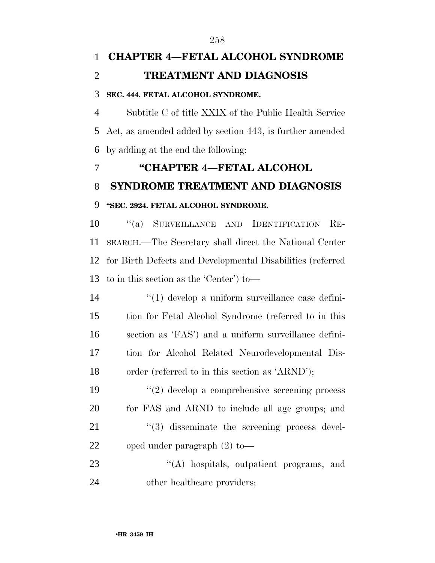# **CHAPTER 4—FETAL ALCOHOL SYNDROME TREATMENT AND DIAGNOSIS**

#### **SEC. 444. FETAL ALCOHOL SYNDROME.**

 Subtitle C of title XXIX of the Public Health Service Act, as amended added by section 443, is further amended by adding at the end the following:

# **''CHAPTER 4—FETAL ALCOHOL SYNDROME TREATMENT AND DIAGNOSIS ''SEC. 2924. FETAL ALCOHOL SYNDROME.**

 ''(a) SURVEILLANCE AND IDENTIFICATION RE- SEARCH.—The Secretary shall direct the National Center for Birth Defects and Developmental Disabilities (referred to in this section as the 'Center') to—

 ''(1) develop a uniform surveillance case defini- tion for Fetal Alcohol Syndrome (referred to in this section as 'FAS') and a uniform surveillance defini- tion for Alcohol Related Neurodevelopmental Dis-order (referred to in this section as 'ARND');

 ''(2) develop a comprehensive screening process for FAS and ARND to include all age groups; and  $\frac{1}{2}$   $\frac{1}{3}$  disseminate the screening process devel-oped under paragraph (2) to—

23 "(A) hospitals, outpatient programs, and 24 other healthcare providers;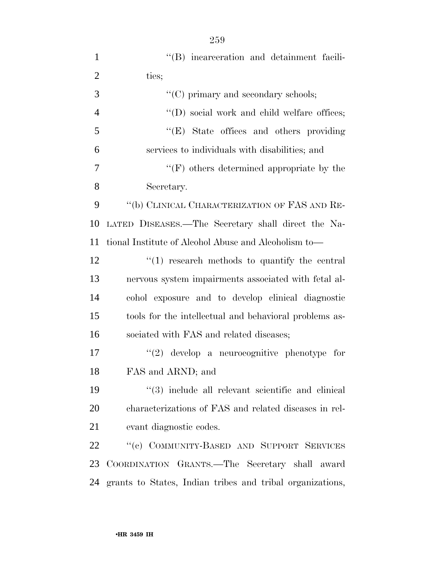| $\mathbf{1}$   | "(B) incarceration and detainment facili-                         |
|----------------|-------------------------------------------------------------------|
| $\overline{2}$ | ties;                                                             |
| 3              | $\lq\lq$ <sup>c</sup> (C) primary and secondary schools;          |
| $\overline{4}$ | $\lq\lq$ (D) social work and child welfare offices;               |
| 5              | "(E) State offices and others providing                           |
| 6              | services to individuals with disabilities; and                    |
| $\overline{7}$ | $\lq\lq(F)$ others determined appropriate by the                  |
| 8              | Secretary.                                                        |
| 9              | "(b) CLINICAL CHARACTERIZATION OF FAS AND RE-                     |
| 10             | LATED DISEASES.—The Secretary shall direct the Na-                |
| 11             | tional Institute of Alcohol Abuse and Alcoholism to-              |
| 12             | $\lq(1)$ research methods to quantify the central                 |
| 13             | nervous system impairments associated with fetal al-              |
| 14             | cohol exposure and to develop clinical diagnostic                 |
| 15             | tools for the intellectual and behavioral problems as-            |
| 16             | sociated with FAS and related diseases;                           |
| 17             | $\lq(2)$ develop a neurocognitive phenotype for                   |
| 18             | FAS and ARND; and                                                 |
| 19             | $\cdot\cdot\cdot(3)$ include all relevant scientific and clinical |
| 20             | characterizations of FAS and related diseases in rel-             |
| 21             | evant diagnostic codes.                                           |
| 22             | "(c) COMMUNITY-BASED AND SUPPORT SERVICES                         |
| 23             | COORDINATION GRANTS.—The Secretary shall award                    |
| 24             | grants to States, Indian tribes and tribal organizations,         |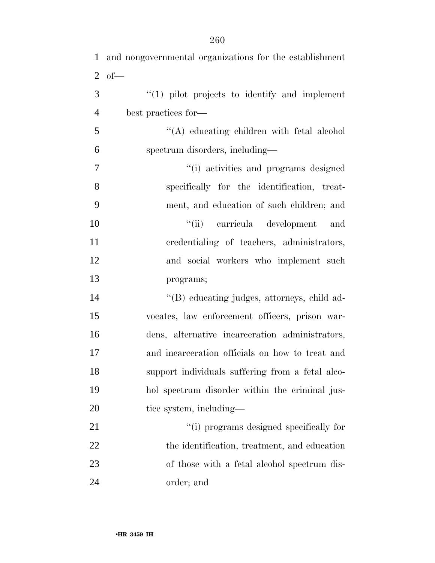| $\mathbf{1}$   | and nongovernmental organizations for the establishment |
|----------------|---------------------------------------------------------|
| 2              | $of$ —                                                  |
| 3              | $\lq(1)$ pilot projects to identify and implement       |
| $\overline{4}$ | best practices for—                                     |
| 5              | "(A) educating children with fetal alcohol              |
| 6              | spectrum disorders, including-                          |
| $\overline{7}$ | "(i) activities and programs designed                   |
| 8              | specifically for the identification, treat-             |
| 9              | ment, and education of such children; and               |
| 10             | "(ii) curricula development<br>and                      |
| 11             | credentialing of teachers, administrators,              |
| 12             | and social workers who implement such                   |
| 13             | programs;                                               |
| 14             | "(B) educating judges, attorneys, child ad-             |
| 15             | vocates, law enforcement officers, prison war-          |
| 16             | dens, alternative incarceration administrators,         |
| 17             | and incarceration officials on how to treat and         |
| 18             | support individuals suffering from a fetal alco-        |
| 19             | hol spectrum disorder within the criminal jus-          |
| 20             | tice system, including—                                 |
| 21             | "(i) programs designed specifically for                 |
| 22             | the identification, treatment, and education            |
| 23             | of those with a fetal alcohol spectrum dis-             |
| 24             | order; and                                              |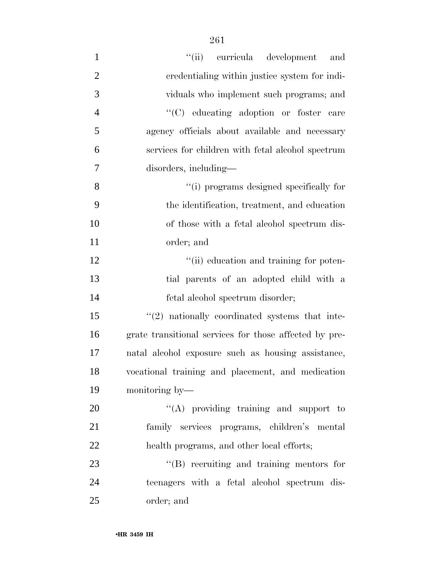| $\mathbf{1}$   | "(ii) curricula development<br>and                     |
|----------------|--------------------------------------------------------|
| $\overline{2}$ | credentialing within justice system for indi-          |
| 3              | viduals who implement such programs; and               |
| $\overline{4}$ | "(C) educating adoption or foster care                 |
| 5              | agency officials about available and necessary         |
| 6              | services for children with fetal alcohol spectrum      |
| 7              | disorders, including—                                  |
| 8              | "(i) programs designed specifically for                |
| 9              | the identification, treatment, and education           |
| 10             | of those with a fetal alcohol spectrum dis-            |
| 11             | order; and                                             |
| 12             | "(ii) education and training for poten-                |
| 13             | tial parents of an adopted child with a                |
| 14             | fetal alcohol spectrum disorder;                       |
| 15             | $\lq(2)$ nationally coordinated systems that inte-     |
| 16             | grate transitional services for those affected by pre- |
| 17             | natal alcohol exposure such as housing assistance,     |
| 18             | vocational training and placement, and medication      |
| 19             | monitoring by-                                         |
| $20\,$         | $\lq\lq$ providing training and support to             |
| 21             | family services programs, children's mental            |
| 22             | health programs, and other local efforts;              |
| 23             | $\lq\lq (B)$ recruiting and training mentors for       |
| 24             | teenagers with a fetal alcohol spectrum dis-           |
| 25             | order; and                                             |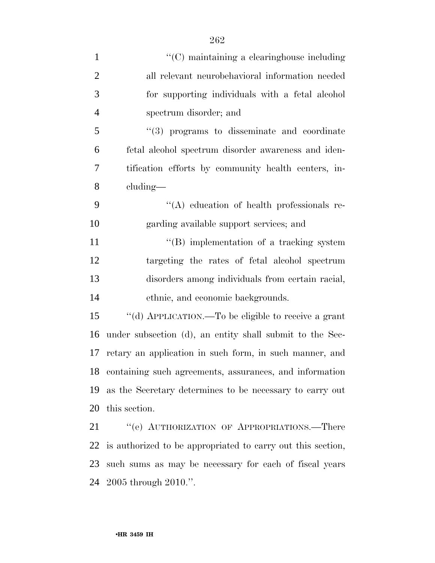| $\mathbf{1}$   | $\lq\lq$ maintaining a clearinghouse including              |
|----------------|-------------------------------------------------------------|
| $\overline{2}$ | all relevant neurobehavioral information needed             |
| 3              | for supporting individuals with a fetal alcohol             |
| $\overline{4}$ | spectrum disorder; and                                      |
| 5              | $\cdot\cdot\cdot(3)$ programs to disseminate and coordinate |
| 6              | fetal alcohol spectrum disorder awareness and iden-         |
| 7              | tification efforts by community health centers, in-         |
| 8              | cluding-                                                    |
| 9              | "(A) education of health professionals re-                  |
| 10             | garding available support services; and                     |
| 11             | $\lq\lq$ implementation of a tracking system                |
| 12             | targeting the rates of fetal alcohol spectrum               |
| 13             | disorders among individuals from certain racial,            |
| 14             | ethnic, and economic backgrounds.                           |
| 15             | "(d) APPLICATION.—To be eligible to receive a grant         |
| 16             | under subsection (d), an entity shall submit to the Sec-    |
| 17             | retary an application in such form, in such manner, and     |
|                | 18 containing such agreements, assurances, and information  |
| 19             | as the Secretary determines to be necessary to carry out    |
| 20             | this section.                                               |
| 21             | "(e) AUTHORIZATION OF APPROPRIATIONS.—There                 |
| 22             | is authorized to be appropriated to carry out this section, |
| 23             | such sums as may be necessary for each of fiscal years      |

2005 through 2010.''.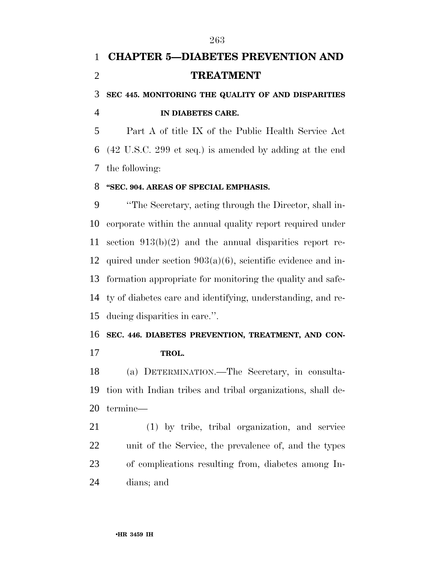# **CHAPTER 5—DIABETES PREVENTION AND TREATMENT**

## **SEC 445. MONITORING THE QUALITY OF AND DISPARITIES IN DIABETES CARE.**

 Part A of title IX of the Public Health Service Act (42 U.S.C. 299 et seq.) is amended by adding at the end the following:

#### **''SEC. 904. AREAS OF SPECIAL EMPHASIS.**

 ''The Secretary, acting through the Director, shall in- corporate within the annual quality report required under section 913(b)(2) and the annual disparities report re-12 quired under section  $903(a)(6)$ , scientific evidence and in- formation appropriate for monitoring the quality and safe- ty of diabetes care and identifying, understanding, and re-ducing disparities in care.''.

# **SEC. 446. DIABETES PREVENTION, TREATMENT, AND CON-**

**TROL.** 

 (a) DETERMINATION.—The Secretary, in consulta- tion with Indian tribes and tribal organizations, shall de-termine—

 (1) by tribe, tribal organization, and service unit of the Service, the prevalence of, and the types of complications resulting from, diabetes among In-dians; and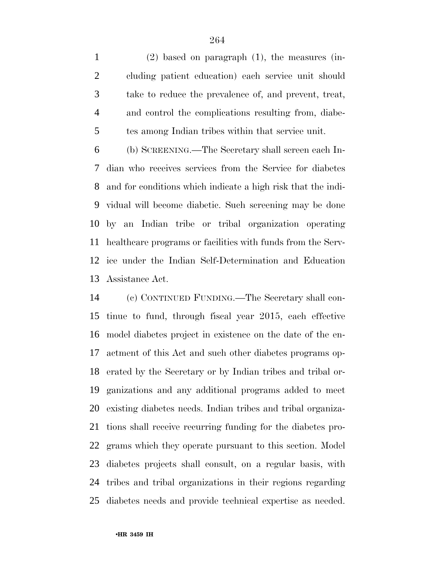(2) based on paragraph (1), the measures (in- cluding patient education) each service unit should take to reduce the prevalence of, and prevent, treat, and control the complications resulting from, diabe-tes among Indian tribes within that service unit.

 (b) SCREENING.—The Secretary shall screen each In- dian who receives services from the Service for diabetes and for conditions which indicate a high risk that the indi- vidual will become diabetic. Such screening may be done by an Indian tribe or tribal organization operating healthcare programs or facilities with funds from the Serv- ice under the Indian Self-Determination and Education Assistance Act.

 (c) CONTINUED FUNDING.—The Secretary shall con- tinue to fund, through fiscal year 2015, each effective model diabetes project in existence on the date of the en- actment of this Act and such other diabetes programs op- erated by the Secretary or by Indian tribes and tribal or- ganizations and any additional programs added to meet existing diabetes needs. Indian tribes and tribal organiza- tions shall receive recurring funding for the diabetes pro- grams which they operate pursuant to this section. Model diabetes projects shall consult, on a regular basis, with tribes and tribal organizations in their regions regarding diabetes needs and provide technical expertise as needed.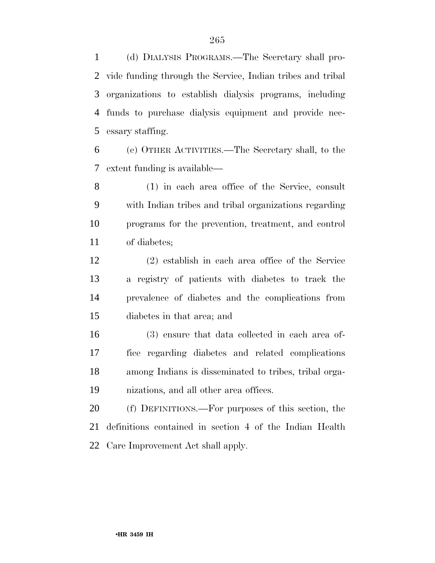(d) DIALYSIS PROGRAMS.—The Secretary shall pro- vide funding through the Service, Indian tribes and tribal organizations to establish dialysis programs, including funds to purchase dialysis equipment and provide nec-essary staffing.

 (e) OTHER ACTIVITIES.—The Secretary shall, to the extent funding is available—

 (1) in each area office of the Service, consult with Indian tribes and tribal organizations regarding programs for the prevention, treatment, and control of diabetes;

 (2) establish in each area office of the Service a registry of patients with diabetes to track the prevalence of diabetes and the complications from diabetes in that area; and

 (3) ensure that data collected in each area of- fice regarding diabetes and related complications among Indians is disseminated to tribes, tribal orga-nizations, and all other area offices.

 (f) DEFINITIONS.—For purposes of this section, the definitions contained in section 4 of the Indian Health Care Improvement Act shall apply.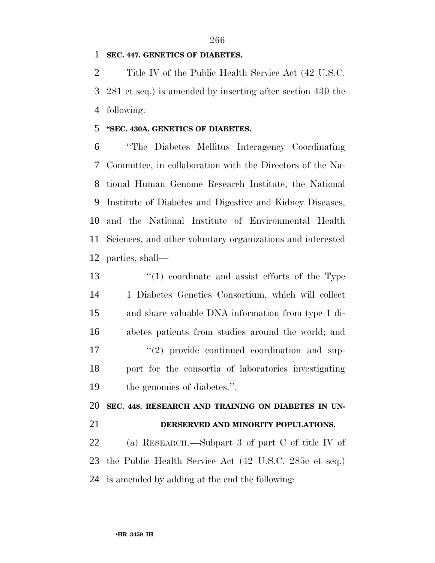## 

#### **SEC. 447. GENETICS OF DIABETES.**

 Title IV of the Public Health Service Act (42 U.S.C. 281 et seq.) is amended by inserting after section 430 the following:

#### **''SEC. 430A. GENETICS OF DIABETES.**

 ''The Diabetes Mellitus Interagency Coordinating Committee, in collaboration with the Directors of the Na- tional Human Genome Research Institute, the National Institute of Diabetes and Digestive and Kidney Diseases, and the National Institute of Environmental Health Sciences, and other voluntary organizations and interested parties, shall—

 ''(1) coordinate and assist efforts of the Type 1 Diabetes Genetics Consortium, which will collect and share valuable DNA information from type 1 di- abetes patients from studies around the world; and  $\frac{1}{2}$  provide continued coordination and sup- port for the consortia of laboratories investigating the genomics of diabetes.''.

**SEC. 448. RESEARCH AND TRAINING ON DIABETES IN UN-**

**DERSERVED AND MINORITY POPULATIONS.** 

 (a) RESEARCH.—Subpart 3 of part C of title IV of the Public Health Service Act (42 U.S.C. 285c et seq.) is amended by adding at the end the following: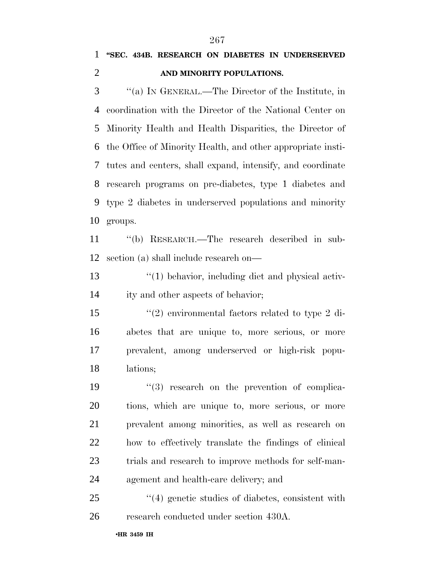## **''SEC. 434B. RESEARCH ON DIABETES IN UNDERSERVED AND MINORITY POPULATIONS.**

 ''(a) IN GENERAL.—The Director of the Institute, in coordination with the Director of the National Center on Minority Health and Health Disparities, the Director of the Office of Minority Health, and other appropriate insti- tutes and centers, shall expand, intensify, and coordinate research programs on pre-diabetes, type 1 diabetes and type 2 diabetes in underserved populations and minority groups.

 ''(b) RESEARCH.—The research described in sub-section (a) shall include research on—

 ''(1) behavior, including diet and physical activ-ity and other aspects of behavior;

 ''(2) environmental factors related to type 2 di- abetes that are unique to, more serious, or more prevalent, among underserved or high-risk popu-lations;

 $(3)$  research on the prevention of complica- tions, which are unique to, more serious, or more prevalent among minorities, as well as research on how to effectively translate the findings of clinical 23 trials and research to improve methods for self-man-agement and health-care delivery; and

25  $\frac{4}{4}$  genetic studies of diabetes, consistent with research conducted under section 430A.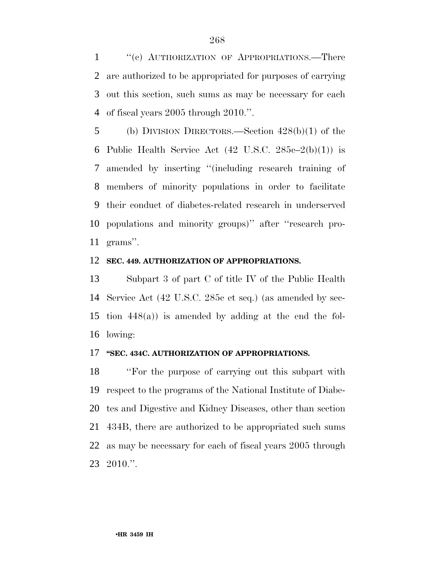1 "(c) AUTHORIZATION OF APPROPRIATIONS.—There are authorized to be appropriated for purposes of carrying out this section, such sums as may be necessary for each of fiscal years 2005 through 2010.''.

 (b) DIVISION DIRECTORS.—Section 428(b)(1) of the 6 Public Health Service Act  $(42 \text{ U.S.C. } 285c-2(b)(1))$  is amended by inserting ''(including research training of members of minority populations in order to facilitate their conduct of diabetes-related research in underserved populations and minority groups)'' after ''research pro-grams''.

#### **SEC. 449. AUTHORIZATION OF APPROPRIATIONS.**

 Subpart 3 of part C of title IV of the Public Health Service Act (42 U.S.C. 285c et seq.) (as amended by sec- tion 448(a)) is amended by adding at the end the fol-lowing:

#### **''SEC. 434C. AUTHORIZATION OF APPROPRIATIONS.**

 ''For the purpose of carrying out this subpart with respect to the programs of the National Institute of Diabe- tes and Digestive and Kidney Diseases, other than section 434B, there are authorized to be appropriated such sums as may be necessary for each of fiscal years 2005 through 2010.''.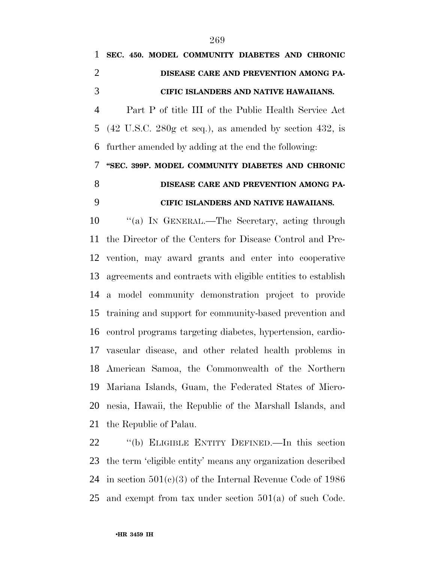| 1  | SEC. 450. MODEL COMMUNITY DIABETES AND CHRONIC            |
|----|-----------------------------------------------------------|
| 2  | DISEASE CARE AND PREVENTION AMONG PA-                     |
| 3  | <b>CIFIC ISLANDERS AND NATIVE HAWAIIANS.</b>              |
| 4  | Part P of title III of the Public Health Service Act      |
|    | 5 (42 U.S.C. 280g et seq.), as amended by section 432, is |
|    | 6 further amended by adding at the end the following:     |
| 7  | "SEC. 399P. MODEL COMMUNITY DIABETES AND CHRONIC          |
| 8  | DISEASE CARE AND PREVENTION AMONG PA-                     |
| 9  | CIFIC ISLANDERS AND NATIVE HAWAIIANS.                     |
| 10 | "(a) IN GENERAL.—The Secretary, acting through            |
|    |                                                           |

 the Director of the Centers for Disease Control and Pre- vention, may award grants and enter into cooperative agreements and contracts with eligible entities to establish a model community demonstration project to provide training and support for community-based prevention and control programs targeting diabetes, hypertension, cardio- vascular disease, and other related health problems in American Samoa, the Commonwealth of the Northern Mariana Islands, Guam, the Federated States of Micro- nesia, Hawaii, the Republic of the Marshall Islands, and the Republic of Palau.

 ''(b) ELIGIBLE ENTITY DEFINED.—In this section the term 'eligible entity' means any organization described 24 in section  $501(c)(3)$  of the Internal Revenue Code of 1986 and exempt from tax under section 501(a) of such Code.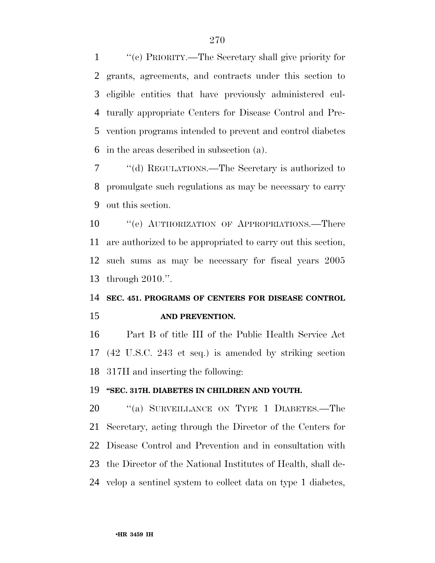''(c) PRIORITY.—The Secretary shall give priority for grants, agreements, and contracts under this section to eligible entities that have previously administered cul- turally appropriate Centers for Disease Control and Pre- vention programs intended to prevent and control diabetes in the areas described in subsection (a).

 ''(d) REGULATIONS.—The Secretary is authorized to promulgate such regulations as may be necessary to carry out this section.

10 "'(e) AUTHORIZATION OF APPROPRIATIONS.—There are authorized to be appropriated to carry out this section, such sums as may be necessary for fiscal years 2005 through 2010.''.

## **SEC. 451. PROGRAMS OF CENTERS FOR DISEASE CONTROL AND PREVENTION.**

 Part B of title III of the Public Health Service Act (42 U.S.C. 243 et seq.) is amended by striking section 317H and inserting the following:

#### **''SEC. 317H. DIABETES IN CHILDREN AND YOUTH.**

20 "(a) SURVEILLANCE ON TYPE 1 DIABETES.—The Secretary, acting through the Director of the Centers for Disease Control and Prevention and in consultation with the Director of the National Institutes of Health, shall de-velop a sentinel system to collect data on type 1 diabetes,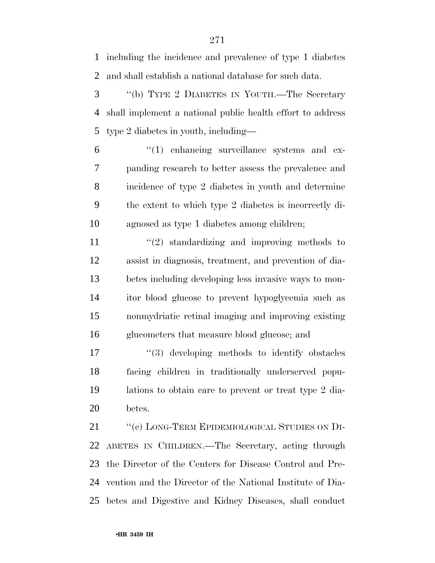including the incidence and prevalence of type 1 diabetes and shall establish a national database for such data.

 ''(b) TYPE 2 DIABETES IN YOUTH.—The Secretary shall implement a national public health effort to address type 2 diabetes in youth, including—

 $(1)$  enhancing surveillance systems and ex- panding research to better assess the prevalence and incidence of type 2 diabetes in youth and determine the extent to which type 2 diabetes is incorrectly di-agnosed as type 1 diabetes among children;

11 ''(2) standardizing and improving methods to assist in diagnosis, treatment, and prevention of dia- betes including developing less invasive ways to mon- itor blood glucose to prevent hypoglycemia such as nonmydriatic retinal imaging and improving existing glucometers that measure blood glucose; and

 ''(3) developing methods to identify obstacles facing children in traditionally underserved popu- lations to obtain care to prevent or treat type 2 dia-betes.

21 "(c) LONG-TERM EPIDEMIOLOGICAL STUDIES ON DI- ABETES IN CHILDREN.—The Secretary, acting through the Director of the Centers for Disease Control and Pre- vention and the Director of the National Institute of Dia-betes and Digestive and Kidney Diseases, shall conduct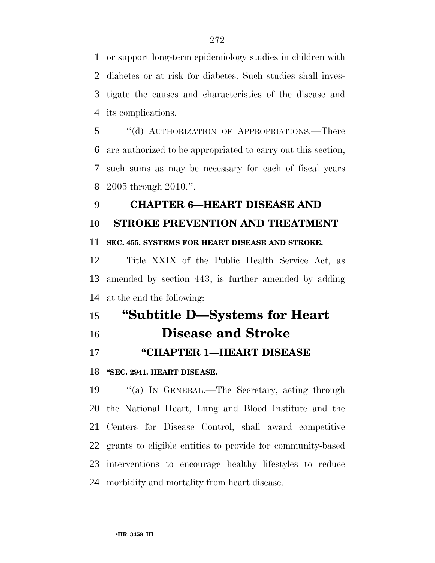or support long-term epidemiology studies in children with diabetes or at risk for diabetes. Such studies shall inves- tigate the causes and characteristics of the disease and its complications.

 ''(d) AUTHORIZATION OF APPROPRIATIONS.—There are authorized to be appropriated to carry out this section, such sums as may be necessary for each of fiscal years 2005 through 2010.''.

## **CHAPTER 6—HEART DISEASE AND**

## **STROKE PREVENTION AND TREATMENT**

#### **SEC. 455. SYSTEMS FOR HEART DISEASE AND STROKE.**

 Title XXIX of the Public Health Service Act, as amended by section 443, is further amended by adding at the end the following:

# **''Subtitle D—Systems for Heart**

**Disease and Stroke** 

## **''CHAPTER 1—HEART DISEASE**

#### **''SEC. 2941. HEART DISEASE.**

 ''(a) IN GENERAL.—The Secretary, acting through the National Heart, Lung and Blood Institute and the Centers for Disease Control, shall award competitive grants to eligible entities to provide for community-based interventions to encourage healthy lifestyles to reduce morbidity and mortality from heart disease.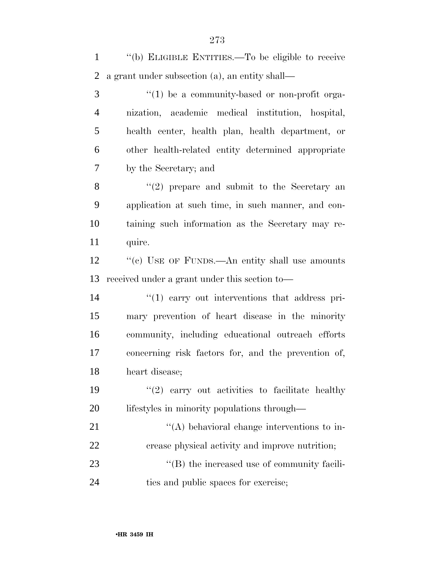| $\mathbf{1}$   | "(b) ELIGIBLE ENTITIES.—To be eligible to receive   |
|----------------|-----------------------------------------------------|
| $\overline{2}$ | a grant under subsection (a), an entity shall—      |
| 3              | $\lq(1)$ be a community-based or non-profit orga-   |
| $\overline{4}$ | nization, academic medical institution, hospital,   |
| 5              | health center, health plan, health department, or   |
| 6              | other health-related entity determined appropriate  |
| 7              | by the Secretary; and                               |
| 8              | $\lq(2)$ prepare and submit to the Secretary an     |
| 9              | application at such time, in such manner, and con-  |
| 10             | taining such information as the Secretary may re-   |
| 11             | quire.                                              |
| 12             | "(c) USE OF FUNDS.—An entity shall use amounts      |
|                |                                                     |
| 13             | received under a grant under this section to—       |
| 14             | $\lq(1)$ carry out interventions that address pri-  |
| 15             | mary prevention of heart disease in the minority    |
| 16             | community, including educational outreach efforts   |
| 17             | concerning risk factors for, and the prevention of, |
| 18             | heart disease;                                      |
| 19             | $\lq(2)$ carry out activities to facilitate healthy |
| <b>20</b>      | lifestyles in minority populations through—         |
| 21             | $\lq\lq$ behavioral change interventions to in-     |
| 22             | crease physical activity and improve nutrition;     |
| 23             | "(B) the increased use of community facili-         |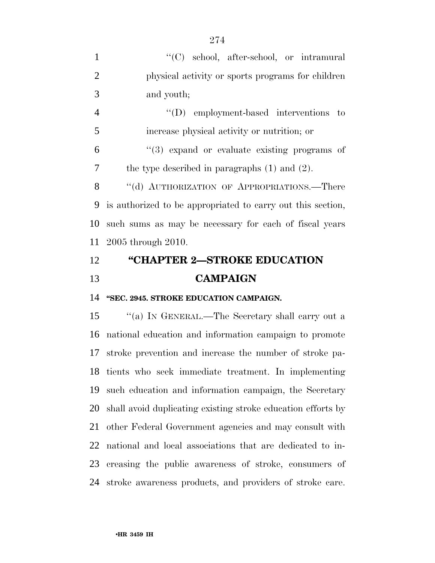| 1              | "(C) school, after-school, or intramural                    |
|----------------|-------------------------------------------------------------|
| $\overline{2}$ | physical activity or sports programs for children           |
| 3              | and youth;                                                  |
| $\overline{4}$ | $\lq\lq$ employment-based interventions to                  |
| 5              | increase physical activity or nutrition; or                 |
| 6              | $\cdot$ (3) expand or evaluate existing programs of         |
| 7              | the type described in paragraphs $(1)$ and $(2)$ .          |
| 8              | "(d) AUTHORIZATION OF APPROPRIATIONS.—There                 |
| 9              | is authorized to be appropriated to carry out this section, |
| 10             | such sums as may be necessary for each of fiscal years      |
|                | 11 2005 through 2010.                                       |
| 12             | "CHAPTER 2-STROKE EDUCATION                                 |
| 13             | <b>CAMPAIGN</b>                                             |
|                |                                                             |

**''SEC. 2945. STROKE EDUCATION CAMPAIGN.** 

 ''(a) IN GENERAL.—The Secretary shall carry out a national education and information campaign to promote stroke prevention and increase the number of stroke pa- tients who seek immediate treatment. In implementing such education and information campaign, the Secretary shall avoid duplicating existing stroke education efforts by other Federal Government agencies and may consult with national and local associations that are dedicated to in- creasing the public awareness of stroke, consumers of stroke awareness products, and providers of stroke care.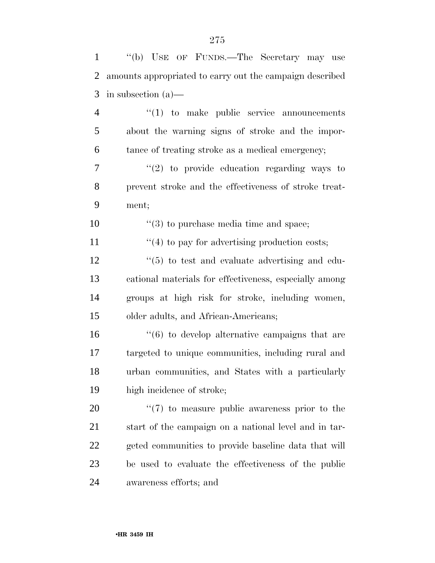| $\mathbf{1}$   | "(b) USE OF FUNDS.—The Secretary may use                       |
|----------------|----------------------------------------------------------------|
| $\overline{2}$ | amounts appropriated to carry out the campaign described       |
| 3              | in subsection $(a)$ —                                          |
| $\overline{4}$ | $\lq(1)$ to make public service announcements                  |
| 5              | about the warning signs of stroke and the impor-               |
| 6              | tance of treating stroke as a medical emergency;               |
| $\tau$         | $(2)$ to provide education regarding ways to                   |
| 8              | prevent stroke and the effectiveness of stroke treat-          |
| 9              | ment;                                                          |
| 10             | $\lq(3)$ to purchase media time and space;                     |
| 11             | $\cdot$ (4) to pay for advertising production costs;           |
| 12             | $\cdot\cdot\cdot(5)$ to test and evaluate advertising and edu- |
| 13             | cational materials for effectiveness, especially among         |
| 14             | groups at high risk for stroke, including women,               |
| 15             | older adults, and African-Americans;                           |
| 16             | $\cdot\cdot\cdot(6)$ to develop alternative campaigns that are |
| 17             | targeted to unique communities, including rural and            |
| 18             | urban communities, and States with a particularly              |
| 19             | high incidence of stroke;                                      |
| 20             | $\lq(7)$ to measure public awareness prior to the              |
| 21             | start of the campaign on a national level and in tar-          |
| 22             | geted communities to provide baseline data that will           |
| 23             | be used to evaluate the effectiveness of the public            |
| 24             | awareness efforts; and                                         |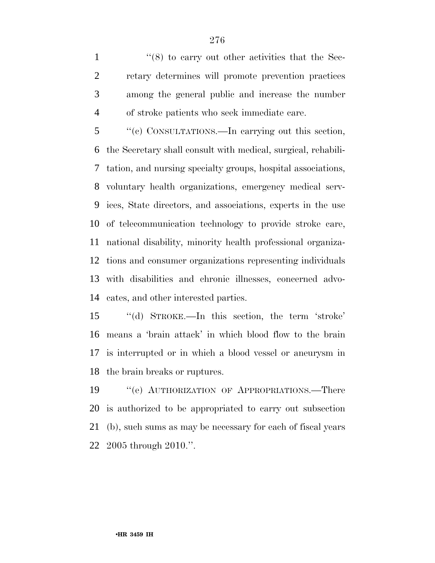1 ''(8) to carry out other activities that the Sec- retary determines will promote prevention practices among the general public and increase the number of stroke patients who seek immediate care.

 ''(c) CONSULTATIONS.—In carrying out this section, the Secretary shall consult with medical, surgical, rehabili- tation, and nursing specialty groups, hospital associations, voluntary health organizations, emergency medical serv- ices, State directors, and associations, experts in the use of telecommunication technology to provide stroke care, national disability, minority health professional organiza- tions and consumer organizations representing individuals with disabilities and chronic illnesses, concerned advo-cates, and other interested parties.

 ''(d) STROKE.—In this section, the term 'stroke' means a 'brain attack' in which blood flow to the brain is interrupted or in which a blood vessel or aneurysm in the brain breaks or ruptures.

 ''(e) AUTHORIZATION OF APPROPRIATIONS.—There is authorized to be appropriated to carry out subsection (b), such sums as may be necessary for each of fiscal years 2005 through 2010.''.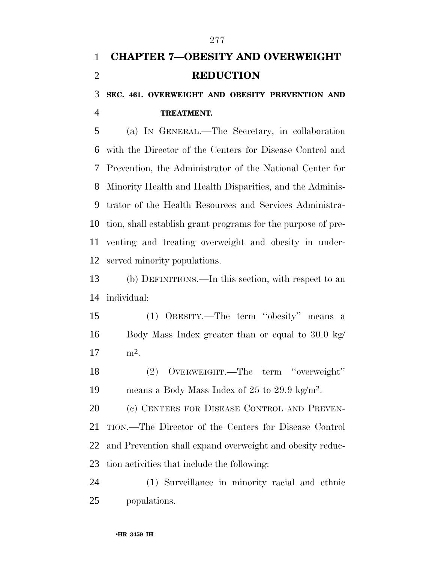# **CHAPTER 7—OBESITY AND OVERWEIGHT REDUCTION**

 **SEC. 461. OVERWEIGHT AND OBESITY PREVENTION AND TREATMENT.** 

 (a) IN GENERAL.—The Secretary, in collaboration with the Director of the Centers for Disease Control and Prevention, the Administrator of the National Center for Minority Health and Health Disparities, and the Adminis- trator of the Health Resources and Services Administra- tion, shall establish grant programs for the purpose of pre- venting and treating overweight and obesity in under-served minority populations.

 (b) DEFINITIONS.—In this section, with respect to an individual:

 (1) OBESITY.—The term ''obesity'' means a Body Mass Index greater than or equal to 30.0 kg/  $17 \text{ m}^2$ .

 (2) OVERWEIGHT.—The term ''overweight'' 19 means a Body Mass Index of 25 to 29.9 kg/m<sup>2</sup>.

20 (c) CENTERS FOR DISEASE CONTROL AND PREVEN- TION.—The Director of the Centers for Disease Control and Prevention shall expand overweight and obesity reduc-tion activities that include the following:

 (1) Surveillance in minority racial and ethnic populations.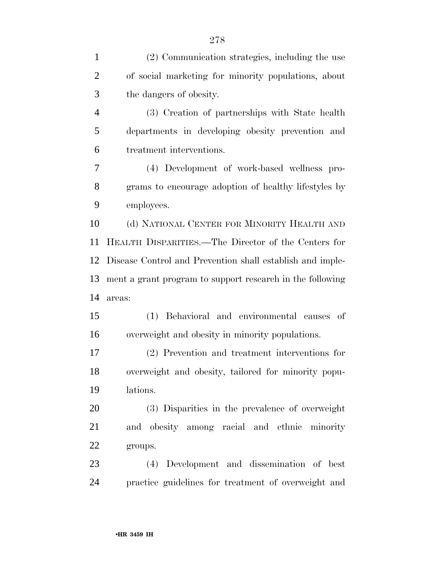| $\mathbf{1}$   | (2) Communication strategies, including the use           |
|----------------|-----------------------------------------------------------|
| $\overline{2}$ | of social marketing for minority populations, about       |
| 3              | the dangers of obesity.                                   |
| $\overline{4}$ | (3) Creation of partnerships with State health            |
| 5              | departments in developing obesity prevention and          |
| 6              | treatment interventions.                                  |
| 7              | (4) Development of work-based wellness pro-               |
| 8              | grams to encourage adoption of healthy lifestyles by      |
| 9              | employees.                                                |
| 10             | (d) NATIONAL CENTER FOR MINORITY HEALTH AND               |
| 11             | HEALTH DISPARITIES.—The Director of the Centers for       |
| 12             | Disease Control and Prevention shall establish and imple- |
| 13             | ment a grant program to support research in the following |
| 14             | areas:                                                    |
| 15             | (1) Behavioral and environmental causes<br>- of           |
| 16             | overweight and obesity in minority populations.           |
| 17             | (2) Prevention and treatment interventions for            |
| 18             | overweight and obesity, tailored for minority popu-       |
| 19             | lations.                                                  |
|                |                                                           |
| 20             | (3) Disparities in the prevalence of overweight           |
| 21             | and obesity among racial and ethnic minority              |
| 22             | groups.                                                   |
| 23             | (4) Development and dissemination of best                 |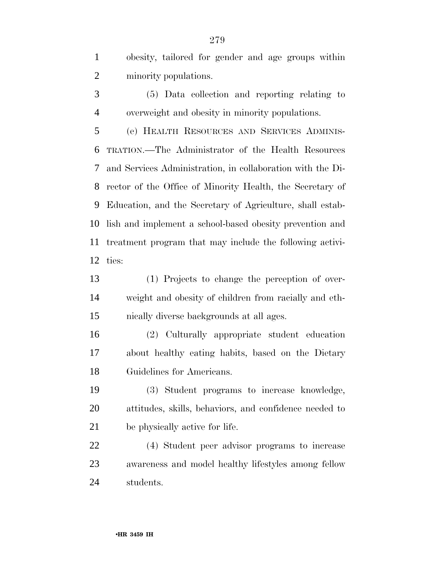obesity, tailored for gender and age groups within minority populations.

 (5) Data collection and reporting relating to overweight and obesity in minority populations.

 (e) HEALTH RESOURCES AND SERVICES ADMINIS- TRATION.—The Administrator of the Health Resources and Services Administration, in collaboration with the Di- rector of the Office of Minority Health, the Secretary of Education, and the Secretary of Agriculture, shall estab- lish and implement a school-based obesity prevention and treatment program that may include the following activi-ties:

 (1) Projects to change the perception of over- weight and obesity of children from racially and eth-nically diverse backgrounds at all ages.

 (2) Culturally appropriate student education about healthy eating habits, based on the Dietary Guidelines for Americans.

 (3) Student programs to increase knowledge, attitudes, skills, behaviors, and confidence needed to be physically active for life.

 (4) Student peer advisor programs to increase awareness and model healthy lifestyles among fellow students.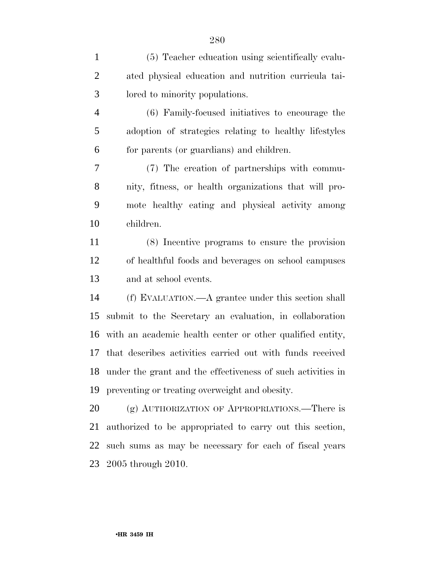(5) Teacher education using scientifically evalu- ated physical education and nutrition curricula tai- lored to minority populations. (6) Family-focused initiatives to encourage the adoption of strategies relating to healthy lifestyles for parents (or guardians) and children. (7) The creation of partnerships with commu- nity, fitness, or health organizations that will pro- mote healthy eating and physical activity among children. (8) Incentive programs to ensure the provision of healthful foods and beverages on school campuses and at school events. (f) EVALUATION.—A grantee under this section shall submit to the Secretary an evaluation, in collaboration with an academic health center or other qualified entity, that describes activities carried out with funds received under the grant and the effectiveness of such activities in preventing or treating overweight and obesity. 20 (g) AUTHORIZATION OF APPROPRIATIONS.—There is authorized to be appropriated to carry out this section, such sums as may be necessary for each of fiscal years 2005 through 2010.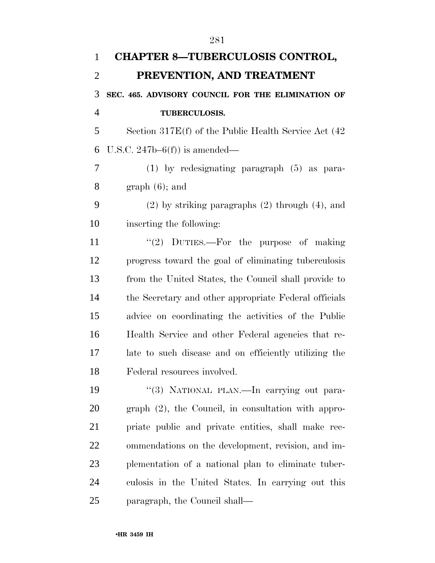| $\mathbf{1}$   | <b>CHAPTER 8-TUBERCULOSIS CONTROL,</b>                   |
|----------------|----------------------------------------------------------|
| $\overline{2}$ | PREVENTION, AND TREATMENT                                |
| 3              | SEC. 465. ADVISORY COUNCIL FOR THE ELIMINATION OF        |
| $\overline{4}$ | <b>TUBERCULOSIS.</b>                                     |
| 5              | Section $317E(f)$ of the Public Health Service Act $(42$ |
| 6              | U.S.C. $247b-6(f)$ is amended—                           |
| 7              | $(1)$ by redesignating paragraph $(5)$ as para-          |
| 8              | $graph(6)$ ; and                                         |
| 9              | $(2)$ by striking paragraphs $(2)$ through $(4)$ , and   |
| 10             | inserting the following:                                 |
| 11             | "(2) DUTIES.—For the purpose of making                   |
| 12             | progress toward the goal of eliminating tuberculosis     |
| 13             | from the United States, the Council shall provide to     |
| 14             | the Secretary and other appropriate Federal officials    |
| 15             | advice on coordinating the activities of the Public      |
| 16             | Health Service and other Federal agencies that re-       |
| 17             | late to such disease and on efficiently utilizing the    |
| 18             | Federal resources involved.                              |
| 19             | "(3) NATIONAL PLAN.—In carrying out para-                |
| 20             | $graph (2)$ , the Council, in consultation with appro-   |
| 21             | priate public and private entities, shall make rec-      |
| 22             | ommendations on the development, revision, and im-       |
| 23             | plementation of a national plan to eliminate tuber-      |
| 24             | culosis in the United States. In carrying out this       |
| 25             | paragraph, the Council shall—                            |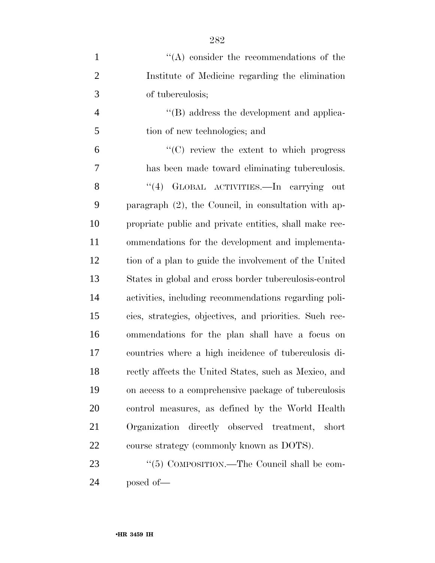| $\mathbf{1}$   | $\lq\lq$ consider the recommendations of the            |
|----------------|---------------------------------------------------------|
| $\overline{2}$ | Institute of Medicine regarding the elimination         |
| 3              | of tuberculosis;                                        |
| $\overline{4}$ | $\lq\lq (B)$ address the development and applica-       |
| 5              | tion of new technologies; and                           |
| 6              | $\lq\lq$ review the extent to which progress            |
| 7              | has been made toward eliminating tuberculosis.          |
| 8              | "(4) GLOBAL ACTIVITIES.—In carrying out                 |
| 9              | paragraph $(2)$ , the Council, in consultation with ap- |
| 10             | propriate public and private entities, shall make rec-  |
| 11             | ommendations for the development and implementa-        |
| 12             | tion of a plan to guide the involvement of the United   |
| 13             | States in global and cross border tuberculosis-control  |
| 14             | activities, including recommendations regarding poli-   |
| 15             | cies, strategies, objectives, and priorities. Such rec- |
| 16             | ommendations for the plan shall have a focus on         |
| 17             | countries where a high incidence of tuberculosis di-    |
| 18             | rectly affects the United States, such as Mexico, and   |
| 19             | on access to a comprehensive package of tuberculosis    |
| 20             | control measures, as defined by the World Health        |
| 21             | Organization directly observed treatment,<br>short      |
| 22             | course strategy (commonly known as DOTS).               |
| 23             | "(5) COMPOSITION.—The Council shall be com-             |
| 24             | posed of-                                               |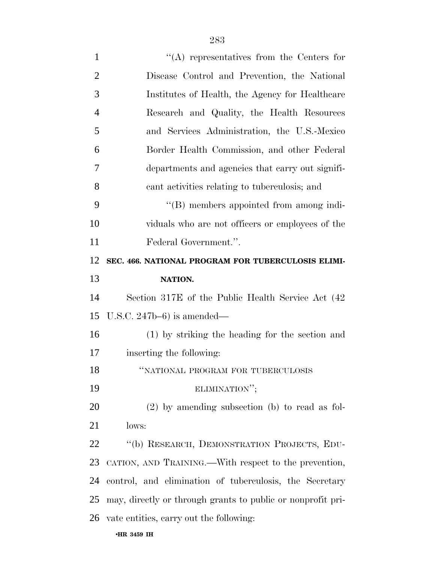| $\mathbf{1}$   | $\lq\lq$ representatives from the Centers for               |
|----------------|-------------------------------------------------------------|
| $\overline{2}$ | Disease Control and Prevention, the National                |
| 3              | Institutes of Health, the Agency for Healthcare             |
| $\overline{4}$ | Research and Quality, the Health Resources                  |
| 5              | and Services Administration, the U.S.-Mexico                |
| 6              | Border Health Commission, and other Federal                 |
| 7              | departments and agencies that carry out signifi-            |
| 8              | cant activities relating to tuberculosis; and               |
| 9              | "(B) members appointed from among indi-                     |
| 10             | viduals who are not officers or employees of the            |
| 11             | Federal Government.".                                       |
| 12             | SEC. 466. NATIONAL PROGRAM FOR TUBERCULOSIS ELIMI-          |
| 13             | NATION.                                                     |
| 14             | Section 317E of the Public Health Service Act (42)          |
| 15             | U.S.C. $247b-6$ ) is amended—                               |
| 16             | (1) by striking the heading for the section and             |
| 17             | inserting the following:                                    |
| 18             | "NATIONAL PROGRAM FOR TUBERCULOSIS                          |
| 19             | ELIMINATION";                                               |
| 20             | $(2)$ by amending subsection (b) to read as fol-            |
| 21             | lows:                                                       |
| 22             | "(b) RESEARCH, DEMONSTRATION PROJECTS, EDU-                 |
| 23             | CATION, AND TRAINING.—With respect to the prevention,       |
| 24             | control, and elimination of tuberculosis, the Secretary     |
| 25             | may, directly or through grants to public or nonprofit pri- |
|                | 26 vate entities, carry out the following:                  |
|                | •HR 3459 IH                                                 |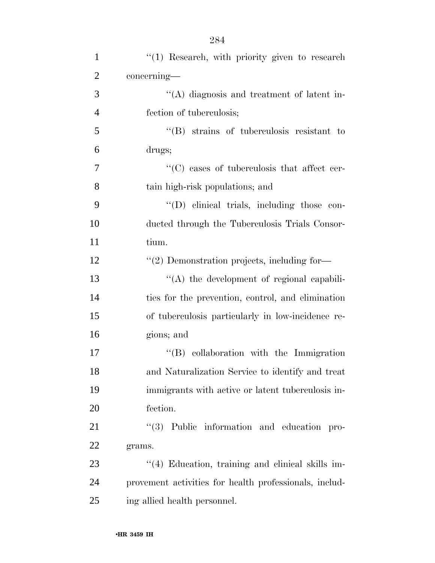| $\mathbf{1}$   | $\lq(1)$ Research, with priority given to research     |
|----------------|--------------------------------------------------------|
| $\overline{2}$ | concerning—                                            |
| 3              | "(A) diagnosis and treatment of latent in-             |
| $\overline{4}$ | fection of tuberculosis;                               |
| 5              | $\lq\lq$ strains of tuberculosis resistant to          |
| 6              | drugs;                                                 |
| $\overline{7}$ | "(C) cases of tuberculosis that affect cer-            |
| 8              | tain high-risk populations; and                        |
| 9              | "(D) clinical trials, including those con-             |
| 10             | ducted through the Tuberculosis Trials Consor-         |
| 11             | tium.                                                  |
| 12             | $\lq(2)$ Demonstration projects, including for-        |
| 13             | "(A) the development of regional capabili-             |
| 14             | ties for the prevention, control, and elimination      |
| 15             | of tuberculosis particularly in low-incidence re-      |
| 16             | gions; and                                             |
| 17             | $\lq\lq (B)$ collaboration with the Immigration        |
| 18             | and Naturalization Service to identify and treat       |
| 19             | immigrants with active or latent tuberculosis in-      |
| 20             | fection.                                               |
| 21             | "(3) Public information and education pro-             |
| 22             | grams.                                                 |
| 23             | "(4) Education, training and clinical skills im-       |
| 24             | provement activities for health professionals, includ- |
| 25             | ing allied health personnel.                           |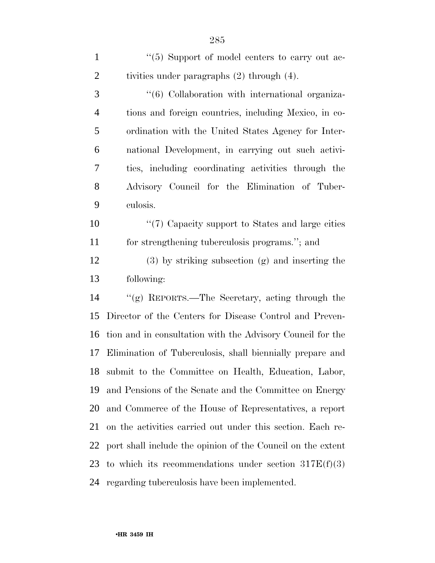1 ''(5) Support of model centers to carry out ac-2 tivities under paragraphs (2) through (4). 3 (6) Collaboration with international organiza- tions and foreign countries, including Mexico, in co- ordination with the United States Agency for Inter- national Development, in carrying out such activi- ties, including coordinating activities through the Advisory Council for the Elimination of Tuber- culosis.  $\frac{1}{2}$  (7) Capacity support to States and large cities for strengthening tuberculosis programs.''; and (3) by striking subsection (g) and inserting the following: ''(g) REPORTS.—The Secretary, acting through the Director of the Centers for Disease Control and Preven- tion and in consultation with the Advisory Council for the Elimination of Tuberculosis, shall biennially prepare and submit to the Committee on Health, Education, Labor, and Pensions of the Senate and the Committee on Energy and Commerce of the House of Representatives, a report on the activities carried out under this section. Each re- port shall include the opinion of the Council on the extent 23 to which its recommendations under section  $317E(f)(3)$ 

regarding tuberculosis have been implemented.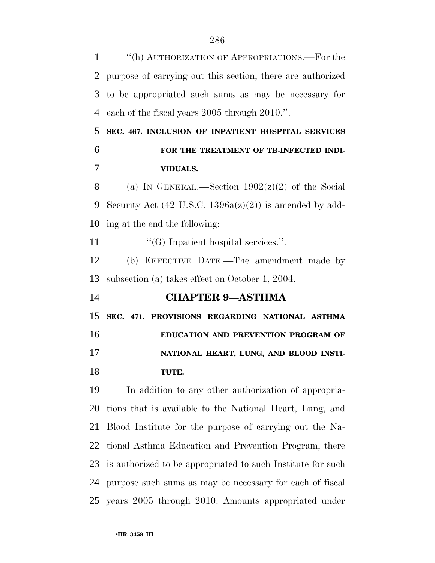''(h) AUTHORIZATION OF APPROPRIATIONS.—For the purpose of carrying out this section, there are authorized to be appropriated such sums as may be necessary for each of the fiscal years 2005 through 2010.''. **SEC. 467. INCLUSION OF INPATIENT HOSPITAL SERVICES FOR THE TREATMENT OF TB-INFECTED INDI- VIDUALS.**  8 (a) IN GENERAL.—Section  $1902(z)(2)$  of the Social Security Act (42 U.S.C. 1396a(z)(2)) is amended by add- ing at the end the following:  $\langle G \rangle$  Inpatient hospital services.". (b) EFFECTIVE DATE.—The amendment made by subsection (a) takes effect on October 1, 2004. **CHAPTER 9—ASTHMA SEC. 471. PROVISIONS REGARDING NATIONAL ASTHMA EDUCATION AND PREVENTION PROGRAM OF NATIONAL HEART, LUNG, AND BLOOD INSTI- TUTE.**  In addition to any other authorization of appropria- tions that is available to the National Heart, Lung, and Blood Institute for the purpose of carrying out the Na- tional Asthma Education and Prevention Program, there is authorized to be appropriated to such Institute for such purpose such sums as may be necessary for each of fiscal years 2005 through 2010. Amounts appropriated under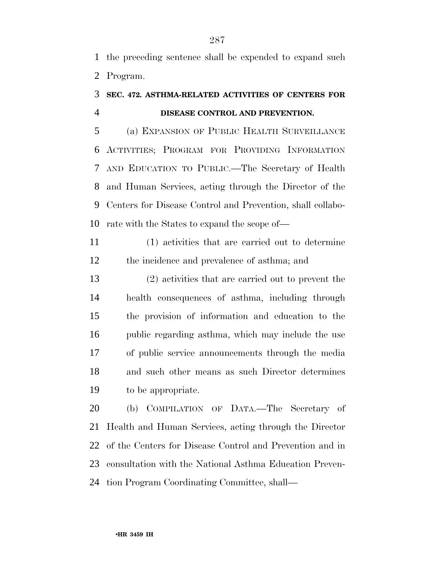the preceding sentence shall be expended to expand such Program.

## **SEC. 472. ASTHMA-RELATED ACTIVITIES OF CENTERS FOR DISEASE CONTROL AND PREVENTION.**

 (a) EXPANSION OF PUBLIC HEALTH SURVEILLANCE ACTIVITIES; PROGRAM FOR PROVIDING INFORMATION AND EDUCATION TO PUBLIC.—The Secretary of Health and Human Services, acting through the Director of the Centers for Disease Control and Prevention, shall collabo-rate with the States to expand the scope of—

 (1) activities that are carried out to determine the incidence and prevalence of asthma; and

 (2) activities that are carried out to prevent the health consequences of asthma, including through the provision of information and education to the public regarding asthma, which may include the use of public service announcements through the media and such other means as such Director determines to be appropriate.

 (b) COMPILATION OF DATA.—The Secretary of Health and Human Services, acting through the Director of the Centers for Disease Control and Prevention and in consultation with the National Asthma Education Preven-tion Program Coordinating Committee, shall—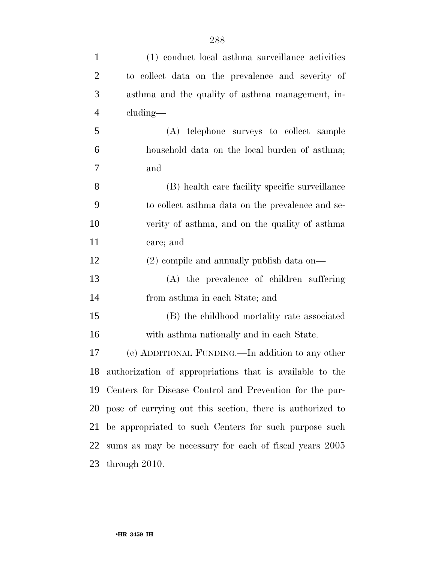| $\mathbf{1}$   | (1) conduct local asthma surveillance activities          |
|----------------|-----------------------------------------------------------|
| $\overline{2}$ | to collect data on the prevalence and severity of         |
| 3              | asthma and the quality of asthma management, in-          |
| $\overline{4}$ | cluding—                                                  |
| 5              | (A) telephone surveys to collect sample                   |
| 6              | household data on the local burden of asthma;             |
| 7              | and                                                       |
| 8              | (B) health care facility specific surveillance            |
| 9              | to collect asthma data on the prevalence and se-          |
| 10             | verity of asthma, and on the quality of asthma            |
| 11             | care; and                                                 |
| 12             | $(2)$ compile and annually publish data on—               |
| 13             | (A) the prevalence of children suffering                  |
| 14             | from asthma in each State; and                            |
| 15             | (B) the childhood mortality rate associated               |
| 16             | with asthma nationally and in each State.                 |
| 17             | (c) ADDITIONAL FUNDING.—In addition to any other          |
| 18             | authorization of appropriations that is available to the  |
| 19             | Centers for Disease Control and Prevention for the pur-   |
| 20             | pose of carrying out this section, there is authorized to |
| 21             | be appropriated to such Centers for such purpose such     |
| 22             | sums as may be necessary for each of fiscal years 2005    |
| 23             | through 2010.                                             |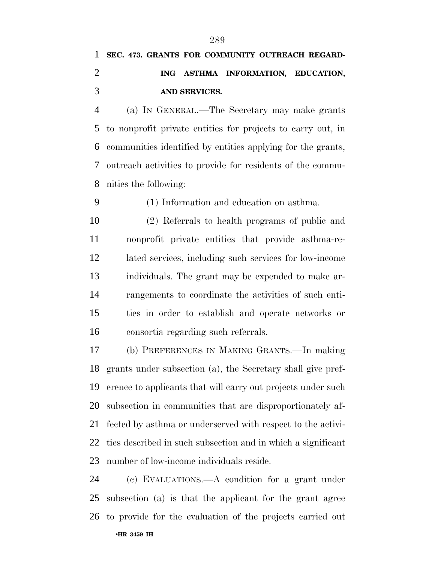## **SEC. 473. GRANTS FOR COMMUNITY OUTREACH REGARD- ING ASTHMA INFORMATION, EDUCATION, AND SERVICES.**

 (a) IN GENERAL.—The Secretary may make grants to nonprofit private entities for projects to carry out, in communities identified by entities applying for the grants, outreach activities to provide for residents of the commu-nities the following:

(1) Information and education on asthma.

 (2) Referrals to health programs of public and nonprofit private entities that provide asthma-re- lated services, including such services for low-income individuals. The grant may be expended to make ar- rangements to coordinate the activities of such enti- ties in order to establish and operate networks or consortia regarding such referrals.

 (b) PREFERENCES IN MAKING GRANTS.—In making grants under subsection (a), the Secretary shall give pref- erence to applicants that will carry out projects under such subsection in communities that are disproportionately af- fected by asthma or underserved with respect to the activi- ties described in such subsection and in which a significant number of low-income individuals reside.

•**HR 3459 IH**  (c) EVALUATIONS.—A condition for a grant under subsection (a) is that the applicant for the grant agree to provide for the evaluation of the projects carried out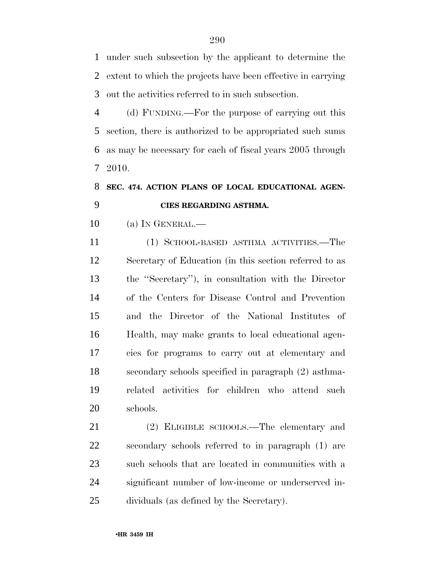under such subsection by the applicant to determine the extent to which the projects have been effective in carrying out the activities referred to in such subsection.

 (d) FUNDING.—For the purpose of carrying out this section, there is authorized to be appropriated such sums as may be necessary for each of fiscal years 2005 through 2010.

## **SEC. 474. ACTION PLANS OF LOCAL EDUCATIONAL AGEN-CIES REGARDING ASTHMA.**

(a) IN GENERAL.—

 (1) SCHOOL-BASED ASTHMA ACTIVITIES.—The Secretary of Education (in this section referred to as the ''Secretary''), in consultation with the Director of the Centers for Disease Control and Prevention and the Director of the National Institutes of Health, may make grants to local educational agen- cies for programs to carry out at elementary and secondary schools specified in paragraph (2) asthma- related activities for children who attend such schools.

 (2) ELIGIBLE SCHOOLS.—The elementary and secondary schools referred to in paragraph (1) are such schools that are located in communities with a significant number of low-income or underserved in-dividuals (as defined by the Secretary).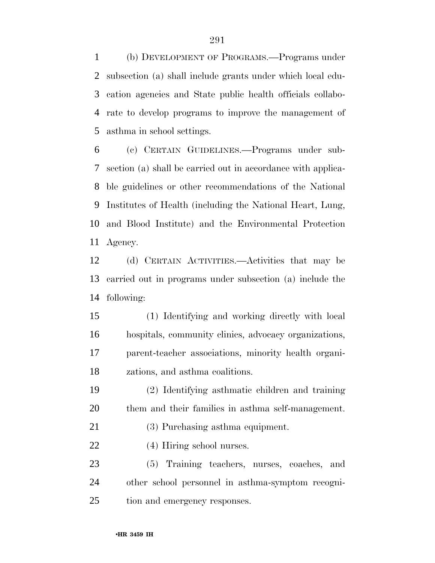(b) DEVELOPMENT OF PROGRAMS.—Programs under subsection (a) shall include grants under which local edu- cation agencies and State public health officials collabo- rate to develop programs to improve the management of asthma in school settings.

 (c) CERTAIN GUIDELINES.—Programs under sub- section (a) shall be carried out in accordance with applica- ble guidelines or other recommendations of the National Institutes of Health (including the National Heart, Lung, and Blood Institute) and the Environmental Protection Agency.

 (d) CERTAIN ACTIVITIES.—Activities that may be carried out in programs under subsection (a) include the following:

 (1) Identifying and working directly with local hospitals, community clinics, advocacy organizations, parent-teacher associations, minority health organi-zations, and asthma coalitions.

 (2) Identifying asthmatic children and training them and their families in asthma self-management.

(3) Purchasing asthma equipment.

(4) Hiring school nurses.

 (5) Training teachers, nurses, coaches, and other school personnel in asthma-symptom recogni-tion and emergency responses.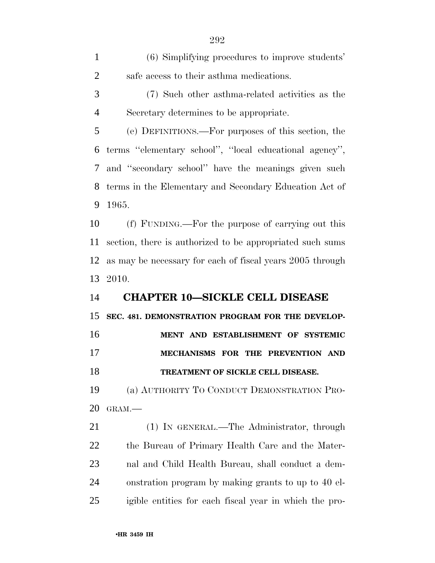(6) Simplifying procedures to improve students' safe access to their asthma medications.

 (7) Such other asthma-related activities as the Secretary determines to be appropriate.

 (e) DEFINITIONS.—For purposes of this section, the terms ''elementary school'', ''local educational agency'', and ''secondary school'' have the meanings given such terms in the Elementary and Secondary Education Act of 1965.

 (f) FUNDING.—For the purpose of carrying out this section, there is authorized to be appropriated such sums as may be necessary for each of fiscal years 2005 through 2010.

## **CHAPTER 10—SICKLE CELL DISEASE**

 **SEC. 481. DEMONSTRATION PROGRAM FOR THE DEVELOP- MENT AND ESTABLISHMENT OF SYSTEMIC MECHANISMS FOR THE PREVENTION AND TREATMENT OF SICKLE CELL DISEASE.** 

 (a) AUTHORITY TO CONDUCT DEMONSTRATION PRO-GRAM.—

 (1) IN GENERAL.—The Administrator, through the Bureau of Primary Health Care and the Mater- nal and Child Health Bureau, shall conduct a dem- onstration program by making grants to up to 40 el-igible entities for each fiscal year in which the pro-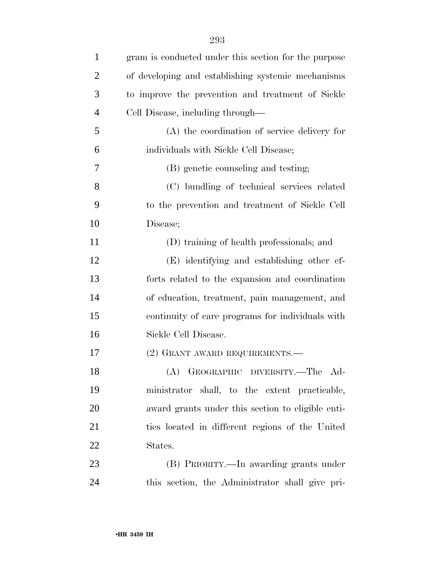| $\mathbf{1}$   | gram is conducted under this section for the purpose |
|----------------|------------------------------------------------------|
| $\overline{2}$ | of developing and establishing systemic mechanisms   |
| 3              | to improve the prevention and treatment of Sickle    |
| $\overline{4}$ | Cell Disease, including through—                     |
| 5              | (A) the coordination of service delivery for         |
| 6              | individuals with Sickle Cell Disease;                |
| 7              | (B) genetic counseling and testing;                  |
| 8              | (C) bundling of technical services related           |
| 9              | to the prevention and treatment of Sickle Cell       |
| 10             | Disease;                                             |
| 11             | (D) training of health professionals; and            |
| 12             | (E) identifying and establishing other ef-           |
| 13             | forts related to the expansion and coordination      |
| 14             | of education, treatment, pain management, and        |
| 15             | continuity of care programs for individuals with     |
| 16             | Sickle Cell Disease.                                 |
| 17             | (2) GRANT AWARD REQUIREMENTS.—                       |
| 18             | (A) GEOGRAPHIC DIVERSITY.—The Ad-                    |
| 19             | ministrator shall, to the extent practicable,        |
| 20             | award grants under this section to eligible enti-    |
| 21             | ties located in different regions of the United      |
| 22             | States.                                              |
| 23             | (B) PRIORITY.—In awarding grants under               |
| 24             | this section, the Administrator shall give pri-      |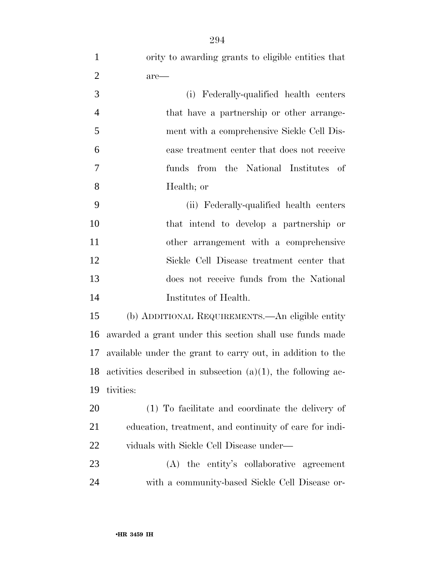| $\mathbf{1}$   | ority to awarding grants to eligible entities that              |
|----------------|-----------------------------------------------------------------|
| $\mathbf{2}$   | are—                                                            |
| 3              | (i) Federally-qualified health centers                          |
| $\overline{4}$ | that have a partnership or other arrange-                       |
| 5              | ment with a comprehensive Sickle Cell Dis-                      |
| 6              | ease treatment center that does not receive                     |
| $\overline{7}$ | funds from the National Institutes of                           |
| 8              | Health; or                                                      |
| 9              | (ii) Federally-qualified health centers                         |
| 10             | that intend to develop a partnership or                         |
| 11             | other arrangement with a comprehensive                          |
| 12             | Sickle Cell Disease treatment center that                       |
| 13             | does not receive funds from the National                        |
| 14             | Institutes of Health.                                           |
| 15             | (b) ADDITIONAL REQUIREMENTS.—An eligible entity                 |
| 16             | awarded a grant under this section shall use funds made         |
| 17             | available under the grant to carry out, in addition to the      |
| 18             | activities described in subsection $(a)(1)$ , the following ac- |
| 19             | tivities:                                                       |
| 20             | (1) To facilitate and coordinate the delivery of                |
| 21             | education, treatment, and continuity of care for indi-          |
| <u>22</u>      | viduals with Sickle Cell Disease under—                         |
| 23             | (A) the entity's collaborative agreement                        |
| 24             | with a community-based Sickle Cell Disease or-                  |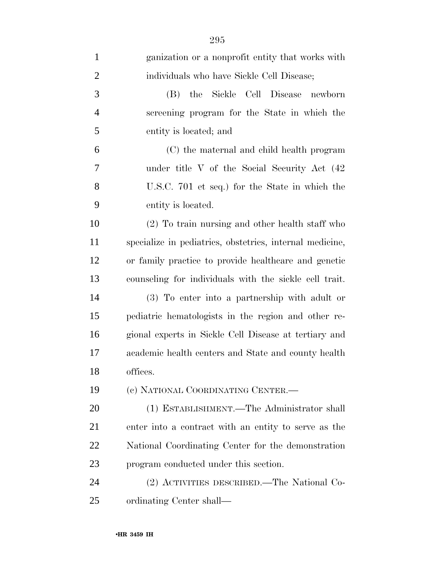| $\mathbf{1}$   | ganization or a nonprofit entity that works with         |
|----------------|----------------------------------------------------------|
| $\overline{2}$ | individuals who have Sickle Cell Disease;                |
| 3              | the Sickle Cell Disease<br>(B)<br>newborn                |
| $\overline{4}$ | screening program for the State in which the             |
| 5              | entity is located; and                                   |
| 6              | (C) the maternal and child health program                |
| 7              | under title V of the Social Security Act (42)            |
| 8              | U.S.C. 701 et seq.) for the State in which the           |
| 9              | entity is located.                                       |
| 10             | (2) To train nursing and other health staff who          |
| 11             | specialize in pediatrics, obstetrics, internal medicine, |
| 12             | or family practice to provide healthcare and genetic     |
| 13             | counseling for individuals with the sickle cell trait.   |
| 14             | (3) To enter into a partnership with adult or            |
| 15             | pediatric hematologists in the region and other re-      |
| 16             | gional experts in Sickle Cell Disease at tertiary and    |
| 17             | academic health centers and State and county health      |
| 18             | offices.                                                 |
| 19             | (c) NATIONAL COORDINATING CENTER.—                       |
| 20             | (1) ESTABLISHMENT.—The Administrator shall               |
| 21             | enter into a contract with an entity to serve as the     |
| 22             | National Coordinating Center for the demonstration       |
| 23             | program conducted under this section.                    |
| 24             | (2) ACTIVITIES DESCRIBED.—The National Co-               |
| 25             | ordinating Center shall—                                 |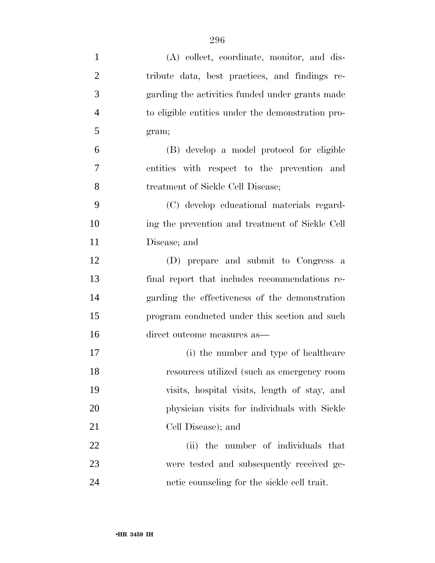| $\mathbf{1}$   | (A) collect, coordinate, monitor, and dis-        |
|----------------|---------------------------------------------------|
| $\overline{2}$ | tribute data, best practices, and findings re-    |
| 3              | garding the activities funded under grants made   |
| $\overline{4}$ | to eligible entities under the demonstration pro- |
| 5              | gram;                                             |
| 6              | (B) develop a model protocol for eligible         |
| 7              | entities with respect to the prevention and       |
| 8              | treatment of Sickle Cell Disease;                 |
| 9              | (C) develop educational materials regard-         |
| 10             | ing the prevention and treatment of Sickle Cell   |
| 11             | Disease; and                                      |
| 12             | (D) prepare and submit to Congress a              |
| 13             | final report that includes recommendations re-    |
| 14             | garding the effectiveness of the demonstration    |
| 15             | program conducted under this section and such     |
| 16             | direct outcome measures as—                       |
| 17             | (i) the number and type of healthcare             |
| 18             | resources utilized (such as emergency room        |
| 19             | visits, hospital visits, length of stay, and      |
| 20             | physician visits for individuals with Sickle      |
| 21             | Cell Disease); and                                |
| 22             | (ii) the number of individuals that               |
| 23             | were tested and subsequently received ge-         |
| 24             | netic counseling for the sickle cell trait.       |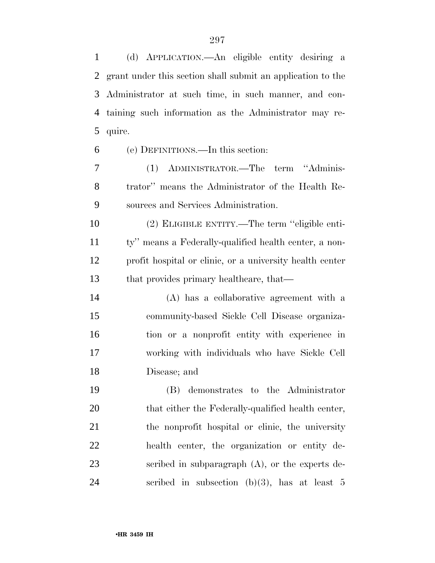(d) APPLICATION.—An eligible entity desiring a grant under this section shall submit an application to the Administrator at such time, in such manner, and con- taining such information as the Administrator may re-quire.

(e) DEFINITIONS.—In this section:

 (1) ADMINISTRATOR.—The term ''Adminis- trator'' means the Administrator of the Health Re-sources and Services Administration.

 (2) ELIGIBLE ENTITY.—The term ''eligible enti- ty'' means a Federally-qualified health center, a non- profit hospital or clinic, or a university health center that provides primary healthcare, that—

 (A) has a collaborative agreement with a community-based Sickle Cell Disease organiza- tion or a nonprofit entity with experience in working with individuals who have Sickle Cell Disease; and

 (B) demonstrates to the Administrator 20 that either the Federally-qualified health center, the nonprofit hospital or clinic, the university health center, the organization or entity de- scribed in subparagraph (A), or the experts de-24 scribed in subsection  $(b)(3)$ , has at least 5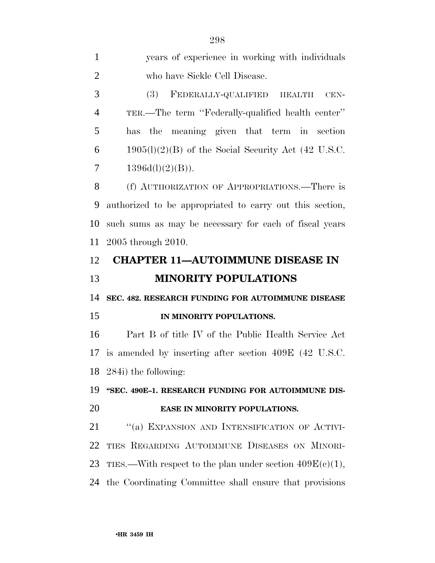| $\mathbf{1}$   | years of experience in working with individuals             |
|----------------|-------------------------------------------------------------|
| $\overline{2}$ | who have Sickle Cell Disease.                               |
| 3              | FEDERALLY-QUALIFIED HEALTH<br>(3)<br>$CEN-$                 |
| $\overline{4}$ | TER.—The term "Federally-qualified health center"           |
| 5              | has the meaning given that term in section                  |
| 6              | $1905(l)(2)(B)$ of the Social Security Act (42 U.S.C.       |
| 7              | 1396d(l)(2)(B)).                                            |
| 8              | (f) AUTHORIZATION OF APPROPRIATIONS.—There is               |
| 9              | authorized to be appropriated to carry out this section,    |
| 10             | such sums as may be necessary for each of fiscal years      |
| 11             | 2005 through 2010.                                          |
| 12             | <b>CHAPTER 11-AUTOIMMUNE DISEASE IN</b>                     |
|                |                                                             |
| 13             | <b>MINORITY POPULATIONS</b>                                 |
| 14             | SEC. 482. RESEARCH FUNDING FOR AUTOIMMUNE DISEASE           |
| 15             | IN MINORITY POPULATIONS.                                    |
| 16             | Part B of title IV of the Public Health Service Act         |
|                | 17 is amended by inserting after section 409E (42 U.S.C.    |
|                | 18 284i) the following:                                     |
| 19             | "SEC. 490E-1. RESEARCH FUNDING FOR AUTOIMMUNE DIS-          |
| 20             | EASE IN MINORITY POPULATIONS.                               |
| 21             | "(a) EXPANSION AND INTENSIFICATION OF ACTIVI-               |
| 22             | TIES REGARDING AUTOIMMUNE DISEASES ON MINORI-               |
| 23             | TIES.—With respect to the plan under section $409E(c)(1)$ , |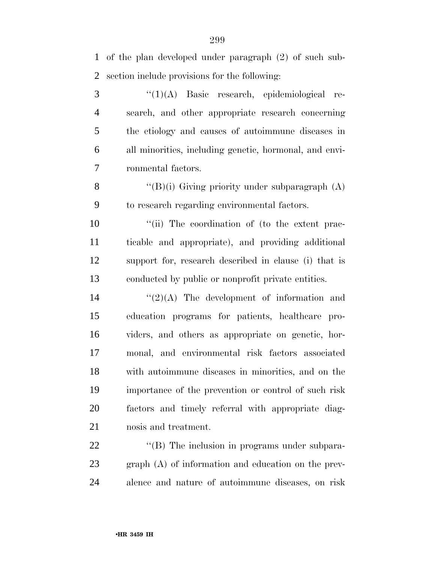of the plan developed under paragraph (2) of such sub-section include provisions for the following:

 ''(1)(A) Basic research, epidemiological re- search, and other appropriate research concerning the etiology and causes of autoimmune diseases in all minorities, including genetic, hormonal, and envi-ronmental factors.

8  $\langle (B)(i)$  Giving priority under subparagraph  $(A)$ to research regarding environmental factors.

 $\frac{1}{10}$  The coordination of (to the extent prac- ticable and appropriate), and providing additional support for, research described in clause (i) that is conducted by public or nonprofit private entities.

 $\frac{1}{2}(2)$ (A) The development of information and education programs for patients, healthcare pro- viders, and others as appropriate on genetic, hor- monal, and environmental risk factors associated with autoimmune diseases in minorities, and on the importance of the prevention or control of such risk factors and timely referral with appropriate diag-nosis and treatment.

22  $\langle$  (B) The inclusion in programs under subpara- graph (A) of information and education on the prev-alence and nature of autoimmune diseases, on risk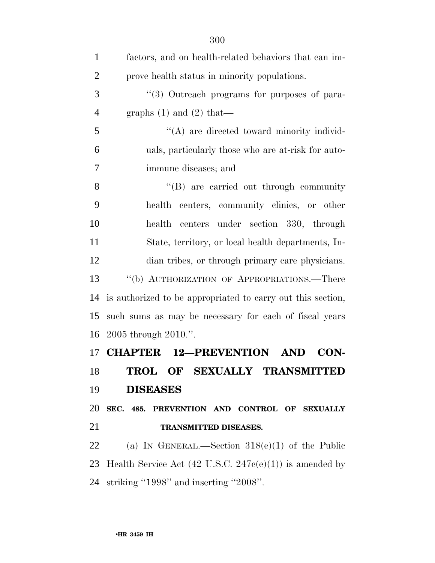| $\mathbf{1}$   | factors, and on health-related behaviors that can im-              |
|----------------|--------------------------------------------------------------------|
| $\overline{2}$ | prove health status in minority populations.                       |
| 3              | "(3) Outreach programs for purposes of para-                       |
| $\overline{4}$ | graphs $(1)$ and $(2)$ that—                                       |
| 5              | $\lq\lq$ are directed toward minority individ-                     |
| 6              | uals, particularly those who are at-risk for auto-                 |
| 7              | immune diseases; and                                               |
| 8              | "(B) are carried out through community                             |
| 9              | health centers, community clinics, or other                        |
| 10             | health centers under section 330, through                          |
| 11             | State, territory, or local health departments, In-                 |
| 12             | dian tribes, or through primary care physicians.                   |
| 13             | "(b) AUTHORIZATION OF APPROPRIATIONS.—There                        |
| 14             | is authorized to be appropriated to carry out this section,        |
| 15             | such sums as may be necessary for each of fiscal years             |
| 16             | $2005$ through $2010$ .".                                          |
| 17             | <b>CHAPTER 12-PREVENTION AND</b><br>CON-                           |
| 18             | TROL OF SEXUALLY TRANSMITTED                                       |
| 19             | <b>DISEASES</b>                                                    |
| 20             | SEC. 485. PREVENTION AND CONTROL OF SEXUALLY                       |
| 21             | TRANSMITTED DISEASES.                                              |
| 22             | (a) IN GENERAL.—Section $318(e)(1)$ of the Public                  |
| 23             | Health Service Act $(42 \text{ U.S.C. } 247c(e)(1))$ is amended by |
| 24             | striking "1998" and inserting "2008".                              |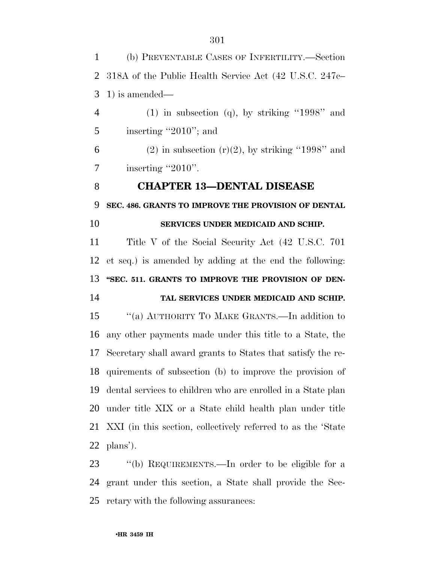(b) PREVENTABLE CASES OF INFERTILITY.—Section 318A of the Public Health Service Act (42 U.S.C. 247c– 1) is amended— 4 (1) in subsection (q), by striking "1998" and 5 inserting "2010"; and 6 (2) in subsection  $(r)(2)$ , by striking "1998" and  $7 \qquad$  inserting "2010". **CHAPTER 13—DENTAL DISEASE SEC. 486. GRANTS TO IMPROVE THE PROVISION OF DENTAL SERVICES UNDER MEDICAID AND SCHIP.**  Title V of the Social Security Act (42 U.S.C. 701 et seq.) is amended by adding at the end the following: 13 "SEC. 511. GRANTS TO IMPROVE THE PROVISION OF DEN- **TAL SERVICES UNDER MEDICAID AND SCHIP.**  ''(a) AUTHORITY TO MAKE GRANTS.—In addition to any other payments made under this title to a State, the Secretary shall award grants to States that satisfy the re- quirements of subsection (b) to improve the provision of dental services to children who are enrolled in a State plan under title XIX or a State child health plan under title XXI (in this section, collectively referred to as the 'State plans'). ''(b) REQUIREMENTS.—In order to be eligible for a grant under this section, a State shall provide the Sec-

retary with the following assurances: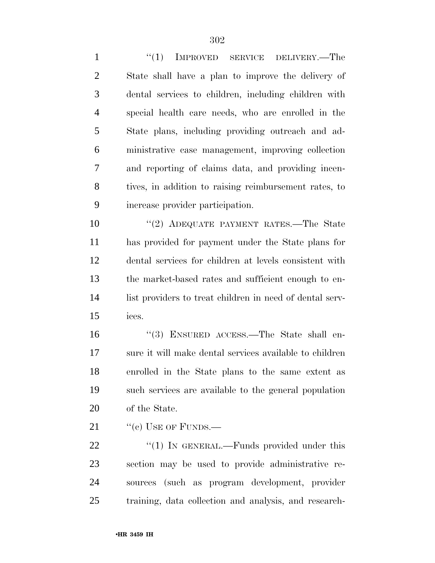1 "(1) IMPROVED SERVICE DELIVERY.—The State shall have a plan to improve the delivery of dental services to children, including children with special health care needs, who are enrolled in the State plans, including providing outreach and ad- ministrative case management, improving collection and reporting of claims data, and providing incen- tives, in addition to raising reimbursement rates, to increase provider participation.

 ''(2) ADEQUATE PAYMENT RATES.—The State has provided for payment under the State plans for dental services for children at levels consistent with the market-based rates and sufficient enough to en- list providers to treat children in need of dental serv-ices.

 ''(3) ENSURED ACCESS.—The State shall en- sure it will make dental services available to children enrolled in the State plans to the same extent as such services are available to the general population of the State.

21 "(c) USE OF FUNDS.—

22 "(1) IN GENERAL.—Funds provided under this section may be used to provide administrative re- sources (such as program development, provider training, data collection and analysis, and research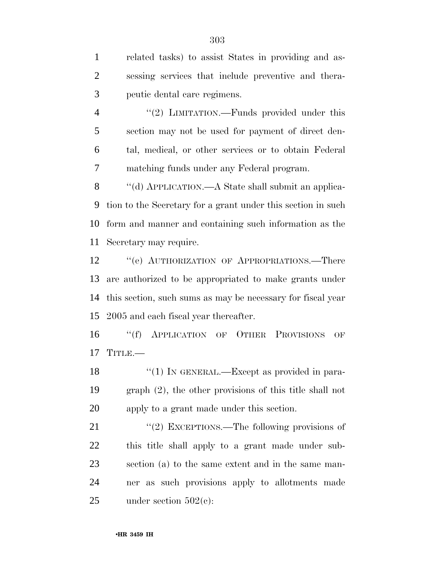related tasks) to assist States in providing and as- sessing services that include preventive and thera-peutic dental care regimens.

4 "(2) LIMITATION.—Funds provided under this section may not be used for payment of direct den- tal, medical, or other services or to obtain Federal matching funds under any Federal program.

8 "(d) APPLICATION.—A State shall submit an applica- tion to the Secretary for a grant under this section in such form and manner and containing such information as the Secretary may require.

12 "(e) AUTHORIZATION OF APPROPRIATIONS.—There are authorized to be appropriated to make grants under this section, such sums as may be necessary for fiscal year 2005 and each fiscal year thereafter.

 ''(f) APPLICATION OF OTHER PROVISIONS OF 17 TITLE.

18 "(1) IN GENERAL.—Except as provided in para- graph (2), the other provisions of this title shall not apply to a grant made under this section.

21 "(2) EXCEPTIONS.—The following provisions of this title shall apply to a grant made under sub- section (a) to the same extent and in the same man- ner as such provisions apply to allotments made 25 under section  $502(e)$ :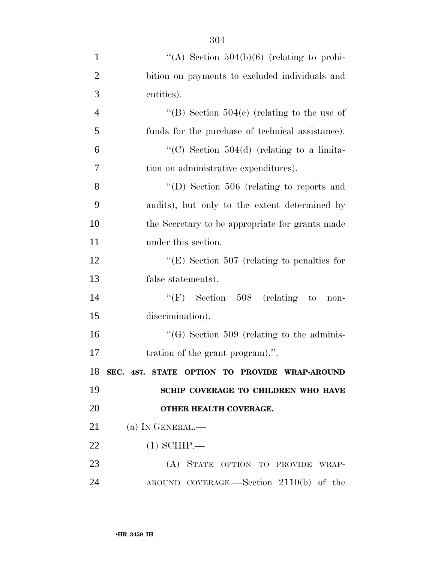| $\mathbf{1}$   | "(A) Section $504(b)(6)$ (relating to prohi-              |
|----------------|-----------------------------------------------------------|
| $\overline{2}$ | bition on payments to excluded individuals and            |
| 3              | entities).                                                |
| $\overline{4}$ | "(B) Section $504(c)$ (relating to the use of             |
| 5              | funds for the purchase of technical assistance).          |
| 6              | "(C) Section $504(d)$ (relating to a limita-              |
| 7              | tion on administrative expenditures).                     |
| 8              | "(D) Section 506 (relating to reports and                 |
| 9              | audits), but only to the extent determined by             |
| 10             | the Secretary to be appropriate for grants made           |
| 11             | under this section.                                       |
| 12             | " $(E)$ Section 507 (relating to penalties for            |
| 13             | false statements).                                        |
| 14             | $\lq\lq(F)$ Section 508 (relating<br>$\mathbf{t}$<br>non- |
| 15             | discrimination).                                          |
| 16             | $\lq\lq (G)$ Section 509 (relating to the adminis-        |
| 17             | tration of the grant program).".                          |
|                | 18 SEC. 487. STATE OPTION TO PROVIDE WRAP-AROUND          |
| 19             | SCHIP COVERAGE TO CHILDREN WHO HAVE                       |
| 20             | OTHER HEALTH COVERAGE.                                    |
| 21             | (a) IN GENERAL.—                                          |
| 22             | $(1)$ SCHIP.—                                             |
| 23             | (A) STATE OPTION TO PROVIDE WRAP-                         |
| 24             | AROUND COVERAGE.—Section $2110(b)$ of the                 |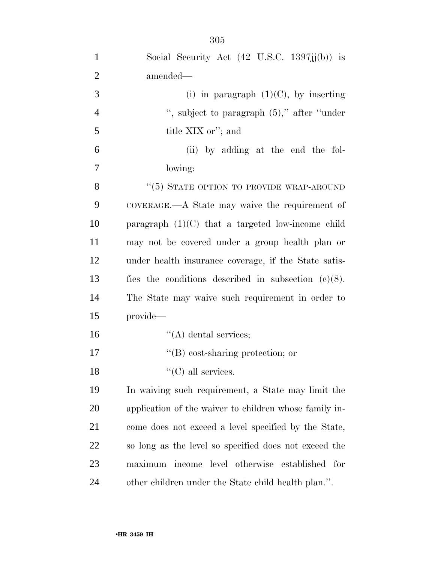| $\mathbf{1}$   | Social Security Act $(42 \text{ U.S.C. } 1397 \text{jj(b)})$ is |
|----------------|-----------------------------------------------------------------|
| $\overline{2}$ | amended—                                                        |
| 3              | (i) in paragraph $(1)(C)$ , by inserting                        |
| $\overline{4}$ | ", subject to paragraph $(5)$ ," after "under"                  |
| 5              | title XIX or"; and                                              |
| 6              | (ii) by adding at the end the fol-                              |
| 7              | lowing:                                                         |
| 8              | "(5) STATE OPTION TO PROVIDE WRAP-AROUND                        |
| 9              | COVERAGE.—A State may waive the requirement of                  |
| 10             | paragraph $(1)(C)$ that a targeted low-income child             |
| 11             | may not be covered under a group health plan or                 |
| 12             | under health insurance coverage, if the State satis-            |
| 13             | fies the conditions described in subsection $(c)(8)$ .          |
| 14             | The State may waive such requirement in order to                |
| 15             | provide—                                                        |
| 16             | $\lq\lq$ dental services;                                       |
| 17             | $\lq\lq (B)$ cost-sharing protection; or                        |
| 18             | "(C) all services.                                              |
| 19             | In waiving such requirement, a State may limit the              |
| <b>20</b>      | application of the waiver to children whose family in-          |
| 21             | come does not exceed a level specified by the State,            |
| <u>22</u>      | so long as the level so specified does not exceed the           |
| 23             | maximum income level otherwise established<br>for               |
| 24             | other children under the State child health plan.".             |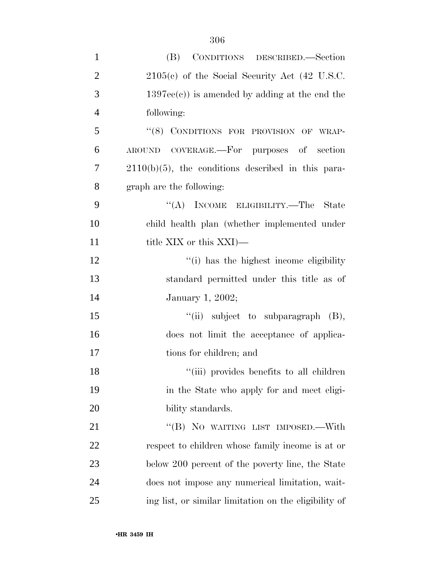| $\mathbf{1}$   | (B)<br>CONDITIONS DESCRIBED.-Section                  |
|----------------|-------------------------------------------------------|
| $\overline{2}$ | $2105(c)$ of the Social Security Act (42 U.S.C.       |
| 3              | $1397ee(e)$ ) is amended by adding at the end the     |
| $\overline{4}$ | following:                                            |
| 5              | "(8) CONDITIONS FOR PROVISION OF WRAP-                |
| 6              | AROUND COVERAGE.—For purposes of section              |
| 7              | $2110(b)(5)$ , the conditions described in this para- |
| 8              | graph are the following:                              |
| 9              | "(A) INCOME ELIGIBILITY.—The State                    |
| 10             | child health plan (whether implemented under          |
| 11             | title XIX or this XXI)—                               |
| 12             | "(i) has the highest income eligibility               |
| 13             | standard permitted under this title as of             |
| 14             | January 1, 2002;                                      |
| 15             | "(ii) subject to subparagraph $(B)$ ,                 |
| 16             | does not limit the acceptance of applica-             |
| 17             | tions for children; and                               |
| 18             | "(iii) provides benefits to all children              |
| 19             | in the State who apply for and meet eligi-            |
| <b>20</b>      | bility standards.                                     |
| 21             | "(B) NO WAITING LIST IMPOSED.—With                    |
| 22             | respect to children whose family income is at or      |
| 23             | below 200 percent of the poverty line, the State      |
| 24             | does not impose any numerical limitation, wait-       |
| 25             | ing list, or similar limitation on the eligibility of |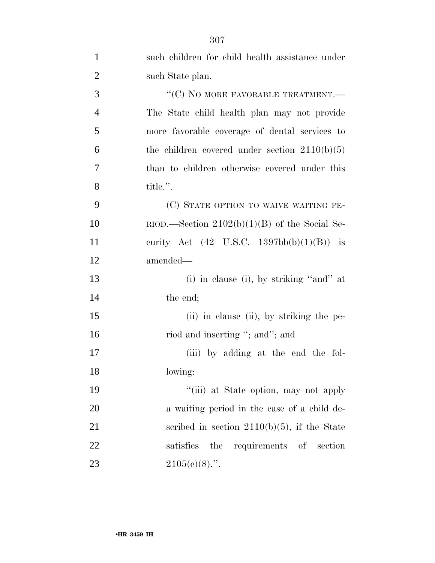| $\mathbf{1}$   | such children for child health assistance under              |
|----------------|--------------------------------------------------------------|
| $\overline{2}$ | such State plan.                                             |
| 3              | "(C) NO MORE FAVORABLE TREATMENT.—                           |
| $\overline{4}$ | The State child health plan may not provide                  |
| 5              | more favorable coverage of dental services to                |
| 6              | the children covered under section $2110(b)(5)$              |
| 7              | than to children otherwise covered under this                |
| 8              | title.".                                                     |
| 9              | (C) STATE OPTION TO WAIVE WAITING PE-                        |
| 10             | $RIOD$ . Section 2102(b)(1)(B) of the Social Se-             |
| 11             | curity Act $(42 \text{ U.S.C. } 1397 \text{bb(b)}(1)(B))$ is |
| 12             | amended—                                                     |
| 13             | (i) in clause (i), by striking "and" at                      |
| 14             | the end;                                                     |
| 15             | (ii) in clause (ii), by striking the pe-                     |
| 16             | riod and inserting "; and"; and                              |
| 17             | (iii) by adding at the end the fol-                          |
| 18             | lowing:                                                      |
| 19             | "(iii) at State option, may not apply                        |
| 20             | a waiting period in the case of a child de-                  |
| 21             | scribed in section $2110(b)(5)$ , if the State               |
| 22             | requirements of section<br>satisfies<br>the                  |
| 23             | $2105(c)(8)$ .".                                             |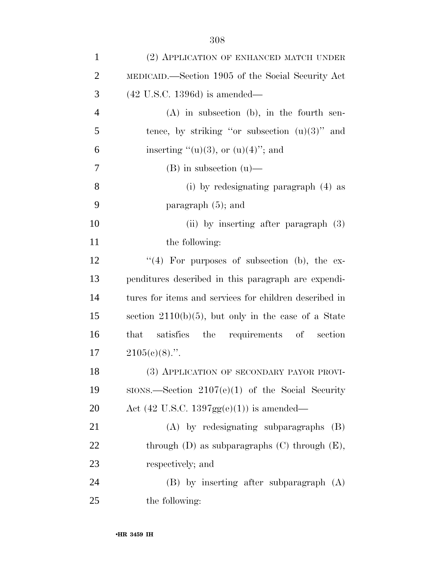| $\mathbf{1}$   | (2) APPLICATION OF ENHANCED MATCH UNDER                     |
|----------------|-------------------------------------------------------------|
| $\overline{2}$ | MEDICAID.—Section 1905 of the Social Security Act           |
| 3              | $(42 \text{ U.S.C. } 1396d)$ is amended—                    |
| $\overline{4}$ | $(A)$ in subsection $(b)$ , in the fourth sen-              |
| 5              | tence, by striking "or subsection $(u)(3)$ " and            |
| 6              | inserting " $(u)(3)$ , or $(u)(4)$ "; and                   |
| 7              | $(B)$ in subsection $(u)$ —                                 |
| 8              | (i) by redesignating paragraph (4) as                       |
| 9              | paragraph $(5)$ ; and                                       |
| 10             | (ii) by inserting after paragraph $(3)$                     |
| 11             | the following:                                              |
| 12             | "(4) For purposes of subsection (b), the ex-                |
| 13             | penditures described in this paragraph are expendi-         |
| 14             | tures for items and services for children described in      |
| 15             | section $2110(b)(5)$ , but only in the case of a State      |
| 16             | satisfies the requirements of section<br>that               |
| 17             | $2105(e)(8)$ .".                                            |
| 18             | (3) APPLICATION OF SECONDARY PAYOR PROVI-                   |
| 19             | $SIONS$ . Section $2107(e)(1)$ of the Social Security       |
| 20             | Act $(42 \text{ U.S.C. } 1397 \text{gg}(e)(1))$ is amended— |
| 21             | (A) by redesignating subparagraphs<br>(B)                   |
| 22             | through $(D)$ as subparagraphs $(C)$ through $(E)$ ,        |
| 23             | respectively; and                                           |
| 24             | $(B)$ by inserting after subparagraph $(A)$                 |
| 25             | the following:                                              |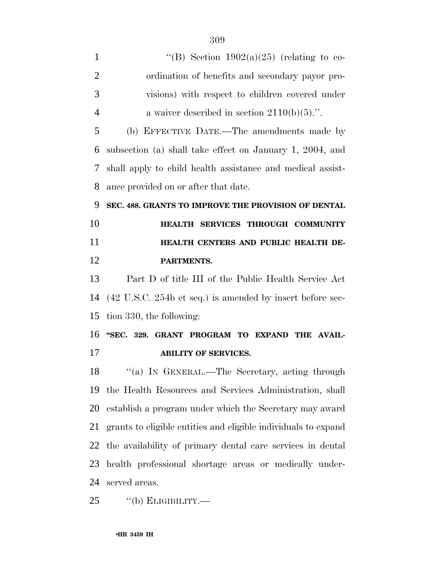- 1  $\text{``(B)}$  Section 1902(a)(25) (relating to co- ordination of benefits and secondary payor pro- visions) with respect to children covered under 4 a waiver described in section  $2110(b)(5)$ .". (b) EFFECTIVE DATE.—The amendments made by subsection (a) shall take effect on January 1, 2004, and shall apply to child health assistance and medical assist- ance provided on or after that date. **SEC. 488. GRANTS TO IMPROVE THE PROVISION OF DENTAL HEALTH SERVICES THROUGH COMMUNITY HEALTH CENTERS AND PUBLIC HEALTH DE- PARTMENTS.**  Part D of title III of the Public Health Service Act (42 U.S.C. 254b et seq.) is amended by insert before sec- tion 330, the following: **''SEC. 329. GRANT PROGRAM TO EXPAND THE AVAIL- ABILITY OF SERVICES.**  18 "(a) In GENERAL.—The Secretary, acting through the Health Resources and Services Administration, shall establish a program under which the Secretary may award grants to eligible entities and eligible individuals to expand the availability of primary dental care services in dental health professional shortage areas or medically under-
- served areas.
- ''(b) ELIGIBILITY.—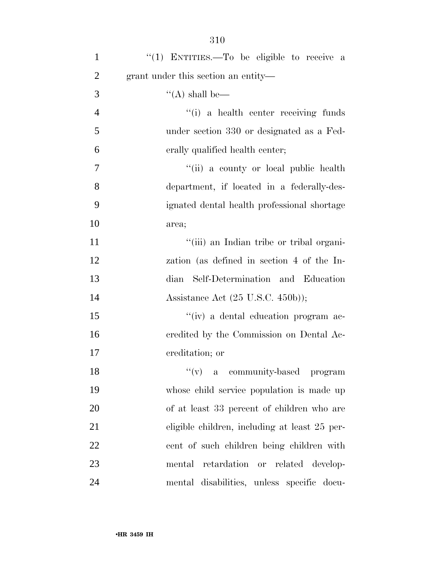| $\mathbf{1}$   | "(1) ENTITIES.—To be eligible to receive a           |
|----------------|------------------------------------------------------|
| $\overline{2}$ | grant under this section an entity—                  |
| 3              | $\lq\lq$ (A) shall be—                               |
| $\overline{4}$ | "(i) a health center receiving funds                 |
| 5              | under section 330 or designated as a Fed-            |
| 6              | erally qualified health center;                      |
| 7              | "(ii) a county or local public health                |
| 8              | department, if located in a federally-des-           |
| 9              | ignated dental health professional shortage          |
| 10             | area;                                                |
| 11             | "(iii) an Indian tribe or tribal organi-             |
| 12             | zation (as defined in section 4 of the In-           |
| 13             | Self-Determination and Education<br>dian             |
| 14             | Assistance Act $(25 \text{ U.S.C. } 450 \text{b}));$ |
| 15             | "(iv) a dental education program ac-                 |
| 16             | credited by the Commission on Dental Ac-             |
| 17             | creditation; or                                      |
| 18             | "(v) a community-based program                       |
| 19             | whose child service population is made up            |
| 20             | of at least 33 percent of children who are           |
| 21             | eligible children, including at least 25 per-        |
| 22             | cent of such children being children with            |
| 23             | retardation or related develop-<br>mental            |
| 24             | mental disabilities, unless specific docu-           |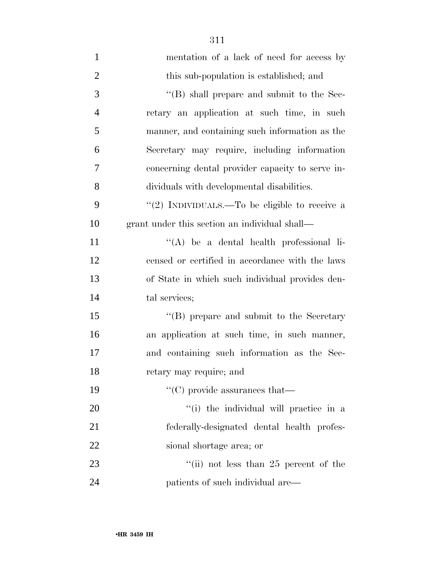| $\mathbf{1}$   | mentation of a lack of need for access by         |
|----------------|---------------------------------------------------|
| $\overline{2}$ | this sub-population is established; and           |
| 3              | $\lq\lq$ (B) shall prepare and submit to the Sec- |
| $\overline{4}$ | retary an application at such time, in such       |
| 5              | manner, and containing such information as the    |
| 6              | Secretary may require, including information      |
| 7              | concerning dental provider capacity to serve in-  |
| 8              | dividuals with developmental disabilities.        |
| 9              | "(2) INDIVIDUALS.—To be eligible to receive a     |
| 10             | grant under this section an individual shall-     |
| 11             | $\lq\lq$ be a dental health professional li-      |
| 12             | censed or certified in accordance with the laws   |
| 13             | of State in which such individual provides den-   |
| 14             | tal services;                                     |
| 15             | "(B) prepare and submit to the Secretary          |
| 16             | an application at such time, in such manner,      |
| 17             | and containing such information as the Sec-       |
| 18             | retary may require; and                           |
| 19             | $\lq\lq$ (C) provide assurances that—             |
| 20             | "(i) the individual will practice in a            |
| 21             | federally-designated dental health profes-        |
| 22             | sional shortage area; or                          |
| 23             | "(ii) not less than $25$ percent of the           |
| 24             | patients of such individual are—                  |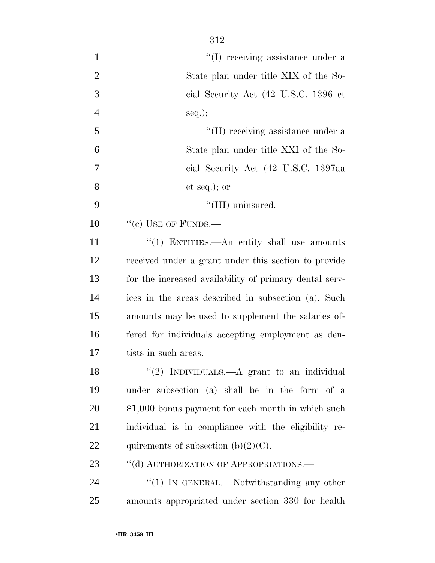| $\mathbf{1}$   | "(I) receiving assistance under a                      |
|----------------|--------------------------------------------------------|
| $\overline{2}$ | State plan under title XIX of the So-                  |
| 3              | cial Security Act (42 U.S.C. 1396 et                   |
| 4              | $seq.$ ;                                               |
| 5              | "(II) receiving assistance under a                     |
| 6              | State plan under title XXI of the So-                  |
| 7              | cial Security Act (42 U.S.C. 1397aa                    |
| 8              | $et seq.);$ or                                         |
| 9              | "(III) uninsured.                                      |
| 10             | $``(e)$ USE OF FUNDS.—                                 |
| 11             | "(1) ENTITIES.—An entity shall use amounts             |
| 12             | received under a grant under this section to provide   |
| 13             | for the increased availability of primary dental serv- |
| 14             | ices in the areas described in subsection (a). Such    |
| 15             | amounts may be used to supplement the salaries of-     |
| 16             | fered for individuals accepting employment as den-     |
| 17             | tists in such areas.                                   |
| 18             | "(2) INDIVIDUALS.—A grant to an individual             |
| 19             | under subsection (a) shall be in the form of a         |
| 20             | \$1,000 bonus payment for each month in which such     |
| 21             | individual is in compliance with the eligibility re-   |
| 22             | quirements of subsection $(b)(2)(C)$ .                 |
| 23             | "(d) AUTHORIZATION OF APPROPRIATIONS.-                 |
| 24             | "(1) IN GENERAL.—Notwithstanding any other             |
| 25             | amounts appropriated under section 330 for health      |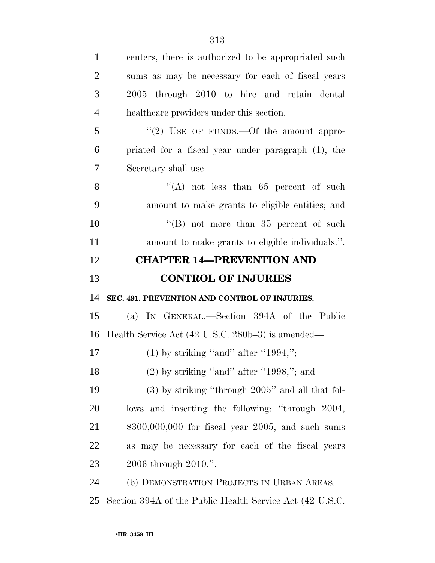| $\mathbf{1}$   | centers, there is authorized to be appropriated such  |
|----------------|-------------------------------------------------------|
| $\overline{2}$ | sums as may be necessary for each of fiscal years     |
| 3              | 2005 through 2010 to hire and retain dental           |
| $\overline{4}$ | healthcare providers under this section.              |
| 5              | "(2) USE OF FUNDS.—Of the amount appro-               |
| 6              | priated for a fiscal year under paragraph (1), the    |
| 7              | Secretary shall use—                                  |
| 8              | "(A) not less than $65$ percent of such               |
| 9              | amount to make grants to eligible entities; and       |
| 10             | "(B) not more than $35$ percent of such               |
| 11             | amount to make grants to eligible individuals.".      |
| 12             | <b>CHAPTER 14-PREVENTION AND</b>                      |
|                |                                                       |
| 13             | <b>CONTROL OF INJURIES</b>                            |
| 14             | SEC. 491. PREVENTION AND CONTROL OF INJURIES.         |
| 15             | (a) IN GENERAL.—Section 394A of the Public            |
| 16             | Health Service Act (42 U.S.C. 280b–3) is amended—     |
| 17             | $(1)$ by striking "and" after "1994,";                |
| 18             | $(2)$ by striking "and" after "1998,"; and            |
| 19             | $(3)$ by striking "through $2005$ " and all that fol- |
| <b>20</b>      | lows and inserting the following: "through 2004,      |
| 21             | $$300,000,000$ for fiscal year 2005, and such sums    |
| 22             | as may be necessary for each of the fiscal years      |
| 23             | 2006 through 2010.".                                  |
| 24             | (b) DEMONSTRATION PROJECTS IN URBAN AREAS.—           |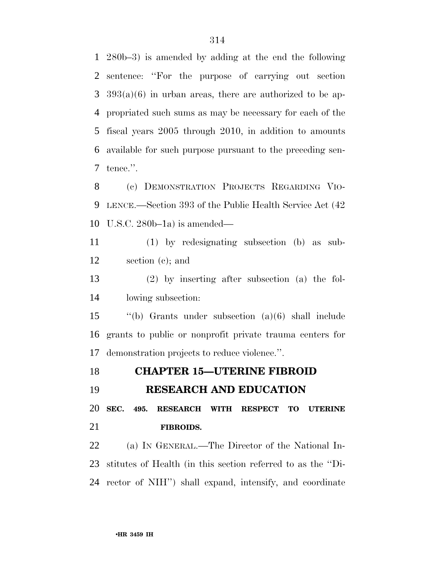280b–3) is amended by adding at the end the following sentence: ''For the purpose of carrying out section 393(a)(6) in urban areas, there are authorized to be ap- propriated such sums as may be necessary for each of the fiscal years 2005 through 2010, in addition to amounts available for such purpose pursuant to the preceding sen-tence.''.

 (c) DEMONSTRATION PROJECTS REGARDING VIO- LENCE.—Section 393 of the Public Health Service Act (42 U.S.C. 280b–1a) is amended—

 (1) by redesignating subsection (b) as sub-section (c); and

 (2) by inserting after subsection (a) the fol-lowing subsection:

 ''(b) Grants under subsection (a)(6) shall include grants to public or nonprofit private trauma centers for demonstration projects to reduce violence.''.

**CHAPTER 15—UTERINE FIBROID** 

**RESEARCH AND EDUCATION** 

 **SEC. 495. RESEARCH WITH RESPECT TO UTERINE FIBROIDS.** 

 (a) IN GENERAL.—The Director of the National In- stitutes of Health (in this section referred to as the ''Di-rector of NIH'') shall expand, intensify, and coordinate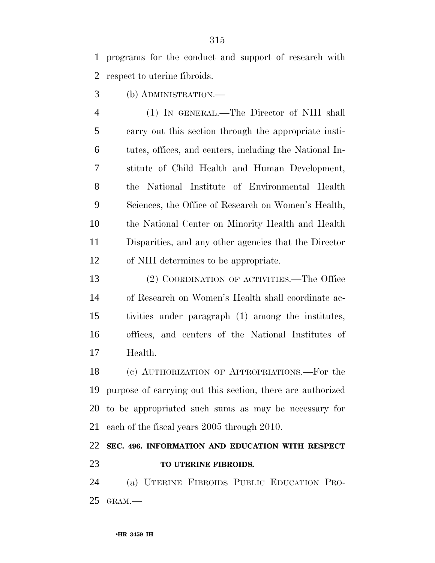programs for the conduct and support of research with respect to uterine fibroids.

(b) ADMINISTRATION.—

 (1) IN GENERAL.—The Director of NIH shall carry out this section through the appropriate insti- tutes, offices, and centers, including the National In- stitute of Child Health and Human Development, the National Institute of Environmental Health Sciences, the Office of Research on Women's Health, the National Center on Minority Health and Health Disparities, and any other agencies that the Director of NIH determines to be appropriate.

 (2) COORDINATION OF ACTIVITIES.—The Office of Research on Women's Health shall coordinate ac- tivities under paragraph (1) among the institutes, offices, and centers of the National Institutes of Health.

 (c) AUTHORIZATION OF APPROPRIATIONS.—For the purpose of carrying out this section, there are authorized to be appropriated such sums as may be necessary for each of the fiscal years 2005 through 2010.

## **SEC. 496. INFORMATION AND EDUCATION WITH RESPECT TO UTERINE FIBROIDS.**

 (a) UTERINE FIBROIDS PUBLIC EDUCATION PRO-GRAM.—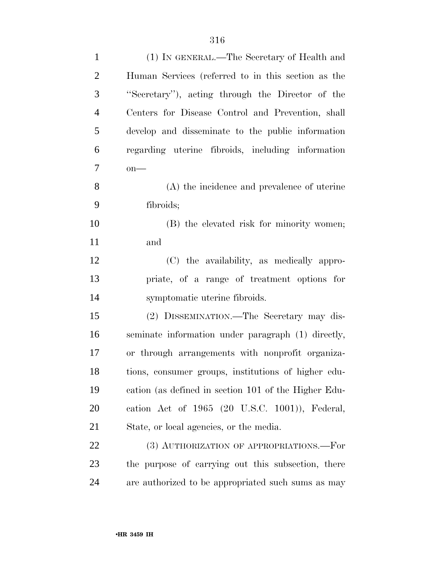| $\mathbf{1}$   | (1) IN GENERAL.—The Secretary of Health and          |
|----------------|------------------------------------------------------|
| $\overline{2}$ | Human Services (referred to in this section as the   |
| 3              | "Secretary"), acting through the Director of the     |
| $\overline{4}$ | Centers for Disease Control and Prevention, shall    |
| 5              | develop and disseminate to the public information    |
| 6              | regarding uterine fibroids, including information    |
| $\overline{7}$ | $on$ —                                               |
| 8              | (A) the incidence and prevalence of uterine          |
| 9              | fibroids;                                            |
| 10             | (B) the elevated risk for minority women;            |
| 11             | and                                                  |
| 12             | (C) the availability, as medically appro-            |
| 13             | priate, of a range of treatment options for          |
| 14             | symptomatic uterine fibroids.                        |
| 15             | (2) DISSEMINATION.—The Secretary may dis-            |
| 16             | seminate information under paragraph (1) directly,   |
| 17             | or through arrangements with nonprofit organiza-     |
| 18             | tions, consumer groups, institutions of higher edu-  |
| 19             | cation (as defined in section 101 of the Higher Edu- |
| 20             | cation Act of 1965 (20 U.S.C. 1001)), Federal,       |
| 21             | State, or local agencies, or the media.              |
| 22             | (3) AUTHORIZATION OF APPROPRIATIONS.—For             |
| 23             | the purpose of carrying out this subsection, there   |
| 24             | are authorized to be appropriated such sums as may   |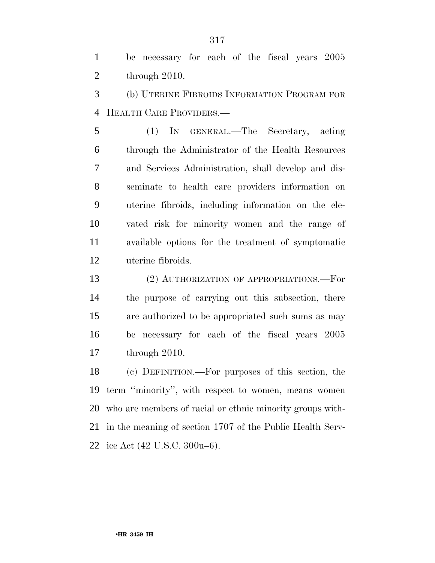be necessary for each of the fiscal years 2005 through 2010.

 (b) UTERINE FIBROIDS INFORMATION PROGRAM FOR HEALTH CARE PROVIDERS.—

 (1) IN GENERAL.—The Secretary, acting through the Administrator of the Health Resources and Services Administration, shall develop and dis- seminate to health care providers information on uterine fibroids, including information on the ele- vated risk for minority women and the range of available options for the treatment of symptomatic uterine fibroids.

 (2) AUTHORIZATION OF APPROPRIATIONS.—For the purpose of carrying out this subsection, there are authorized to be appropriated such sums as may be necessary for each of the fiscal years 2005 through 2010.

 (c) DEFINITION.—For purposes of this section, the term ''minority'', with respect to women, means women who are members of racial or ethnic minority groups with- in the meaning of section 1707 of the Public Health Serv-ice Act (42 U.S.C. 300u–6).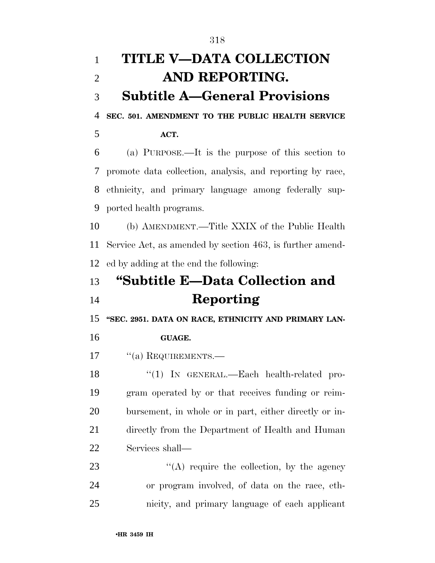| $\mathbf{1}$   | <b>TITLE V-DATA COLLECTION</b>                            |
|----------------|-----------------------------------------------------------|
| $\overline{2}$ | AND REPORTING.                                            |
| 3              | <b>Subtitle A–General Provisions</b>                      |
| 4              | SEC. 501. AMENDMENT TO THE PUBLIC HEALTH SERVICE          |
| 5              | ACT.                                                      |
| 6              | (a) PURPOSE.—It is the purpose of this section to         |
| 7              | promote data collection, analysis, and reporting by race, |
| 8              | ethnicity, and primary language among federally sup-      |
| 9              | ported health programs.                                   |
| 10             | (b) AMENDMENT.—Title XXIX of the Public Health            |
| 11             | Service Act, as amended by section 463, is further amend- |
| 12             | ed by adding at the end the following:                    |
| 13             | "Subtitle E—Data Collection and                           |
| 14             | Reporting                                                 |
| 15             | "SEC. 2951. DATA ON RACE, ETHNICITY AND PRIMARY LAN-      |
| 16             | <b>GUAGE.</b>                                             |
| 17             | $\lq\lq$ (a) REQUIREMENTS.—                               |
| 18             | " $(1)$ IN GENERAL.—Each health-related pro-              |
| 19             | gram operated by or that receives funding or reim-        |
| 20             | bursement, in whole or in part, either directly or in-    |
| 21             | directly from the Department of Health and Human          |
| 22             | Services shall—                                           |
| 23             | $\lq\lq$ require the collection, by the agency            |
| 24             | or program involved, of data on the race, eth-            |
| 25             | nicity, and primary language of each applicant            |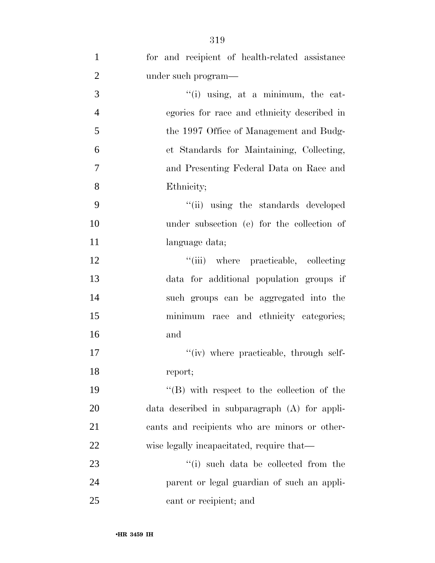| $\mathbf{1}$   | for and recipient of health-related assistance     |
|----------------|----------------------------------------------------|
| $\overline{2}$ | under such program—                                |
| 3              | $\lq\lq(i)$ using, at a minimum, the cat-          |
| $\overline{4}$ | egories for race and ethnicity described in        |
| 5              | the 1997 Office of Management and Budg-            |
| 6              | et Standards for Maintaining, Collecting,          |
| $\tau$         | and Presenting Federal Data on Race and            |
| 8              | Ethnicity;                                         |
| 9              | "(ii) using the standards developed                |
| 10             | under subsection (e) for the collection of         |
| 11             | language data;                                     |
| 12             | "(iii) where practicable, collecting               |
| 13             | data for additional population groups if           |
| 14             | such groups can be aggregated into the             |
| 15             | minimum race and ethnicity categories;             |
| 16             | and                                                |
| 17             | "(iv) where practicable, through self-             |
| 18             | report;                                            |
| 19             | $\lq\lq (B)$ with respect to the collection of the |
| 20             | $data$ described in subparagraph $(A)$ for appli-  |
| 21             | cants and recipients who are minors or other-      |
| 22             | wise legally incapacitated, require that—          |
| 23             | "(i) such data be collected from the               |
| 24             | parent or legal guardian of such an appli-         |
| 25             | cant or recipient; and                             |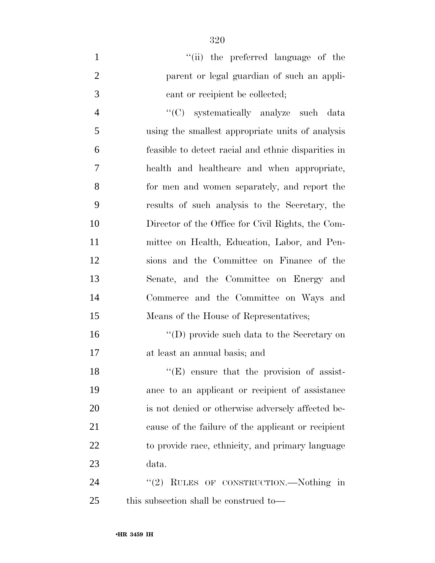| $\mathbf{1}$   | "(ii) the preferred language of the                 |
|----------------|-----------------------------------------------------|
| $\overline{2}$ | parent or legal guardian of such an appli-          |
| 3              | cant or recipient be collected;                     |
| $\overline{4}$ | "(C) systematically analyze such data               |
| 5              | using the smallest appropriate units of analysis    |
| 6              | feasible to detect racial and ethnic disparities in |
| 7              | health and healthcare and when appropriate,         |
| 8              | for men and women separately, and report the        |
| 9              | results of such analysis to the Secretary, the      |
| 10             | Director of the Office for Civil Rights, the Com-   |
| 11             | mittee on Health, Education, Labor, and Pen-        |
| 12             | sions and the Committee on Finance of the           |
| 13             | Senate, and the Committee on Energy and             |
| 14             | Commerce and the Committee on Ways and              |
| 15             | Means of the House of Representatives;              |
| 16             | $\lq\lq$ (D) provide such data to the Secretary on  |
| 17             | at least an annual basis; and                       |
| 18             | $f(E)$ ensure that the provision of assist-         |
| 19             | ance to an applicant or recipient of assistance     |
| 20             | is not denied or otherwise adversely affected be-   |
| 21             | cause of the failure of the applicant or recipient  |
| 22             | to provide race, ethnicity, and primary language    |

data.

24 "(2) RULES OF CONSTRUCTION.—Nothing in this subsection shall be construed to—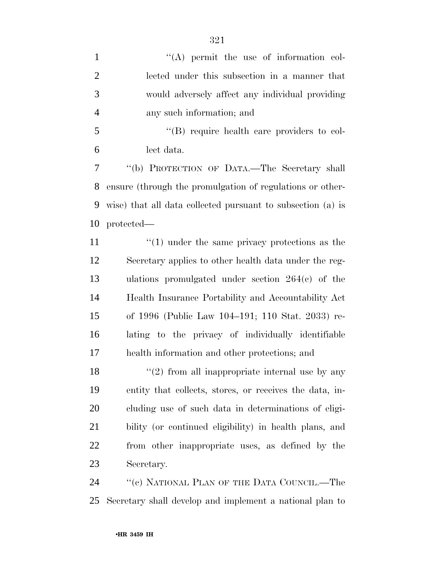| $\mathbf{1}$   | $\lq\lq$ permit the use of information col-                 |
|----------------|-------------------------------------------------------------|
| $\overline{2}$ | lected under this subsection in a manner that               |
| 3              | would adversely affect any individual providing             |
| $\overline{4}$ | any such information; and                                   |
| 5              | "(B) require health care providers to col-                  |
| 6              | lect data.                                                  |
| $\tau$         | "(b) PROTECTION OF DATA.-The Secretary shall                |
| 8              | ensure (through the promulgation of regulations or other-   |
| 9              | wise) that all data collected pursuant to subsection (a) is |
| 10             | protected—                                                  |
| 11             | $\cdot$ (1) under the same privacy protections as the       |
| 12             | Secretary applies to other health data under the reg-       |
| 13             | ulations promulgated under section $264(c)$ of the          |
| 14             | Health Insurance Portability and Accountability Act         |
| 15             | of 1996 (Public Law 104–191; 110 Stat. 2033) re-            |
| 16             | lating to the privacy of individually identifiable          |
| 17             | health information and other protections; and               |
| 18             | $\lq(2)$ from all inappropriate internal use by any         |
| 19             | entity that collects, stores, or receives the data, in-     |
| 20             | cluding use of such data in determinations of eligi-        |
| 21             | bility (or continued eligibility) in health plans, and      |
| 22             | from other inappropriate uses, as defined by the            |
| 23             | Secretary.                                                  |
| 24             | "(c) NATIONAL PLAN OF THE DATA COUNCIL.—The                 |

Secretary shall develop and implement a national plan to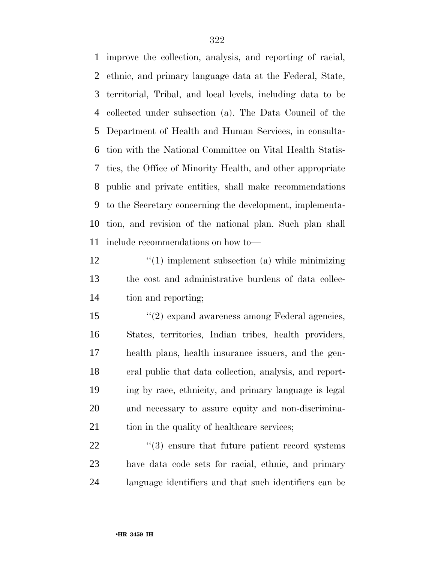improve the collection, analysis, and reporting of racial, ethnic, and primary language data at the Federal, State, territorial, Tribal, and local levels, including data to be collected under subsection (a). The Data Council of the Department of Health and Human Services, in consulta- tion with the National Committee on Vital Health Statis- tics, the Office of Minority Health, and other appropriate public and private entities, shall make recommendations to the Secretary concerning the development, implementa- tion, and revision of the national plan. Such plan shall include recommendations on how to—

12 ''(1) implement subsection (a) while minimizing the cost and administrative burdens of data collec-tion and reporting;

15 ''(2) expand awareness among Federal agencies, States, territories, Indian tribes, health providers, health plans, health insurance issuers, and the gen- eral public that data collection, analysis, and report- ing by race, ethnicity, and primary language is legal and necessary to assure equity and non-discrimina-21 tion in the quality of healthcare services;

  $(3)$  ensure that future patient record systems have data code sets for racial, ethnic, and primary language identifiers and that such identifiers can be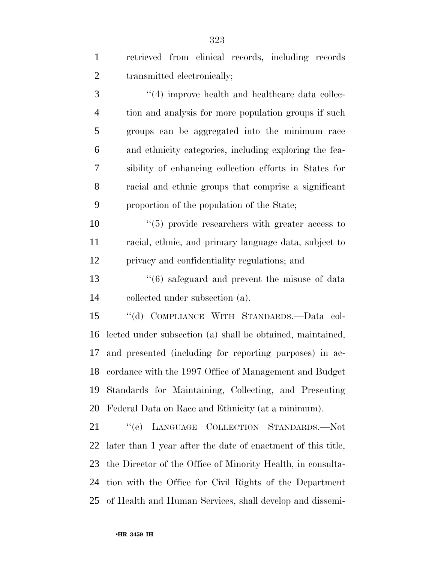| $\mathbf{1}$   | retrieved from clinical records, including records            |
|----------------|---------------------------------------------------------------|
| $\overline{2}$ | transmitted electronically;                                   |
| 3              | $\cdot$ (4) improve health and healthcare data collec-        |
| $\overline{4}$ | tion and analysis for more population groups if such          |
| 5              | groups can be aggregated into the minimum race                |
| 6              | and ethnicity categories, including exploring the fea-        |
| 7              | sibility of enhancing collection efforts in States for        |
| 8              | racial and ethnic groups that comprise a significant          |
| 9              | proportion of the population of the State;                    |
| 10             | $\cdot\cdot$ (5) provide researchers with greater access to   |
| 11             | racial, ethnic, and primary language data, subject to         |
| 12             | privacy and confidentiality regulations; and                  |
| 13             | $\cdot\cdot\cdot(6)$ safeguard and prevent the misuse of data |
| 14             | collected under subsection (a).                               |
| 15             | "(d) COMPLIANCE WITH STANDARDS.-Data col-                     |
| 16             | lected under subsection (a) shall be obtained, maintained,    |
| 17             | and presented (including for reporting purposes) in ac-       |
|                | 18 cordance with the 1997 Office of Management and Budget     |
| 19             | Standards for Maintaining, Collecting, and Presenting         |
| 20             | Federal Data on Race and Ethnicity (at a minimum).            |
| 21             | "(e) LANGUAGE COLLECTION STANDARDS.-Not                       |
| 22             | later than 1 year after the date of enactment of this title,  |
| 23             | the Director of the Office of Minority Health, in consulta-   |
| 24             | tion with the Office for Civil Rights of the Department       |

of Health and Human Services, shall develop and dissemi-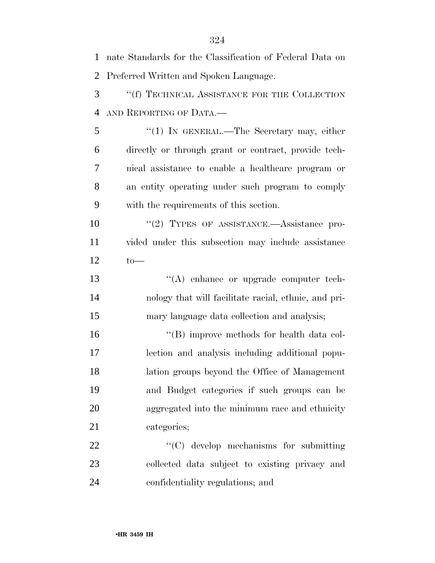nate Standards for the Classification of Federal Data on Preferred Written and Spoken Language. ''(f) TECHNICAL ASSISTANCE FOR THE COLLECTION AND REPORTING OF DATA.— ''(1) IN GENERAL.—The Secretary may, either directly or through grant or contract, provide tech- nical assistance to enable a healthcare program or an entity operating under such program to comply with the requirements of this section. 10 "(2) TYPES OF ASSISTANCE.—Assistance pro- vided under this subsection may include assistance to— ''(A) enhance or upgrade computer tech- nology that will facilitate racial, ethnic, and pri- mary language data collection and analysis; 16 ''(B) improve methods for health data col- lection and analysis including additional popu- lation groups beyond the Office of Management and Budget categories if such groups can be aggregated into the minimum race and ethnicity categories; 22 "'(C) develop mechanisms for submitting collected data subject to existing privacy and confidentiality regulations; and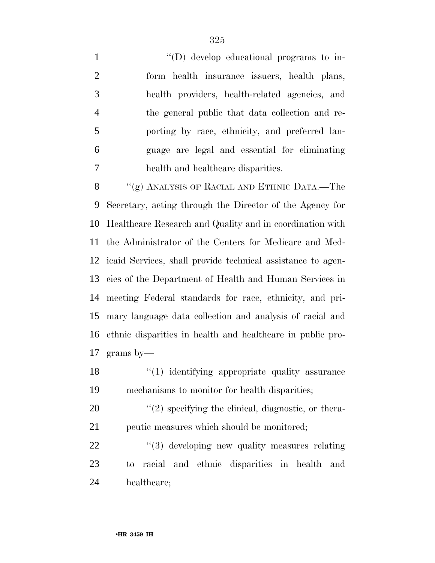$\langle$  (D) develop educational programs to in- form health insurance issuers, health plans, health providers, health-related agencies, and the general public that data collection and re- porting by race, ethnicity, and preferred lan- guage are legal and essential for eliminating health and healthcare disparities.

8 "(g) ANALYSIS OF RACIAL AND ETHNIC DATA.—The Secretary, acting through the Director of the Agency for Healthcare Research and Quality and in coordination with the Administrator of the Centers for Medicare and Med- icaid Services, shall provide technical assistance to agen- cies of the Department of Health and Human Services in meeting Federal standards for race, ethnicity, and pri- mary language data collection and analysis of racial and ethnic disparities in health and healthcare in public pro-grams by—

18 ''(1) identifying appropriate quality assurance mechanisms to monitor for health disparities;

20  $\frac{1}{2}$  specifying the clinical, diagnostic, or thera-peutic measures which should be monitored;

22  $\frac{1}{2}$  (3) developing new quality measures relating to racial and ethnic disparities in health and healthcare;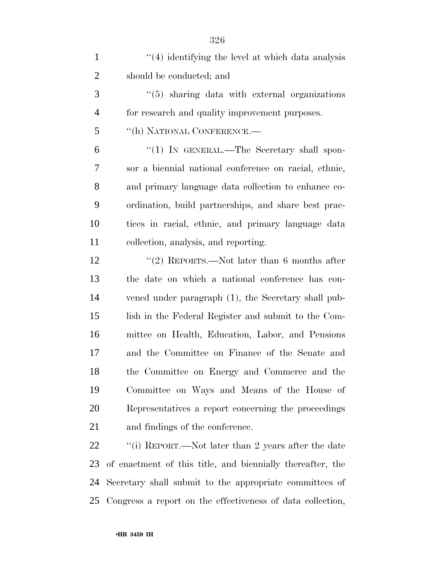| $\mathbf{1}$   | $\cdot$ (4) identifying the level at which data analysis   |
|----------------|------------------------------------------------------------|
| $\overline{2}$ | should be conducted; and                                   |
| 3              | $\cdot\cdot$ (5) sharing data with external organizations  |
| 4              | for research and quality improvement purposes.             |
| 5              | "(h) NATIONAL CONFERENCE.—                                 |
| 6              | $\lq(1)$ In GENERAL.—The Secretary shall spon-             |
| 7              | sor a biennial national conference on racial, ethnic,      |
| 8              | and primary language data collection to enhance co-        |
| 9              | ordination, build partnerships, and share best prac-       |
| 10             | tices in racial, ethnic, and primary language data         |
| 11             | collection, analysis, and reporting.                       |
| 12             | "(2) REPORTS.—Not later than 6 months after                |
| 13             | the date on which a national conference has con-           |
| 14             | vened under paragraph (1), the Secretary shall pub-        |
| 15             | lish in the Federal Register and submit to the Com-        |
| 16             | mittee on Health, Education, Labor, and Pensions           |
| 17             | and the Committee on Finance of the Senate and             |
| 18             | the Committee on Energy and Commerce and the               |
| 19             | Committee on Ways and Means of the House of                |
| 20             | Representatives a report concerning the proceedings        |
| 21             | and findings of the conference.                            |
| 22             | "(i) REPORT.—Not later than 2 years after the date         |
| 23             | of enactment of this title, and biennially thereafter, the |
| 24             | Secretary shall submit to the appropriate committees of    |

Congress a report on the effectiveness of data collection,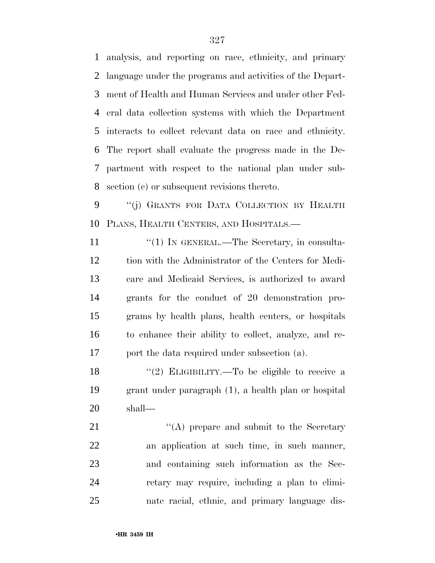analysis, and reporting on race, ethnicity, and primary language under the programs and activities of the Depart- ment of Health and Human Services and under other Fed- eral data collection systems with which the Department interacts to collect relevant data on race and ethnicity. The report shall evaluate the progress made in the De- partment with respect to the national plan under sub-section (c) or subsequent revisions thereto.

 ''(j) GRANTS FOR DATA COLLECTION BY HEALTH PLANS, HEALTH CENTERS, AND HOSPITALS.—

11 "(1) IN GENERAL.—The Secretary, in consulta- tion with the Administrator of the Centers for Medi- care and Medicaid Services, is authorized to award grants for the conduct of 20 demonstration pro- grams by health plans, health centers, or hospitals to enhance their ability to collect, analyze, and re-port the data required under subsection (a).

18 "(2) ELIGIBILITY.—To be eligible to receive a grant under paragraph (1), a health plan or hospital shall—

21 ''(A) prepare and submit to the Secretary an application at such time, in such manner, and containing such information as the Sec- retary may require, including a plan to elimi-nate racial, ethnic, and primary language dis-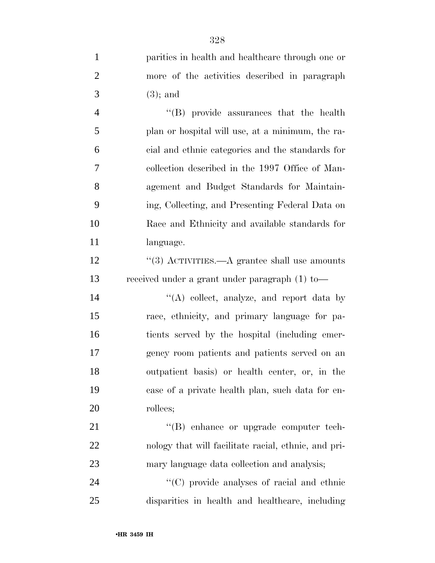|   | parities in health and healthcare through one or |
|---|--------------------------------------------------|
|   | more of the activities described in paragraph    |
| 3 | $(3)$ ; and                                      |

 ''(B) provide assurances that the health plan or hospital will use, at a minimum, the ra- cial and ethnic categories and the standards for collection described in the 1997 Office of Man- agement and Budget Standards for Maintain- ing, Collecting, and Presenting Federal Data on Race and Ethnicity and available standards for language.

12 ''(3) ACTIVITIES.—A grantee shall use amounts received under a grant under paragraph (1) to—

14 ''(A) collect, analyze, and report data by race, ethnicity, and primary language for pa- tients served by the hospital (including emer- gency room patients and patients served on an outpatient basis) or health center, or, in the case of a private health plan, such data for en-rollees;

21  $\text{``(B)}$  enhance or upgrade computer tech- nology that will facilitate racial, ethnic, and pri-mary language data collection and analysis;

24  $\cdot$  (C) provide analyses of racial and ethnic disparities in health and healthcare, including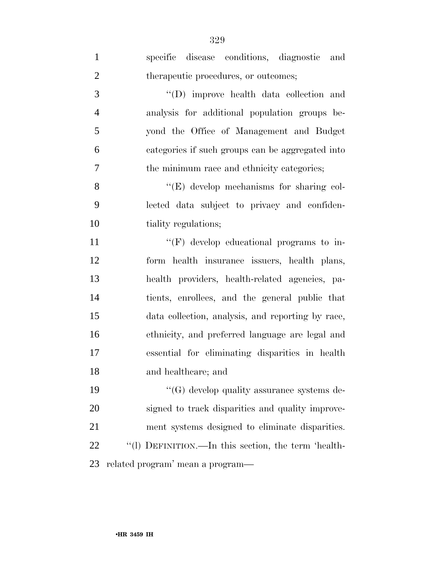| $\mathbf{1}$   | specific disease conditions, diagnostic and         |
|----------------|-----------------------------------------------------|
| $\overline{2}$ | therapeutic procedures, or outcomes;                |
| 3              | "(D) improve health data collection and             |
| $\overline{4}$ | analysis for additional population groups be-       |
| 5              | yond the Office of Management and Budget            |
| 6              | categories if such groups can be aggregated into    |
| 7              | the minimum race and ethnicity categories;          |
| 8              | $\lq\lq(E)$ develop mechanisms for sharing col-     |
| 9              | lected data subject to privacy and confiden-        |
| 10             | tiality regulations;                                |
| 11             | $\lq\lq(F)$ develop educational programs to in-     |
| 12             | form health insurance issuers, health plans,        |
| 13             | health providers, health-related agencies, pa-      |
| 14             | tients, enrollees, and the general public that      |
| 15             | data collection, analysis, and reporting by race,   |
| 16             | ethnicity, and preferred language are legal and     |
| 17             | essential for eliminating disparities in health     |
| 18             | and healthcare; and                                 |
| 19             | $\lq\lq(G)$ develop quality assurance systems de-   |
| 20             | signed to track disparities and quality improve-    |
| 21             | ment systems designed to eliminate disparities.     |
| 22             | "(1) DEFINITION.—In this section, the term 'health- |
| 23             | related program' mean a program—                    |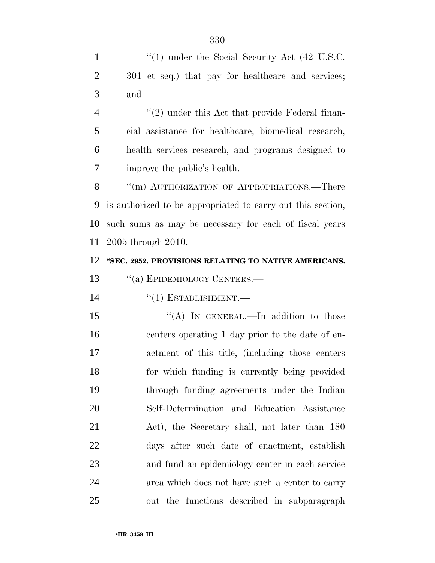1 "(1) under the Social Security Act (42 U.S.C. 2 301 et seq.) that pay for healthcare and services; and 4 "(2) under this Act that provide Federal finan- cial assistance for healthcare, biomedical research, health services research, and programs designed to improve the public's health. 8 "(m) AUTHORIZATION OF APPROPRIATIONS.—There is authorized to be appropriated to carry out this section, such sums as may be necessary for each of fiscal years 2005 through 2010. **''SEC. 2952. PROVISIONS RELATING TO NATIVE AMERICANS.**  13 "(a) EPIDEMIOLOGY CENTERS.—  $((1)$  ESTABLISHMENT. 15 "(A) IN GENERAL.—In addition to those centers operating 1 day prior to the date of en- actment of this title, (including those centers for which funding is currently being provided through funding agreements under the Indian Self-Determination and Education Assistance Act), the Secretary shall, not later than 180 days after such date of enactment, establish and fund an epidemiology center in each service area which does not have such a center to carry out the functions described in subparagraph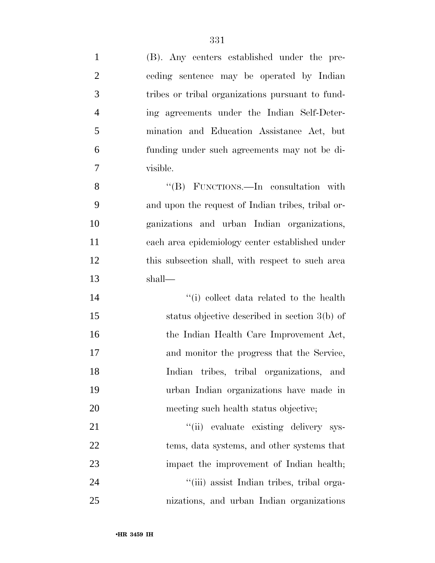| $\mathbf{1}$   | (B). Any centers established under the pre-       |
|----------------|---------------------------------------------------|
| $\overline{2}$ | ceding sentence may be operated by Indian         |
| 3              | tribes or tribal organizations pursuant to fund-  |
| $\overline{4}$ | ing agreements under the Indian Self-Deter-       |
| 5              | mination and Education Assistance Act, but        |
| 6              | funding under such agreements may not be di-      |
| $\overline{7}$ | visible.                                          |
| 8              | "(B) FUNCTIONS.—In consultation with              |
| 9              | and upon the request of Indian tribes, tribal or- |
| 10             | ganizations and urban Indian organizations,       |
| 11             | each area epidemiology center established under   |
| 12             | this subsection shall, with respect to such area  |
| 13             | shall—                                            |
| 14             | "(i) collect data related to the health           |
| 15             | status objective described in section 3(b) of     |
| 16             | the Indian Health Care Improvement Act,           |
| 17             | and monitor the progress that the Service,        |
| 18             | Indian tribes, tribal organizations, and          |
| 19             | urban Indian organizations have made in           |
| 20             | meeting such health status objective;             |
| 21             | "(ii) evaluate existing delivery sys-             |
| 22             | tems, data systems, and other systems that        |
| 23             | impact the improvement of Indian health;          |
| 24             | "(iii) assist Indian tribes, tribal orga-         |
| 25             | nizations, and urban Indian organizations         |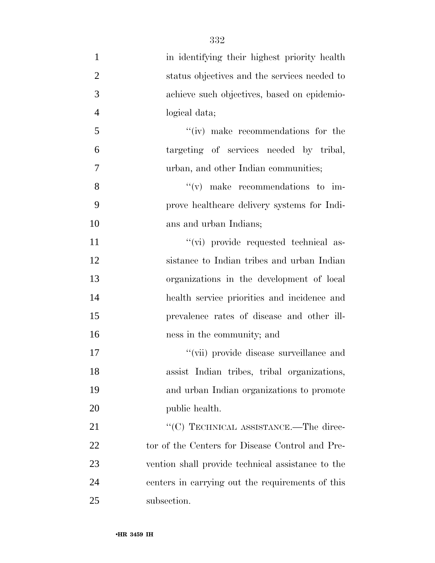| $\mathbf{1}$   | in identifying their highest priority health      |
|----------------|---------------------------------------------------|
| $\overline{2}$ | status objectives and the services needed to      |
| 3              | achieve such objectives, based on epidemio-       |
| $\overline{4}$ | logical data;                                     |
| 5              | "(iv) make recommendations for the                |
| 6              | targeting of services needed by tribal,           |
| $\overline{7}$ | urban, and other Indian communities;              |
| 8              | $\lq\lq$ (v) make recommendations to im-          |
| 9              | prove healthcare delivery systems for Indi-       |
| 10             | ans and urban Indians;                            |
| 11             | "(vi) provide requested technical as-             |
| 12             | sistance to Indian tribes and urban Indian        |
| 13             | organizations in the development of local         |
| 14             | health service priorities and incidence and       |
| 15             | prevalence rates of disease and other ill-        |
| 16             | ness in the community; and                        |
| 17             | "(vii) provide disease surveillance and           |
| 18             | assist Indian tribes, tribal organizations,       |
| 19             | and urban Indian organizations to promote         |
| 20             | public health.                                    |
| 21             | "(C) TECHNICAL ASSISTANCE.—The direc-             |
| 22             | tor of the Centers for Disease Control and Pre-   |
| 23             | vention shall provide technical assistance to the |
| 24             | centers in carrying out the requirements of this  |
| 25             | subsection.                                       |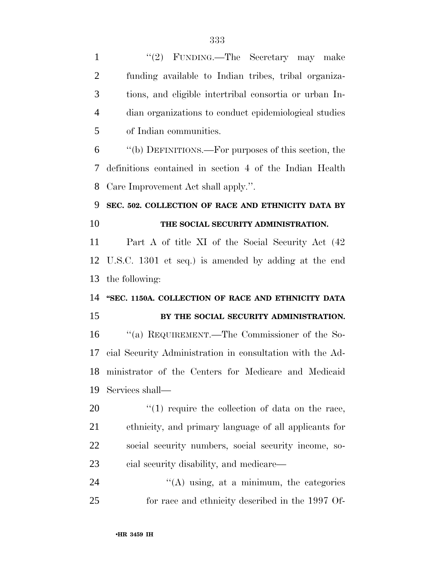| $\mathbf{1}$   | "(2) FUNDING.—The Secretary may make                      |
|----------------|-----------------------------------------------------------|
| $\overline{2}$ | funding available to Indian tribes, tribal organiza-      |
| 3              | tions, and eligible intertribal consortia or urban In-    |
| $\overline{4}$ | dian organizations to conduct epidemiological studies     |
| 5              | of Indian communities.                                    |
| 6              | "(b) DEFINITIONS.—For purposes of this section, the       |
| 7              | definitions contained in section 4 of the Indian Health   |
| 8              | Care Improvement Act shall apply.".                       |
| 9              | SEC. 502. COLLECTION OF RACE AND ETHNICITY DATA BY        |
| 10             | THE SOCIAL SECURITY ADMINISTRATION.                       |
| 11             | Part A of title XI of the Social Security Act (42)        |
| 12             | U.S.C. 1301 et seq.) is amended by adding at the end      |
| 13             | the following:                                            |
| 14             | "SEC. 1150A. COLLECTION OF RACE AND ETHNICITY DATA        |
| 15             | BY THE SOCIAL SECURITY ADMINISTRATION.                    |
| 16             | "(a) REQUIREMENT.—The Commissioner of the So-             |
| 17             | cial Security Administration in consultation with the Ad- |
| 18             | ministrator of the Centers for Medicare and Medicaid      |
| 19             | Services shall—                                           |
| 20             | $\lq(1)$ require the collection of data on the race,      |
| 21             | ethnicity, and primary language of all applicants for     |
| 22             | social security numbers, social security income, so-      |
| 23             | cial security disability, and medicare—                   |
| 24             | $\lq\lq$ using, at a minimum, the categories              |
| 25             | for race and ethnicity described in the 1997 Of-          |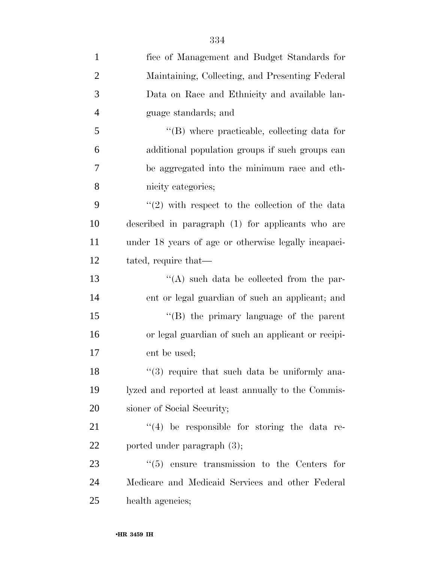| 1              | fice of Management and Budget Standards for             |
|----------------|---------------------------------------------------------|
| $\overline{2}$ | Maintaining, Collecting, and Presenting Federal         |
| 3              | Data on Race and Ethnicity and available lan-           |
| $\overline{4}$ | guage standards; and                                    |
| 5              | $\lq\lq$ where practicable, collecting data for         |
| 6              | additional population groups if such groups can         |
| 7              | be aggregated into the minimum race and eth-            |
| 8              | nicity categories;                                      |
| 9              | $\lq(2)$ with respect to the collection of the data     |
| 10             | described in paragraph (1) for applicants who are       |
| 11             | under 18 years of age or otherwise legally incapaci-    |
| 12             | tated, require that-                                    |
| 13             | $\lq\lq$ such data be collected from the par-           |
| 14             | ent or legal guardian of such an applicant; and         |
| 15             | "(B) the primary language of the parent                 |
| 16             | or legal guardian of such an applicant or recipi-       |
| 17             | ent be used;                                            |
| 18             | "(3) require that such data be uniformly ana-           |
| 19             | lyzed and reported at least annually to the Commis-     |
| 20             | sioner of Social Security;                              |
| 21             | $(4)$ be responsible for storing the data re-           |
| 22             | ported under paragraph (3);                             |
| 23             | $\cdot\cdot$ (5) ensure transmission to the Centers for |
| 24             | Medicare and Medicaid Services and other Federal        |
| 25             | health agencies;                                        |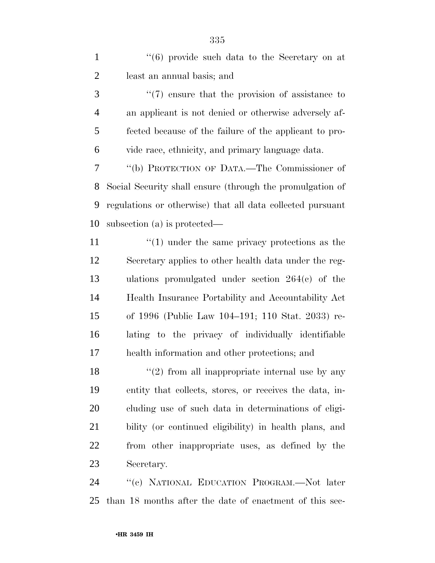1 ''(6) provide such data to the Secretary on at least an annual basis; and

3 (7) ensure that the provision of assistance to an applicant is not denied or otherwise adversely af- fected because of the failure of the applicant to pro-vide race, ethnicity, and primary language data.

 ''(b) PROTECTION OF DATA.—The Commissioner of Social Security shall ensure (through the promulgation of regulations or otherwise) that all data collected pursuant subsection (a) is protected—

11 ''(1) under the same privacy protections as the Secretary applies to other health data under the reg- ulations promulgated under section 264(c) of the Health Insurance Portability and Accountability Act of 1996 (Public Law 104–191; 110 Stat. 2033) re- lating to the privacy of individually identifiable health information and other protections; and

 $\frac{1}{2}$  from all inappropriate internal use by any entity that collects, stores, or receives the data, in- cluding use of such data in determinations of eligi- bility (or continued eligibility) in health plans, and from other inappropriate uses, as defined by the Secretary.

 ''(c) NATIONAL EDUCATION PROGRAM.—Not later than 18 months after the date of enactment of this sec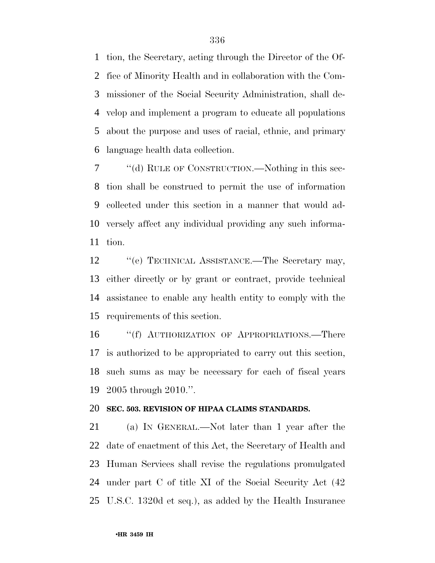tion, the Secretary, acting through the Director of the Of- fice of Minority Health and in collaboration with the Com- missioner of the Social Security Administration, shall de- velop and implement a program to educate all populations about the purpose and uses of racial, ethnic, and primary language health data collection.

 ''(d) RULE OF CONSTRUCTION.—Nothing in this sec- tion shall be construed to permit the use of information collected under this section in a manner that would ad- versely affect any individual providing any such informa-tion.

12 "(e) TECHNICAL ASSISTANCE.—The Secretary may, either directly or by grant or contract, provide technical assistance to enable any health entity to comply with the requirements of this section.

16 "(f) AUTHORIZATION OF APPROPRIATIONS.—There is authorized to be appropriated to carry out this section, such sums as may be necessary for each of fiscal years 2005 through 2010.''.

#### **SEC. 503. REVISION OF HIPAA CLAIMS STANDARDS.**

 (a) IN GENERAL.—Not later than 1 year after the date of enactment of this Act, the Secretary of Health and Human Services shall revise the regulations promulgated under part C of title XI of the Social Security Act (42 U.S.C. 1320d et seq.), as added by the Health Insurance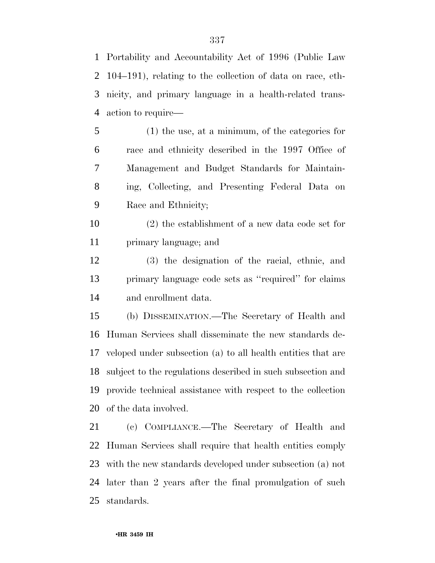Portability and Accountability Act of 1996 (Public Law 104–191), relating to the collection of data on race, eth- nicity, and primary language in a health-related trans-action to require—

- (1) the use, at a minimum, of the categories for race and ethnicity described in the 1997 Office of Management and Budget Standards for Maintain- ing, Collecting, and Presenting Federal Data on Race and Ethnicity;
- (2) the establishment of a new data code set for primary language; and
- (3) the designation of the racial, ethnic, and primary language code sets as ''required'' for claims and enrollment data.

 (b) DISSEMINATION.—The Secretary of Health and Human Services shall disseminate the new standards de- veloped under subsection (a) to all health entities that are subject to the regulations described in such subsection and provide technical assistance with respect to the collection of the data involved.

 (c) COMPLIANCE.—The Secretary of Health and Human Services shall require that health entities comply with the new standards developed under subsection (a) not later than 2 years after the final promulgation of such standards.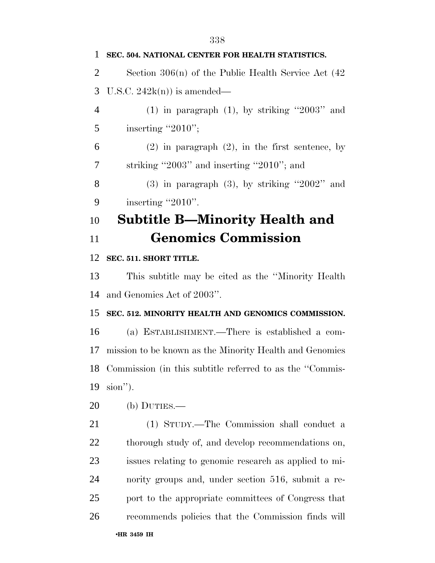| 1              | SEC. 504. NATIONAL CENTER FOR HEALTH STATISTICS.            |
|----------------|-------------------------------------------------------------|
| $\overline{2}$ | Section $306(n)$ of the Public Health Service Act $(42)$    |
| 3              | U.S.C. $242k(n)$ is amended—                                |
| $\overline{4}$ | $(1)$ in paragraph $(1)$ , by striking "2003" and           |
| 5              | inserting "2010";                                           |
| 6              | $(2)$ in paragraph $(2)$ , in the first sentence, by        |
| 7              | striking "2003" and inserting "2010"; and                   |
| 8              | $(3)$ in paragraph $(3)$ , by striking "2002" and           |
| 9              | inserting "2010".                                           |
| 10             | <b>Subtitle B—Minority Health and</b>                       |
| 11             | <b>Genomics Commission</b>                                  |
| 12             | SEC. 511. SHORT TITLE.                                      |
| 13             | This subtitle may be cited as the "Minority Health"         |
| 14             | and Genomics Act of 2003".                                  |
| 15             | SEC. 512. MINORITY HEALTH AND GENOMICS COMMISSION.          |
| 16             | (a) ESTABLISHMENT.—There is established a com-              |
| 17             | mission to be known as the Minority Health and Genomics     |
|                | 18 Commission (in this subtitle referred to as the "Commis- |
| 19             | sion").                                                     |
| 20             | (b) $DUTIES$ .                                              |
| 21             | (1) STUDY.—The Commission shall conduct a                   |
| 22             | thorough study of, and develop recommendations on,          |
| 23             | issues relating to genomic research as applied to mi-       |
| 24             | nority groups and, under section 516, submit a re-          |
| 25             | port to the appropriate committees of Congress that         |
| 26             | recommends policies that the Commission finds will          |
|                | •HR 3459 IH                                                 |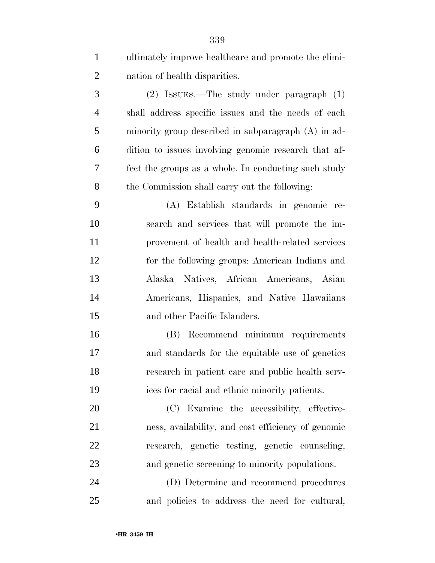| $\mathbf{1}$   | ultimately improve healthcare and promote the elimi- |
|----------------|------------------------------------------------------|
| $\overline{2}$ | nation of health disparities.                        |
| 3              | $(2)$ ISSUES.—The study under paragraph $(1)$        |
| $\overline{4}$ | shall address specific issues and the needs of each  |
| 5              | minority group described in subparagraph (A) in ad-  |
| 6              | dition to issues involving genomic research that af- |
| 7              | fect the groups as a whole. In conducting such study |
| 8              | the Commission shall carry out the following:        |
| 9              | (A) Establish standards in genomic re-               |
| 10             | search and services that will promote the im-        |
| 11             | provement of health and health-related services      |
| 12             | for the following groups: American Indians and       |
| 13             | Alaska Natives, African Americans, Asian             |
| 14             | Americans, Hispanics, and Native Hawaiians           |
| 15             | and other Pacific Islanders.                         |
| 16             | Recommend minimum requirements<br>(B)                |
| 17             | and standards for the equitable use of genetics      |
| 18             | research in patient care and public health serv-     |
| 19             | ices for racial and ethnic minority patients.        |
| 20             | (C) Examine the accessibility, effective-            |
| 21             | ness, availability, and cost efficiency of genomic   |
| 22             | research, genetic testing, genetic counseling,       |
| 23             | and genetic screening to minority populations.       |
| 24             | (D) Determine and recommend procedures               |
| 25             | and policies to address the need for cultural,       |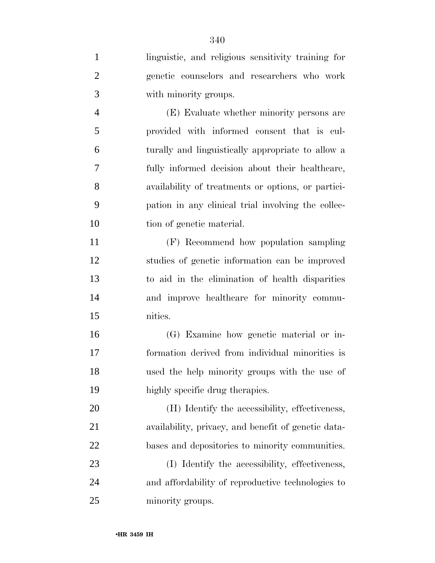| $\mathbf{1}$   | linguistic, and religious sensitivity training for  |
|----------------|-----------------------------------------------------|
| $\overline{2}$ | genetic counselors and researchers who work         |
| 3              | with minority groups.                               |
| $\overline{4}$ | (E) Evaluate whether minority persons are           |
| 5              | provided with informed consent that is cul-         |
| 6              | turally and linguistically appropriate to allow a   |
| 7              | fully informed decision about their healthcare,     |
| 8              | availability of treatments or options, or partici-  |
| 9              | pation in any clinical trial involving the collec-  |
| 10             | tion of genetic material.                           |
| 11             | (F) Recommend how population sampling               |
| 12             | studies of genetic information can be improved      |
| 13             | to aid in the elimination of health disparities     |
| 14             | and improve healthcare for minority commu-          |
| 15             | nities.                                             |
| 16             | (G) Examine how genetic material or in-             |
| 17             | formation derived from individual minorities is     |
| 18             | used the help minority groups with the use of       |
| 19             | highly specific drug therapies.                     |
| 20             | (H) Identify the accessibility, effectiveness,      |
| 21             | availability, privacy, and benefit of genetic data- |
| 22             | bases and depositories to minority communities.     |
| 23             | (I) Identify the accessibility, effectiveness,      |
| 24             | and affordability of reproductive technologies to   |
| 25             | minority groups.                                    |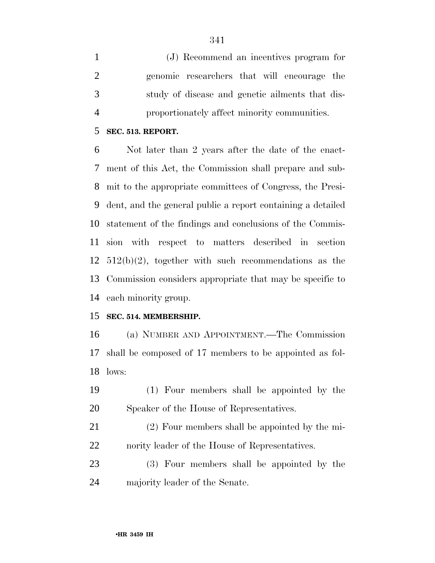(J) Recommend an incentives program for genomic researchers that will encourage the study of disease and genetic ailments that dis-proportionately affect minority communities.

#### **SEC. 513. REPORT.**

 Not later than 2 years after the date of the enact- ment of this Act, the Commission shall prepare and sub- mit to the appropriate committees of Congress, the Presi- dent, and the general public a report containing a detailed statement of the findings and conclusions of the Commis- sion with respect to matters described in section 512(b)(2), together with such recommendations as the Commission considers appropriate that may be specific to each minority group.

### **SEC. 514. MEMBERSHIP.**

 (a) NUMBER AND APPOINTMENT.—The Commission shall be composed of 17 members to be appointed as fol-lows:

- (1) Four members shall be appointed by the Speaker of the House of Representatives.
- (2) Four members shall be appointed by the mi-nority leader of the House of Representatives.
- (3) Four members shall be appointed by the majority leader of the Senate.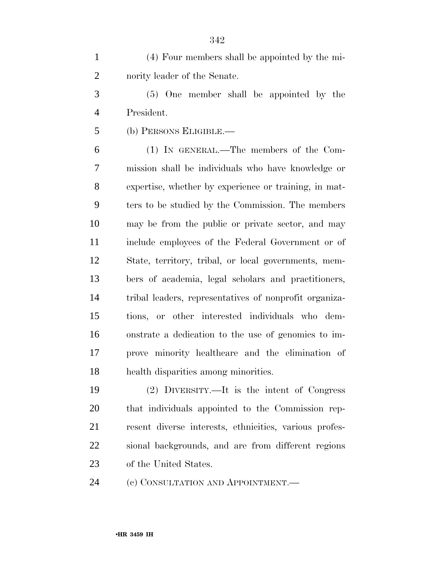(4) Four members shall be appointed by the mi-nority leader of the Senate.

 (5) One member shall be appointed by the President.

(b) PERSONS ELIGIBLE.—

 (1) IN GENERAL.—The members of the Com- mission shall be individuals who have knowledge or expertise, whether by experience or training, in mat- ters to be studied by the Commission. The members may be from the public or private sector, and may include employees of the Federal Government or of State, territory, tribal, or local governments, mem- bers of academia, legal scholars and practitioners, tribal leaders, representatives of nonprofit organiza- tions, or other interested individuals who dem- onstrate a dedication to the use of genomics to im- prove minority healthcare and the elimination of health disparities among minorities.

 (2) DIVERSITY.—It is the intent of Congress that individuals appointed to the Commission rep- resent diverse interests, ethnicities, various profes- sional backgrounds, and are from different regions of the United States.

24 (c) CONSULTATION AND APPOINTMENT.—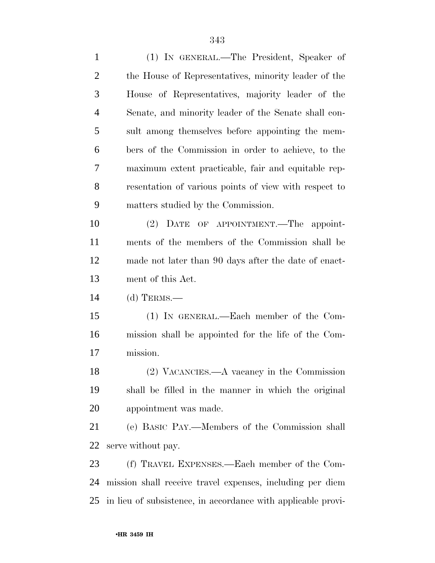(1) IN GENERAL.—The President, Speaker of the House of Representatives, minority leader of the House of Representatives, majority leader of the Senate, and minority leader of the Senate shall con- sult among themselves before appointing the mem- bers of the Commission in order to achieve, to the maximum extent practicable, fair and equitable rep- resentation of various points of view with respect to matters studied by the Commission. (2) DATE OF APPOINTMENT.—The appoint- ments of the members of the Commission shall be made not later than 90 days after the date of enact- ment of this Act. (d) TERMS.— (1) IN GENERAL.—Each member of the Com- mission shall be appointed for the life of the Com- mission. (2) VACANCIES.—A vacancy in the Commission shall be filled in the manner in which the original appointment was made. (e) BASIC PAY.—Members of the Commission shall serve without pay. (f) TRAVEL EXPENSES.—Each member of the Com- mission shall receive travel expenses, including per diem in lieu of subsistence, in accordance with applicable provi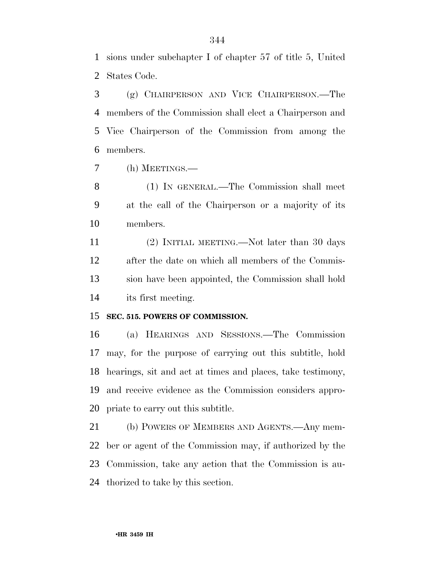sions under subchapter I of chapter 57 of title 5, United States Code.

 (g) CHAIRPERSON AND VICE CHAIRPERSON.—The members of the Commission shall elect a Chairperson and Vice Chairperson of the Commission from among the members.

(h) MEETINGS.—

 (1) IN GENERAL.—The Commission shall meet at the call of the Chairperson or a majority of its members.

 (2) INITIAL MEETING.—Not later than 30 days after the date on which all members of the Commis- sion have been appointed, the Commission shall hold its first meeting.

### **SEC. 515. POWERS OF COMMISSION.**

 (a) HEARINGS AND SESSIONS.—The Commission may, for the purpose of carrying out this subtitle, hold hearings, sit and act at times and places, take testimony, and receive evidence as the Commission considers appro-priate to carry out this subtitle.

 (b) POWERS OF MEMBERS AND AGENTS.—Any mem- ber or agent of the Commission may, if authorized by the Commission, take any action that the Commission is au-thorized to take by this section.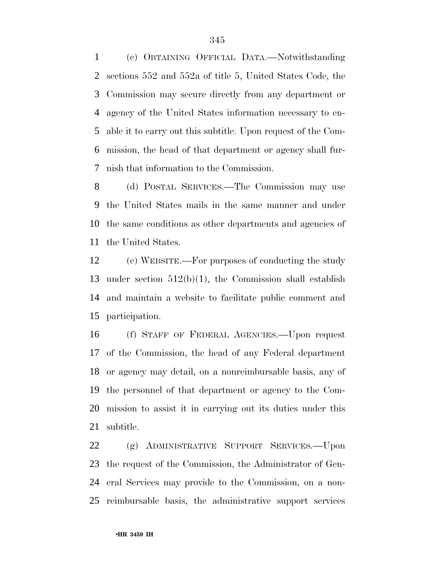(c) OBTAINING OFFICIAL DATA.—Notwithstanding sections 552 and 552a of title 5, United States Code, the Commission may secure directly from any department or agency of the United States information necessary to en- able it to carry out this subtitle. Upon request of the Com- mission, the head of that department or agency shall fur-nish that information to the Commission.

 (d) POSTAL SERVICES.—The Commission may use the United States mails in the same manner and under the same conditions as other departments and agencies of the United States.

 (e) WEBSITE.—For purposes of conducting the study under section 512(b)(1), the Commission shall establish and maintain a website to facilitate public comment and participation.

 (f) STAFF OF FEDERAL AGENCIES.—Upon request of the Commission, the head of any Federal department or agency may detail, on a nonreimbursable basis, any of the personnel of that department or agency to the Com- mission to assist it in carrying out its duties under this subtitle.

 (g) ADMINISTRATIVE SUPPORT SERVICES.—Upon the request of the Commission, the Administrator of Gen- eral Services may provide to the Commission, on a non-reimbursable basis, the administrative support services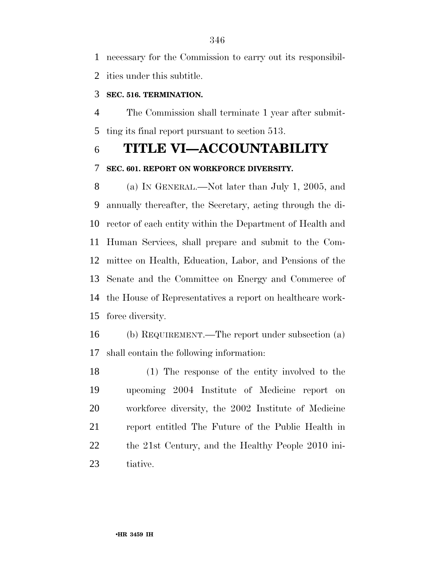ities under this subtitle.

## **SEC. 516. TERMINATION.**

 The Commission shall terminate 1 year after submit-ting its final report pursuant to section 513.

## **TITLE VI—ACCOUNTABILITY**

## **SEC. 601. REPORT ON WORKFORCE DIVERSITY.**

 (a) IN GENERAL.—Not later than July 1, 2005, and annually thereafter, the Secretary, acting through the di- rector of each entity within the Department of Health and Human Services, shall prepare and submit to the Com- mittee on Health, Education, Labor, and Pensions of the Senate and the Committee on Energy and Commerce of the House of Representatives a report on healthcare work-force diversity.

 (b) REQUIREMENT.—The report under subsection (a) shall contain the following information:

 (1) The response of the entity involved to the upcoming 2004 Institute of Medicine report on workforce diversity, the 2002 Institute of Medicine report entitled The Future of the Public Health in the 21st Century, and the Healthy People 2010 ini-tiative.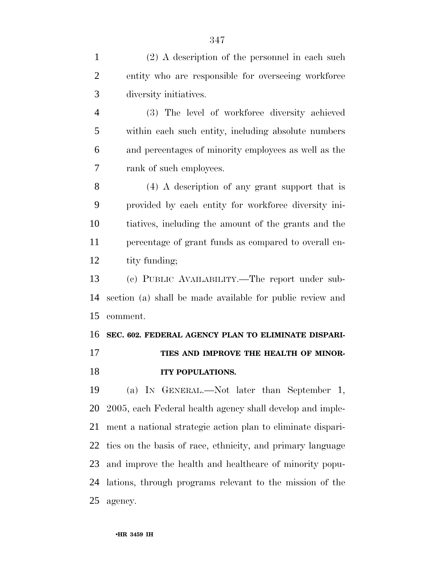(2) A description of the personnel in each such entity who are responsible for overseeing workforce diversity initiatives. (3) The level of workforce diversity achieved within each such entity, including absolute numbers and percentages of minority employees as well as the rank of such employees. (4) A description of any grant support that is provided by each entity for workforce diversity ini- tiatives, including the amount of the grants and the percentage of grant funds as compared to overall en-12 tity funding; (c) PUBLIC AVAILABILITY.—The report under sub- section (a) shall be made available for public review and comment. **SEC. 602. FEDERAL AGENCY PLAN TO ELIMINATE DISPARI-**17 TIES AND IMPROVE THE HEALTH OF MINOR- **ITY POPULATIONS.**  (a) IN GENERAL.—Not later than September 1, 2005, each Federal health agency shall develop and imple- ment a national strategic action plan to eliminate dispari- ties on the basis of race, ethnicity, and primary language and improve the health and healthcare of minority popu-lations, through programs relevant to the mission of the

agency.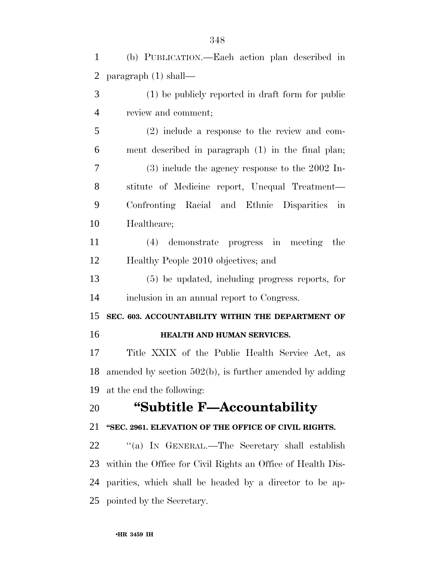(b) PUBLICATION.—Each action plan described in paragraph (1) shall— (1) be publicly reported in draft form for public review and comment; (2) include a response to the review and com- ment described in paragraph (1) in the final plan; (3) include the agency response to the 2002 In- stitute of Medicine report, Unequal Treatment— Confronting Racial and Ethnic Disparities in Healthcare; (4) demonstrate progress in meeting the Healthy People 2010 objectives; and (5) be updated, including progress reports, for inclusion in an annual report to Congress. **SEC. 603. ACCOUNTABILITY WITHIN THE DEPARTMENT OF HEALTH AND HUMAN SERVICES.**  Title XXIX of the Public Health Service Act, as amended by section 502(b), is further amended by adding at the end the following: **''Subtitle F—Accountability ''SEC. 2961. ELEVATION OF THE OFFICE OF CIVIL RIGHTS.**  ''(a) IN GENERAL.—The Secretary shall establish within the Office for Civil Rights an Office of Health Dis- parities, which shall be headed by a director to be ap-pointed by the Secretary.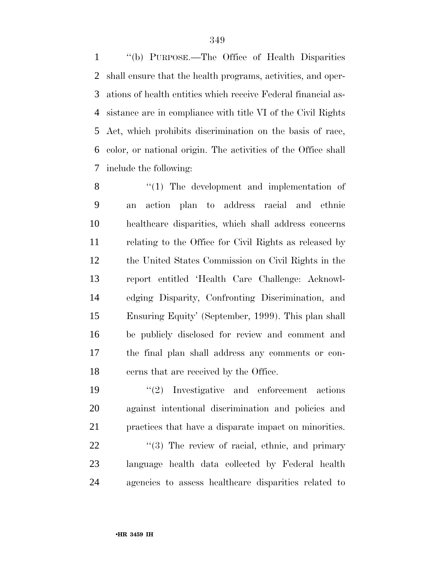''(b) PURPOSE.—The Office of Health Disparities shall ensure that the health programs, activities, and oper- ations of health entities which receive Federal financial as- sistance are in compliance with title VI of the Civil Rights Act, which prohibits discrimination on the basis of race, color, or national origin. The activities of the Office shall include the following:

 $\cdot$  (1) The development and implementation of an action plan to address racial and ethnic healthcare disparities, which shall address concerns relating to the Office for Civil Rights as released by the United States Commission on Civil Rights in the report entitled 'Health Care Challenge: Acknowl- edging Disparity, Confronting Discrimination, and Ensuring Equity' (September, 1999). This plan shall be publicly disclosed for review and comment and the final plan shall address any comments or con-cerns that are received by the Office.

 ''(2) Investigative and enforcement actions against intentional discrimination and policies and practices that have a disparate impact on minorities.

22 ''(3) The review of racial, ethnic, and primary language health data collected by Federal health agencies to assess healthcare disparities related to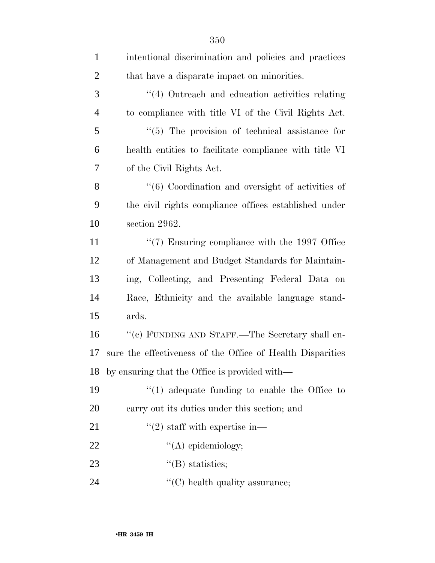| $\mathbf{1}$   | intentional discrimination and policies and practices             |
|----------------|-------------------------------------------------------------------|
| $\overline{c}$ | that have a disparate impact on minorities.                       |
| 3              | $\cdot$ (4) Outreach and education activities relating            |
| $\overline{4}$ | to compliance with title VI of the Civil Rights Act.              |
| 5              | $\lq(5)$ The provision of technical assistance for                |
| 6              | health entities to facilitate compliance with title VI            |
| $\overline{7}$ | of the Civil Rights Act.                                          |
| 8              | $\cdot\cdot\cdot$ (6) Coordination and oversight of activities of |
| 9              | the civil rights compliance offices established under             |
| 10             | section 2962.                                                     |
| 11             | $\lq(7)$ Ensuring compliance with the 1997 Office                 |
| 12             | of Management and Budget Standards for Maintain-                  |
| 13             | ing, Collecting, and Presenting Federal Data on                   |
| 14             | Race, Ethnicity and the available language stand-                 |
| 15             | ards.                                                             |
| 16             | "(c) FUNDING AND STAFF.—The Secretary shall en-                   |
| 17             | sure the effectiveness of the Office of Health Disparities        |
| 18             | by ensuring that the Office is provided with—                     |
| 19             | $``(1)$ adequate funding to enable the Office to                  |
| 20             | carry out its duties under this section; and                      |
| 21             | $\cdot\cdot(2)$ staff with expertise in—                          |
| 22             | $\lq\lq$ epidemiology;                                            |
| 23             | $\lq\lq(B)$ statistics;                                           |
| 24             | $\lq\lq$ health quality assurance;                                |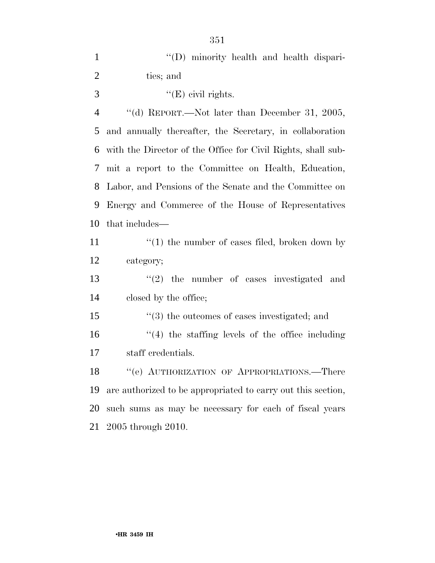| $\mathbf{1}$   | "(D) minority health and health dispari-                     |
|----------------|--------------------------------------------------------------|
| $\mathbf{2}$   | ties; and                                                    |
| 3              | " $(E)$ civil rights.                                        |
| $\overline{4}$ | "(d) REPORT.—Not later than December 31, 2005,               |
| 5              | and annually thereafter, the Secretary, in collaboration     |
| 6              | with the Director of the Office for Civil Rights, shall sub- |
| 7              | mit a report to the Committee on Health, Education,          |
| 8              | Labor, and Pensions of the Senate and the Committee on       |
| 9              | Energy and Commerce of the House of Representatives          |
| 10             | that includes—                                               |
| 11             | $"(1)$ the number of cases filed, broken down by             |
| 12             | category;                                                    |
| 13             | $\lq(2)$ the number of cases investigated and                |
| 14             | closed by the office;                                        |
| 15             | $\cdot\cdot$ (3) the outcomes of cases investigated; and     |
| 16             | $\lq(4)$ the staffing levels of the office including         |
| 17             | staff credentials.                                           |
| 18             | "(e) AUTHORIZATION OF APPROPRIATIONS.—There                  |
| 19             | are authorized to be appropriated to carry out this section, |
| 20             | such sums as may be necessary for each of fiscal years       |
| 21             | 2005 through 2010.                                           |
|                |                                                              |

## •**HR 3459 IH**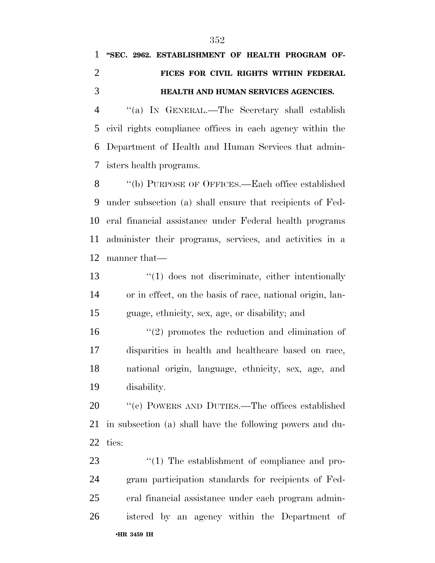# **''SEC. 2962. ESTABLISHMENT OF HEALTH PROGRAM OF- FICES FOR CIVIL RIGHTS WITHIN FEDERAL HEALTH AND HUMAN SERVICES AGENCIES.**

 ''(a) IN GENERAL.—The Secretary shall establish civil rights compliance offices in each agency within the Department of Health and Human Services that admin-isters health programs.

 ''(b) PURPOSE OF OFFICES.—Each office established under subsection (a) shall ensure that recipients of Fed- eral financial assistance under Federal health programs administer their programs, services, and activities in a manner that—

13 ''(1) does not discriminate, either intentionally or in effect, on the basis of race, national origin, lan-guage, ethnicity, sex, age, or disability; and

16 ''(2) promotes the reduction and elimination of disparities in health and healthcare based on race, national origin, language, ethnicity, sex, age, and disability.

20 "(c) POWERS AND DUTIES.—The offices established in subsection (a) shall have the following powers and du-ties:

•**HR 3459 IH**   $\frac{1}{2}$  The establishment of compliance and pro- gram participation standards for recipients of Fed- eral financial assistance under each program admin-istered by an agency within the Department of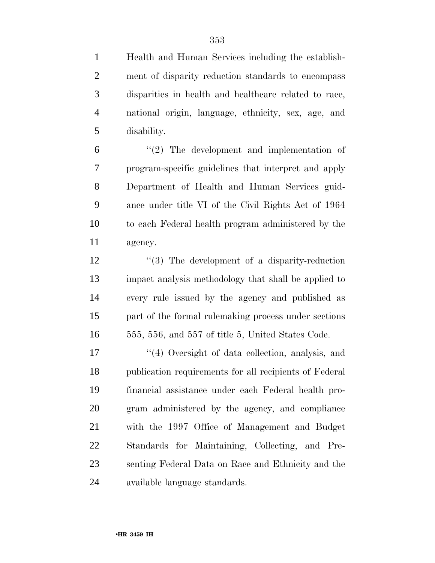Health and Human Services including the establish- ment of disparity reduction standards to encompass disparities in health and healthcare related to race, national origin, language, ethnicity, sex, age, and disability.

 $(2)$  The development and implementation of program-specific guidelines that interpret and apply Department of Health and Human Services guid- ance under title VI of the Civil Rights Act of 1964 to each Federal health program administered by the agency.

12 ''(3) The development of a disparity-reduction impact analysis methodology that shall be applied to every rule issued by the agency and published as part of the formal rulemaking process under sections 555, 556, and 557 of title 5, United States Code.

17 ''(4) Oversight of data collection, analysis, and publication requirements for all recipients of Federal financial assistance under each Federal health pro- gram administered by the agency, and compliance with the 1997 Office of Management and Budget Standards for Maintaining, Collecting, and Pre- senting Federal Data on Race and Ethnicity and the available language standards.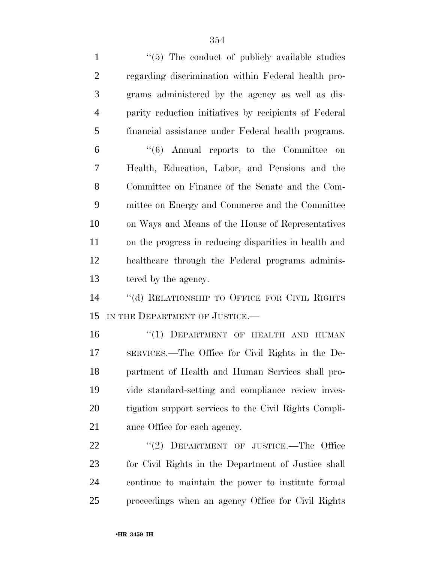| $\mathbf{1}$   | $\lq(5)$ The conduct of publicly available studies      |
|----------------|---------------------------------------------------------|
| $\overline{2}$ | regarding discrimination within Federal health pro-     |
| 3              | grams administered by the agency as well as dis-        |
| $\overline{4}$ | parity reduction initiatives by recipients of Federal   |
| 5              | financial assistance under Federal health programs.     |
| 6              | $\cdot\cdot\cdot(6)$ Annual reports to the Committee on |
| 7              | Health, Education, Labor, and Pensions and the          |
| 8              | Committee on Finance of the Senate and the Com-         |
| 9              | mittee on Energy and Commerce and the Committee         |
| 10             | on Ways and Means of the House of Representatives       |
| 11             | on the progress in reducing disparities in health and   |
| 12             | healthcare through the Federal programs adminis-        |
| 13             | tered by the agency.                                    |
| 14             | "(d) RELATIONSHIP TO OFFICE FOR CIVIL RIGHTS            |
| 15             | IN THE DEPARTMENT OF JUSTICE.-                          |
| 16             | "(1) DEPARTMENT OF HEALTH AND HUMAN                     |
| 17             | SERVICES.—The Office for Civil Rights in the De-        |
| 18             | partment of Health and Human Services shall pro-        |
| 19             | vide standard-setting and compliance review inves-      |
| 20             | tigation support services to the Civil Rights Compli-   |
| 21             | ance Office for each agency.                            |
| 22             | "(2) DEPARTMENT OF JUSTICE.—The Office                  |
| 23             | for Civil Rights in the Department of Justice shall     |
| 24             | continue to maintain the power to institute formal      |

proceedings when an agency Office for Civil Rights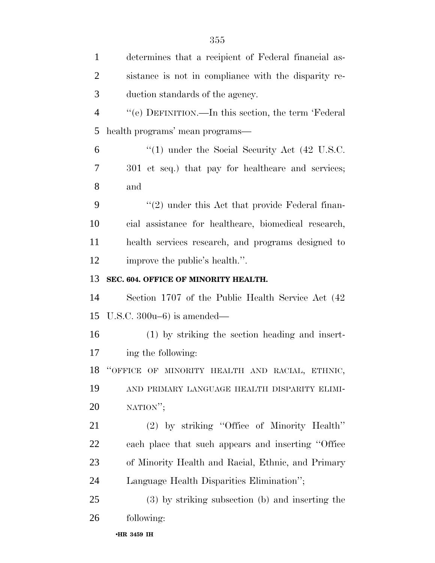| $\mathbf{1}$   | determines that a recipient of Federal financial as- |
|----------------|------------------------------------------------------|
| $\overline{2}$ | sistance is not in compliance with the disparity re- |
| 3              | duction standards of the agency.                     |
| $\overline{4}$ | "(e) DEFINITION.—In this section, the term 'Federal  |
| 5              | health programs' mean programs—                      |
| 6              | $\cdot$ (1) under the Social Security Act (42 U.S.C. |
| 7              | 301 et seq.) that pay for healthcare and services;   |
| 8              | and                                                  |
| 9              | "(2) under this Act that provide Federal finan-      |
| 10             | cial assistance for healthcare, biomedical research, |
| 11             | health services research, and programs designed to   |
| 12             | improve the public's health.".                       |
| 13             | SEC. 604. OFFICE OF MINORITY HEALTH.                 |
| 14             | Section 1707 of the Public Health Service Act (42)   |
| 15             | U.S.C. $300u-6$ ) is amended—                        |
| 16             | (1) by striking the section heading and insert-      |
| 17             | ing the following:                                   |
|                | 18 "OFFICE OF MINORITY HEALTH AND RACIAL, ETHNIC,    |
| 19             | AND PRIMARY LANGUAGE HEALTH DISPARITY ELIMI-         |
| 20             | NATION";                                             |
| 21             | (2) by striking "Office of Minority Health"          |
| 22             | each place that such appears and inserting "Office   |
| 23             | of Minority Health and Racial, Ethnic, and Primary   |
| 24             | Language Health Disparities Elimination";            |
| 25             | (3) by striking subsection (b) and inserting the     |
| 26             | following:                                           |
|                |                                                      |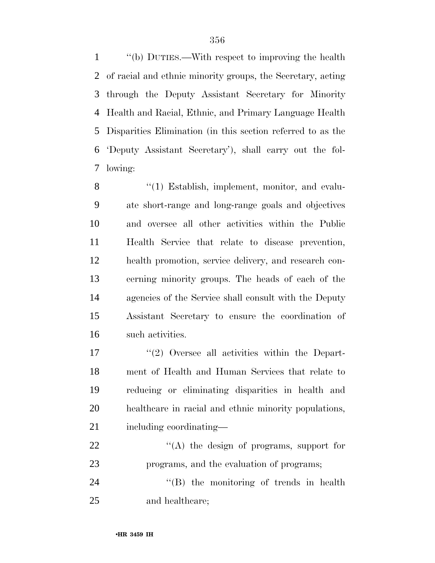''(b) DUTIES.—With respect to improving the health of racial and ethnic minority groups, the Secretary, acting through the Deputy Assistant Secretary for Minority Health and Racial, Ethnic, and Primary Language Health Disparities Elimination (in this section referred to as the 'Deputy Assistant Secretary'), shall carry out the fol-lowing:

8 "(1) Establish, implement, monitor, and evalu- ate short-range and long-range goals and objectives and oversee all other activities within the Public Health Service that relate to disease prevention, health promotion, service delivery, and research con- cerning minority groups. The heads of each of the agencies of the Service shall consult with the Deputy Assistant Secretary to ensure the coordination of such activities.

 ''(2) Oversee all activities within the Depart- ment of Health and Human Services that relate to reducing or eliminating disparities in health and healthcare in racial and ethnic minority populations, including coordinating—

22 "(A) the design of programs, support for programs, and the evaluation of programs;

24 ''(B) the monitoring of trends in health and healthcare;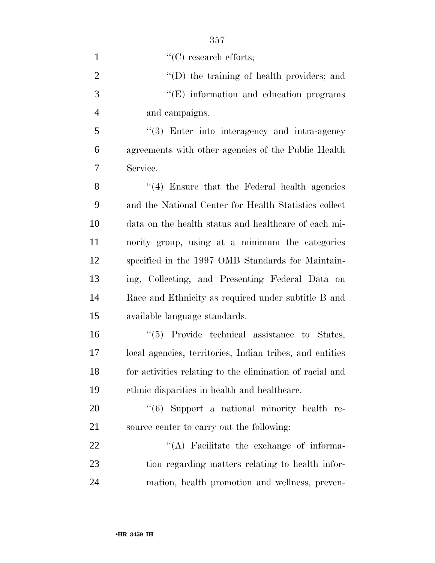| $\mathbf{1}$   | $"$ (C) research efforts;                                |
|----------------|----------------------------------------------------------|
| $\overline{c}$ | "(D) the training of health providers; and               |
| 3              | $\lq\lq(E)$ information and education programs           |
| $\overline{4}$ | and campaigns.                                           |
| 5              | $\cdot$ (3) Enter into interagency and intra-agency      |
| 6              | agreements with other agencies of the Public Health      |
| 7              | Service.                                                 |
| 8              | "(4) Ensure that the Federal health agencies             |
| 9              | and the National Center for Health Statistics collect    |
| 10             | data on the health status and healthcare of each mi-     |
| 11             | nority group, using at a minimum the categories          |
| 12             | specified in the 1997 OMB Standards for Maintain-        |
| 13             | ing, Collecting, and Presenting Federal Data on          |
| 14             | Race and Ethnicity as required under subtitle B and      |
| 15             | available language standards.                            |
| 16             | $\lq(5)$ Provide technical assistance to States,         |
| 17             | local agencies, territories, Indian tribes, and entities |
| 18             | for activities relating to the elimination of racial and |
| 19             | ethnic disparities in health and healthcare.             |
| 20             | "(6) Support a national minority health re-              |
| 21             | source center to carry out the following:                |
| 22             | $\lq\lq$ . Facilitate the exchange of informa-           |
| 23             | tion regarding matters relating to health infor-         |
| 24             | mation, health promotion and wellness, preven-           |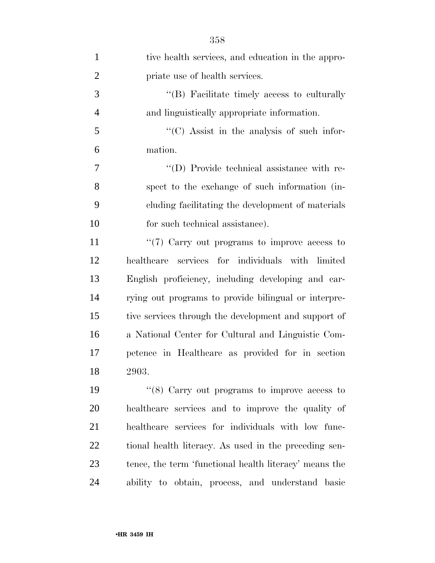| $\mathbf{1}$   | tive health services, and education in the appro-      |
|----------------|--------------------------------------------------------|
| $\overline{2}$ | priate use of health services.                         |
| 3              | "(B) Facilitate timely access to culturally            |
| $\overline{4}$ | and linguistically appropriate information.            |
| 5              | "(C) Assist in the analysis of such infor-             |
| 6              | mation.                                                |
| 7              | "(D) Provide technical assistance with re-             |
| 8              | spect to the exchange of such information (in-         |
| 9              | cluding facilitating the development of materials      |
| 10             | for such technical assistance).                        |
| 11             | $\lq(7)$ Carry out programs to improve access to       |
| 12             | healthcare services for individuals with limited       |
| 13             | English proficiency, including developing and car-     |
| 14             | rying out programs to provide bilingual or interpre-   |
| 15             | tive services through the development and support of   |
| 16             | a National Center for Cultural and Linguistic Com-     |
| 17             | petence in Healthcare as provided for in section       |
| 18             | 2903.                                                  |
| 19             | " $(8)$ Carry out programs to improve access to        |
| 20             | healthcare services and to improve the quality of      |
| 21             | healthcare services for individuals with low func-     |
| 22             | tional health literacy. As used in the preceding sen-  |
| 23             | tence, the term 'functional health literacy' means the |
| 24             | ability to obtain, process, and understand basic       |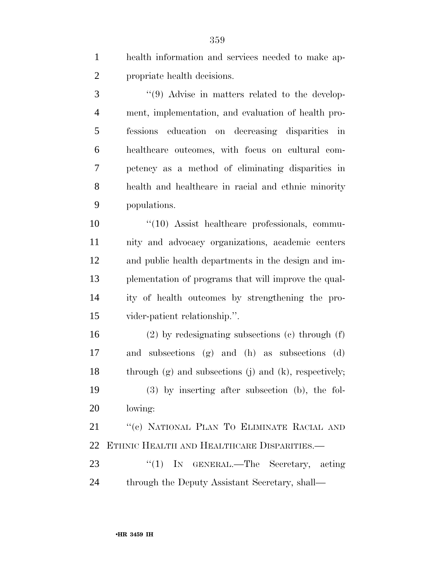health information and services needed to make ap-propriate health decisions.

3 "(9) Advise in matters related to the develop- ment, implementation, and evaluation of health pro- fessions education on decreasing disparities in healthcare outcomes, with focus on cultural com- petency as a method of eliminating disparities in health and healthcare in racial and ethnic minority populations.

 $\frac{10}{10}$  Assist healthcare professionals, commu- nity and advocacy organizations, academic centers and public health departments in the design and im- plementation of programs that will improve the qual- ity of health outcomes by strengthening the pro-vider-patient relationship.''.

 (2) by redesignating subsections (c) through (f) and subsections (g) and (h) as subsections (d) through (g) and subsections (j) and (k), respectively; (3) by inserting after subsection (b), the fol-lowing:

 ''(c) NATIONAL PLAN TO ELIMINATE RACIAL AND ETHNIC HEALTH AND HEALTHCARE DISPARITIES.—

23 "(1) IN GENERAL.—The Secretary, acting through the Deputy Assistant Secretary, shall—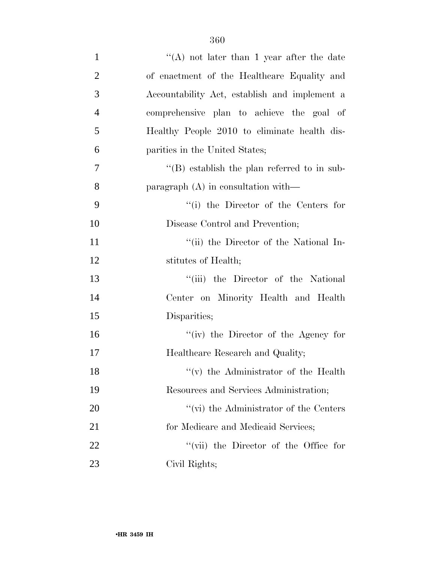| $\mathbf{1}$   | "(A) not later than 1 year after the date        |
|----------------|--------------------------------------------------|
| $\overline{2}$ | of enactment of the Healthcare Equality and      |
| 3              | Accountability Act, establish and implement a    |
| $\overline{4}$ | comprehensive plan to achieve the goal of        |
| 5              | Healthy People 2010 to eliminate health dis-     |
| 6              | parities in the United States;                   |
| 7              | $\lq$ (B) establish the plan referred to in sub- |
| 8              | paragraph $(A)$ in consultation with—            |
| 9              | $``(i)$ the Director of the Centers for          |
| 10             | Disease Control and Prevention;                  |
| 11             | "(ii) the Director of the National In-           |
| 12             | stitutes of Health;                              |
| 13             | "(iii) the Director of the National              |
| 14             | Center on Minority Health and Health             |
| 15             | Disparities;                                     |
| 16             | "(iv) the Director of the Agency for             |
| 17             | Healthcare Research and Quality;                 |
| 18             | $f'(v)$ the Administrator of the Health          |
| 19             | Resources and Services Administration;           |
| 20             | $\lq\lq$ (vi) the Administrator of the Centers   |
| 21             | for Medicare and Medicaid Services;              |
| 22             | "(vii) the Director of the Office for            |
| 23             | Civil Rights;                                    |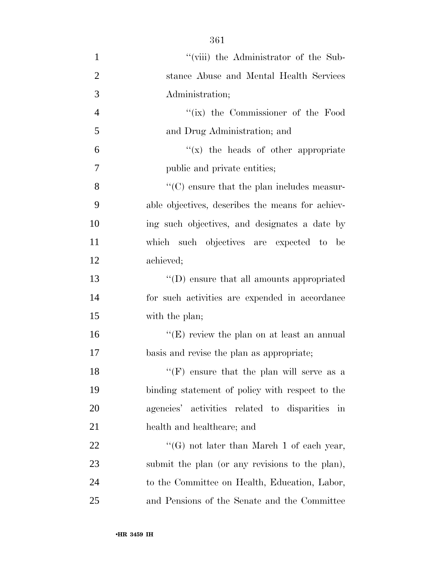| $\mathbf{1}$   | "(viii) the Administrator of the Sub-              |
|----------------|----------------------------------------------------|
| $\overline{2}$ | stance Abuse and Mental Health Services            |
| 3              | Administration;                                    |
| $\overline{4}$ | "(ix) the Commissioner of the Food                 |
| 5              | and Drug Administration; and                       |
| 6              | $f(x)$ the heads of other appropriate              |
| 7              | public and private entities;                       |
| 8              | $\lq\lq$ (C) ensure that the plan includes measur- |
| 9              | able objectives, describes the means for achiev-   |
| 10             | ing such objectives, and designates a date by      |
| 11             | which such objectives are expected to be           |
| 12             | achieved;                                          |
| 13             | "(D) ensure that all amounts appropriated          |
| 14             | for such activities are expended in accordance     |
| 15             | with the plan;                                     |
| 16             | " $(E)$ review the plan on at least an annual      |
| 17             | basis and revise the plan as appropriate;          |
| 18             | $"$ (F) ensure that the plan will serve as a       |
| 19             | binding statement of policy with respect to the    |
| 20             | agencies' activities related to disparities in     |
| 21             | health and healthcare; and                         |
| 22             | "(G) not later than March 1 of each year,          |
| 23             | submit the plan (or any revisions to the plan),    |
| 24             | to the Committee on Health, Education, Labor,      |
| 25             | and Pensions of the Senate and the Committee       |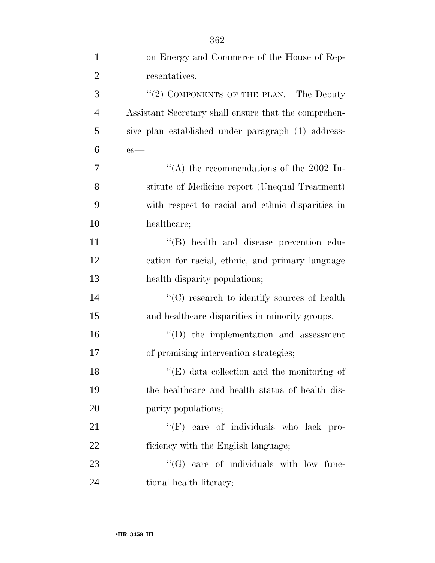| $\mathbf{1}$   | on Energy and Commerce of the House of Rep-          |
|----------------|------------------------------------------------------|
| $\overline{2}$ | resentatives.                                        |
| 3              | " $(2)$ COMPONENTS OF THE PLAN.—The Deputy           |
| $\overline{4}$ | Assistant Secretary shall ensure that the comprehen- |
| 5              | sive plan established under paragraph (1) address-   |
| 6              | $es$ —                                               |
| 7              | "(A) the recommendations of the 2002 In-             |
| 8              | stitute of Medicine report (Unequal Treatment)       |
| 9              | with respect to racial and ethnic disparities in     |
| 10             | healthcare;                                          |
| 11             | "(B) health and disease prevention edu-              |
| 12             | cation for racial, ethnic, and primary language      |
| 13             | health disparity populations;                        |
| 14             | $\cdot$ (C) research to identify sources of health   |
| 15             | and healthcare disparities in minority groups;       |
| 16             | $\lq\lq$ the implementation and assessment           |
| 17             | of promising intervention strategies;                |
| 18             | "(E) data collection and the monitoring of           |
| 19             | the healthcare and health status of health dis-      |
| 20             | parity populations;                                  |
| 21             | "(F) care of individuals who lack pro-               |
| 22             | ficiency with the English language;                  |
| 23             | "(G) care of individuals with low func-              |
| 24             | tional health literacy;                              |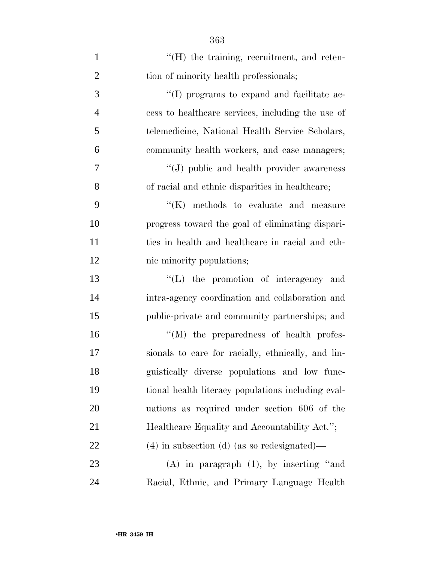| $\mathbf{1}$   | $H(H)$ the training, recruitment, and reten-       |
|----------------|----------------------------------------------------|
| $\overline{2}$ | tion of minority health professionals;             |
| 3              | "(I) programs to expand and facilitate ac-         |
| $\overline{4}$ | cess to healthcare services, including the use of  |
| 5              | telemedicine, National Health Service Scholars,    |
| 6              | community health workers, and case managers;       |
| 7              | "(J) public and health provider awareness          |
| 8              | of racial and ethnic disparities in healthcare;    |
| 9              | $\lq\lq(K)$ methods to evaluate and measure        |
| 10             | progress toward the goal of eliminating dispari-   |
| 11             | ties in health and healthcare in racial and eth-   |
| 12             | nic minority populations;                          |
| 13             | "(L) the promotion of interagency and              |
| 14             | intra-agency coordination and collaboration and    |
| 15             | public-private and community partnerships; and     |
| 16             | $\lq\lq (M)$ the preparedness of health profes-    |
| 17             | sionals to care for racially, ethnically, and lin- |
| 18             | guistically diverse populations and low func-      |
| 19             | tional health literacy populations including eval- |
| 20             | uations as required under section 606 of the       |
| 21             | Healthcare Equality and Accountability Act.";      |
| 22             | $(4)$ in subsection (d) (as so redesignated)—      |
| 23             | $(A)$ in paragraph $(1)$ , by inserting "and       |
| 24             | Racial, Ethnic, and Primary Language Health        |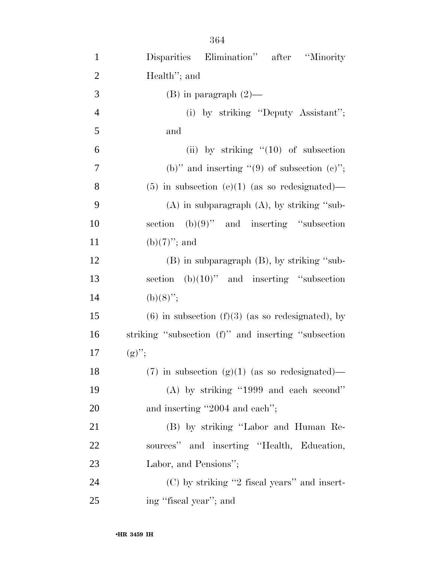| $\mathbf{1}$   | Disparities Elimination" after<br>"Minority"          |
|----------------|-------------------------------------------------------|
| $\overline{2}$ | Health"; and                                          |
| 3              | $(B)$ in paragraph $(2)$ —                            |
| $\overline{4}$ | (i) by striking "Deputy Assistant";                   |
| 5              | and                                                   |
| 6              | (ii) by striking $(10)$ of subsection                 |
| 7              | (b)" and inserting "(9) of subsection $(e)$ ";        |
| 8              | $(5)$ in subsection $(e)(1)$ (as so redesignated)—    |
| 9              | $(A)$ in subparagraph $(A)$ , by striking "sub-       |
| 10             | section $(b)(9)$ " and inserting "subsection          |
| 11             | $(b)(7)$ "; and                                       |
| 12             | $(B)$ in subparagraph $(B)$ , by striking "sub-       |
| 13             | section $(b)(10)$ " and inserting "subsection         |
| 14             | $(b)(8)$ ";                                           |
| 15             | $(6)$ in subsection $(f)(3)$ (as so redesignated), by |
| 16             | striking "subsection (f)" and inserting "subsection   |
| 17             | $(g)$ ";                                              |
| 18             | $(7)$ in subsection $(g)(1)$ (as so redesignated)—    |
| 19             | $(A)$ by striking "1999 and each second"              |
| 20             | and inserting "2004 and each";                        |
| 21             | (B) by striking "Labor and Human Re-                  |
| 22             | sources" and inserting "Health, Education,            |
| 23             | Labor, and Pensions";                                 |
| 24             | $(C)$ by striking "2 fiscal years" and insert-        |
| 25             | ing "fiscal year"; and                                |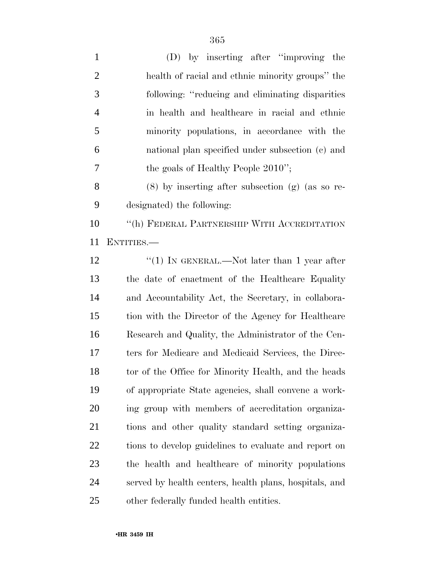| $\mathbf{1}$   | (D) by inserting after "improving the                  |
|----------------|--------------------------------------------------------|
| $\overline{2}$ | health of racial and ethnic minority groups" the       |
| 3              | following: "reducing and eliminating disparities"      |
| $\overline{4}$ | in health and healthcare in racial and ethnic          |
| 5              | minority populations, in accordance with the           |
| 6              | national plan specified under subsection (c) and       |
| 7              | the goals of Healthy People 2010";                     |
| 8              | $(8)$ by inserting after subsection $(g)$ (as so re-   |
| 9              | designated) the following:                             |
| 10             | "(h) FEDERAL PARTNERSHIP WITH ACCREDITATION            |
| 11             | ENTITIES.—                                             |
| 12             | "(1) IN GENERAL.—Not later than 1 year after           |
| 13             | the date of enactment of the Healthcare Equality       |
| 14             | and Accountability Act, the Secretary, in collabora-   |
| 15             | tion with the Director of the Agency for Healthcare    |
| 16             | Research and Quality, the Administrator of the Cen-    |
| 17             | ters for Medicare and Medicaid Services, the Direc-    |
| 18             | tor of the Office for Minority Health, and the heads   |
| 19             | of appropriate State agencies, shall convene a work-   |
| 20             | ing group with members of accreditation organiza-      |
| 21             | tions and other quality standard setting organiza-     |
| 22             | tions to develop guidelines to evaluate and report on  |
| 23             | the health and healthcare of minority populations      |
| 24             | served by health centers, health plans, hospitals, and |
|                |                                                        |

other federally funded health entities.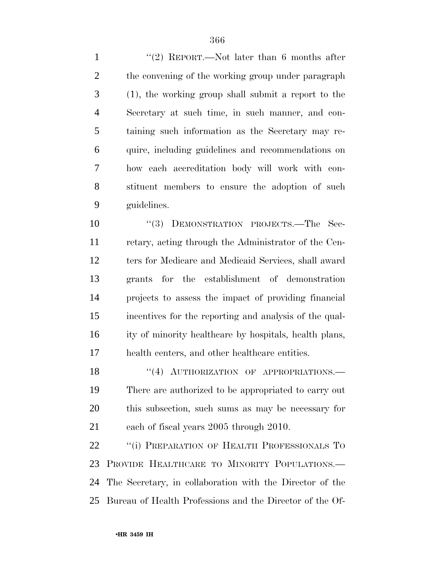1 ''(2) REPORT.—Not later than 6 months after 2 the convening of the working group under paragraph (1), the working group shall submit a report to the Secretary at such time, in such manner, and con- taining such information as the Secretary may re- quire, including guidelines and recommendations on how each accreditation body will work with con- stituent members to ensure the adoption of such guidelines.

10 "(3) DEMONSTRATION PROJECTS.—The Sec- retary, acting through the Administrator of the Cen- ters for Medicare and Medicaid Services, shall award grants for the establishment of demonstration projects to assess the impact of providing financial incentives for the reporting and analysis of the qual- ity of minority healthcare by hospitals, health plans, health centers, and other healthcare entities.

18 "(4) AUTHORIZATION OF APPROPRIATIONS. There are authorized to be appropriated to carry out this subsection, such sums as may be necessary for each of fiscal years 2005 through 2010.

22 "(i) PREPARATION OF HEALTH PROFESSIONALS TO PROVIDE HEALTHCARE TO MINORITY POPULATIONS.— The Secretary, in collaboration with the Director of the Bureau of Health Professions and the Director of the Of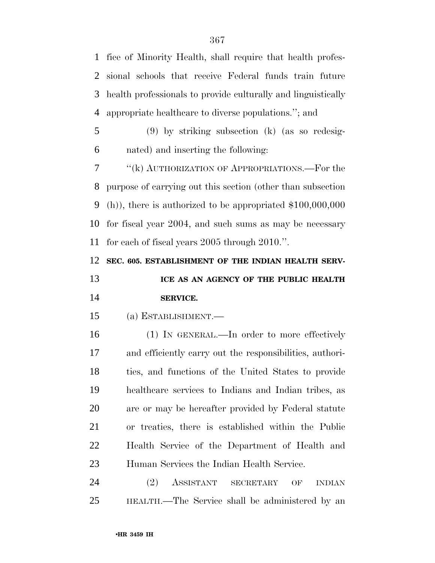fice of Minority Health, shall require that health profes- sional schools that receive Federal funds train future health professionals to provide culturally and linguistically appropriate healthcare to diverse populations.''; and

 (9) by striking subsection (k) (as so redesig-nated) and inserting the following:

 ''(k) AUTHORIZATION OF APPROPRIATIONS.—For the purpose of carrying out this section (other than subsection (h)), there is authorized to be appropriated \$100,000,000 for fiscal year 2004, and such sums as may be necessary for each of fiscal years 2005 through 2010.''.

**SEC. 605. ESTABLISHMENT OF THE INDIAN HEALTH SERV-**

 **ICE AS AN AGENCY OF THE PUBLIC HEALTH SERVICE.** 

(a) ESTABLISHMENT.—

 (1) IN GENERAL.—In order to more effectively and efficiently carry out the responsibilities, authori- ties, and functions of the United States to provide healthcare services to Indians and Indian tribes, as are or may be hereafter provided by Federal statute or treaties, there is established within the Public Health Service of the Department of Health and Human Services the Indian Health Service.

 (2) ASSISTANT SECRETARY OF INDIAN HEALTH.—The Service shall be administered by an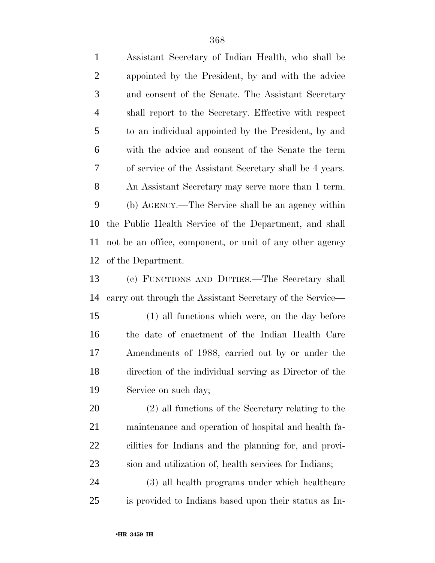Assistant Secretary of Indian Health, who shall be appointed by the President, by and with the advice and consent of the Senate. The Assistant Secretary shall report to the Secretary. Effective with respect to an individual appointed by the President, by and with the advice and consent of the Senate the term of service of the Assistant Secretary shall be 4 years. An Assistant Secretary may serve more than 1 term. (b) AGENCY.—The Service shall be an agency within the Public Health Service of the Department, and shall not be an office, component, or unit of any other agency of the Department.

 (c) FUNCTIONS AND DUTIES.—The Secretary shall carry out through the Assistant Secretary of the Service—

 (1) all functions which were, on the day before the date of enactment of the Indian Health Care Amendments of 1988, carried out by or under the direction of the individual serving as Director of the Service on such day;

 (2) all functions of the Secretary relating to the maintenance and operation of hospital and health fa- cilities for Indians and the planning for, and provi-sion and utilization of, health services for Indians;

 (3) all health programs under which healthcare is provided to Indians based upon their status as In-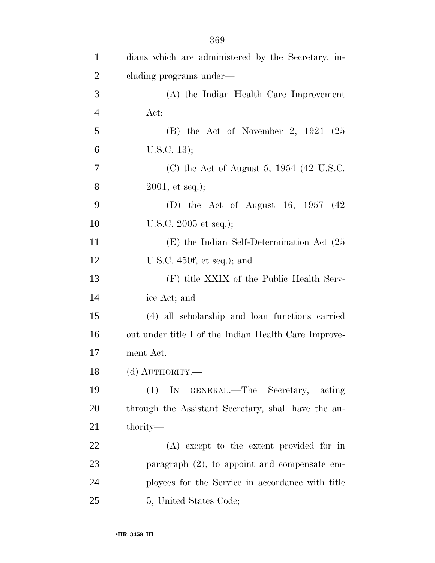| $\mathbf{1}$   | dians which are administered by the Secretary, in-   |
|----------------|------------------------------------------------------|
| $\overline{2}$ | cluding programs under—                              |
| 3              | (A) the Indian Health Care Improvement               |
| $\overline{4}$ | Act;                                                 |
| 5              | $(B)$ the Act of November 2, 1921 (25                |
| 6              | U.S.C. 13);                                          |
| 7              | (C) the Act of August 5, $1954$ (42 U.S.C.           |
| 8              | $2001,$ et seq.);                                    |
| 9              | (D) the Act of August 16, 1957 $(42)$                |
| 10             | U.S.C. $2005$ et seq.);                              |
| 11             | $(E)$ the Indian Self-Determination Act $(25)$       |
| 12             | U.S.C. $450f$ , et seq.); and                        |
| 13             | (F) title XXIX of the Public Health Serv-            |
| 14             | ice Act; and                                         |
| 15             | (4) all scholarship and loan functions carried       |
| 16             | out under title I of the Indian Health Care Improve- |
| 17             | ment Act.                                            |
| 18             | (d) AUTHORITY.-                                      |
| 19             | (1) IN GENERAL.—The Secretary, acting                |
| 20             | through the Assistant Secretary, shall have the au-  |
| 21             | thority—                                             |
| 22             | (A) except to the extent provided for in             |
| 23             | paragraph $(2)$ , to appoint and compensate em-      |
| 24             | ployees for the Service in accordance with title     |
| 25             | 5, United States Code;                               |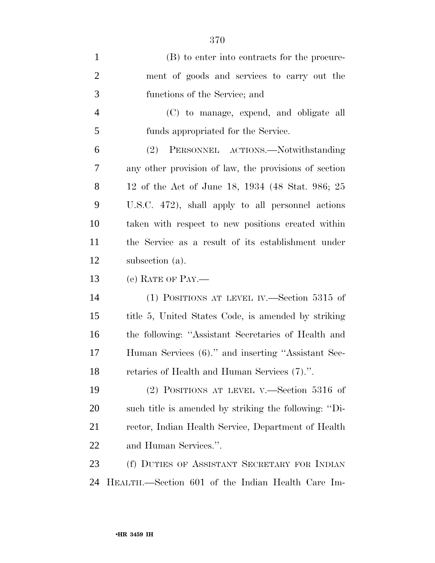| $\mathbf{1}$   | (B) to enter into contracts for the procure-          |
|----------------|-------------------------------------------------------|
| $\overline{2}$ | ment of goods and services to carry out the           |
| 3              | functions of the Service; and                         |
| $\overline{4}$ | (C) to manage, expend, and obligate all               |
| 5              | funds appropriated for the Service.                   |
| 6              | (2) PERSONNEL ACTIONS.—Notwithstanding                |
| 7              | any other provision of law, the provisions of section |
| 8              | 12 of the Act of June 18, 1934 (48 Stat. 986; 25      |
| 9              | U.S.C. 472), shall apply to all personnel actions     |
| 10             | taken with respect to new positions created within    |
| 11             | the Service as a result of its establishment under    |
| 12             | subsection (a).                                       |
| 13             | (e) RATE OF PAY.—                                     |
| 14             | (1) POSITIONS AT LEVEL IV.—Section 5315 of            |
| 15             | title 5, United States Code, is amended by striking   |
|                |                                                       |
| 16             | the following: "Assistant Secretaries of Health and   |
| 17             | Human Services (6)." and inserting "Assistant Sec-    |
| 18             | retaries of Health and Human Services (7).".          |
| 19             | (2) POSITIONS AT LEVEL V.—Section $5316$ of           |
| <b>20</b>      | such title is amended by striking the following: "Di- |
| 21             | rector, Indian Health Service, Department of Health   |
| <u>22</u>      | and Human Services.".                                 |
| 23             | (f) DUTIES OF ASSISTANT SECRETARY FOR INDIAN          |

HEALTH.—Section 601 of the Indian Health Care Im-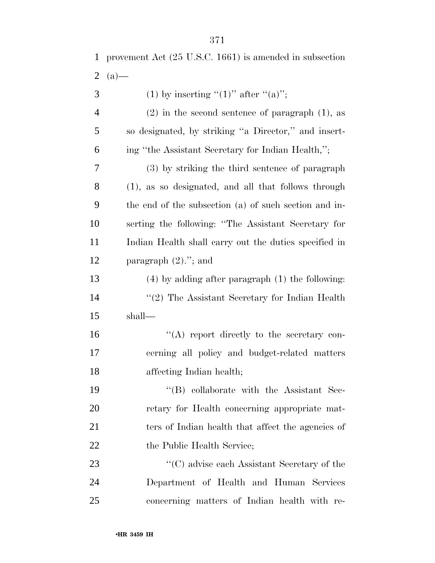|                | 2 $(a)$ —                                             |
|----------------|-------------------------------------------------------|
| 3              | (1) by inserting "(1)" after "(a)";                   |
| $\overline{4}$ | $(2)$ in the second sentence of paragraph $(1)$ , as  |
| 5              | so designated, by striking "a Director," and insert-  |
| 6              | ing "the Assistant Secretary for Indian Health,";     |
| 7              | (3) by striking the third sentence of paragraph       |
| 8              | (1), as so designated, and all that follows through   |
| 9              | the end of the subsection (a) of such section and in- |
| 10             | serting the following: "The Assistant Secretary for   |
| 11             | Indian Health shall carry out the duties specified in |
| 12             | paragraph $(2)$ ."; and                               |
| 13             | $(4)$ by adding after paragraph $(1)$ the following:  |
| 14             | $"(2)$ The Assistant Secretary for Indian Health      |
| 15             | shall—                                                |
| 16             | $\lq\lq$ report directly to the secretary con-        |
| 17             | cerning all policy and budget-related matters         |
| 18             | affecting Indian health;                              |
| 19             | "(B) collaborate with the Assistant Sec-              |
| 20             | retary for Health concerning appropriate mat-         |
| 21             | ters of Indian health that affect the agencies of     |
| 22             | the Public Health Service;                            |
| 23             | $\lq\lq$ (C) advise each Assistant Secretary of the   |
| 24             | Department of Health and Human Services               |
| 25             | concerning matters of Indian health with re-          |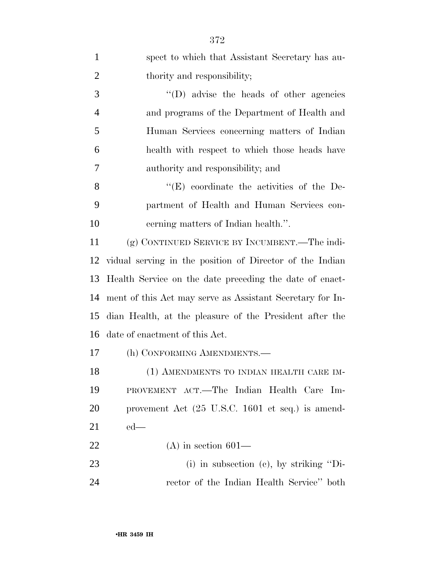| $\mathbf{1}$   | spect to which that Assistant Secretary has au-           |
|----------------|-----------------------------------------------------------|
| $\overline{2}$ | thority and responsibility;                               |
| 3              | "(D) advise the heads of other agencies                   |
| $\overline{4}$ | and programs of the Department of Health and              |
| 5              | Human Services concerning matters of Indian               |
| 6              | health with respect to which those heads have             |
| 7              | authority and responsibility; and                         |
| 8              | $\lq\lq$ (E) coordinate the activities of the De-         |
| 9              | partment of Health and Human Services con-                |
| 10             | cerning matters of Indian health.".                       |
| 11             | (g) CONTINUED SERVICE BY INCUMBENT.—The indi-             |
| 12             | vidual serving in the position of Director of the Indian  |
| 13             | Health Service on the date preceding the date of enact-   |
| 14             | ment of this Act may serve as Assistant Secretary for In- |
| 15             | dian Health, at the pleasure of the President after the   |
| 16             | date of enactment of this Act.                            |
| 17             | (h) CONFORMING AMENDMENTS.—                               |
| 18             | (1) AMENDMENTS TO INDIAN HEALTH CARE IM-                  |
| 19             | PROVEMENT ACT.—The Indian Health Care Im-                 |
| 20             | provement Act (25 U.S.C. 1601 et seq.) is amend-          |
| 21             | $ed$ —                                                    |
| 22             | $(A)$ in section 601—                                     |
| 23             | (i) in subsection (c), by striking "Di-                   |
| 24             | rector of the Indian Health Service" both                 |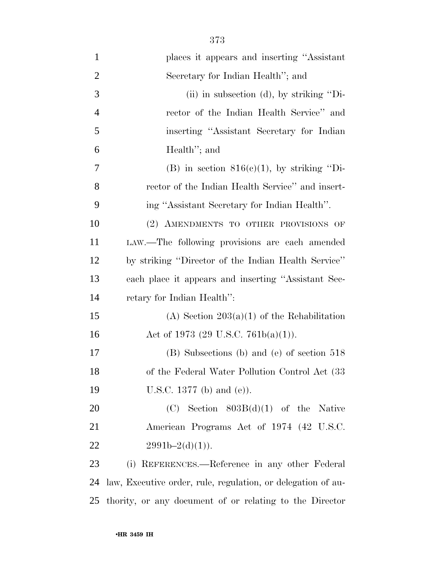| $\mathbf{1}$   | places it appears and inserting "Assistant"                  |
|----------------|--------------------------------------------------------------|
| $\overline{2}$ | Secretary for Indian Health"; and                            |
| 3              | (ii) in subsection (d), by striking "Di-                     |
| $\overline{4}$ | rector of the Indian Health Service" and                     |
| 5              | inserting "Assistant Secretary for Indian                    |
| 6              | Health"; and                                                 |
| $\tau$         | (B) in section $816(c)(1)$ , by striking "Di-                |
| 8              | rector of the Indian Health Service" and insert-             |
| 9              | ing "Assistant Secretary for Indian Health".                 |
| 10             | (2) AMENDMENTS TO OTHER PROVISIONS OF                        |
| 11             | LAW.—The following provisions are each amended               |
| 12             | by striking "Director of the Indian Health Service"          |
| 13             | each place it appears and inserting "Assistant Sec-          |
| 14             | retary for Indian Health":                                   |
| 15             | (A) Section $203(a)(1)$ of the Rehabilitation                |
| 16             | Act of 1973 (29 U.S.C. 761b(a)(1)).                          |
| $17\,$         | (B) Subsections (b) and (e) of section 518                   |
| 18             | of the Federal Water Pollution Control Act (33               |
| 19             | U.S.C. 1377 (b) and (e)).                                    |
| 20             | $(C)$ Section 803B $(d)(1)$ of the Native                    |
| 21             | American Programs Act of 1974 (42 U.S.C.                     |
| 22             | $2991b-2(d)(1)$ .                                            |
| 23             | (i) REFERENCES.—Reference in any other Federal               |
| 24             | law, Executive order, rule, regulation, or delegation of au- |
| 25             | thority, or any document of or relating to the Director      |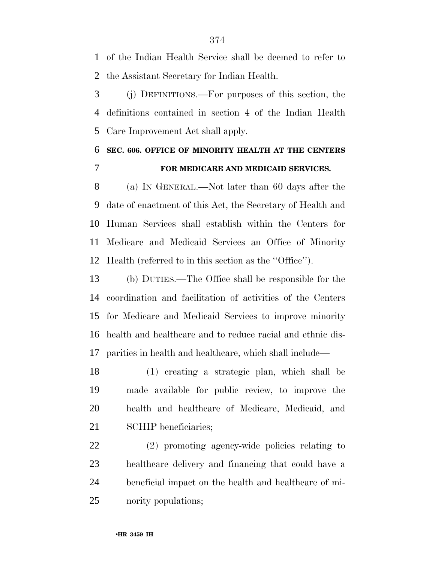of the Indian Health Service shall be deemed to refer to the Assistant Secretary for Indian Health.

 (j) DEFINITIONS.—For purposes of this section, the definitions contained in section 4 of the Indian Health Care Improvement Act shall apply.

### **SEC. 606. OFFICE OF MINORITY HEALTH AT THE CENTERS FOR MEDICARE AND MEDICAID SERVICES.**

 (a) IN GENERAL.—Not later than 60 days after the date of enactment of this Act, the Secretary of Health and Human Services shall establish within the Centers for Medicare and Medicaid Services an Office of Minority Health (referred to in this section as the ''Office'').

 (b) DUTIES.—The Office shall be responsible for the coordination and facilitation of activities of the Centers for Medicare and Medicaid Services to improve minority health and healthcare and to reduce racial and ethnic dis-parities in health and healthcare, which shall include—

 (1) creating a strategic plan, which shall be made available for public review, to improve the health and healthcare of Medicare, Medicaid, and 21 SCHIP beneficiaries;

 (2) promoting agency-wide policies relating to healthcare delivery and financing that could have a beneficial impact on the health and healthcare of mi-nority populations;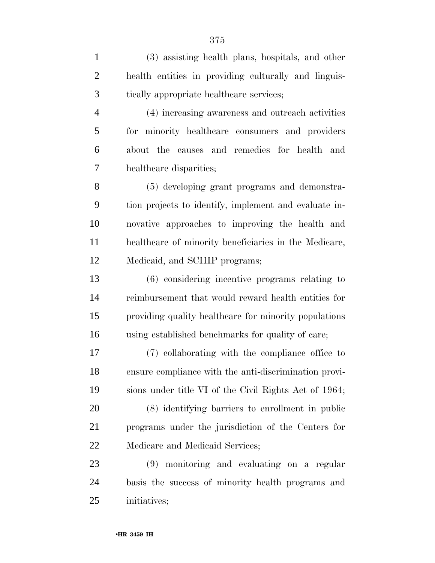(3) assisting health plans, hospitals, and other health entities in providing culturally and linguis- tically appropriate healthcare services; (4) increasing awareness and outreach activities for minority healthcare consumers and providers about the causes and remedies for health and healthcare disparities; (5) developing grant programs and demonstra- tion projects to identify, implement and evaluate in- novative approaches to improving the health and healthcare of minority beneficiaries in the Medicare, Medicaid, and SCHIP programs; (6) considering incentive programs relating to reimbursement that would reward health entities for providing quality healthcare for minority populations using established benchmarks for quality of care; (7) collaborating with the compliance office to ensure compliance with the anti-discrimination provi- sions under title VI of the Civil Rights Act of 1964; (8) identifying barriers to enrollment in public programs under the jurisdiction of the Centers for Medicare and Medicaid Services; (9) monitoring and evaluating on a regular basis the success of minority health programs and

initiatives;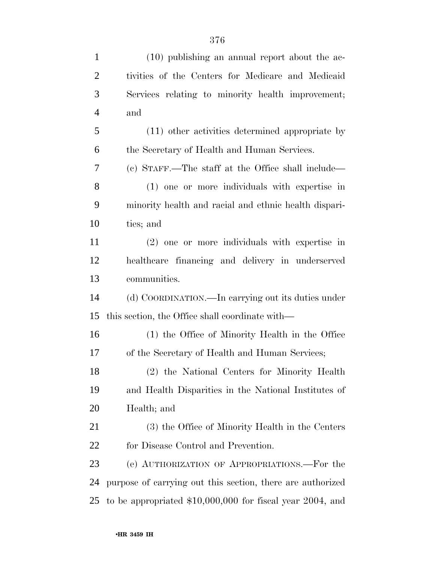| $\mathbf{1}$   | $(10)$ publishing an annual report about the ac-           |
|----------------|------------------------------------------------------------|
| $\mathfrak{2}$ | tivities of the Centers for Medicare and Medicaid          |
| 3              | Services relating to minority health improvement;          |
| $\overline{4}$ | and                                                        |
| 5              | (11) other activities determined appropriate by            |
| 6              | the Secretary of Health and Human Services.                |
| 7              | (c) STAFF.—The staff at the Office shall include—          |
| 8              | (1) one or more individuals with expertise in              |
| 9              | minority health and racial and ethnic health dispari-      |
| 10             | ties; and                                                  |
| 11             | (2) one or more individuals with expertise in              |
| 12             | healthcare financing and delivery in underserved           |
| 13             | communities.                                               |
| 14             | (d) COORDINATION.—In carrying out its duties under         |
| 15             | this section, the Office shall coordinate with—            |
| 16             | (1) the Office of Minority Health in the Office            |
| 17             | of the Secretary of Health and Human Services;             |
| 18             | (2) the National Centers for Minority Health               |
| 19             | and Health Disparities in the National Institutes of       |
| 20             | Health; and                                                |
| 21             | (3) the Office of Minority Health in the Centers           |
| 22             | for Disease Control and Prevention.                        |
| 23             | (e) AUTHORIZATION OF APPROPRIATIONS.—For the               |
| 24             | purpose of carrying out this section, there are authorized |
| 25             | to be appropriated $$10,000,000$ for fiscal year 2004, and |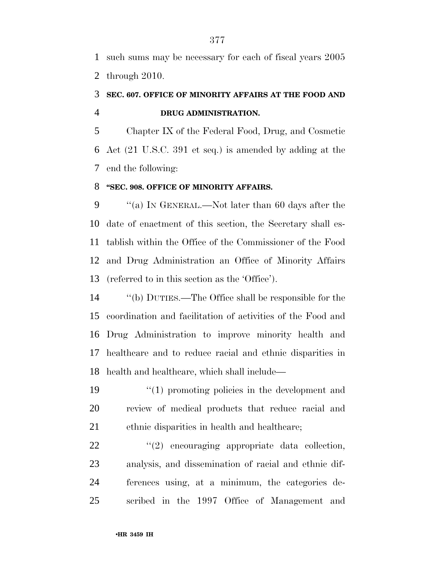such sums may be necessary for each of fiscal years 2005 through 2010.

### **SEC. 607. OFFICE OF MINORITY AFFAIRS AT THE FOOD AND DRUG ADMINISTRATION.**

 Chapter IX of the Federal Food, Drug, and Cosmetic Act (21 U.S.C. 391 et seq.) is amended by adding at the end the following:

#### **''SEC. 908. OFFICE OF MINORITY AFFAIRS.**

 ''(a) IN GENERAL.—Not later than 60 days after the date of enactment of this section, the Secretary shall es- tablish within the Office of the Commissioner of the Food and Drug Administration an Office of Minority Affairs (referred to in this section as the 'Office').

 ''(b) DUTIES.—The Office shall be responsible for the coordination and facilitation of activities of the Food and Drug Administration to improve minority health and healthcare and to reduce racial and ethnic disparities in health and healthcare, which shall include—

19 ''(1) promoting policies in the development and review of medical products that reduce racial and 21 ethnic disparities in health and healthcare;

  $(2)$  encouraging appropriate data collection, analysis, and dissemination of racial and ethnic dif- ferences using, at a minimum, the categories de-scribed in the 1997 Office of Management and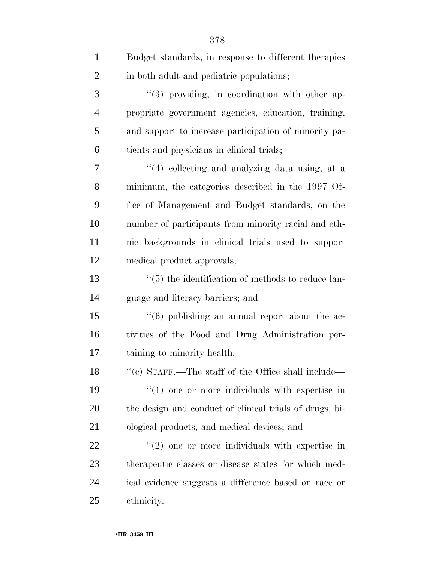| $\mathbf{1}$   | Budget standards, in response to different therapies           |
|----------------|----------------------------------------------------------------|
| $\overline{2}$ | in both adult and pediatric populations;                       |
| 3              | "(3) providing, in coordination with other ap-                 |
| 4              | propriate government agencies, education, training,            |
| 5              | and support to increase participation of minority pa-          |
| 6              | tients and physicians in clinical trials;                      |
| 7              | "(4) collecting and analyzing data using, at a                 |
| 8              | minimum, the categories described in the 1997 Of-              |
| 9              | fice of Management and Budget standards, on the                |
| 10             | number of participants from minority racial and eth-           |
| 11             | nic backgrounds in clinical trials used to support             |
| 12             | medical product approvals;                                     |
| 13             | $\cdot\cdot$ (5) the identification of methods to reduce lan-  |
| 14             | guage and literacy barriers; and                               |
| 15             | $\cdot\cdot$ (6) publishing an annual report about the ac-     |
| 16             | tivities of the Food and Drug Administration per-              |
| 17             | taining to minority health.                                    |
| 18             | "(c) STAFF.—The staff of the Office shall include—             |
| 19             | $\cdot\cdot\cdot(1)$ one or more individuals with expertise in |
| 20             | the design and conduct of clinical trials of drugs, bi-        |
| 21             | ological products, and medical devices; and                    |
| <u>22</u>      | $\cdot\cdot\cdot(2)$ one or more individuals with expertise in |
| 23             | therapeutic classes or disease states for which med-           |
| 24             | ical evidence suggests a difference based on race or           |
| 25             | ethnicity.                                                     |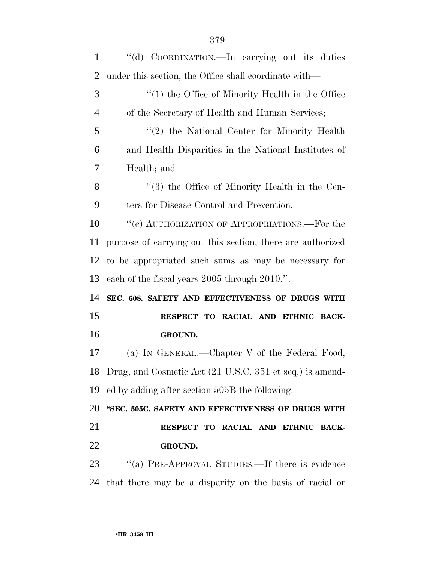| 1              | "(d) COORDINATION.—In carrying out its duties               |
|----------------|-------------------------------------------------------------|
| 2              | under this section, the Office shall coordinate with—       |
| 3              | $\lq(1)$ the Office of Minority Health in the Office        |
| $\overline{4}$ | of the Secretary of Health and Human Services;              |
| 5              | $\lq(2)$ the National Center for Minority Health            |
| 6              | and Health Disparities in the National Institutes of        |
| 7              | Health; and                                                 |
| 8              | "(3) the Office of Minority Health in the Cen-              |
| 9              | ters for Disease Control and Prevention.                    |
| 10             | "(e) AUTHORIZATION OF APPROPRIATIONS.—For the               |
| 11             | purpose of carrying out this section, there are authorized  |
| 12             | to be appropriated such sums as may be necessary for        |
|                |                                                             |
| 13             | each of the fiscal years 2005 through 2010.".               |
| 14             | SEC. 608. SAFETY AND EFFECTIVENESS OF DRUGS WITH            |
| 15             | RESPECT TO RACIAL AND ETHNIC BACK-                          |
| 16             | GROUND.                                                     |
| 17             | (a) IN GENERAL.—Chapter V of the Federal Food,              |
|                | 18 Drug, and Cosmetic Act (21 U.S.C. 351 et seq.) is amend- |
| 19             | ed by adding after section 505B the following:              |
| 20             | "SEC. 505C. SAFETY AND EFFECTIVENESS OF DRUGS WITH          |
| 21             | RESPECT TO RACIAL AND ETHNIC BACK-                          |
| 22             | GROUND.                                                     |
| 23             | "(a) PRE-APPROVAL STUDIES.—If there is evidence             |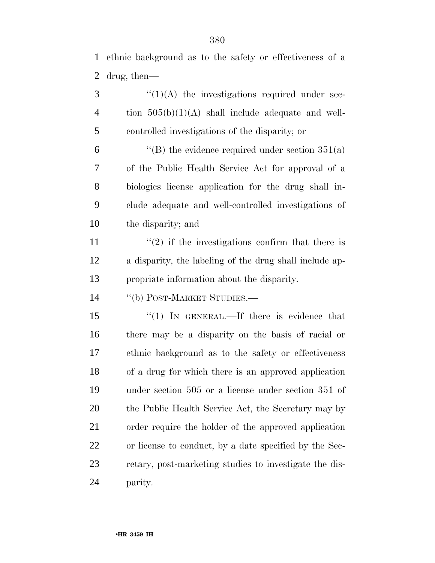ethnic background as to the safety or effectiveness of a drug, then—

 ''(1)(A) the investigations required under sec-4 tion  $505(b)(1)(A)$  shall include adequate and well-controlled investigations of the disparity; or

 $\langle$  (B) the evidence required under section 351(a) of the Public Health Service Act for approval of a biologics license application for the drug shall in- clude adequate and well-controlled investigations of the disparity; and

11  $\frac{1}{2}$  if the investigations confirm that there is a disparity, the labeling of the drug shall include ap-propriate information about the disparity.

14 "(b) POST-MARKET STUDIES.—

15 "(1) In GENERAL.—If there is evidence that there may be a disparity on the basis of racial or ethnic background as to the safety or effectiveness of a drug for which there is an approved application under section 505 or a license under section 351 of the Public Health Service Act, the Secretary may by order require the holder of the approved application or license to conduct, by a date specified by the Sec- retary, post-marketing studies to investigate the dis-parity.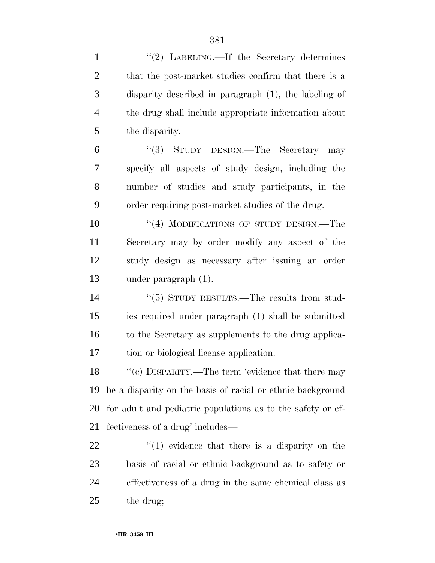| $\mathbf{1}$   | "(2) LABELING.—If the Secretary determines                   |
|----------------|--------------------------------------------------------------|
| $\overline{2}$ | that the post-market studies confirm that there is a         |
| 3              | disparity described in paragraph (1), the labeling of        |
| $\overline{4}$ | the drug shall include appropriate information about         |
| 5              | the disparity.                                               |
| 6              | "(3) STUDY DESIGN.—The Secretary may                         |
| 7              | specify all aspects of study design, including the           |
| 8              | number of studies and study participants, in the             |
| 9              | order requiring post-market studies of the drug.             |
| 10             | "(4) MODIFICATIONS OF STUDY DESIGN.—The                      |
| 11             | Secretary may by order modify any aspect of the              |
| 12             | study design as necessary after issuing an order             |
| 13             | under paragraph $(1)$ .                                      |
| 14             | $\cdot\cdot$ (5) STUDY RESULTS.—The results from stud-       |
| 15             | ies required under paragraph (1) shall be submitted          |
| 16             | to the Secretary as supplements to the drug applica-         |
| 17             | tion or biological license application.                      |
| 18             | "(c) DISPARITY.—The term 'evidence that there may            |
| 19             | be a disparity on the basis of racial or ethnic background   |
| 20             | for a dult and pediatric populations as to the safety or ef- |
| 21             | fectiveness of a drug' includes—                             |
| 22             | $f(1)$ evidence that there is a disparity on the             |
| 23             | basis of racial or ethnic background as to safety or         |
| 24             | effectiveness of a drug in the same chemical class as        |
| 25             | the drug;                                                    |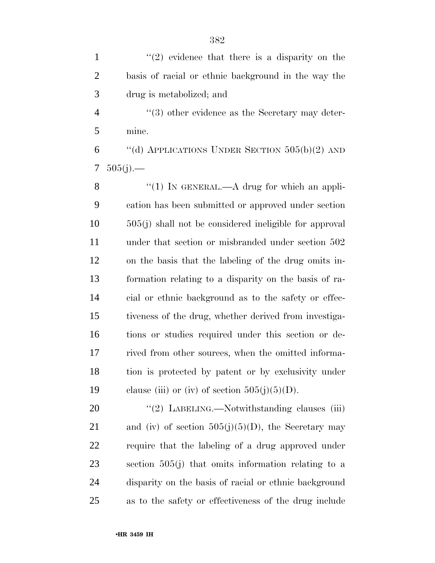| $\mathbf{1}$   | $\lq(2)$ evidence that there is a disparity on the       |
|----------------|----------------------------------------------------------|
| $\overline{2}$ | basis of racial or ethnic background in the way the      |
| 3              | drug is metabolized; and                                 |
| $\overline{4}$ | "(3) other evidence as the Secretary may deter-          |
| 5              | mine.                                                    |
| 6              | "(d) APPLICATIONS UNDER SECTION $505(b)(2)$ AND          |
| 7              | $505(j)$ .—                                              |
| 8              | "(1) IN GENERAL.— $A$ drug for which an appli-           |
| 9              | cation has been submitted or approved under section      |
| 10             | $505(j)$ shall not be considered ineligible for approval |
| 11             | under that section or misbranded under section 502       |
| 12             | on the basis that the labeling of the drug omits in-     |
| 13             | formation relating to a disparity on the basis of ra-    |
| 14             | cial or ethnic background as to the safety or effec-     |
| 15             | tiveness of the drug, whether derived from investiga-    |
| 16             | tions or studies required under this section or de-      |
| 17             | rived from other sources, when the omitted informa-      |
| 18             | tion is protected by patent or by exclusivity under      |
| 19             | clause (iii) or (iv) of section $505(j)(5)(D)$ .         |
| 20             | "(2) LABELING.—Notwithstanding clauses (iii)             |
| 21             | and (iv) of section $505(j)(5)(D)$ , the Secretary may   |
| 22             | require that the labeling of a drug approved under       |
| 23             | section $505(j)$ that omits information relating to a    |
| 24             | disparity on the basis of racial or ethnic background    |
| 25             | as to the safety or effectiveness of the drug include    |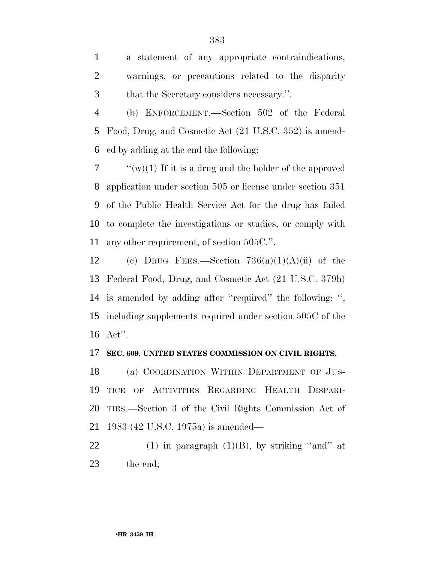a statement of any appropriate contraindications, warnings, or precautions related to the disparity that the Secretary considers necessary.''.

 (b) ENFORCEMENT.—Section 502 of the Federal Food, Drug, and Cosmetic Act (21 U.S.C. 352) is amend-ed by adding at the end the following:

 $\gamma$  (w)(1) If it is a drug and the holder of the approved application under section 505 or license under section 351 of the Public Health Service Act for the drug has failed to complete the investigations or studies, or comply with any other requirement, of section 505C.''.

12 (c) DRUG FEES.—Section  $736(a)(1)(A)(ii)$  of the Federal Food, Drug, and Cosmetic Act (21 U.S.C. 379h) is amended by adding after ''required'' the following: '', including supplements required under section 505C of the Act''.

#### **SEC. 609. UNITED STATES COMMISSION ON CIVIL RIGHTS.**

 (a) COORDINATION WITHIN DEPARTMENT OF JUS- TICE OF ACTIVITIES REGARDING HEALTH DISPARI- TIES.—Section 3 of the Civil Rights Commission Act of 1983 (42 U.S.C. 1975a) is amended—

22 (1) in paragraph  $(1)(B)$ , by striking "and" at the end;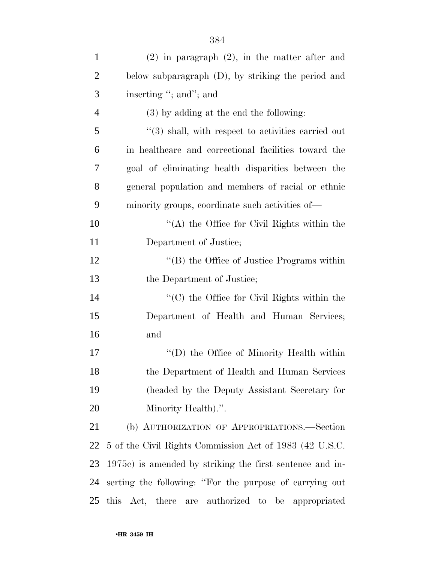| $\mathbf{1}$   | $(2)$ in paragraph $(2)$ , in the matter after and        |
|----------------|-----------------------------------------------------------|
| $\overline{2}$ | below subparagraph (D), by striking the period and        |
| 3              | inserting "; and"; and                                    |
| 4              | $(3)$ by adding at the end the following:                 |
| 5              | $\cdot$ (3) shall, with respect to activities carried out |
| 6              | in healthcare and correctional facilities toward the      |
| 7              | goal of eliminating health disparities between the        |
| 8              | general population and members of racial or ethnic        |
| 9              | minority groups, coordinate such activities of—           |
| 10             | $\lq\lq$ the Office for Civil Rights within the           |
| 11             | Department of Justice;                                    |
| 12             | "(B) the Office of Justice Programs within                |
| 13             | the Department of Justice;                                |
| 14             | $\cdot$ (C) the Office for Civil Rights within the        |
| 15             | Department of Health and Human Services;                  |
| 16             | and                                                       |
| 17             | "(D) the Office of Minority Health within                 |
| 18             | the Department of Health and Human Services               |
| 19             | (headed by the Deputy Assistant Secretary for             |
| 20             | Minority Health).".                                       |
| 21             | (b) AUTHORIZATION OF APPROPRIATIONS.—Section              |
| 22             | 5 of the Civil Rights Commission Act of 1983 (42 U.S.C.   |
| 23             | 1975c) is amended by striking the first sentence and in-  |
| 24             | serting the following: "For the purpose of carrying out   |
| 25             | this Act, there are authorized to<br>be appropriated      |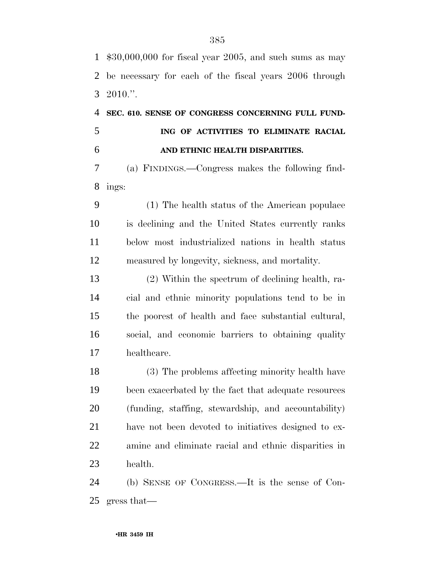\$30,000,000 for fiscal year 2005, and such sums as may be necessary for each of the fiscal years 2006 through 2010.''.

## **SEC. 610. SENSE OF CONGRESS CONCERNING FULL FUND- ING OF ACTIVITIES TO ELIMINATE RACIAL AND ETHNIC HEALTH DISPARITIES.**

 (a) FINDINGS.—Congress makes the following find-ings:

 (1) The health status of the American populace is declining and the United States currently ranks below most industrialized nations in health status measured by longevity, sickness, and mortality.

 (2) Within the spectrum of declining health, ra- cial and ethnic minority populations tend to be in the poorest of health and face substantial cultural, social, and economic barriers to obtaining quality healthcare.

 (3) The problems affecting minority health have been exacerbated by the fact that adequate resources (funding, staffing, stewardship, and accountability) have not been devoted to initiatives designed to ex- amine and eliminate racial and ethnic disparities in health.

 (b) SENSE OF CONGRESS.—It is the sense of Con-gress that—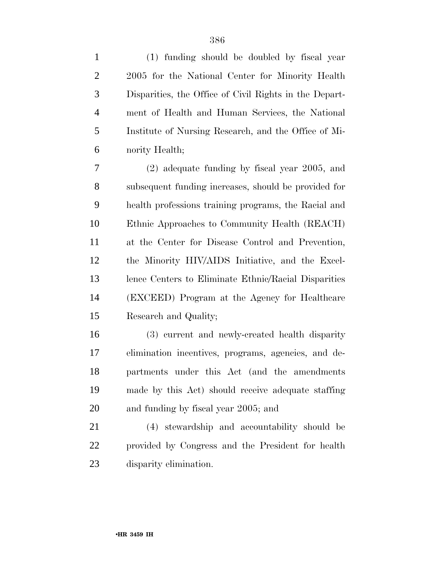| $\mathbf{1}$   | (1) funding should be doubled by fiscal year           |
|----------------|--------------------------------------------------------|
| $\overline{2}$ | 2005 for the National Center for Minority Health       |
| 3              | Disparities, the Office of Civil Rights in the Depart- |
| $\overline{4}$ | ment of Health and Human Services, the National        |
| 5              | Institute of Nursing Research, and the Office of Mi-   |
| 6              | nority Health;                                         |
| 7              | $(2)$ adequate funding by fiscal year 2005, and        |
| 8              | subsequent funding increases, should be provided for   |
| 9              | health professions training programs, the Racial and   |
| 10             | Ethnic Approaches to Community Health (REACH)          |
| 11             | at the Center for Disease Control and Prevention,      |
| 12             | the Minority HIV/AIDS Initiative, and the Excel-       |
| 13             | lence Centers to Eliminate Ethnic/Racial Disparities   |
| 14             | (EXCEED) Program at the Agency for Healthcare          |
| 15             | Research and Quality;                                  |
| 16             | (3) current and newly-created health disparity         |
| 17             | elimination incentives, programs, agencies, and de-    |
| 18             | partments under this Act (and the amendments           |
| 19             | made by this Act) should receive adequate staffing     |
| 20             | and funding by fiscal year 2005; and                   |
| 21             | (4) stewardship and accountability should be           |
| 22             | provided by Congress and the President for health      |
| 23             | disparity elimination.                                 |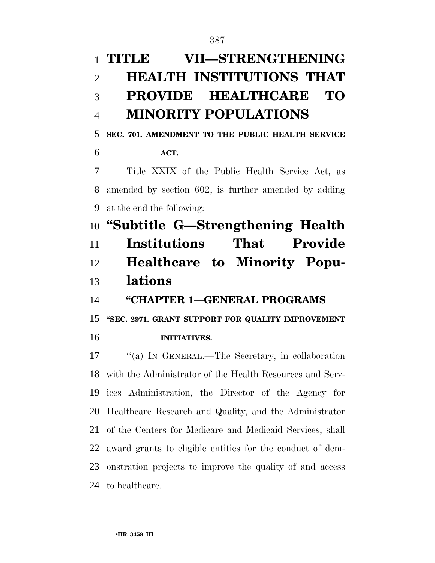# **TITLE VII—STRENGTHENING HEALTH INSTITUTIONS THAT PROVIDE HEALTHCARE TO MINORITY POPULATIONS**

**SEC. 701. AMENDMENT TO THE PUBLIC HEALTH SERVICE** 

**ACT.** 

 Title XXIX of the Public Health Service Act, as amended by section 602, is further amended by adding at the end the following:

 **''Subtitle G—Strengthening Health Institutions That Provide Healthcare to Minority Popu-lations** 

**''CHAPTER 1—GENERAL PROGRAMS** 

**''SEC. 2971. GRANT SUPPORT FOR QUALITY IMPROVEMENT** 

**INITIATIVES.** 

 ''(a) IN GENERAL.—The Secretary, in collaboration with the Administrator of the Health Resources and Serv- ices Administration, the Director of the Agency for Healthcare Research and Quality, and the Administrator of the Centers for Medicare and Medicaid Services, shall award grants to eligible entities for the conduct of dem- onstration projects to improve the quality of and access to healthcare.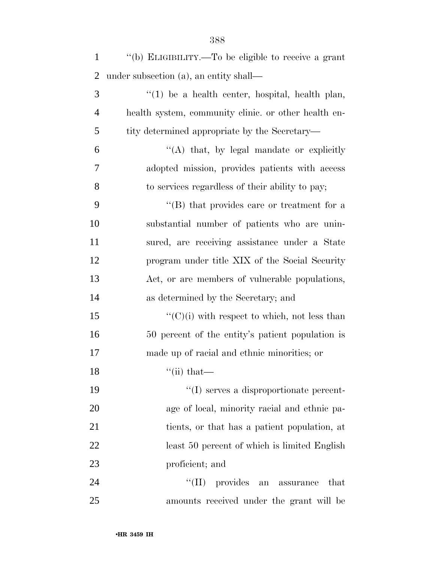| $\mathbf{1}$   | "(b) ELIGIBILITY.—To be eligible to receive a grant  |
|----------------|------------------------------------------------------|
| $\overline{2}$ | under subsection (a), an entity shall—               |
| 3              | $\lq(1)$ be a health center, hospital, health plan,  |
| $\overline{4}$ | health system, community clinic. or other health en- |
| 5              | tity determined appropriate by the Secretary—        |
| 6              | $\lq\lq$ that, by legal mandate or explicitly        |
| 7              | adopted mission, provides patients with access       |
| 8              | to services regardless of their ability to pay;      |
| 9              | $\lq\lq (B)$ that provides care or treatment for a   |
| 10             | substantial number of patients who are unin-         |
| 11             | sured, are receiving assistance under a State        |
| 12             | program under title XIX of the Social Security       |
| 13             | Act, or are members of vulnerable populations,       |
| 14             | as determined by the Secretary; and                  |
| 15             | $\lq\lq$ (C)(i) with respect to which, not less than |
| 16             | 50 percent of the entity's patient population is     |
| 17             | made up of racial and ethnic minorities; or          |
| 18             | $``$ (ii) that—                                      |
| 19             | $\lq\lq$ serves a disproportionate percent-          |
| 20             | age of local, minority racial and ethnic pa-         |
| 21             | tients, or that has a patient population, at         |
| 22             | least 50 percent of which is limited English         |
| 23             | proficient; and                                      |
| 24             | ``(II)<br>provides<br>that<br>an assurance           |
| 25             | amounts received under the grant will be             |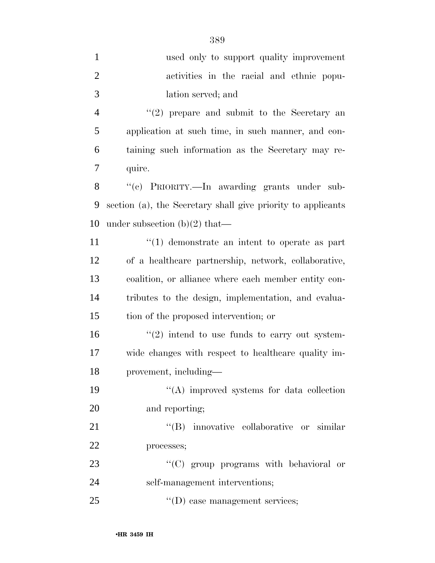| $\mathbf{1}$   | used only to support quality improvement                      |
|----------------|---------------------------------------------------------------|
| $\overline{c}$ | activities in the racial and ethnic popu-                     |
| 3              | lation served; and                                            |
| 4              | $"(2)$ prepare and submit to the Secretary an                 |
| 5              | application at such time, in such manner, and con-            |
| 6              | taining such information as the Secretary may re-             |
| 7              | quire.                                                        |
| 8              | "(c) PRIORITY.—In awarding grants under sub-                  |
| 9              | section (a), the Secretary shall give priority to applicants  |
| 10             | under subsection $(b)(2)$ that—                               |
| 11             | $\cdot$ (1) demonstrate an intent to operate as part          |
| 12             | of a healthcare partnership, network, collaborative,          |
| 13             | coalition, or alliance where each member entity con-          |
| 14             | tributes to the design, implementation, and evalua-           |
| 15             | tion of the proposed intervention; or                         |
| 16             | $\cdot\cdot\cdot(2)$ intend to use funds to carry out system- |
| 17             | wide changes with respect to healthcare quality im-           |
| 18             | provement, including-                                         |
| 19             | "(A) improved systems for data collection                     |
| 20             | and reporting;                                                |
| 21             | "(B) innovative collaborative or similar                      |
| 22             | processes;                                                    |
| 23             | "(C) group programs with behavioral or                        |
| 24             | self-management interventions;                                |
| 25             | $\lq\lq$ (D) case management services;                        |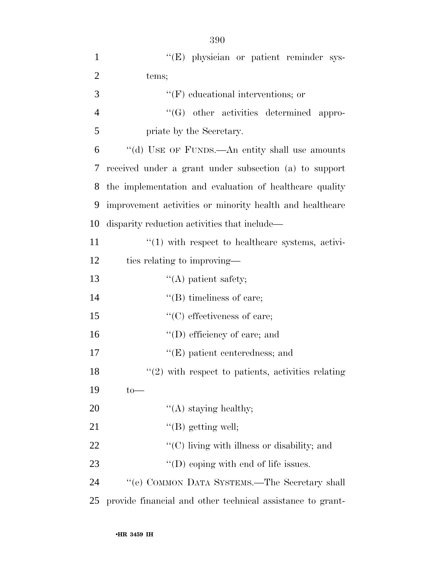| $\mathbf{1}$   | "(E) physician or patient reminder sys-                          |
|----------------|------------------------------------------------------------------|
| $\overline{2}$ | tems;                                                            |
| 3              | $\lq\lq(F)$ educational interventions; or                        |
| $\overline{4}$ | "(G) other activities determined appro-                          |
| 5              | priate by the Secretary.                                         |
| 6              | "(d) USE OF FUNDS.—An entity shall use amounts                   |
| 7              | received under a grant under subsection (a) to support           |
| 8              | the implementation and evaluation of healthcare quality          |
| 9              | improvement activities or minority health and healthcare         |
| 10             | disparity reduction activities that include—                     |
| 11             | $\cdot\cdot\cdot(1)$ with respect to healthcare systems, activi- |
| 12             | ties relating to improving—                                      |
| 13             | $\lq\lq$ patient safety;                                         |
| 14             | $\lq\lq$ (B) timeliness of care;                                 |
| 15             | $\lq\lq$ (C) effectiveness of care;                              |
| 16             | $\lq\lq$ (D) efficiency of care; and                             |
| 17             | $\lq\lq(E)$ patient centeredness; and                            |
| 18             | $\lq(2)$ with respect to patients, activities relating           |
| 19             | $to-$                                                            |
| 20             | $\lq\lq$ staying healthy;                                        |
| 21             | $\lq\lq$ (B) getting well;                                       |
| 22             | $\lq\lq$ <sup>c</sup> (C) living with illness or disability; and |
| 23             | $\lq\lq$ (D) coping with end of life issues.                     |
| 24             | "(e) COMMON DATA SYSTEMS.—The Secretary shall                    |
| 25             | provide financial and other technical assistance to grant-       |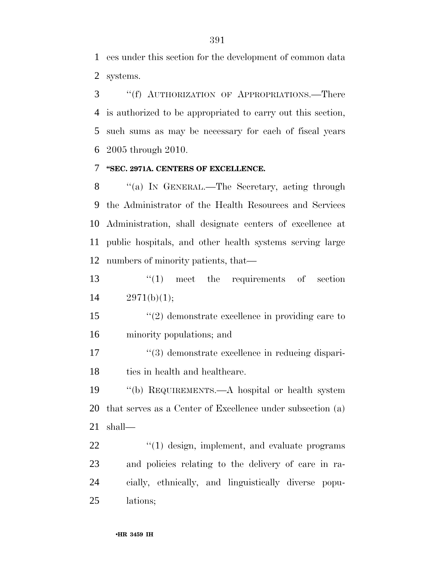ees under this section for the development of common data systems.

 ''(f) AUTHORIZATION OF APPROPRIATIONS.—There is authorized to be appropriated to carry out this section, such sums as may be necessary for each of fiscal years 2005 through 2010.

### **''SEC. 2971A. CENTERS OF EXCELLENCE.**

8 "(a) In GENERAL.—The Secretary, acting through the Administrator of the Health Resources and Services Administration, shall designate centers of excellence at public hospitals, and other health systems serving large numbers of minority patients, that—

13 ''(1) meet the requirements of section  $14 \qquad 2971(b)(1);$ 

 ''(2) demonstrate excellence in providing care to minority populations; and

17  $\frac{u(3)}{2}$  demonstrate excellence in reducing dispari-18 ties in health and healthcare.

 ''(b) REQUIREMENTS.—A hospital or health system that serves as a Center of Excellence under subsection (a) shall—

 $\frac{1}{2}$  (1) design, implement, and evaluate programs and policies relating to the delivery of care in ra- cially, ethnically, and linguistically diverse popu-lations;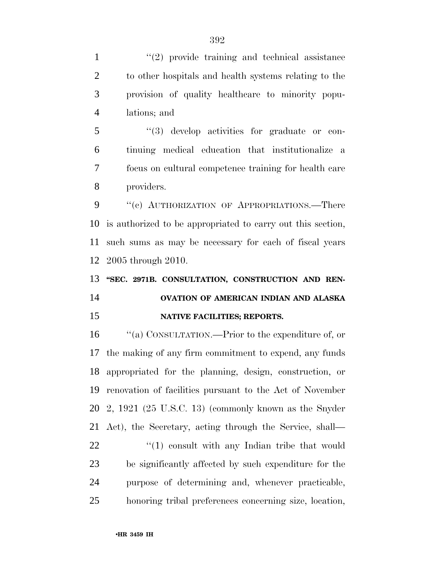1 ''(2) provide training and technical assistance to other hospitals and health systems relating to the provision of quality healthcare to minority popu-lations; and

 ''(3) develop activities for graduate or con- tinuing medical education that institutionalize a focus on cultural competence training for health care providers.

9 "(c) AUTHORIZATION OF APPROPRIATIONS.—There is authorized to be appropriated to carry out this section, such sums as may be necessary for each of fiscal years 2005 through 2010.

## **''SEC. 2971B. CONSULTATION, CONSTRUCTION AND REN- OVATION OF AMERICAN INDIAN AND ALASKA NATIVE FACILITIES; REPORTS.**

 ''(a) CONSULTATION.—Prior to the expenditure of, or the making of any firm commitment to expend, any funds appropriated for the planning, design, construction, or renovation of facilities pursuant to the Act of November 2, 1921 (25 U.S.C. 13) (commonly known as the Snyder Act), the Secretary, acting through the Service, shall— 22 ''(1) consult with any Indian tribe that would be significantly affected by such expenditure for the purpose of determining and, whenever practicable, honoring tribal preferences concerning size, location,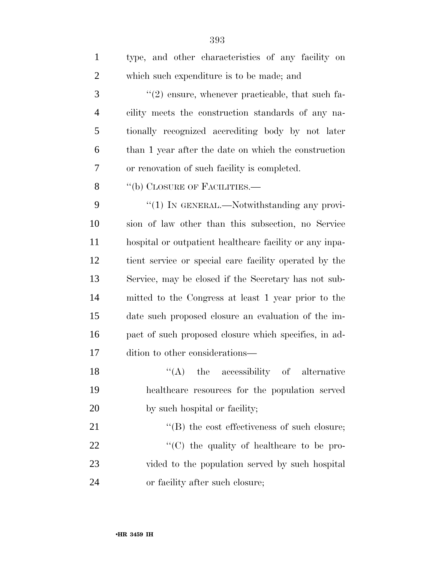| $\mathbf{1}$   | type, and other characteristics of any facility on      |
|----------------|---------------------------------------------------------|
| $\overline{2}$ | which such expenditure is to be made; and               |
| 3              | $\lq(2)$ ensure, whenever practicable, that such fa-    |
| $\overline{4}$ | cility meets the construction standards of any na-      |
| 5              | tionally recognized accrediting body by not later       |
| 6              | than 1 year after the date on which the construction    |
| 7              | or renovation of such facility is completed.            |
| 8              | "(b) CLOSURE OF FACILITIES.—                            |
| 9              | $\lq(1)$ In GENERAL.—Notwithstanding any provi-         |
| 10             | sion of law other than this subsection, no Service      |
| 11             | hospital or outpatient healthcare facility or any inpa- |
| 12             | tient service or special care facility operated by the  |
| 13             | Service, may be closed if the Secretary has not sub-    |
| 14             | mitted to the Congress at least 1 year prior to the     |
| 15             | date such proposed closure an evaluation of the im-     |
| 16             | pact of such proposed closure which specifies, in ad-   |
| 17             | dition to other considerations—                         |
| 18             | $\lq\lq$ (A) the accessibility of alternative           |
| 19             | healthcare resources for the population served          |
| 20             | by such hospital or facility;                           |
| 21             | $\lq\lq$ the cost effectiveness of such closure;        |
| 22             | "(C) the quality of healthcare to be pro-               |
| 23             | vided to the population served by such hospital         |
| 24             | or facility after such closure;                         |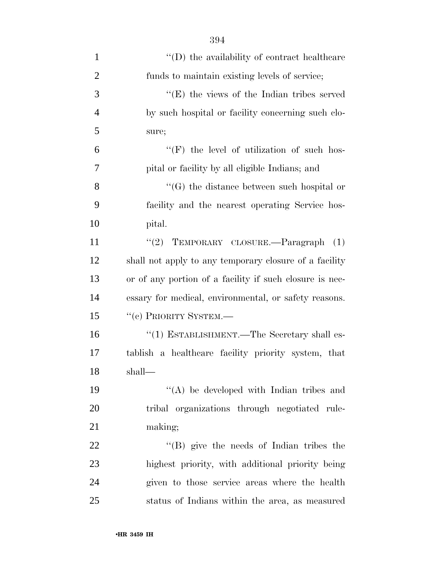| $\mathbf{1}$   | $\lq\lq$ the availability of contract healthcare        |
|----------------|---------------------------------------------------------|
| $\overline{2}$ | funds to maintain existing levels of service;           |
| 3              | $\lq\lq(E)$ the views of the Indian tribes served       |
| $\overline{4}$ | by such hospital or facility concerning such clo-       |
| 5              | sure;                                                   |
| 6              | $\lq\lq(F)$ the level of utilization of such hos-       |
| 7              | pital or facility by all eligible Indians; and          |
| 8              | $\lq\lq(G)$ the distance between such hospital or       |
| 9              | facility and the nearest operating Service hos-         |
| 10             | pital.                                                  |
| 11             | "(2) TEMPORARY CLOSURE. $-$ Paragraph (1)               |
| 12             | shall not apply to any temporary closure of a facility  |
| 13             | or of any portion of a facility if such closure is nec- |
| 14             | essary for medical, environmental, or safety reasons.   |
| 15             | "(c) PRIORITY SYSTEM.-                                  |
| 16             | "(1) ESTABLISHMENT.—The Secretary shall es-             |
| 17             | tablish a healthcare facility priority system, that     |
| 18             | shall—                                                  |
| 19             | "(A) be developed with Indian tribes and                |
| 20             | tribal organizations through negotiated rule-           |
| 21             | making;                                                 |
| 22             | $\lq\lq$ (B) give the needs of Indian tribes the        |
| 23             | highest priority, with additional priority being        |
| 24             | given to those service areas where the health           |
| 25             | status of Indians within the area, as measured          |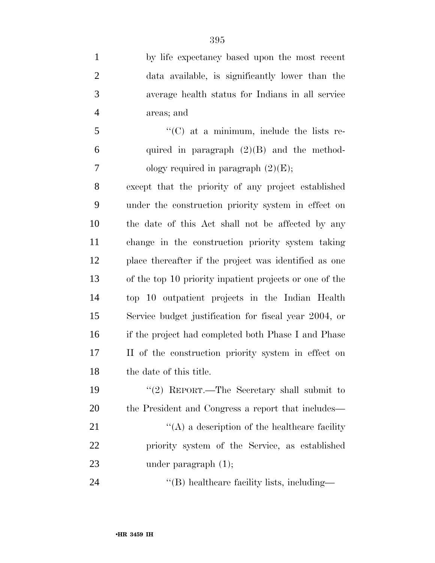by life expectancy based upon the most recent data available, is significantly lower than the average health status for Indians in all service areas; and

5 ''(C) at a minimum, include the lists re-6 quired in paragraph  $(2)(B)$  and the method-7 ology required in paragraph  $(2)(E)$ ;

 except that the priority of any project established under the construction priority system in effect on the date of this Act shall not be affected by any change in the construction priority system taking place thereafter if the project was identified as one of the top 10 priority inpatient projects or one of the top 10 outpatient projects in the Indian Health Service budget justification for fiscal year 2004, or if the project had completed both Phase I and Phase II of the construction priority system in effect on 18 the date of this title.

 ''(2) REPORT.—The Secretary shall submit to the President and Congress a report that includes— 21 ''(A) a description of the healthcare facility priority system of the Service, as established 23 under paragraph  $(1)$ ;

24  $\text{``(B) healthcare facility lists, including}\longrightarrow$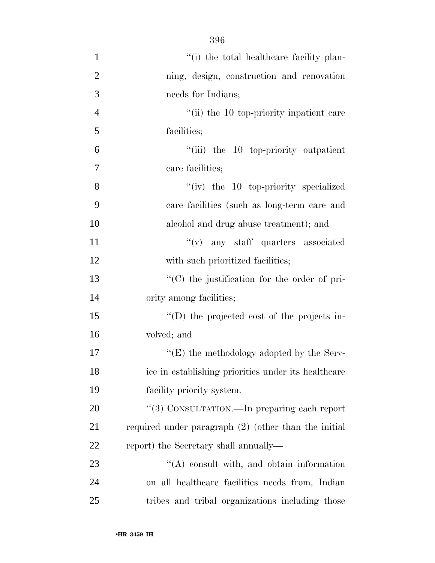396

| $\mathbf{1}$   | "(i) the total healthcare facility plan-               |
|----------------|--------------------------------------------------------|
| $\overline{2}$ | ning, design, construction and renovation              |
| 3              | needs for Indians;                                     |
| $\overline{4}$ | "(ii) the 10 top-priority inpatient care               |
| 5              | facilities;                                            |
| 6              | "(iii) the 10 top-priority outpatient                  |
| $\overline{7}$ | care facilities;                                       |
| 8              | $``(iv)$ the 10 top-priority specialized               |
| 9              | care facilities (such as long-term care and            |
| 10             | alcohol and drug abuse treatment); and                 |
| 11             | $f'(v)$ any staff quarters associated                  |
| 12             | with such prioritized facilities;                      |
| 13             | "(C) the justification for the order of pri-           |
| 14             | ority among facilities;                                |
| 15             | "(D) the projected cost of the projects in-            |
| 16             | volved; and                                            |
| 17             | " $(E)$ the methodology adopted by the Serv-           |
| 18             | ice in establishing priorities under its healthcare    |
| 19             | facility priority system.                              |
| 20             | "(3) CONSULTATION.—In preparing each report            |
| 21             | required under paragraph $(2)$ (other than the initial |
| <u>22</u>      | report) the Secretary shall annually—                  |
| 23             | $\lq\lq$ consult with, and obtain information          |
| 24             | on all healthcare facilities needs from, Indian        |
| 25             | tribes and tribal organizations including those        |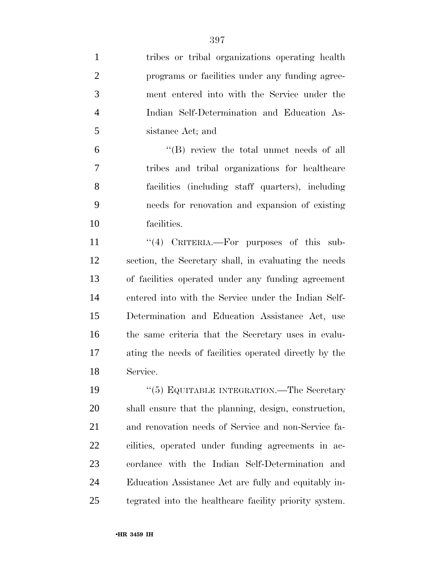| $\mathbf{1}$   | tribes or tribal organizations operating health        |
|----------------|--------------------------------------------------------|
| $\overline{2}$ | programs or facilities under any funding agree-        |
| 3              | ment entered into with the Service under the           |
| $\overline{4}$ | Indian Self-Determination and Education As-            |
| 5              | sistance Act; and                                      |
| 6              | $\lq\lq$ review the total unmet needs of all           |
| 7              | tribes and tribal organizations for healthcare         |
| 8              | facilities (including staff quarters), including       |
| 9              | needs for renovation and expansion of existing         |
| 10             | facilities.                                            |
| 11             | "(4) CRITERIA.—For purposes of this sub-               |
| 12             | section, the Secretary shall, in evaluating the needs  |
| 13             | of facilities operated under any funding agreement     |
| 14             | entered into with the Service under the Indian Self-   |
| 15             | Determination and Education Assistance Act, use        |
| 16             | the same criteria that the Secretary uses in evalu-    |
| 17             | ating the needs of facilities operated directly by the |
| 18             | Service.                                               |
| 19             | " $(5)$ EQUITABLE INTEGRATION.—The Secretary           |
| 20             | shall ensure that the planning, design, construction,  |
| 21             | and renovation needs of Service and non-Service fa-    |
| 22             | cilities, operated under funding agreements in ac-     |
| 23             | cordance with the Indian Self-Determination and        |
| 24             | Education Assistance Act are fully and equitably in-   |
| 25             | tegrated into the healthcare facility priority system. |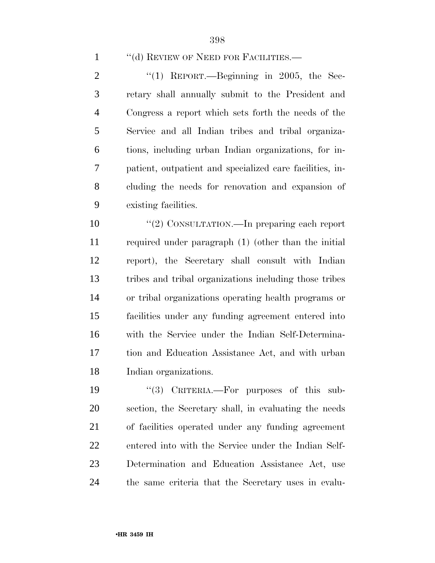### 1 "(d) REVIEW OF NEED FOR FACILITIES.—

 $\frac{1}{2}$   $\frac{1}{1}$  REPORT.—Beginning in 2005, the Sec- retary shall annually submit to the President and Congress a report which sets forth the needs of the Service and all Indian tribes and tribal organiza- tions, including urban Indian organizations, for in- patient, outpatient and specialized care facilities, in- cluding the needs for renovation and expansion of existing facilities.

 $\frac{1}{2}$  CONSULTATION.—In preparing each report required under paragraph (1) (other than the initial report), the Secretary shall consult with Indian tribes and tribal organizations including those tribes or tribal organizations operating health programs or facilities under any funding agreement entered into with the Service under the Indian Self-Determina- tion and Education Assistance Act, and with urban Indian organizations.

 ''(3) CRITERIA.—For purposes of this sub- section, the Secretary shall, in evaluating the needs of facilities operated under any funding agreement entered into with the Service under the Indian Self- Determination and Education Assistance Act, use the same criteria that the Secretary uses in evalu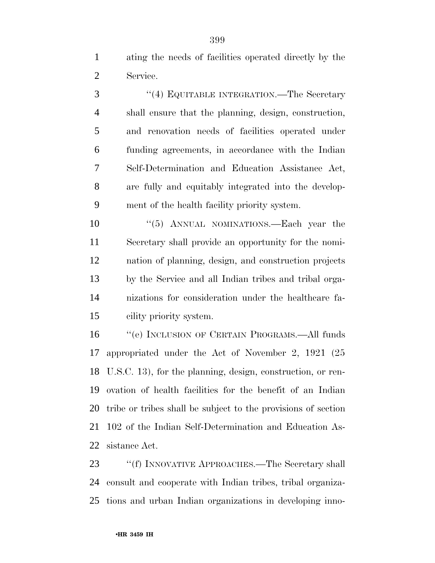ating the needs of facilities operated directly by the Service.

3 "(4) EQUITABLE INTEGRATION.—The Secretary shall ensure that the planning, design, construction, and renovation needs of facilities operated under funding agreements, in accordance with the Indian Self-Determination and Education Assistance Act, are fully and equitably integrated into the develop-ment of the health facility priority system.

10 "(5) ANNUAL NOMINATIONS.—Each year the Secretary shall provide an opportunity for the nomi- nation of planning, design, and construction projects by the Service and all Indian tribes and tribal orga- nizations for consideration under the healthcare fa-cility priority system.

 ''(e) INCLUSION OF CERTAIN PROGRAMS.—All funds appropriated under the Act of November 2, 1921 (25 U.S.C. 13), for the planning, design, construction, or ren- ovation of health facilities for the benefit of an Indian tribe or tribes shall be subject to the provisions of section 102 of the Indian Self-Determination and Education As-sistance Act.

23 ""(f) INNOVATIVE APPROACHES.—The Secretary shall consult and cooperate with Indian tribes, tribal organiza-tions and urban Indian organizations in developing inno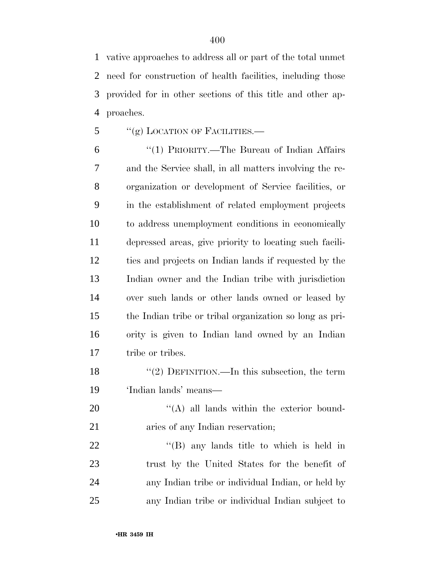vative approaches to address all or part of the total unmet need for construction of health facilities, including those provided for in other sections of this title and other ap-proaches.

 $\frac{1}{5}$  ''(g) LOCATION OF FACILITIES.

 ''(1) PRIORITY.—The Bureau of Indian Affairs and the Service shall, in all matters involving the re- organization or development of Service facilities, or in the establishment of related employment projects to address unemployment conditions in economically depressed areas, give priority to locating such facili- ties and projects on Indian lands if requested by the Indian owner and the Indian tribe with jurisdiction over such lands or other lands owned or leased by the Indian tribe or tribal organization so long as pri- ority is given to Indian land owned by an Indian tribe or tribes.

18 "(2) DEFINITION.—In this subsection, the term 'Indian lands' means—

20  $\langle (A)$  all lands within the exterior bound-21 aries of any Indian reservation;

22 ''(B) any lands title to which is held in trust by the United States for the benefit of any Indian tribe or individual Indian, or held by any Indian tribe or individual Indian subject to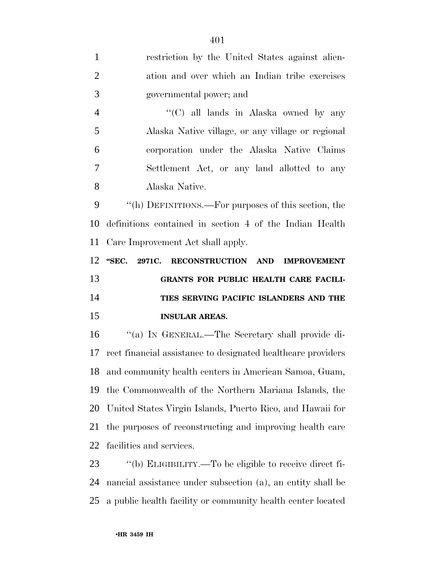| $\mathbf{1}$   | restriction by the United States against alien-              |
|----------------|--------------------------------------------------------------|
| $\overline{2}$ | ation and over which an Indian tribe exercises               |
| 3              | governmental power; and                                      |
| $\overline{4}$ | "(C) all lands in Alaska owned by any                        |
| 5              | Alaska Native village, or any village or regional            |
| 6              | corporation under the Alaska Native Claims                   |
| 7              | Settlement Act, or any land allotted to any                  |
| 8              | Alaska Native.                                               |
| 9              | "(h) DEFINITIONS.—For purposes of this section, the          |
| 10             | definitions contained in section 4 of the Indian Health      |
| 11             | Care Improvement Act shall apply.                            |
| 12             | "SEC.<br>2971C. RECONSTRUCTION AND<br><b>IMPROVEMENT</b>     |
|                |                                                              |
|                | GRANTS FOR PUBLIC HEALTH CARE FACILI-                        |
|                | TIES SERVING PACIFIC ISLANDERS AND THE                       |
| 13<br>14<br>15 | <b>INSULAR AREAS.</b>                                        |
|                | "(a) IN GENERAL.—The Secretary shall provide di-             |
| 16<br>17       | rect financial assistance to designated healthcare providers |
| 18             | and community health centers in American Samoa, Guam,        |
| 19             | the Commonwealth of the Northern Mariana Islands, the        |
| 20             | United States Virgin Islands, Puerto Rico, and Hawaii for    |
| 21             | the purposes of reconstructing and improving health care     |
| 22             | facilities and services.                                     |
| 23             | "(b) ELIGIBILITY.—To be eligible to receive direct fi-       |

a public health facility or community health center located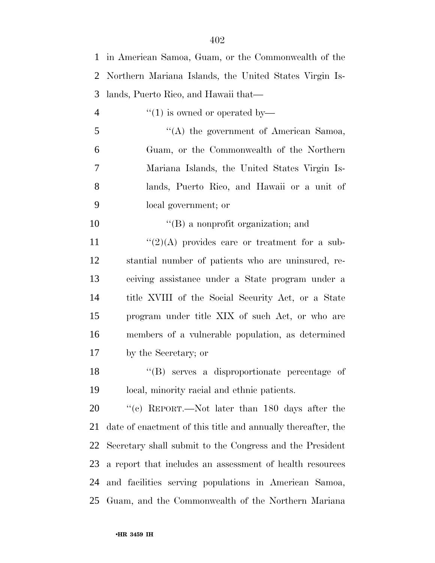| 1              | in American Samoa, Guam, or the Commonwealth of the          |
|----------------|--------------------------------------------------------------|
| 2              | Northern Mariana Islands, the United States Virgin Is-       |
| 3              | lands, Puerto Rico, and Hawaii that—                         |
| $\overline{4}$ | $\cdot$ (1) is owned or operated by—                         |
| 5              | "(A) the government of American Samoa,                       |
| 6              | Guam, or the Commonwealth of the Northern                    |
| 7              | Mariana Islands, the United States Virgin Is-                |
| 8              | lands, Puerto Rico, and Hawaii or a unit of                  |
| 9              | local government; or                                         |
| 10             | $\lq\lq (B)$ a nonprofit organization; and                   |
| 11             | " $(2)(A)$ provides care or treatment for a sub-             |
| 12             | stantial number of patients who are uninsured, re-           |
| 13             | ceiving assistance under a State program under a             |
| 14             | title XVIII of the Social Security Act, or a State           |
| 15             | program under title XIX of such Act, or who are              |
| 16             | members of a vulnerable population, as determined            |
| 17             | by the Secretary; or                                         |
| 18             | "(B) serves a disproportionate percentage of                 |
| 19             | local, minority racial and ethnic patients.                  |
| 20             | "(c) REPORT.—Not later than 180 days after the               |
| 21             | date of enactment of this title and annually thereafter, the |
| 22             | Secretary shall submit to the Congress and the President     |
| 23             | a report that includes an assessment of health resources     |
| 24             | and facilities serving populations in American Samoa,        |
| 25             | Guam, and the Commonwealth of the Northern Mariana           |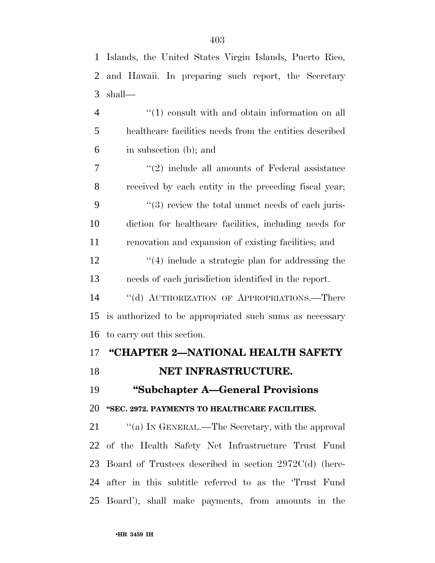| $\mathbf{1}$   | Islands, the United States Virgin Islands, Puerto Rico,      |
|----------------|--------------------------------------------------------------|
| 2              | and Hawaii. In preparing such report, the Secretary          |
| 3              | shall—                                                       |
| $\overline{4}$ | $\lq(1)$ consult with and obtain information on all          |
| 5              | healthcare facilities needs from the entities described      |
| 6              | in subsection (b); and                                       |
| 7              | $\lq(2)$ include all amounts of Federal assistance           |
| 8              | received by each entity in the preceding fiscal year;        |
| 9              | $\cdot\cdot$ (3) review the total unmet needs of each juris- |
| 10             | diction for healthcare facilities, including needs for       |
| 11             | renovation and expansion of existing facilities; and         |
| 12             | $\cdot$ (4) include a strategic plan for addressing the      |
| 13             | needs of each jurisdiction identified in the report.         |
| 14             | "(d) AUTHORIZATION OF APPROPRIATIONS.—There                  |
| 15             | is authorized to be appropriated such sums as necessary      |
| 16             | to carry out this section.                                   |
| 17             | "CHAPTER 2-NATIONAL HEALTH SAFETY                            |
| 18             | NET INFRASTRUCTURE.                                          |
| 19             | "Subchapter A—General Provisions                             |
| 20             | "SEC. 2972. PAYMENTS TO HEALTHCARE FACILITIES.               |
| 21             | "(a) IN GENERAL.—The Secretary, with the approval            |
| 22             | of the Health Safety Net Infrastructure Trust Fund           |
| 23             | Board of Trustees described in section $2972C(d)$ (here-     |
| 24             | after in this subtitle referred to as the 'Trust Fund        |
| 25             | Board'), shall make payments, from amounts in the            |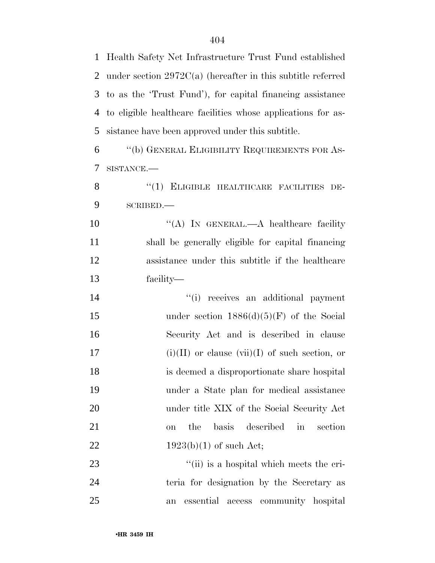Health Safety Net Infrastructure Trust Fund established under section 2972C(a) (hereafter in this subtitle referred to as the 'Trust Fund'), for capital financing assistance to eligible healthcare facilities whose applications for as-sistance have been approved under this subtitle.

 ''(b) GENERAL ELIGIBILITY REQUIREMENTS FOR AS-SISTANCE.—

8 "(1) ELIGIBLE HEALTHCARE FACILITIES DE-SCRIBED.—

10 "(A) IN GENERAL.—A healthcare facility shall be generally eligible for capital financing assistance under this subtitle if the healthcare facility—

 $(i)$  receives an additional payment 15 under section  $1886(d)(5)(F)$  of the Social Security Act and is described in clause 17 (i)(II) or clause (vii)(I) of such section, or is deemed a disproportionate share hospital under a State plan for medical assistance under title XIX of the Social Security Act on the basis described in section  $1923(b)(1)$  of such Act;

23 ''(ii) is a hospital which meets the cri- teria for designation by the Secretary as an essential access community hospital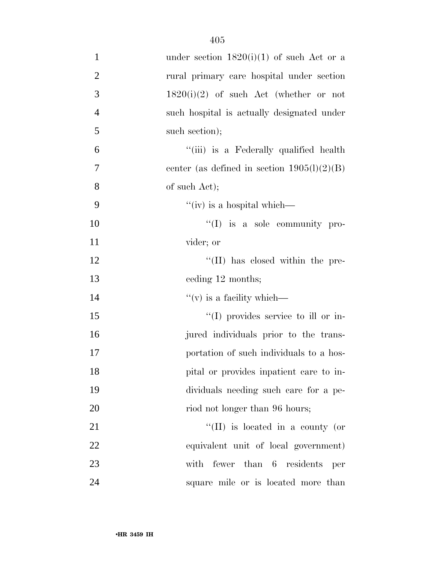| $\mathbf{1}$   | under section $1820(i)(1)$ of such Act or a     |
|----------------|-------------------------------------------------|
| $\overline{2}$ | rural primary care hospital under section       |
| 3              | $1820(i)(2)$ of such Act (whether or not        |
| $\overline{4}$ | such hospital is actually designated under      |
| 5              | such section);                                  |
| 6              | "(iii) is a Federally qualified health          |
| $\tau$         | center (as defined in section $1905(l)(2)(B)$ ) |
| 8              | of such Act);                                   |
| 9              | "(iv) is a hospital which—                      |
| 10             | $\lq\lq$ (I) is a sole community pro-           |
| 11             | vider; or                                       |
| 12             | $\lq\lq$ (II) has closed within the pre-        |
| 13             | ceding 12 months;                               |
| 14             | $f'(v)$ is a facility which—                    |
| 15             | $\lq\lq$ (I) provides service to ill or in-     |
| 16             | jured individuals prior to the trans-           |
| 17             | portation of such individuals to a hos-         |
| 18             | pital or provides inpatient care to in-         |
| 19             | dividuals needing such care for a pe-           |
| 20             | riod not longer than 96 hours;                  |
| 21             | "(II) is located in a county (or                |
| 22             | equivalent unit of local government)            |
| 23             | with fewer than 6 residents<br>per              |
| 24             | square mile or is located more than             |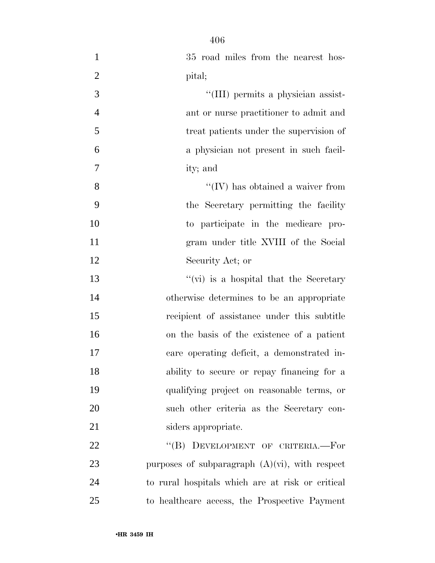| $\mathbf{1}$   | 35 road miles from the nearest hos-               |
|----------------|---------------------------------------------------|
| $\overline{2}$ | pital;                                            |
| 3              | "(III) permits a physician assist-                |
| $\overline{4}$ | ant or nurse practitioner to admit and            |
| 5              | treat patients under the supervision of           |
| 6              | a physician not present in such facil-            |
| $\tau$         | ity; and                                          |
| $8\,$          | $\lq\lq$ (IV) has obtained a waiver from          |
| 9              | the Secretary permitting the facility             |
| 10             | to participate in the medicare pro-               |
| 11             | gram under title XVIII of the Social              |
| 12             | Security Act; or                                  |
| 13             | "(vi) is a hospital that the Secretary            |
| 14             | otherwise determines to be an appropriate         |
| 15             | recipient of assistance under this subtitle       |
| 16             | on the basis of the existence of a patient        |
| 17             | care operating deficit, a demonstrated in-        |
| 18             | ability to secure or repay financing for a        |
| 19             | qualifying project on reasonable terms, or        |
| 20             | such other criteria as the Secretary con-         |
| 21             | siders appropriate.                               |
| 22             | "(B) DEVELOPMENT OF CRITERIA.-For                 |
| 23             | purposes of subparagraph $(A)(vi)$ , with respect |
| 24             | to rural hospitals which are at risk or critical  |
| 25             | to healthcare access, the Prospective Payment     |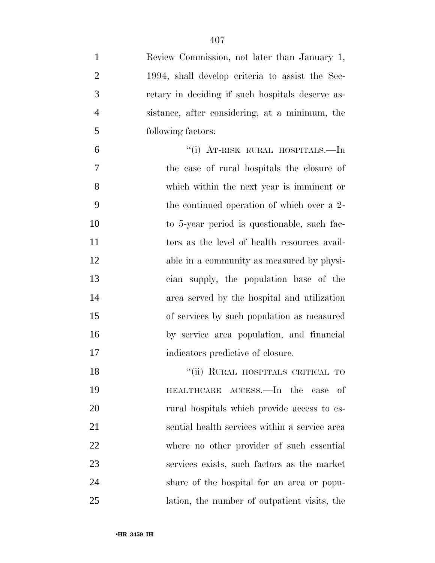| $\mathbf{1}$   | Review Commission, not later than January 1,     |
|----------------|--------------------------------------------------|
| $\overline{2}$ | 1994, shall develop criteria to assist the Sec-  |
| 3              | retary in deciding if such hospitals deserve as- |
| $\overline{4}$ | sistance, after considering, at a minimum, the   |
| 5              | following factors:                               |
| 6              | "(i) AT-RISK RURAL HOSPITALS.—In                 |
| 7              | the case of rural hospitals the closure of       |
| 8              | which within the next year is imminent or        |
| 9              | the continued operation of which over a 2-       |
| 10             | to 5-year period is questionable, such fac-      |
| 11             | tors as the level of health resources avail-     |
| 12             | able in a community as measured by physi-        |
| 13             | cian supply, the population base of the          |
| 14             | area served by the hospital and utilization      |
| 15             | of services by such population as measured       |
| 16             | by service area population, and financial        |
| 17             | indicators predictive of closure.                |
| 18             | "(ii) RURAL HOSPITALS CRITICAL TO                |
| 19             | HEALTHCARE ACCESS.—In the case<br>-of            |
| <b>20</b>      | rural hospitals which provide access to es-      |
| 21             | sential health services within a service area    |
| 22             | where no other provider of such essential        |
| 23             | services exists, such factors as the market      |
| 24             | share of the hospital for an area or popu-       |
| 25             | lation, the number of outpatient visits, the     |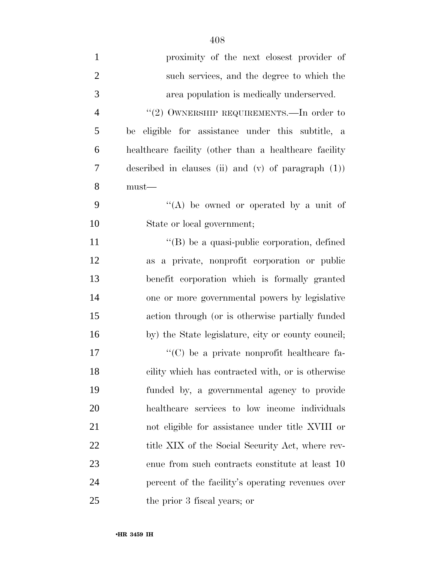| $\mathbf{1}$   | proximity of the next closest provider of              |
|----------------|--------------------------------------------------------|
| $\overline{2}$ | such services, and the degree to which the             |
| 3              | area population is medically underserved.              |
| $\overline{4}$ | "(2) OWNERSHIP REQUIREMENTS.—In order to               |
| 5              | be eligible for assistance under this subtitle, a      |
| 6              | healthcare facility (other than a healthcare facility  |
| 7              | described in clauses (ii) and (v) of paragraph $(1)$ ) |
| 8              | $must$ —                                               |
| 9              | "(A) be owned or operated by a unit of                 |
| 10             | State or local government;                             |
| 11             | $\lq\lq$ be a quasi-public corporation, defined        |
| 12             | as a private, nonprofit corporation or public          |
| 13             | benefit corporation which is formally granted          |
| 14             | one or more governmental powers by legislative         |
| 15             | action through (or is otherwise partially funded       |
| 16             | by) the State legislature, city or county council;     |
| 17             | "(C) be a private nonprofit healthcare fa-             |
| 18             | cility which has contracted with, or is otherwise      |
| 19             | funded by, a governmental agency to provide            |
| 20             | healthcare services to low income individuals          |
| 21             | not eligible for assistance under title XVIII or       |
| 22             | title XIX of the Social Security Act, where rev-       |
| 23             | enue from such contracts constitute at least 10        |
| 24             | percent of the facility's operating revenues over      |
| 25             | the prior 3 fiscal years; or                           |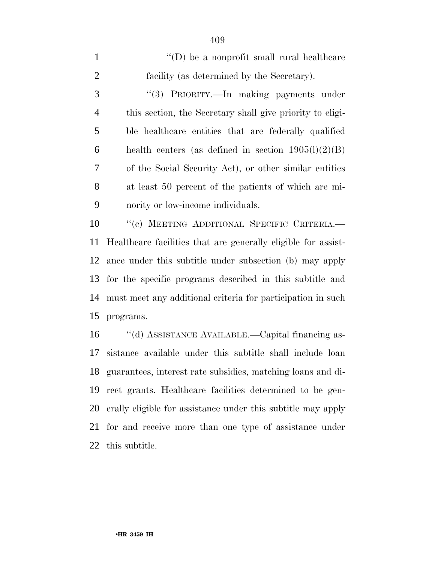| $\mathbf{1}$   | $\lq\lq$ (D) be a nonprofit small rural healthcare               |
|----------------|------------------------------------------------------------------|
| $\overline{2}$ | facility (as determined by the Secretary).                       |
| 3              | "(3) PRIORITY.—In making payments under                          |
| $\overline{4}$ | this section, the Secretary shall give priority to eligi-        |
| 5              | ble healthcare entities that are federally qualified             |
| 6              | health centers (as defined in section $1905(l)(2)(B)$ )          |
| $\overline{7}$ | of the Social Security Act), or other similar entities           |
| 8              | at least 50 percent of the patients of which are mi-             |
| 9              | nority or low-income individuals.                                |
| 10             | "(c) MEETING ADDITIONAL SPECIFIC CRITERIA.-                      |
|                | 11 Healthcare facilities that are generally eligible for assist- |
|                | 12 ance under this subtitle under subsection (b) may apply       |
|                |                                                                  |

 for the specific programs described in this subtitle and must meet any additional criteria for participation in such programs.

 ''(d) ASSISTANCE AVAILABLE.—Capital financing as- sistance available under this subtitle shall include loan guarantees, interest rate subsidies, matching loans and di- rect grants. Healthcare facilities determined to be gen- erally eligible for assistance under this subtitle may apply for and receive more than one type of assistance under this subtitle.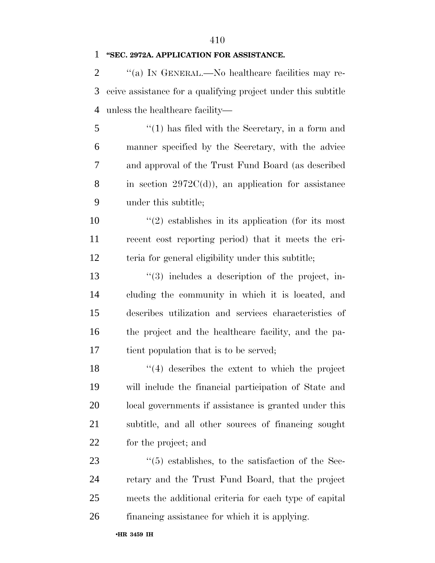### **''SEC. 2972A. APPLICATION FOR ASSISTANCE.**

2  $\gamma$  (a) In GENERAL.—No healthcare facilities may re- ceive assistance for a qualifying project under this subtitle unless the healthcare facility—

 ''(1) has filed with the Secretary, in a form and manner specified by the Secretary, with the advice and approval of the Trust Fund Board (as described 8 in section  $2972C(d)$ , an application for assistance under this subtitle;

10  $\frac{1}{2}$  establishes in its application (for its most recent cost reporting period) that it meets the cri-teria for general eligibility under this subtitle;

13 ''(3) includes a description of the project, in- cluding the community in which it is located, and describes utilization and services characteristics of the project and the healthcare facility, and the pa-tient population that is to be served;

 ''(4) describes the extent to which the project will include the financial participation of State and local governments if assistance is granted under this subtitle, and all other sources of financing sought for the project; and

 $(5)$  establishes, to the satisfaction of the Sec- retary and the Trust Fund Board, that the project meets the additional criteria for each type of capital financing assistance for which it is applying.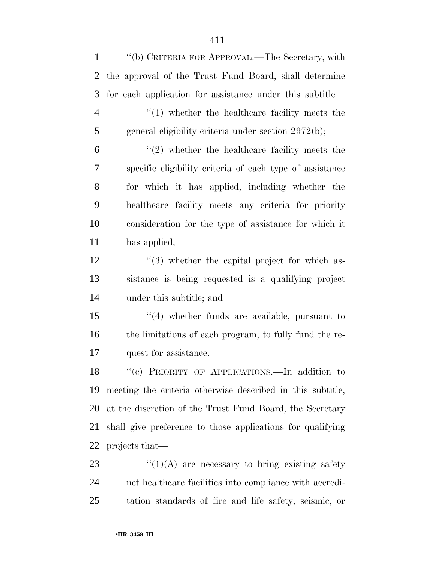''(b) CRITERIA FOR APPROVAL.—The Secretary, with the approval of the Trust Fund Board, shall determine for each application for assistance under this subtitle— ''(1) whether the healthcare facility meets the general eligibility criteria under section 2972(b);  $(2)$  whether the healthcare facility meets the specific eligibility criteria of each type of assistance for which it has applied, including whether the healthcare facility meets any criteria for priority consideration for the type of assistance for which it has applied; 12 ''(3) whether the capital project for which as- sistance is being requested is a qualifying project under this subtitle; and ''(4) whether funds are available, pursuant to the limitations of each program, to fully fund the re- quest for assistance. ''(c) PRIORITY OF APPLICATIONS.—In addition to meeting the criteria otherwise described in this subtitle, at the discretion of the Trust Fund Board, the Secretary shall give preference to those applications for qualifying projects that—  $\frac{1}{2}$   $\frac{1}{2}$   $\frac{1}{2}$  are necessary to bring existing safety net healthcare facilities into compliance with accredi-tation standards of fire and life safety, seismic, or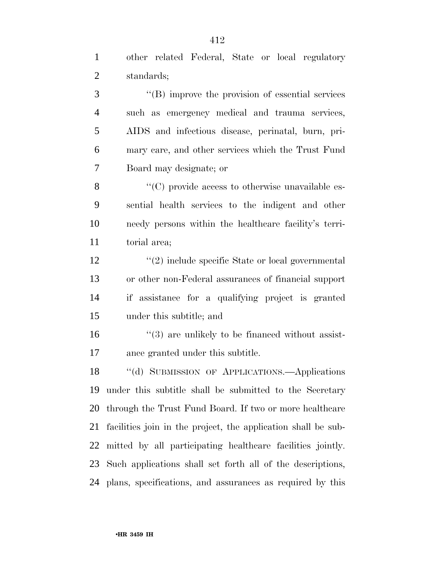standards; ''(B) improve the provision of essential services such as emergency medical and trauma services, AIDS and infectious disease, perinatal, burn, pri- mary care, and other services which the Trust Fund Board may designate; or  $\langle ^{\prime}(C) \rangle$  provide access to otherwise unavailable es- sential health services to the indigent and other needy persons within the healthcare facility's terri- torial area; 12 ''(2) include specific State or local governmental or other non-Federal assurances of financial support if assistance for a qualifying project is granted under this subtitle; and 16 "(3) are unlikely to be financed without assist- ance granted under this subtitle. ''(d) SUBMISSION OF APPLICATIONS.—Applications under this subtitle shall be submitted to the Secretary through the Trust Fund Board. If two or more healthcare facilities join in the project, the application shall be sub- mitted by all participating healthcare facilities jointly. Such applications shall set forth all of the descriptions, plans, specifications, and assurances as required by this

other related Federal, State or local regulatory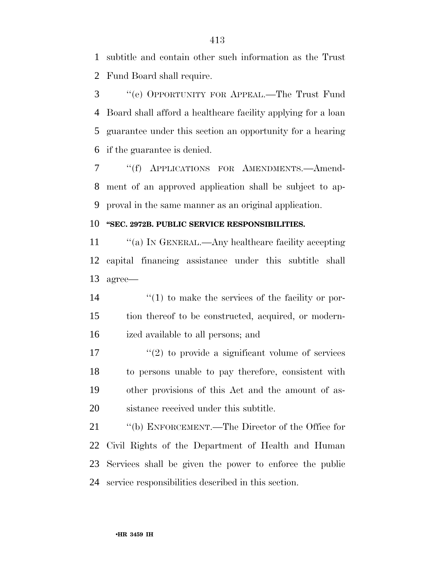subtitle and contain other such information as the Trust Fund Board shall require.

 ''(e) OPPORTUNITY FOR APPEAL.—The Trust Fund Board shall afford a healthcare facility applying for a loan guarantee under this section an opportunity for a hearing if the guarantee is denied.

 ''(f) APPLICATIONS FOR AMENDMENTS.—Amend- ment of an approved application shall be subject to ap-proval in the same manner as an original application.

### **''SEC. 2972B. PUBLIC SERVICE RESPONSIBILITIES.**

11 "(a) IN GENERAL.—Any healthcare facility accepting capital financing assistance under this subtitle shall agree—

14  $\frac{1}{2}$  (1) to make the services of the facility or por- tion thereof to be constructed, acquired, or modern-ized available to all persons; and

17 ''(2) to provide a significant volume of services to persons unable to pay therefore, consistent with other provisions of this Act and the amount of as-sistance received under this subtitle.

 ''(b) ENFORCEMENT.—The Director of the Office for Civil Rights of the Department of Health and Human Services shall be given the power to enforce the public service responsibilities described in this section.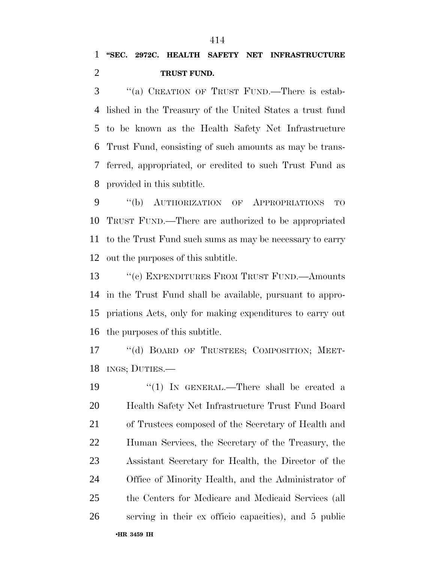''(a) CREATION OF TRUST FUND.—There is estab- lished in the Treasury of the United States a trust fund to be known as the Health Safety Net Infrastructure Trust Fund, consisting of such amounts as may be trans- ferred, appropriated, or credited to such Trust Fund as provided in this subtitle.

 ''(b) AUTHORIZATION OF APPROPRIATIONS TO TRUST FUND.—There are authorized to be appropriated to the Trust Fund such sums as may be necessary to carry out the purposes of this subtitle.

13 "(c) EXPENDITURES FROM TRUST FUND.—Amounts in the Trust Fund shall be available, pursuant to appro- priations Acts, only for making expenditures to carry out the purposes of this subtitle.

17 "(d) BOARD OF TRUSTEES; COMPOSITION; MEET-INGS; DUTIES.—

•**HR 3459 IH**  19 "(1) In GENERAL.—There shall be created a Health Safety Net Infrastructure Trust Fund Board of Trustees composed of the Secretary of Health and Human Services, the Secretary of the Treasury, the Assistant Secretary for Health, the Director of the Office of Minority Health, and the Administrator of the Centers for Medicare and Medicaid Services (all serving in their ex officio capacities), and 5 public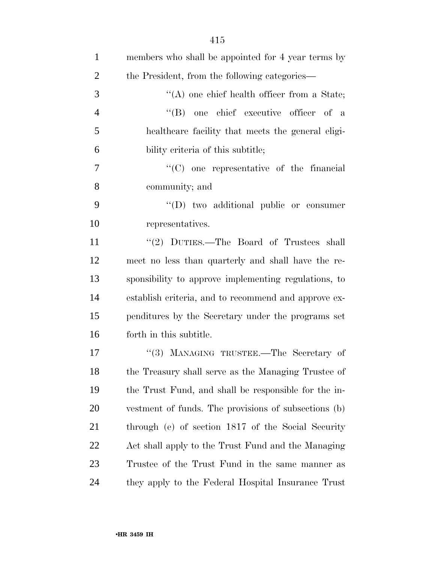| $\mathbf{1}$   | members who shall be appointed for 4 year terms by   |
|----------------|------------------------------------------------------|
| $\overline{2}$ | the President, from the following categories—        |
| 3              | $\lq\lq$ one chief health officer from a State;      |
| $\overline{4}$ | "(B) one chief executive officer of a                |
| 5              | healthcare facility that meets the general eligi-    |
| 6              | bility criteria of this subtitle;                    |
| $\tau$         | $\lq\lq$ (C) one representative of the financial     |
| 8              | community; and                                       |
| 9              | $\lq\lq$ two additional public or consumer           |
| 10             | representatives.                                     |
| 11             | "(2) DUTIES.—The Board of Trustees shall             |
| 12             | meet no less than quarterly and shall have the re-   |
| 13             | sponsibility to approve implementing regulations, to |
| 14             | establish criteria, and to recommend and approve ex- |
| 15             | penditures by the Secretary under the programs set   |
| 16             | forth in this subtitle.                              |
| 17             | "(3) MANAGING TRUSTEE.—The Secretary of              |
| 18             | the Treasury shall serve as the Managing Trustee of  |
| 19             | the Trust Fund, and shall be responsible for the in- |
| 20             | vestment of funds. The provisions of subsections (b) |
| 21             | through (e) of section 1817 of the Social Security   |
| 22             | Act shall apply to the Trust Fund and the Managing   |
| 23             | Trustee of the Trust Fund in the same manner as      |
| 24             | they apply to the Federal Hospital Insurance Trust   |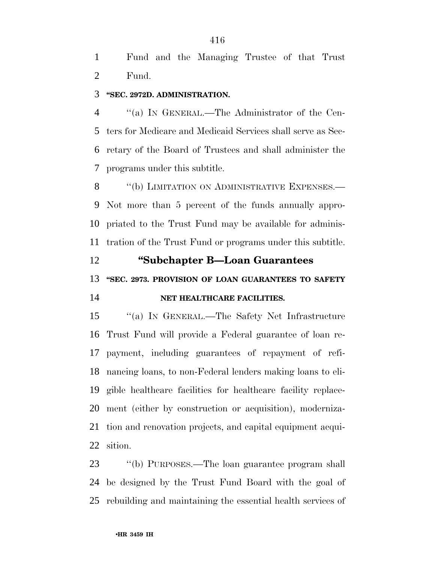Fund and the Managing Trustee of that Trust Fund.

### **''SEC. 2972D. ADMINISTRATION.**

 ''(a) IN GENERAL.—The Administrator of the Cen- ters for Medicare and Medicaid Services shall serve as Sec- retary of the Board of Trustees and shall administer the programs under this subtitle.

8 "(b) LIMITATION ON ADMINISTRATIVE EXPENSES.— Not more than 5 percent of the funds annually appro- priated to the Trust Fund may be available for adminis-tration of the Trust Fund or programs under this subtitle.

 **''Subchapter B—Loan Guarantees ''SEC. 2973. PROVISION OF LOAN GUARANTEES TO SAFETY NET HEALTHCARE FACILITIES.** 

 ''(a) IN GENERAL.—The Safety Net Infrastructure Trust Fund will provide a Federal guarantee of loan re- payment, including guarantees of repayment of refi- nancing loans, to non-Federal lenders making loans to eli- gible healthcare facilities for healthcare facility replace- ment (either by construction or acquisition), moderniza- tion and renovation projects, and capital equipment acqui-sition.

 ''(b) PURPOSES.—The loan guarantee program shall be designed by the Trust Fund Board with the goal of rebuilding and maintaining the essential health services of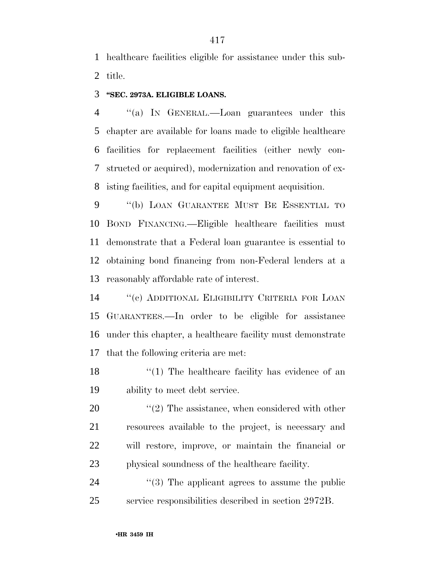healthcare facilities eligible for assistance under this sub-title.

### **''SEC. 2973A. ELIGIBLE LOANS.**

 ''(a) IN GENERAL.—Loan guarantees under this chapter are available for loans made to eligible healthcare facilities for replacement facilities (either newly con- structed or acquired), modernization and renovation of ex-isting facilities, and for capital equipment acquisition.

 ''(b) LOAN GUARANTEE MUST BE ESSENTIAL TO BOND FINANCING.—Eligible healthcare facilities must demonstrate that a Federal loan guarantee is essential to obtaining bond financing from non-Federal lenders at a reasonably affordable rate of interest.

 ''(c) ADDITIONAL ELIGIBILITY CRITERIA FOR LOAN GUARANTEES.—In order to be eligible for assistance under this chapter, a healthcare facility must demonstrate that the following criteria are met:

18 ''(1) The healthcare facility has evidence of an ability to meet debt service.

 ''(2) The assistance, when considered with other resources available to the project, is necessary and will restore, improve, or maintain the financial or physical soundness of the healthcare facility.

24  $(3)$  The applicant agrees to assume the public service responsibilities described in section 2972B.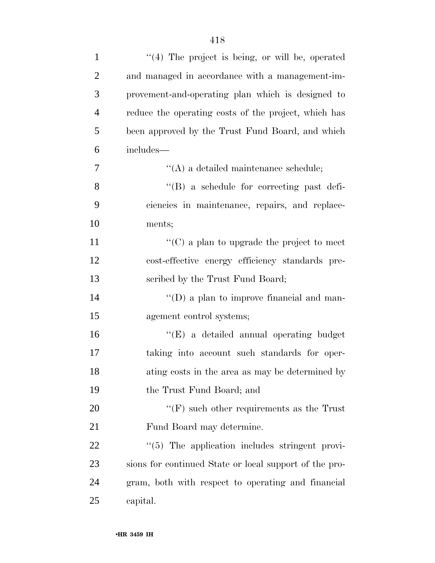| $\mathbf{1}$   | $(4)$ The project is being, or will be, operated       |
|----------------|--------------------------------------------------------|
| $\overline{2}$ | and managed in accordance with a management-im-        |
| 3              | provement-and-operating plan which is designed to      |
| $\overline{4}$ | reduce the operating costs of the project, which has   |
| 5              | been approved by the Trust Fund Board, and which       |
| 6              | includes—                                              |
| 7              | $\lq\lq$ (A) a detailed maintenance schedule;          |
| 8              | "(B) a schedule for correcting past defi-              |
| 9              | ciencies in maintenance, repairs, and replace-         |
| 10             | ments;                                                 |
| 11             | " $(C)$ a plan to upgrade the project to meet          |
| 12             | cost-effective energy efficiency standards pre-        |
| 13             | scribed by the Trust Fund Board;                       |
| 14             | $\lq\lq$ (D) a plan to improve financial and man-      |
| 15             | agement control systems;                               |
| 16             | $\lq\lq(E)$ a detailed annual operating budget         |
| 17             | taking into account such standards for oper-           |
| 18             | ating costs in the area as may be determined by        |
| 19             | the Trust Fund Board; and                              |
| 20             | $\lq\lq(F)$ such other requirements as the Trust       |
| 21             | Fund Board may determine.                              |
| 22             | $\lq(5)$ The application includes stringent provi-     |
| 23             | sions for continued State or local support of the pro- |
| 24             | gram, both with respect to operating and financial     |
| 25             | capital.                                               |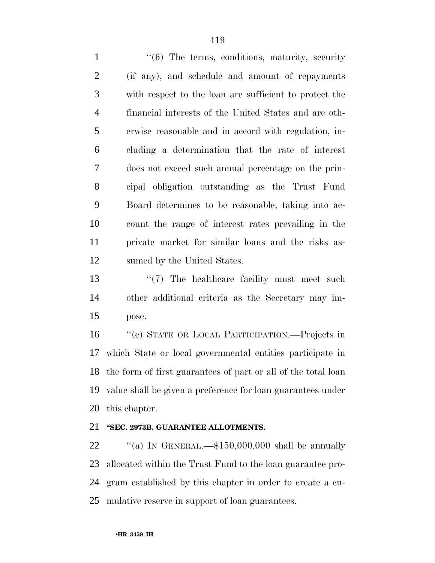1 ''(6) The terms, conditions, maturity, security (if any), and schedule and amount of repayments with respect to the loan are sufficient to protect the financial interests of the United States and are oth- erwise reasonable and in accord with regulation, in- cluding a determination that the rate of interest does not exceed such annual percentage on the prin- cipal obligation outstanding as the Trust Fund Board determines to be reasonable, taking into ac- count the range of interest rates prevailing in the private market for similar loans and the risks as-sumed by the United States.

13 ''(7) The healthcare facility must meet such other additional criteria as the Secretary may im-pose.

 ''(e) STATE OR LOCAL PARTICIPATION.—Projects in which State or local governmental entities participate in the form of first guarantees of part or all of the total loan value shall be given a preference for loan guarantees under this chapter.

### **''SEC. 2973B. GUARANTEE ALLOTMENTS.**

 $\text{``(a)}$  IN GENERAL.— $$150,000,000$  shall be annually allocated within the Trust Fund to the loan guarantee pro- gram established by this chapter in order to create a cu-mulative reserve in support of loan guarantees.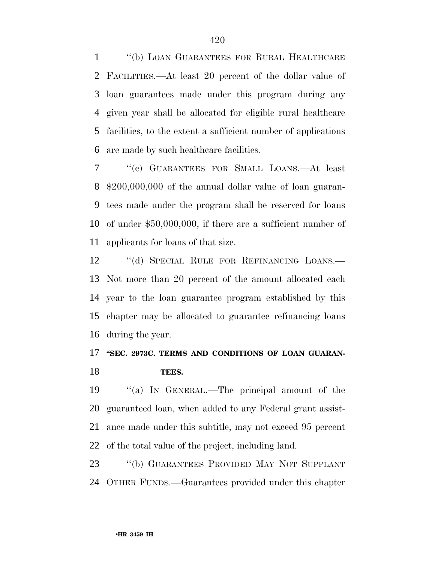''(b) LOAN GUARANTEES FOR RURAL HEALTHCARE FACILITIES.—At least 20 percent of the dollar value of loan guarantees made under this program during any given year shall be allocated for eligible rural healthcare facilities, to the extent a sufficient number of applications are made by such healthcare facilities.

 ''(c) GUARANTEES FOR SMALL LOANS.—At least \$200,000,000 of the annual dollar value of loan guaran- tees made under the program shall be reserved for loans of under \$50,000,000, if there are a sufficient number of applicants for loans of that size.

12 "(d) SPECIAL RULE FOR REFINANCING LOANS.— Not more than 20 percent of the amount allocated each year to the loan guarantee program established by this chapter may be allocated to guarantee refinancing loans during the year.

## 17 "SEC. 2973C. TERMS AND CONDITIONS OF LOAN GUARAN-**TEES.**

 ''(a) IN GENERAL.—The principal amount of the guaranteed loan, when added to any Federal grant assist- ance made under this subtitle, may not exceed 95 percent of the total value of the project, including land.

 ''(b) GUARANTEES PROVIDED MAY NOT SUPPLANT OTHER FUNDS.—Guarantees provided under this chapter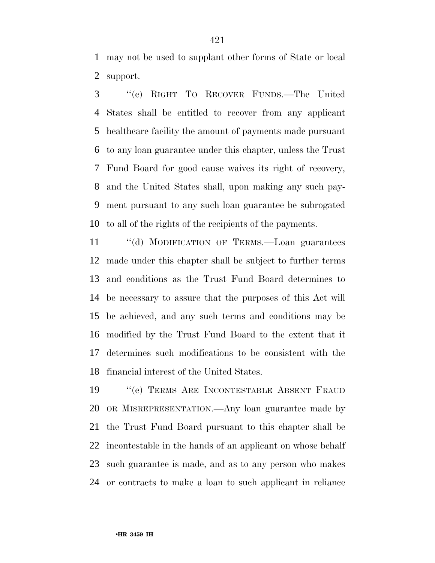may not be used to supplant other forms of State or local support.

 ''(c) RIGHT TO RECOVER FUNDS.—The United States shall be entitled to recover from any applicant healthcare facility the amount of payments made pursuant to any loan guarantee under this chapter, unless the Trust Fund Board for good cause waives its right of recovery, and the United States shall, upon making any such pay- ment pursuant to any such loan guarantee be subrogated to all of the rights of the recipients of the payments.

 ''(d) MODIFICATION OF TERMS.—Loan guarantees made under this chapter shall be subject to further terms and conditions as the Trust Fund Board determines to be necessary to assure that the purposes of this Act will be achieved, and any such terms and conditions may be modified by the Trust Fund Board to the extent that it determines such modifications to be consistent with the financial interest of the United States.

 ''(e) TERMS ARE INCONTESTABLE ABSENT FRAUD OR MISREPRESENTATION.—Any loan guarantee made by the Trust Fund Board pursuant to this chapter shall be incontestable in the hands of an applicant on whose behalf such guarantee is made, and as to any person who makes or contracts to make a loan to such applicant in reliance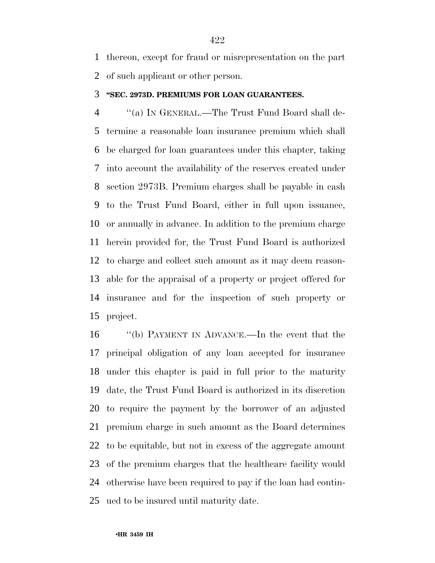thereon, except for fraud or misrepresentation on the part of such applicant or other person.

### **''SEC. 2973D. PREMIUMS FOR LOAN GUARANTEES.**

 ''(a) IN GENERAL.—The Trust Fund Board shall de- termine a reasonable loan insurance premium which shall be charged for loan guarantees under this chapter, taking into account the availability of the reserves created under section 2973B. Premium charges shall be payable in cash to the Trust Fund Board, either in full upon issuance, or annually in advance. In addition to the premium charge herein provided for, the Trust Fund Board is authorized to charge and collect such amount as it may deem reason- able for the appraisal of a property or project offered for insurance and for the inspection of such property or project.

 ''(b) PAYMENT IN ADVANCE.—In the event that the principal obligation of any loan accepted for insurance under this chapter is paid in full prior to the maturity date, the Trust Fund Board is authorized in its discretion to require the payment by the borrower of an adjusted premium charge in such amount as the Board determines to be equitable, but not in excess of the aggregate amount of the premium charges that the healthcare facility would otherwise have been required to pay if the loan had contin-ued to be insured until maturity date.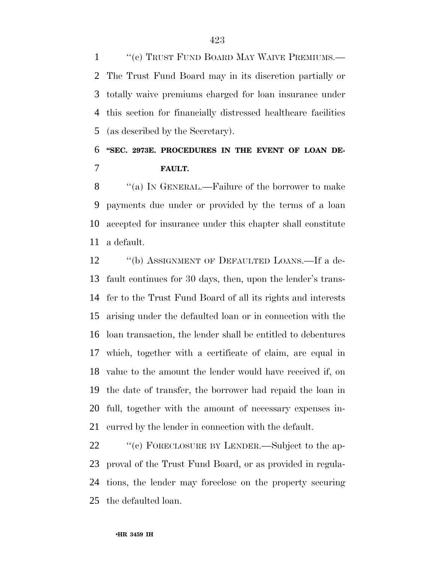1 "(c) TRUST FUND BOARD MAY WAIVE PREMIUMS.— The Trust Fund Board may in its discretion partially or totally waive premiums charged for loan insurance under this section for financially distressed healthcare facilities (as described by the Secretary).

# **''SEC. 2973E. PROCEDURES IN THE EVENT OF LOAN DE-FAULT.**

8 "(a) IN GENERAL.—Failure of the borrower to make payments due under or provided by the terms of a loan accepted for insurance under this chapter shall constitute a default.

12 "(b) ASSIGNMENT OF DEFAULTED LOANS.—If a de- fault continues for 30 days, then, upon the lender's trans- fer to the Trust Fund Board of all its rights and interests arising under the defaulted loan or in connection with the loan transaction, the lender shall be entitled to debentures which, together with a certificate of claim, are equal in value to the amount the lender would have received if, on the date of transfer, the borrower had repaid the loan in full, together with the amount of necessary expenses in-curred by the lender in connection with the default.

22 "(c) FORECLOSURE BY LENDER.—Subject to the ap- proval of the Trust Fund Board, or as provided in regula- tions, the lender may foreclose on the property securing the defaulted loan.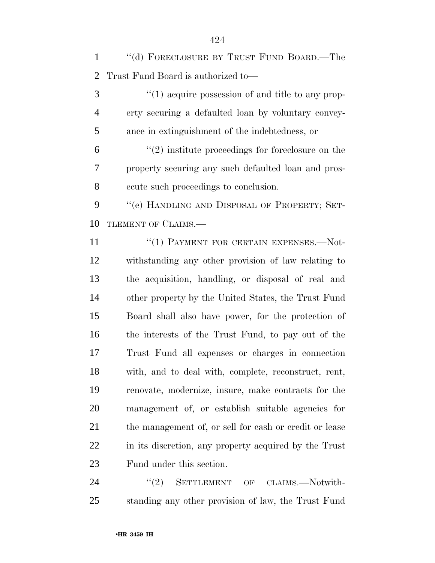''(d) FORECLOSURE BY TRUST FUND BOARD.—The Trust Fund Board is authorized to—

3 (1) acquire possession of and title to any prop- erty securing a defaulted loan by voluntary convey-ance in extinguishment of the indebtedness, or

 $(2)$  institute proceedings for foreclosure on the property securing any such defaulted loan and pros-ecute such proceedings to conclusion.

9 "(e) HANDLING AND DISPOSAL OF PROPERTY; SET-10 TLEMENT OF CLAIMS.—

11 "(1) PAYMENT FOR CERTAIN EXPENSES.—Not- withstanding any other provision of law relating to the acquisition, handling, or disposal of real and other property by the United States, the Trust Fund Board shall also have power, for the protection of the interests of the Trust Fund, to pay out of the Trust Fund all expenses or charges in connection with, and to deal with, complete, reconstruct, rent, renovate, modernize, insure, make contracts for the management of, or establish suitable agencies for 21 the management of, or sell for cash or credit or lease in its discretion, any property acquired by the Trust Fund under this section.

24 "(2) SETTLEMENT OF CLAIMS.—Notwith-standing any other provision of law, the Trust Fund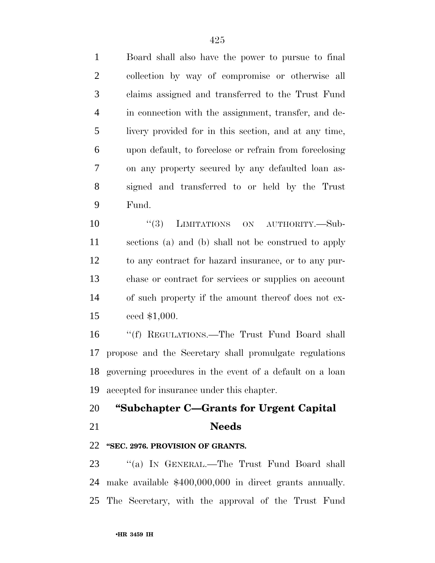Board shall also have the power to pursue to final collection by way of compromise or otherwise all claims assigned and transferred to the Trust Fund in connection with the assignment, transfer, and de- livery provided for in this section, and at any time, upon default, to foreclose or refrain from foreclosing on any property secured by any defaulted loan as- signed and transferred to or held by the Trust Fund.

 $(3)$  LIMITATIONS ON AUTHORITY.—Sub- sections (a) and (b) shall not be construed to apply to any contract for hazard insurance, or to any pur- chase or contract for services or supplies on account of such property if the amount thereof does not ex-ceed \$1,000.

 ''(f) REGULATIONS.—The Trust Fund Board shall propose and the Secretary shall promulgate regulations governing procedures in the event of a default on a loan accepted for insurance under this chapter.

### **''Subchapter C—Grants for Urgent Capital**

### **Needs**

### **''SEC. 2976. PROVISION OF GRANTS.**

23 "(a) IN GENERAL.—The Trust Fund Board shall make available \$400,000,000 in direct grants annually. The Secretary, with the approval of the Trust Fund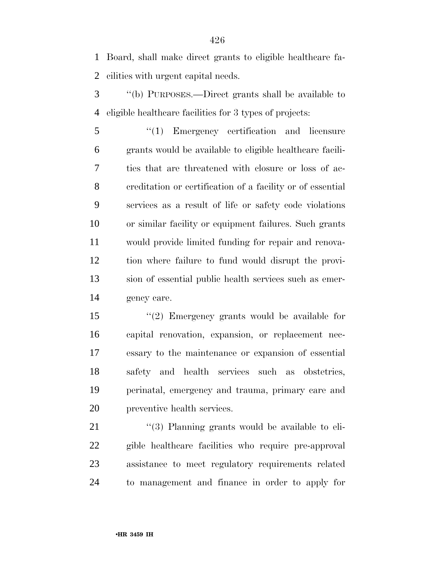Board, shall make direct grants to eligible healthcare fa-cilities with urgent capital needs.

- ''(b) PURPOSES.—Direct grants shall be available to eligible healthcare facilities for 3 types of projects:
- ''(1) Emergency certification and licensure grants would be available to eligible healthcare facili- ties that are threatened with closure or loss of ac- creditation or certification of a facility or of essential services as a result of life or safety code violations or similar facility or equipment failures. Such grants would provide limited funding for repair and renova- tion where failure to fund would disrupt the provi- sion of essential public health services such as emer-gency care.
- ''(2) Emergency grants would be available for capital renovation, expansion, or replacement nec- essary to the maintenance or expansion of essential safety and health services such as obstetrics, perinatal, emergency and trauma, primary care and preventive health services.

21 ''(3) Planning grants would be available to eli- gible healthcare facilities who require pre-approval assistance to meet regulatory requirements related to management and finance in order to apply for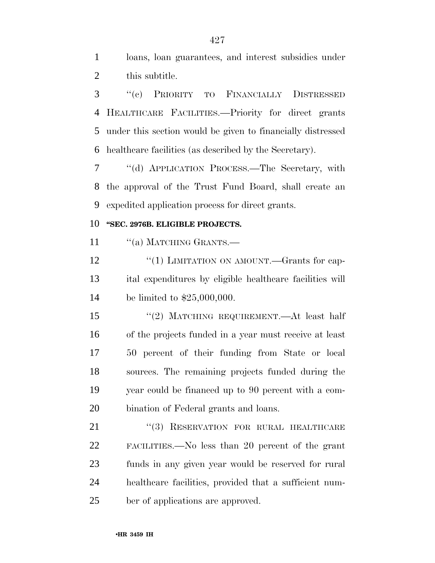loans, loan guarantees, and interest subsidies under this subtitle.

 ''(c) PRIORITY TO FINANCIALLY DISTRESSED HEALTHCARE FACILITIES.—Priority for direct grants under this section would be given to financially distressed healthcare facilities (as described by the Secretary).

 ''(d) APPLICATION PROCESS.—The Secretary, with the approval of the Trust Fund Board, shall create an expedited application process for direct grants.

### **''SEC. 2976B. ELIGIBLE PROJECTS.**

11 "(a) MATCHING GRANTS.—

12 "(1) LIMITATION ON AMOUNT.—Grants for cap- ital expenditures by eligible healthcare facilities will be limited to \$25,000,000.

 ''(2) MATCHING REQUIREMENT.—At least half of the projects funded in a year must receive at least 50 percent of their funding from State or local sources. The remaining projects funded during the year could be financed up to 90 percent with a com-bination of Federal grants and loans.

21 "(3) RESERVATION FOR RURAL HEALTHCARE FACILITIES.—No less than 20 percent of the grant funds in any given year would be reserved for rural healthcare facilities, provided that a sufficient num-ber of applications are approved.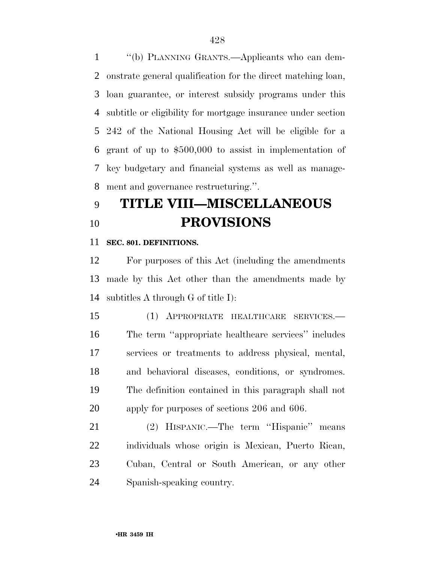''(b) PLANNING GRANTS.—Applicants who can dem- onstrate general qualification for the direct matching loan, loan guarantee, or interest subsidy programs under this subtitle or eligibility for mortgage insurance under section 242 of the National Housing Act will be eligible for a grant of up to \$500,000 to assist in implementation of key budgetary and financial systems as well as manage-ment and governance restructuring.''.

# **TITLE VIII—MISCELLANEOUS PROVISIONS**

### **SEC. 801. DEFINITIONS.**

 For purposes of this Act (including the amendments made by this Act other than the amendments made by subtitles A through G of title I):

 (1) APPROPRIATE HEALTHCARE SERVICES.— The term ''appropriate healthcare services'' includes services or treatments to address physical, mental, and behavioral diseases, conditions, or syndromes. The definition contained in this paragraph shall not apply for purposes of sections 206 and 606.

 (2) HISPANIC.—The term ''Hispanic'' means individuals whose origin is Mexican, Puerto Rican, Cuban, Central or South American, or any other Spanish-speaking country.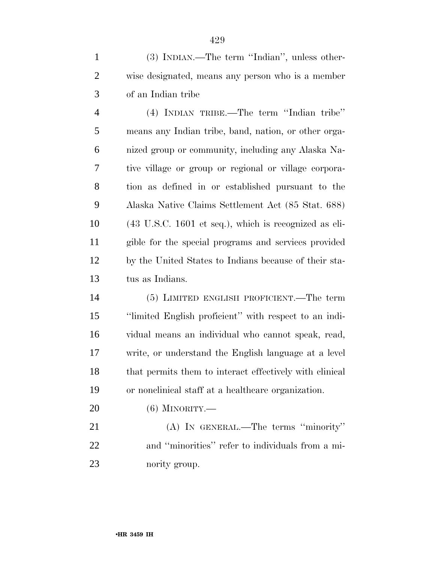(3) INDIAN.—The term ''Indian'', unless other- wise designated, means any person who is a member of an Indian tribe

 (4) INDIAN TRIBE.—The term ''Indian tribe'' means any Indian tribe, band, nation, or other orga- nized group or community, including any Alaska Na- tive village or group or regional or village corpora- tion as defined in or established pursuant to the Alaska Native Claims Settlement Act (85 Stat. 688) (43 U.S.C. 1601 et seq.), which is recognized as eli- gible for the special programs and services provided by the United States to Indians because of their sta-tus as Indians.

 (5) LIMITED ENGLISH PROFICIENT.—The term ''limited English proficient'' with respect to an indi- vidual means an individual who cannot speak, read, write, or understand the English language at a level that permits them to interact effectively with clinical or nonclinical staff at a healthcare organization.

(6) MINORITY.—

 (A) IN GENERAL.—The terms ''minority'' and ''minorities'' refer to individuals from a mi-nority group.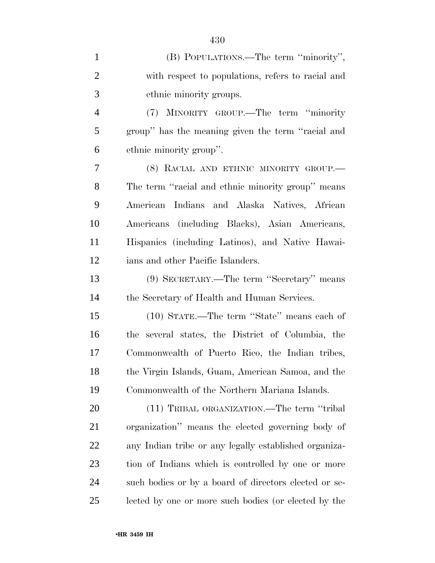| $\mathbf{1}$   | (B) POPULATIONS.—The term "minority",                 |
|----------------|-------------------------------------------------------|
| $\overline{2}$ | with respect to populations, refers to racial and     |
| 3              | ethnic minority groups.                               |
| $\overline{4}$ | (7) MINORITY GROUP.—The term "minority                |
| 5              | group" has the meaning given the term "racial and     |
| 6              | ethnic minority group".                               |
| 7              | (8) RACIAL AND ETHNIC MINORITY GROUP.—                |
| 8              | The term "racial and ethnic minority group" means     |
| 9              | American Indians and Alaska Natives, African          |
| 10             | Americans (including Blacks), Asian Americans,        |
| 11             | Hispanics (including Latinos), and Native Hawai-      |
| 12             | ians and other Pacific Islanders.                     |
| 13             | (9) SECRETARY.—The term "Secretary" means             |
| 14             | the Secretary of Health and Human Services.           |
| 15             | (10) STATE.—The term "State" means each of            |
| 16             | the several states, the District of Columbia, the     |
| 17             | Commonwealth of Puerto Rico, the Indian tribes,       |
| 18             | the Virgin Islands, Guam, American Samoa, and the     |
| 19             | Commonwealth of the Northern Mariana Islands.         |
| 20             | (11) TRIBAL ORGANIZATION.—The term "tribal"           |
| 21             | organization" means the elected governing body of     |
| 22             | any Indian tribe or any legally established organiza- |
| 23             | tion of Indians which is controlled by one or more    |
| 24             | such bodies or by a board of directors elected or se- |
| 25             | lected by one or more such bodies (or elected by the  |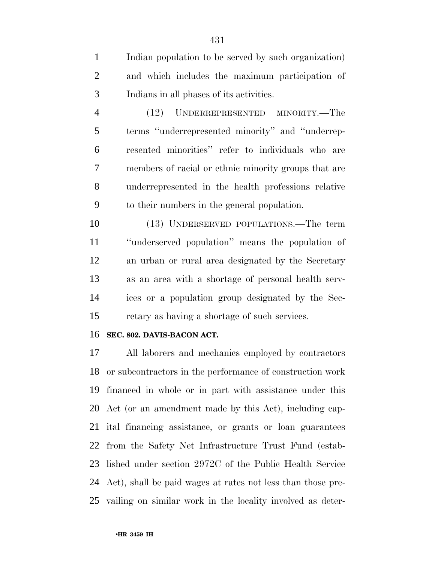Indian population to be served by such organization) and which includes the maximum participation of Indians in all phases of its activities.

 (12) UNDERREPRESENTED MINORITY.—The terms ''underrepresented minority'' and ''underrep- resented minorities'' refer to individuals who are members of racial or ethnic minority groups that are underrepresented in the health professions relative to their numbers in the general population.

 (13) UNDERSERVED POPULATIONS.—The term ''underserved population'' means the population of an urban or rural area designated by the Secretary as an area with a shortage of personal health serv- ices or a population group designated by the Sec-retary as having a shortage of such services.

#### **SEC. 802. DAVIS-BACON ACT.**

 All laborers and mechanics employed by contractors or subcontractors in the performance of construction work financed in whole or in part with assistance under this Act (or an amendment made by this Act), including cap- ital financing assistance, or grants or loan guarantees from the Safety Net Infrastructure Trust Fund (estab- lished under section 2972C of the Public Health Service Act), shall be paid wages at rates not less than those pre-vailing on similar work in the locality involved as deter